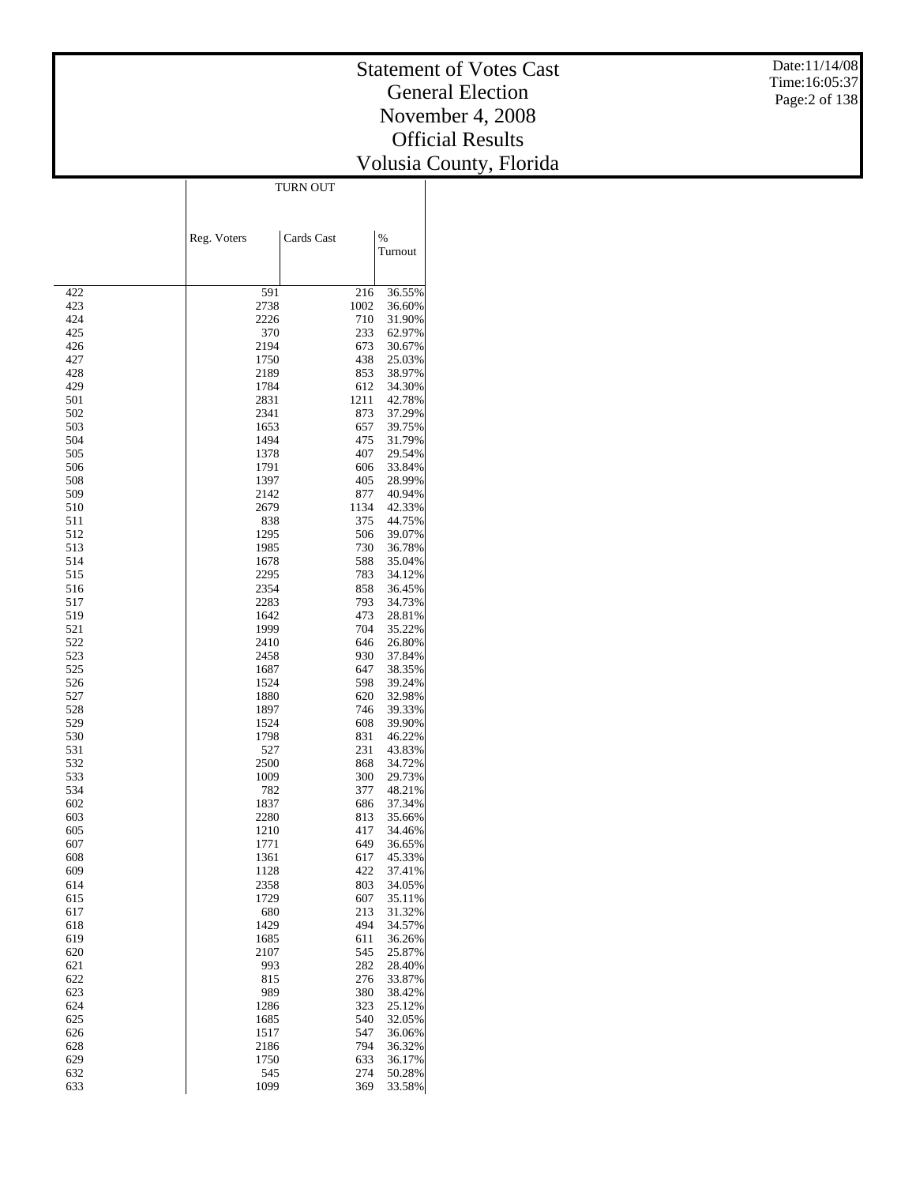#### Statement of Votes Cast General Election November 4, 2008 Official Results Volusia Count y, Florida

Date:11/14/08 Time:16:05:37 Page:2 of 138

|            | Reg. Voters  | Cards Cast  | $\%$             |
|------------|--------------|-------------|------------------|
|            |              |             | Turnout          |
|            |              |             |                  |
| 422        | 591          | 216         | 36.55%           |
| 423        | 2738         | 1002        | 36.60%           |
| 424        | 2226         | 710         | 31.90%           |
| 425        | 370          | 233         | 62.97%           |
| 426        | 2194         | 673         | 30.67%           |
| 427        | 1750         | 438         | 25.03%           |
| 428        | 2189         | 853         | 38.97%           |
| 429<br>501 | 1784<br>2831 | 612<br>1211 | 34.30%<br>42.78% |
| 502        | 2341         | 873         | 37.29%           |
| 503        | 1653         | 657         | 39.75%           |
| 504        | 1494         | 475         | 31.79%           |
| 505        | 1378         | 407         | 29.54%           |
| 506        | 1791         | 606         | 33.84%           |
| 508        | 1397         | 405         | 28.99%           |
| 509        | 2142         | 877         | 40.94%           |
| 510        | 2679         | 1134        | 42.33%           |
| 511<br>512 | 838<br>1295  | 375<br>506  | 44.75%           |
| 513        | 1985         | 730         | 39.07%<br>36.78% |
| 514        | 1678         | 588         | 35.04%           |
| 515        | 2295         | 783         | 34.12%           |
| 516        | 2354         | 858         | 36.45%           |
| 517        | 2283         | 793         | 34.73%           |
| 519        | 1642         | 473         | 28.81%           |
| 521        | 1999         | 704         | 35.22%           |
| 522        | 2410         | 646         | 26.80%           |
| 523        | 2458         | 930         | 37.84%           |
| 525<br>526 | 1687<br>1524 | 647<br>598  | 38.35%<br>39.24% |
| 527        | 1880         | 620         | 32.98%           |
| 528        | 1897         | 746         | 39.33%           |
| 529        | 1524         | 608         | 39.90%           |
| 530        | 1798         | 831         | 46.22%           |
| 531        | 527          | 231         | 43.83%           |
| 532        | 2500         | 868         | 34.72%           |
| 533        | 1009         | 300         | 29.73%           |
| 534        | 782          | 377         | 48.21%           |
| 602        | 1837         | 686         | 37.34%           |
| 603<br>605 | 2280<br>1210 | 813<br>417  | 35.66%<br>34.46% |
| 607        | 1771         | 649         | 36.65%           |
| 608        | 1361         | 617         | 45.33%           |
| 609        | 1128         | 422         | 37.41%           |
| 614        | 2358         | 803         | 34.05%           |
| 615        | 1729         | 607         | 35.11%           |
| 617        | 680          | 213         | 31.32%           |
| 618        | 1429         | 494         | 34.57%           |
| 619        | 1685         | 611         | 36.26%           |
| 620        | 2107         | 545         | 25.87%           |
| 621        | 993          | 282         | 28.40%           |
| 622<br>623 | 815<br>989   | 276<br>380  | 33.87%<br>38.42% |
| 624        | 1286         | 323         | 25.12%           |
| 625        | 1685         | 540         | 32.05%           |
| 626        | 1517         | 547         | 36.06%           |
| 628        | 2186         | 794         | 36.32%           |
| 629        | 1750         | 633         | 36.17%           |
| 632        | 545          | 274         | 50.28%           |
| 633        | 1099         | 369         | 33.58%           |

TURN OUT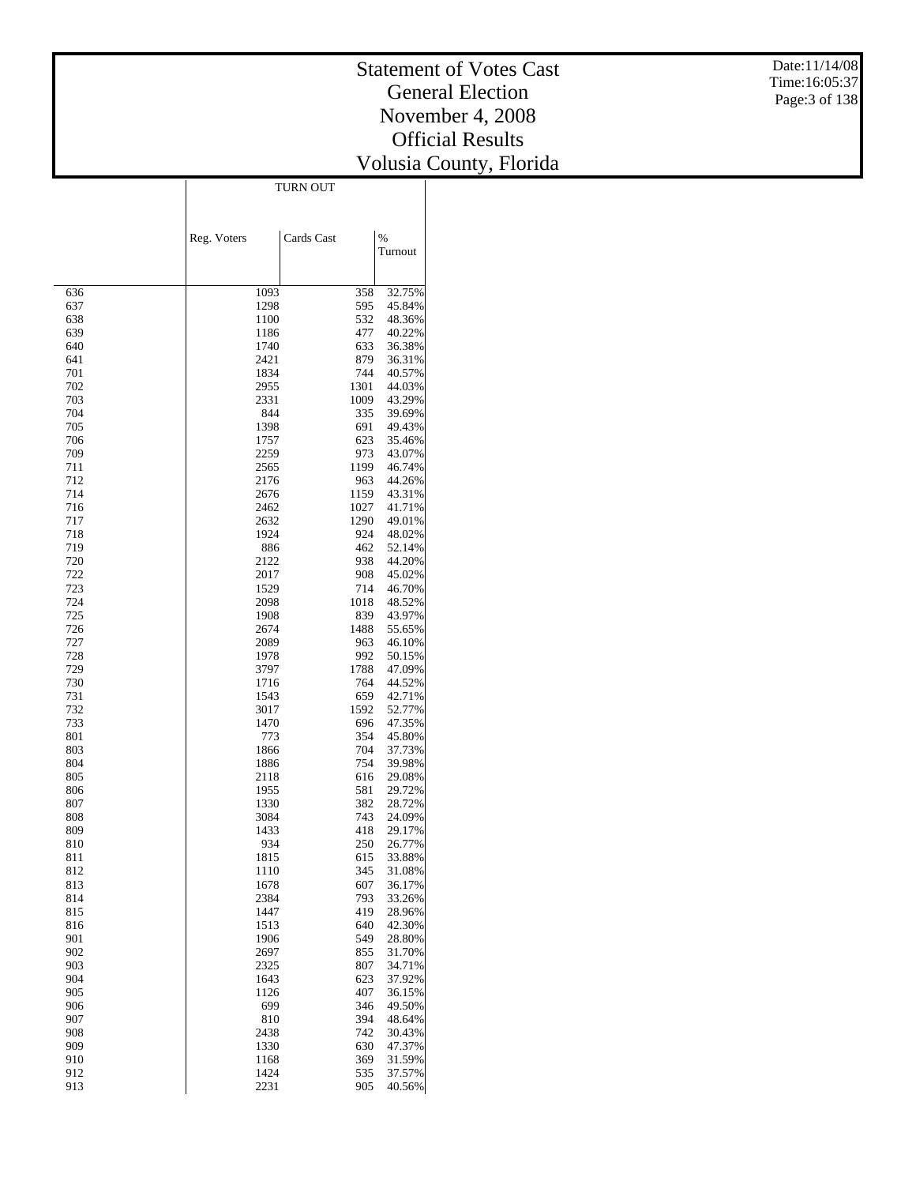#### Statement of Votes Cast General Election November 4, 2008 Official Results Volusia Count y, Florida

Date:11/14/08 Time:16:05:37 Page:3 of 138

TURN OUT

|            | Reg. Voters  | Cards Cast  | $\frac{0}{6}$    |
|------------|--------------|-------------|------------------|
|            |              |             | Turnout          |
|            |              |             |                  |
| 636        | 1093         | 358         | 32.75%           |
| 637        | 1298         | 595         | 45.84%           |
| 638<br>639 | 1100<br>1186 | 532<br>477  | 48.36%<br>40.22% |
| 640        | 1740         | 633         | 36.38%           |
| 641        | 2421         | 879         | 36.31%           |
| 701        | 1834         | 744         | 40.57%           |
| 702        | 2955         | 1301        | 44.03%           |
| 703        | 2331         | 1009        | 43.29%           |
| 704        | 844          | 335         | 39.69%           |
| 705        | 1398         | 691         | 49.43%           |
| 706<br>709 | 1757<br>2259 | 623<br>973  | 35.46%<br>43.07% |
| 711        | 2565         | 1199        | 46.74%           |
| 712        | 2176         | 963         | 44.26%           |
| 714        | 2676         | 1159        | 43.31%           |
| 716        | 2462         | 1027        | 41.71%           |
| 717        | 2632         | 1290        | 49.01%           |
| 718        | 1924         | 924         | 48.02%           |
| 719        | 886          | 462         | 52.14%           |
| 720        | 2122         | 938         | 44.20%           |
| 722<br>723 | 2017<br>1529 | 908<br>714  | 45.02%<br>46.70% |
| 724        | 2098         | 1018        | 48.52%           |
| 725        | 1908         | 839         | 43.97%           |
| 726        | 2674         | 1488        | 55.65%           |
| 727        | 2089         | 963         | 46.10%           |
| 728        | 1978         | 992         | 50.15%           |
| 729        | 3797         | 1788        | 47.09%           |
| 730        | 1716         | 764         | 44.52%           |
| 731        | 1543         | 659         | 42.71%           |
| 732<br>733 | 3017<br>1470 | 1592<br>696 | 52.77%<br>47.35% |
| 801        | 773          | 354         | 45.80%           |
| 803        | 1866         | 704         | 37.73%           |
| 804        | 1886         | 754         | 39.98%           |
| 805        | 2118         | 616         | 29.08%           |
| 806        | 1955         | 581         | 29.72%           |
| 807        | 1330         | 382         | 28.72%           |
| 808        | 3084         | 743         | 24.09%           |
| 809<br>810 | 1433<br>934  | 418<br>250  | 29.17%           |
| 811        | 1815         | 615         | 26.77%<br>33.88% |
| 812        | 1110         | 345         | 31.08%           |
| 813        | 1678         | 607         | 36.17%           |
| 814        | 2384         | 793         | 33.26%           |
| 815        | 1447         | 419         | 28.96%           |
| 816        | 1513         | 640         | 42.30%           |
| 901        | 1906         | 549         | 28.80%           |
| 902        | 2697         | 855         | 31.70%           |
| 903<br>904 | 2325<br>1643 | 807<br>623  | 34.71%<br>37.92% |
| 905        | 1126         | 407         | 36.15%           |
| 906        | 699          | 346         | 49.50%           |
| 907        | 810          | 394         | 48.64%           |
| 908        | 2438         | 742         | 30.43%           |
| 909        | 1330         | 630         | 47.37%           |
| 910        | 1168         | 369         | 31.59%           |
| 912        | 1424         | 535         | 37.57%           |
| 913        | 2231         | 905         | 40.56%           |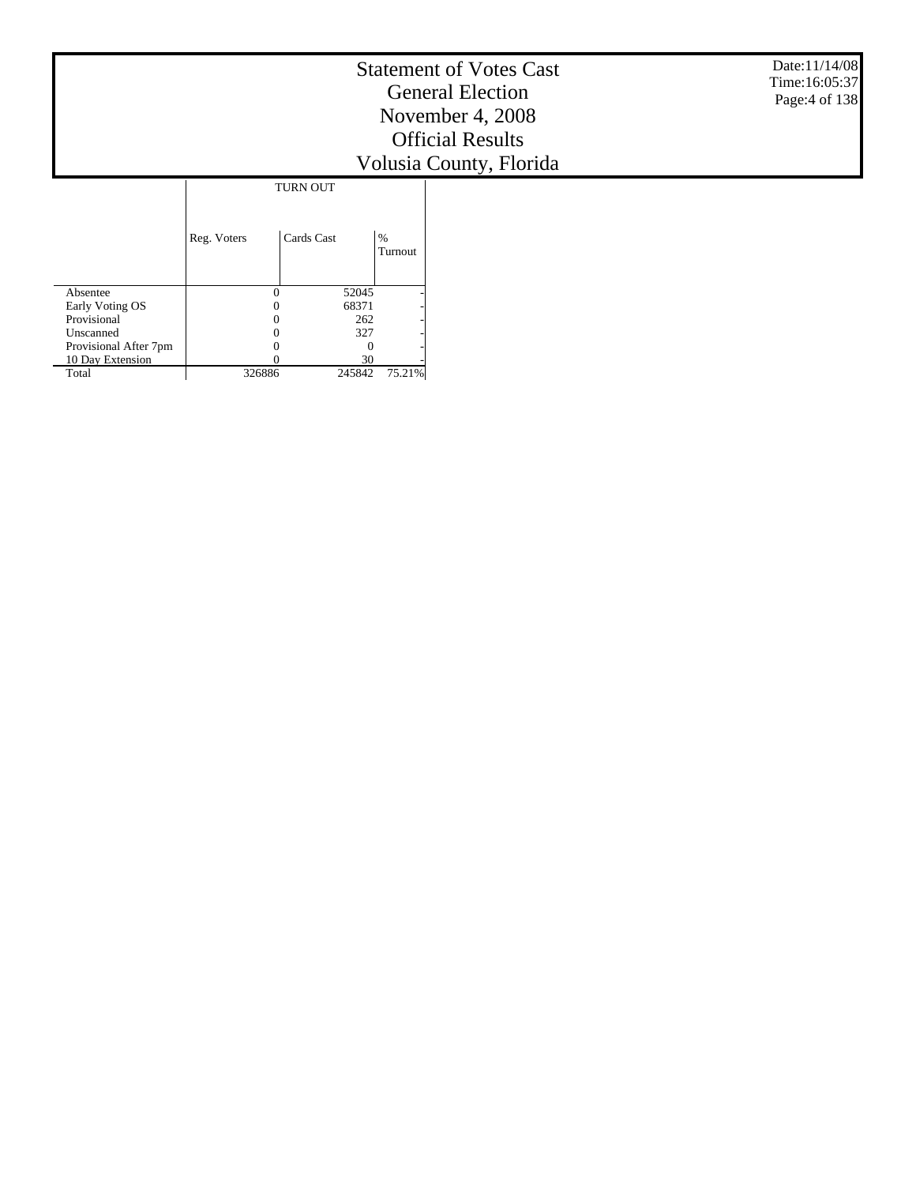|                          |             |                 |                 | <b>Statement of Votes Cast</b><br><b>General Election</b><br>November 4, 2008<br><b>Official Results</b><br>Volusia County, Florida | Date: 11/14/08<br>Time: 16:05:37<br>Page: 4 of 138 |
|--------------------------|-------------|-----------------|-----------------|-------------------------------------------------------------------------------------------------------------------------------------|----------------------------------------------------|
|                          |             | <b>TURN OUT</b> |                 |                                                                                                                                     |                                                    |
|                          | Reg. Voters | Cards Cast      | $\%$<br>Turnout |                                                                                                                                     |                                                    |
| Absentee                 | 0           | 52045           |                 |                                                                                                                                     |                                                    |
| Early Voting OS          |             | 68371           |                 |                                                                                                                                     |                                                    |
| Provisional<br>Unscanned | 0           | 262             |                 |                                                                                                                                     |                                                    |
| Provisional After 7pm    | 0<br>0      | 327<br>$\Omega$ |                 |                                                                                                                                     |                                                    |
| 10 Day Extension         |             | 30              |                 |                                                                                                                                     |                                                    |
| Total                    | 326886      | 245842          | 75.21%          |                                                                                                                                     |                                                    |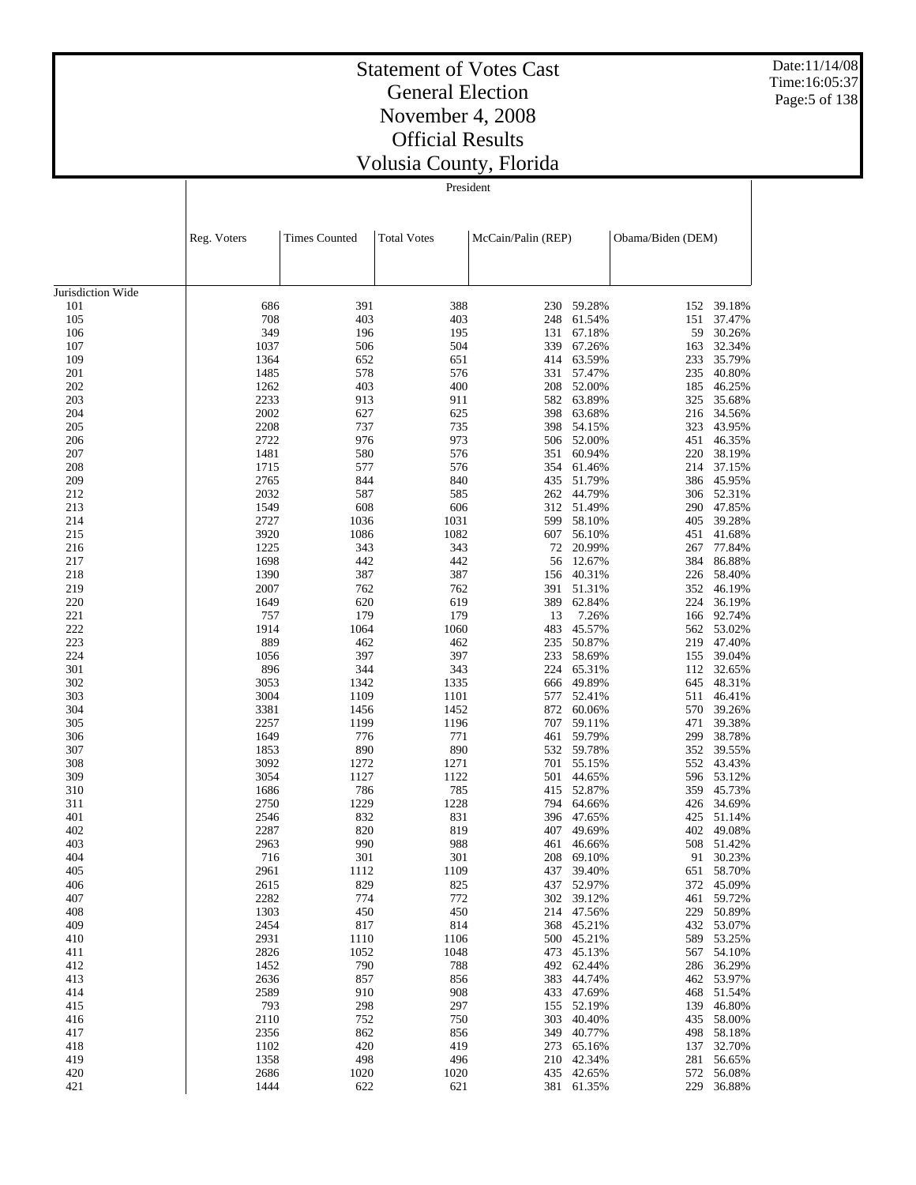Date:11/14/08 Time:16:05:37 Page:5 of 138

#### Statement of Votes Cast General Election November 4, 2008 Official Results Volusia County, Florida

|                   | Reg. Voters  | <b>Times Counted</b> | <b>Total Votes</b> | McCain/Palin (REP) |                      | Obama/Biden (DEM) |                  |
|-------------------|--------------|----------------------|--------------------|--------------------|----------------------|-------------------|------------------|
|                   |              |                      |                    |                    |                      |                   |                  |
| Jurisdiction Wide |              |                      |                    |                    |                      |                   |                  |
| 101               | 686          | 391                  | 388                | 230                | 59.28%               | 152               | 39.18%           |
| 105               | 708          | 403                  | 403                | 248                | 61.54%               | 151               | 37.47%           |
| 106               | 349          | 196                  | 195                | 131                | 67.18%               | 59                | 30.26%           |
| 107               | 1037         | 506                  | 504                | 339                | 67.26%               | 163               | 32.34%           |
| 109               | 1364         | 652                  | 651                | 414                | 63.59%               | 233               | 35.79%           |
| 201               | 1485         | 578                  | 576                | 331                | 57.47%               | 235               | 40.80%           |
| 202               | 1262         | 403                  | 400                | 208                | 52.00%               | 185               | 46.25%           |
| 203               | 2233         | 913                  | 911                | 582                | 63.89%               | 325               | 35.68%           |
| 204               | 2002         | 627                  | 625                | 398                | 63.68%               | 216               | 34.56%           |
| 205               | 2208         | 737                  | 735                | 398                | 54.15%               | 323               | 43.95%           |
| 206               | 2722         | 976                  | 973                | 506                | 52.00%               | 451               | 46.35%           |
| 207               | 1481         | 580                  | 576                | 351                | 60.94%               | 220               | 38.19%           |
| 208               | 1715         | 577                  | 576                | 354                | 61.46%               | 214               | 37.15%           |
| 209               | 2765         | 844                  | 840                | 435                | 51.79%               | 386               | 45.95%           |
| 212               | 2032         | 587                  | 585                | 262                | 44.79%               | 306               | 52.31%           |
| 213               | 1549         | 608                  | 606                | 312                | 51.49%               | 290               | 47.85%           |
| 214               | 2727         | 1036                 | 1031               | 599                | 58.10%               | 405               | 39.28%           |
| 215               | 3920         | 1086                 | 1082               | 607                | 56.10%               | 451               | 41.68%           |
| 216               | 1225         | 343                  | 343                | 72                 | 20.99%               | 267               | 77.84%           |
| 217               | 1698         | 442                  | 442                | 56                 | 12.67%               | 384               | 86.88%           |
| 218               | 1390<br>2007 | 387<br>762           | 387<br>762         | 156                | 40.31%<br>51.31%     | 226               | 58.40%<br>46.19% |
| 219<br>220        | 1649         | 620                  | 619                | 391<br>389         | 62.84%               | 352<br>224        | 36.19%           |
| 221               | 757          | 179                  | 179                | 13                 | 7.26%                | 166               | 92.74%           |
| 222               | 1914         | 1064                 | 1060               | 483                | 45.57%               | 562               | 53.02%           |
| 223               | 889          | 462                  | 462                | 235                | 50.87%               | 219               | 47.40%           |
| 224               | 1056         | 397                  | 397                | 233                | 58.69%               | 155               | 39.04%           |
| 301               | 896          | 344                  | 343                | 224                | 65.31%               | 112               | 32.65%           |
| 302               | 3053         | 1342                 | 1335               | 666                | 49.89%               | 645               | 48.31%           |
| 303               | 3004         | 1109                 | 1101               | 577                | 52.41%               | 511               | 46.41%           |
| 304               | 3381         | 1456                 | 1452               | 872                | 60.06%               | 570               | 39.26%           |
| 305               | 2257         | 1199                 | 1196               | 707                | 59.11%               | 471               | 39.38%           |
| 306               | 1649         | 776                  | 771                | 461                | 59.79%               | 299               | 38.78%           |
| 307               | 1853         | 890                  | 890                | 532                | 59.78%               | 352               | 39.55%           |
| 308               | 3092         | 1272                 | 1271               | 701                | 55.15%               | 552               | 43.43%           |
| 309               | 3054         | 1127                 | 1122               | 501                | 44.65%               | 596               | 53.12%           |
| 310               | 1686         | 786                  | 785                | 415                | 52.87%               | 359               | 45.73%           |
| 311               | 2750         | 1229                 | 1228               | 794                | 64.66%               | 426               | 34.69%           |
| 401               | 2546         | 832                  | 831                | 396                | 47.65%               | 425               | 51.14%           |
| 402               | 2287<br>2963 | 820<br>990           | 819<br>988         | 407                | 49.69%               | 402               | 49.08%<br>51.42% |
| 403<br>404        | 716          | 301                  | 301                | 461<br>208         | 46.66%               | 508<br>91         | 30.23%           |
| 405               | 2961         | 1112                 | 1109               |                    | 69.10%<br>437 39.40% | 651               | 58.70%           |
| 406               | 2615         | 829                  | 825                |                    | 437 52.97%           |                   | 372 45.09%       |
| 407               | 2282         | 774                  | 772                |                    | 302 39.12%           |                   | 461 59.72%       |
| 408               | 1303         | 450                  | 450                | 214                | 47.56%               | 229               | 50.89%           |
| 409               | 2454         | 817                  | 814                |                    | 368 45.21%           |                   | 432 53.07%       |
| 410               | 2931         | 1110                 | 1106               |                    | 500 45.21%           | 589               | 53.25%           |
| 411               | 2826         | 1052                 | 1048               |                    | 473 45.13%           |                   | 567 54.10%       |
| 412               | 1452         | 790                  | 788                |                    | 492 62.44%           | 286               | 36.29%           |
| 413               | 2636         | 857                  | 856                | 383                | 44.74%               |                   | 462 53.97%       |
| 414               | 2589         | 910                  | 908                | 433                | 47.69%               | 468               | 51.54%           |
| 415               | 793          | 298                  | 297                |                    | 155 52.19%           | 139               | 46.80%           |
| 416               | 2110         | 752                  | 750                | 303                | 40.40%               | 435               | 58.00%           |
| 417               | 2356         | 862                  | 856                | 349                | 40.77%               | 498               | 58.18%           |
| 418               | 1102         | 420                  | 419                |                    | 273 65.16%           | 137               | 32.70%           |
| 419               | 1358         | 498                  | 496                |                    | 210 42.34%           | 281               | 56.65%           |
| 420               | 2686         | 1020                 | 1020               |                    | 435 42.65%           |                   | 572 56.08%       |
| 421               | 1444         | 622                  | 621                |                    | 381 61.35%           | 229               | 36.88%           |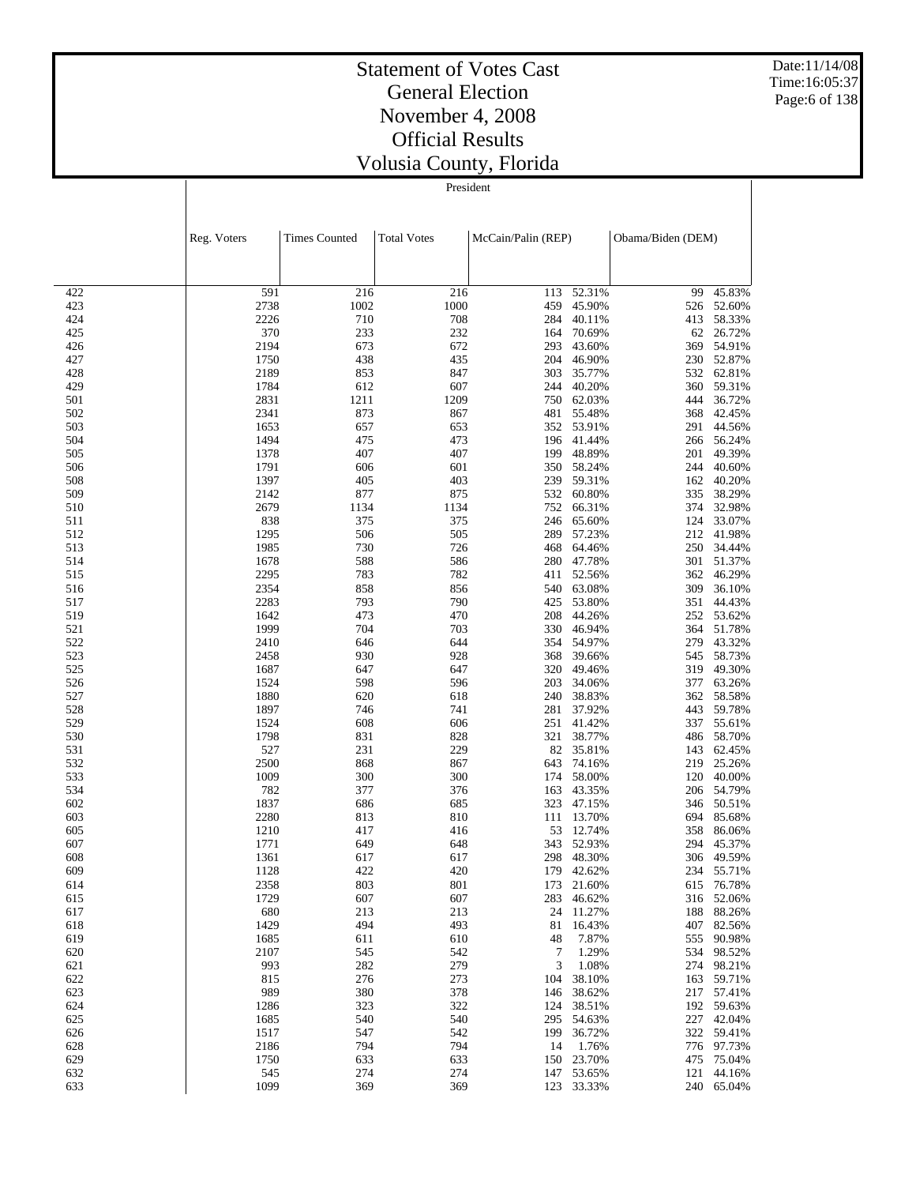Date:11/14/08 Time:16:05:37 Page:6 of 138

#### Statement of Votes Cast General Election November 4, 2008 Official Results Volusia County, Florida

|            | Reg. Voters  | <b>Times Counted</b> | <b>Total Votes</b> |            | McCain/Palin (REP)   |            | Obama/Biden (DEM)        |
|------------|--------------|----------------------|--------------------|------------|----------------------|------------|--------------------------|
|            |              |                      |                    |            |                      |            |                          |
| 422        | 591          | 216                  | 216                | 113        | 52.31%               | 99         | 45.83%                   |
| 423        | 2738         | 1002                 | 1000               | 459        | 45.90%               | 526        | 52.60%                   |
| 424        | 2226         | 710                  | 708                | 284        | 40.11%               | 413        | 58.33%                   |
| 425        | 370          | 233                  | 232                | 164        | 70.69%               | 62         | 26.72%                   |
| 426        | 2194         | 673                  | 672                | 293        | 43.60%               | 369        | 54.91%                   |
| 427        | 1750         | 438                  | 435                | 204        | 46.90%               | 230        | 52.87%<br>62.81%         |
| 428<br>429 | 2189<br>1784 | 853<br>612           | 847<br>607         | 303<br>244 | 35.77%<br>40.20%     | 532<br>360 | 59.31%                   |
| 501        | 2831         | 1211                 | 1209               | 750        | 62.03%               | 444        | 36.72%                   |
| 502        | 2341         | 873                  | 867                | 481        | 55.48%               | 368        | 42.45%                   |
| 503        | 1653         | 657                  | 653                | 352        | 53.91%               | 291        | 44.56%                   |
| 504        | 1494         | 475                  | 473                | 196        | 41.44%               | 266        | 56.24%                   |
| 505        | 1378         | 407                  | 407                | 199        | 48.89%               | 201        | 49.39%                   |
| 506        | 1791         | 606                  | 601                | 350        | 58.24%               |            | 244 40.60%               |
| 508        | 1397         | 405                  | 403                | 239        | 59.31%               | 162        | 40.20%                   |
| 509        | 2142         | 877                  | 875                | 532        | 60.80%               | 335        | 38.29%                   |
| 510        | 2679         | 1134                 | 1134               | 752        | 66.31%               |            | 374 32.98%               |
| 511        | 838          | 375                  | 375                | 246        | 65.60%               |            | 124 33.07%               |
| 512        | 1295         | 506                  | 505                | 289        | 57.23%               | 212        | 41.98%                   |
| 513        | 1985         | 730                  | 726                | 468        | 64.46%               | 250        | 34.44%                   |
| 514<br>515 | 1678<br>2295 | 588                  | 586                | 280        | 47.78%<br>52.56%     | 301        | 51.37%                   |
| 516        | 2354         | 783<br>858           | 782<br>856         | 411<br>540 | 63.08%               | 362<br>309 | 46.29%<br>36.10%         |
| 517        | 2283         | 793                  | 790                | 425        | 53.80%               | 351        | 44.43%                   |
| 519        | 1642         | 473                  | 470                | 208        | 44.26%               | 252        | 53.62%                   |
| 521        | 1999         | 704                  | 703                |            | 330 46.94%           |            | 364 51.78%               |
| 522        | 2410         | 646                  | 644                | 354        | 54.97%               | 279        | 43.32%                   |
| 523        | 2458         | 930                  | 928                | 368        | 39.66%               | 545        | 58.73%                   |
| 525        | 1687         | 647                  | 647                | 320        | 49.46%               | 319        | 49.30%                   |
| 526        | 1524         | 598                  | 596                | 203        | 34.06%               | 377        | 63.26%                   |
| 527        | 1880         | 620                  | 618                | 240        | 38.83%               | 362        | 58.58%                   |
| 528        | 1897         | 746                  | 741                | 281        | 37.92%               | 443        | 59.78%                   |
| 529        | 1524         | 608                  | 606                | 251        | 41.42%               | 337        | 55.61%                   |
| 530        | 1798         | 831                  | 828                | 321        | 38.77%               |            | 486 58.70%               |
| 531        | 527          | 231                  | 229                | 82         | 35.81%               | 143        | 62.45%                   |
| 532        | 2500<br>1009 | 868<br>300           | 867<br>300         | 643        | 74.16%<br>58.00%     | 219        | 25.26%<br>40.00%         |
| 533<br>534 | 782          | 377                  | 376                | 174<br>163 | 43.35%               | 120        | 206 54.79%               |
| 602        | 1837         | 686                  | 685                | 323        | 47.15%               | 346        | 50.51%                   |
| 603        | 2280         | 813                  | 810                | 111        | 13.70%               | 694        | 85.68%                   |
| 605        | 1210         | 417                  | 416                | 53         | 12.74%               | 358        | 86.06%                   |
| 607        | 1771         | 649                  | 648                | 343        | 52.93%               | 294        | 45.37%                   |
| 608        | 1361         | 617                  | 617                | 298        | 48.30%               | 306        | 49.59%                   |
| 609        | 1128         | 422                  | 420                |            | 179 42.62%           |            | 234 55.71%               |
| 614        | 2358         | 803                  | 801                |            | 173 21.60%           |            | 615 76.78%               |
| 615        | 1729         | 607                  | 607                |            | 283 46.62%           |            | 316 52.06%               |
| 617        | 680          | 213                  | 213                |            | 24 11.27%            |            | 188 88.26%               |
| 618        | 1429         | 494                  | 493                | 81         | 16.43%               |            | 407 82.56%               |
| 619        | 1685         | 611                  | 610                | 48         | 7.87%                |            | 555 90.98%               |
| 620        | 2107         | 545                  | 542                | 7          | 1.29%                |            | 534 98.52%               |
| 621        | 993          | 282                  | 279                | 3          | 1.08%                |            | 274 98.21%               |
| 622<br>623 | 815<br>989   | 276<br>380           | 273<br>378         | 104        | 38.10%<br>146 38.62% |            | 163 59.71%<br>217 57.41% |
| 624        | 1286         | 323                  | 322                |            | 124 38.51%           |            | 192 59.63%               |
| 625        | 1685         | 540                  | 540                |            | 295 54.63%           |            | 227 42.04%               |
| 626        | 1517         | 547                  | 542                | 199        | 36.72%               |            | 322 59.41%               |
| 628        | 2186         | 794                  | 794                | 14         | 1.76%                |            | 776 97.73%               |
| 629        | 1750         | 633                  | 633                |            | 150 23.70%           |            | 475 75.04%               |
| 632        | 545          | 274                  | 274                |            | 147 53.65%           |            | 121 44.16%               |
| 633        | 1099         | 369                  | 369                |            | 123 33.33%           |            | 240 65.04%               |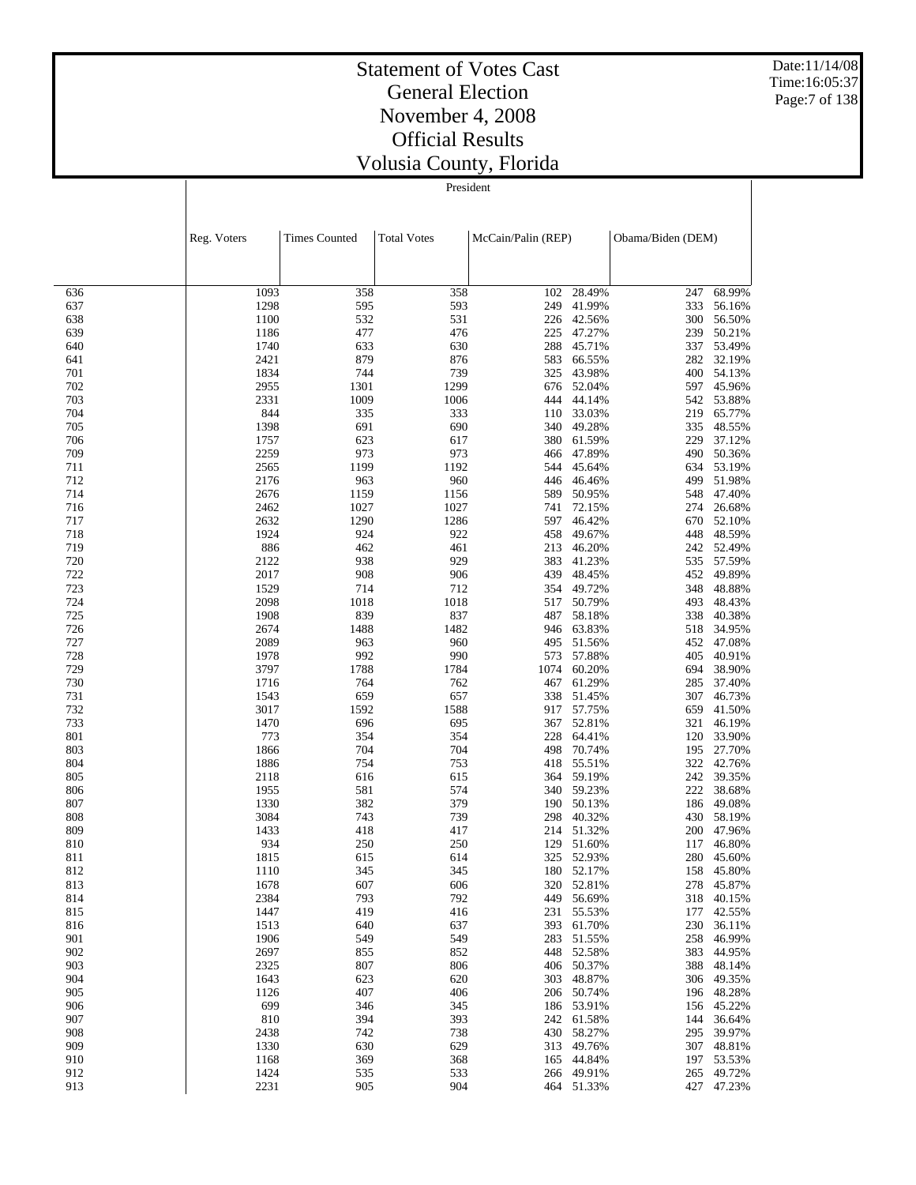Date:11/14/08 Time:16:05:37 Page:7 of 138

#### Statement of Votes Cast General Election November 4, 2008 Official Results Volusia County, Florida

|            | Reg. Voters  | <b>Times Counted</b> | <b>Total Votes</b> | McCain/Palin (REP) |                          | Obama/Biden (DEM) |                          |
|------------|--------------|----------------------|--------------------|--------------------|--------------------------|-------------------|--------------------------|
|            |              |                      |                    |                    |                          |                   |                          |
| 636        | 1093         | 358                  | 358                | 102                | 28.49%                   | 247               | 68.99%                   |
| 637        | 1298         | 595                  | 593                | 249                | 41.99%                   | 333               | 56.16%                   |
| 638        | 1100         | 532                  | 531                | 226                | 42.56%                   | 300               | 56.50%                   |
| 639        | 1186         | 477                  | 476                | 225                | 47.27%                   | 239               | 50.21%                   |
| 640        | 1740         | 633                  | 630                | 288                | 45.71%                   | 337               | 53.49%                   |
| 641<br>701 | 2421<br>1834 | 879<br>744           | 876<br>739         | 583<br>325         | 66.55%<br>43.98%         | 282<br>400        | 32.19%<br>54.13%         |
| 702        | 2955         | 1301                 | 1299               |                    | 676 52.04%               | 597               | 45.96%                   |
| 703        | 2331         | 1009                 | 1006               | 444                | 44.14%                   | 542               | 53.88%                   |
| 704        | 844          | 335                  | 333                | 110                | 33.03%                   | 219               | 65.77%                   |
| 705        | 1398         | 691                  | 690                | 340                | 49.28%                   | 335               | 48.55%                   |
| 706        | 1757         | 623                  | 617                | 380                | 61.59%                   | 229               | 37.12%                   |
| 709        | 2259         | 973                  | 973                | 466                | 47.89%                   | 490               | 50.36%                   |
| 711        | 2565         | 1199                 | 1192               | 544                | 45.64%                   | 634               | 53.19%                   |
| 712        | 2176         | 963                  | 960                | 446                | 46.46%                   | 499               | 51.98%                   |
| 714        | 2676         | 1159                 | 1156               | 589                | 50.95%                   | 548               | 47.40%                   |
| 716        | 2462         | 1027                 | 1027               | 741                | 72.15%                   | 274               | 26.68%                   |
| 717        | 2632         | 1290                 | 1286               | 597                | 46.42%                   | 670               | 52.10%                   |
| 718        | 1924         | 924                  | 922                | 458                | 49.67%                   | 448               | 48.59%                   |
| 719        | 886          | 462                  | 461                | 213                | 46.20%                   | 242               | 52.49%                   |
| 720<br>722 | 2122<br>2017 | 938<br>908           | 929<br>906         | 383<br>439         | 41.23%<br>48.45%         | 535<br>452        | 57.59%<br>49.89%         |
| 723        | 1529         | 714                  | 712                | 354                | 49.72%                   | 348               | 48.88%                   |
| 724        | 2098         | 1018                 | 1018               | 517                | 50.79%                   | 493               | 48.43%                   |
| 725        | 1908         | 839                  | 837                | 487                | 58.18%                   | 338               | 40.38%                   |
| 726        | 2674         | 1488                 | 1482               |                    | 946 63.83%               | 518               | 34.95%                   |
| 727        | 2089         | 963                  | 960                | 495                | 51.56%                   | 452               | 47.08%                   |
| 728        | 1978         | 992                  | 990                | 573                | 57.88%                   | 405               | 40.91%                   |
| 729        | 3797         | 1788                 | 1784               | 1074               | 60.20%                   | 694               | 38.90%                   |
| 730        | 1716         | 764                  | 762                | 467                | 61.29%                   | 285               | 37.40%                   |
| 731        | 1543         | 659                  | 657                | 338                | 51.45%                   | 307               | 46.73%                   |
| 732        | 3017         | 1592                 | 1588               | 917                | 57.75%                   | 659               | 41.50%                   |
| 733        | 1470         | 696                  | 695                | 367                | 52.81%                   | 321               | 46.19%                   |
| 801        | 773          | 354                  | 354                |                    | 228 64.41%               | 120               | 33.90%                   |
| 803        | 1866         | 704                  | 704                | 498                | 70.74%                   | 195               | 27.70%                   |
| 804        | 1886         | 754                  | 753                | 418                | 55.51%                   | 322               | 42.76%                   |
| 805        | 2118         | 616                  | 615                | 364                | 59.19%                   | 242               | 39.35%                   |
| 806        | 1955         | 581                  | 574                |                    | 340 59.23%               | 222               | 38.68%                   |
| 807<br>808 | 1330         | 382<br>743           | 379<br>739         | 190                | 50.13%                   | 186               | 49.08%                   |
| 809        | 3084<br>1433 | 418                  | 417                | 298<br>214         | 40.32%<br>51.32%         | 200               | 430 58.19%<br>47.96%     |
| 810        | 934          | 250                  | 250                | 129                | 51.60%                   | 117               | 46.80%                   |
| 811        | 1815         | 615                  | 614                | 325                | 52.93%                   | 280               | 45.60%                   |
| 812        | 1110         | 345                  | 345                |                    | 180 52.17%               | 158               | 45.80%                   |
| 813        | 1678         | 607                  | 606                |                    | 320 52.81%               |                   | 278 45.87%               |
| 814        | 2384         | 793                  | 792                |                    | 449 56.69%               |                   | 318 40.15%               |
| 815        | 1447         | 419                  | 416                | 231                | 55.53%                   | 177               | 42.55%                   |
| 816        | 1513         | 640                  | 637                |                    | 393 61.70%               |                   | 230 36.11%               |
| 901        | 1906         | 549                  | 549                |                    | 283 51.55%               | 258               | 46.99%                   |
| 902        | 2697         | 855                  | 852                |                    | 448 52.58%               |                   | 383 44.95%               |
| 903        | 2325         | 807                  | 806                |                    | 406 50.37%               | 388               | 48.14%                   |
| 904        | 1643         | 623                  | 620                |                    | 303 48.87%               |                   | 306 49.35%               |
| 905        | 1126         | 407                  | 406                |                    | 206 50.74%               |                   | 196 48.28%               |
| 906        | 699          | 346                  | 345                |                    | 186 53.91%               |                   | 156 45.22%               |
| 907        | 810          | 394                  | 393                |                    | 242 61.58%               | 144               | 36.64%                   |
| 908        | 2438         | 742                  | 738                |                    | 430 58.27%               |                   | 295 39.97%               |
| 909        | 1330         | 630                  | 629                |                    | 313 49.76%               |                   | 307 48.81%               |
| 910        | 1168         | 369                  | 368                |                    | 165 44.84%<br>266 49.91% |                   | 197 53.53%               |
| 912<br>913 | 1424<br>2231 | 535<br>905           | 533<br>904         |                    | 464 51.33%               |                   | 265 49.72%<br>427 47.23% |
|            |              |                      |                    |                    |                          |                   |                          |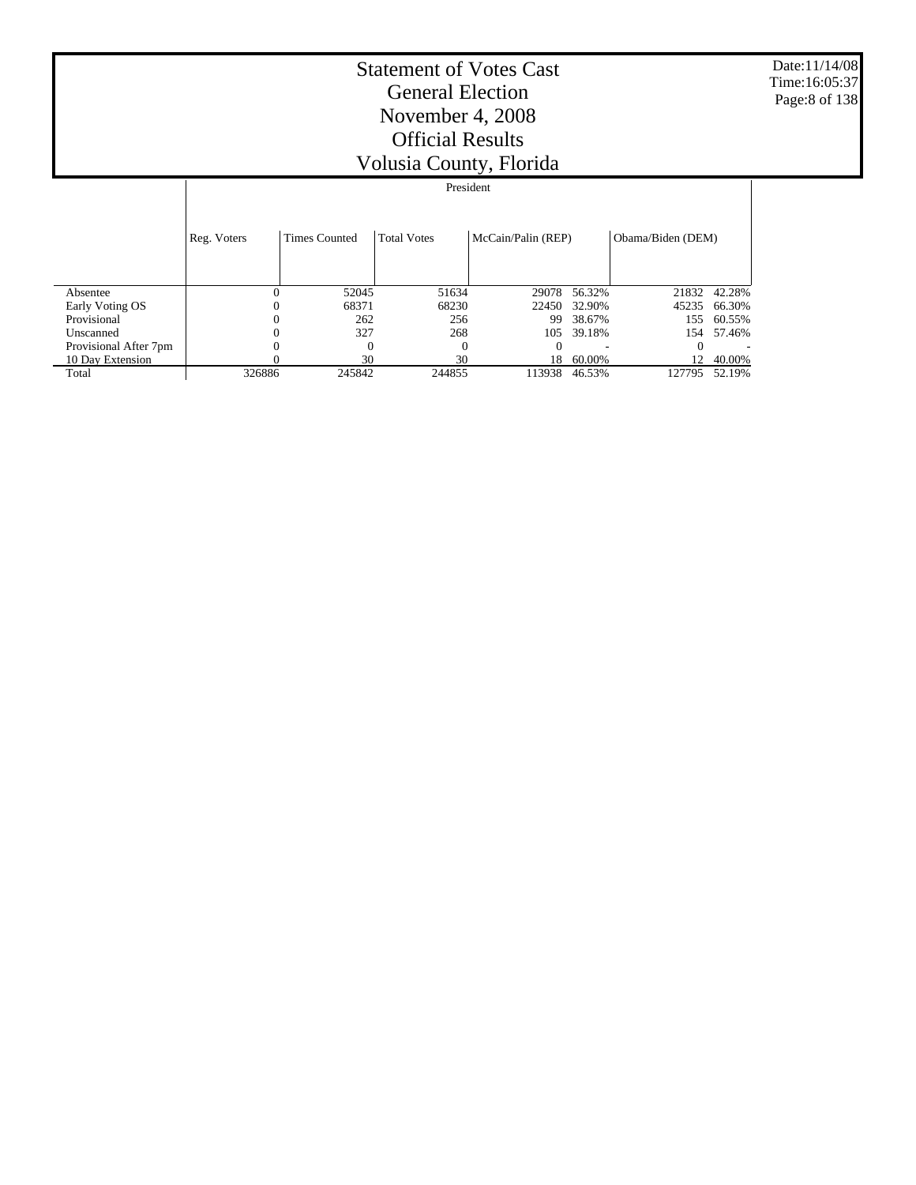Date:11/14/08 Time:16:05:37 Page:8 of 138

|                       |             | President            |                    |                    |        |                   |        |  |  |  |  |  |
|-----------------------|-------------|----------------------|--------------------|--------------------|--------|-------------------|--------|--|--|--|--|--|
|                       |             |                      |                    |                    |        |                   |        |  |  |  |  |  |
|                       | Reg. Voters | <b>Times Counted</b> | <b>Total Votes</b> | McCain/Palin (REP) |        | Obama/Biden (DEM) |        |  |  |  |  |  |
|                       |             |                      |                    |                    |        |                   |        |  |  |  |  |  |
| Absentee              | $\theta$    | 52045                | 51634              | 29078              | 56.32% | 21832             | 42.28% |  |  |  |  |  |
| Early Voting OS       | 0           | 68371                | 68230              | 22450              | 32.90% | 45235             | 66.30% |  |  |  |  |  |
| Provisional           | 0           | 262                  | 256                | 99                 | 38.67% | 155               | 60.55% |  |  |  |  |  |
| Unscanned             | 0           | 327                  | 268                | 105                | 39.18% | 154               | 57.46% |  |  |  |  |  |
| Provisional After 7pm | 0           | $\Omega$             | $\Omega$           | $_{0}$             |        |                   |        |  |  |  |  |  |
| 10 Day Extension      |             | 30                   | 30                 | 18                 | 60.00% | 12                | 40.00% |  |  |  |  |  |
| Total                 | 326886      | 245842               | 244855             | 113938             | 46.53% | 127795            | 52.19% |  |  |  |  |  |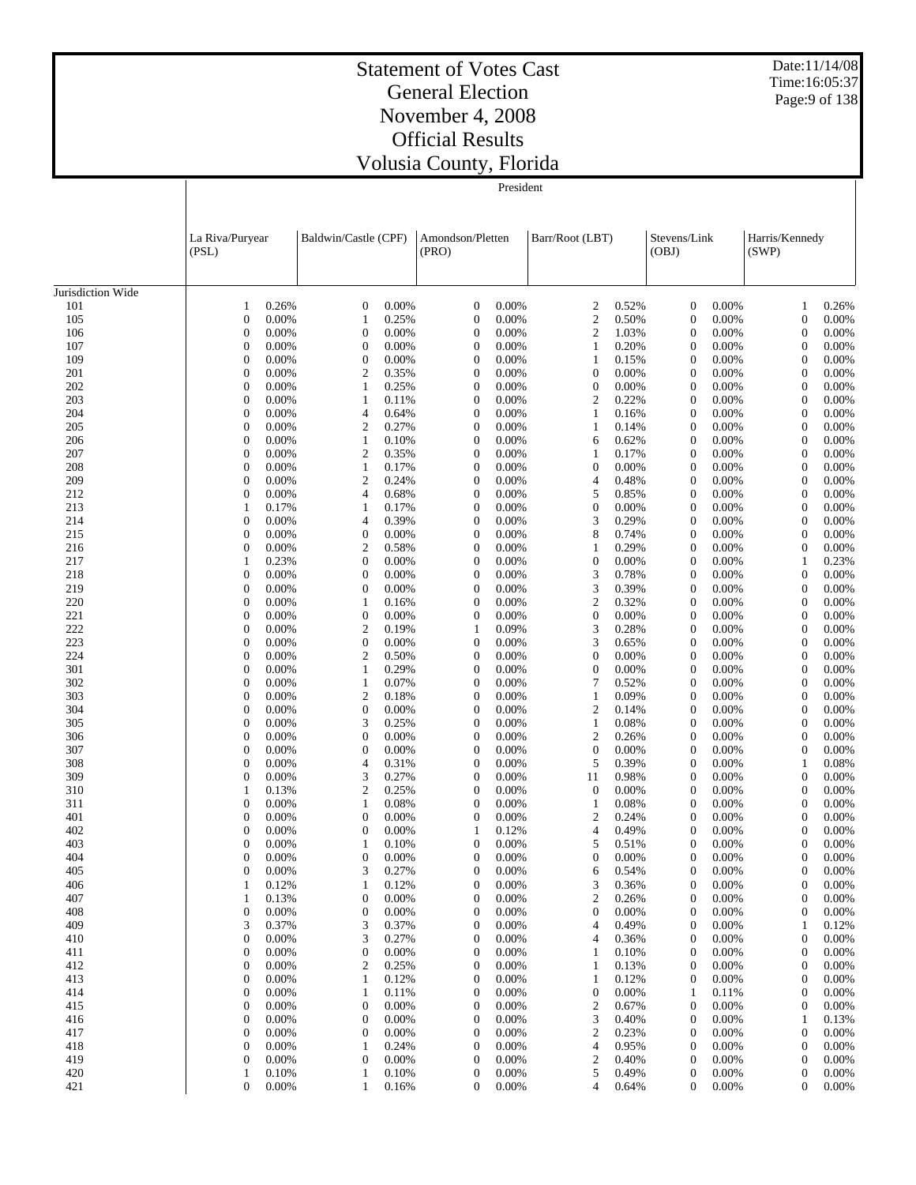Date:11/14/08 Time:16:05:37 Page:9 of 138

#### Statement of Votes Cast General Election November 4, 2008 Official Results Volusia County, Florida

|                   | La Riva/Puryear<br>(PSL)                  | Baldwin/Castle (CPF)               |                | Amondson/Pletten<br>(PRO)    |                | Barr/Root (LBT)                       | Stevens/Link<br>(OBJ)        |                | Harris/Kennedy<br>(SWP)          |                |
|-------------------|-------------------------------------------|------------------------------------|----------------|------------------------------|----------------|---------------------------------------|------------------------------|----------------|----------------------------------|----------------|
| Jurisdiction Wide |                                           |                                    |                |                              |                |                                       |                              |                |                                  |                |
| 101               | 0.26%<br>$\mathbf{1}$                     | $\mathbf{0}$                       | 0.00%          | $\boldsymbol{0}$             | 0.00%          | $\boldsymbol{2}$<br>0.52%             | $\mathbf{0}$                 | 0.00%          | $\mathbf{1}$                     | 0.26%          |
| 105               | $\boldsymbol{0}$<br>0.00%                 | $\mathbf{1}$                       | 0.25%          | $\boldsymbol{0}$             | 0.00%          | $\mathfrak{2}$<br>0.50%               | $\boldsymbol{0}$             | 0.00%          | $\boldsymbol{0}$                 | 0.00%          |
| 106               | $\overline{0}$<br>0.00%                   | $\boldsymbol{0}$                   | 0.00%          | $\boldsymbol{0}$             | 0.00%          | $\overline{c}$<br>1.03%               | $\mathbf{0}$                 | 0.00%          | $\boldsymbol{0}$                 | 0.00%          |
| 107               | $\boldsymbol{0}$<br>0.00%                 | $\boldsymbol{0}$                   | 0.00%          | $\mathbf{0}$                 | 0.00%          | $\mathbf{1}$<br>0.20%                 | $\mathbf{0}$                 | 0.00%          | $\boldsymbol{0}$                 | 0.00%          |
| 109               | $\boldsymbol{0}$<br>0.00%                 | $\boldsymbol{0}$                   | 0.00%          | $\mathbf{0}$                 | 0.00%          | $\mathbf{1}$<br>0.15%                 | $\mathbf{0}$                 | 0.00%          | $\boldsymbol{0}$                 | 0.00%          |
| 201               | $\boldsymbol{0}$<br>0.00%                 | $\overline{c}$                     | 0.35%          | $\mathbf{0}$                 | 0.00%          | $\mathbf{0}$<br>0.00%                 | $\mathbf{0}$                 | 0.00%          | $\boldsymbol{0}$                 | 0.00%          |
| 202               | $\boldsymbol{0}$<br>0.00%                 | $\mathbf{1}$                       | 0.25%          | $\mathbf{0}$                 | 0.00%          | $\boldsymbol{0}$<br>0.00%             | $\mathbf{0}$                 | 0.00%          | $\boldsymbol{0}$                 | 0.00%          |
| 203               | $\boldsymbol{0}$<br>0.00%                 | $\mathbf{1}$                       | 0.11%          | $\mathbf{0}$                 | 0.00%          | $\boldsymbol{2}$<br>0.22%             | $\mathbf{0}$                 | 0.00%          | $\boldsymbol{0}$                 | 0.00%          |
| 204               | $\boldsymbol{0}$<br>0.00%                 | $\overline{4}$                     | 0.64%          | $\mathbf{0}$                 | 0.00%          | $\mathbf{1}$<br>0.16%                 | $\mathbf{0}$                 | 0.00%          | $\boldsymbol{0}$                 | 0.00%          |
| 205               | $\boldsymbol{0}$<br>0.00%                 | $\mathfrak{2}$                     | 0.27%          | $\mathbf{0}$                 | 0.00%          | $\mathbf{1}$<br>0.14%                 | $\mathbf{0}$                 | 0.00%          | $\boldsymbol{0}$                 | 0.00%          |
| 206               | $\boldsymbol{0}$<br>0.00%                 | $\mathbf{1}$                       | 0.10%          | $\mathbf{0}$                 | 0.00%          | 6<br>0.62%                            | $\theta$                     | 0.00%          | $\boldsymbol{0}$                 | 0.00%          |
| 207               | $\boldsymbol{0}$<br>0.00%                 | $\overline{c}$                     | 0.35%          | $\mathbf{0}$                 | 0.00%          | 0.17%<br>$\mathbf{1}$                 | $\mathbf{0}$                 | 0.00%          | $\boldsymbol{0}$                 | 0.00%          |
| 208               | $\overline{0}$<br>0.00%                   | $\mathbf{1}$                       | 0.17%          | $\mathbf{0}$                 | 0.00%          | $\boldsymbol{0}$<br>0.00%             | $\theta$                     | 0.00%          | $\boldsymbol{0}$                 | 0.00%          |
| 209               | $\boldsymbol{0}$<br>0.00%                 | $\mathfrak{2}$                     | 0.24%          | $\mathbf{0}$                 | 0.00%          | $\overline{4}$<br>0.48%               | $\mathbf{0}$                 | 0.00%          | $\boldsymbol{0}$                 | 0.00%          |
| 212               | $\boldsymbol{0}$<br>0.00%                 | $\overline{4}$                     | 0.68%          | $\mathbf{0}$                 | 0.00%          | 5<br>0.85%                            | $\theta$                     | 0.00%          | $\boldsymbol{0}$                 | 0.00%          |
| 213               | 1<br>0.17%                                | $\mathbf{1}$                       | 0.17%          | $\mathbf{0}$                 | 0.00%          | $\boldsymbol{0}$<br>0.00%             | $\mathbf{0}$                 | 0.00%          | $\boldsymbol{0}$                 | 0.00%          |
| 214               | $\boldsymbol{0}$<br>0.00%                 | $\overline{4}$                     | 0.39%          | $\mathbf{0}$                 | 0.00%          | 3<br>0.29%                            | $\mathbf{0}$                 | 0.00%          | $\boldsymbol{0}$                 | 0.00%          |
| 215               | $\boldsymbol{0}$<br>0.00%                 | $\boldsymbol{0}$                   | 0.00%          | $\mathbf{0}$                 | 0.00%          | 8<br>0.74%                            | $\mathbf{0}$                 | 0.00%          | $\boldsymbol{0}$                 | 0.00%          |
| 216<br>217        | $\boldsymbol{0}$<br>0.00%<br>0.23%        | $\mathfrak{2}$<br>$\boldsymbol{0}$ | 0.58%<br>0.00% | $\mathbf{0}$<br>$\mathbf{0}$ | 0.00%<br>0.00% | $\mathbf{1}$<br>0.29%<br>0.00%        | $\mathbf{0}$                 | 0.00%<br>0.00% | $\boldsymbol{0}$                 | 0.00%<br>0.23% |
| 218               | 1<br>$\boldsymbol{0}$<br>0.00%            | $\boldsymbol{0}$                   | 0.00%          | $\mathbf{0}$                 | 0.00%          | $\boldsymbol{0}$<br>3<br>0.78%        | $\mathbf{0}$<br>$\mathbf{0}$ | 0.00%          | $\mathbf{1}$<br>$\boldsymbol{0}$ | 0.00%          |
| 219               | $\boldsymbol{0}$<br>0.00%                 | $\boldsymbol{0}$                   | 0.00%          | $\mathbf{0}$                 | 0.00%          | 3<br>0.39%                            | $\mathbf{0}$                 | 0.00%          | $\boldsymbol{0}$                 | 0.00%          |
| 220               | $\boldsymbol{0}$<br>0.00%                 | $\mathbf{1}$                       | 0.16%          | $\mathbf{0}$                 | 0.00%          | $\overline{c}$<br>0.32%               | $\theta$                     | 0.00%          | $\boldsymbol{0}$                 | 0.00%          |
| 221               | $\boldsymbol{0}$<br>0.00%                 | $\boldsymbol{0}$                   | 0.00%          | $\mathbf{0}$                 | 0.00%          | $\boldsymbol{0}$<br>0.00%             | $\mathbf{0}$                 | 0.00%          | $\boldsymbol{0}$                 | 0.00%          |
| 222               | $\overline{0}$<br>0.00%                   | $\mathfrak{2}$                     | 0.19%          | $\mathbf{1}$                 | 0.09%          | 3<br>0.28%                            | $\mathbf{0}$                 | 0.00%          | $\boldsymbol{0}$                 | 0.00%          |
| 223               | $\boldsymbol{0}$<br>0.00%                 | $\boldsymbol{0}$                   | 0.00%          | $\mathbf{0}$                 | 0.00%          | 3<br>0.65%                            | $\mathbf{0}$                 | 0.00%          | $\boldsymbol{0}$                 | 0.00%          |
| 224               | $\boldsymbol{0}$<br>0.00%                 | $\overline{c}$                     | 0.50%          | $\mathbf{0}$                 | 0.00%          | $\boldsymbol{0}$<br>0.00%             | $\theta$                     | 0.00%          | $\boldsymbol{0}$                 | 0.00%          |
| 301               | $\boldsymbol{0}$<br>0.00%                 | $\mathbf{1}$                       | 0.29%          | $\mathbf{0}$                 | 0.00%          | $\mathbf{0}$<br>0.00%                 | $\mathbf{0}$                 | 0.00%          | $\boldsymbol{0}$                 | 0.00%          |
| 302               | $\boldsymbol{0}$<br>0.00%                 | $\mathbf{1}$                       | 0.07%          | $\mathbf{0}$                 | 0.00%          | 7<br>0.52%                            | $\theta$                     | 0.00%          | $\boldsymbol{0}$                 | 0.00%          |
| 303               | $\boldsymbol{0}$<br>0.00%                 | $\mathfrak{2}$                     | 0.18%          | $\mathbf{0}$                 | 0.00%          | $\mathbf{1}$<br>0.09%                 | $\mathbf{0}$                 | 0.00%          | $\boldsymbol{0}$                 | 0.00%          |
| 304               | $\boldsymbol{0}$<br>0.00%                 | $\boldsymbol{0}$                   | 0.00%          | $\mathbf{0}$                 | 0.00%          | $\boldsymbol{2}$<br>0.14%             | $\theta$                     | 0.00%          | $\boldsymbol{0}$                 | 0.00%          |
| 305               | $\boldsymbol{0}$<br>0.00%                 | 3                                  | 0.25%          | $\mathbf{0}$                 | 0.00%          | $\mathbf{1}$<br>0.08%                 | $\mathbf{0}$                 | 0.00%          | $\boldsymbol{0}$                 | 0.00%          |
| 306               | $\boldsymbol{0}$<br>0.00%                 | $\boldsymbol{0}$                   | 0.00%          | $\mathbf{0}$                 | 0.00%          | $\mathfrak{2}$<br>0.26%               | $\mathbf{0}$                 | 0.00%          | $\boldsymbol{0}$                 | 0.00%          |
| 307               | $\boldsymbol{0}$<br>0.00%                 | $\boldsymbol{0}$                   | 0.00%          | $\mathbf{0}$                 | 0.00%          | $\boldsymbol{0}$<br>0.00%             | $\mathbf{0}$                 | 0.00%          | $\boldsymbol{0}$                 | 0.00%          |
| 308               | $\boldsymbol{0}$<br>0.00%                 | $\overline{4}$                     | 0.31%          | $\mathbf{0}$                 | 0.00%          | 5<br>0.39%                            | $\theta$                     | 0.00%          | 1                                | 0.08%          |
| 309               | $\boldsymbol{0}$<br>0.00%                 | 3                                  | 0.27%          | $\mathbf{0}$                 | 0.00%          | 0.98%<br>11                           | $\mathbf{0}$                 | 0.00%          | $\boldsymbol{0}$                 | 0.00%          |
| 310               | 1<br>0.13%                                | $\overline{c}$                     | 0.25%          | $\mathbf{0}$                 | 0.00%          | $\boldsymbol{0}$<br>0.00%             | $\theta$                     | 0.00%          | $\boldsymbol{0}$                 | 0.00%          |
| 311               | $\boldsymbol{0}$<br>0.00%                 | $\mathbf{1}$                       | 0.08%          | $\mathbf{0}$                 | 0.00%          | $\mathbf{1}$<br>0.08%                 | $\mathbf{0}$                 | 0.00%          | $\boldsymbol{0}$                 | 0.00%          |
| 401               | $\boldsymbol{0}$<br>0.00%                 | $\boldsymbol{0}$                   | 0.00%          | $\mathbf{0}$                 | 0.00%          | 2<br>0.24%                            | $\mathbf{0}$                 | 0.00%          | $\boldsymbol{0}$                 | 0.00%          |
| 402               | $\overline{0}$<br>0.00%<br>$\overline{0}$ | $\boldsymbol{0}$<br>$\mathbf{1}$   | 0.00%          | 1<br>$\mathbf{0}$            | 0.12%          | $\overline{4}$<br>0.49%<br>5<br>0.51% | $\theta$                     | 0.00%          | $\boldsymbol{0}$<br>$\mathbf{0}$ | 0.00%          |
| 403<br>404        | 0.00%<br>$\overline{0}$<br>0.00%          | $\boldsymbol{0}$                   | 0.10%<br>0.00% | $\boldsymbol{0}$             | 0.00%<br>0.00% | $\boldsymbol{0}$<br>0.00%             | $\mathbf{0}$<br>$\mathbf{0}$ | 0.00%<br>0.00% | $\boldsymbol{0}$                 | 0.00%<br>0.00% |
| 405               | $\boldsymbol{0}$<br>0.00%                 | 3                                  | 0.27%          | 0                            | 0.00%          | 6<br>0.54%                            | $\overline{0}$               | 0.00%          | $\boldsymbol{0}$                 | 0.00%          |
| 406               | 0.12%<br>1                                | 1                                  | 0.12%          | $\boldsymbol{0}$             | 0.00%          | 3<br>0.36%                            | $\mathbf{0}$                 | 0.00%          | $\boldsymbol{0}$                 | 0.00%          |
| 407               | 0.13%<br>1                                | $\boldsymbol{0}$                   | 0.00%          | $\boldsymbol{0}$             | 0.00%          | $\overline{c}$<br>0.26%               | $\mathbf 0$                  | 0.00%          | $\boldsymbol{0}$                 | 0.00%          |
| 408               | $\mathbf{0}$<br>0.00%                     | $\boldsymbol{0}$                   | 0.00%          | $\boldsymbol{0}$             | 0.00%          | $\boldsymbol{0}$<br>0.00%             | $\mathbf 0$                  | 0.00%          | $\boldsymbol{0}$                 | 0.00%          |
| 409               | 3<br>0.37%                                | 3                                  | 0.37%          | $\boldsymbol{0}$             | 0.00%          | 4<br>0.49%                            | $\mathbf 0$                  | 0.00%          | 1                                | 0.12%          |
| 410               | $\boldsymbol{0}$<br>0.00%                 | 3                                  | 0.27%          | $\mathbf{0}$                 | 0.00%          | $\overline{4}$<br>0.36%               | $\bf{0}$                     | 0.00%          | $\boldsymbol{0}$                 | 0.00%          |
| 411               | $\mathbf{0}$<br>0.00%                     | $\boldsymbol{0}$                   | 0.00%          | $\boldsymbol{0}$             | 0.00%          | $\mathbf{1}$<br>0.10%                 | $\boldsymbol{0}$             | 0.00%          | $\boldsymbol{0}$                 | 0.00%          |
| 412               | $\boldsymbol{0}$<br>0.00%                 | $\mathfrak{2}$                     | 0.25%          | $\mathbf{0}$                 | 0.00%          | $\mathbf{1}$<br>0.13%                 | $\bf{0}$                     | 0.00%          | $\boldsymbol{0}$                 | 0.00%          |
| 413               | $\mathbf{0}$<br>0.00%                     | $\mathbf{1}$                       | 0.12%          | $\boldsymbol{0}$             | 0.00%          | $\mathbf{1}$<br>0.12%                 | $\bf{0}$                     | 0.00%          | $\boldsymbol{0}$                 | 0.00%          |
| 414               | $\boldsymbol{0}$<br>0.00%                 | 1                                  | 0.11%          | $\mathbf{0}$                 | 0.00%          | $\boldsymbol{0}$<br>0.00%             | -1                           | 0.11%          | $\boldsymbol{0}$                 | 0.00%          |
| 415               | $\mathbf{0}$<br>0.00%                     | $\boldsymbol{0}$                   | 0.00%          | $\boldsymbol{0}$             | 0.00%          | $\boldsymbol{2}$<br>0.67%             | $\mathbf 0$                  | 0.00%          | $\boldsymbol{0}$                 | 0.00%          |
| 416               | $\boldsymbol{0}$<br>0.00%                 | $\boldsymbol{0}$                   | 0.00%          | $\mathbf{0}$                 | 0.00%          | 3<br>0.40%                            | $\bf{0}$                     | 0.00%          | 1                                | 0.13%          |
| 417               | $\mathbf{0}$<br>0.00%                     | $\boldsymbol{0}$                   | 0.00%          | $\boldsymbol{0}$             | 0.00%          | $\boldsymbol{2}$<br>0.23%             | $\boldsymbol{0}$             | 0.00%          | $\boldsymbol{0}$                 | 0.00%          |
| 418               | $\boldsymbol{0}$<br>0.00%                 | 1                                  | 0.24%          | $\boldsymbol{0}$             | 0.00%          | 4<br>0.95%                            | $\bf{0}$                     | 0.00%          | $\boldsymbol{0}$                 | 0.00%          |
| 419               | $\boldsymbol{0}$<br>0.00%                 | $\boldsymbol{0}$                   | 0.00%          | $\boldsymbol{0}$             | 0.00%          | $\boldsymbol{2}$<br>0.40%             | $\boldsymbol{0}$             | 0.00%          | $\boldsymbol{0}$                 | 0.00%          |
| 420               | 0.10%<br>1                                | 1                                  | 0.10%          | $\boldsymbol{0}$             | 0.00%          | 5<br>0.49%                            | $\boldsymbol{0}$             | 0.00%          | $\boldsymbol{0}$                 | 0.00%          |
| 421               | $\boldsymbol{0}$<br>0.00%                 | $\mathbf{1}$                       | 0.16%          | $\boldsymbol{0}$             | 0.00%          | $\overline{4}$<br>0.64%               | 0                            | 0.00%          | $\boldsymbol{0}$                 | 0.00%          |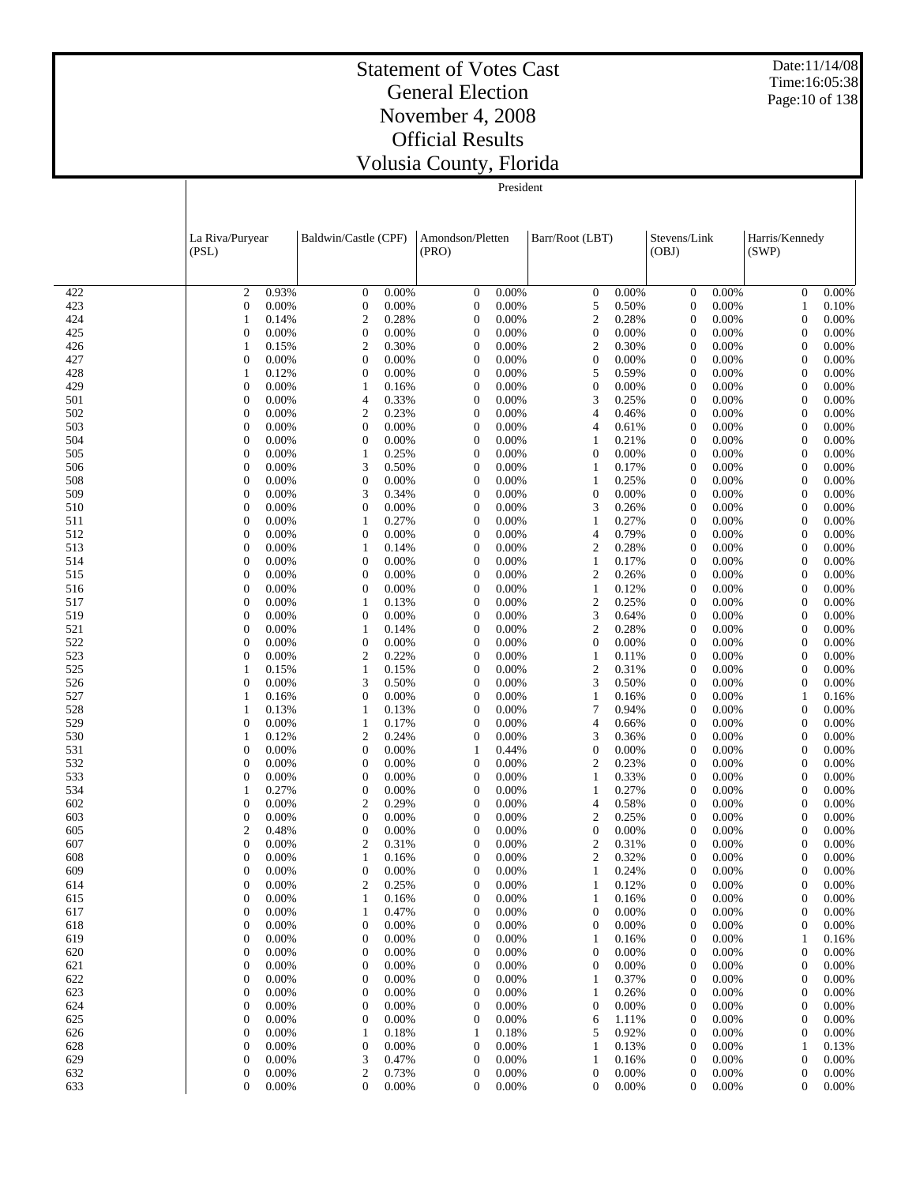Date:11/14/08 Time:16:05:38 Page:10 of 138

#### Statement of Votes Cast General Election November 4, 2008 Official Results Volusia County, Florida

President

|            | La Riva/Puryear                  |                | Baldwin/Castle (CPF)  |                | Amondson/Pletten                     |                | Barr/Root (LBT)                |                | Stevens/Link                         |                | Harris/Kennedy                   |                |
|------------|----------------------------------|----------------|-----------------------|----------------|--------------------------------------|----------------|--------------------------------|----------------|--------------------------------------|----------------|----------------------------------|----------------|
|            | (PSL)                            |                |                       |                | (PRO)                                |                |                                |                | (OBJ)                                |                | (SWP)                            |                |
|            |                                  |                |                       |                |                                      |                |                                |                |                                      |                |                                  |                |
| 422        | $\mathfrak{2}$                   | 0.93%          | $\overline{0}$        | 0.00%          | $\boldsymbol{0}$                     | 0.00%          | $\mathbf{0}$                   | 0.00%          | $\boldsymbol{0}$                     | 0.00%          | $\boldsymbol{0}$                 | 0.00%          |
| 423        | $\theta$                         | 0.00%          | $\boldsymbol{0}$      | 0.00%          | $\boldsymbol{0}$                     | 0.00%          | 5                              | 0.50%          | $\boldsymbol{0}$                     | 0.00%          | $\mathbf{1}$                     | 0.10%          |
| 424        | $\mathbf{1}$                     | 0.14%          | $\overline{c}$        | 0.28%          | $\boldsymbol{0}$                     | 0.00%          | $\mathfrak{2}$                 | 0.28%          | $\boldsymbol{0}$                     | 0.00%          | $\boldsymbol{0}$                 | 0.00%          |
| 425        | $\mathbf{0}$                     | 0.00%          | $\mathbf{0}$          | 0.00%          | $\boldsymbol{0}$                     | 0.00%          | $\mathbf{0}$                   | 0.00%          | $\boldsymbol{0}$                     | 0.00%          | $\boldsymbol{0}$                 | 0.00%          |
| 426        | $\mathbf{1}$                     | 0.15%          | $\overline{c}$        | 0.30%          | $\boldsymbol{0}$                     | 0.00%          | $\mathfrak{2}$                 | 0.30%          | $\boldsymbol{0}$                     | 0.00%          | $\mathbf{0}$                     | 0.00%          |
| 427        | $\mathbf{0}$                     | 0.00%          | $\boldsymbol{0}$      | 0.00%          | $\boldsymbol{0}$                     | 0.00%          | $\mathbf{0}$                   | 0.00%          | $\boldsymbol{0}$                     | 0.00%          | $\mathbf{0}$                     | 0.00%          |
| 428        | $\mathbf{1}$<br>$\mathbf{0}$     | 0.12%          | $\mathbf{0}$          | 0.00%          | $\boldsymbol{0}$                     | 0.00%          | 5                              | 0.59%          | $\boldsymbol{0}$                     | 0.00%          | $\boldsymbol{0}$                 | 0.00%          |
| 429<br>501 | $\theta$                         | 0.00%<br>0.00% | 1<br>4                | 0.16%<br>0.33% | $\boldsymbol{0}$<br>$\boldsymbol{0}$ | 0.00%<br>0.00% | $\boldsymbol{0}$<br>3          | 0.00%<br>0.25% | $\boldsymbol{0}$<br>$\boldsymbol{0}$ | 0.00%<br>0.00% | $\mathbf{0}$<br>$\boldsymbol{0}$ | 0.00%<br>0.00% |
| 502        | $\theta$                         | 0.00%          | $\boldsymbol{2}$      | 0.23%          | $\boldsymbol{0}$                     | 0.00%          | 4                              | 0.46%          | $\boldsymbol{0}$                     | 0.00%          | $\mathbf{0}$                     | 0.00%          |
| 503        | $\theta$                         | 0.00%          | $\boldsymbol{0}$      | 0.00%          | $\boldsymbol{0}$                     | 0.00%          | 4                              | 0.61%          | $\boldsymbol{0}$                     | 0.00%          | $\boldsymbol{0}$                 | 0.00%          |
| 504        | $\theta$                         | 0.00%          | $\boldsymbol{0}$      | 0.00%          | $\boldsymbol{0}$                     | 0.00%          | $\mathbf{1}$                   | 0.21%          | $\boldsymbol{0}$                     | 0.00%          | $\mathbf{0}$                     | 0.00%          |
| 505        | $\theta$                         | 0.00%          | 1                     | 0.25%          | $\boldsymbol{0}$                     | 0.00%          | $\mathbf{0}$                   | 0.00%          | $\boldsymbol{0}$                     | 0.00%          | $\boldsymbol{0}$                 | 0.00%          |
| 506        | $\theta$                         | 0.00%          | 3                     | 0.50%          | $\boldsymbol{0}$                     | 0.00%          | 1                              | 0.17%          | $\boldsymbol{0}$                     | 0.00%          | $\mathbf{0}$                     | 0.00%          |
| 508        | $\theta$                         | 0.00%          | 0                     | 0.00%          | $\boldsymbol{0}$                     | 0.00%          | $\mathbf{1}$                   | 0.25%          | $\boldsymbol{0}$                     | 0.00%          | $\boldsymbol{0}$                 | 0.00%          |
| 509        | $\theta$                         | 0.00%          | 3                     | 0.34%          | $\boldsymbol{0}$                     | 0.00%          | $\mathbf{0}$                   | 0.00%          | $\boldsymbol{0}$                     | 0.00%          | $\mathbf{0}$                     | 0.00%          |
| 510        | $\theta$                         | 0.00%          | 0                     | 0.00%          | $\boldsymbol{0}$                     | 0.00%          | 3                              | 0.26%          | $\boldsymbol{0}$                     | 0.00%          | $\boldsymbol{0}$                 | 0.00%          |
| 511        | $\theta$                         | 0.00%          | 1                     | 0.27%          | $\boldsymbol{0}$                     | 0.00%          | $\mathbf{1}$                   | 0.27%          | $\boldsymbol{0}$                     | 0.00%          | $\mathbf{0}$                     | 0.00%          |
| 512        | $\theta$<br>$\theta$             | 0.00%          | $\boldsymbol{0}$<br>1 | 0.00%          | $\boldsymbol{0}$<br>$\boldsymbol{0}$ | 0.00%<br>0.00% | 4                              | 0.79%<br>0.28% | $\boldsymbol{0}$                     | 0.00%<br>0.00% | $\boldsymbol{0}$<br>$\mathbf{0}$ | 0.00%          |
| 513<br>514 | $\theta$                         | 0.00%<br>0.00% | $\theta$              | 0.14%<br>0.00% | $\boldsymbol{0}$                     | 0.00%          | $\mathfrak{2}$<br>$\mathbf{1}$ | 0.17%          | $\boldsymbol{0}$<br>$\boldsymbol{0}$ | 0.00%          | $\boldsymbol{0}$                 | 0.00%<br>0.00% |
| 515        | $\theta$                         | 0.00%          | $\boldsymbol{0}$      | 0.00%          | $\boldsymbol{0}$                     | 0.00%          | $\boldsymbol{2}$               | 0.26%          | $\boldsymbol{0}$                     | 0.00%          | $\mathbf{0}$                     | 0.00%          |
| 516        | $\theta$                         | 0.00%          | $\mathbf{0}$          | 0.00%          | $\boldsymbol{0}$                     | 0.00%          | $\mathbf{1}$                   | 0.12%          | $\boldsymbol{0}$                     | 0.00%          | $\boldsymbol{0}$                 | 0.00%          |
| 517        | $\theta$                         | 0.00%          | 1                     | 0.13%          | $\boldsymbol{0}$                     | 0.00%          | $\boldsymbol{2}$               | 0.25%          | $\boldsymbol{0}$                     | 0.00%          | $\mathbf{0}$                     | 0.00%          |
| 519        | $\theta$                         | 0.00%          | $\boldsymbol{0}$      | 0.00%          | $\boldsymbol{0}$                     | 0.00%          | 3                              | 0.64%          | $\boldsymbol{0}$                     | 0.00%          | $\mathbf{0}$                     | 0.00%          |
| 521        | $\theta$                         | 0.00%          | 1                     | 0.14%          | $\boldsymbol{0}$                     | 0.00%          | $\mathbf{2}$                   | 0.28%          | $\boldsymbol{0}$                     | 0.00%          | $\mathbf{0}$                     | 0.00%          |
| 522        | $\theta$                         | 0.00%          | $\boldsymbol{0}$      | 0.00%          | $\boldsymbol{0}$                     | 0.00%          | $\boldsymbol{0}$               | 0.00%          | $\boldsymbol{0}$                     | 0.00%          | $\mathbf{0}$                     | 0.00%          |
| 523        | $\theta$                         | 0.00%          | $\overline{c}$        | 0.22%          | $\boldsymbol{0}$                     | 0.00%          | $\mathbf{1}$                   | 0.11%          | $\boldsymbol{0}$                     | 0.00%          | $\mathbf{0}$                     | 0.00%          |
| 525        | $\mathbf{1}$                     | 0.15%          | 1                     | 0.15%          | $\boldsymbol{0}$                     | 0.00%          | $\mathfrak{2}$                 | 0.31%          | $\boldsymbol{0}$                     | 0.00%          | $\mathbf{0}$                     | 0.00%          |
| 526        | $\mathbf{0}$                     | 0.00%          | 3                     | 0.50%          | $\boldsymbol{0}$                     | 0.00%          | 3                              | 0.50%          | $\boldsymbol{0}$                     | 0.00%          | $\mathbf{0}$                     | 0.00%          |
| 527<br>528 | $\mathbf{1}$                     | 0.16%          | 0<br>1                | 0.00%<br>0.13% | $\boldsymbol{0}$<br>$\boldsymbol{0}$ | 0.00%<br>0.00% | $\mathbf{1}$<br>$\tau$         | 0.16%          | $\boldsymbol{0}$                     | 0.00%<br>0.00% | 1<br>$\mathbf{0}$                | 0.16%          |
| 529        | $\mathbf{1}$<br>$\mathbf{0}$     | 0.13%<br>0.00% | 1                     | 0.17%          | $\boldsymbol{0}$                     | 0.00%          | 4                              | 0.94%<br>0.66% | $\boldsymbol{0}$<br>$\boldsymbol{0}$ | 0.00%          | $\mathbf{0}$                     | 0.00%<br>0.00% |
| 530        | $\mathbf{1}$                     | 0.12%          | $\boldsymbol{2}$      | 0.24%          | $\boldsymbol{0}$                     | 0.00%          | 3                              | 0.36%          | $\boldsymbol{0}$                     | 0.00%          | $\mathbf{0}$                     | 0.00%          |
| 531        | $\mathbf{0}$                     | 0.00%          | $\boldsymbol{0}$      | 0.00%          | $\mathbf{1}$                         | 0.44%          | $\boldsymbol{0}$               | 0.00%          | $\boldsymbol{0}$                     | 0.00%          | $\boldsymbol{0}$                 | 0.00%          |
| 532        | $\theta$                         | 0.00%          | $\theta$              | 0.00%          | $\boldsymbol{0}$                     | 0.00%          | $\overline{c}$                 | 0.23%          | $\boldsymbol{0}$                     | 0.00%          | $\mathbf{0}$                     | 0.00%          |
| 533        | $\theta$                         | 0.00%          | $\mathbf{0}$          | 0.00%          | $\boldsymbol{0}$                     | 0.00%          | $\mathbf{1}$                   | 0.33%          | $\boldsymbol{0}$                     | 0.00%          | $\boldsymbol{0}$                 | 0.00%          |
| 534        | $\mathbf{1}$                     | 0.27%          | $\boldsymbol{0}$      | 0.00%          | $\boldsymbol{0}$                     | 0.00%          | $\mathbf{1}$                   | 0.27%          | $\boldsymbol{0}$                     | 0.00%          | $\boldsymbol{0}$                 | 0.00%          |
| 602        | $\theta$                         | 0.00%          | 2                     | 0.29%          | $\boldsymbol{0}$                     | 0.00%          | 4                              | 0.58%          | $\boldsymbol{0}$                     | 0.00%          | $\boldsymbol{0}$                 | 0.00%          |
| 603        | $\theta$                         | 0.00%          | $\boldsymbol{0}$      | 0.00%          | $\boldsymbol{0}$                     | 0.00%          | $\overline{c}$                 | 0.25%          | $\boldsymbol{0}$                     | 0.00%          | $\mathbf{0}$                     | 0.00%          |
| 605        | $\overline{c}$                   | 0.48%          | $\boldsymbol{0}$      | 0.00%          | $\boldsymbol{0}$                     | 0.00%          | $\theta$                       | 0.00%          | $\boldsymbol{0}$                     | 0.00%          | $\boldsymbol{0}$                 | 0.00%          |
| 607        | $\mathbf{0}$                     | 0.00%          | $\mathbf{2}$          | 0.31%          | $\boldsymbol{0}$                     | 0.00%          | $\overline{\mathbf{c}}$        | 0.31%          | $\boldsymbol{0}$                     | 0.00%          | $\boldsymbol{0}$                 | 0.00%          |
| 608        | $\theta$<br>$\overline{0}$       | 0.00%          | 1                     | 0.16%          | $\overline{0}$<br>$\mathbf{0}$       | 0.00%          | $\overline{c}$                 | 0.32%          | $\mathbf{0}$                         | 0.00%          | $\theta$<br>$\mathbf{0}$         | 0.00%          |
| 609<br>614 | $\boldsymbol{0}$                 | 0.00%<br>0.00% | 0<br>2                | 0.00%<br>0.25% | $\boldsymbol{0}$                     | 0.00%<br>0.00% | $\mathbf{1}$                   | 0.24%<br>0.12% | $\boldsymbol{0}$<br>$\boldsymbol{0}$ | 0.00%<br>0.00% | $\boldsymbol{0}$                 | 0.00%<br>0.00% |
| 615        | $\theta$                         | 0.00%          | 1                     | 0.16%          | $\boldsymbol{0}$                     | 0.00%          | $\mathbf{1}$                   | 0.16%          | 0                                    | 0.00%          | $\boldsymbol{0}$                 | 0.00%          |
| 617        | $\overline{0}$                   | 0.00%          | 1                     | 0.47%          | $\boldsymbol{0}$                     | 0.00%          | $\boldsymbol{0}$               | 0.00%          | 0                                    | 0.00%          | $\boldsymbol{0}$                 | 0.00%          |
| 618        | $\theta$                         | 0.00%          | $\boldsymbol{0}$      | 0.00%          | $\boldsymbol{0}$                     | 0.00%          | $\boldsymbol{0}$               | 0.00%          | 0                                    | 0.00%          | $\boldsymbol{0}$                 | 0.00%          |
| 619        | $\overline{0}$                   | 0.00%          | $\boldsymbol{0}$      | 0.00%          | $\boldsymbol{0}$                     | 0.00%          | 1                              | 0.16%          | $\boldsymbol{0}$                     | 0.00%          | 1                                | 0.16%          |
| 620        | $\theta$                         | 0.00%          | $\boldsymbol{0}$      | 0.00%          | $\boldsymbol{0}$                     | 0.00%          | $\mathbf{0}$                   | 0.00%          | 0                                    | 0.00%          | $\boldsymbol{0}$                 | 0.00%          |
| 621        | $\overline{0}$                   | 0.00%          | $\mathbf{0}$          | 0.00%          | $\boldsymbol{0}$                     | 0.00%          | $\mathbf{0}$                   | 0.00%          | 0                                    | 0.00%          | $\boldsymbol{0}$                 | 0.00%          |
| 622        | $\theta$                         | 0.00%          | $\mathbf{0}$          | 0.00%          | $\boldsymbol{0}$                     | 0.00%          | $\mathbf{1}$                   | 0.37%          | $\boldsymbol{0}$                     | 0.00%          | $\boldsymbol{0}$                 | 0.00%          |
| 623        | $\overline{0}$                   | 0.00%          | $\boldsymbol{0}$      | 0.00%          | $\boldsymbol{0}$                     | 0.00%          | $\mathbf{1}$                   | 0.26%          | 0                                    | 0.00%          | $\boldsymbol{0}$                 | 0.00%          |
| 624        | $\theta$                         | 0.00%          | $\mathbf{0}$          | 0.00%          | $\boldsymbol{0}$                     | 0.00%          | $\mathbf{0}$                   | 0.00%          | 0                                    | 0.00%          | $\boldsymbol{0}$                 | 0.00%          |
| 625        | $\overline{0}$                   | 0.00%          | $\boldsymbol{0}$      | 0.00%          | $\boldsymbol{0}$                     | 0.00%          | 6                              | 1.11%          | $\boldsymbol{0}$                     | 0.00%          | $\boldsymbol{0}$                 | 0.00%          |
| 626        | $\boldsymbol{0}$                 | 0.00%          | 1                     | 0.18%          | $\mathbf{1}$                         | 0.18%          | 5                              | 0.92%          | $\boldsymbol{0}$                     | 0.00%          | $\boldsymbol{0}$                 | 0.00%          |
| 628<br>629 | $\boldsymbol{0}$<br>$\mathbf{0}$ | 0.00%<br>0.00% | $\boldsymbol{0}$<br>3 | 0.00%<br>0.47% | $\boldsymbol{0}$<br>$\boldsymbol{0}$ | 0.00%<br>0.00% | $\mathbf{1}$<br>$\mathbf{1}$   | 0.13%<br>0.16% | 0<br>0                               | 0.00%<br>0.00% | 1<br>$\boldsymbol{0}$            | 0.13%<br>0.00% |
|            |                                  |                |                       |                |                                      |                |                                |                |                                      |                |                                  |                |

 $0 \t 0.00\%$  2 0.73% 0 0.00% 0 0.00% 0 0.00% 0 0.00%  $0 \t 0.00\%$  0 0.00% 0 0.00% 0 0.00% 0 0.00% 0 0.00% 0 0.00% 0 0.00% 0 0.00% 0 0.00% 0 0.00% 0 0.00% 0 0.00% 0 0.00% 0 0.00% 0 0.00% 0 0.00% 0 0.00% 0 0.00% 0 0.00% 0 0.00% 0 0.00% 0 0.00% 0 0.00% 0 0.00% 0 0.00% 0 0.00%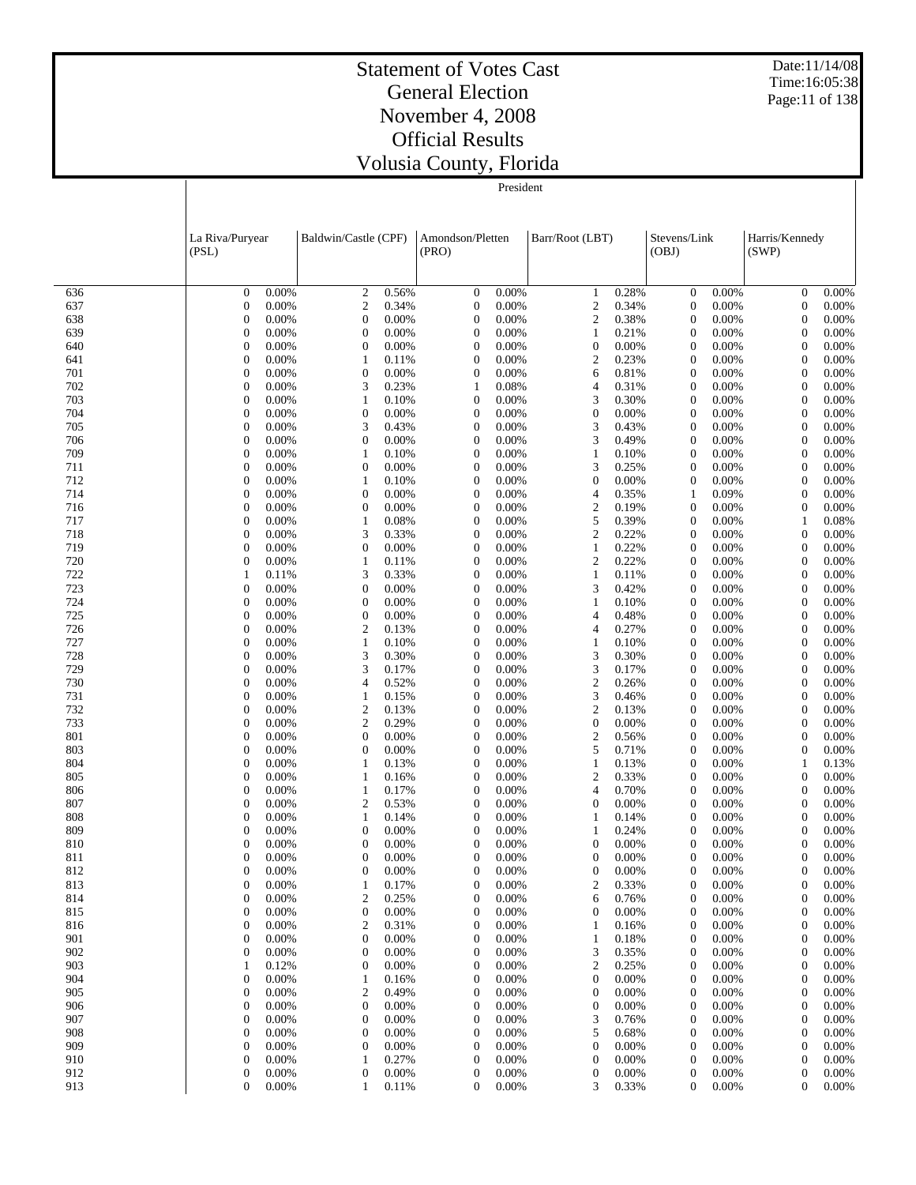Date:11/14/08 Time:16:05:38 Page:11 of 138

#### Statement of Votes Cast General Election November 4, 2008 Official Results Volusia County, Florida

|            | La Riva/Puryear<br>(PSL)     |                | Baldwin/Castle (CPF)                 |                | Amondson/Pletten<br>(PRO)            |                | Barr/Root (LBT)                    |                | Stevens/Link<br>(OBJ)                |                | Harris/Kennedy<br>(SWP)              |                |
|------------|------------------------------|----------------|--------------------------------------|----------------|--------------------------------------|----------------|------------------------------------|----------------|--------------------------------------|----------------|--------------------------------------|----------------|
|            |                              |                |                                      |                |                                      |                |                                    |                |                                      |                |                                      |                |
| 636        | $\overline{0}$               | 0.00%          | $\overline{c}$                       | 0.56%          | $\boldsymbol{0}$                     | 0.00%          | 1                                  | 0.28%          | $\boldsymbol{0}$                     | 0.00%          | $\mathbf{0}$                         | 0.00%          |
| 637        | $\mathbf{0}$                 | 0.00%          | $\overline{c}$                       | 0.34%          | $\boldsymbol{0}$                     | 0.00%          | $\mathbf{2}$                       | 0.34%          | $\boldsymbol{0}$                     | 0.00%          | $\boldsymbol{0}$                     | 0.00%          |
| 638        | $\theta$                     | 0.00%          | $\boldsymbol{0}$                     | 0.00%          | $\boldsymbol{0}$                     | 0.00%          | $\boldsymbol{2}$                   | 0.38%          | $\boldsymbol{0}$                     | 0.00%          | $\mathbf{0}$                         | 0.00%          |
| 639        | $\theta$                     | 0.00%          | $\boldsymbol{0}$                     | 0.00%          | $\boldsymbol{0}$                     | 0.00%          | $\mathbf{1}$                       | 0.21%          | $\boldsymbol{0}$                     | 0.00%          | $\mathbf{0}$                         | 0.00%          |
| 640        | $\overline{0}$               | 0.00%          | $\boldsymbol{0}$                     | 0.00%          | $\boldsymbol{0}$                     | 0.00%          | $\boldsymbol{0}$                   | 0.00%          | $\overline{0}$                       | 0.00%          | $\boldsymbol{0}$                     | 0.00%          |
| 641<br>701 | $\mathbf{0}$<br>$\mathbf{0}$ | 0.00%<br>0.00% | $\mathbf{1}$<br>$\boldsymbol{0}$     | 0.11%<br>0.00% | $\boldsymbol{0}$<br>$\boldsymbol{0}$ | 0.00%<br>0.00% | $\overline{2}$<br>6                | 0.23%<br>0.81% | $\boldsymbol{0}$<br>$\boldsymbol{0}$ | 0.00%<br>0.00% | $\overline{0}$<br>$\mathbf{0}$       | 0.00%<br>0.00% |
| 702        | $\theta$                     | 0.00%          | 3                                    | 0.23%          | $\mathbf{1}$                         | 0.08%          | 4                                  | 0.31%          | $\boldsymbol{0}$                     | 0.00%          | $\mathbf{0}$                         | 0.00%          |
| 703        | $\mathbf{0}$                 | 0.00%          | $\mathbf{1}$                         | 0.10%          | $\boldsymbol{0}$                     | 0.00%          | 3                                  | 0.30%          | $\boldsymbol{0}$                     | 0.00%          | $\mathbf{0}$                         | 0.00%          |
| 704        | $\theta$                     | 0.00%          | $\boldsymbol{0}$                     | 0.00%          | $\mathbf{0}$                         | 0.00%          | $\mathbf{0}$                       | 0.00%          | $\boldsymbol{0}$                     | 0.00%          | $\overline{0}$                       | 0.00%          |
| 705        | $\overline{0}$               | 0.00%          | 3                                    | 0.43%          | $\mathbf{0}$                         | 0.00%          | 3                                  | 0.43%          | $\boldsymbol{0}$                     | 0.00%          | $\mathbf{0}$                         | 0.00%          |
| 706        | $\theta$                     | 0.00%          | $\boldsymbol{0}$                     | 0.00%          | $\mathbf{0}$                         | 0.00%          | 3                                  | 0.49%          | $\boldsymbol{0}$                     | 0.00%          | $\overline{0}$                       | 0.00%          |
| 709        | $\mathbf{0}$                 | 0.00%          | $\mathbf{1}$                         | 0.10%          | $\mathbf{0}$                         | 0.00%          | $\mathbf{1}$                       | 0.10%          | $\overline{0}$                       | 0.00%          | $\boldsymbol{0}$                     | 0.00%          |
| 711        | $\theta$                     | 0.00%          | $\boldsymbol{0}$                     | 0.00%          | $\mathbf{0}$                         | 0.00%          | 3                                  | 0.25%          | $\boldsymbol{0}$                     | 0.00%          | $\overline{0}$                       | 0.00%          |
| 712<br>714 | $\mathbf{0}$<br>$\theta$     | 0.00%<br>0.00% | $\mathbf{1}$<br>$\boldsymbol{0}$     | 0.10%<br>0.00% | $\mathbf{0}$<br>$\mathbf{0}$         | 0.00%<br>0.00% | $\boldsymbol{0}$<br>4              | 0.00%<br>0.35% | $\boldsymbol{0}$<br>$\mathbf{1}$     | 0.00%<br>0.09% | $\mathbf{0}$<br>$\mathbf{0}$         | 0.00%<br>0.00% |
| 716        | $\overline{0}$               | 0.00%          | $\boldsymbol{0}$                     | 0.00%          | $\mathbf{0}$                         | 0.00%          | $\overline{\mathbf{c}}$            | 0.19%          | $\boldsymbol{0}$                     | 0.00%          | $\boldsymbol{0}$                     | 0.00%          |
| 717        | $\theta$                     | 0.00%          | $\mathbf{1}$                         | 0.08%          | $\mathbf{0}$                         | 0.00%          | 5                                  | 0.39%          | $\boldsymbol{0}$                     | 0.00%          | 1                                    | 0.08%          |
| 718        | $\mathbf{0}$                 | 0.00%          | 3                                    | 0.33%          | $\mathbf{0}$                         | 0.00%          | $\mathfrak{2}$                     | 0.22%          | $\boldsymbol{0}$                     | 0.00%          | $\mathbf{0}$                         | 0.00%          |
| 719        | $\theta$                     | 0.00%          | $\boldsymbol{0}$                     | 0.00%          | $\mathbf{0}$                         | 0.00%          | $\mathbf{1}$                       | 0.22%          | $\boldsymbol{0}$                     | 0.00%          | $\mathbf{0}$                         | 0.00%          |
| 720        | $\mathbf{0}$                 | 0.00%          | $\mathbf{1}$                         | 0.11%          | $\mathbf{0}$                         | 0.00%          | $\overline{c}$                     | 0.22%          | $\boldsymbol{0}$                     | 0.00%          | $\boldsymbol{0}$                     | 0.00%          |
| 722        | 1                            | 0.11%          | 3                                    | 0.33%          | $\mathbf{0}$                         | 0.00%          | $\mathbf{1}$                       | 0.11%          | $\boldsymbol{0}$                     | 0.00%          | $\overline{0}$                       | 0.00%          |
| 723        | $\overline{0}$               | 0.00%          | $\boldsymbol{0}$                     | 0.00%          | $\mathbf{0}$                         | 0.00%          | 3                                  | 0.42%          | $\boldsymbol{0}$                     | 0.00%          | $\mathbf{0}$                         | 0.00%          |
| 724<br>725 | $\theta$<br>$\overline{0}$   | 0.00%<br>0.00% | $\boldsymbol{0}$<br>$\boldsymbol{0}$ | 0.00%<br>0.00% | $\mathbf{0}$<br>$\mathbf{0}$         | 0.00%<br>0.00% | 1<br>4                             | 0.10%<br>0.48% | $\boldsymbol{0}$<br>$\overline{0}$   | 0.00%<br>0.00% | $\mathbf{0}$<br>$\mathbf{0}$         | 0.00%<br>0.00% |
| 726        | $\theta$                     | 0.00%          | $\overline{c}$                       | 0.13%          | $\mathbf{0}$                         | 0.00%          | 4                                  | 0.27%          | $\boldsymbol{0}$                     | 0.00%          | $\overline{0}$                       | 0.00%          |
| 727        | $\mathbf{0}$                 | 0.00%          | $\mathbf{1}$                         | 0.10%          | $\mathbf{0}$                         | 0.00%          | $\mathbf{1}$                       | 0.10%          | $\boldsymbol{0}$                     | 0.00%          | $\mathbf{0}$                         | 0.00%          |
| 728        | $\theta$                     | 0.00%          | 3                                    | 0.30%          | $\mathbf{0}$                         | 0.00%          | 3                                  | 0.30%          | $\boldsymbol{0}$                     | 0.00%          | $\overline{0}$                       | 0.00%          |
| 729        | $\mathbf{0}$                 | 0.00%          | 3                                    | 0.17%          | $\mathbf{0}$                         | 0.00%          | 3                                  | 0.17%          | $\boldsymbol{0}$                     | 0.00%          | $\boldsymbol{0}$                     | 0.00%          |
| 730        | $\theta$                     | 0.00%          | $\overline{4}$                       | 0.52%          | $\mathbf{0}$                         | 0.00%          | $\mathbf{2}$                       | 0.26%          | $\boldsymbol{0}$                     | 0.00%          | $\overline{0}$                       | 0.00%          |
| 731        | $\overline{0}$               | 0.00%          | $\mathbf{1}$                         | 0.15%          | $\mathbf{0}$                         | 0.00%          | 3                                  | 0.46%          | $\boldsymbol{0}$                     | 0.00%          | $\mathbf{0}$                         | 0.00%          |
| 732        | $\theta$                     | 0.00%          | $\boldsymbol{2}$                     | 0.13%          | $\mathbf{0}$                         | 0.00%          | $\mathbf{2}$                       | 0.13%          | $\boldsymbol{0}$                     | 0.00%          | $\overline{0}$                       | 0.00%          |
| 733<br>801 | $\mathbf{0}$<br>$\theta$     | 0.00%<br>0.00% | $\mathfrak{2}$<br>$\boldsymbol{0}$   | 0.29%<br>0.00% | $\mathbf{0}$<br>$\mathbf{0}$         | 0.00%<br>0.00% | $\boldsymbol{0}$<br>$\mathfrak{2}$ | 0.00%<br>0.56% | $\overline{0}$<br>$\boldsymbol{0}$   | 0.00%<br>0.00% | $\boldsymbol{0}$<br>$\mathbf{0}$     | 0.00%<br>0.00% |
| 803        | $\mathbf{0}$                 | 0.00%          | $\boldsymbol{0}$                     | 0.00%          | $\mathbf{0}$                         | 0.00%          | 5                                  | 0.71%          | $\boldsymbol{0}$                     | 0.00%          | $\boldsymbol{0}$                     | 0.00%          |
| 804        | $\theta$                     | 0.00%          | $\mathbf{1}$                         | 0.13%          | $\mathbf{0}$                         | 0.00%          | $\mathbf{1}$                       | 0.13%          | $\boldsymbol{0}$                     | 0.00%          | $\mathbf{1}$                         | 0.13%          |
| 805        | $\mathbf{0}$                 | 0.00%          | $\mathbf{1}$                         | 0.16%          | $\mathbf{0}$                         | 0.00%          | $\mathfrak{2}$                     | 0.33%          | $\boldsymbol{0}$                     | 0.00%          | $\mathbf{0}$                         | 0.00%          |
| 806        | $\mathbf{0}$                 | 0.00%          | $\mathbf{1}$                         | 0.17%          | $\mathbf{0}$                         | 0.00%          | 4                                  | 0.70%          | $\boldsymbol{0}$                     | 0.00%          | $\mathbf{0}$                         | 0.00%          |
| 807        | $\overline{0}$               | 0.00%          | $\mathbf{2}$                         | 0.53%          | $\mathbf{0}$                         | 0.00%          | $\boldsymbol{0}$                   | 0.00%          | $\boldsymbol{0}$                     | 0.00%          | $\mathbf{0}$                         | 0.00%          |
| 808        | $\mathbf{0}$                 | 0.00%          | $\mathbf{1}$                         | 0.14%          | $\mathbf{0}$                         | 0.00%          | $\mathbf{1}$                       | 0.14%          | $\boldsymbol{0}$                     | 0.00%          | $\mathbf{0}$                         | 0.00%          |
| 809        | $\mathbf{0}$                 | 0.00%          | $\boldsymbol{0}$                     | 0.00%          | $\boldsymbol{0}$                     | 0.00%          | $\mathbf{1}$                       | 0.24%          | $\boldsymbol{0}$                     | 0.00%          | $\boldsymbol{0}$                     | 0.00%          |
| 810<br>811 | $\mathbf{0}$<br>$\mathbf{0}$ | 0.00%<br>0.00% | $\theta$<br>$\mathbf{0}$             | 0.00%<br>0.00% | $\theta$<br>$\boldsymbol{0}$         | 0.00%<br>0.00% | $\mathbf{0}$<br>$\boldsymbol{0}$   | 0.00%<br>0.00% | $\mathbf{0}$<br>$\overline{0}$       | 0.00%<br>0.00% | $\mathbf{0}$<br>$\boldsymbol{0}$     | 0.00%<br>0.00% |
| 812        | $\Omega$                     | 0.00%          | $\Omega$                             | 0.00%          | $\overline{0}$                       | 0.00%          | $\mathbf{0}$                       | 0.00%          | $\theta$                             | 0.00%          | $\overline{0}$                       | 0.00%          |
| 813        | $\overline{0}$               | 0.00%          | $\mathbf{1}$                         | 0.17%          | 0                                    | 0.00%          | 2                                  | 0.33%          | $\boldsymbol{0}$                     | 0.00%          | $\boldsymbol{0}$                     | 0.00%          |
| 814        | 0                            | 0.00%          | 2                                    | 0.25%          | 0                                    | 0.00%          | 6                                  | 0.76%          | 0                                    | 0.00%          | $\boldsymbol{0}$                     | 0.00%          |
| 815        | 0                            | 0.00%          | $\boldsymbol{0}$                     | 0.00%          | 0                                    | 0.00%          | $\boldsymbol{0}$                   | 0.00%          | 0                                    | 0.00%          | $\boldsymbol{0}$                     | 0.00%          |
| 816        | 0                            | 0.00%          | 2                                    | 0.31%          | 0                                    | 0.00%          | 1                                  | 0.16%          | $\boldsymbol{0}$                     | 0.00%          | $\boldsymbol{0}$                     | 0.00%          |
| 901        | 0                            | 0.00%          | $\boldsymbol{0}$                     | 0.00%          | 0                                    | 0.00%          | 1                                  | 0.18%          | 0                                    | 0.00%          | $\boldsymbol{0}$                     | 0.00%          |
| 902        | 0                            | 0.00%          | $\mathbf{0}$                         | 0.00%          | 0                                    | 0.00%          | 3                                  | 0.35%          | $\boldsymbol{0}$                     | 0.00%          | $\boldsymbol{0}$                     | 0.00%          |
| 903<br>904 | 1<br>0                       | 0.12%          | $\boldsymbol{0}$                     | 0.00%          | 0                                    | 0.00%          | $\mathbf{2}$<br>$\boldsymbol{0}$   | 0.25%          | 0                                    | 0.00%          | $\boldsymbol{0}$<br>$\boldsymbol{0}$ | 0.00%          |
| 905        | 0                            | 0.00%<br>0.00% | $\mathbf{1}$<br>$\boldsymbol{2}$     | 0.16%<br>0.49% | 0<br>0                               | 0.00%<br>0.00% | $\boldsymbol{0}$                   | 0.00%<br>0.00% | $\boldsymbol{0}$<br>0                | 0.00%<br>0.00% | $\boldsymbol{0}$                     | 0.00%<br>0.00% |
| 906        | 0                            | 0.00%          | $\mathbf{0}$                         | 0.00%          | 0                                    | 0.00%          | $\boldsymbol{0}$                   | 0.00%          | $\boldsymbol{0}$                     | 0.00%          | $\boldsymbol{0}$                     | 0.00%          |
| 907        | 0                            | 0.00%          | $\boldsymbol{0}$                     | 0.00%          | 0                                    | 0.00%          | 3                                  | 0.76%          | 0                                    | 0.00%          | $\boldsymbol{0}$                     | 0.00%          |
| 908        | 0                            | 0.00%          | $\mathbf{0}$                         | 0.00%          | 0                                    | 0.00%          | 5                                  | 0.68%          | 0                                    | 0.00%          | $\boldsymbol{0}$                     | 0.00%          |
| 909        | 0                            | 0.00%          | $\boldsymbol{0}$                     | 0.00%          | 0                                    | 0.00%          | $\boldsymbol{0}$                   | 0.00%          | 0                                    | 0.00%          | $\boldsymbol{0}$                     | 0.00%          |
| 910        | 0                            | 0.00%          | 1                                    | 0.27%          | 0                                    | 0.00%          | $\boldsymbol{0}$                   | 0.00%          | 0                                    | 0.00%          | $\boldsymbol{0}$                     | 0.00%          |
| 912        | 0                            | 0.00%          | $\boldsymbol{0}$                     | 0.00%          | 0                                    | 0.00%          | $\boldsymbol{0}$                   | 0.00%          | 0                                    | 0.00%          | $\boldsymbol{0}$                     | 0.00%          |
| 913        | 0                            | 0.00%          | 1                                    | 0.11%          | 0                                    | 0.00%          | 3                                  | 0.33%          | $\overline{0}$                       | 0.00%          | $\mathbf{0}$                         | 0.00%          |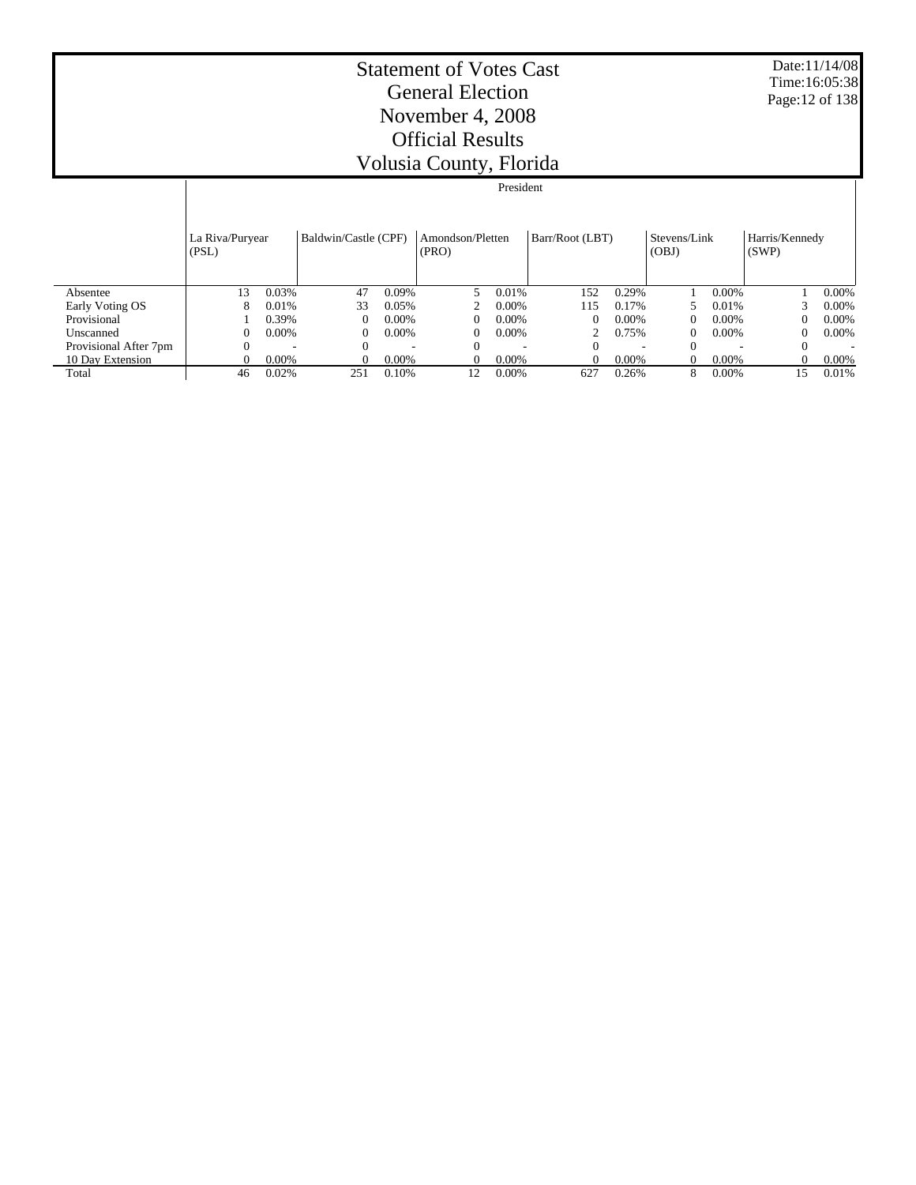Date:11/14/08 Time:16:05:38 Page:12 of 138

#### Statement of Votes Cast General Election November 4, 2008 Official Results Volusia County, Florida

#### Absentee Early Voting OS Provisional Unscanned Provisional After 7pm 10 Day Extension Total La Riva/Puryear (PSL) Baldwin/Castle (CPF) | Amondson/Pletten (PRO) Barr/Root (LBT) Stevens/Link (OBJ) Harris/Kennedy (SWP) President 13 0.03% 47 0.09% 5 0.01% 152 0.29% 1 0.00% 1 0.00% 8 0.01% 33 0.05% 2 0.00% 115 0.17% 5 0.01% 3 0.00% 1 0.39% 0 0.00% 0 0.00% 0 0.00% 0 0.00% 0 0.00%  $0 \t 0.00\%$  0 0.00% 0 0.00% 0 0.00% 0 0.00% 0 0.00% 0 0.00% 0 0.00% 0 0.00% 0 0.00% 0 0.00% 0 0.00% 0 0.00% 0 0.00% 0 0.00% 0 0.00% 0 0.00% 0 0.00% 0 0.00% 0 0.00% 0 0.00% 0 0.00% 0 0.00% 0 0.00% 0 0.00% 0 0.00% 0 0.00%  $0$  - 0 - 0 - 0 - 0 - 0 - $0$  0.00% 0 0.00% 0 0.00% 0 0.00% 0 0.00% 0 0.00% 0 0.00% 0 0.00% 0 0.00% 0 0.00% 0 0.00% 0 0.00% 0 0.00% 0 0.00% 0 0.00% 0 0.00% 0 0.00% 0 0.00% 0 0.00% 0 0.00% 0 0.00% 0 0.00% 0 0.00% 0 0.00% 0 0.00% 0 0.00% 0 0.00% 0 0 46 0.02% 251 0.10% 12 0.00% 627 0.26% 8 0.00% 15 0.01%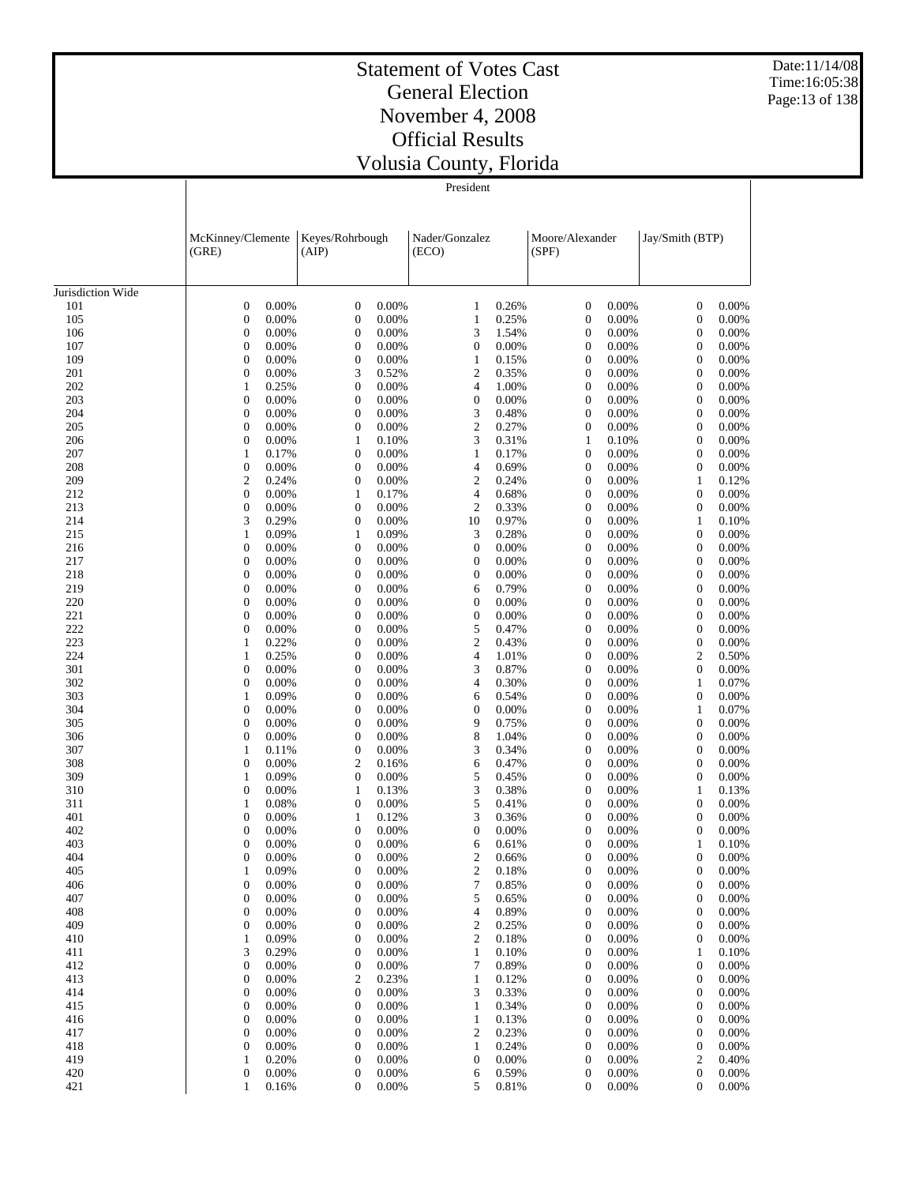Date:11/14/08 Time:16:05:38 Page:13 of 138

## Statement of Votes Cast General Election November 4, 2008 Official Results Volusia County, Florida

|                   | McKinney/Clemente                |                | Keyes/Rohrbough                      |                | Nader/Gonzalez                 |                |                                      |                | Jay/Smith (BTP)                             |                |
|-------------------|----------------------------------|----------------|--------------------------------------|----------------|--------------------------------|----------------|--------------------------------------|----------------|---------------------------------------------|----------------|
|                   | (GRE)                            |                | (AIP)                                |                | (ECO)                          |                | Moore/Alexander<br>(SPF)             |                |                                             |                |
|                   |                                  |                |                                      |                |                                |                |                                      |                |                                             |                |
| Jurisdiction Wide |                                  |                |                                      |                |                                |                |                                      |                |                                             |                |
| 101               | $\mathbf{0}$                     | 0.00%          | $\boldsymbol{0}$                     | 0.00%          | $\mathbf{1}$                   | 0.26%          | $\boldsymbol{0}$                     | 0.00%          | $\boldsymbol{0}$                            | 0.00%          |
| 105               | $\mathbf{0}$                     | 0.00%          | $\boldsymbol{0}$                     | 0.00%          | $\mathbf{1}$                   | 0.25%          | $\boldsymbol{0}$                     | 0.00%          | $\boldsymbol{0}$                            | 0.00%          |
| 106               | $\mathbf{0}$                     | 0.00%          | 0                                    | 0.00%          | 3                              | 1.54%          | $\boldsymbol{0}$                     | 0.00%          | $\boldsymbol{0}$                            | 0.00%          |
| 107               | $\mathbf{0}$                     | 0.00%          | $\boldsymbol{0}$                     | 0.00%          | $\boldsymbol{0}$               | 0.00%          | $\boldsymbol{0}$                     | 0.00%          | $\boldsymbol{0}$                            | 0.00%          |
| 109               | $\mathbf{0}$                     | 0.00%          | $\boldsymbol{0}$                     | 0.00%          | $\mathbf{1}$                   | 0.15%          | $\boldsymbol{0}$                     | 0.00%          | $\boldsymbol{0}$                            | 0.00%          |
| 201               | $\mathbf{0}$                     | 0.00%          | 3                                    | 0.52%          | $\mathfrak{2}$                 | 0.35%          | $\boldsymbol{0}$                     | 0.00%          | $\boldsymbol{0}$                            | 0.00%          |
| 202               | 1                                | 0.25%          | $\boldsymbol{0}$                     | 0.00%          | $\overline{4}$                 | 1.00%          | $\boldsymbol{0}$                     | 0.00%          | $\boldsymbol{0}$                            | 0.00%          |
| 203               | $\mathbf{0}$                     | 0.00%          | $\boldsymbol{0}$                     | 0.00%          | $\boldsymbol{0}$               | 0.00%          | $\boldsymbol{0}$                     | 0.00%          | $\boldsymbol{0}$                            | 0.00%          |
| 204               | $\mathbf{0}$                     | 0.00%          | $\boldsymbol{0}$                     | 0.00%          | 3                              | 0.48%          | $\boldsymbol{0}$                     | 0.00%          | $\boldsymbol{0}$                            | 0.00%          |
| 205               | $\mathbf{0}$                     | 0.00%          | $\boldsymbol{0}$                     | 0.00%          | $\mathbf{2}$                   | 0.27%          | $\boldsymbol{0}$                     | 0.00%          | $\boldsymbol{0}$                            | 0.00%          |
| 206               | $\mathbf{0}$                     | 0.00%          | 1                                    | 0.10%          | 3                              | 0.31%          | $\mathbf{1}$                         | 0.10%          | $\boldsymbol{0}$                            | 0.00%          |
| 207               | 1                                | 0.17%          | $\boldsymbol{0}$                     | 0.00%<br>0.00% | $\mathbf{1}$                   | 0.17%          | $\boldsymbol{0}$                     | 0.00%          | $\boldsymbol{0}$                            | 0.00%          |
| 208<br>209        | $\mathbf{0}$<br>$\mathbf{2}$     | 0.00%<br>0.24% | 0<br>$\boldsymbol{0}$                | 0.00%          | $\overline{4}$<br>$\mathbf{2}$ | 0.69%<br>0.24% | $\boldsymbol{0}$<br>$\boldsymbol{0}$ | 0.00%<br>0.00% | $\boldsymbol{0}$<br>1                       | 0.00%<br>0.12% |
| 212               | $\boldsymbol{0}$                 | 0.00%          | 1                                    | 0.17%          | $\overline{4}$                 | 0.68%          | $\boldsymbol{0}$                     | 0.00%          | $\boldsymbol{0}$                            | 0.00%          |
| 213               | $\mathbf{0}$                     | 0.00%          | $\boldsymbol{0}$                     | 0.00%          | $\boldsymbol{2}$               | 0.33%          | $\boldsymbol{0}$                     | 0.00%          | $\boldsymbol{0}$                            | 0.00%          |
| 214               | 3                                | 0.29%          | $\boldsymbol{0}$                     | 0.00%          | 10                             | 0.97%          | $\boldsymbol{0}$                     | 0.00%          | $\mathbf{1}$                                | 0.10%          |
| 215               | $\mathbf{1}$                     | 0.09%          | 1                                    | 0.09%          | 3                              | 0.28%          | $\boldsymbol{0}$                     | 0.00%          | $\boldsymbol{0}$                            | 0.00%          |
| 216               | $\mathbf{0}$                     | 0.00%          | $\boldsymbol{0}$                     | 0.00%          | $\boldsymbol{0}$               | 0.00%          | $\boldsymbol{0}$                     | 0.00%          | $\boldsymbol{0}$                            | 0.00%          |
| 217               | $\mathbf{0}$                     | 0.00%          | $\boldsymbol{0}$                     | 0.00%          | $\boldsymbol{0}$               | 0.00%          | $\boldsymbol{0}$                     | 0.00%          | $\boldsymbol{0}$                            | 0.00%          |
| 218               | $\mathbf{0}$                     | 0.00%          | 0                                    | 0.00%          | $\mathbf{0}$                   | 0.00%          | $\boldsymbol{0}$                     | 0.00%          | $\boldsymbol{0}$                            | 0.00%          |
| 219               | $\mathbf{0}$                     | 0.00%          | $\boldsymbol{0}$                     | 0.00%          | 6                              | 0.79%          | $\boldsymbol{0}$                     | 0.00%          | $\boldsymbol{0}$                            | 0.00%          |
| 220               | $\mathbf{0}$                     | 0.00%          | $\boldsymbol{0}$                     | 0.00%          | $\mathbf{0}$                   | 0.00%          | $\boldsymbol{0}$                     | 0.00%          | $\boldsymbol{0}$                            | 0.00%          |
| 221               | $\mathbf{0}$                     | 0.00%          | $\boldsymbol{0}$                     | 0.00%          | $\boldsymbol{0}$               | 0.00%          | $\boldsymbol{0}$                     | 0.00%          | $\boldsymbol{0}$                            | 0.00%          |
| 222               | $\mathbf{0}$                     | 0.00%          | 0                                    | 0.00%          | 5                              | 0.47%          | $\boldsymbol{0}$                     | 0.00%          | $\boldsymbol{0}$                            | 0.00%          |
| 223               | 1                                | 0.22%          | $\boldsymbol{0}$                     | 0.00%          | $\mathbf{2}$                   | 0.43%          | $\boldsymbol{0}$                     | 0.00%          | $\boldsymbol{0}$                            | 0.00%          |
| 224               | 1                                | 0.25%          | 0                                    | 0.00%          | $\overline{4}$                 | 1.01%          | $\boldsymbol{0}$                     | 0.00%          | 2                                           | 0.50%          |
| 301               | $\mathbf{0}$                     | 0.00%          | $\boldsymbol{0}$                     | 0.00%          | 3                              | 0.87%          | $\boldsymbol{0}$                     | 0.00%          | $\boldsymbol{0}$                            | 0.00%          |
| 302               | $\mathbf{0}$                     | 0.00%          | 0                                    | 0.00%          | $\overline{4}$                 | 0.30%          | $\boldsymbol{0}$                     | 0.00%          | 1                                           | 0.07%          |
| 303               | 1                                | 0.09%          | $\boldsymbol{0}$                     | 0.00%          | 6                              | 0.54%          | $\boldsymbol{0}$                     | 0.00%          | $\boldsymbol{0}$                            | 0.00%          |
| 304               | $\mathbf{0}$                     | 0.00%          | $\boldsymbol{0}$                     | 0.00%          | $\boldsymbol{0}$               | 0.00%          | $\boldsymbol{0}$                     | 0.00%          | $\mathbf{1}$                                | 0.07%          |
| 305               | $\mathbf{0}$                     | 0.00%          | $\boldsymbol{0}$                     | 0.00%          | 9                              | 0.75%          | $\boldsymbol{0}$                     | 0.00%          | $\boldsymbol{0}$                            | 0.00%          |
| 306               | $\mathbf{0}$                     | 0.00%          | 0                                    | 0.00%          | 8                              | 1.04%          | $\boldsymbol{0}$                     | 0.00%          | $\boldsymbol{0}$                            | 0.00%          |
| 307               | $\mathbf{1}$                     | 0.11%          | $\boldsymbol{0}$                     | 0.00%          | 3                              | 0.34%          | $\boldsymbol{0}$                     | 0.00%          | $\boldsymbol{0}$                            | 0.00%          |
| 308<br>309        | $\mathbf{0}$<br>1                | 0.00%<br>0.09% | $\mathfrak{2}$<br>$\boldsymbol{0}$   | 0.16%<br>0.00% | 6<br>5                         | 0.47%<br>0.45% | $\boldsymbol{0}$<br>$\boldsymbol{0}$ | 0.00%<br>0.00% | $\boldsymbol{0}$<br>$\boldsymbol{0}$        | 0.00%<br>0.00% |
| 310               | $\mathbf{0}$                     | 0.00%          | 1                                    | 0.13%          | 3                              | 0.38%          | $\boldsymbol{0}$                     | 0.00%          | $\mathbf{1}$                                | 0.13%          |
| 311               | 1                                | 0.08%          | $\boldsymbol{0}$                     | 0.00%          | 5                              | 0.41%          | $\boldsymbol{0}$                     | 0.00%          | $\boldsymbol{0}$                            | 0.00%          |
| 401               | $\mathbf{0}$                     | 0.00%          | 1                                    | 0.12%          | 3                              | 0.36%          | $\boldsymbol{0}$                     | 0.00%          | $\boldsymbol{0}$                            | 0.00%          |
| 402               | $\mathbf{0}$                     | 0.00%          | $\boldsymbol{0}$                     | 0.00%          | $\boldsymbol{0}$               | 0.00%          | $\boldsymbol{0}$                     | 0.00%          | $\boldsymbol{0}$                            | 0.00%          |
| 403               | $\mathbf{0}$                     | 0.00%          | 0                                    | 0.00%          | 6                              | 0.61%          | $\boldsymbol{0}$                     | 0.00%          | $\mathbf{1}$                                | 0.10%          |
| 404               | $\overline{0}$                   | 0.00%          | 0                                    | 0.00%          | $\mathfrak{2}$                 | 0.66%          | $\overline{0}$                       | 0.00%          | 0                                           | 0.00%          |
| 405               | 1                                | 0.09%          | $\boldsymbol{0}$                     | 0.00%          | $\overline{2}$                 | 0.18%          | 0                                    | 0.00%          | 0                                           | 0.00%          |
| 406               | $\boldsymbol{0}$                 | 0.00%          | $\boldsymbol{0}$                     | 0.00%          | 7                              | 0.85%          | $\boldsymbol{0}$                     | 0.00%          | $\boldsymbol{0}$                            | 0.00%          |
| 407               | $\boldsymbol{0}$                 | 0.00%          | $\boldsymbol{0}$                     | 0.00%          | 5                              | 0.65%          | $\boldsymbol{0}$                     | 0.00%          | $\boldsymbol{0}$                            | 0.00%          |
| 408               | $\mathbf{0}$                     | 0.00%          | $\boldsymbol{0}$                     | 0.00%          | 4                              | 0.89%          | $\boldsymbol{0}$                     | 0.00%          | $\boldsymbol{0}$                            | 0.00%          |
| 409               | $\boldsymbol{0}$                 | 0.00%          | $\boldsymbol{0}$                     | 0.00%          | $\mathfrak{2}$                 | 0.25%          | $\boldsymbol{0}$                     | 0.00%          | $\boldsymbol{0}$                            | 0.00%          |
| 410               | $\mathbf{1}$                     | 0.09%          | $\boldsymbol{0}$                     | 0.00%          | $\boldsymbol{2}$               | 0.18%          | $\boldsymbol{0}$                     | 0.00%          | $\mathbf{0}$                                | 0.00%          |
| 411               | 3                                | 0.29%          | $\boldsymbol{0}$                     | 0.00%          | $\mathbf{1}$                   | 0.10%          | $\boldsymbol{0}$                     | 0.00%          | $\mathbf{1}$                                | 0.10%          |
| 412               | $\boldsymbol{0}$                 | 0.00%          | $\boldsymbol{0}$                     | 0.00%          | 7                              | 0.89%          | $\boldsymbol{0}$                     | 0.00%          | $\boldsymbol{0}$                            | 0.00%          |
| 413               | $\boldsymbol{0}$                 | 0.00%          | 2                                    | 0.23%          | $\mathbf{1}$                   | 0.12%          | $\boldsymbol{0}$                     | 0.00%          | $\boldsymbol{0}$                            | 0.00%          |
| 414               | $\mathbf{0}$                     | 0.00%          | $\boldsymbol{0}$                     | 0.00%          | 3                              | 0.33%          | 0                                    | 0.00%          | $\mathbf{0}$                                | 0.00%          |
| 415               | $\boldsymbol{0}$                 | 0.00%          | $\boldsymbol{0}$                     | 0.00%          | $\mathbf{1}$                   | 0.34%          | $\boldsymbol{0}$                     | 0.00%          | $\boldsymbol{0}$                            | 0.00%          |
| 416               | $\mathbf{0}$                     | 0.00%          | $\boldsymbol{0}$                     | 0.00%          | $\mathbf{1}$                   | 0.13%          | $\boldsymbol{0}$                     | 0.00%          | $\boldsymbol{0}$                            | 0.00%          |
| 417               | $\boldsymbol{0}$                 | 0.00%          | $\boldsymbol{0}$                     | 0.00%          | $\overline{c}$                 | 0.23%          | $\boldsymbol{0}$                     | 0.00%          | $\boldsymbol{0}$                            | 0.00%          |
| 418               | $\mathbf{0}$                     | 0.00%          | $\boldsymbol{0}$                     | 0.00%          | $\mathbf{1}$                   | 0.24%          | $\boldsymbol{0}$                     | 0.00%          | $\boldsymbol{0}$                            | 0.00%          |
| 419<br>420        | $\mathbf{1}$<br>$\boldsymbol{0}$ | 0.20%<br>0.00% | $\boldsymbol{0}$<br>$\boldsymbol{0}$ | 0.00%<br>0.00% | $\boldsymbol{0}$<br>6          | 0.00%<br>0.59% | $\boldsymbol{0}$<br>$\boldsymbol{0}$ | 0.00%<br>0.00% | $\overline{\mathbf{c}}$<br>$\boldsymbol{0}$ | 0.40%<br>0.00% |
| 421               | 1                                | 0.16%          | 0                                    | 0.00%          | 5                              | 0.81%          | $\boldsymbol{0}$                     | 0.00%          | 0                                           | 0.00%          |
|                   |                                  |                |                                      |                |                                |                |                                      |                |                                             |                |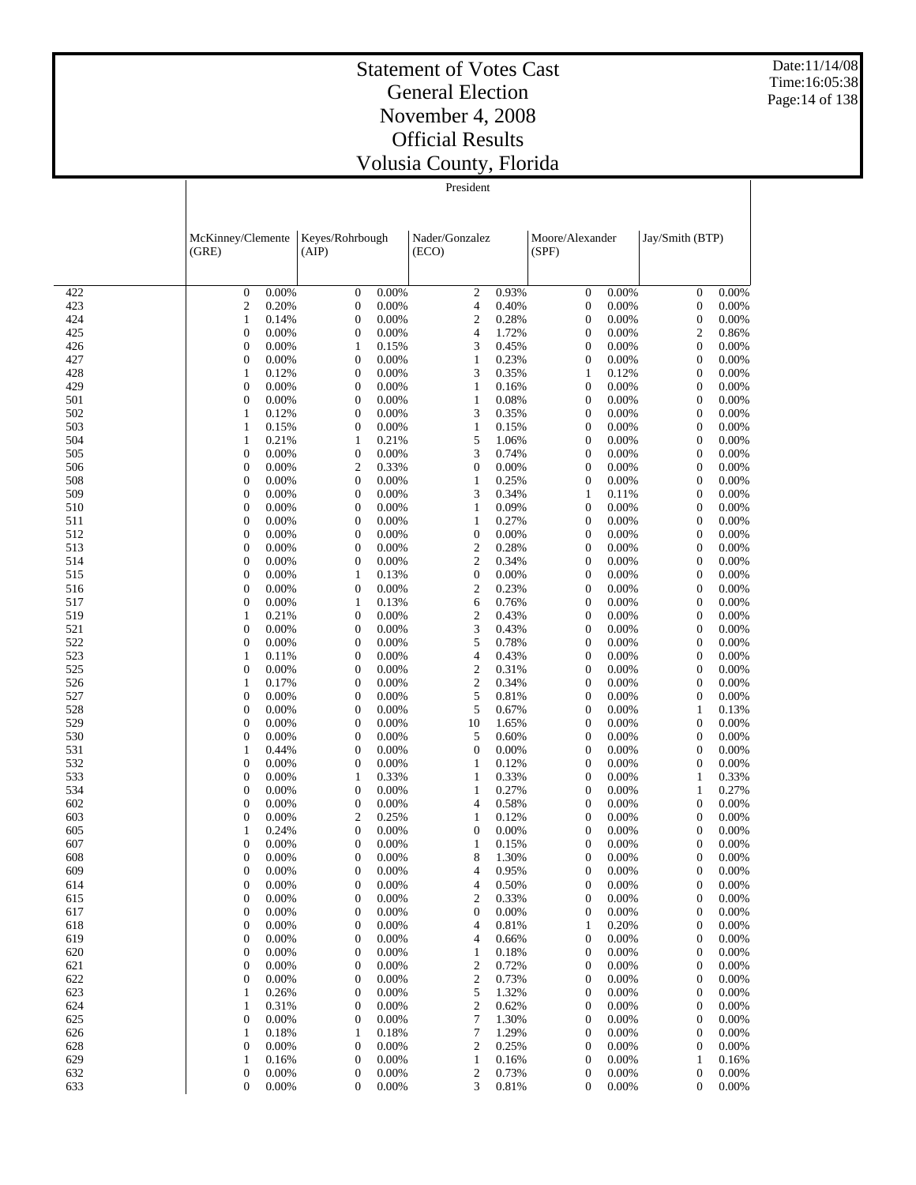Date:11/14/08 Time:16:05:38 Page:14 of 138

#### Statement of Votes Cast General Election November 4, 2008 Official Results Volusia County, Florida

|            | McKinney/Clemente<br>(GRE)                     | Keyes/Rohrbough<br>(AIP)                           | Nader/Gonzalez                            | Moore/Alexander<br>(SPF)                               | Jay/Smith (BTP)                                        |
|------------|------------------------------------------------|----------------------------------------------------|-------------------------------------------|--------------------------------------------------------|--------------------------------------------------------|
|            |                                                |                                                    | (ECO)                                     |                                                        |                                                        |
|            |                                                |                                                    |                                           |                                                        |                                                        |
| 422        | 0.00%<br>$\boldsymbol{0}$                      | 0.00%<br>$\boldsymbol{0}$                          | $\boldsymbol{2}$<br>0.93%                 | 0.00%<br>$\boldsymbol{0}$                              | $\boldsymbol{0}$<br>0.00%<br>0.00%                     |
| 423<br>424 | 0.20%<br>$\overline{\mathbf{c}}$<br>0.14%<br>1 | 0.00%<br>$\boldsymbol{0}$<br>$\mathbf{0}$<br>0.00% | 0.40%<br>4<br>$\boldsymbol{2}$<br>0.28%   | $\boldsymbol{0}$<br>0.00%<br>0.00%<br>$\boldsymbol{0}$ | $\boldsymbol{0}$<br>0.00%<br>$\boldsymbol{0}$          |
| 425        | 0.00%                                          | $\boldsymbol{0}$                                   | 1.72%                                     | 0.00%                                                  | $\boldsymbol{2}$                                       |
|            | $\boldsymbol{0}$                               | 0.00%                                              | 4                                         | $\boldsymbol{0}$                                       | 0.86%                                                  |
| 426        | 0.00%                                          | 0.15%                                              | 3                                         | $\boldsymbol{0}$                                       | $\mathbf{0}$                                           |
|            | $\boldsymbol{0}$                               | 1                                                  | 0.45%                                     | 0.00%                                                  | 0.00%                                                  |
| 427        | 0.00%                                          | $\boldsymbol{0}$                                   | 0.23%                                     | 0.00%                                                  | $\mathbf{0}$                                           |
|            | $\boldsymbol{0}$                               | 0.00%                                              | $\mathbf{1}$                              | 0                                                      | 0.00%                                                  |
| 428        | 1                                              | 0.00%                                              | 3                                         | $\mathbf{1}$                                           | $\mathbf{0}$                                           |
|            | 0.12%                                          | $\mathbf{0}$                                       | 0.35%                                     | 0.12%                                                  | 0.00%                                                  |
| 429        | 0.00%                                          | $\boldsymbol{0}$                                   | $\mathbf{1}$                              | 0.00%                                                  | $\mathbf{0}$                                           |
|            | $\boldsymbol{0}$                               | 0.00%                                              | 0.16%                                     | $\boldsymbol{0}$                                       | 0.00%                                                  |
| 501        | 0.00%                                          | $\boldsymbol{0}$                                   | $\mathbf{1}$                              | 0.00%                                                  | $\mathbf{0}$                                           |
|            | $\boldsymbol{0}$                               | 0.00%                                              | 0.08%                                     | $\boldsymbol{0}$                                       | 0.00%                                                  |
| 502        | 1                                              | $\boldsymbol{0}$                                   | 3                                         | 0.00%                                                  | $\mathbf{0}$                                           |
|            | 0.12%                                          | 0.00%                                              | 0.35%                                     | $\boldsymbol{0}$                                       | 0.00%                                                  |
| 503        | 1                                              | 0.00%                                              | $\mathbf{1}$                              | 0.00%                                                  | $\mathbf{0}$                                           |
|            | 0.15%                                          | $\mathbf{0}$                                       | 0.15%                                     | $\boldsymbol{0}$                                       | 0.00%                                                  |
| 504        | 0.21%                                          | 0.21%                                              | 5                                         | 0.00%                                                  | $\mathbf{0}$                                           |
|            | 1                                              | 1                                                  | 1.06%                                     | $\boldsymbol{0}$                                       | 0.00%                                                  |
| 505        | 0.00%                                          | 0.00%                                              | 3                                         | $\boldsymbol{0}$                                       | $\mathbf{0}$                                           |
|            | $\boldsymbol{0}$                               | $\mathbf{0}$                                       | 0.74%                                     | 0.00%                                                  | 0.00%                                                  |
| 506        | 0.00%                                          | $\mathfrak{2}$                                     | 0.00%                                     | 0.00%                                                  | $\mathbf{0}$                                           |
|            | $\boldsymbol{0}$                               | 0.33%                                              | $\mathbf{0}$                              | $\boldsymbol{0}$                                       | 0.00%                                                  |
| 508        | 0.00%                                          | $\mathbf{0}$                                       | $\mathbf{1}$                              | $\boldsymbol{0}$                                       | $\mathbf{0}$                                           |
|            | $\boldsymbol{0}$                               | 0.00%                                              | 0.25%                                     | 0.00%                                                  | 0.00%                                                  |
| 509        | 0.00%                                          | $\boldsymbol{0}$                                   | 3                                         | $\mathbf{1}$                                           | 0.00%                                                  |
|            | $\boldsymbol{0}$                               | 0.00%                                              | 0.34%                                     | 0.11%                                                  | $\mathbf{0}$                                           |
| 510        | $\boldsymbol{0}$<br>0.00%<br>0.00%             | $\mathbf{0}$<br>0.00%<br>0.00%                     | 0.09%<br>$\mathbf{1}$<br>0.27%            | $\boldsymbol{0}$<br>0.00%<br>0.00%                     | $\boldsymbol{0}$<br>0.00%                              |
| 511<br>512 | $\boldsymbol{0}$<br>$\boldsymbol{0}$<br>0.00%  | $\boldsymbol{0}$<br>0.00%<br>$\mathbf{0}$          | $\mathbf{1}$<br>$\boldsymbol{0}$<br>0.00% | $\boldsymbol{0}$<br>$\boldsymbol{0}$<br>0.00%          | $\boldsymbol{0}$<br>0.00%<br>0.00%<br>$\boldsymbol{0}$ |
| 513        | 0.00%                                          | $\boldsymbol{0}$                                   | $\mathfrak{2}$                            | 0.00%                                                  | 0.00%                                                  |
|            | $\boldsymbol{0}$                               | 0.00%                                              | 0.28%                                     | $\boldsymbol{0}$                                       | $\boldsymbol{0}$                                       |
| 514        | 0.00%                                          | 0.00%                                              | $\mathfrak{2}$                            | $\boldsymbol{0}$                                       | $\boldsymbol{0}$                                       |
|            | $\boldsymbol{0}$                               | $\mathbf{0}$                                       | 0.34%                                     | 0.00%                                                  | 0.00%                                                  |
| 515        | 0.00%                                          | 0.13%                                              | 0.00%                                     | 0.00%                                                  | $\boldsymbol{0}$                                       |
|            | $\boldsymbol{0}$                               | 1                                                  | $\boldsymbol{0}$                          | $\boldsymbol{0}$                                       | 0.00%                                                  |
| 516        | 0.00%                                          | 0.00%                                              | $\overline{c}$                            | $\boldsymbol{0}$                                       | 0.00%                                                  |
|            | $\boldsymbol{0}$                               | $\boldsymbol{0}$                                   | 0.23%                                     | 0.00%                                                  | $\boldsymbol{0}$                                       |
| 517        | 0.00%                                          | 0.13%                                              | 0.76%                                     | 0.00%                                                  | 0.00%                                                  |
|            | $\boldsymbol{0}$                               | 1                                                  | 6                                         | $\boldsymbol{0}$                                       | $\boldsymbol{0}$                                       |
| 519        | 0.21%                                          | $\mathbf{0}$                                       | $\sqrt{2}$                                | $\boldsymbol{0}$                                       | 0.00%                                                  |
|            | 1                                              | 0.00%                                              | 0.43%                                     | 0.00%                                                  | $\boldsymbol{0}$                                       |
| 521        | 0.00%                                          | 0.00%                                              | 3                                         | 0.00%                                                  | 0.00%                                                  |
|            | $\boldsymbol{0}$                               | $\boldsymbol{0}$                                   | 0.43%                                     | $\boldsymbol{0}$                                       | $\boldsymbol{0}$                                       |
| 522        | 0.00%                                          | 0.00%                                              | 5                                         | $\boldsymbol{0}$                                       | 0.00%                                                  |
|            | $\boldsymbol{0}$                               | $\mathbf{0}$                                       | 0.78%                                     | 0.00%                                                  | $\boldsymbol{0}$                                       |
| 523        | 1                                              | $\boldsymbol{0}$                                   | $\overline{4}$                            | 0.00%                                                  | 0.00%                                                  |
|            | 0.11%                                          | 0.00%                                              | 0.43%                                     | $\boldsymbol{0}$                                       | $\boldsymbol{0}$                                       |
| 525        | 0.00%                                          | 0.00%                                              | $\sqrt{2}$                                | $\boldsymbol{0}$                                       | 0.00%                                                  |
|            | $\boldsymbol{0}$                               | $\boldsymbol{0}$                                   | 0.31%                                     | 0.00%                                                  | $\boldsymbol{0}$                                       |
| 526        | 1                                              | 0.00%                                              | $\boldsymbol{2}$                          | 0.00%                                                  | 0.00%                                                  |
|            | 0.17%                                          | $\boldsymbol{0}$                                   | 0.34%                                     | $\boldsymbol{0}$                                       | $\boldsymbol{0}$                                       |
| 527        | 0.00%                                          | 0.00%                                              | 5                                         | $\boldsymbol{0}$                                       | 0.00%                                                  |
|            | $\boldsymbol{0}$                               | $\boldsymbol{0}$                                   | 0.81%                                     | 0.00%                                                  | $\boldsymbol{0}$                                       |
| 528<br>529 | 0.00%<br>$\boldsymbol{0}$<br>0.00%             | 0.00%<br>$\boldsymbol{0}$<br>0.00%                 | 5<br>0.67%                                | 0.00%<br>$\boldsymbol{0}$<br>0.00%                     | 0.13%<br>1                                             |
| 530        | $\boldsymbol{0}$<br>0.00%<br>$\boldsymbol{0}$  | $\boldsymbol{0}$<br>0.00%<br>$\boldsymbol{0}$      | 10<br>1.65%<br>0.60%<br>5                 | $\boldsymbol{0}$<br>0.00%<br>0                         | $\boldsymbol{0}$<br>0.00%<br>0.00%<br>$\boldsymbol{0}$ |
| 531        | 1                                              | 0.00%                                              | $\boldsymbol{0}$                          | $\boldsymbol{0}$                                       | 0.00%                                                  |
|            | 0.44%                                          | $\boldsymbol{0}$                                   | 0.00%                                     | 0.00%                                                  | $\boldsymbol{0}$                                       |
| 532        | 0.00%                                          | $\boldsymbol{0}$                                   | 0.12%                                     | 0.00%                                                  | 0.00%                                                  |
|            | $\boldsymbol{0}$                               | 0.00%                                              | $\mathbf{1}$                              | $\boldsymbol{0}$                                       | $\boldsymbol{0}$                                       |
| 533        | 0.00%                                          | 0.33%                                              | $\mathbf{1}$                              | $\boldsymbol{0}$                                       | 0.33%                                                  |
|            | $\boldsymbol{0}$                               | 1                                                  | 0.33%                                     | 0.00%                                                  | $\mathbf{1}$                                           |
| 534        | 0.00%                                          | $\boldsymbol{0}$                                   | 0.27%                                     | 0.00%                                                  | 0.27%                                                  |
|            | $\boldsymbol{0}$                               | 0.00%                                              | $\mathbf{1}$                              | 0                                                      | $\mathbf{1}$                                           |
| 602        | $\boldsymbol{0}$                               | 0.00%                                              | 0.58%                                     | $\boldsymbol{0}$                                       | 0.00%                                                  |
|            | 0.00%                                          | $\mathbf{0}$                                       | 4                                         | 0.00%                                                  | $\mathbf{0}$                                           |
| 603        | 0.00%                                          | $\mathbf{2}$                                       | 0.12%                                     | 0.00%                                                  | 0.00%                                                  |
|            | $\boldsymbol{0}$                               | 0.25%                                              | $\mathbf{1}$                              | $\boldsymbol{0}$                                       | $\mathbf{0}$                                           |
| 605        | 1                                              | $\boldsymbol{0}$                                   | $\boldsymbol{0}$                          | $\boldsymbol{0}$                                       | $\mathbf{0}$                                           |
|            | 0.24%                                          | 0.00%                                              | 0.00%                                     | 0.00%                                                  | 0.00%                                                  |
| 607        | 0.00%                                          | $\boldsymbol{0}$                                   | $\mathbf{1}$                              | 0.00%                                                  | $\mathbf{0}$                                           |
|            | $\boldsymbol{0}$                               | 0.00%                                              | 0.15%                                     | 0                                                      | 0.00%                                                  |
| 608        | $\boldsymbol{0}$                               | $\boldsymbol{0}$                                   | 8                                         | 0                                                      | $\boldsymbol{0}$                                       |
|            | 0.00%                                          | 0.00%                                              | 1.30%                                     | 0.00%                                                  | 0.00%                                                  |
| 609        | $\overline{0}$                                 | $\overline{0}$                                     | 4                                         | 0                                                      | $\overline{0}$                                         |
|            | 0.00%                                          | 0.00%                                              | 0.95%                                     | 0.00%                                                  | 0.00%                                                  |
| 614        | $\boldsymbol{0}$                               | $\boldsymbol{0}$                                   | 0.50%                                     | $\boldsymbol{0}$                                       | $\mathbf{0}$                                           |
|            | 0.00%                                          | $0.00\%$                                           | 4                                         | 0.00%                                                  | 0.00%                                                  |
| 615        | $\boldsymbol{0}$<br>0.00%<br>0.00%             | $\mathbf{0}$<br>0.00%                              | $\overline{c}$<br>0.33%                   | $\boldsymbol{0}$<br>0.00%                              | $\boldsymbol{0}$<br>0.00%                              |
| 617        | $\boldsymbol{0}$<br>$\boldsymbol{0}$<br>0.00%  | 0.00%<br>$\mathbf{0}$<br>$\boldsymbol{0}$<br>0.00% | $\boldsymbol{0}$<br>0.00%                 | 0.00%<br>$\boldsymbol{0}$<br>0.20%                     | 0.00%<br>$\boldsymbol{0}$<br>$\boldsymbol{0}$<br>0.00% |
| 618<br>619 | $\boldsymbol{0}$<br>0.00%                      | $\mathbf{0}$<br>0.00%                              | 0.81%<br>4<br>4<br>0.66%                  | 1<br>$\boldsymbol{0}$<br>0.00%                         | $\boldsymbol{0}$<br>0.00%                              |
| 620        | $\boldsymbol{0}$                               | $\mathbf{0}$                                       | 0.18%                                     | $\boldsymbol{0}$                                       | $\boldsymbol{0}$                                       |
|            | 0.00%                                          | 0.00%                                              | $\mathbf{1}$                              | 0.00%                                                  | 0.00%                                                  |
| 621        | 0                                              | $\mathbf{0}$                                       | $\boldsymbol{2}$                          | $\boldsymbol{0}$                                       | $\boldsymbol{0}$                                       |
|            | 0.00%                                          | 0.00%                                              | 0.72%                                     | 0.00%                                                  | 0.00%                                                  |
| 622        | $\boldsymbol{0}$                               | $\mathbf{0}$                                       | $\boldsymbol{2}$                          | $\boldsymbol{0}$                                       | $\boldsymbol{0}$                                       |
|            | 0.00%                                          | 0.00%                                              | 0.73%                                     | 0.00%                                                  | 0.00%                                                  |
| 623        | $\mathbf{1}$                                   | $\mathbf{0}$                                       | 5                                         | $\boldsymbol{0}$                                       | $\boldsymbol{0}$                                       |
|            | 0.26%                                          | 0.00%                                              | 1.32%                                     | 0.00%                                                  | 0.00%                                                  |
| 624        | 0.31%                                          | $\boldsymbol{0}$                                   | $\boldsymbol{2}$                          | $\boldsymbol{0}$                                       | $\boldsymbol{0}$                                       |
|            | 1                                              | 0.00%                                              | 0.62%                                     | 0.00%                                                  | 0.00%                                                  |
| 625        | 0                                              | $\mathbf{0}$                                       | 7                                         | $\boldsymbol{0}$                                       | $\boldsymbol{0}$                                       |
|            | 0.00%                                          | 0.00%                                              | 1.30%                                     | 0.00%                                                  | 0.00%                                                  |
| 626        | 0.18%                                          | 0.18%                                              | 7                                         | $\boldsymbol{0}$                                       | $\boldsymbol{0}$                                       |
|            | 1                                              | 1                                                  | 1.29%                                     | 0.00%                                                  | 0.00%                                                  |
| 628        | 0                                              | $\mathbf{0}$                                       | 2                                         | $\boldsymbol{0}$                                       | $\boldsymbol{0}$                                       |
|            | 0.00%                                          | 0.00%                                              | 0.25%                                     | 0.00%                                                  | 0.00%                                                  |
| 629        | 0.16%                                          | $\mathbf{0}$                                       | 0.16%                                     | $\boldsymbol{0}$                                       | 0.16%                                                  |
|            | 1                                              | 0.00%                                              | $\mathbf{1}$                              | 0.00%                                                  | 1                                                      |
| 632        | 0                                              | $\boldsymbol{0}$                                   | 2                                         | $\boldsymbol{0}$                                       | $\boldsymbol{0}$                                       |
|            | 0.00%                                          | 0.00%                                              | 0.73%                                     | 0.00%                                                  | 0.00%                                                  |
| 633        | $\boldsymbol{0}$                               | $\boldsymbol{0}$                                   | 3                                         | $\boldsymbol{0}$                                       | $\mathbf{0}$                                           |
|            | 0.00%                                          | 0.00%                                              | 0.81%                                     | 0.00%                                                  | 0.00%                                                  |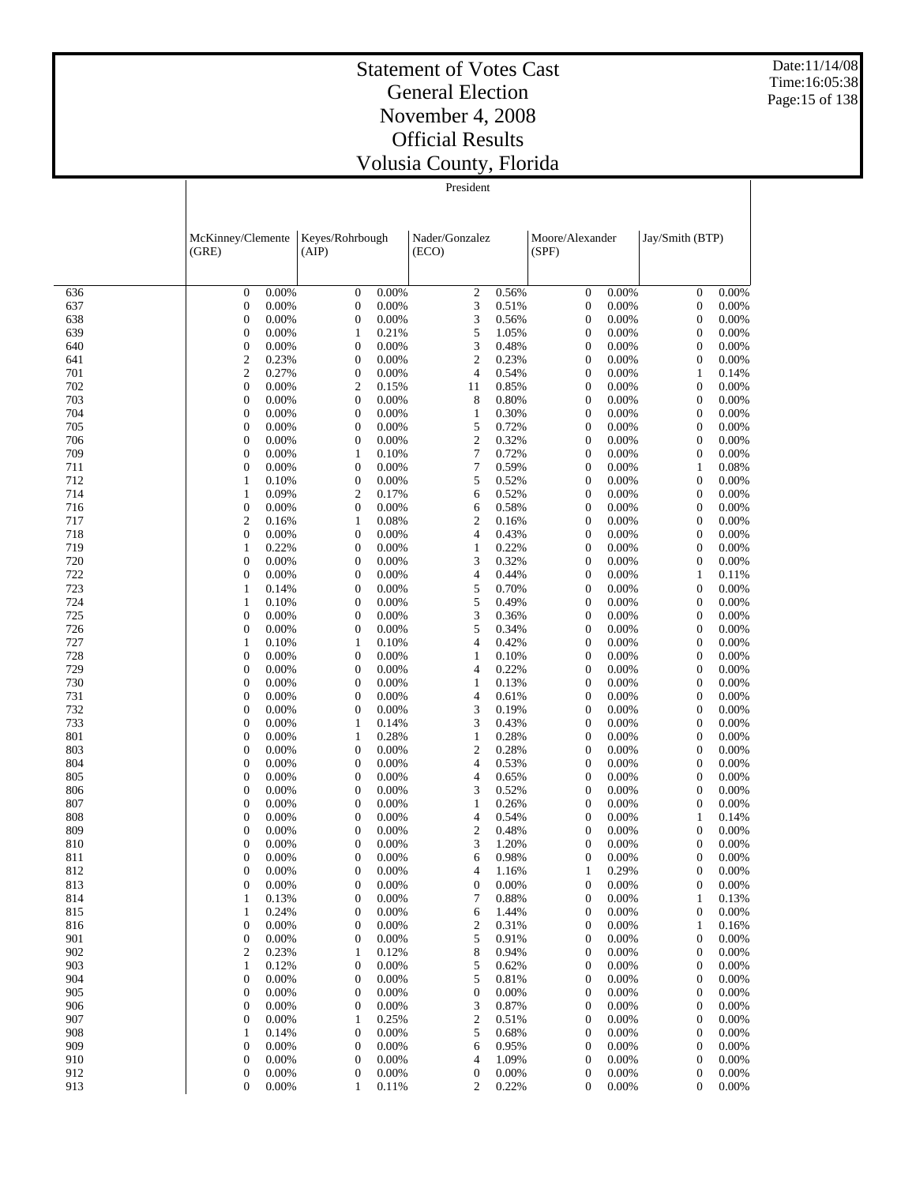Date:11/14/08 Time:16:05:38 Page:15 of 138

#### Statement of Votes Cast General Election November 4, 2008 Official Results Volusia County, Florida

|            | McKinney/Clemente                              | Keyes/Rohrbough                                        | Nader/Gonzalez             | Moore/Alexander                                        | Jay/Smith (BTP)                                    |
|------------|------------------------------------------------|--------------------------------------------------------|----------------------------|--------------------------------------------------------|----------------------------------------------------|
|            | (GRE)                                          | (AIP)                                                  | (ECO)                      | (SPF)                                                  |                                                    |
|            |                                                |                                                        |                            |                                                        |                                                    |
| 636        | $\mathbf{0}$                                   | $\boldsymbol{0}$                                       | $\boldsymbol{2}$           | $\boldsymbol{0}$                                       | $\boldsymbol{0}$                                   |
|            | 0.00%                                          | 0.00%                                                  | 0.56%                      | 0.00%                                                  | 0.00%                                              |
| 637<br>638 | $\mathbf{0}$<br>0.00%<br>0.00%<br>$\mathbf{0}$ | $\boldsymbol{0}$<br>0.00%<br>0.00%                     | 3<br>0.51%<br>3            | $\boldsymbol{0}$<br>0.00%<br>$\boldsymbol{0}$<br>0.00% | $\boldsymbol{0}$<br>0.00%<br>0.00%                 |
| 639        | $\mathbf{0}$<br>0.00%                          | $\boldsymbol{0}$<br>0.21%<br>$\mathbf{1}$              | 0.56%<br>5<br>1.05%        | $\boldsymbol{0}$<br>0.00%                              | $\boldsymbol{0}$<br>0.00%<br>$\boldsymbol{0}$      |
| 640        | $\boldsymbol{0}$                               | 0.00%                                                  | 3                          | $\boldsymbol{0}$                                       | 0.00%                                              |
|            | 0.00%                                          | $\boldsymbol{0}$                                       | 0.48%                      | 0.00%                                                  | $\boldsymbol{0}$                                   |
| 641        | $\mathbf{2}$                                   | 0.00%                                                  | $\mathfrak{2}$             | $\boldsymbol{0}$                                       | 0.00%                                              |
|            | 0.23%                                          | $\boldsymbol{0}$                                       | 0.23%                      | 0.00%                                                  | $\boldsymbol{0}$                                   |
| 701        | $\overline{c}$                                 | 0.00%                                                  | $\overline{\mathbf{4}}$    | $\boldsymbol{0}$                                       | $\mathbf{1}$                                       |
|            | 0.27%                                          | $\boldsymbol{0}$                                       | 0.54%                      | 0.00%                                                  | 0.14%                                              |
| 702        | $\mathbf{0}$                                   | $\mathfrak{2}$                                         | 0.85%                      | $\boldsymbol{0}$                                       | 0.00%                                              |
|            | 0.00%                                          | 0.15%                                                  | 11                         | 0.00%                                                  | $\boldsymbol{0}$                                   |
| 703        | 0.00%                                          | 0.00%                                                  | 8                          | $\boldsymbol{0}$                                       | 0.00%                                              |
|            | $\mathbf{0}$                                   | $\boldsymbol{0}$                                       | 0.80%                      | 0.00%                                                  | $\boldsymbol{0}$                                   |
| 704        | $\mathbf{0}$                                   | 0.00%                                                  | 0.30%                      | $\boldsymbol{0}$                                       | 0.00%                                              |
|            | 0.00%                                          | $\boldsymbol{0}$                                       | $\mathbf{1}$               | 0.00%                                                  | $\boldsymbol{0}$                                   |
| 705        | 0.00%                                          | 0.00%                                                  | 5                          | $\boldsymbol{0}$                                       | 0.00%                                              |
|            | $\mathbf{0}$                                   | $\boldsymbol{0}$                                       | 0.72%                      | 0.00%                                                  | $\boldsymbol{0}$                                   |
| 706        | $\mathbf{0}$                                   | 0.00%                                                  | $\mathfrak{2}$             | $\boldsymbol{0}$                                       | 0.00%                                              |
|            | 0.00%                                          | $\boldsymbol{0}$                                       | 0.32%                      | 0.00%                                                  | $\boldsymbol{0}$                                   |
| 709        | $\mathbf{0}$                                   | $\mathbf{1}$                                           | $\boldsymbol{7}$           | $\boldsymbol{0}$                                       | 0.00%                                              |
|            | 0.00%                                          | 0.10%                                                  | 0.72%                      | 0.00%                                                  | $\boldsymbol{0}$                                   |
| 711        | $\mathbf{0}$                                   | 0.00%                                                  | 7                          | $\boldsymbol{0}$                                       | 0.08%                                              |
|            | 0.00%                                          | $\boldsymbol{0}$                                       | 0.59%                      | 0.00%                                                  | $\mathbf{1}$                                       |
| 712        | $\mathbf{1}$                                   | 0.00%                                                  | 5                          | $\boldsymbol{0}$                                       | 0.00%                                              |
|            | 0.10%                                          | $\boldsymbol{0}$                                       | 0.52%                      | 0.00%                                                  | $\boldsymbol{0}$                                   |
| 714        | 0.09%                                          | $\mathfrak{2}$                                         | 6                          | $\boldsymbol{0}$                                       | $\boldsymbol{0}$                                   |
|            | 1                                              | 0.17%                                                  | 0.52%                      | 0.00%                                                  | 0.00%                                              |
| 716        | $\mathbf{0}$                                   | 0.00%                                                  | 6                          | $\boldsymbol{0}$                                       | 0.00%                                              |
|            | 0.00%                                          | $\boldsymbol{0}$                                       | 0.58%                      | 0.00%                                                  | $\boldsymbol{0}$                                   |
| 717        | $\overline{c}$                                 | 0.08%                                                  | $\mathbf{2}$               | $\boldsymbol{0}$                                       | 0.00%                                              |
|            | 0.16%                                          | $\mathbf{1}$                                           | 0.16%                      | 0.00%                                                  | $\boldsymbol{0}$                                   |
| 718        | $\mathbf{0}$                                   | 0.00%                                                  | 4                          | $\boldsymbol{0}$                                       | 0.00%                                              |
|            | 0.00%                                          | $\boldsymbol{0}$                                       | 0.43%                      | 0.00%                                                  | $\boldsymbol{0}$                                   |
| 719        | 0.22%                                          | 0.00%                                                  | 0.22%                      | $\boldsymbol{0}$                                       | 0.00%                                              |
|            | 1                                              | $\boldsymbol{0}$                                       | $\mathbf{1}$               | 0.00%                                                  | $\boldsymbol{0}$                                   |
| 720<br>722 | $\mathbf{0}$<br>0.00%<br>$\mathbf{0}$<br>0.00% | 0.00%<br>$\boldsymbol{0}$<br>0.00%                     | 3<br>0.32%<br>4<br>0.44%   | $\boldsymbol{0}$<br>0.00%<br>0.00%                     | 0.00%<br>$\boldsymbol{0}$                          |
| 723        | 1<br>0.14%                                     | $\boldsymbol{0}$<br>0.00%<br>$\boldsymbol{0}$          | 5<br>0.70%                 | $\boldsymbol{0}$<br>$\boldsymbol{0}$<br>0.00%          | $\mathbf{1}$<br>0.11%<br>0.00%<br>$\boldsymbol{0}$ |
| 724        | 0.10%                                          | 0.00%                                                  | 5                          | $\boldsymbol{0}$                                       | $\boldsymbol{0}$                                   |
|            | 1                                              | $\boldsymbol{0}$                                       | 0.49%                      | 0.00%                                                  | 0.00%                                              |
| 725        | $\mathbf{0}$                                   | 0.00%                                                  | 3                          | $\boldsymbol{0}$                                       | 0.00%                                              |
|            | 0.00%                                          | $\boldsymbol{0}$                                       | 0.36%                      | 0.00%                                                  | $\boldsymbol{0}$                                   |
| 726        | $\mathbf{0}$                                   | 0.00%                                                  | 5                          | $\boldsymbol{0}$                                       | 0.00%                                              |
|            | 0.00%                                          | $\boldsymbol{0}$                                       | 0.34%                      | 0.00%                                                  | $\boldsymbol{0}$                                   |
| 727        | $\mathbf{1}$                                   | $\mathbf{1}$                                           | 4                          | $\boldsymbol{0}$                                       | 0.00%                                              |
|            | 0.10%                                          | 0.10%                                                  | 0.42%                      | 0.00%                                                  | $\boldsymbol{0}$                                   |
| 728        | $\mathbf{0}$                                   | $\boldsymbol{0}$                                       | 0.10%                      | $\boldsymbol{0}$                                       | $\boldsymbol{0}$                                   |
|            | 0.00%                                          | 0.00%                                                  | $\mathbf{1}$               | 0.00%                                                  | 0.00%                                              |
| 729        | $\mathbf{0}$                                   | 0.00%                                                  | 4                          | $\boldsymbol{0}$                                       | 0.00%                                              |
|            | 0.00%                                          | $\boldsymbol{0}$                                       | 0.22%                      | 0.00%                                                  | $\boldsymbol{0}$                                   |
| 730        | $\mathbf{0}$                                   | 0.00%                                                  | 0.13%                      | $\boldsymbol{0}$                                       | 0.00%                                              |
|            | 0.00%                                          | $\boldsymbol{0}$                                       | $\mathbf{1}$               | 0.00%                                                  | $\boldsymbol{0}$                                   |
| 731        | $\mathbf{0}$                                   | 0.00%                                                  | 4                          | $\boldsymbol{0}$                                       | 0.00%                                              |
|            | 0.00%                                          | $\boldsymbol{0}$                                       | 0.61%                      | 0.00%                                                  | $\boldsymbol{0}$                                   |
| 732        | $\mathbf{0}$                                   | 0.00%                                                  | 3                          | $\boldsymbol{0}$                                       | $\boldsymbol{0}$                                   |
|            | 0.00%                                          | $\boldsymbol{0}$                                       | 0.19%                      | 0.00%                                                  | 0.00%                                              |
| 733        | $\mathbf{0}$                                   | $\mathbf{1}$                                           | 3                          | $\boldsymbol{0}$                                       | 0.00%                                              |
|            | 0.00%                                          | 0.14%                                                  | 0.43%                      | 0.00%                                                  | $\boldsymbol{0}$                                   |
| 801        | $\mathbf{0}$                                   | 0.28%                                                  | $\mathbf{1}$               | $\boldsymbol{0}$                                       | 0.00%                                              |
|            | 0.00%                                          | $\mathbf{1}$                                           | 0.28%                      | 0.00%                                                  | $\boldsymbol{0}$                                   |
| 803        | $\mathbf{0}$                                   | 0.00%                                                  | $\mathbf{2}$               | $\boldsymbol{0}$                                       | 0.00%                                              |
|            | 0.00%                                          | $\boldsymbol{0}$                                       | 0.28%                      | 0.00%                                                  | $\boldsymbol{0}$                                   |
| 804        | $\mathbf{0}$                                   | 0.00%                                                  | 4                          | $\boldsymbol{0}$                                       | 0.00%                                              |
|            | 0.00%                                          | $\boldsymbol{0}$                                       | 0.53%                      | 0.00%                                                  | $\boldsymbol{0}$                                   |
| 805        | $\mathbf{0}$                                   | 0.00%                                                  | 4                          | $\boldsymbol{0}$                                       | 0.00%                                              |
|            | 0.00%                                          | $\boldsymbol{0}$                                       | 0.65%                      | 0.00%                                                  | $\boldsymbol{0}$                                   |
| 806        | $\mathbf{0}$<br>0.00%<br>$\mathbf{0}$          | 0.00%<br>$\boldsymbol{0}$<br>0.00%                     | 3<br>0.52%<br>0.26%        | $\boldsymbol{0}$<br>0.00%                              | 0.00%<br>$\boldsymbol{0}$<br>0.00%                 |
| 807<br>808 | 0.00%<br>$\mathbf{0}$<br>0.00%                 | $\boldsymbol{0}$<br>0.00%<br>$\boldsymbol{0}$          | $\mathbf{1}$<br>4<br>0.54% | $\boldsymbol{0}$<br>0.00%<br>$\boldsymbol{0}$<br>0.00% | $\boldsymbol{0}$<br>$\mathbf{1}$<br>0.14%          |
| 809        | $\mathbf{0}$                                   | 0.00%                                                  | $\mathfrak{2}$             | $\boldsymbol{0}$                                       | 0.00%                                              |
|            | 0.00%                                          | $\boldsymbol{0}$                                       | 0.48%                      | 0.00%                                                  | $\boldsymbol{0}$                                   |
| 810        | 0.00%                                          | 0.00%                                                  | 3                          | $\boldsymbol{0}$                                       | 0                                                  |
|            | $\mathbf{0}$                                   | $\boldsymbol{0}$                                       | 1.20%                      | 0.00%                                                  | 0.00%                                              |
| 811        | $\mathbf{0}$                                   | $\boldsymbol{0}$                                       | 6                          | $\boldsymbol{0}$                                       | 0                                                  |
|            | 0.00%                                          | 0.00%                                                  | 0.98%                      | 0.00%                                                  | 0.00%                                              |
| 812        | $\overline{0}$                                 | 0                                                      | $\overline{4}$             | $\mathbf{1}$                                           | $\overline{0}$                                     |
|            | 0.00%                                          | 0.00%                                                  | 1.16%                      | 0.29%                                                  | 0.00%                                              |
| 813        | $\theta$                                       | $\theta$                                               | $\theta$                   | $\theta$                                               | $\theta$                                           |
|            | $0.00\%$                                       | $0.00\%$                                               | $0.00\%$                   | $0.00\%$                                               | $0.00\%$                                           |
| 814        | $\mathbf{1}$                                   | $\boldsymbol{0}$                                       | 7                          | $\boldsymbol{0}$                                       | $\mathbf{1}$                                       |
|            | 0.13%                                          | 0.00%                                                  | 0.88%                      | 0.00%                                                  | 0.13%                                              |
| 815        | 0.24%                                          | 0.00%                                                  | 6                          | $\boldsymbol{0}$                                       | 0.00%                                              |
|            | $\mathbf{1}$                                   | $\boldsymbol{0}$                                       | 1.44%                      | 0.00%                                                  | $\boldsymbol{0}$                                   |
| 816        | $\mathbf{0}$                                   | $\boldsymbol{0}$                                       | $\mathfrak{2}$             | $\boldsymbol{0}$                                       | $\mathbf{1}$                                       |
|            | 0.00%                                          | 0.00%                                                  | 0.31%                      | 0.00%                                                  | 0.16%                                              |
| 901        | $\boldsymbol{0}$                               | $\boldsymbol{0}$                                       | 5                          | $\boldsymbol{0}$                                       | $\boldsymbol{0}$                                   |
|            | 0.00%                                          | 0.00%                                                  | 0.91%                      | 0.00%                                                  | 0.00%                                              |
| 902        | $\mathbf{2}$                                   | $\mathbf{1}$                                           | 8                          | $\boldsymbol{0}$                                       | $\boldsymbol{0}$                                   |
|            | 0.23%                                          | 0.12%                                                  | 0.94%                      | 0.00%                                                  | 0.00%                                              |
| 903        | $\mathbf{1}$                                   | $\boldsymbol{0}$                                       | 5                          | $\boldsymbol{0}$                                       | $\boldsymbol{0}$                                   |
|            | 0.12%                                          | 0.00%                                                  | 0.62%                      | 0.00%                                                  | 0.00%                                              |
| 904        | $\boldsymbol{0}$                               | $\boldsymbol{0}$                                       | 5                          | $\boldsymbol{0}$                                       | $\boldsymbol{0}$                                   |
|            | 0.00%                                          | 0.00%                                                  | 0.81%                      | 0.00%                                                  | 0.00%                                              |
| 905        | $\mathbf{0}$                                   | $\boldsymbol{0}$                                       | $\boldsymbol{0}$           | $\boldsymbol{0}$                                       | 0.00%                                              |
|            | 0.00%                                          | 0.00%                                                  | 0.00%                      | 0.00%                                                  | 0                                                  |
| 906        | $\boldsymbol{0}$                               | $\boldsymbol{0}$                                       | 3                          | $\boldsymbol{0}$                                       | $\boldsymbol{0}$                                   |
|            | 0.00%                                          | 0.00%                                                  | 0.87%                      | 0.00%                                                  | 0.00%                                              |
| 907        | $\mathbf{0}$                                   | $\mathbf{1}$                                           | $\boldsymbol{2}$           | $\boldsymbol{0}$                                       | $\boldsymbol{0}$                                   |
|            | 0.00%                                          | 0.25%                                                  | 0.51%                      | 0.00%                                                  | 0.00%                                              |
| 908        | 1                                              | 0.00%                                                  | 5                          | $\boldsymbol{0}$                                       | $\boldsymbol{0}$                                   |
|            | 0.14%                                          | $\boldsymbol{0}$                                       | 0.68%                      | 0.00%                                                  | 0.00%                                              |
| 909<br>910 | $\mathbf{0}$<br>0.00%<br>$\mathbf{0}$<br>0.00% | $\boldsymbol{0}$<br>0.00%<br>$\boldsymbol{0}$<br>0.00% | 6<br>0.95%<br>4<br>1.09%   | $\boldsymbol{0}$<br>0.00%<br>$\boldsymbol{0}$<br>0.00% | 0.00%<br>0<br>$\mathbf{0}$<br>0.00%                |
| 912        | $\boldsymbol{0}$                               | $\boldsymbol{0}$                                       | $\boldsymbol{0}$           | $\boldsymbol{0}$                                       | $\mathbf{0}$                                       |
|            | 0.00%                                          | 0.00%                                                  | 0.00%                      | 0.00%                                                  | 0.00%                                              |
| 913        | $\boldsymbol{0}$                               | 1                                                      | 2                          | $\boldsymbol{0}$                                       | $0.00\%$                                           |
|            | 0.00%                                          | 0.11%                                                  | 0.22%                      | 0.00%                                                  | 0                                                  |
|            |                                                |                                                        |                            |                                                        |                                                    |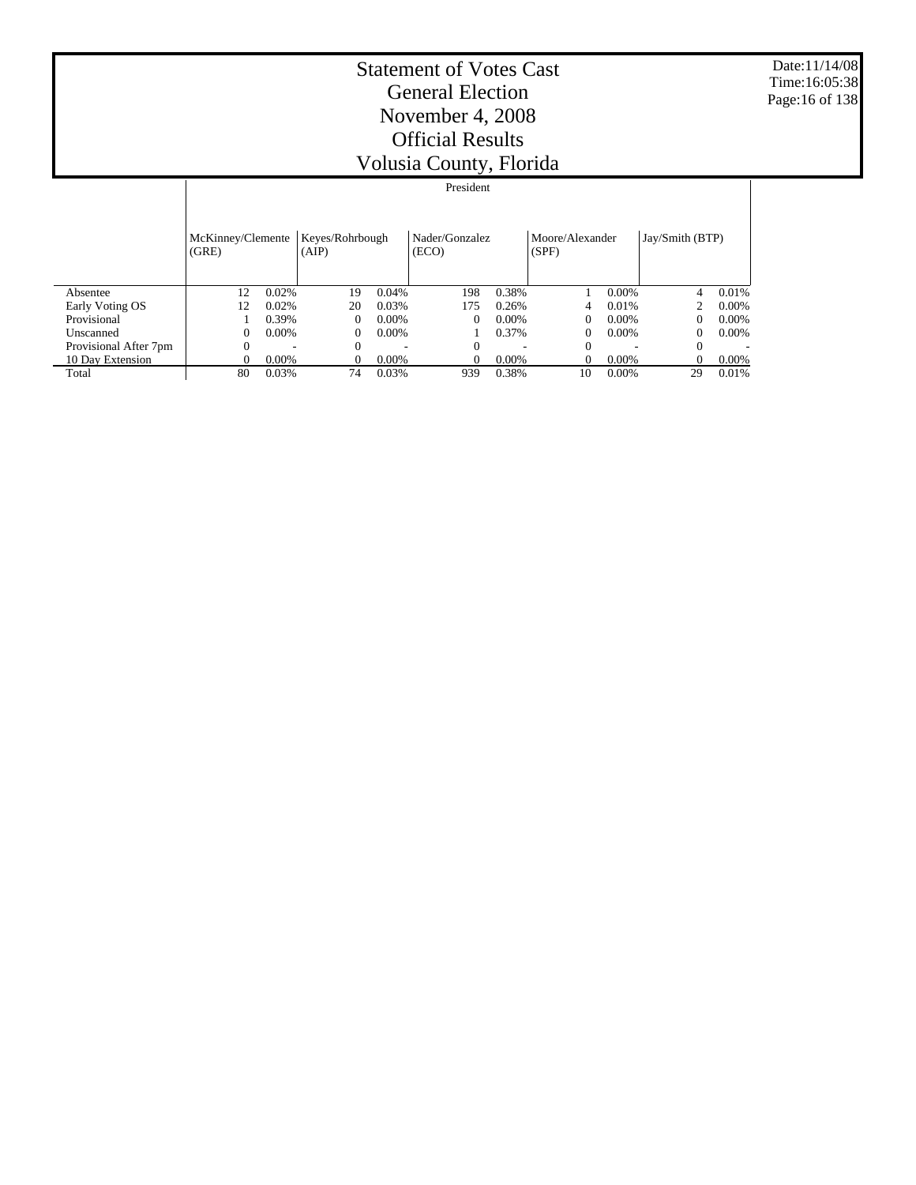Date:11/14/08 Time:16:05:38 Page:16 of 138

|                       |                            | President |                          |          |                         |          |                          |          |                 |          |  |  |
|-----------------------|----------------------------|-----------|--------------------------|----------|-------------------------|----------|--------------------------|----------|-----------------|----------|--|--|
|                       | McKinney/Clemente<br>(GRE) |           | Keyes/Rohrbough<br>(AIP) |          | Nader/Gonzalez<br>(ECO) |          | Moore/Alexander<br>(SPF) |          | Jay/Smith (BTP) |          |  |  |
| Absentee              | 12                         | 0.02%     | 19                       | 0.04%    | 198                     | 0.38%    |                          | $0.00\%$ | 4               | 0.01%    |  |  |
| Early Voting OS       | 12                         | 0.02%     | 20                       | 0.03%    | 175                     | 0.26%    | 4                        | 0.01%    |                 | 0.00%    |  |  |
| Provisional           |                            | 0.39%     | 0                        | $0.00\%$ | $\Omega$                | $0.00\%$ | $\Omega$                 | $0.00\%$ |                 | $0.00\%$ |  |  |
| Unscanned             | 0                          | $0.00\%$  | 0                        | $0.00\%$ |                         | 0.37%    | $\Omega$                 | $0.00\%$ |                 | $0.00\%$ |  |  |
| Provisional After 7pm | 0                          |           | 0                        |          | $\Omega$                |          | $\Omega$                 |          | $\Omega$        |          |  |  |
| 10 Day Extension      | 0                          | $0.00\%$  |                          | $0.00\%$ | $\Omega$                | $0.00\%$ | $\Omega$                 | $0.00\%$ |                 | $0.00\%$ |  |  |
| Total                 | 80                         | 0.03%     | 74                       | 0.03%    | 939                     | 0.38%    | 10                       | 0.00%    | 29              | 0.01%    |  |  |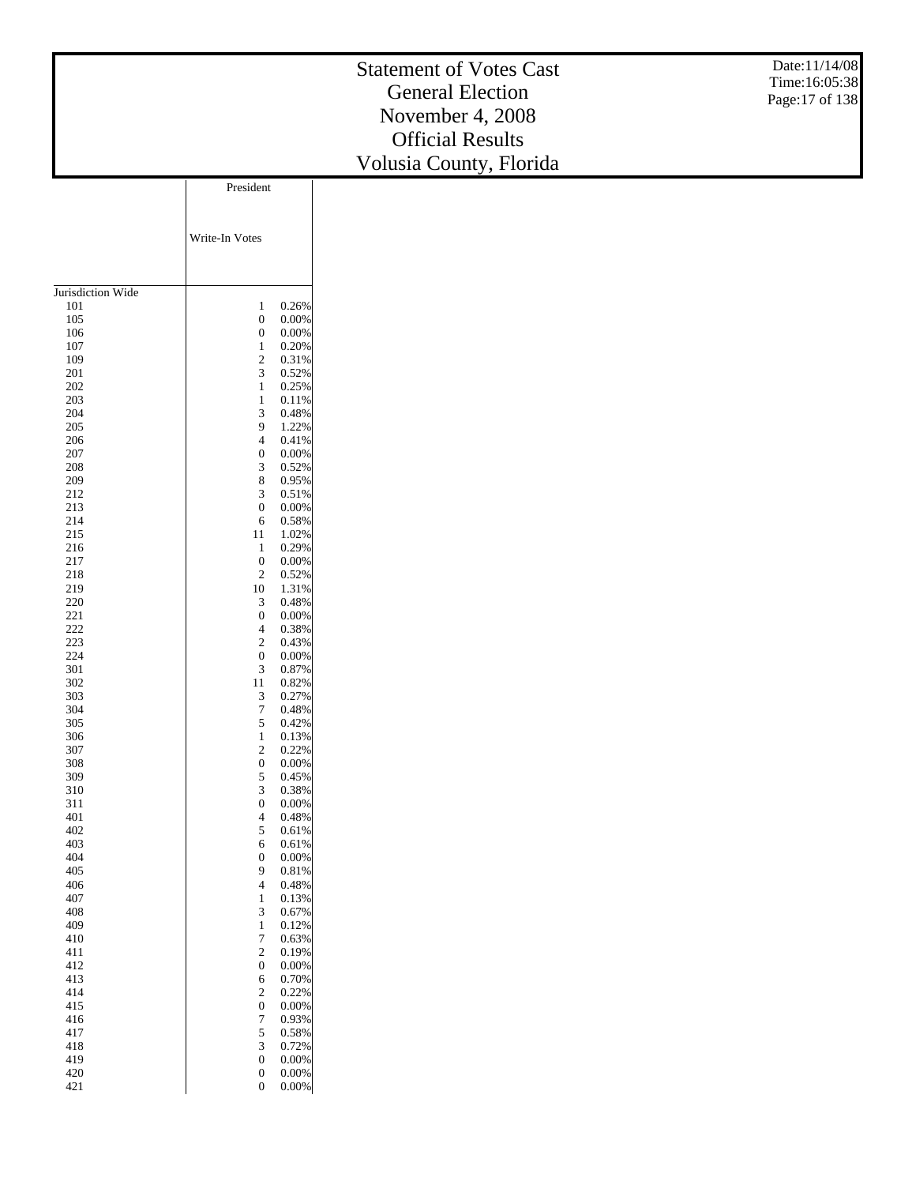#### Statement of Votes Cast General Election November 4, 2008 Official Results Volusia Count y, Florida

Date:11/14/08 Time:16:05:38 Page:17 of 138

|                   | President                                       |       |
|-------------------|-------------------------------------------------|-------|
|                   |                                                 |       |
|                   |                                                 |       |
|                   | Write-In Votes                                  |       |
|                   |                                                 |       |
|                   |                                                 |       |
|                   |                                                 |       |
| Jurisdiction Wide |                                                 |       |
| 101               | $\mathbf{1}$                                    | 0.26% |
| 105               | $\boldsymbol{0}$                                | 0.00% |
| 106               | $\boldsymbol{0}$                                | 0.00% |
| 107               | $\mathbf{1}$                                    | 0.20% |
| 109               | $\sqrt{2}$                                      | 0.31% |
| $201\,$           | $\ensuremath{\mathfrak{Z}}$                     | 0.52% |
| $202\,$           | $\mathbf{1}$                                    | 0.25% |
| 203               | $\mathbf{1}$                                    | 0.11% |
| 204               | $\mathfrak z$                                   | 0.48% |
| 205               | 9                                               | 1.22% |
| 206               | $\overline{4}$                                  | 0.41% |
| $207\,$           | $\boldsymbol{0}$                                | 0.00% |
| $208\,$           | $\ensuremath{\mathfrak{Z}}$                     | 0.52% |
| 209               | $\,8\,$                                         | 0.95% |
| 212               | $\ensuremath{\mathfrak{Z}}$                     | 0.51% |
| 213               | $\boldsymbol{0}$                                | 0.00% |
| 214               | 6                                               | 0.58% |
| 215               | 11                                              | 1.02% |
| 216               | $\mathbf{1}$                                    | 0.29% |
| 217               | $\boldsymbol{0}$                                | 0.00% |
| 218               | $\sqrt{2}$                                      | 0.52% |
| 219               | $10\,$                                          | 1.31% |
| 220               | $\ensuremath{\mathfrak{Z}}$                     | 0.48% |
| 221               | $\boldsymbol{0}$                                | 0.00% |
| 222               | $\overline{4}$                                  | 0.38% |
| 223               | $\sqrt{2}$                                      | 0.43% |
| 224               | $\boldsymbol{0}$                                | 0.00% |
| 301               | $\ensuremath{\mathfrak{Z}}$                     | 0.87% |
| 302               | 11                                              | 0.82% |
| 303               |                                                 |       |
| 304               | $\ensuremath{\mathfrak{Z}}$<br>$\boldsymbol{7}$ | 0.27% |
|                   |                                                 | 0.48% |
| 305               | $\sqrt{5}$                                      | 0.42% |
| 306               | $\mathbf{1}$                                    | 0.13% |
| 307               | $\sqrt{2}$                                      | 0.22% |
| 308               | $\boldsymbol{0}$                                | 0.00% |
| 309               | $\sqrt{5}$                                      | 0.45% |
| 310               | $\mathfrak z$                                   | 0.38% |
| 311               | $\boldsymbol{0}$                                | 0.00% |
| 401               | $\overline{4}$                                  | 0.48% |
| 402               | $\sqrt{5}$                                      | 0.61% |
| 403               | 6                                               | 0.61% |
| 404               | $\boldsymbol{0}$                                | 0.00% |
| 405               | 9                                               | 0.81% |
| 406               | $\overline{\mathbf{4}}$                         | 0.48% |
| 407               | $\mathbf{1}$                                    | 0.13% |
| 408               | $\mathfrak{Z}$                                  | 0.67% |
| 409               | $1\,$                                           | 0.12% |
| $410\,$           | $\boldsymbol{7}$                                | 0.63% |
| 411               | $\sqrt{2}$                                      | 0.19% |
| 412               | $\boldsymbol{0}$                                | 0.00% |
| 413               | $\sqrt{6}$                                      | 0.70% |
| 414               | $\sqrt{2}$                                      | 0.22% |
| 415               | $\boldsymbol{0}$                                | 0.00% |
| 416               | $\boldsymbol{7}$                                | 0.93% |
| 417               | 5                                               | 0.58% |
| 418               | $\mathfrak{Z}$                                  | 0.72% |
| 419               | $\boldsymbol{0}$                                | 0.00% |
| $420\,$           | $\boldsymbol{0}$                                | 0.00% |
| 421               | $\mathbf{0}$                                    | 0.00% |
|                   |                                                 |       |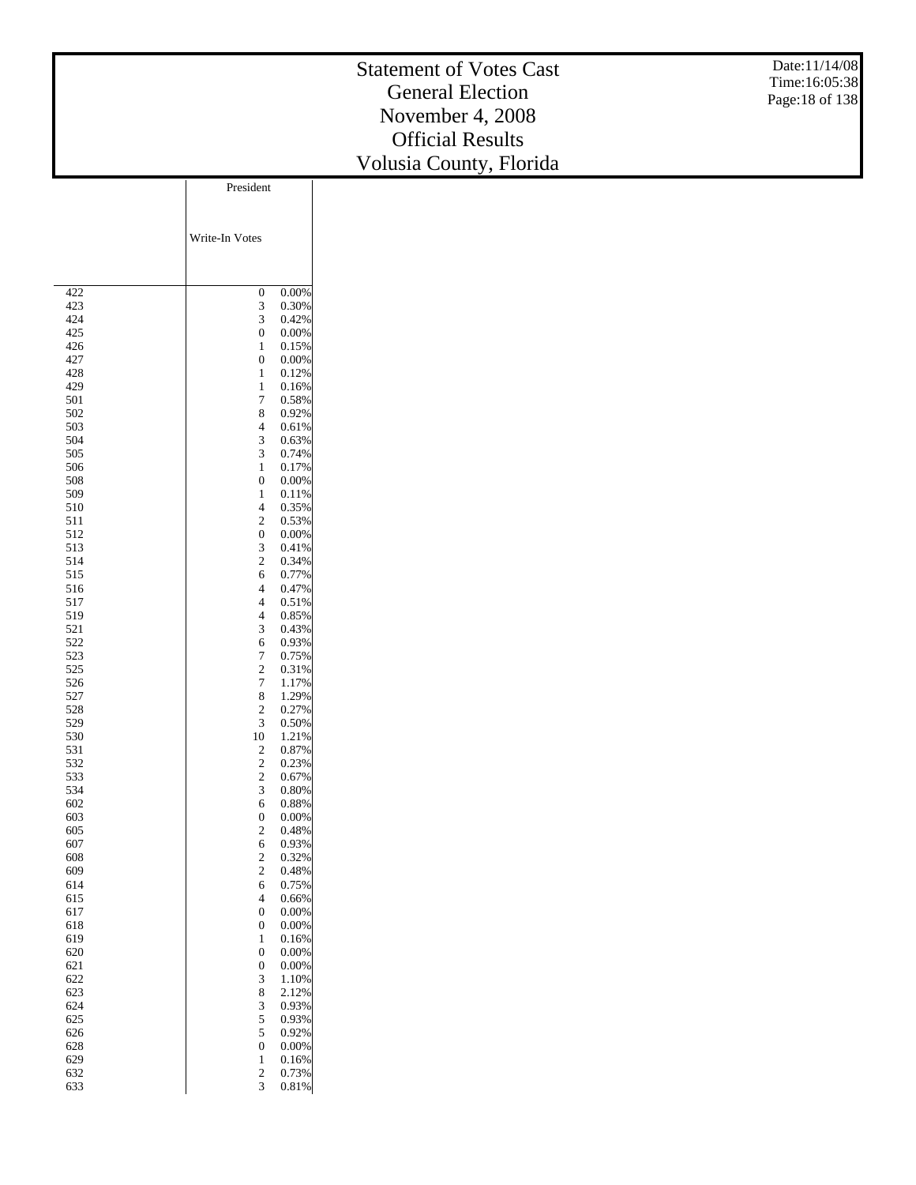#### Statement of Votes Cast General Election November 4, 2008 Official Results Volusia Count y, Florida Date:11/14/08 Time:16:05:38 Page:18 of 138 President

|            | Write-In Votes                   |                |
|------------|----------------------------------|----------------|
|            |                                  |                |
|            |                                  |                |
| 422        | $\boldsymbol{0}$                 | 0.00%          |
| 423        | 3                                | 0.30%          |
| 424        | 3                                | 0.42%          |
| 425<br>426 | 0<br>1                           | 0.00%<br>0.15% |
| 427        | $\overline{0}$                   | 0.00%          |
| 428        | 1                                | 0.12%          |
| 429        | 1                                | 0.16%          |
| 501        | 7                                | 0.58%          |
| 502        | 8                                | 0.92%          |
| 503        | 4                                | 0.61%          |
| 504        | 3                                | 0.63%          |
| 505        | 3                                | 0.74%          |
| 506        | 1                                | 0.17%          |
| 508        | $\overline{0}$<br>1              | 0.00%          |
| 509<br>510 | 4                                | 0.11%<br>0.35% |
| 511        | $\overline{c}$                   | 0.53%          |
| 512        | 0                                | 0.00%          |
| 513        | 3                                | 0.41%          |
| 514        | $\overline{c}$                   | 0.34%          |
| 515        | 6                                | 0.77%          |
| 516        | 4                                | 0.47%          |
| 517        | $\overline{4}$                   | 0.51%          |
| 519        | 4                                | 0.85%          |
| 521        | 3                                | 0.43%          |
| 522        | 6                                | 0.93%          |
| 523        | $\overline{7}$                   | 0.75%          |
| 525        | $\overline{c}$                   | 0.31%          |
| 526<br>527 | 7<br>8                           | 1.17%<br>1.29% |
| 528        | $\overline{c}$                   | 0.27%          |
| 529        | 3                                | 0.50%          |
| 530        | 10                               | 1.21%          |
| 531        | $\overline{\mathbf{c}}$          | 0.87%          |
| 532        | $\overline{\mathbf{c}}$          | 0.23%          |
| 533        | $\overline{c}$                   | 0.67%          |
| 534        | 3                                | 0.80%          |
| 602        | 6                                | 0.88%          |
| 603        | 0                                | 0.00%          |
| 605        | $\overline{c}$                   | 0.48%          |
| 607        | 6                                | 0.93%          |
| 608<br>609 | $\overline{c}$<br>$\overline{c}$ | 0.32%<br>0.48% |
| 614        | 6                                | 0.75%          |
| 615        | 4                                | 0.66%          |
| 617        | 0                                | 0.00%          |
| 618        | $\overline{0}$                   | 0.00%          |
| 619        | 1                                | 0.16%          |
| 620        | 0                                | 0.00%          |
| 621        | $\boldsymbol{0}$                 | 0.00%          |
| 622        | 3                                | 1.10%          |
| 623        | 8                                | 2.12%          |
| 624        | 3                                | 0.93%          |
| 625        | 5                                | 0.93%          |
| 626        | 5                                | 0.92%          |
| 628<br>629 | $\boldsymbol{0}$                 | 0.00%          |
| 632        | 1<br>$\overline{\mathbf{c}}$     | 0.16%<br>0.73% |
| 633        | 3                                | 0.81%          |
|            |                                  |                |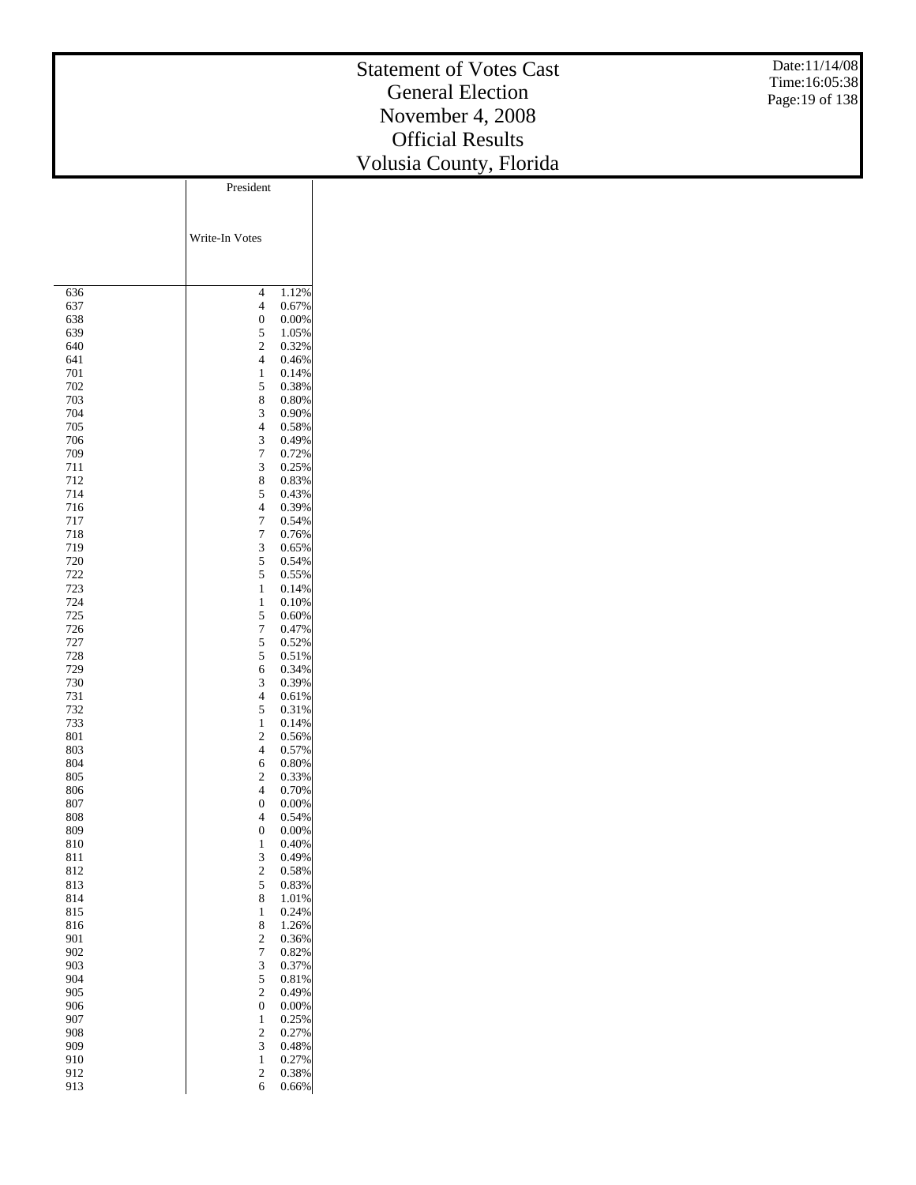#### Statement of Votes Cast General Election November 4, 2008 Official Results Volusia Count y, Florida Date:11/14/08 Time:16:05:38 Page:19 of 138 Write-In Votes President

| 4<br>636<br>1.12%<br>4<br>637<br>0.67%<br>0<br>638<br>0.00%<br>5<br>639<br>1.05%<br>$\overline{c}$<br>640<br>0.32%<br>4<br>641<br>0.46%<br>1<br>701<br>0.14%<br>5<br>702<br>0.38%<br>8<br>703<br>0.80%<br>3<br>704<br>0.90%<br>4<br>705<br>0.58%<br>3<br>706<br>0.49%<br>7<br>709<br>0.72%<br>3<br>711<br>0.25%<br>8<br>712<br>0.83%<br>5<br>714<br>0.43%<br>4<br>0.39%<br>716<br>7<br>717<br>0.54%<br>7<br>718<br>0.76%<br>3<br>719<br>0.65%<br>5<br>720<br>0.54%<br>722<br>5<br>0.55%<br>723<br>1<br>0.14%<br>724<br>1<br>0.10%<br>725<br>5<br>0.60%<br>726<br>7<br>0.47%<br>5<br>727<br>0.52%<br>728<br>5<br>0.51%<br>0.34%<br>729<br>6<br>730<br>3<br>0.39%<br>4<br>731<br>0.61%<br>5<br>732<br>0.31%<br>1<br>733<br>0.14%<br>$\overline{c}$<br>801<br>0.56%<br>4<br>0.57%<br>803<br>804<br>6<br>0.80%<br>$\overline{c}$<br>0.33%<br>805<br>4<br>806<br>0.70%<br>0<br>0.00%<br>807<br>4<br>808<br>0.54%<br>0<br>809<br>0.00%<br>810<br>1<br>0.40%<br>3<br>811<br>0.49%<br>$\overline{c}$<br>812<br>0.58%<br>5<br>813<br>0.83%<br>8<br>814<br>1.01%<br>815<br>1<br>0.24%<br>8<br>1.26%<br>816<br>0.36%<br>901<br>$\overline{\mathbf{c}}$<br>7<br>0.82%<br>902<br>3<br>0.37%<br>903<br>5<br>904<br>0.81%<br>$\overline{c}$<br>905<br>0.49%<br>$\boldsymbol{0}$<br>906<br>0.00%<br>$\mathbf{1}$<br>0.25%<br>907<br>$\overline{\mathbf{c}}$<br>0.27%<br>908<br>3<br>909<br>0.48%<br>0.27%<br>910<br>1<br>$\overline{\mathbf{c}}$<br>0.38%<br>912<br>913<br>6<br>0.66% |  |  |
|-----------------------------------------------------------------------------------------------------------------------------------------------------------------------------------------------------------------------------------------------------------------------------------------------------------------------------------------------------------------------------------------------------------------------------------------------------------------------------------------------------------------------------------------------------------------------------------------------------------------------------------------------------------------------------------------------------------------------------------------------------------------------------------------------------------------------------------------------------------------------------------------------------------------------------------------------------------------------------------------------------------------------------------------------------------------------------------------------------------------------------------------------------------------------------------------------------------------------------------------------------------------------------------------------------------------------------------------------------------------------------------------------------------------------------------------------------------------------|--|--|
|                                                                                                                                                                                                                                                                                                                                                                                                                                                                                                                                                                                                                                                                                                                                                                                                                                                                                                                                                                                                                                                                                                                                                                                                                                                                                                                                                                                                                                                                       |  |  |
|                                                                                                                                                                                                                                                                                                                                                                                                                                                                                                                                                                                                                                                                                                                                                                                                                                                                                                                                                                                                                                                                                                                                                                                                                                                                                                                                                                                                                                                                       |  |  |
|                                                                                                                                                                                                                                                                                                                                                                                                                                                                                                                                                                                                                                                                                                                                                                                                                                                                                                                                                                                                                                                                                                                                                                                                                                                                                                                                                                                                                                                                       |  |  |
|                                                                                                                                                                                                                                                                                                                                                                                                                                                                                                                                                                                                                                                                                                                                                                                                                                                                                                                                                                                                                                                                                                                                                                                                                                                                                                                                                                                                                                                                       |  |  |
|                                                                                                                                                                                                                                                                                                                                                                                                                                                                                                                                                                                                                                                                                                                                                                                                                                                                                                                                                                                                                                                                                                                                                                                                                                                                                                                                                                                                                                                                       |  |  |
|                                                                                                                                                                                                                                                                                                                                                                                                                                                                                                                                                                                                                                                                                                                                                                                                                                                                                                                                                                                                                                                                                                                                                                                                                                                                                                                                                                                                                                                                       |  |  |
|                                                                                                                                                                                                                                                                                                                                                                                                                                                                                                                                                                                                                                                                                                                                                                                                                                                                                                                                                                                                                                                                                                                                                                                                                                                                                                                                                                                                                                                                       |  |  |
|                                                                                                                                                                                                                                                                                                                                                                                                                                                                                                                                                                                                                                                                                                                                                                                                                                                                                                                                                                                                                                                                                                                                                                                                                                                                                                                                                                                                                                                                       |  |  |
|                                                                                                                                                                                                                                                                                                                                                                                                                                                                                                                                                                                                                                                                                                                                                                                                                                                                                                                                                                                                                                                                                                                                                                                                                                                                                                                                                                                                                                                                       |  |  |
|                                                                                                                                                                                                                                                                                                                                                                                                                                                                                                                                                                                                                                                                                                                                                                                                                                                                                                                                                                                                                                                                                                                                                                                                                                                                                                                                                                                                                                                                       |  |  |
|                                                                                                                                                                                                                                                                                                                                                                                                                                                                                                                                                                                                                                                                                                                                                                                                                                                                                                                                                                                                                                                                                                                                                                                                                                                                                                                                                                                                                                                                       |  |  |
|                                                                                                                                                                                                                                                                                                                                                                                                                                                                                                                                                                                                                                                                                                                                                                                                                                                                                                                                                                                                                                                                                                                                                                                                                                                                                                                                                                                                                                                                       |  |  |
|                                                                                                                                                                                                                                                                                                                                                                                                                                                                                                                                                                                                                                                                                                                                                                                                                                                                                                                                                                                                                                                                                                                                                                                                                                                                                                                                                                                                                                                                       |  |  |
|                                                                                                                                                                                                                                                                                                                                                                                                                                                                                                                                                                                                                                                                                                                                                                                                                                                                                                                                                                                                                                                                                                                                                                                                                                                                                                                                                                                                                                                                       |  |  |
|                                                                                                                                                                                                                                                                                                                                                                                                                                                                                                                                                                                                                                                                                                                                                                                                                                                                                                                                                                                                                                                                                                                                                                                                                                                                                                                                                                                                                                                                       |  |  |
|                                                                                                                                                                                                                                                                                                                                                                                                                                                                                                                                                                                                                                                                                                                                                                                                                                                                                                                                                                                                                                                                                                                                                                                                                                                                                                                                                                                                                                                                       |  |  |
|                                                                                                                                                                                                                                                                                                                                                                                                                                                                                                                                                                                                                                                                                                                                                                                                                                                                                                                                                                                                                                                                                                                                                                                                                                                                                                                                                                                                                                                                       |  |  |
|                                                                                                                                                                                                                                                                                                                                                                                                                                                                                                                                                                                                                                                                                                                                                                                                                                                                                                                                                                                                                                                                                                                                                                                                                                                                                                                                                                                                                                                                       |  |  |
|                                                                                                                                                                                                                                                                                                                                                                                                                                                                                                                                                                                                                                                                                                                                                                                                                                                                                                                                                                                                                                                                                                                                                                                                                                                                                                                                                                                                                                                                       |  |  |
|                                                                                                                                                                                                                                                                                                                                                                                                                                                                                                                                                                                                                                                                                                                                                                                                                                                                                                                                                                                                                                                                                                                                                                                                                                                                                                                                                                                                                                                                       |  |  |
|                                                                                                                                                                                                                                                                                                                                                                                                                                                                                                                                                                                                                                                                                                                                                                                                                                                                                                                                                                                                                                                                                                                                                                                                                                                                                                                                                                                                                                                                       |  |  |
|                                                                                                                                                                                                                                                                                                                                                                                                                                                                                                                                                                                                                                                                                                                                                                                                                                                                                                                                                                                                                                                                                                                                                                                                                                                                                                                                                                                                                                                                       |  |  |
|                                                                                                                                                                                                                                                                                                                                                                                                                                                                                                                                                                                                                                                                                                                                                                                                                                                                                                                                                                                                                                                                                                                                                                                                                                                                                                                                                                                                                                                                       |  |  |
|                                                                                                                                                                                                                                                                                                                                                                                                                                                                                                                                                                                                                                                                                                                                                                                                                                                                                                                                                                                                                                                                                                                                                                                                                                                                                                                                                                                                                                                                       |  |  |
|                                                                                                                                                                                                                                                                                                                                                                                                                                                                                                                                                                                                                                                                                                                                                                                                                                                                                                                                                                                                                                                                                                                                                                                                                                                                                                                                                                                                                                                                       |  |  |
|                                                                                                                                                                                                                                                                                                                                                                                                                                                                                                                                                                                                                                                                                                                                                                                                                                                                                                                                                                                                                                                                                                                                                                                                                                                                                                                                                                                                                                                                       |  |  |
|                                                                                                                                                                                                                                                                                                                                                                                                                                                                                                                                                                                                                                                                                                                                                                                                                                                                                                                                                                                                                                                                                                                                                                                                                                                                                                                                                                                                                                                                       |  |  |
|                                                                                                                                                                                                                                                                                                                                                                                                                                                                                                                                                                                                                                                                                                                                                                                                                                                                                                                                                                                                                                                                                                                                                                                                                                                                                                                                                                                                                                                                       |  |  |
|                                                                                                                                                                                                                                                                                                                                                                                                                                                                                                                                                                                                                                                                                                                                                                                                                                                                                                                                                                                                                                                                                                                                                                                                                                                                                                                                                                                                                                                                       |  |  |
|                                                                                                                                                                                                                                                                                                                                                                                                                                                                                                                                                                                                                                                                                                                                                                                                                                                                                                                                                                                                                                                                                                                                                                                                                                                                                                                                                                                                                                                                       |  |  |
|                                                                                                                                                                                                                                                                                                                                                                                                                                                                                                                                                                                                                                                                                                                                                                                                                                                                                                                                                                                                                                                                                                                                                                                                                                                                                                                                                                                                                                                                       |  |  |
|                                                                                                                                                                                                                                                                                                                                                                                                                                                                                                                                                                                                                                                                                                                                                                                                                                                                                                                                                                                                                                                                                                                                                                                                                                                                                                                                                                                                                                                                       |  |  |
|                                                                                                                                                                                                                                                                                                                                                                                                                                                                                                                                                                                                                                                                                                                                                                                                                                                                                                                                                                                                                                                                                                                                                                                                                                                                                                                                                                                                                                                                       |  |  |
|                                                                                                                                                                                                                                                                                                                                                                                                                                                                                                                                                                                                                                                                                                                                                                                                                                                                                                                                                                                                                                                                                                                                                                                                                                                                                                                                                                                                                                                                       |  |  |
|                                                                                                                                                                                                                                                                                                                                                                                                                                                                                                                                                                                                                                                                                                                                                                                                                                                                                                                                                                                                                                                                                                                                                                                                                                                                                                                                                                                                                                                                       |  |  |
|                                                                                                                                                                                                                                                                                                                                                                                                                                                                                                                                                                                                                                                                                                                                                                                                                                                                                                                                                                                                                                                                                                                                                                                                                                                                                                                                                                                                                                                                       |  |  |
|                                                                                                                                                                                                                                                                                                                                                                                                                                                                                                                                                                                                                                                                                                                                                                                                                                                                                                                                                                                                                                                                                                                                                                                                                                                                                                                                                                                                                                                                       |  |  |
|                                                                                                                                                                                                                                                                                                                                                                                                                                                                                                                                                                                                                                                                                                                                                                                                                                                                                                                                                                                                                                                                                                                                                                                                                                                                                                                                                                                                                                                                       |  |  |
|                                                                                                                                                                                                                                                                                                                                                                                                                                                                                                                                                                                                                                                                                                                                                                                                                                                                                                                                                                                                                                                                                                                                                                                                                                                                                                                                                                                                                                                                       |  |  |
|                                                                                                                                                                                                                                                                                                                                                                                                                                                                                                                                                                                                                                                                                                                                                                                                                                                                                                                                                                                                                                                                                                                                                                                                                                                                                                                                                                                                                                                                       |  |  |
|                                                                                                                                                                                                                                                                                                                                                                                                                                                                                                                                                                                                                                                                                                                                                                                                                                                                                                                                                                                                                                                                                                                                                                                                                                                                                                                                                                                                                                                                       |  |  |
|                                                                                                                                                                                                                                                                                                                                                                                                                                                                                                                                                                                                                                                                                                                                                                                                                                                                                                                                                                                                                                                                                                                                                                                                                                                                                                                                                                                                                                                                       |  |  |
|                                                                                                                                                                                                                                                                                                                                                                                                                                                                                                                                                                                                                                                                                                                                                                                                                                                                                                                                                                                                                                                                                                                                                                                                                                                                                                                                                                                                                                                                       |  |  |
|                                                                                                                                                                                                                                                                                                                                                                                                                                                                                                                                                                                                                                                                                                                                                                                                                                                                                                                                                                                                                                                                                                                                                                                                                                                                                                                                                                                                                                                                       |  |  |
|                                                                                                                                                                                                                                                                                                                                                                                                                                                                                                                                                                                                                                                                                                                                                                                                                                                                                                                                                                                                                                                                                                                                                                                                                                                                                                                                                                                                                                                                       |  |  |
|                                                                                                                                                                                                                                                                                                                                                                                                                                                                                                                                                                                                                                                                                                                                                                                                                                                                                                                                                                                                                                                                                                                                                                                                                                                                                                                                                                                                                                                                       |  |  |
|                                                                                                                                                                                                                                                                                                                                                                                                                                                                                                                                                                                                                                                                                                                                                                                                                                                                                                                                                                                                                                                                                                                                                                                                                                                                                                                                                                                                                                                                       |  |  |
|                                                                                                                                                                                                                                                                                                                                                                                                                                                                                                                                                                                                                                                                                                                                                                                                                                                                                                                                                                                                                                                                                                                                                                                                                                                                                                                                                                                                                                                                       |  |  |
|                                                                                                                                                                                                                                                                                                                                                                                                                                                                                                                                                                                                                                                                                                                                                                                                                                                                                                                                                                                                                                                                                                                                                                                                                                                                                                                                                                                                                                                                       |  |  |
|                                                                                                                                                                                                                                                                                                                                                                                                                                                                                                                                                                                                                                                                                                                                                                                                                                                                                                                                                                                                                                                                                                                                                                                                                                                                                                                                                                                                                                                                       |  |  |
|                                                                                                                                                                                                                                                                                                                                                                                                                                                                                                                                                                                                                                                                                                                                                                                                                                                                                                                                                                                                                                                                                                                                                                                                                                                                                                                                                                                                                                                                       |  |  |
|                                                                                                                                                                                                                                                                                                                                                                                                                                                                                                                                                                                                                                                                                                                                                                                                                                                                                                                                                                                                                                                                                                                                                                                                                                                                                                                                                                                                                                                                       |  |  |
|                                                                                                                                                                                                                                                                                                                                                                                                                                                                                                                                                                                                                                                                                                                                                                                                                                                                                                                                                                                                                                                                                                                                                                                                                                                                                                                                                                                                                                                                       |  |  |
|                                                                                                                                                                                                                                                                                                                                                                                                                                                                                                                                                                                                                                                                                                                                                                                                                                                                                                                                                                                                                                                                                                                                                                                                                                                                                                                                                                                                                                                                       |  |  |
|                                                                                                                                                                                                                                                                                                                                                                                                                                                                                                                                                                                                                                                                                                                                                                                                                                                                                                                                                                                                                                                                                                                                                                                                                                                                                                                                                                                                                                                                       |  |  |
|                                                                                                                                                                                                                                                                                                                                                                                                                                                                                                                                                                                                                                                                                                                                                                                                                                                                                                                                                                                                                                                                                                                                                                                                                                                                                                                                                                                                                                                                       |  |  |
|                                                                                                                                                                                                                                                                                                                                                                                                                                                                                                                                                                                                                                                                                                                                                                                                                                                                                                                                                                                                                                                                                                                                                                                                                                                                                                                                                                                                                                                                       |  |  |
|                                                                                                                                                                                                                                                                                                                                                                                                                                                                                                                                                                                                                                                                                                                                                                                                                                                                                                                                                                                                                                                                                                                                                                                                                                                                                                                                                                                                                                                                       |  |  |
|                                                                                                                                                                                                                                                                                                                                                                                                                                                                                                                                                                                                                                                                                                                                                                                                                                                                                                                                                                                                                                                                                                                                                                                                                                                                                                                                                                                                                                                                       |  |  |
|                                                                                                                                                                                                                                                                                                                                                                                                                                                                                                                                                                                                                                                                                                                                                                                                                                                                                                                                                                                                                                                                                                                                                                                                                                                                                                                                                                                                                                                                       |  |  |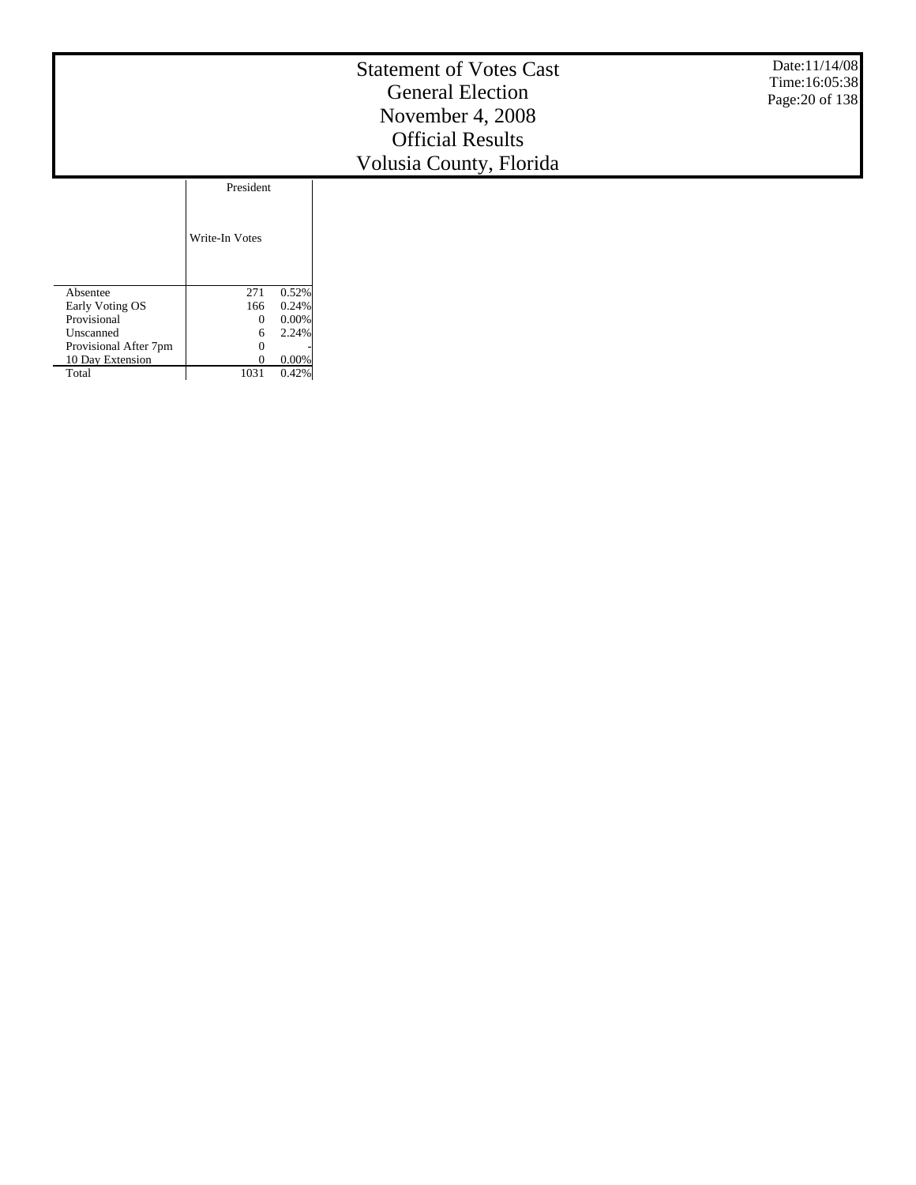#### Statement of Votes Cast General Election November 4, 2008 Official Results Volusia County, Florida

Date:11/14/08 Time:16:05:38 Page:20 of 138

|                       | Write-In Votes |       |
|-----------------------|----------------|-------|
| Absentee              | 271            | 0.52% |
| Early Voting OS       | 166            | 0.24% |
| Provisional           |                | 0.00% |
| Unscanned             | 6              | 2.24% |
| Provisional After 7pm |                |       |
| 10 Day Extension      |                | 0.00% |
| Total                 | 1031           |       |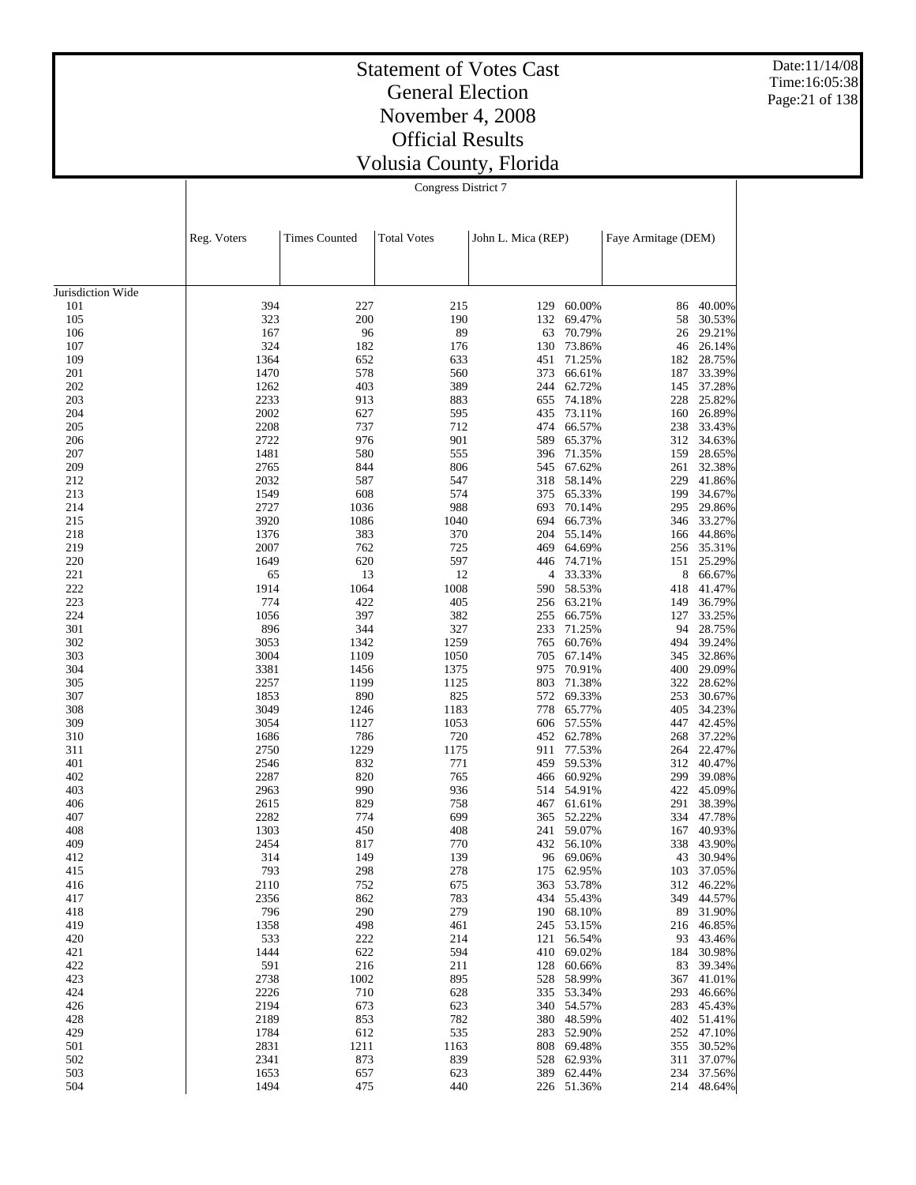Date:11/14/08 Time:16:05:38 Page:21 of 138

# Statement of Votes Cast General Election November 4, 2008 Official Results Volusia County, Florida

|                   | <b>Times Counted</b><br>Reg. Voters |             | <b>Total Votes</b> | John L. Mica (REP) |                          |            | Faye Armitage (DEM)     |  |  |
|-------------------|-------------------------------------|-------------|--------------------|--------------------|--------------------------|------------|-------------------------|--|--|
|                   |                                     |             |                    |                    |                          |            |                         |  |  |
| Jurisdiction Wide |                                     |             |                    |                    |                          |            |                         |  |  |
| 101               | 394                                 | 227         | 215                | 129                | 60.00%                   | 86         | 40.00%                  |  |  |
| 105               | 323                                 | 200         | 190                | 132                | 69.47%                   | 58         | 30.53%                  |  |  |
| 106               | 167                                 | 96          | 89                 | 63                 | 70.79%                   | 26         | 29.21%                  |  |  |
| 107               | 324                                 | 182         | 176                | 130                | 73.86%                   | 46         | 26.14%                  |  |  |
| 109               | 1364                                | 652         | 633                | 451                | 71.25%                   | 182        | 28.75%                  |  |  |
| 201               | 1470                                | 578         | 560                | 373                | 66.61%                   | 187        | 33.39%                  |  |  |
| 202               | 1262                                | 403         | 389                | 244                | 62.72%                   | 145        | 37.28%                  |  |  |
| 203               | 2233                                | 913         | 883                | 655                | 74.18%                   | 228        | 25.82%                  |  |  |
| 204               | 2002                                | 627         | 595                | 435                | 73.11%                   | 160        | 26.89%                  |  |  |
| 205               | 2208<br>2722                        | 737<br>976  | 712<br>901         | 474<br>589         | 66.57%<br>65.37%         | 238        | 33.43%                  |  |  |
| 206<br>207        | 1481                                | 580         | 555                | 396                | 71.35%                   | 312<br>159 | 34.63%<br>28.65%        |  |  |
| 209               | 2765                                | 844         | 806                | 545                | 67.62%                   | 261        | 32.38%                  |  |  |
| 212               | 2032                                | 587         | 547                | 318                | 58.14%                   | 229        | 41.86%                  |  |  |
| 213               | 1549                                | 608         | 574                | 375                | 65.33%                   | 199        | 34.67%                  |  |  |
| 214               | 2727                                | 1036        | 988                | 693                | 70.14%                   | 295        | 29.86%                  |  |  |
| 215               | 3920                                | 1086        | 1040               | 694                | 66.73%                   |            | 346 33.27%              |  |  |
| 218               | 1376                                | 383         | 370                | 204                | 55.14%                   | 166        | 44.86%                  |  |  |
| 219               | 2007                                | 762         | 725                | 469                | 64.69%                   | 256        | 35.31%                  |  |  |
| 220               | 1649                                | 620         | 597                | 446                | 74.71%                   | 151        | 25.29%                  |  |  |
| 221               | 65                                  | 13          | 12                 | 4                  | 33.33%                   | 8          | 66.67%                  |  |  |
| 222               | 1914                                | 1064        | 1008               | 590                | 58.53%                   | 418        | 41.47%                  |  |  |
| 223               | 774                                 | 422         | 405                | 256                | 63.21%                   | 149        | 36.79%                  |  |  |
| 224               | 1056                                | 397         | 382                | 255                | 66.75%                   | 127        | 33.25%                  |  |  |
| 301               | 896                                 | 344         | 327                | 233                | 71.25%                   | 94         | 28.75%                  |  |  |
| 302               | 3053                                | 1342        | 1259               | 765                | 60.76%                   | 494        | 39.24%                  |  |  |
| 303               | 3004                                | 1109        | 1050               | 705                | 67.14%                   | 345        | 32.86%                  |  |  |
| 304               | 3381                                | 1456        | 1375               | 975                | 70.91%                   | 400        | 29.09%                  |  |  |
| 305               | 2257                                | 1199        | 1125               | 803                | 71.38%                   | 322        | 28.62%                  |  |  |
| 307<br>308        | 1853<br>3049                        | 890<br>1246 | 825<br>1183        | 572<br>778         | 69.33%<br>65.77%         | 253        | 30.67%<br>34.23%        |  |  |
| 309               | 3054                                | 1127        | 1053               | 606                | 57.55%                   | 405<br>447 | 42.45%                  |  |  |
| 310               | 1686                                | 786         | 720                | 452                | 62.78%                   | 268        | 37.22%                  |  |  |
| 311               | 2750                                | 1229        | 1175               | 911                | 77.53%                   | 264        | 22.47%                  |  |  |
| 401               | 2546                                | 832         | 771                | 459                | 59.53%                   | 312        | 40.47%                  |  |  |
| 402               | 2287                                | 820         | 765                | 466                | 60.92%                   | 299        | 39.08%                  |  |  |
| 403               | 2963                                | 990         | 936                | 514                | 54.91%                   | 422        | 45.09%                  |  |  |
| 406               | 2615                                | 829         | 758                | 467                | 61.61%                   | 291        | 38.39%                  |  |  |
| 407               | 2282                                | 774         | 699                | 365                | 52.22%                   | 334        | 47.78%                  |  |  |
| 408               | 1303                                | 450         | 408                | 241                | 59.07%                   | 167        | 40.93%                  |  |  |
| 409               | 2454                                | 817         | 770                | 432                | 56.10%                   | 338        | 43.90%                  |  |  |
| 412               | 314                                 | 149         | 139                | 96                 | 69.06%                   | 43         | 30.94%                  |  |  |
| 415               | 793                                 | 298         | 278                | 175                | 62.95%                   |            | 103 37.05%              |  |  |
| 416               | 2110                                | 752         | 675                |                    | 363 53.78%               |            | 312 46.22%              |  |  |
| 417               | 2356                                | 862         | 783                |                    | 434 55.43%               |            | 349 44.57%              |  |  |
| 418               | 796                                 | 290         | 279                |                    | 190 68.10%               |            | 89 31.90%               |  |  |
| 419               | 1358                                | 498         | 461                |                    | 245 53.15%               |            | 216 46.85%              |  |  |
| 420               | 533<br>1444                         | 222         | 214<br>594         |                    | 121 56.54%               |            | 93 43.46%<br>184 30.98% |  |  |
| 421<br>422        | 591                                 | 622<br>216  | 211                |                    | 410 69.02%<br>128 60.66% |            | 83 39.34%               |  |  |
| 423               | 2738                                | 1002        | 895                | 528                | 58.99%                   |            | 367 41.01%              |  |  |
| 424               | 2226                                | 710         | 628                |                    | 335 53.34%               |            | 293 46.66%              |  |  |
| 426               | 2194                                | 673         | 623                |                    | 340 54.57%               |            | 283 45.43%              |  |  |
| 428               | 2189                                | 853         | 782                |                    | 380 48.59%               |            | 402 51.41%              |  |  |
| 429               | 1784                                | 612         | 535                |                    | 283 52.90%               |            | 252 47.10%              |  |  |
| 501               | 2831                                | 1211        | 1163               |                    | 808 69.48%               |            | 355 30.52%              |  |  |
| 502               | 2341                                | 873         | 839                |                    | 528 62.93%               |            | 311 37.07%              |  |  |
| 503               | 1653                                | 657         | 623                |                    | 389 62.44%               |            | 234 37.56%              |  |  |
| 504               | 1494                                | 475         | 440                |                    | 226 51.36%               |            | 214 48.64%              |  |  |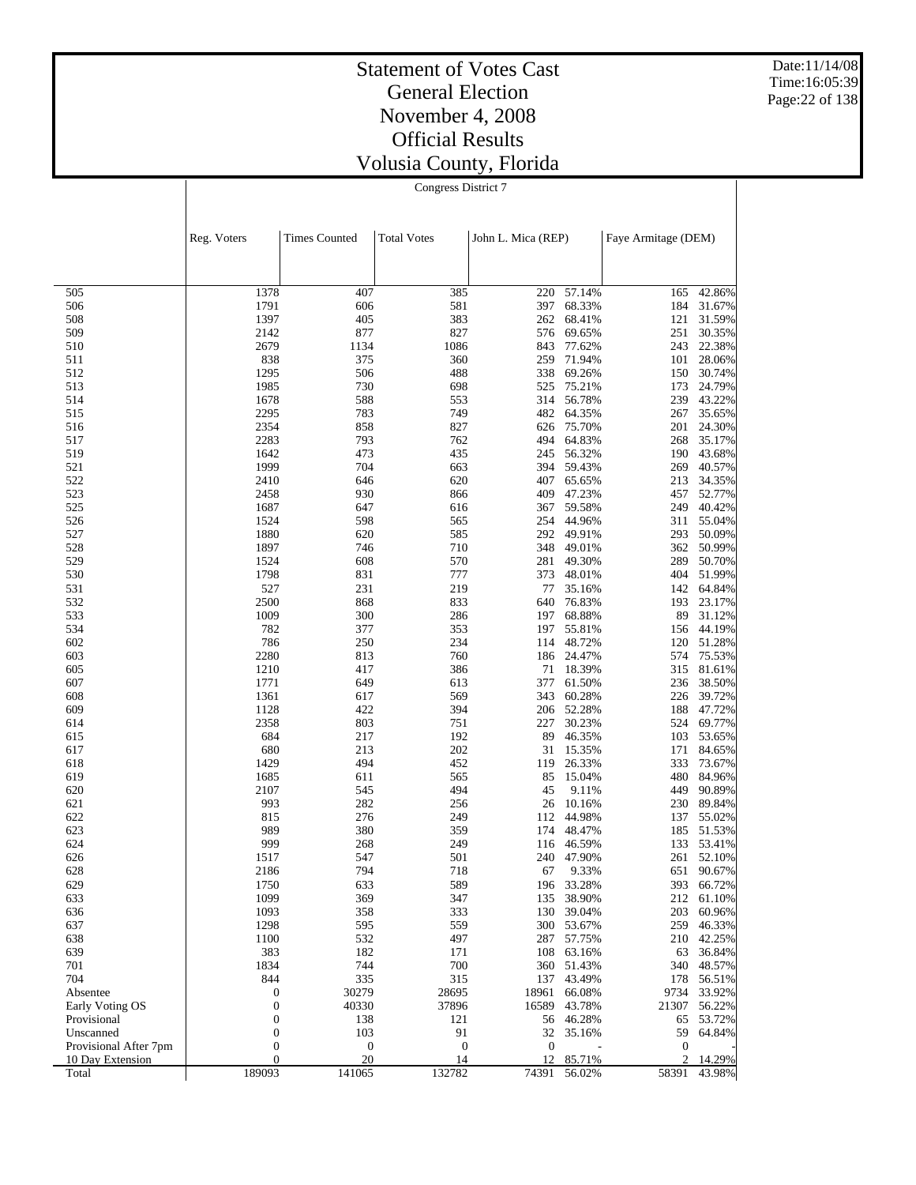Date:11/14/08 Time:16:05:39 Page:22 of 138

# Statement of Votes Cast General Election November 4, 2008 Official Results Volusia County, Florida

|                                           | Reg. Voters                          | <b>Times Counted</b>   | <b>Total Votes</b> | John L. Mica (REP)     |                  | Faye Armitage (DEM)   |                  |  |
|-------------------------------------------|--------------------------------------|------------------------|--------------------|------------------------|------------------|-----------------------|------------------|--|
|                                           |                                      |                        |                    |                        |                  |                       |                  |  |
| 505                                       | 1378                                 | 407                    | 385                | 220                    | 57.14%           | 165                   | 42.86%           |  |
| 506                                       | 1791                                 | 606                    | 581                | 397                    | 68.33%           | 184                   | 31.67%           |  |
| 508                                       | 1397                                 | 405                    | 383                | 262                    | 68.41%           | 121                   | 31.59%           |  |
| 509<br>510                                | 2142<br>2679                         | 877<br>1134            | 827<br>1086        | 576<br>843             | 69.65%<br>77.62% | 251<br>243            | 30.35%<br>22.38% |  |
| 511                                       | 838                                  | 375                    | 360                | 259                    | 71.94%           | 101                   | 28.06%           |  |
| 512                                       | 1295                                 | 506                    | 488                | 338                    | 69.26%           | 150                   | 30.74%           |  |
| 513                                       | 1985                                 | 730                    | 698                | 525                    | 75.21%           | 173                   | 24.79%           |  |
| 514                                       | 1678                                 | 588                    | 553                | 314                    | 56.78%           | 239                   | 43.22%           |  |
| 515                                       | 2295                                 | 783                    | 749                | 482                    | 64.35%           | 267                   | 35.65%           |  |
| 516                                       | 2354                                 | 858                    | 827                | 626                    | 75.70%           | 201                   | 24.30%           |  |
| 517<br>519                                | 2283<br>1642                         | 793<br>473             | 762<br>435         | 494<br>245             | 64.83%<br>56.32% | 268<br>190            | 35.17%           |  |
| 521                                       | 1999                                 | 704                    | 663                | 394                    | 59.43%           | 269                   | 43.68%<br>40.57% |  |
| 522                                       | 2410                                 | 646                    | 620                | 407                    | 65.65%           | 213                   | 34.35%           |  |
| 523                                       | 2458                                 | 930                    | 866                | 409                    | 47.23%           | 457                   | 52.77%           |  |
| 525                                       | 1687                                 | 647                    | 616                | 367                    | 59.58%           | 249                   | 40.42%           |  |
| 526                                       | 1524                                 | 598                    | 565                | 254                    | 44.96%           | 311                   | 55.04%           |  |
| 527                                       | 1880                                 | 620                    | 585                | 292                    | 49.91%           | 293                   | 50.09%           |  |
| 528                                       | 1897                                 | 746                    | 710                | 348                    | 49.01%           | 362                   | 50.99%           |  |
| 529<br>530                                | 1524                                 | 608                    | 570<br>777         | 281<br>373             | 49.30%           | 289<br>404            | 50.70%<br>51.99% |  |
| 531                                       | 1798<br>527                          | 831<br>231             | 219                | 77                     | 48.01%<br>35.16% | 142                   | 64.84%           |  |
| 532                                       | 2500                                 | 868                    | 833                | 640                    | 76.83%           | 193                   | 23.17%           |  |
| 533                                       | 1009                                 | 300                    | 286                | 197                    | 68.88%           | 89                    | 31.12%           |  |
| 534                                       | 782                                  | 377                    | 353                | 197                    | 55.81%           | 156                   | 44.19%           |  |
| 602                                       | 786                                  | 250                    | 234                | 114                    | 48.72%           | 120                   | 51.28%           |  |
| 603                                       | 2280                                 | 813                    | 760                | 186                    | 24.47%           | 574                   | 75.53%           |  |
| 605                                       | 1210                                 | 417                    | 386                | 71                     | 18.39%           | 315                   | 81.61%           |  |
| 607<br>608                                | 1771<br>1361                         | 649<br>617             | 613<br>569         | 377<br>343             | 61.50%<br>60.28% | 236<br>226            | 38.50%<br>39.72% |  |
| 609                                       | 1128                                 | 422                    | 394                | 206                    | 52.28%           | 188                   | 47.72%           |  |
| 614                                       | 2358                                 | 803                    | 751                | 227                    | 30.23%           | 524                   | 69.77%           |  |
| 615                                       | 684                                  | 217                    | 192                | 89                     | 46.35%           | 103                   | 53.65%           |  |
| 617                                       | 680                                  | 213                    | 202                | 31                     | 15.35%           | 171                   | 84.65%           |  |
| 618                                       | 1429                                 | 494                    | 452                | 119                    | 26.33%           | 333                   | 73.67%           |  |
| 619                                       | 1685                                 | 611                    | 565                | 85                     | 15.04%           | 480                   | 84.96%           |  |
| 620                                       | 2107                                 | 545                    | 494                | 45                     | 9.11%            | 449                   | 90.89%           |  |
| 621<br>622                                | 993<br>815                           | 282<br>276             | 256<br>249         | 26<br>112              | 10.16%<br>44.98% | 230<br>137            | 89.84%<br>55.02% |  |
| 623                                       | 989                                  | 380                    | 359                | 174                    | 48.47%           | 185                   | 51.53%           |  |
| 624                                       | 999                                  | 268                    | 249                | 116                    | 46.59%           | 133                   | 53.41%           |  |
| 626                                       | 1517                                 | 547                    | 501                | 240                    | 47.90%           | 261                   | 52.10%           |  |
| 628                                       | 2186                                 | 794                    | 718                | 67                     | 9.33%            | 651                   | 90.67%           |  |
| 629                                       | 1750                                 | 633                    | 589                | 196                    | 33.28%           | 393                   | 66.72%           |  |
| 633                                       | 1099                                 | 369                    | 347                | 135                    | 38.90%           | 212                   | 61.10%           |  |
| 636                                       | 1093                                 | 358                    | 333                | 130                    | 39.04%           | 203                   | 60.96%           |  |
| 637<br>638                                | 1298<br>1100                         | 595<br>532             | 559<br>497         | 300<br>287             | 53.67%<br>57.75% | 259<br>210            | 46.33%<br>42.25% |  |
| 639                                       | 383                                  | 182                    | 171                | 108                    | 63.16%           | 63                    | 36.84%           |  |
| 701                                       | 1834                                 | 744                    | 700                | 360                    | 51.43%           | 340                   | 48.57%           |  |
| 704                                       | 844                                  | 335                    | 315                | 137                    | 43.49%           | 178                   | 56.51%           |  |
| Absentee                                  | $\boldsymbol{0}$                     | 30279                  | 28695              | 18961                  | 66.08%           | 9734                  | 33.92%           |  |
| Early Voting OS                           | $\boldsymbol{0}$                     | 40330                  | 37896              | 16589                  | 43.78%           | 21307                 | 56.22%           |  |
| Provisional                               | $\boldsymbol{0}$                     | 138                    | 121                | 56                     | 46.28%           | 65                    | 53.72%           |  |
| Unscanned                                 | $\boldsymbol{0}$                     | 103                    | 91                 | 32                     | 35.16%           | 59                    | 64.84%           |  |
| Provisional After 7pm<br>10 Day Extension | $\boldsymbol{0}$<br>$\boldsymbol{0}$ | $\boldsymbol{0}$<br>20 | $\mathbf{0}$<br>14 | $\boldsymbol{0}$<br>12 | 85.71%           | $\boldsymbol{0}$<br>2 | 14.29%           |  |
| Total                                     | 189093                               | 141065                 | 132782             | 74391                  | 56.02%           | 58391                 | 43.98%           |  |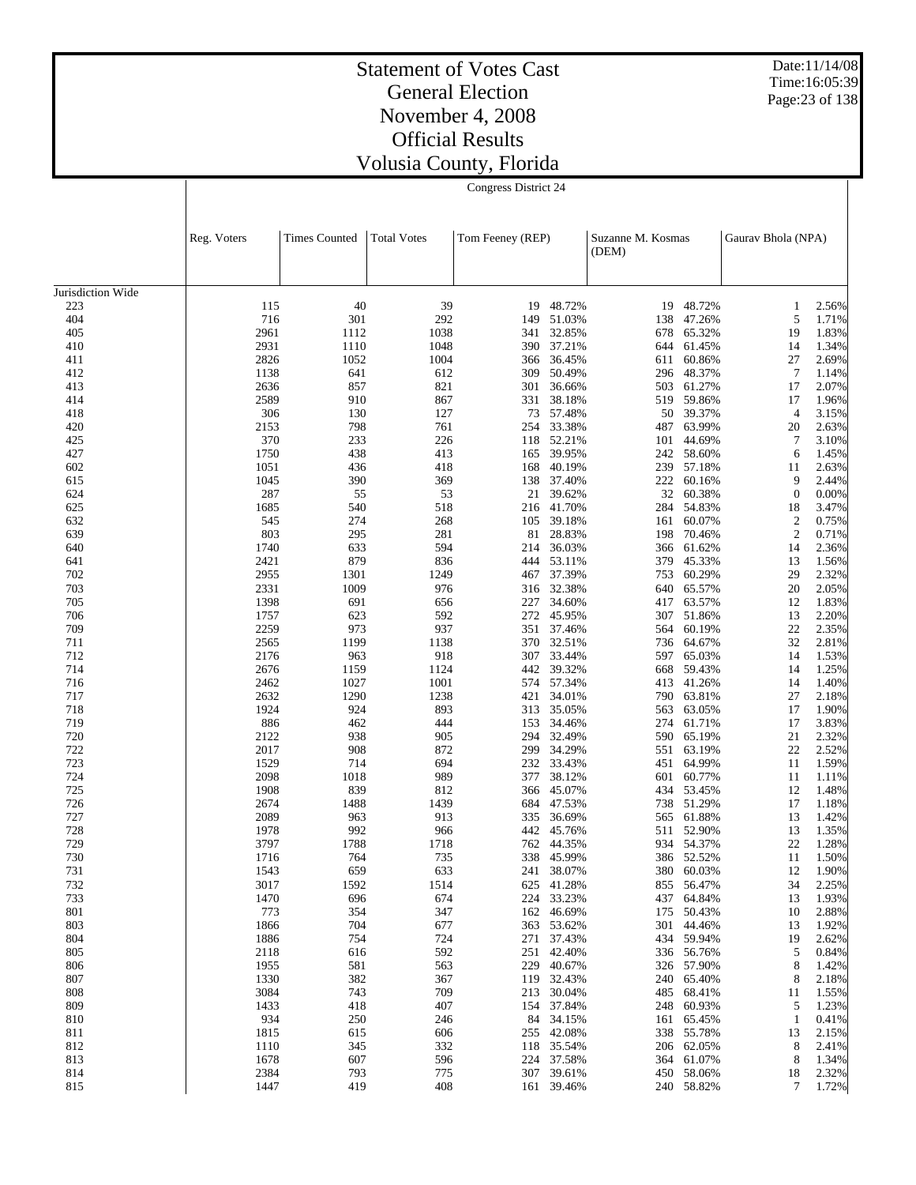Date:11/14/08 Time:16:05:39 Page:23 of 138

#### Statement of Votes Cast General Election November 4, 2008 Official Results Volusia County, Florida

|                   | Reg. Voters  | <b>Times Counted</b> | <b>Total Votes</b> | Tom Feeney (REP) |                      | Suzanne M. Kosmas<br>(DEM) |                      | Gaurav Bhola (NPA)   |                |
|-------------------|--------------|----------------------|--------------------|------------------|----------------------|----------------------------|----------------------|----------------------|----------------|
| Jurisdiction Wide |              |                      |                    |                  |                      |                            |                      |                      |                |
| 223               | 115          | 40                   | 39                 | 19               | 48.72%               | 19                         | 48.72%               | 1                    | 2.56%          |
| 404               | 716          | 301                  | 292                | 149              | 51.03%               | 138                        | 47.26%               | 5                    | 1.71%          |
| 405               | 2961         | 1112                 | 1038               | 341              | 32.85%               | 678                        | 65.32%               | 19                   | 1.83%          |
| 410               | 2931         | 1110                 | 1048               | 390              | 37.21%               | 644                        | 61.45%               | 14                   | 1.34%          |
| 411               | 2826         | 1052                 | 1004               | 366              | 36.45%               | 611                        | 60.86%               | 27                   | 2.69%          |
| 412               | 1138         | 641                  | 612                | 309              | 50.49%               | 296                        | 48.37%               | $\overline{7}$       | 1.14%          |
| 413               | 2636         | 857                  | 821                | 301              | 36.66%               | 503                        | 61.27%               | 17                   | 2.07%          |
| 414               | 2589         | 910                  | 867                | 331              | 38.18%               | 519                        | 59.86%               | 17                   | 1.96%          |
| 418               | 306          | 130                  | 127                | 73               | 57.48%               | 50                         | 39.37%               | $\overline{4}$       | 3.15%          |
| 420               | 2153         | 798                  | 761                | 254              | 33.38%               | 487                        | 63.99%               | 20                   | 2.63%          |
| 425               | 370          | 233                  | 226                |                  | 118 52.21%           | 101                        | 44.69%               | 7                    | 3.10%          |
| 427               | 1750         | 438                  | 413                | 165              | 39.95%               | 242                        | 58.60%               | 6                    | 1.45%          |
| 602               | 1051         | 436                  | 418                | 168              | 40.19%               | 239                        | 57.18%               | 11                   | 2.63%          |
| 615               | 1045         | 390                  | 369                | 138              | 37.40%               | 222                        | 60.16%               | 9                    | 2.44%          |
| 624               | 287          | 55                   | 53                 | 21               | 39.62%               | 32                         | 60.38%               | $\mathbf{0}$         | 0.00%          |
| 625               | 1685         | 540                  | 518                | 216              | 41.70%               | 284                        | 54.83%               | 18                   | 3.47%          |
| 632               | 545          | 274                  | 268                | 105              | 39.18%               | 161                        | 60.07%<br>70.46%     | $\overline{c}$       | 0.75%          |
| 639<br>640        | 803<br>1740  | 295<br>633           | 281<br>594         | 81<br>214        | 28.83%<br>36.03%     | 198<br>366                 | 61.62%               | $\mathfrak{2}$<br>14 | 0.71%<br>2.36% |
| 641               | 2421         | 879                  | 836                | 444              | 53.11%               | 379                        | 45.33%               | 13                   | 1.56%          |
| 702               | 2955         | 1301                 | 1249               | 467              | 37.39%               | 753                        | 60.29%               | 29                   | 2.32%          |
| 703               | 2331         | 1009                 | 976                | 316              | 32.38%               | 640                        | 65.57%               | 20                   | 2.05%          |
| 705               | 1398         | 691                  | 656                | 227              | 34.60%               | 417                        | 63.57%               | 12                   | 1.83%          |
| 706               | 1757         | 623                  | 592                | 272              | 45.95%               | 307                        | 51.86%               | 13                   | 2.20%          |
| 709               | 2259         | 973                  | 937                | 351              | 37.46%               | 564                        | 60.19%               | 22                   | 2.35%          |
| 711               | 2565         | 1199                 | 1138               | 370              | 32.51%               | 736                        | 64.67%               | 32                   | 2.81%          |
| 712               | 2176         | 963                  | 918                | 307              | 33.44%               | 597                        | 65.03%               | 14                   | 1.53%          |
| 714               | 2676         | 1159                 | 1124               | 442              | 39.32%               | 668                        | 59.43%               | 14                   | 1.25%          |
| 716               | 2462         | 1027                 | 1001               |                  | 574 57.34%           | 413                        | 41.26%               | 14                   | 1.40%          |
| 717               | 2632         | 1290                 | 1238               | 421              | 34.01%               | 790                        | 63.81%               | 27                   | 2.18%          |
| 718               | 1924         | 924                  | 893                | 313              | 35.05%               | 563                        | 63.05%               | 17                   | 1.90%          |
| 719               | 886          | 462                  | 444                | 153              | 34.46%               | 274                        | 61.71%               | 17                   | 3.83%          |
| 720               | 2122         | 938                  | 905                | 294              | 32.49%               | 590                        | 65.19%               | 21                   | 2.32%          |
| 722               | 2017         | 908                  | 872                | 299              | 34.29%               | 551                        | 63.19%               | 22                   | 2.52%          |
| 723<br>724        | 1529<br>2098 | 714<br>1018          | 694<br>989         | 232<br>377       | 33.43%<br>38.12%     | 451<br>601                 | 64.99%<br>60.77%     | 11<br>11             | 1.59%<br>1.11% |
| 725               | 1908         | 839                  | 812                | 366              | 45.07%               | 434                        | 53.45%               | 12                   | 1.48%          |
| 726               | 2674         | 1488                 | 1439               | 684              | 47.53%               | 738                        | 51.29%               | 17                   | 1.18%          |
| 727               | 2089         | 963                  | 913                | 335              | 36.69%               | 565                        | 61.88%               | 13                   | 1.42%          |
| 728               | 1978         | 992                  | 966                | 442              | 45.76%               | 511                        | 52.90%               | 13                   | 1.35%          |
| 729               | 3797         | 1788                 | 1718               |                  | 762 44.35%           | 934                        | 54.37%               | 22                   | 1.28%          |
| 730               | 1716         | 764                  | 735                | 338              | 45.99%               | 386                        | 52.52%               | 11                   | 1.50%          |
| 731               | 1543         | 659                  | 633                | 241              | 38.07%               | 380                        | 60.03%               | 12                   | 1.90%          |
| 732               | 3017         | 1592                 | 1514               |                  | 625 41.28%           | 855                        | 56.47%               | 34                   | 2.25%          |
| 733               | 1470         | 696                  | 674                | 224              | 33.23%               |                            | 437 64.84%           | 13                   | 1.93%          |
| 801               | 773          | 354                  | 347                | 162              | 46.69%               |                            | 175 50.43%           | 10                   | 2.88%          |
| 803               | 1866         | 704                  | 677                | 363              | 53.62%               |                            | 301 44.46%           | 13                   | 1.92%          |
| 804               | 1886         | 754                  | 724                | 271              | 37.43%               |                            | 434 59.94%           | 19                   | 2.62%          |
| 805               | 2118         | 616                  | 592                | 251              | 42.40%               |                            | 336 56.76%           | 5                    | 0.84%          |
| 806               | 1955         | 581                  | 563                | 229              | 40.67%               |                            | 326 57.90%           | 8                    | 1.42%          |
| 807               | 1330         | 382                  | 367                | 119              | 32.43%               |                            | 240 65.40%           | 8                    | 2.18%          |
| 808               | 3084         | 743                  | 709                | 213              | 30.04%               |                            | 485 68.41%           | 11                   | 1.55%          |
| 809               | 1433<br>934  | 418                  | 407                | 154              | 37.84%               |                            | 248 60.93%           | 5                    | 1.23%<br>0.41% |
| 810<br>811        | 1815         | 250<br>615           | 246<br>606         | 84               | 34.15%<br>255 42.08% | 161                        | 65.45%<br>338 55.78% | -1<br>13             | 2.15%          |
| 812               | 1110         | 345                  | 332                | 118              | 35.54%               |                            | 206 62.05%           | 8                    | 2.41%          |
| 813               | 1678         | 607                  | 596                | 224              | 37.58%               |                            | 364 61.07%           | 8                    | 1.34%          |
| 814               | 2384         | 793                  | 775                | 307              | 39.61%               |                            | 450 58.06%           | 18                   | 2.32%          |
| 815               | 1447         | 419                  | 408                |                  | 161 39.46%           |                            | 240 58.82%           | 7                    | 1.72%          |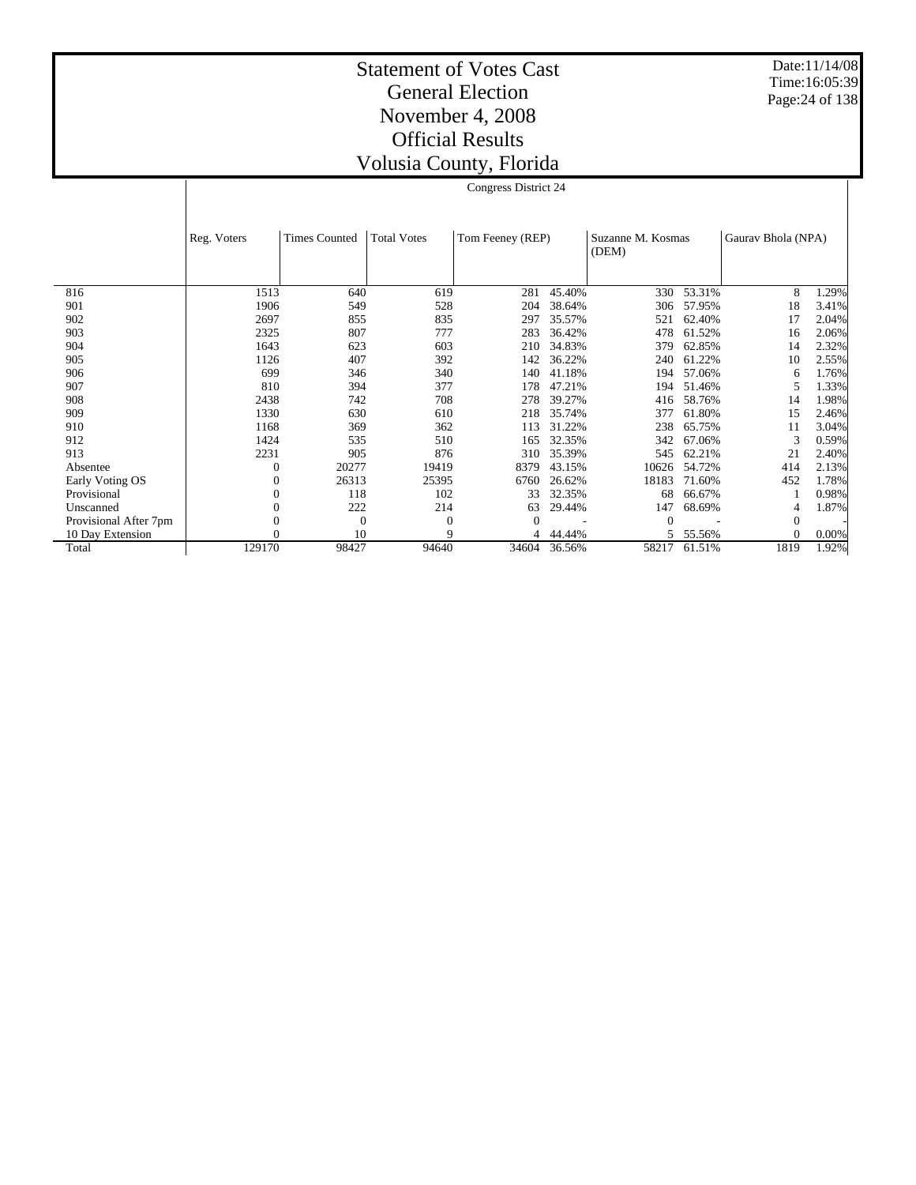Date:11/14/08 Time:16:05:39 Page:24 of 138

#### Statement of Votes Cast General Election November 4, 2008 Official Results Volusia County, Florida

|                       | Reg. Voters | <b>Times Counted</b> | <b>Total Votes</b> | Tom Feeney (REP) |        | Suzanne M. Kosmas<br>(DEM) |        | Gauray Bhola (NPA) |       |
|-----------------------|-------------|----------------------|--------------------|------------------|--------|----------------------------|--------|--------------------|-------|
|                       |             |                      |                    |                  |        |                            |        |                    |       |
| 816                   | 1513        | 640                  | 619                | 281              | 45.40% | 330                        | 53.31% | 8                  | 1.29% |
| 901                   | 1906        | 549                  | 528                | 204              | 38.64% | 306                        | 57.95% | 18                 | 3.41% |
| 902                   | 2697        | 855                  | 835                | 297              | 35.57% | 521                        | 62.40% | 17                 | 2.04% |
| 903                   | 2325        | 807                  | 777                | 283              | 36.42% | 478                        | 61.52% | 16                 | 2.06% |
| 904                   | 1643        | 623                  | 603                | 210              | 34.83% | 379                        | 62.85% | 14                 | 2.32% |
| 905                   | 1126        | 407                  | 392                | 142              | 36.22% | 240                        | 61.22% | 10                 | 2.55% |
| 906                   | 699         | 346                  | 340                | 140              | 41.18% | 194                        | 57.06% | 6                  | 1.76% |
| 907                   | 810         | 394                  | 377                | 178              | 47.21% | 194                        | 51.46% |                    | 1.33% |
| 908                   | 2438        | 742                  | 708                | 278              | 39.27% | 416                        | 58.76% | 14                 | 1.98% |
| 909                   | 1330        | 630                  | 610                | 218              | 35.74% | 377                        | 61.80% | 15                 | 2.46% |
| 910                   | 1168        | 369                  | 362                | 113              | 31.22% | 238                        | 65.75% | 11                 | 3.04% |
| 912                   | 1424        | 535                  | 510                | 165              | 32.35% | 342                        | 67.06% | 3                  | 0.59% |
| 913                   | 2231        | 905                  | 876                | 310              | 35.39% | 545                        | 62.21% | 21                 | 2.40% |
| Absentee              | 0           | 20277                | 19419              | 8379             | 43.15% | 10626                      | 54.72% | 414                | 2.13% |
| Early Voting OS       | 0           | 26313                | 25395              | 6760             | 26.62% | 18183                      | 71.60% | 452                | 1.78% |
| Provisional           | 0           | 118                  | 102                | 33               | 32.35% | 68                         | 66.67% |                    | 0.98% |
| Unscanned             |             | 222                  | 214                | 63               | 29.44% | 147                        | 68.69% | 4                  | 1.87% |
| Provisional After 7pm | 0           | $\overline{0}$       | $\Omega$           |                  |        | 0                          |        | $\Omega$           |       |
| 10 Day Extension      |             | 10                   | $\mathbf Q$        | 4                | 44.44% |                            | 55.56% |                    | 0.00% |
| Total                 | 129170      | 98427                | 94640              | 34604            | 36.56% | 58217                      | 61.51% | 1819               | 1.92% |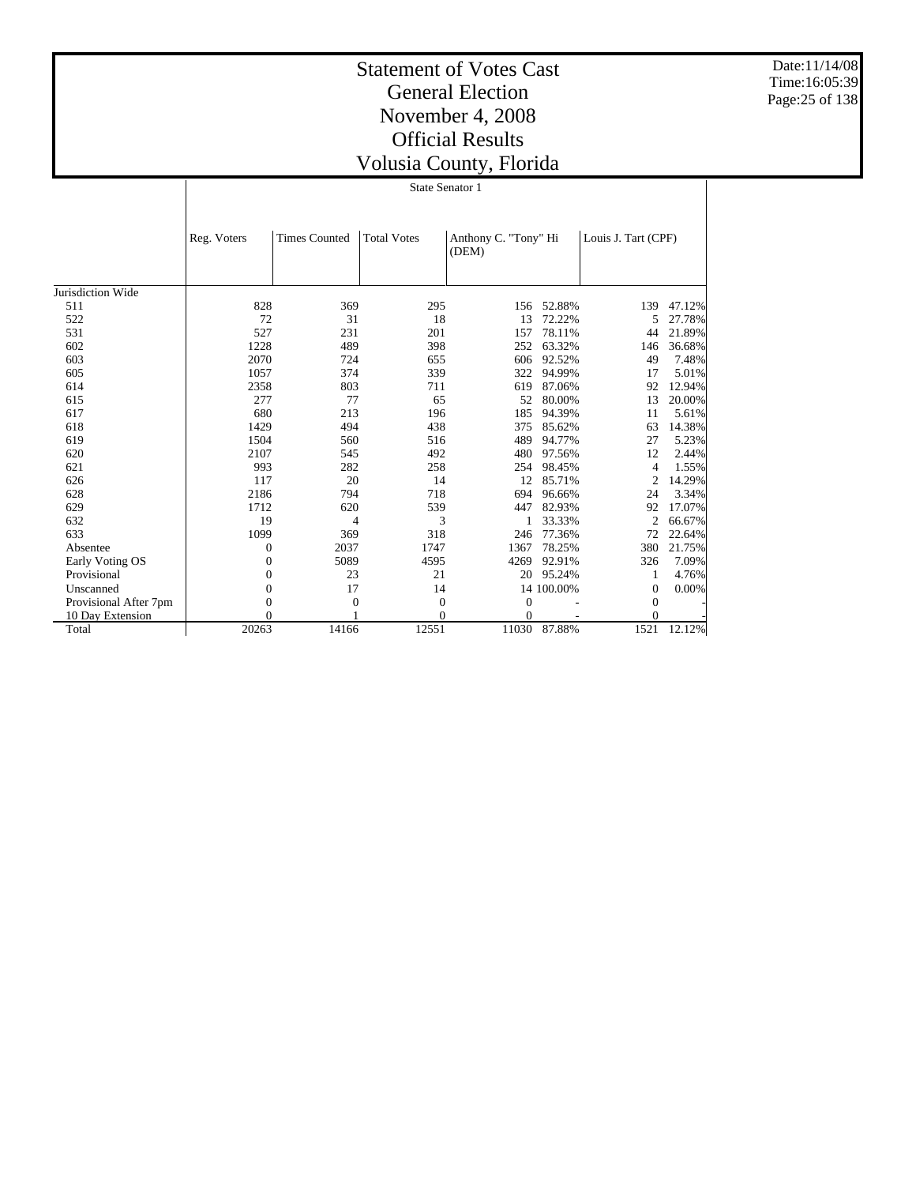Date:11/14/08 Time:16:05:39 Page:25 of 138

# Statement of Votes Cast General Election November 4, 2008 Official Results Volusia County, Florida

 $0 \qquad \qquad 1 \qquad \qquad 0 \qquad \qquad 0 \qquad \qquad -$ 14166 12551 11030 87.88% 1521 12.12%

State Senator 1

|                       | Reg. Voters    | <b>Times Counted</b> | <b>Total Votes</b> | Anthony C. "Tony" Hi<br>(DEM) |            | Louis J. Tart (CPF) |        |
|-----------------------|----------------|----------------------|--------------------|-------------------------------|------------|---------------------|--------|
| Jurisdiction Wide     |                |                      |                    |                               |            |                     |        |
| 511                   | 828            | 369                  | 295                | 156                           | 52.88%     | 139                 | 47.12% |
| 522                   | 72             | 31                   | 18                 | 13                            | 72.22%     | 5                   | 27.78% |
| 531                   | 527            | 231                  | 201                | 157                           | 78.11%     | 44                  | 21.89% |
| 602                   | 1228           | 489                  | 398                | 252                           | 63.32%     | 146                 | 36.68% |
| 603                   | 2070           | 724                  | 655                | 606                           | 92.52%     | 49                  | 7.48%  |
| 605                   | 1057           | 374                  | 339                | 322                           | 94.99%     | 17                  | 5.01%  |
| 614                   | 2358           | 803                  | 711                | 619                           | 87.06%     | 92                  | 12.94% |
| 615                   | 277            | 77                   | 65                 | 52                            | 80.00%     | 13                  | 20.00% |
| 617                   | 680            | 213                  | 196                | 185                           | 94.39%     | 11                  | 5.61%  |
| 618                   | 1429           | 494                  | 438                | 375                           | 85.62%     | 63                  | 14.38% |
| 619                   | 1504           | 560                  | 516                | 489                           | 94.77%     | 27                  | 5.23%  |
| 620                   | 2107           | 545                  | 492                | 480                           | 97.56%     | 12                  | 2.44%  |
| 621                   | 993            | 282                  | 258                | 254                           | 98.45%     | 4                   | 1.55%  |
| 626                   | 117            | 20                   | 14                 | 12                            | 85.71%     | 2                   | 14.29% |
| 628                   | 2186           | 794                  | 718                | 694                           | 96.66%     | 24                  | 3.34%  |
| 629                   | 1712           | 620                  | 539                | 447                           | 82.93%     | 92                  | 17.07% |
| 632                   | 19             | 4                    | 3                  | 1                             | 33.33%     | 2                   | 66.67% |
| 633                   | 1099           | 369                  | 318                | 246                           | 77.36%     | 72                  | 22.64% |
| Absentee              | $\overline{0}$ | 2037                 | 1747               | 1367                          | 78.25%     | 380                 | 21.75% |
| Early Voting OS       | $\overline{0}$ | 5089                 | 4595               | 4269                          | 92.91%     | 326                 | 7.09%  |
| Provisional           | $\theta$       | 23                   | 21                 | 20                            | 95.24%     | 1                   | 4.76%  |
| Unscanned             | $\overline{0}$ | 17                   | 14                 |                               | 14 100.00% | 0                   | 0.00%  |
| Provisional After 7pm | $\mathbf{0}$   | $\mathbf{0}$         | $\mathbf{0}$       | $\mathbf{0}$                  |            | $\mathbf{0}$        |        |

10 Day Extension Total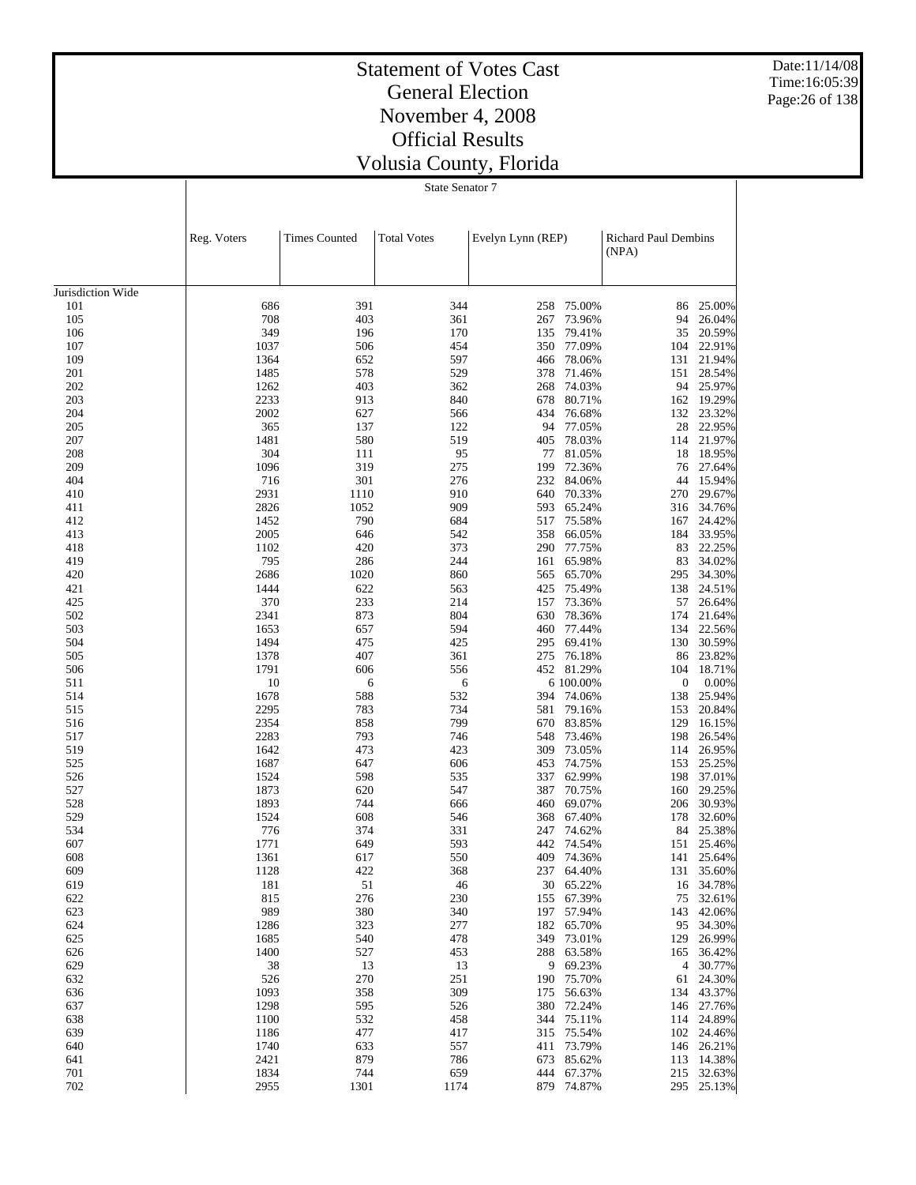Date:11/14/08 Time:16:05:39 Page:26 of 138

# Statement of Votes Cast General Election November 4, 2008 Official Results Volusia County, Florida

State Senator 7

|                   | Reg. Voters  | <b>Times Counted</b> | <b>Total Votes</b> | Evelyn Lynn (REP) |                          | <b>Richard Paul Dembins</b> |                          |
|-------------------|--------------|----------------------|--------------------|-------------------|--------------------------|-----------------------------|--------------------------|
|                   |              |                      |                    |                   |                          | (NPA)                       |                          |
|                   |              |                      |                    |                   |                          |                             |                          |
| Jurisdiction Wide |              |                      |                    |                   |                          |                             |                          |
| 101               | 686          | 391                  | 344                | 258               | 75.00%                   | 86                          | 25.00%                   |
| 105               | 708          | 403                  | 361                | 267               | 73.96%                   | 94                          | 26.04%                   |
| 106               | 349          | 196                  | 170                | 135               | 79.41%                   | 35                          | 20.59%                   |
| 107               | 1037         | 506                  | 454                | 350               | 77.09%                   | 104                         | 22.91%                   |
| 109<br>201        | 1364<br>1485 | 652<br>578           | 597<br>529         | 466<br>378        | 78.06%<br>71.46%         | 131<br>151                  | 21.94%<br>28.54%         |
| 202               | 1262         | 403                  | 362                | 268               | 74.03%                   | 94                          | 25.97%                   |
| 203               | 2233         | 913                  | 840                | 678               | 80.71%                   | 162                         | 19.29%                   |
| 204               | 2002         | 627                  | 566                | 434               | 76.68%                   |                             | 132 23.32%               |
| 205               | 365          | 137                  | 122                | 94                | 77.05%                   | 28                          | 22.95%                   |
| 207               | 1481         | 580                  | 519                | 405               | 78.03%                   | 114                         | 21.97%                   |
| 208               | 304          | 111                  | 95                 | 77                | 81.05%                   | 18                          | 18.95%                   |
| 209               | 1096         | 319                  | 275                | 199               | 72.36%                   | 76                          | 27.64%                   |
| 404               | 716          | 301                  | 276                | 232               | 84.06%                   | 44                          | 15.94%                   |
| 410               | 2931         | 1110                 | 910                | 640               | 70.33%                   | 270                         | 29.67%                   |
| 411               | 2826         | 1052                 | 909                | 593               | 65.24%                   | 316                         | 34.76%                   |
| 412               | 1452         | 790                  | 684                | 517               | 75.58%                   | 167                         | 24.42%                   |
| 413               | 2005         | 646                  | 542                | 358               | 66.05%                   | 184                         | 33.95%                   |
| 418<br>419        | 1102<br>795  | 420<br>286           | 373<br>244         | 290<br>161        | 77.75%<br>65.98%         | 83<br>83                    | 22.25%<br>34.02%         |
| 420               | 2686         | 1020                 | 860                | 565               | 65.70%                   | 295                         | 34.30%                   |
| 421               | 1444         | 622                  | 563                | 425               | 75.49%                   | 138                         | 24.51%                   |
| 425               | 370          | 233                  | 214                | 157               | 73.36%                   | 57                          | 26.64%                   |
| 502               | 2341         | 873                  | 804                | 630               | 78.36%                   | 174                         | 21.64%                   |
| 503               | 1653         | 657                  | 594                | 460               | 77.44%                   | 134                         | 22.56%                   |
| 504               | 1494         | 475                  | 425                | 295               | 69.41%                   | 130                         | 30.59%                   |
| 505               | 1378         | 407                  | 361                | 275               | 76.18%                   | 86                          | 23.82%                   |
| 506               | 1791         | 606                  | 556                |                   | 452 81.29%               | 104                         | 18.71%                   |
| 511               | 10           | 6                    | 6                  |                   | 6 100.00%                | $\boldsymbol{0}$            | 0.00%                    |
| 514               | 1678         | 588                  | 532                | 394               | 74.06%                   | 138                         | 25.94%                   |
| 515               | 2295         | 783                  | 734                | 581               | 79.16%                   | 153                         | 20.84%                   |
| 516<br>517        | 2354<br>2283 | 858<br>793           | 799<br>746         | 670<br>548        | 83.85%<br>73.46%         | 129<br>198                  | 16.15%<br>26.54%         |
| 519               | 1642         | 473                  | 423                | 309               | 73.05%                   | 114                         | 26.95%                   |
| 525               | 1687         | 647                  | 606                | 453               | 74.75%                   | 153                         | 25.25%                   |
| 526               | 1524         | 598                  | 535                | 337               | 62.99%                   | 198                         | 37.01%                   |
| 527               | 1873         | 620                  | 547                | 387               | 70.75%                   | 160                         | 29.25%                   |
| 528               | 1893         | 744                  | 666                | 460               | 69.07%                   | 206                         | 30.93%                   |
| 529               | 1524         | 608                  | 546                | 368               | 67.40%                   | 178                         | 32.60%                   |
| 534               | 776          | 374                  | 331                | 247               | 74.62%                   | 84                          | 25.38%                   |
| 607               | 1771         | 649                  | 593                | 442               | 74.54%                   | 151                         | 25.46%                   |
| 608               | 1361         | 617                  | 550                | 409               | 74.36%                   | 141                         | 25.64%                   |
| 609               | 1128         | 422                  | 368                | 237               | 64.40%                   |                             | 131 35.60%               |
| 619               | 181          | 51                   | 46                 |                   | 30 65.22%                |                             | 16 34.78%                |
| 622<br>623        | 815<br>989   | 276<br>380           | 230<br>340         |                   | 155 67.39%<br>197 57.94% |                             | 75 32.61%<br>143 42.06%  |
| 624               | 1286         | 323                  | 277                |                   | 182 65.70%               |                             | 95 34.30%                |
| 625               | 1685         | 540                  | 478                |                   | 349 73.01%               |                             | 129 26.99%               |
| 626               | 1400         | 527                  | 453                |                   | 288 63.58%               |                             | 165 36.42%               |
| 629               | 38           | 13                   | 13                 |                   | 9 69.23%                 |                             | 4 30.77%                 |
| 632               | 526          | 270                  | 251                |                   | 190 75.70%               |                             | 61 24.30%                |
| 636               | 1093         | 358                  | 309                |                   | 175 56.63%               |                             | 134 43.37%               |
| 637               | 1298         | 595                  | 526                |                   | 380 72.24%               |                             | 146 27.76%               |
| 638               | 1100         | 532                  | 458                |                   | 344 75.11%               |                             | 114 24.89%               |
| 639               | 1186         | 477                  | 417                |                   | 315 75.54%               |                             | 102 24.46%               |
| 640               | 1740         | 633                  | 557                |                   | 411 73.79%               |                             | 146 26.21%               |
| 641               | 2421         | 879                  | 786                |                   | 673 85.62%               |                             | 113 14.38%               |
| 701<br>702        | 1834<br>2955 | 744<br>1301          | 659<br>1174        |                   | 444 67.37%<br>879 74.87% |                             | 215 32.63%<br>295 25.13% |
|                   |              |                      |                    |                   |                          |                             |                          |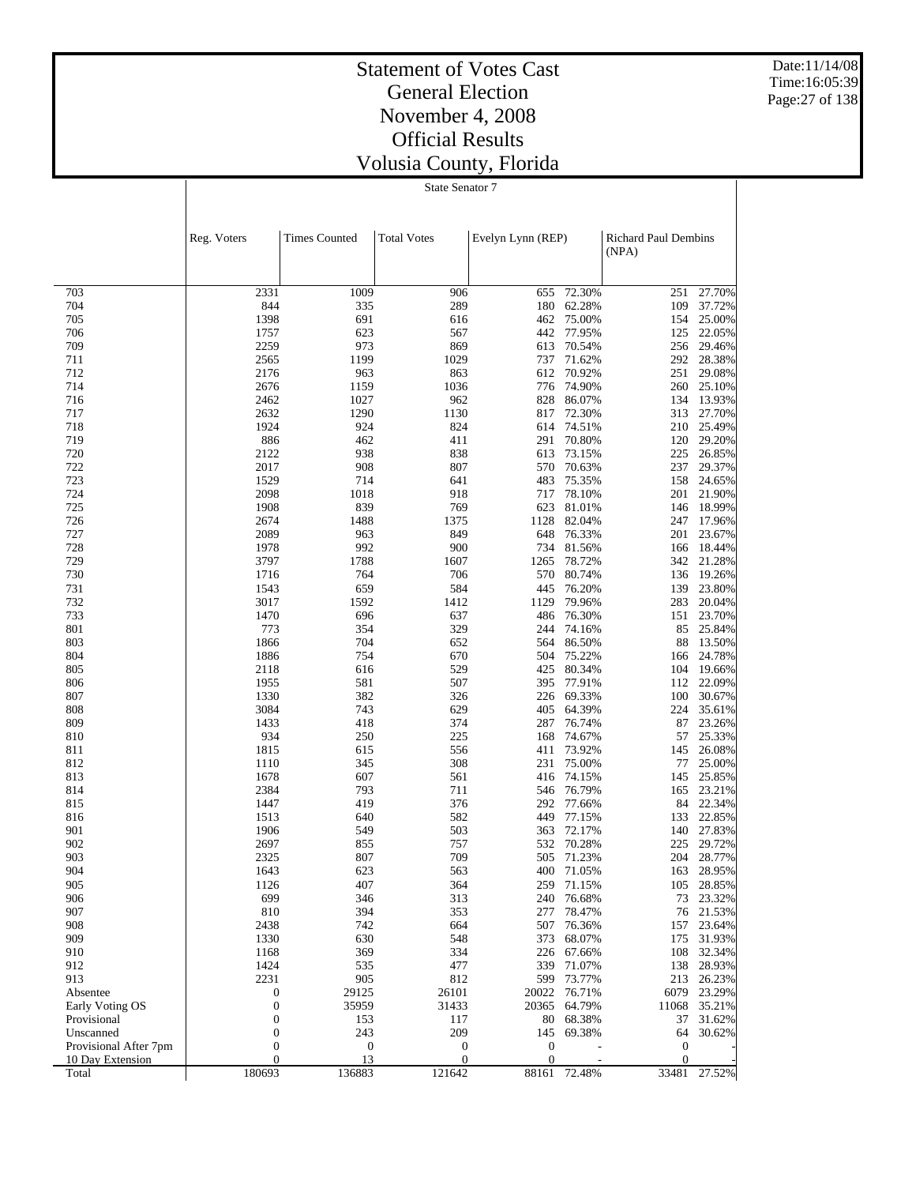Date:11/14/08 Time:16:05:39 Page:27 of 138

## Statement of Votes Cast General Election November 4, 2008 Official Results Volusia County, Florida

State Senator 7

|                           | Reg. Voters                          | <b>Times Counted</b>   | <b>Total Votes</b>                   | Evelyn Lynn (REP)                |                  | <b>Richard Paul Dembins</b><br>(NPA) |                  |
|---------------------------|--------------------------------------|------------------------|--------------------------------------|----------------------------------|------------------|--------------------------------------|------------------|
| 703                       | 2331                                 | 1009                   | 906                                  | 655                              | 72.30%           | 251                                  | 27.70%           |
| 704                       | 844                                  | 335                    | 289                                  | 180                              | 62.28%           | 109                                  | 37.72%           |
| 705                       | 1398                                 | 691                    | 616                                  | 462                              | 75.00%           | 154                                  | 25.00%           |
| 706                       | 1757                                 | 623                    | 567                                  | 442                              | 77.95%           | 125                                  | 22.05%           |
| 709                       | 2259                                 | 973                    | 869                                  | 613                              | 70.54%           | 256                                  | 29.46%           |
| 711                       | 2565                                 | 1199                   | 1029                                 | 737                              | 71.62%           | 292                                  | 28.38%           |
| 712                       | 2176                                 | 963                    | 863                                  | 612                              | 70.92%           | 251                                  | 29.08%           |
| 714                       | 2676                                 | 1159                   | 1036                                 | 776                              | 74.90%           | 260                                  | 25.10%           |
| 716                       | 2462                                 | 1027                   | 962                                  | 828                              | 86.07%           |                                      | 134 13.93%       |
| 717<br>718                | 2632<br>1924                         | 1290<br>924            | 1130<br>824                          | 817<br>614                       | 72.30%<br>74.51% | 313<br>210                           | 27.70%<br>25.49% |
| 719                       | 886                                  | 462                    | 411                                  | 291                              | 70.80%           | 120                                  | 29.20%           |
| 720                       | 2122                                 | 938                    | 838                                  | 613                              | 73.15%           | 225                                  | 26.85%           |
| 722                       | 2017                                 | 908                    | 807                                  | 570                              | 70.63%           | 237                                  | 29.37%           |
| 723                       | 1529                                 | 714                    | 641                                  | 483                              | 75.35%           | 158                                  | 24.65%           |
| 724                       | 2098                                 | 1018                   | 918                                  | 717                              | 78.10%           | 201                                  | 21.90%           |
| 725                       | 1908                                 | 839                    | 769                                  | 623                              | 81.01%           |                                      | 146 18.99%       |
| 726                       | 2674                                 | 1488                   | 1375                                 | 1128                             | 82.04%           | 247                                  | 17.96%           |
| 727                       | 2089                                 | 963                    | 849                                  | 648                              | 76.33%           | 201                                  | 23.67%           |
| 728                       | 1978                                 | 992                    | 900                                  | 734                              | 81.56%           | 166                                  | 18.44%           |
| 729                       | 3797                                 | 1788                   | 1607                                 | 1265                             | 78.72%           |                                      | 342 21.28%       |
| 730<br>731                | 1716<br>1543                         | 764<br>659             | 706<br>584                           | 570<br>445                       | 80.74%<br>76.20% | 136<br>139                           | 19.26%<br>23.80% |
| 732                       | 3017                                 | 1592                   | 1412                                 | 1129                             | 79.96%           | 283                                  | 20.04%           |
| 733                       | 1470                                 | 696                    | 637                                  | 486                              | 76.30%           | 151                                  | 23.70%           |
| 801                       | 773                                  | 354                    | 329                                  | 244                              | 74.16%           | 85                                   | 25.84%           |
| 803                       | 1866                                 | 704                    | 652                                  | 564                              | 86.50%           | 88                                   | 13.50%           |
| 804                       | 1886                                 | 754                    | 670                                  | 504                              | 75.22%           | 166                                  | 24.78%           |
| 805                       | 2118                                 | 616                    | 529                                  | 425                              | 80.34%           | 104                                  | 19.66%           |
| 806                       | 1955                                 | 581                    | 507                                  | 395                              | 77.91%           | 112                                  | 22.09%           |
| 807                       | 1330                                 | 382                    | 326                                  | 226                              | 69.33%           | 100                                  | 30.67%           |
| 808                       | 3084                                 | 743                    | 629                                  | 405                              | 64.39%           | 224                                  | 35.61%           |
| 809                       | 1433                                 | 418                    | 374                                  | 287                              | 76.74%           | 87                                   | 23.26%           |
| 810<br>811                | 934<br>1815                          | 250<br>615             | 225<br>556                           | 168<br>411                       | 74.67%<br>73.92% | 57<br>145                            | 25.33%<br>26.08% |
| 812                       | 1110                                 | 345                    | 308                                  | 231                              | 75.00%           | 77                                   | 25.00%           |
| 813                       | 1678                                 | 607                    | 561                                  | 416                              | 74.15%           | 145                                  | 25.85%           |
| 814                       | 2384                                 | 793                    | 711                                  | 546                              | 76.79%           | 165                                  | 23.21%           |
| 815                       | 1447                                 | 419                    | 376                                  | 292                              | 77.66%           |                                      | 84 22.34%        |
| 816                       | 1513                                 | 640                    | 582                                  | 449                              | 77.15%           | 133                                  | 22.85%           |
| 901                       | 1906                                 | 549                    | 503                                  | 363                              | 72.17%           | 140                                  | 27.83%           |
| 902                       | 2697                                 | 855                    | 757                                  | 532                              | 70.28%           | 225                                  | 29.72%           |
| 903                       | 2325                                 | 807                    | 709                                  | 505                              | 71.23%           | 204                                  | 28.77%           |
| 904                       | 1643                                 | 623                    | 563                                  | 400                              | 71.05%           | 163                                  | 28.95%           |
| 905                       | 1126                                 | 407                    | 364                                  |                                  | 259 71.15%       |                                      | 105 28.85%       |
| 906<br>907                | 699<br>810                           | 346<br>394             | 313<br>353                           | 240<br>277                       | 76.68%<br>78.47% | 73<br>76                             | 23.32%<br>21.53% |
| 908                       | 2438                                 | 742                    | 664                                  | 507                              | 76.36%           | 157                                  | 23.64%           |
| 909                       | 1330                                 | 630                    | 548                                  | 373                              | 68.07%           | 175                                  | 31.93%           |
| 910                       | 1168                                 | 369                    | 334                                  | 226                              | 67.66%           | 108                                  | 32.34%           |
| 912                       | 1424                                 | 535                    | 477                                  | 339                              | 71.07%           | 138                                  | 28.93%           |
| 913                       | 2231                                 | 905                    | 812                                  | 599                              | 73.77%           | 213                                  | 26.23%           |
| Absentee                  | $\boldsymbol{0}$                     | 29125                  | 26101                                | 20022                            | 76.71%           | 6079                                 | 23.29%           |
| Early Voting OS           | $\boldsymbol{0}$                     | 35959                  | 31433                                | 20365                            | 64.79%           | 11068                                | 35.21%           |
| Provisional               | $\boldsymbol{0}$                     | 153                    | 117                                  | 80                               | 68.38%           | 37                                   | 31.62%           |
| Unscanned                 | $\boldsymbol{0}$                     | 243                    | 209                                  | 145                              | 69.38%           | 64                                   | 30.62%           |
| Provisional After 7pm     | $\boldsymbol{0}$<br>$\boldsymbol{0}$ | $\boldsymbol{0}$<br>13 | $\boldsymbol{0}$<br>$\boldsymbol{0}$ | $\boldsymbol{0}$<br>$\mathbf{0}$ |                  | $\mathbf{0}$<br>$\mathbf{0}$         |                  |
| 10 Day Extension<br>Total | 180693                               | 136883                 | 121642                               | 88161                            | 72.48%           | 33481                                | 27.52%           |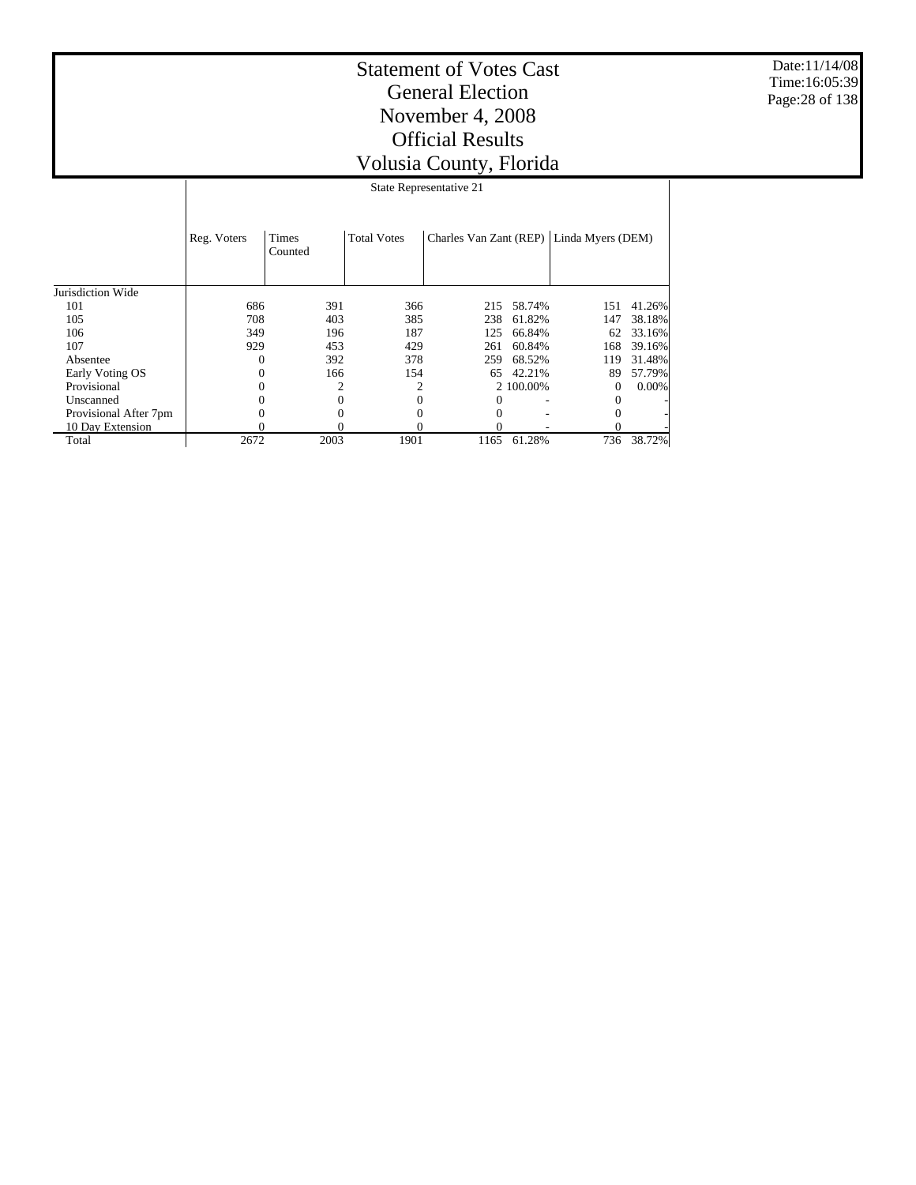Date:11/14/08 Time:16:05:39 Page:28 of 138

| State Representative 21 |             |              |  |  |  |  |  |  |  |
|-------------------------|-------------|--------------|--|--|--|--|--|--|--|
|                         |             |              |  |  |  |  |  |  |  |
|                         | Reg. Voters | <b>Times</b> |  |  |  |  |  |  |  |

|                       |      | Counted |      |      |            |          |        |
|-----------------------|------|---------|------|------|------------|----------|--------|
|                       |      |         |      |      |            |          |        |
| Jurisdiction Wide     |      |         |      |      |            |          |        |
| 101                   | 686  | 391     | 366  |      | 215 58.74% | 151      | 41.26% |
| 105                   | 708  | 403     | 385  | 238  | 61.82%     | 147      | 38.18% |
| 106                   | 349  | 196     | 187  | 125  | 66.84%     | 62       | 33.16% |
| 107                   | 929  | 453     | 429  | 261  | 60.84%     | 168      | 39.16% |
| Absentee              |      | 392     | 378  | 259  | 68.52%     | 119      | 31.48% |
| Early Voting OS       |      | 166     | 154  | 65   | 42.21%     | 89       | 57.79% |
| Provisional           |      |         |      |      | 2 100,00%  | $\Omega$ | 0.00%  |
| Unscanned             |      | 0       |      |      |            |          |        |
| Provisional After 7pm |      |         |      |      |            |          |        |
| 10 Day Extension      |      | 0       |      |      |            |          |        |
| Total                 | 2672 | 2003    | 1901 | 1165 | 61.28%     | 736      | 38.72% |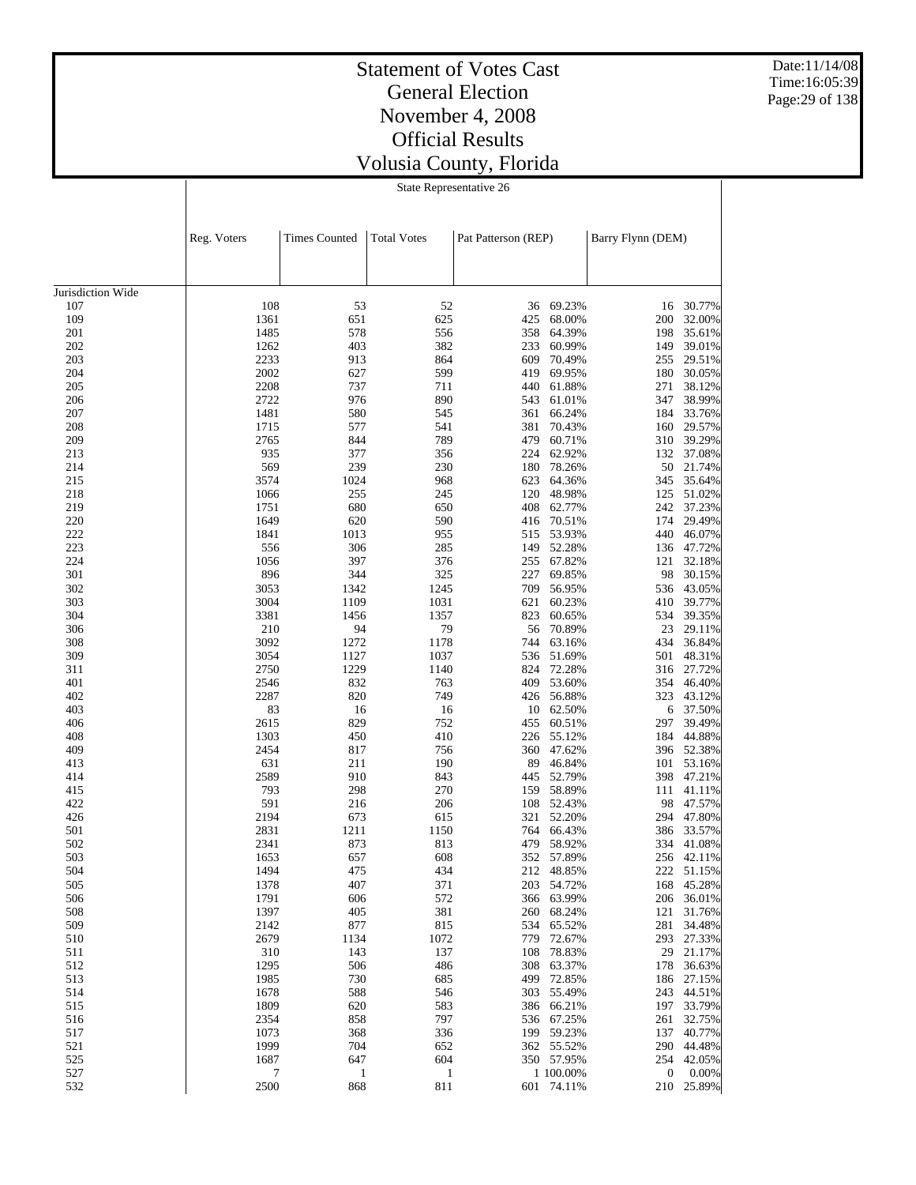Date:11/14/08 Time:16:05:39 Page:29 of 138

# Statement of Votes Cast General Election November 4, 2008 Official Results Volusia County, Florida

State Representative 26

|                   | Reg. Voters  | <b>Times Counted</b> | <b>Total Votes</b> | Pat Patterson (REP) |                          | Barry Flynn (DEM) |                         |
|-------------------|--------------|----------------------|--------------------|---------------------|--------------------------|-------------------|-------------------------|
|                   |              |                      |                    |                     |                          |                   |                         |
| Jurisdiction Wide |              |                      |                    |                     |                          |                   |                         |
| 107               | 108          | 53                   | 52                 |                     | 36 69.23%                | 16                | 30.77%                  |
| 109               | 1361         | 651                  | 625                | 425                 | 68.00%                   | 200               | 32.00%                  |
| 201               | 1485         | 578                  | 556                | 358                 | 64.39%                   | 198               | 35.61%                  |
| 202               | 1262         | 403                  | 382                | 233                 | 60.99%                   | 149               | 39.01%                  |
| 203               | 2233         | 913                  | 864                | 609                 | 70.49%                   | 255               | 29.51%                  |
| 204               | 2002         | 627                  | 599                | 419                 | 69.95%                   | 180               | 30.05%                  |
| 205               | 2208         | 737                  | 711                | 440                 | 61.88%                   | 271               | 38.12%                  |
| 206               | 2722         | 976                  | 890                | 543                 | 61.01%                   | 347               | 38.99%                  |
| 207               | 1481         | 580                  | 545                | 361                 | 66.24%                   | 184               | 33.76%                  |
| 208               | 1715         | 577                  | 541                | 381                 | 70.43%                   | 160               | 29.57%                  |
| 209               | 2765         | 844                  | 789                | 479                 | 60.71%                   | 310               | 39.29%                  |
| 213               | 935          | 377                  | 356                | 224                 | 62.92%                   | 132               | 37.08%                  |
| 214               | 569          | 239                  | 230                | 180                 | 78.26%                   | 50                | 21.74%                  |
| 215               | 3574         | 1024                 | 968                | 623                 | 64.36%                   | 345               | 35.64%                  |
| 218               | 1066<br>1751 | 255<br>680           | 245                | 120<br>408          | 48.98%                   | 125<br>242        | 51.02%<br>37.23%        |
| 219<br>220        | 1649         | 620                  | 650<br>590         |                     | 62.77%<br>70.51%         | 174               | 29.49%                  |
| 222               | 1841         | 1013                 | 955                | 416<br>515          | 53.93%                   | 440               | 46.07%                  |
| 223               | 556          | 306                  | 285                | 149                 | 52.28%                   | 136               | 47.72%                  |
| 224               | 1056         | 397                  | 376                | 255                 | 67.82%                   | 121               | 32.18%                  |
| 301               | 896          | 344                  | 325                | 227                 | 69.85%                   | 98                | 30.15%                  |
| 302               | 3053         | 1342                 | 1245               | 709                 | 56.95%                   | 536               | 43.05%                  |
| 303               | 3004         | 1109                 | 1031               | 621                 | 60.23%                   | 410               | 39.77%                  |
| 304               | 3381         | 1456                 | 1357               | 823                 | 60.65%                   | 534               | 39.35%                  |
| 306               | 210          | 94                   | 79                 | 56                  | 70.89%                   | 23                | 29.11%                  |
| 308               | 3092         | 1272                 | 1178               | 744                 | 63.16%                   | 434               | 36.84%                  |
| 309               | 3054         | 1127                 | 1037               | 536                 | 51.69%                   | 501               | 48.31%                  |
| 311               | 2750         | 1229                 | 1140               | 824                 | 72.28%                   | 316               | 27.72%                  |
| 401               | 2546         | 832                  | 763                | 409                 | 53.60%                   |                   | 354 46.40%              |
| 402               | 2287         | 820                  | 749                | 426                 | 56.88%                   | 323               | 43.12%                  |
| 403               | 83           | 16                   | 16                 | 10                  | 62.50%                   | 6                 | 37.50%                  |
| 406               | 2615         | 829                  | 752                | 455                 | 60.51%                   | 297               | 39.49%                  |
| 408               | 1303         | 450                  | 410                | 226                 | 55.12%                   | 184               | 44.88%                  |
| 409               | 2454         | 817                  | 756                | 360                 | 47.62%                   | 396               | 52.38%                  |
| 413               | 631          | 211                  | 190                | 89                  | 46.84%                   | 101               | 53.16%                  |
| 414               | 2589         | 910                  | 843                | 445                 | 52.79%                   | 398               | 47.21%                  |
| 415               | 793          | 298                  | 270                | 159                 | 58.89%                   | 111               | 41.11%                  |
| 422               | 591          | 216                  | 206                | 108                 | 52.43%                   | 98                | 47.57%                  |
| 426               | 2194         | 673                  | 615                | 321                 | 52.20%                   | 294               | 47.80%                  |
| 501               | 2831         | 1211                 | 1150               | 764                 | 66.43%                   | 386               | 33.57%                  |
| 502               | 2341         | 873                  | 813                | 479                 | 58.92%                   | 334               | 41.08%                  |
| 503               | 1653         | 657                  | 608                | 352                 | 57.89%                   | 256               | 42.11%                  |
| 504               | 1494         | 475                  | 434                |                     | 212 48.85%               |                   | 222 51.15%              |
| 505               | 1378         | 407                  | 371                |                     | 203 54.72%               |                   | 168 45.28%              |
| 506               | 1791         | 606                  | 572                |                     | 366 63.99%               |                   | 206 36.01%              |
| 508               | 1397         | 405                  | 381                |                     | 260 68.24%               |                   | 121 31.76%<br>34.48%    |
| 509               | 2142         | 877                  | 815                |                     | 534 65.52%               | 281               |                         |
| 510               | 2679         | 1134                 | 1072<br>137        |                     | 779 72.67%               |                   | 293 27.33%<br>29 21.17% |
| 511               | 310<br>1295  | 143<br>506           | 486                |                     | 108 78.83%<br>308 63.37% |                   | 178 36.63%              |
| 512<br>513        | 1985         | 730                  | 685                |                     | 499 72.85%               |                   | 186 27.15%              |
| 514               | 1678         | 588                  | 546                |                     | 303 55.49%               |                   | 243 44.51%              |
| 515               | 1809         | 620                  | 583                |                     | 386 66.21%               |                   | 197 33.79%              |
| 516               | 2354         | 858                  | 797                |                     | 536 67.25%               |                   | 261 32.75%              |
| 517               | 1073         | 368                  | 336                |                     | 199 59.23%               |                   | 137 40.77%              |
| 521               | 1999         | 704                  | 652                |                     | 362 55.52%               |                   | 290 44.48%              |
| 525               | 1687         | 647                  | 604                |                     | 350 57.95%               |                   | 254 42.05%              |
| 527               | 7            | 1                    | 1                  |                     | 1 100.00%                | $\overline{0}$    | $0.00\%$                |
| 532               | 2500         | 868                  | 811                |                     | 601 74.11%               |                   | 210 25.89%              |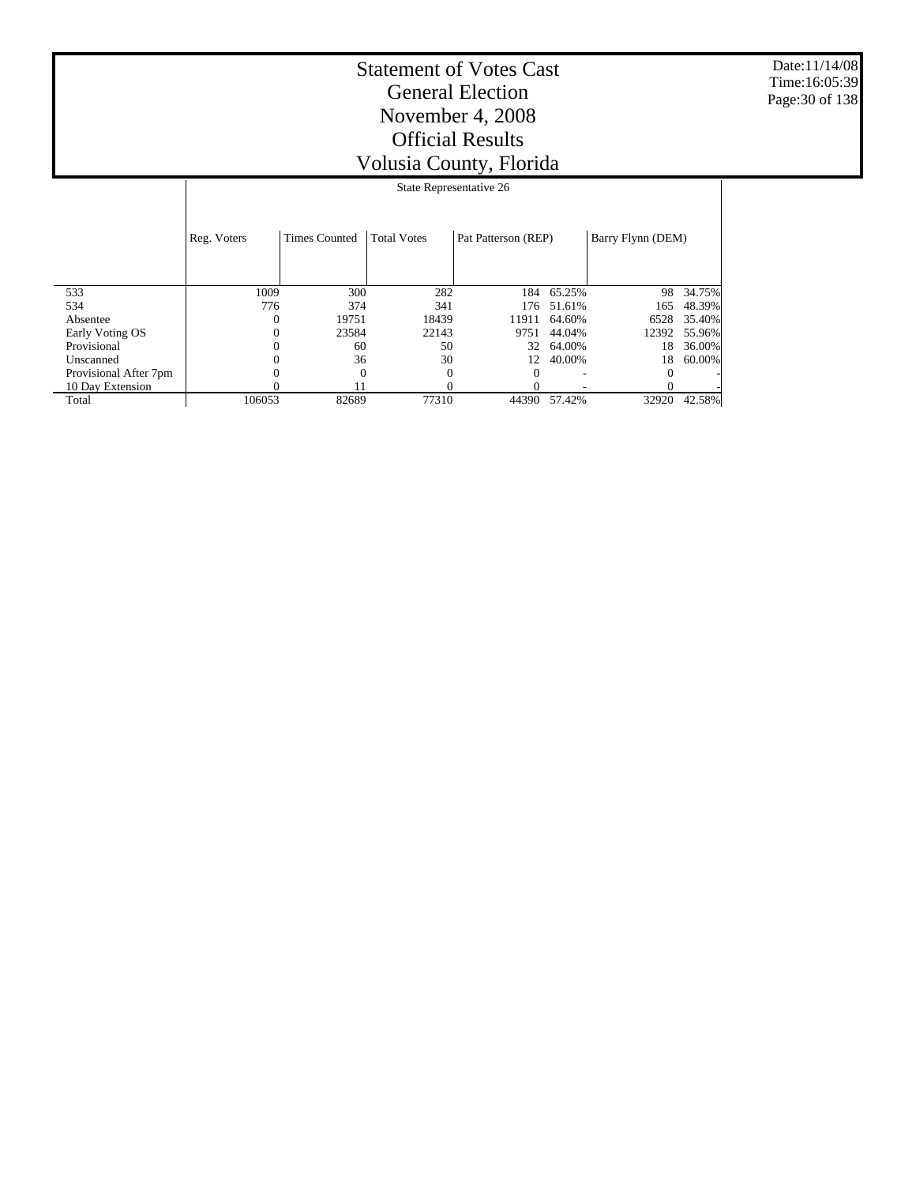Date:11/14/08 Time:16:05:39 Page:30 of 138

|                       |             | State Representative 26 |                    |                     |            |                   |        |  |  |  |
|-----------------------|-------------|-------------------------|--------------------|---------------------|------------|-------------------|--------|--|--|--|
|                       | Reg. Voters | <b>Times Counted</b>    | <b>Total Votes</b> | Pat Patterson (REP) |            | Barry Flynn (DEM) |        |  |  |  |
| 533                   | 1009        | 300                     | 282                |                     | 184 65.25% | 98                | 34.75% |  |  |  |
| 534                   | 776         | 374                     | 341                | 176                 | 51.61%     | 165               | 48.39% |  |  |  |
| Absentee              | 0           | 19751                   | 18439              | 11911               | 64.60%     | 6528              | 35.40% |  |  |  |
| Early Voting OS       | 0           | 23584                   | 22143              | 9751                | 44.04%     | 12392             | 55.96% |  |  |  |
| Provisional           |             | 60                      | 50                 | 32                  | 64.00%     | 18                | 36.00% |  |  |  |
| Unscanned             | 0           | 36                      | 30                 | 12                  | 40.00%     | 18                | 60.00% |  |  |  |
| Provisional After 7pm |             | $\theta$                |                    |                     |            |                   |        |  |  |  |
| 10 Day Extension      |             |                         |                    |                     |            |                   |        |  |  |  |
| Total                 | 106053      | 82689                   | 77310              | 44390               | 57.42%     | 32920             | 42.58% |  |  |  |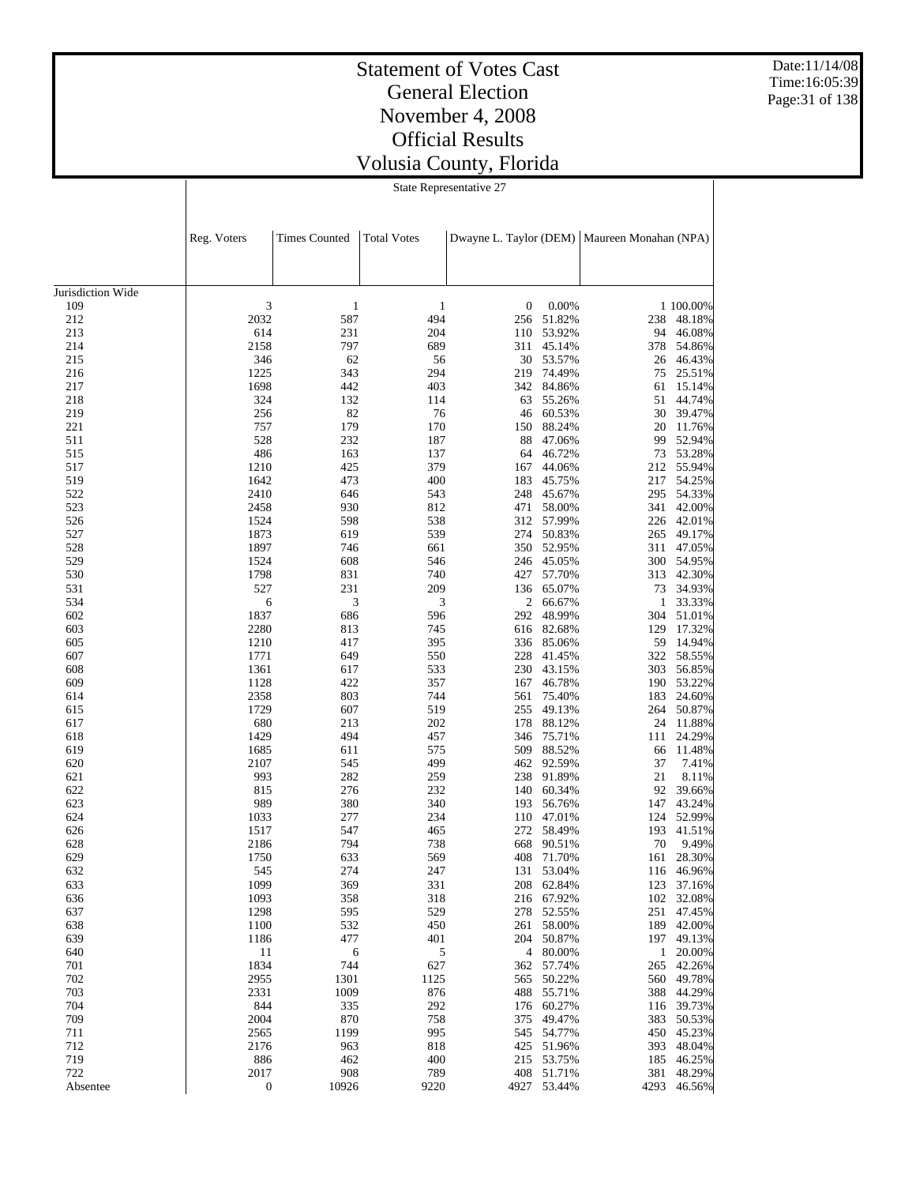Date:11/14/08 Time:16:05:39 Page:31 of 138

## Statement of Votes Cast General Election November 4, 2008 Official Results Volusia County, Florida

State Representative 27

|                   | Reg. Voters      | <b>Times Counted</b> | <b>Total Votes</b> |     |                      | Dwayne L. Taylor (DEM)   Maureen Monahan (NPA) |                      |
|-------------------|------------------|----------------------|--------------------|-----|----------------------|------------------------------------------------|----------------------|
|                   |                  |                      |                    |     |                      |                                                |                      |
| Jurisdiction Wide |                  |                      |                    |     |                      |                                                |                      |
| 109               | 3                | $\,1\,$              | 1                  | 0   | 0.00%                |                                                | 1 100.00%            |
| 212               | 2032             | 587                  | 494                | 256 | 51.82%               | 238                                            | 48.18%               |
| 213               | 614              | 231                  | 204                | 110 | 53.92%               | 94                                             | 46.08%               |
| 214               | 2158             | 797                  | 689                | 311 | 45.14%               | 378                                            | 54.86%               |
| 215               | 346              | 62                   | 56                 |     | 30 53.57%            | 26                                             | 46.43%               |
| 216               | 1225             | 343                  | 294                | 219 | 74.49%               | 75                                             | 25.51%               |
| 217               | 1698             | 442                  | 403                |     | 342 84.86%           | 61                                             | 15.14%               |
| 218               | 324              | 132                  | 114                | 63  | 55.26%               | 51                                             | 44.74%               |
| 219               | 256              | 82                   | 76                 | 46  | 60.53%               | 30                                             | 39.47%               |
| 221               | 757              | 179                  | 170                | 150 | 88.24%               | 20                                             | 11.76%               |
| 511               | 528              | 232                  | 187                | 88  | 47.06%               | 99                                             | 52.94%               |
| 515               | 486              | 163                  | 137                | 64  | 46.72%               |                                                | 73 53.28%            |
| 517               | 1210             | 425                  | 379                | 167 | 44.06%               |                                                | 212 55.94%           |
| 519               | 1642             | 473                  | 400                | 183 | 45.75%               | 217                                            | 54.25%               |
| 522               | 2410             | 646                  | 543                |     | 248 45.67%           | 295                                            | 54.33%               |
| 523               | 2458             | 930                  | 812                | 471 | 58.00%               | 341                                            | 42.00%               |
| 526               | 1524             | 598                  | 538                |     | 312 57.99%           |                                                | 226 42.01%           |
| 527               | 1873             | 619                  | 539                | 274 | 50.83%               | 265                                            | 49.17%               |
| 528               | 1897             | 746                  | 661                |     | 350 52.95%           | 311                                            | 47.05%               |
| 529               | 1524             | 608                  | 546                |     | 246 45.05%           | 300                                            | 54.95%               |
| 530               | 1798             | 831                  | 740                |     | 427 57.70%           | 313                                            | 42.30%               |
| 531               | 527              | 231                  | 209                |     | 136 65.07%           | 73                                             | 34.93%               |
| 534               | 6                | 3                    | 3                  |     | 2 66.67%             |                                                | 1 33.33%             |
| 602               | 1837             | 686                  | 596                | 292 | 48.99%               |                                                | 304 51.01%           |
| 603               | 2280             | 813                  | 745                |     | 616 82.68%           | 129                                            | 17.32%<br>14.94%     |
| 605               | 1210             | 417                  | 395                |     | 336 85.06%           | 59<br>322                                      |                      |
| 607               | 1771<br>1361     | 649                  | 550<br>533         | 228 | 41.45%               |                                                | 58.55%               |
| 608<br>609        | 1128             | 617<br>422           | 357                | 230 | 43.15%<br>167 46.78% | 303                                            | 56.85%<br>190 53.22% |
| 614               | 2358             | 803                  | 744                | 561 | 75.40%               | 183                                            | 24.60%               |
| 615               | 1729             | 607                  | 519                |     | 255 49.13%           | 264                                            | 50.87%               |
| 617               | 680              | 213                  | 202                | 178 | 88.12%               | 24                                             | 11.88%               |
| 618               | 1429             | 494                  | 457                | 346 | 75.71%               | 111                                            | 24.29%               |
| 619               | 1685             | 611                  | 575                | 509 | 88.52%               | 66                                             | 11.48%               |
| 620               | 2107             | 545                  | 499                | 462 | 92.59%               | 37                                             | 7.41%                |
| 621               | 993              | 282                  | 259                | 238 | 91.89%               | 21                                             | 8.11%                |
| 622               | 815              | 276                  | 232                |     | 140 60.34%           | 92                                             | 39.66%               |
| 623               | 989              | 380                  | 340                | 193 | 56.76%               | 147                                            | 43.24%               |
| 624               | 1033             | 277                  | 234                |     | 110 47.01%           | 124                                            | 52.99%               |
| 626               | 1517             | 547                  | 465                | 272 | 58.49%               | 193                                            | 41.51%               |
| 628               | 2186             | 794                  | 738                | 668 | 90.51%               | 70                                             | 9.49%                |
| 629               | 1750             | 633                  | 569                | 408 | 71.70%               | 161                                            | 28.30%               |
| 632               | 545              | 274                  | 247                |     | 131 53.04%           |                                                | 116 46.96%           |
| 633               | 1099             | 369                  | 331                |     | 208 62.84%           |                                                | 123 37.16%           |
| 636               | 1093             | 358                  | 318                |     | 216 67.92%           |                                                | 102 32.08%           |
| 637               | 1298             | 595                  | 529                |     | 278 52.55%           |                                                | 251 47.45%           |
| 638               | 1100             | 532                  | 450                |     | 261 58.00%           |                                                | 189 42.00%           |
| 639               | 1186             | 477                  | 401                |     | 204 50.87%           |                                                | 197 49.13%           |
| 640               | 11               | 6                    | 5                  |     | 4 80.00%             |                                                | 1 20.00%             |
| 701               | 1834             | 744                  | 627                |     | 362 57.74%           |                                                | 265 42.26%           |
| 702               | 2955             | 1301                 | 1125               |     | 565 50.22%           |                                                | 560 49.78%           |
| 703               | 2331             | 1009                 | 876                |     | 488 55.71%           |                                                | 388 44.29%           |
| 704               | 844              | 335                  | 292                |     | 176 60.27%           |                                                | 116 39.73%           |
| 709               | 2004             | 870                  | 758                |     | 375 49.47%           |                                                | 383 50.53%           |
| 711               | 2565             | 1199                 | 995                |     | 545 54.77%           |                                                | 450 45.23%           |
| 712               | 2176             | 963                  | 818                |     | 425 51.96%           |                                                | 393 48.04%           |
| 719               | 886              | 462                  | 400                |     | 215 53.75%           |                                                | 185 46.25%           |
| 722               | 2017             | 908                  | 789                |     | 408 51.71%           |                                                | 381 48.29%           |
| Absentee          | $\boldsymbol{0}$ | 10926                | 9220               |     | 4927 53.44%          | 4293                                           | 46.56%               |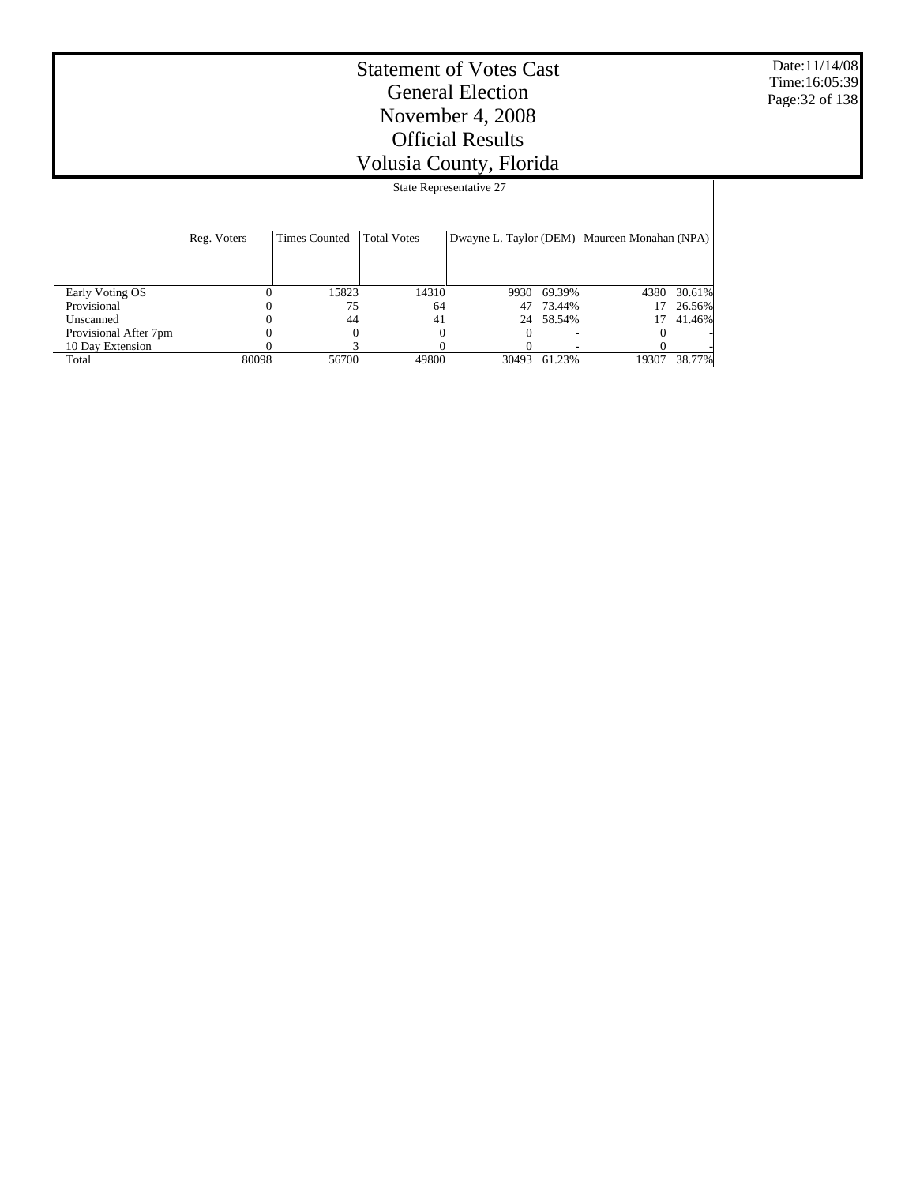Date:11/14/08 Time:16:05:39 Page:32 of 138

|                       |             | State Representative 27 |                    |       |        |                                                |        |  |  |  |  |  |
|-----------------------|-------------|-------------------------|--------------------|-------|--------|------------------------------------------------|--------|--|--|--|--|--|
|                       | Reg. Voters | <b>Times Counted</b>    | <b>Total Votes</b> |       |        | Dwayne L. Taylor (DEM)   Maureen Monahan (NPA) |        |  |  |  |  |  |
| Early Voting OS       | $\theta$    | 15823                   | 14310              | 9930  | 69.39% | 4380                                           | 30.61% |  |  |  |  |  |
| Provisional           |             | 75                      | 64                 | 47    | 73.44% | 17                                             | 26.56% |  |  |  |  |  |
| Unscanned             |             | 44                      | 41                 | 24    | 58.54% |                                                | 41.46% |  |  |  |  |  |
| Provisional After 7pm |             |                         |                    |       |        |                                                |        |  |  |  |  |  |
| 10 Day Extension      |             |                         |                    |       |        |                                                |        |  |  |  |  |  |
| Total                 | 80098       | 56700                   | 49800              | 30493 | 61.23% | 19307                                          | 38.77% |  |  |  |  |  |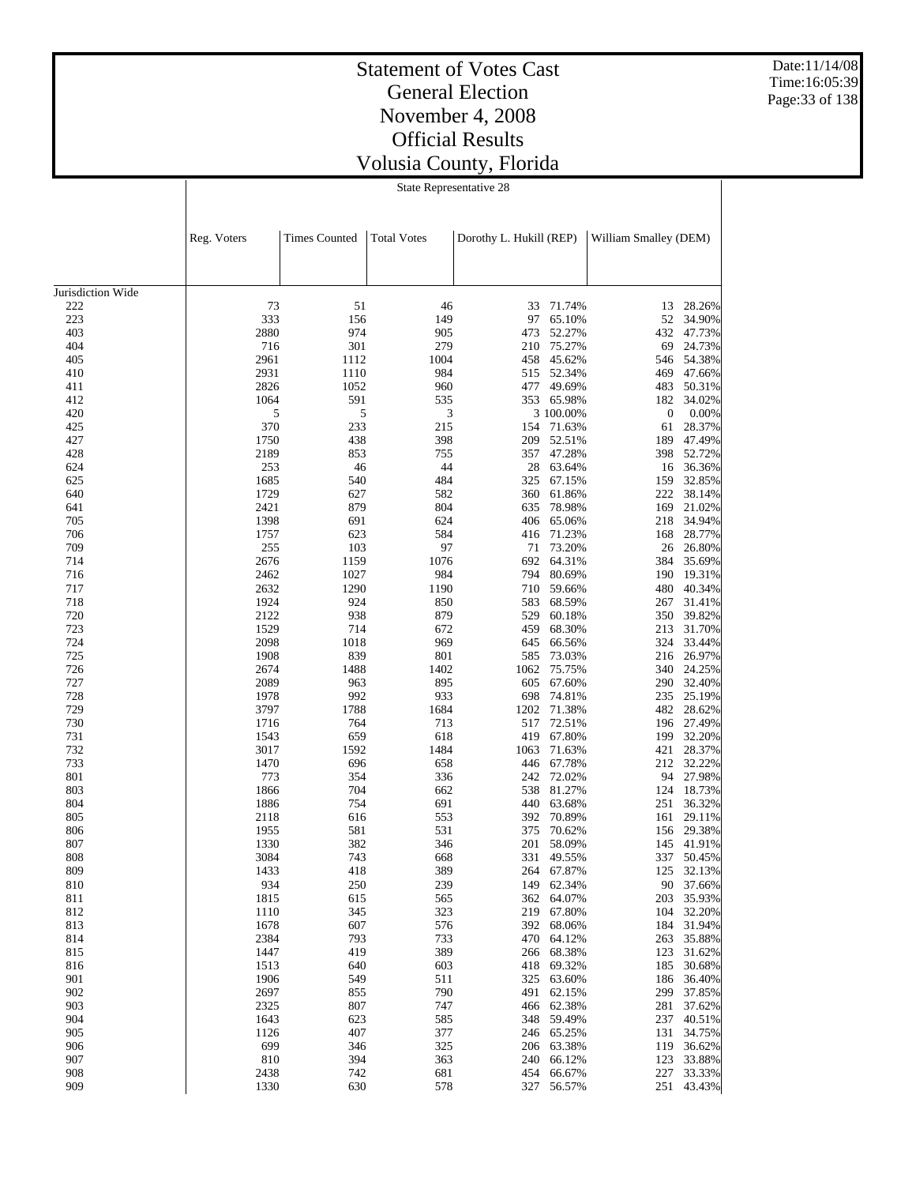Date:11/14/08 Time:16:05:39 Page:33 of 138

#### Statement of Votes Cast General Election November 4, 2008 Official Results Volusia County, Florida

State Representative 28

|                   | Reg. Voters<br><b>Times Counted</b><br><b>Total Votes</b><br>Dorothy L. Hukill (REP) |             | William Smalley (DEM) |             |                          |                  |                          |
|-------------------|--------------------------------------------------------------------------------------|-------------|-----------------------|-------------|--------------------------|------------------|--------------------------|
|                   |                                                                                      |             |                       |             |                          |                  |                          |
| Jurisdiction Wide |                                                                                      |             |                       |             |                          |                  |                          |
| 222               | 73                                                                                   | 51          | 46                    | 33          | 71.74%                   | 13               | 28.26%                   |
| 223<br>403        | 333<br>2880                                                                          | 156<br>974  | 149<br>905            | 97          | 65.10%                   | 52               | 34.90%                   |
| 404               | 716                                                                                  | 301         | 279                   | 473<br>210  | 52.27%<br>75.27%         | 432<br>69        | 47.73%<br>24.73%         |
| 405               | 2961                                                                                 | 1112        | 1004                  | 458         | 45.62%                   | 546              | 54.38%                   |
| 410               | 2931                                                                                 | 1110        | 984                   | 515         | 52.34%                   | 469              | 47.66%                   |
| 411               | 2826                                                                                 | 1052        | 960                   | 477         | 49.69%                   | 483              | 50.31%                   |
| 412               | 1064                                                                                 | 591         | 535                   |             | 353 65.98%               | 182              | 34.02%                   |
| 420               | 5                                                                                    | 5           | 3                     |             | 3 100.00%                | $\boldsymbol{0}$ | 0.00%                    |
| 425               | 370                                                                                  | 233         | 215                   | 154         | 71.63%                   | 61               | 28.37%                   |
| 427               | 1750                                                                                 | 438         | 398                   | 209         | 52.51%                   | 189              | 47.49%                   |
| 428               | 2189                                                                                 | 853         | 755                   | 357         | 47.28%                   | 398              | 52.72%                   |
| 624               | 253                                                                                  | 46          | 44                    | 28          | 63.64%                   | 16               | 36.36%                   |
| 625               | 1685                                                                                 | 540         | 484                   | 325         | 67.15%                   | 159              | 32.85%                   |
| 640               | 1729                                                                                 | 627         | 582                   | 360         | 61.86%                   | 222              | 38.14%                   |
| 641               | 2421                                                                                 | 879         | 804                   | 635         | 78.98%                   | 169              | 21.02%                   |
| 705               | 1398                                                                                 | 691         | 624                   | 406         | 65.06%                   | 218              | 34.94%                   |
| 706               | 1757                                                                                 | 623         | 584                   | 416         | 71.23%                   | 168              | 28.77%                   |
| 709               | 255                                                                                  | 103         | 97                    | 71          | 73.20%                   | 26               | 26.80%                   |
| 714               | 2676                                                                                 | 1159        | 1076                  | 692         | 64.31%                   | 384              | 35.69%                   |
| 716               | 2462                                                                                 | 1027        | 984                   | 794         | 80.69%                   | 190              | 19.31%                   |
| 717               | 2632                                                                                 | 1290        | 1190                  | 710         | 59.66%                   | 480              | 40.34%                   |
| 718               | 1924                                                                                 | 924         | 850                   | 583         | 68.59%                   | 267              | 31.41%                   |
| 720               | 2122                                                                                 | 938         | 879                   | 529         | 60.18%                   | 350              | 39.82%                   |
| 723               | 1529                                                                                 | 714         | 672                   | 459         | 68.30%                   | 213              | 31.70%                   |
| 724               | 2098                                                                                 | 1018        | 969                   | 645         | 66.56%                   | 324              | 33.44%                   |
| 725               | 1908<br>2674                                                                         | 839<br>1488 | 801<br>1402           | 585<br>1062 | 73.03%                   | 216              | 26.97%<br>340 24.25%     |
| 726<br>727        | 2089                                                                                 | 963         | 895                   | 605         | 75.75%<br>67.60%         |                  | 290 32.40%               |
| 728               | 1978                                                                                 | 992         | 933                   | 698         | 74.81%                   | 235              | 25.19%                   |
| 729               | 3797                                                                                 | 1788        | 1684                  | 1202        | 71.38%                   |                  | 482 28.62%               |
| 730               | 1716                                                                                 | 764         | 713                   | 517         | 72.51%                   |                  | 196 27.49%               |
| 731               | 1543                                                                                 | 659         | 618                   | 419         | 67.80%                   |                  | 199 32.20%               |
| 732               | 3017                                                                                 | 1592        | 1484                  | 1063        | 71.63%                   | 421              | 28.37%                   |
| 733               | 1470                                                                                 | 696         | 658                   | 446         | 67.78%                   | 212              | 32.22%                   |
| 801               | 773                                                                                  | 354         | 336                   | 242         | 72.02%                   | 94               | 27.98%                   |
| 803               | 1866                                                                                 | 704         | 662                   | 538         | 81.27%                   | 124              | 18.73%                   |
| 804               | 1886                                                                                 | 754         | 691                   | 440         | 63.68%                   | 251              | 36.32%                   |
| 805               | 2118                                                                                 | 616         | 553                   | 392         | 70.89%                   | 161              | 29.11%                   |
| 806               | 1955                                                                                 | 581         | 531                   | 375         | 70.62%                   | 156              | 29.38%                   |
| 807               | 1330                                                                                 | 382         | 346                   | 201         | 58.09%                   | 145              | 41.91%                   |
| 808               | 3084                                                                                 | 743         | 668                   | 331         | 49.55%                   | 337              | 50.45%                   |
| 809               | 1433                                                                                 | 418         | 389                   |             | 264 67.87%               | 125              | 32.13%                   |
| 810               | 934                                                                                  | 250         | 239                   |             | 149 62.34%               |                  | 90 37.66%                |
| 811               | 1815                                                                                 | 615         | 565                   |             | 362 64.07%               |                  | 203 35.93%               |
| 812               | 1110                                                                                 | 345         | 323                   |             | 219 67.80%               |                  | 104 32.20%               |
| 813               | 1678                                                                                 | 607         | 576                   |             | 392 68.06%               |                  | 184 31.94%               |
| 814               | 2384                                                                                 | 793         | 733                   |             | 470 64.12%               |                  | 263 35.88%               |
| 815               | 1447                                                                                 | 419         | 389                   |             | 266 68.38%               | 123              | 31.62%                   |
| 816               | 1513                                                                                 | 640         | 603                   |             | 418 69.32%               | 185              | 30.68%                   |
| 901<br>902        | 1906<br>2697                                                                         | 549<br>855  | 511<br>790            |             | 325 63.60%<br>491 62.15% |                  | 186 36.40%<br>299 37.85% |
| 903               | 2325                                                                                 | 807         | 747                   |             | 466 62.38%               | 281              | 37.62%                   |
| 904               | 1643                                                                                 | 623         | 585                   |             | 348 59.49%               | 237              | 40.51%                   |
| 905               | 1126                                                                                 | 407         | 377                   |             | 246 65.25%               | 131              | 34.75%                   |
| 906               | 699                                                                                  | 346         | 325                   |             | 206 63.38%               |                  | 119 36.62%               |
| 907               | 810                                                                                  | 394         | 363                   |             | 240 66.12%               |                  | 123 33.88%               |
| 908               | 2438                                                                                 | 742         | 681                   |             | 454 66.67%               |                  | 227 33.33%               |
| 909               | 1330                                                                                 | 630         | 578                   |             | 327 56.57%               | 251              | 43.43%                   |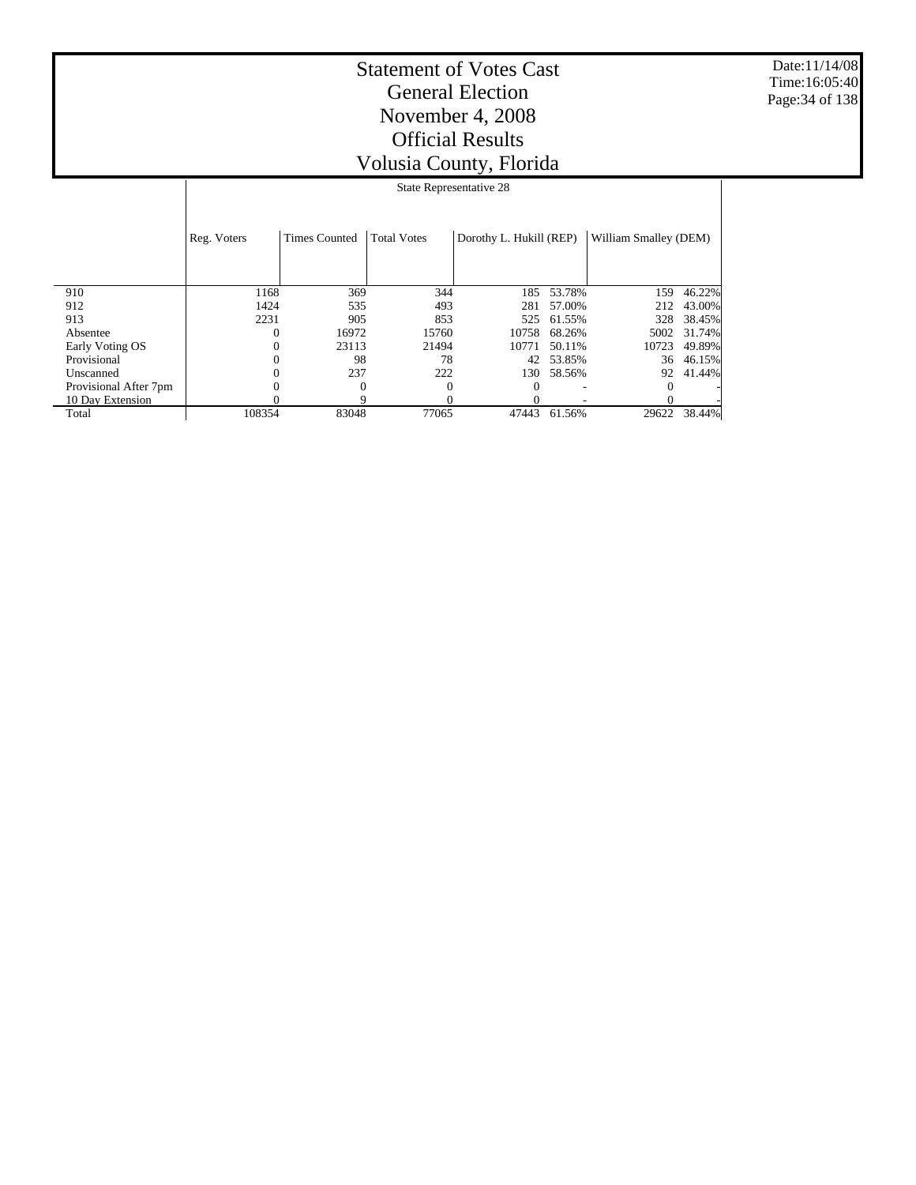Date:11/14/08 Time:16:05:40 Page:34 of 138

|                       |             | State Representative 28 |                    |                         |        |                       |        |  |  |  |  |
|-----------------------|-------------|-------------------------|--------------------|-------------------------|--------|-----------------------|--------|--|--|--|--|
|                       | Reg. Voters | <b>Times Counted</b>    | <b>Total Votes</b> | Dorothy L. Hukill (REP) |        | William Smalley (DEM) |        |  |  |  |  |
| 910                   | 1168        | 369                     | 344                | 185                     | 53.78% | 159                   | 46.22% |  |  |  |  |
| 912                   | 1424        | 535                     | 493                | 281                     | 57.00% | 212                   | 43.00% |  |  |  |  |
| 913                   | 2231        | 905                     | 853                | 525                     | 61.55% | 328                   | 38.45% |  |  |  |  |
| Absentee              |             | 16972                   | 15760              | 10758                   | 68.26% | 5002                  | 31.74% |  |  |  |  |
| Early Voting OS       |             | 23113                   | 21494              | 10771                   | 50.11% | 10723                 | 49.89% |  |  |  |  |
| Provisional           |             | 98                      | 78                 | 42                      | 53.85% | 36                    | 46.15% |  |  |  |  |
| Unscanned             |             | 237                     | 222                | 130                     | 58.56% | 92                    | 41.44% |  |  |  |  |
| Provisional After 7pm |             | $\theta$                |                    |                         |        |                       |        |  |  |  |  |
| 10 Day Extension      |             | Q                       |                    |                         |        |                       |        |  |  |  |  |
| Total                 | 108354      | 83048                   | 77065              | 47443                   | 61.56% | 29622                 | 38.44% |  |  |  |  |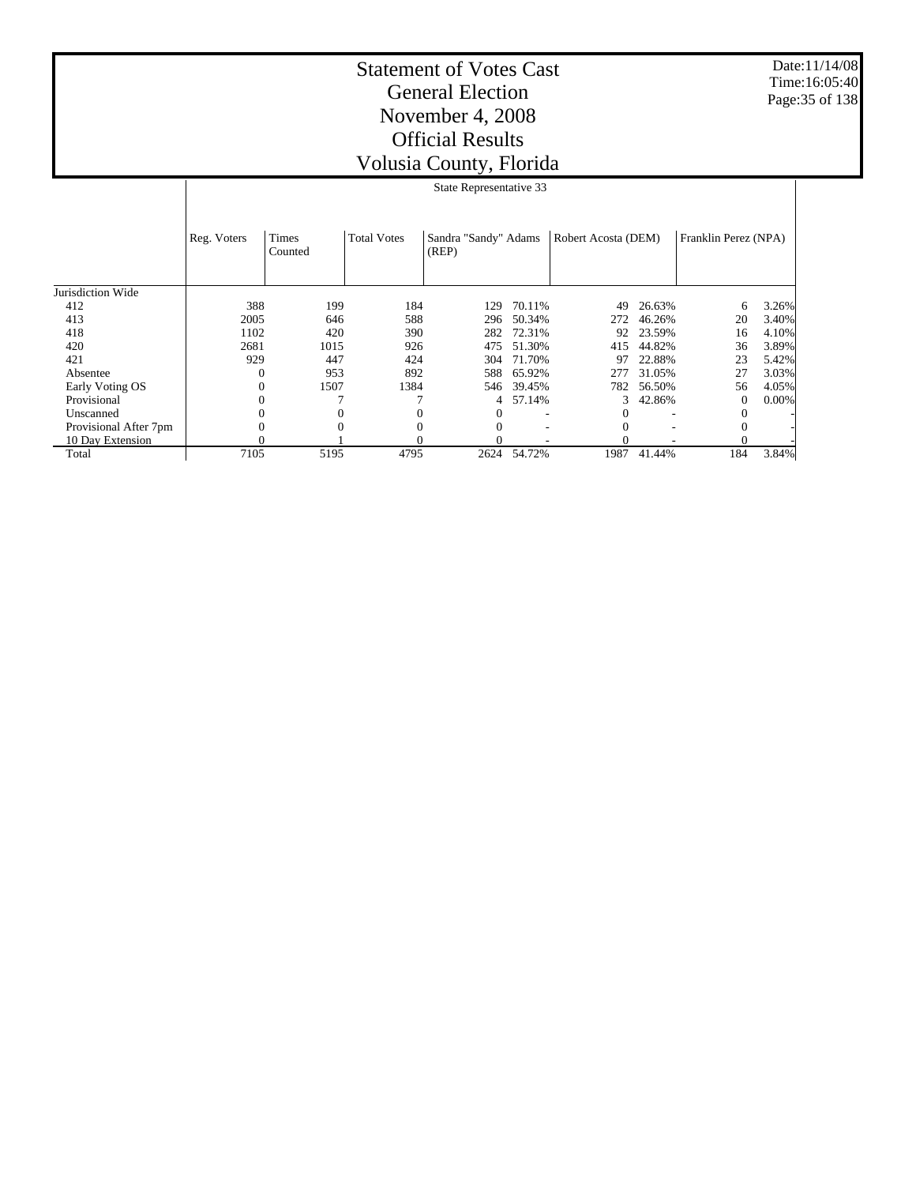Date:11/14/08 Time:16:05:40 Page:35 of 138

|                       |             | State Representative 33 |                    |                               |        |                     |        |                      |       |  |  |
|-----------------------|-------------|-------------------------|--------------------|-------------------------------|--------|---------------------|--------|----------------------|-------|--|--|
|                       | Reg. Voters | Times<br>Counted        | <b>Total Votes</b> | Sandra "Sandy" Adams<br>(REP) |        | Robert Acosta (DEM) |        | Franklin Perez (NPA) |       |  |  |
| Jurisdiction Wide     |             |                         |                    |                               |        |                     |        |                      |       |  |  |
| 412                   | 388         | 199                     | 184                | 129                           | 70.11% | 49                  | 26.63% | 6                    | 3.26% |  |  |
| 413                   | 2005        | 646                     | 588                | 296                           | 50.34% | 272                 | 46.26% | 20                   | 3.40% |  |  |
| 418                   | 1102        | 420                     | 390                | 282                           | 72.31% | 92                  | 23.59% | 16                   | 4.10% |  |  |
| 420                   | 2681        | 1015                    | 926                | 475                           | 51.30% | 415                 | 44.82% | 36                   | 3.89% |  |  |
| 421                   | 929         | 447                     | 424                | 304                           | 71.70% | 97                  | 22.88% | 23                   | 5.42% |  |  |
| Absentee              | 0           | 953                     | 892                | 588                           | 65.92% | 277                 | 31.05% | 27                   | 3.03% |  |  |
| Early Voting OS       |             | 1507                    | 1384               | 546                           | 39.45% | 782                 | 56.50% | 56                   | 4.05% |  |  |
| Provisional           |             |                         |                    | 4                             | 57.14% | 3                   | 42.86% | $^{(1)}$             | 0.00% |  |  |
| Unscanned             |             | $\Omega$                |                    | $^{(1)}$                      |        |                     |        |                      |       |  |  |
| Provisional After 7pm |             | $\Omega$                | 0                  | 0                             |        |                     |        | $^{0}$               |       |  |  |
| 10 Day Extension      |             |                         |                    |                               |        |                     |        |                      |       |  |  |
| Total                 | 7105        | 5195                    | 4795               | 2624                          | 54.72% | 1987                | 41.44% | 184                  | 3.84% |  |  |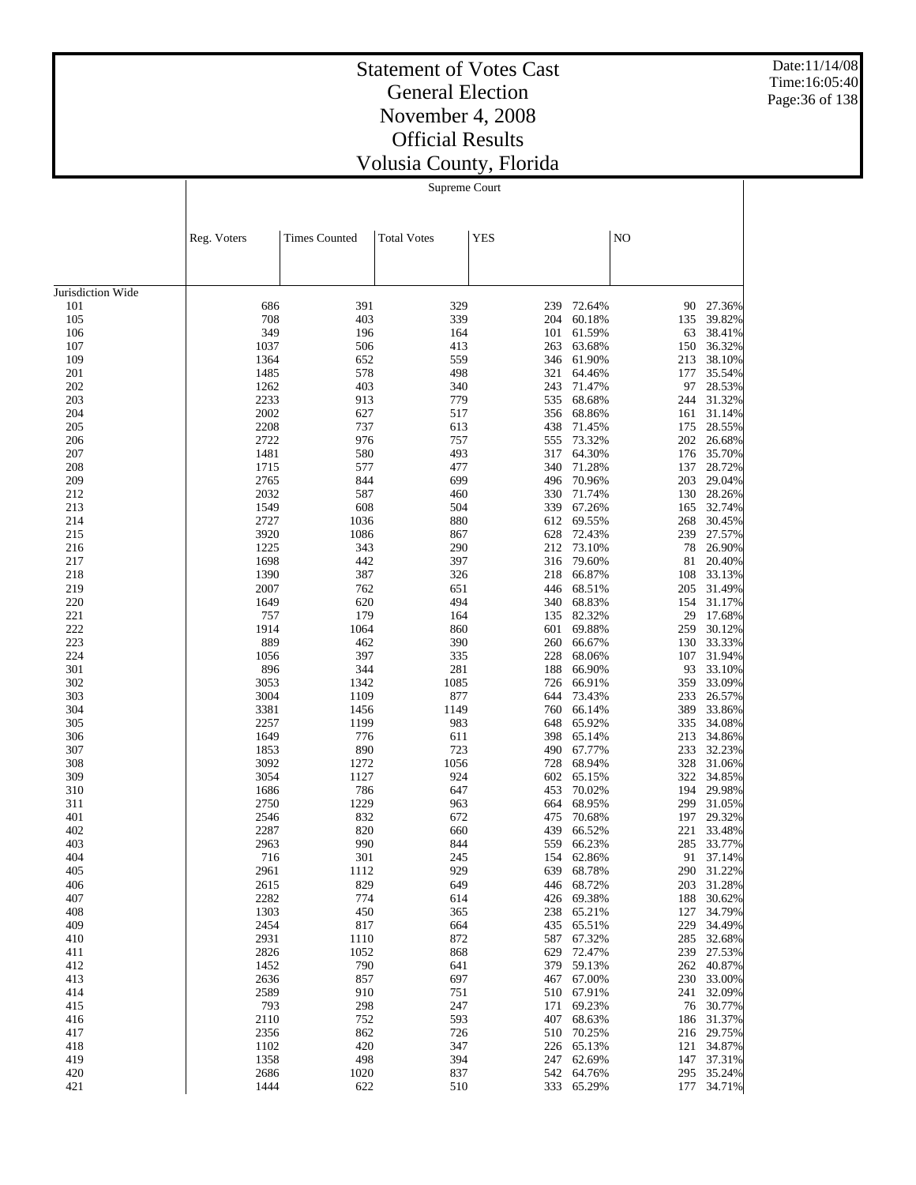Date:11/14/08 Time:16:05:40 Page:36 of 138

## Statement of Votes Cast General Election November 4, 2008 Official Results Volusia County, Florida

Supreme Court

|                   | Reg. Voters  | <b>Times Counted</b> | <b>Total Votes</b> | <b>YES</b> |                      | NO         |                  |
|-------------------|--------------|----------------------|--------------------|------------|----------------------|------------|------------------|
|                   |              |                      |                    |            |                      |            |                  |
|                   |              |                      |                    |            |                      |            |                  |
| Jurisdiction Wide |              |                      |                    |            |                      |            |                  |
| 101<br>105        | 686<br>708   | 391<br>403           | 329<br>339         | 239<br>204 | 72.64%<br>60.18%     | 90<br>135  | 27.36%<br>39.82% |
| 106               | 349          | 196                  | 164                | 101        | 61.59%               | 63         | 38.41%           |
| 107               | 1037         | 506                  | 413                | 263        | 63.68%               | 150        | 36.32%           |
| 109               | 1364         | 652                  | 559                | 346        | 61.90%               | 213        | 38.10%           |
| 201               | 1485         | 578                  | 498                | 321        | 64.46%               | 177        | 35.54%           |
| 202               | 1262         | 403                  | 340                | 243        | 71.47%               | 97         | 28.53%           |
| 203               | 2233         | 913                  | 779                | 535        | 68.68%               | 244        | 31.32%           |
| 204               | 2002         | 627                  | 517                | 356        | 68.86%               | 161        | 31.14%           |
| 205               | 2208         | 737                  | 613                | 438        | 71.45%               | 175        | 28.55%           |
| 206               | 2722         | 976                  | 757                | 555        | 73.32%               | 202        | 26.68%           |
| 207               | 1481         | 580                  | 493                | 317        | 64.30%               | 176        | 35.70%           |
| 208               | 1715         | 577                  | 477                | 340        | 71.28%               | 137        | 28.72%           |
| 209               | 2765         | 844                  | 699                | 496        | 70.96%               | 203        | 29.04%           |
| 212<br>213        | 2032<br>1549 | 587<br>608           | 460<br>504         | 330<br>339 | 71.74%<br>67.26%     | 130        | 28.26%<br>32.74% |
| 214               | 2727         | 1036                 | 880                | 612        | 69.55%               | 165<br>268 | 30.45%           |
| 215               | 3920         | 1086                 | 867                | 628        | 72.43%               | 239        | 27.57%           |
| 216               | 1225         | 343                  | 290                | 212        | 73.10%               | 78         | 26.90%           |
| 217               | 1698         | 442                  | 397                | 316        | 79.60%               | 81         | 20.40%           |
| 218               | 1390         | 387                  | 326                | 218        | 66.87%               | 108        | 33.13%           |
| 219               | 2007         | 762                  | 651                | 446        | 68.51%               | 205        | 31.49%           |
| 220               | 1649         | 620                  | 494                | 340        | 68.83%               | 154        | 31.17%           |
| 221               | 757          | 179                  | 164                | 135        | 82.32%               | 29         | 17.68%           |
| 222               | 1914         | 1064                 | 860                | 601        | 69.88%               | 259        | 30.12%           |
| 223               | 889          | 462                  | 390                | 260        | 66.67%               | 130        | 33.33%           |
| 224               | 1056         | 397                  | 335                | 228        | 68.06%               | 107        | 31.94%           |
| 301               | 896          | 344                  | 281                | 188        | 66.90%               | 93         | 33.10%           |
| 302               | 3053         | 1342                 | 1085               | 726        | 66.91%               | 359        | 33.09%           |
| 303<br>304        | 3004         | 1109<br>1456         | 877<br>1149        | 644<br>760 | 73.43%<br>66.14%     | 233        | 26.57%<br>33.86% |
| 305               | 3381<br>2257 | 1199                 | 983                | 648        | 65.92%               | 389<br>335 | 34.08%           |
| 306               | 1649         | 776                  | 611                | 398        | 65.14%               | 213        | 34.86%           |
| 307               | 1853         | 890                  | 723                | 490        | 67.77%               | 233        | 32.23%           |
| 308               | 3092         | 1272                 | 1056               | 728        | 68.94%               | 328        | 31.06%           |
| 309               | 3054         | 1127                 | 924                | 602        | 65.15%               | 322        | 34.85%           |
| 310               | 1686         | 786                  | 647                | 453        | 70.02%               | 194        | 29.98%           |
| 311               | 2750         | 1229                 | 963                | 664        | 68.95%               | 299        | 31.05%           |
| 401               | 2546         | 832                  | 672                | 475        | 70.68%               | 197        | 29.32%           |
| 402               | 2287         | 820                  | 660                | 439        | 66.52%               | 221        | 33.48%           |
| 403               | 2963         | 990                  | 844                | 559        | 66.23%               | 285        | 33.77%           |
| 404               | 716          | 301                  | 245                | 154        | 62.86%               | 91         | 37.14%           |
| 405               | 2961         | 1112                 | 929                | 639        | 68.78%               | 290        | 31.22%           |
| 406<br>407        | 2615<br>2282 | 829<br>774           | 649<br>614         | 426        | 446 68.72%<br>69.38% | 203<br>188 | 31.28%<br>30.62% |
| 408               | 1303         | 450                  | 365                | 238        | 65.21%               | 127        | 34.79%           |
| 409               | 2454         | 817                  | 664                | 435        | 65.51%               | 229        | 34.49%           |
| 410               | 2931         | 1110                 | 872                | 587        | 67.32%               | 285        | 32.68%           |
| 411               | 2826         | 1052                 | 868                | 629        | 72.47%               | 239        | 27.53%           |
| 412               | 1452         | 790                  | 641                | 379        | 59.13%               | 262        | 40.87%           |
| 413               | 2636         | 857                  | 697                | 467        | 67.00%               | 230        | 33.00%           |
| 414               | 2589         | 910                  | 751                | 510        | 67.91%               | 241        | 32.09%           |
| 415               | 793          | 298                  | 247                | 171        | 69.23%               | 76         | 30.77%           |
| 416               | 2110         | 752                  | 593                | 407        | 68.63%               | 186        | 31.37%           |
| 417               | 2356         | 862                  | 726                | 510        | 70.25%               | 216        | 29.75%           |
| 418               | 1102         | 420                  | 347                | 226        | 65.13%               | 121        | 34.87%           |
| 419               | 1358         | 498                  | 394                | 247        | 62.69%               | 147        | 37.31%           |
| 420<br>421        | 2686<br>1444 | 1020<br>622          | 837<br>510         | 542<br>333 | 64.76%<br>65.29%     | 295<br>177 | 35.24%<br>34.71% |
|                   |              |                      |                    |            |                      |            |                  |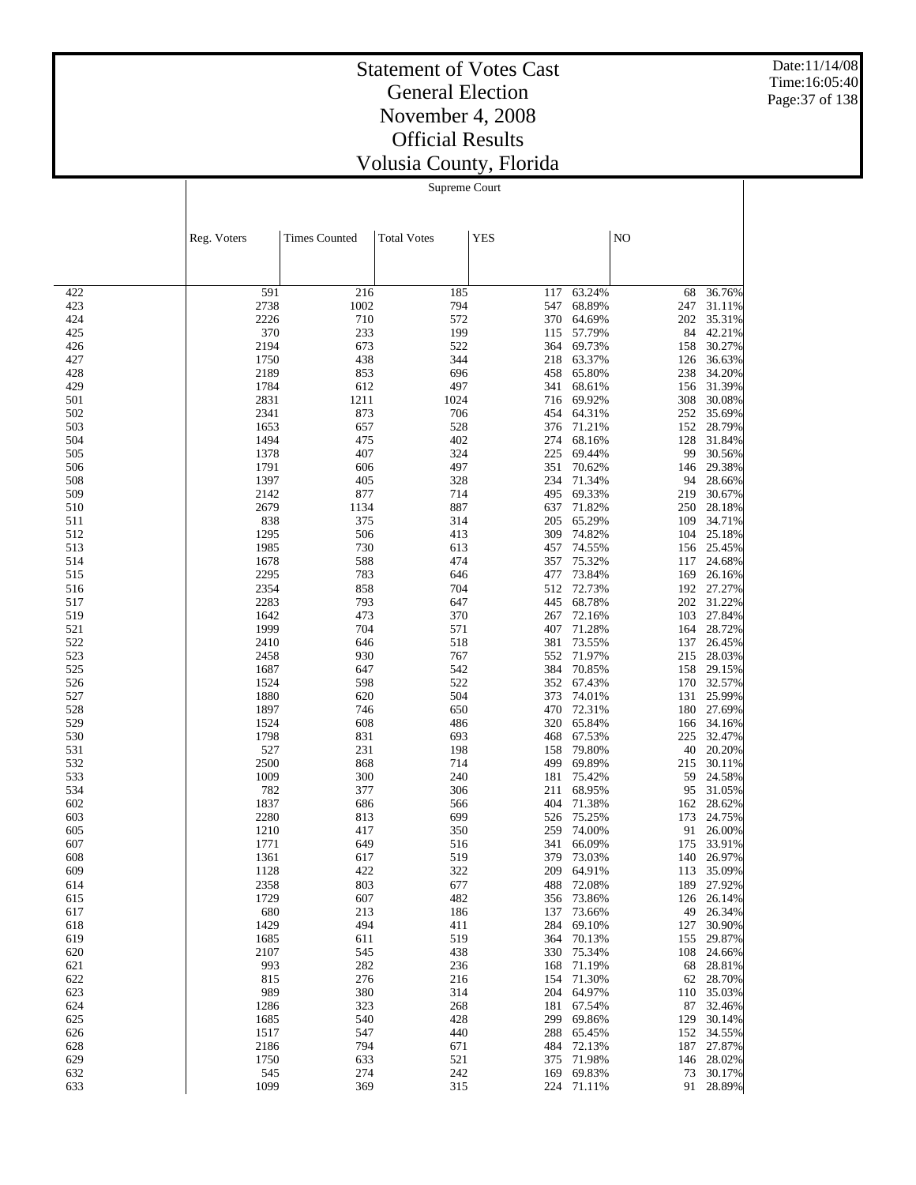Date:11/14/08 Time:16:05:40 Page:37 of 138

# Statement of Votes Cast General Election November 4, 2008 Official Results Volusia County, Florida

Supreme Court

|            | Reg. Voters  | <b>Times Counted</b> | <b>Total Votes</b> | <b>YES</b> |                  | NO         |                     |
|------------|--------------|----------------------|--------------------|------------|------------------|------------|---------------------|
|            |              |                      |                    |            |                  |            |                     |
|            |              |                      |                    |            |                  |            |                     |
| 422<br>423 | 591<br>2738  | 216<br>1002          | 185<br>794         | 117<br>547 | 63.24%<br>68.89% | 68<br>247  | 36.76%<br>31.11%    |
| 424        | 2226         | 710                  | 572                | 370        | 64.69%           | 202        | 35.31%              |
| 425        | 370          | 233                  | 199                | 115        | 57.79%           | 84         | 42.21%              |
| 426        | 2194         | 673                  | 522                | 364        | 69.73%           | 158        | 30.27%              |
| 427        | 1750         | 438                  | 344                | 218        | 63.37%           | 126        | 36.63%              |
| 428        | 2189         | 853                  | 696                | 458        | 65.80%           | 238        | 34.20%              |
| 429<br>501 | 1784<br>2831 | 612<br>1211          | 497<br>1024        | 341<br>716 | 68.61%<br>69.92% | 156<br>308 | 31.39%<br>30.08%    |
| 502        | 2341         | 873                  | 706                | 454        | 64.31%           | 252        | 35.69%              |
| 503        | 1653         | 657                  | 528                | 376        | 71.21%           | 152        | 28.79%              |
| 504        | 1494         | 475                  | 402                | 274        | 68.16%           | 128        | 31.84%              |
| 505        | 1378         | 407                  | 324                | 225        | 69.44%           | 99         | 30.56%              |
| 506        | 1791         | 606                  | 497                | 351        | 70.62%           | 146        | 29.38%              |
| 508        | 1397         | 405                  | 328                | 234        | 71.34%           | 94         | 28.66%              |
| 509<br>510 | 2142<br>2679 | 877<br>1134          | 714<br>887         | 495<br>637 | 69.33%<br>71.82% | 219<br>250 | 30.67%<br>28.18%    |
| 511        | 838          | 375                  | 314                | 205        | 65.29%           | 109        | 34.71%              |
| 512        | 1295         | 506                  | 413                | 309        | 74.82%           | 104        | 25.18%              |
| 513        | 1985         | 730                  | 613                | 457        | 74.55%           | 156        | 25.45%              |
| 514        | 1678         | 588                  | 474                | 357        | 75.32%           | 117        | 24.68%              |
| 515        | 2295         | 783                  | 646                | 477        | 73.84%           | 169        | 26.16%              |
| 516        | 2354         | 858                  | 704                | 512        | 72.73%           | 192        | 27.27%              |
| 517        | 2283         | 793                  | 647                | 445        | 68.78%           | 202        | 31.22%              |
| 519<br>521 | 1642<br>1999 | 473<br>704           | 370<br>571         | 267<br>407 | 72.16%<br>71.28% | 103<br>164 | 27.84%<br>28.72%    |
| 522        | 2410         | 646                  | 518                | 381        | 73.55%           | 137        | 26.45%              |
| 523        | 2458         | 930                  | 767                | 552        | 71.97%           | 215        | 28.03%              |
| 525        | 1687         | 647                  | 542                | 384        | 70.85%           | 158        | 29.15%              |
| 526        | 1524         | 598                  | 522                | 352        | 67.43%           | 170        | 32.57%              |
| 527        | 1880         | 620                  | 504                | 373        | 74.01%           | 131        | 25.99%              |
| 528        | 1897         | 746                  | 650                | 470        | 72.31%           | 180        | 27.69%              |
| 529        | 1524         | 608                  | 486                | 320<br>468 | 65.84%<br>67.53% | 166        | 34.16%<br>32.47%    |
| 530<br>531 | 1798<br>527  | 831<br>231           | 693<br>198         | 158        | 79.80%           | 225<br>40  | 20.20%              |
| 532        | 2500         | 868                  | 714                | 499        | 69.89%           | 215        | 30.11%              |
| 533        | 1009         | 300                  | 240                | 181        | 75.42%           | 59         | 24.58%              |
| 534        | 782          | 377                  | 306                | 211        | 68.95%           | 95         | 31.05%              |
| 602        | 1837         | 686                  | 566                | 404        | 71.38%           | 162        | 28.62%              |
| 603        | 2280         | 813                  | 699                | 526        | 75.25%           | 173        | 24.75%              |
| 605        | 1210         | 417                  | 350                | 259        | 74.00%           | 91         | 26.00%              |
| 607<br>608 | 1771<br>1361 | 649<br>617           | 516<br>519         | 341<br>379 | 66.09%<br>73.03% | 175<br>140 | 33.91%<br>26.97%    |
| 609        | 1128         | 422                  | 322                | 209        | 64.91%           |            | 113 35.09%          |
| 614        | 2358         | 803                  | 677                |            | 488 72.08%       |            | 189 27.92%          |
| 615        | 1729         | 607                  | 482                |            | 356 73.86%       |            | 126 26.14%          |
| 617        | 680          | 213                  | 186                | 137        | 73.66%           | 49         | 26.34%              |
| 618        | 1429         | 494                  | 411                | 284        | 69.10%           | 127        | 30.90%              |
| 619        | 1685         | 611                  | 519                | 364        | 70.13%           | 155        | 29.87%              |
| 620        | 2107         | 545                  | 438                | 330        | 75.34%           | 108        | 24.66%              |
| 621<br>622 | 993<br>815   | 282<br>276           | 236<br>216         | 168<br>154 | 71.19%<br>71.30% | 68         | 28.81%<br>62 28.70% |
| 623        | 989          | 380                  | 314                | 204        | 64.97%           | 110        | 35.03%              |
| 624        | 1286         | 323                  | 268                | 181        | 67.54%           |            | 87 32.46%           |
| 625        | 1685         | 540                  | 428                | 299        | 69.86%           | 129        | 30.14%              |
| 626        | 1517         | 547                  | 440                | 288        | 65.45%           |            | 152 34.55%          |
| 628        | 2186         | 794                  | 671                | 484        | 72.13%           | 187        | 27.87%              |
| 629        | 1750         | 633                  | 521                | 375        | 71.98%           |            | 146 28.02%          |
| 632        | 545          | 274                  | 242                | 169        | 69.83%           | 73         | 30.17%              |
| 633        | 1099         | 369                  | 315                | 224        | 71.11%           |            | 91 28.89%           |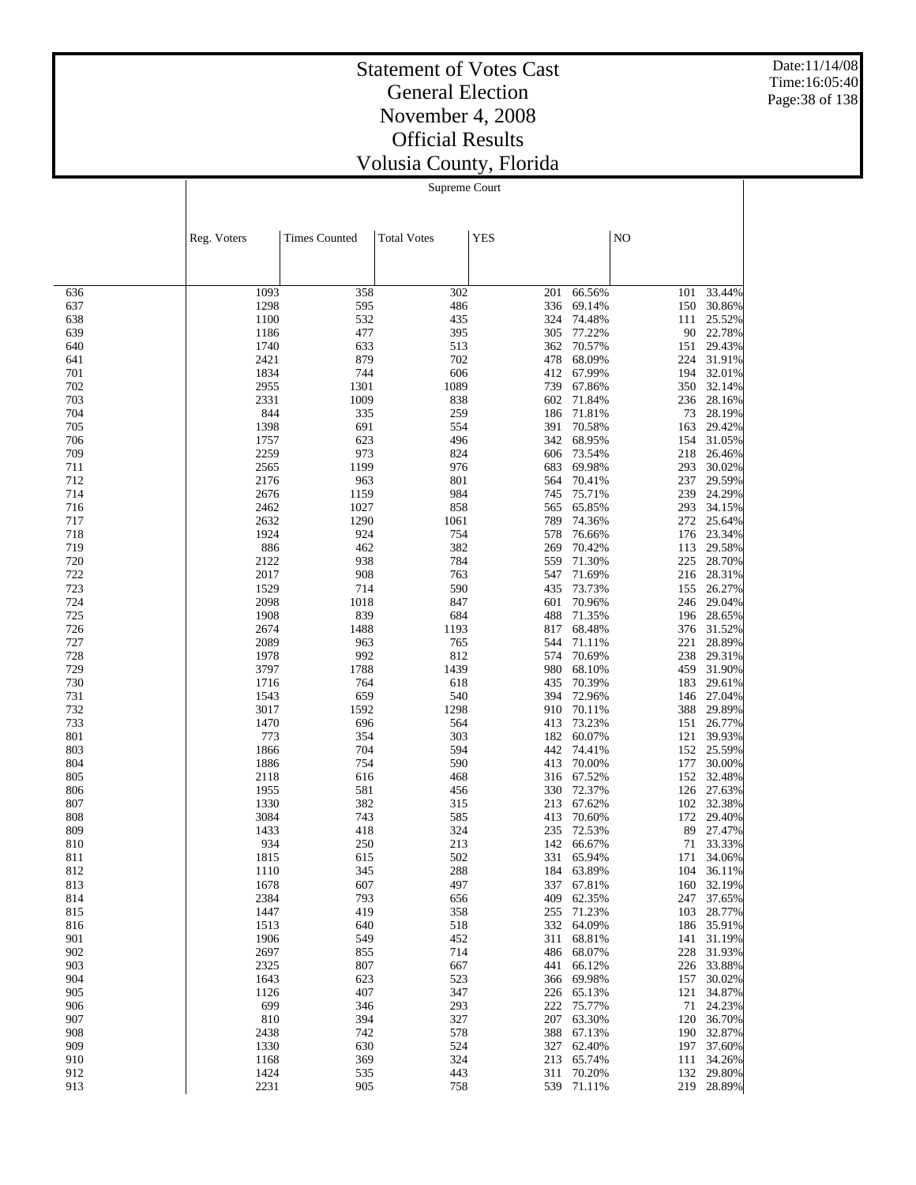Date:11/14/08 Time:16:05:40 Page:38 of 138

# Statement of Votes Cast General Election November 4, 2008 Official Results Volusia County, Florida

Supreme Court

|            | Reg. Voters  | <b>Times Counted</b> | <b>Total Votes</b> | <b>YES</b> |                      | NO         |                          |
|------------|--------------|----------------------|--------------------|------------|----------------------|------------|--------------------------|
|            |              |                      |                    |            |                      |            |                          |
|            |              |                      |                    |            |                      |            |                          |
| 636        | 1093         | 358                  | 302                | 201        | 66.56%               | 101        | 33.44%                   |
| 637        | 1298         | 595                  | 486                | 336        | 69.14%               | 150        | 30.86%                   |
| 638        | 1100         | 532                  | 435                | 324        | 74.48%               | 111        | 25.52%                   |
| 639<br>640 | 1186<br>1740 | 477<br>633           | 395<br>513         | 305<br>362 | 77.22%<br>70.57%     | 90<br>151  | 22.78%<br>29.43%         |
| 641        | 2421         | 879                  | 702                | 478        | 68.09%               | 224        | 31.91%                   |
| 701        | 1834         | 744                  | 606                | 412        | 67.99%               | 194        | 32.01%                   |
| 702        | 2955         | 1301                 | 1089               | 739        | 67.86%               | 350        | 32.14%                   |
| 703        | 2331         | 1009                 | 838                | 602        | 71.84%               | 236        | 28.16%                   |
| 704        | 844          | 335                  | 259                | 186        | 71.81%               | 73         | 28.19%                   |
| 705        | 1398         | 691                  | 554                | 391        | 70.58%               | 163        | 29.42%                   |
| 706<br>709 | 1757         | 623<br>973           | 496                | 342        | 68.95%               | 154        | 31.05%<br>26.46%         |
| 711        | 2259<br>2565 | 1199                 | 824<br>976         | 606<br>683 | 73.54%<br>69.98%     | 218<br>293 | 30.02%                   |
| 712        | 2176         | 963                  | 801                | 564        | 70.41%               | 237        | 29.59%                   |
| 714        | 2676         | 1159                 | 984                | 745        | 75.71%               | 239        | 24.29%                   |
| 716        | 2462         | 1027                 | 858                | 565        | 65.85%               | 293        | 34.15%                   |
| 717        | 2632         | 1290                 | 1061               | 789        | 74.36%               | 272        | 25.64%                   |
| 718        | 1924         | 924                  | 754                | 578        | 76.66%               | 176        | 23.34%                   |
| 719        | 886          | 462                  | 382                | 269        | 70.42%               | 113        | 29.58%                   |
| 720        | 2122<br>2017 | 938<br>908           | 784<br>763         | 559<br>547 | 71.30%<br>71.69%     | 225        | 28.70%<br>28.31%         |
| 722<br>723 | 1529         | 714                  | 590                | 435        | 73.73%               | 216<br>155 | 26.27%                   |
| 724        | 2098         | 1018                 | 847                | 601        | 70.96%               | 246        | 29.04%                   |
| 725        | 1908         | 839                  | 684                | 488        | 71.35%               | 196        | 28.65%                   |
| 726        | 2674         | 1488                 | 1193               | 817        | 68.48%               | 376        | 31.52%                   |
| 727        | 2089         | 963                  | 765                | 544        | 71.11%               | 221        | 28.89%                   |
| 728        | 1978         | 992                  | 812                | 574        | 70.69%               | 238        | 29.31%                   |
| 729        | 3797         | 1788                 | 1439               | 980        | 68.10%               | 459        | 31.90%                   |
| 730        | 1716         | 764                  | 618                | 435        | 70.39%               | 183        | 29.61%                   |
| 731<br>732 | 1543<br>3017 | 659<br>1592          | 540<br>1298        | 394<br>910 | 72.96%<br>70.11%     | 146<br>388 | 27.04%<br>29.89%         |
| 733        | 1470         | 696                  | 564                | 413        | 73.23%               | 151        | 26.77%                   |
| 801        | 773          | 354                  | 303                | 182        | 60.07%               | 121        | 39.93%                   |
| 803        | 1866         | 704                  | 594                | 442        | 74.41%               | 152        | 25.59%                   |
| 804        | 1886         | 754                  | 590                | 413        | 70.00%               | 177        | 30.00%                   |
| 805        | 2118         | 616                  | 468                | 316        | 67.52%               | 152        | 32.48%                   |
| 806        | 1955         | 581                  | 456                | 330        | 72.37%               | 126        | 27.63%                   |
| 807        | 1330         | 382                  | 315                | 213<br>413 | 67.62%<br>70.60%     | 102        | 32.38%<br>29.40%         |
| 808<br>809 | 3084<br>1433 | 743<br>418           | 585<br>324         | 235        | 72.53%               | 172<br>89  | 27.47%                   |
| 810        | 934          | 250                  | 213                | 142        | 66.67%               | 71         | 33.33%                   |
| 811        | 1815         | 615                  | 502                | 331        | 65.94%               | 171        | 34.06%                   |
| 812        | 1110         | 345                  | 288                | 184        | 63.89%               | 104        | 36.11%                   |
| 813        | 1678         | 607                  | 497                |            | 337 67.81%           |            | 160 32.19%               |
| 814        | 2384         | 793                  | 656                |            | 409 62.35%           |            | 247 37.65%               |
| 815        | 1447         | 419                  | 358                | 255        | 71.23%               | 103        | 28.77%                   |
| 816<br>901 | 1513<br>1906 | 640<br>549           | 518<br>452         | 311        | 332 64.09%<br>68.81% |            | 186 35.91%<br>141 31.19% |
| 902        | 2697         | 855                  | 714                | 486        | 68.07%               | 228        | 31.93%                   |
| 903        | 2325         | 807                  | 667                | 441        | 66.12%               |            | 226 33.88%               |
| 904        | 1643         | 623                  | 523                | 366        | 69.98%               |            | 157 30.02%               |
| 905        | 1126         | 407                  | 347                | 226        | 65.13%               | 121        | 34.87%                   |
| 906        | 699          | 346                  | 293                | 222        | 75.77%               |            | 71 24.23%                |
| 907        | 810          | 394                  | 327                | 207        | 63.30%               | 120        | 36.70%                   |
| 908        | 2438         | 742                  | 578                | 388        | 67.13%               |            | 190 32.87%               |
| 909<br>910 | 1330         | 630<br>369           | 524<br>324         | 327<br>213 | 62.40%<br>65.74%     |            | 197 37.60%<br>111 34.26% |
| 912        | 1168<br>1424 | 535                  | 443                | 311        | 70.20%               |            | 132 29.80%               |
| 913        | 2231         | 905                  | 758                | 539        | 71.11%               |            | 219 28.89%               |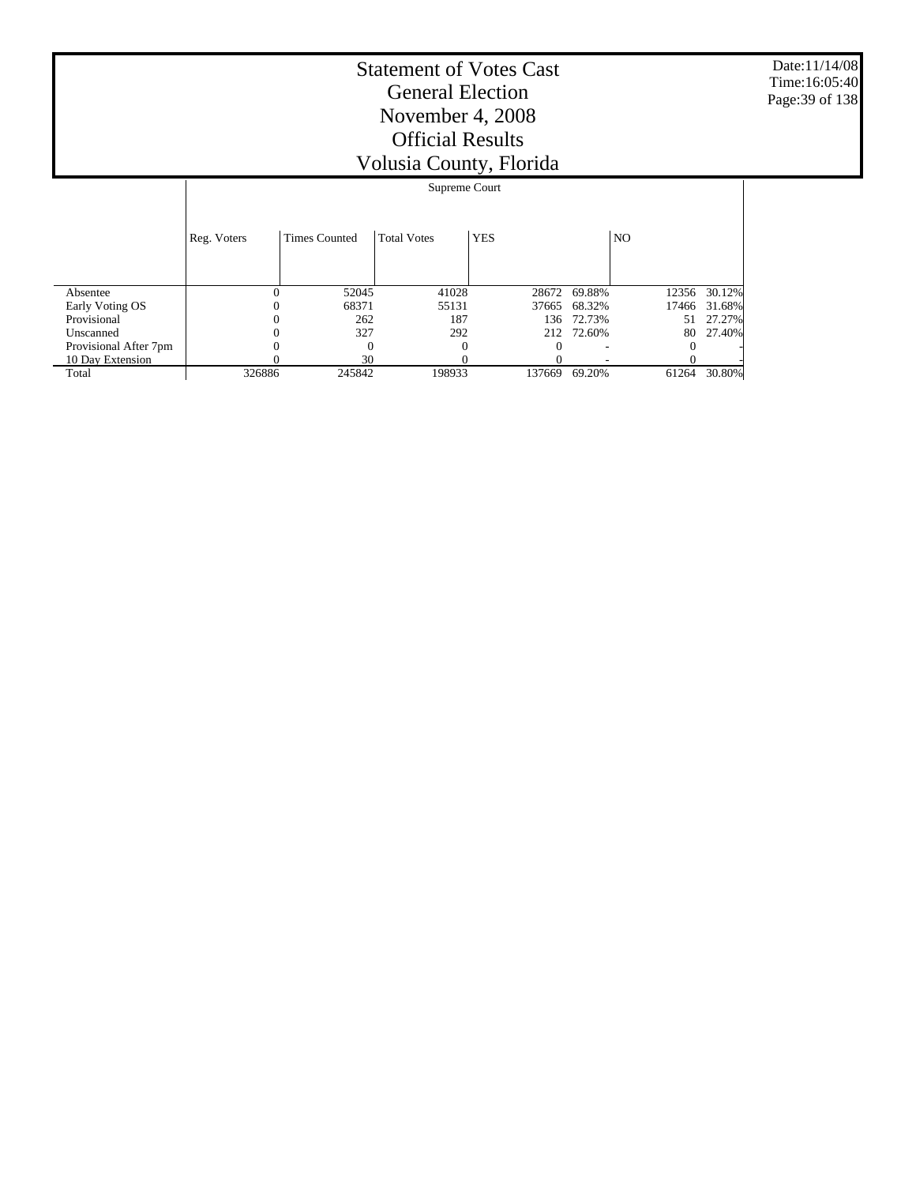Date:11/14/08 Time:16:05:40 Page:39 of 138

|                       |             | Supreme Court        |                    |            |              |                |              |  |
|-----------------------|-------------|----------------------|--------------------|------------|--------------|----------------|--------------|--|
|                       | Reg. Voters | <b>Times Counted</b> | <b>Total Votes</b> | <b>YES</b> |              | N <sub>O</sub> |              |  |
| Absentee              |             | 52045                | 41028              |            | 28672 69.88% |                | 12356 30.12% |  |
| Early Voting OS       |             | 68371                | 55131              | 37665      | 68.32%       | 17466          | 31.68%       |  |
| Provisional           |             | 262                  | 187                |            | 136 72.73%   | 51             | 27.27%       |  |
| Unscanned             |             | 327                  | 292                |            | 212 72.60%   | 80             | 27.40%       |  |
| Provisional After 7pm |             | $\Omega$             | $\Omega$           | $\theta$   |              |                |              |  |
| 10 Day Extension      |             | 30                   |                    |            |              |                |              |  |
| Total                 | 326886      | 245842               | 198933             | 137669     | 69.20%       | 61264          | 30.80%       |  |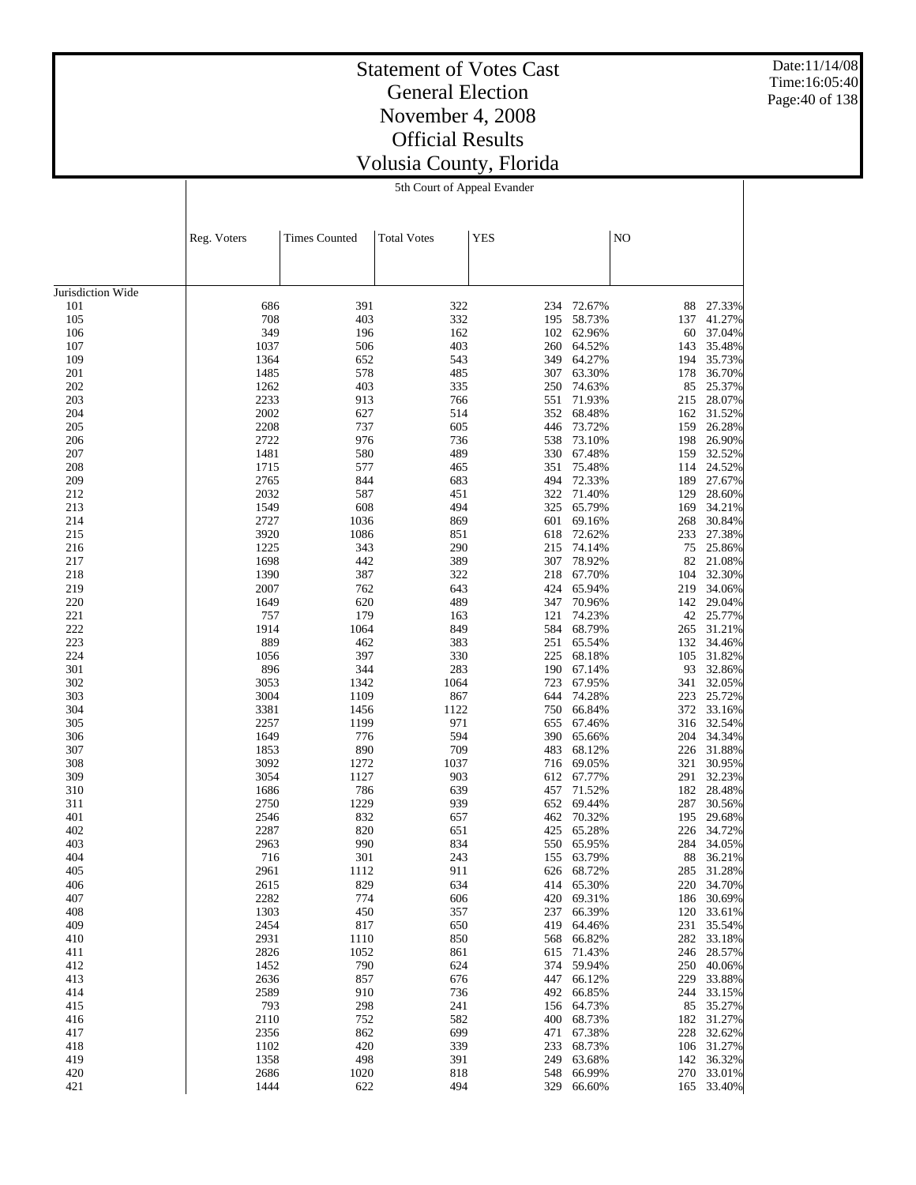Date:11/14/08 Time:16:05:40 Page:40 of 138

# Statement of Votes Cast General Election November 4, 2008 Official Results Volusia County, Florida

5th Court of Appeal Evander

|                   | Reg. Voters  | <b>Times Counted</b> | <b>Total Votes</b> | <b>YES</b> |                  | NO         |                          |
|-------------------|--------------|----------------------|--------------------|------------|------------------|------------|--------------------------|
|                   |              |                      |                    |            |                  |            |                          |
|                   |              |                      |                    |            |                  |            |                          |
| Jurisdiction Wide |              |                      |                    |            |                  |            |                          |
| 101               | 686          | 391                  | 322                | 234        | 72.67%           | 88         | 27.33%                   |
| 105               | 708          | 403                  | 332                | 195        | 58.73%           | 137        | 41.27%                   |
| 106               | 349          | 196                  | 162                | 102        | 62.96%           | 60         | 37.04%                   |
| 107               | 1037         | 506                  | 403                | 260        | 64.52%           | 143        | 35.48%                   |
| 109<br>201        | 1364<br>1485 | 652<br>578           | 543<br>485         | 349<br>307 | 64.27%<br>63.30% | 194<br>178 | 35.73%<br>36.70%         |
| 202               | 1262         | 403                  | 335                | 250        | 74.63%           | 85         | 25.37%                   |
| 203               | 2233         | 913                  | 766                | 551        | 71.93%           | 215        | 28.07%                   |
| 204               | 2002         | 627                  | 514                | 352        | 68.48%           | 162        | 31.52%                   |
| 205               | 2208         | 737                  | 605                | 446        | 73.72%           | 159        | 26.28%                   |
| 206               | 2722         | 976                  | 736                | 538        | 73.10%           | 198        | 26.90%                   |
| 207               | 1481         | 580                  | 489                | 330        | 67.48%           | 159        | 32.52%                   |
| 208               | 1715         | 577                  | 465                | 351        | 75.48%           | 114        | 24.52%                   |
| 209               | 2765         | 844                  | 683                | 494        | 72.33%           | 189        | 27.67%                   |
| 212<br>213        | 2032<br>1549 | 587<br>608           | 451<br>494         | 322<br>325 | 71.40%<br>65.79% | 129        | 28.60%<br>34.21%         |
| 214               | 2727         | 1036                 | 869                | 601        | 69.16%           | 169<br>268 | 30.84%                   |
| 215               | 3920         | 1086                 | 851                | 618        | 72.62%           | 233        | 27.38%                   |
| 216               | 1225         | 343                  | 290                | 215        | 74.14%           | 75         | 25.86%                   |
| 217               | 1698         | 442                  | 389                | 307        | 78.92%           | 82         | 21.08%                   |
| 218               | 1390         | 387                  | 322                | 218        | 67.70%           | 104        | 32.30%                   |
| 219               | 2007         | 762                  | 643                | 424        | 65.94%           | 219        | 34.06%                   |
| 220               | 1649         | 620                  | 489                | 347        | 70.96%           | 142        | 29.04%                   |
| 221               | 757          | 179                  | 163                | 121        | 74.23%           | 42         | 25.77%                   |
| 222               | 1914         | 1064                 | 849                | 584        | 68.79%           | 265        | 31.21%                   |
| 223<br>224        | 889<br>1056  | 462<br>397           | 383<br>330         | 251<br>225 | 65.54%<br>68.18% | 132<br>105 | 34.46%<br>31.82%         |
| 301               | 896          | 344                  | 283                | 190        | 67.14%           | 93         | 32.86%                   |
| 302               | 3053         | 1342                 | 1064               | 723        | 67.95%           | 341        | 32.05%                   |
| 303               | 3004         | 1109                 | 867                | 644        | 74.28%           | 223        | 25.72%                   |
| 304               | 3381         | 1456                 | 1122               | 750        | 66.84%           | 372        | 33.16%                   |
| 305               | 2257         | 1199                 | 971                | 655        | 67.46%           |            | 316 32.54%               |
| 306               | 1649         | 776                  | 594                | 390        | 65.66%           | 204        | 34.34%                   |
| 307               | 1853         | 890                  | 709                | 483        | 68.12%           | 226        | 31.88%                   |
| 308               | 3092         | 1272                 | 1037               | 716        | 69.05%           | 321        | 30.95%                   |
| 309<br>310        | 3054<br>1686 | 1127<br>786          | 903<br>639         | 612<br>457 | 67.77%<br>71.52% | 291<br>182 | 32.23%<br>28.48%         |
| 311               | 2750         | 1229                 | 939                | 652        | 69.44%           | 287        | 30.56%                   |
| 401               | 2546         | 832                  | 657                | 462        | 70.32%           | 195        | 29.68%                   |
| 402               | 2287         | 820                  | 651                | 425        | 65.28%           | 226        | 34.72%                   |
| 403               | 2963         | 990                  | 834                | 550        | 65.95%           | 284        | 34.05%                   |
| 404               | 716          | 301                  | 243                | 155        | 63.79%           | 88         | 36.21%                   |
| 405               | 2961         | 1112                 | 911                | 626        | 68.72%           | 285        | 31.28%                   |
| 406               | 2615         | 829                  | 634                | 414        | 65.30%           | 220        | 34.70%                   |
| 407               | 2282         | 774                  | 606                | 420        | 69.31%           |            | 186 30.69%               |
| 408               | 1303         | 450                  | 357                | 237        | 66.39%           | 120        | 33.61%                   |
| 409<br>410        | 2454<br>2931 | 817<br>1110          | 650<br>850         | 419<br>568 | 64.46%<br>66.82% |            | 231 35.54%<br>282 33.18% |
| 411               | 2826         | 1052                 | 861                | 615        | 71.43%           | 246        | 28.57%                   |
| 412               | 1452         | 790                  | 624                | 374        | 59.94%           |            | 250 40.06%               |
| 413               | 2636         | 857                  | 676                | 447        | 66.12%           | 229        | 33.88%                   |
| 414               | 2589         | 910                  | 736                | 492        | 66.85%           | 244        | 33.15%                   |
| 415               | 793          | 298                  | 241                | 156        | 64.73%           | 85         | 35.27%                   |
| 416               | 2110         | 752                  | 582                | 400        | 68.73%           | 182        | 31.27%                   |
| 417               | 2356         | 862                  | 699                | 471        | 67.38%           | 228        | 32.62%                   |
| 418               | 1102         | 420                  | 339                | 233        | 68.73%           | 106        | 31.27%                   |
| 419<br>420        | 1358<br>2686 | 498<br>1020          | 391<br>818         | 249<br>548 | 63.68%<br>66.99% | 142<br>270 | 36.32%<br>33.01%         |
| 421               | 1444         | 622                  | 494                | 329        | 66.60%           |            | 165 33.40%               |
|                   |              |                      |                    |            |                  |            |                          |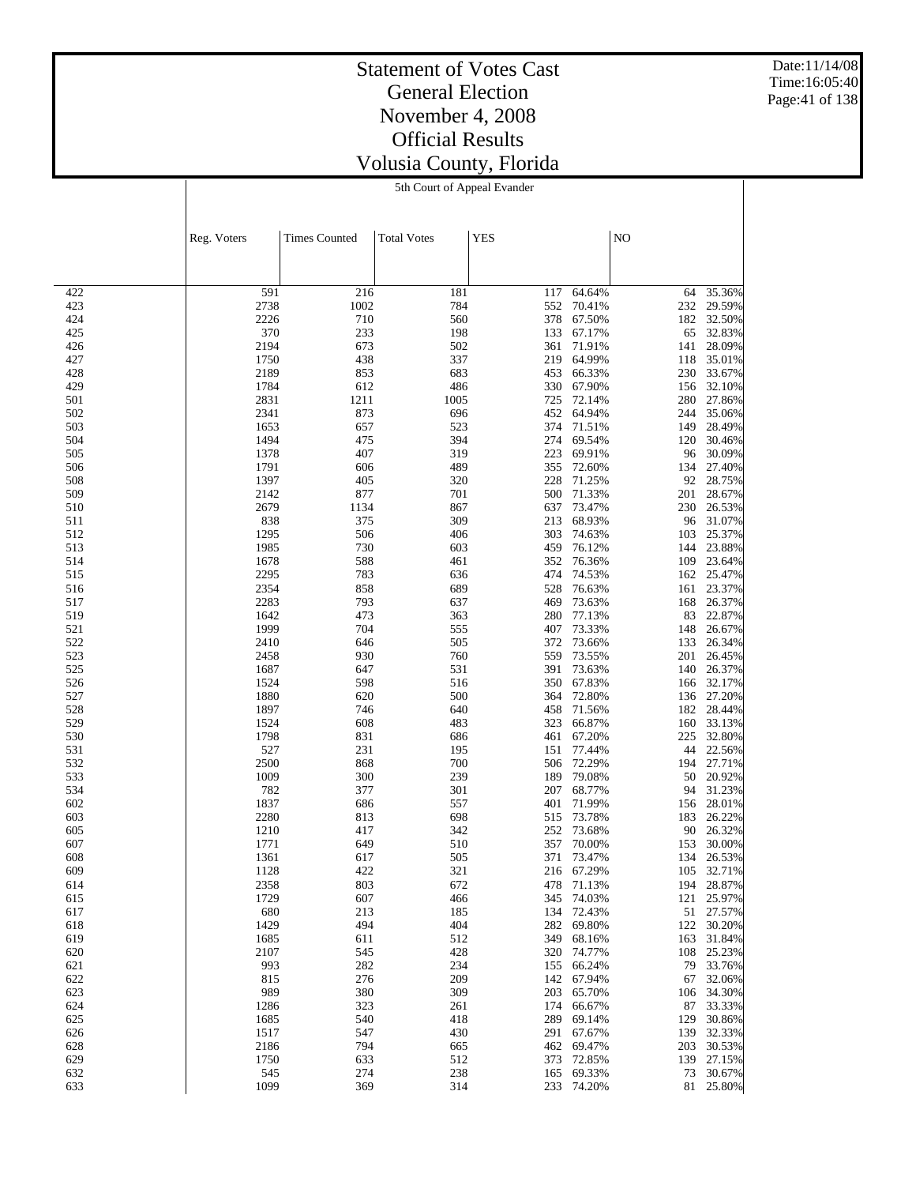Date:11/14/08 Time:16:05:40 Page:41 of 138

#### Statement of Votes Cast General Election November 4, 2008 Official Results Volusia County, Florida 5th Court of Appeal Evander

|            | Reg. Voters  | <b>Times Counted</b> | <b>Total Votes</b> | <b>YES</b> |                  | N <sub>O</sub> |                  |
|------------|--------------|----------------------|--------------------|------------|------------------|----------------|------------------|
|            |              |                      |                    |            |                  |                |                  |
|            |              |                      |                    |            |                  |                |                  |
| 422        | 591          | 216                  | 181                | 117        | 64.64%           | 64             | 35.36%           |
| 423        | 2738         | 1002                 | 784                | 552        | 70.41%           | 232            | 29.59%           |
| 424        | 2226         | 710                  | 560                | 378        | 67.50%           | 182            | 32.50%           |
| 425        | 370          | 233                  | 198                | 133        | 67.17%           | 65             | 32.83%           |
| 426<br>427 | 2194<br>1750 | 673<br>438           | 502<br>337         | 361<br>219 | 71.91%<br>64.99% | 141<br>118     | 28.09%<br>35.01% |
| 428        | 2189         | 853                  | 683                | 453        | 66.33%           | 230            | 33.67%           |
| 429        | 1784         | 612                  | 486                | 330        | 67.90%           | 156            | 32.10%           |
| 501        | 2831         | 1211                 | 1005               | 725        | 72.14%           | 280            | 27.86%           |
| 502        | 2341         | 873                  | 696                | 452        | 64.94%           | 244            | 35.06%           |
| 503        | 1653         | 657                  | 523                | 374        | 71.51%           | 149            | 28.49%           |
| 504<br>505 | 1494<br>1378 | 475<br>407           | 394<br>319         | 274<br>223 | 69.54%<br>69.91% | 120<br>96      | 30.46%<br>30.09% |
| 506        | 1791         | 606                  | 489                | 355        | 72.60%           | 134            | 27.40%           |
| 508        | 1397         | 405                  | 320                | 228        | 71.25%           | 92             | 28.75%           |
| 509        | 2142         | 877                  | 701                | 500        | 71.33%           | 201            | 28.67%           |
| 510        | 2679         | 1134                 | 867                | 637        | 73.47%           | 230            | 26.53%           |
| 511        | 838          | 375                  | 309                | 213        | 68.93%           | 96             | 31.07%           |
| 512<br>513 | 1295<br>1985 | 506<br>730           | 406<br>603         | 303<br>459 | 74.63%<br>76.12% | 103<br>144     | 25.37%<br>23.88% |
| 514        | 1678         | 588                  | 461                | 352        | 76.36%           | 109            | 23.64%           |
| 515        | 2295         | 783                  | 636                | 474        | 74.53%           | 162            | 25.47%           |
| 516        | 2354         | 858                  | 689                | 528        | 76.63%           | 161            | 23.37%           |
| 517        | 2283         | 793                  | 637                | 469        | 73.63%           | 168            | 26.37%           |
| 519        | 1642         | 473                  | 363                | 280        | 77.13%           | 83             | 22.87%           |
| 521        | 1999         | 704                  | 555                | 407<br>372 | 73.33%           | 148            | 26.67%           |
| 522<br>523 | 2410<br>2458 | 646<br>930           | 505<br>760         | 559        | 73.66%<br>73.55% | 133<br>201     | 26.34%<br>26.45% |
| 525        | 1687         | 647                  | 531                | 391        | 73.63%           | 140            | 26.37%           |
| 526        | 1524         | 598                  | 516                | 350        | 67.83%           | 166            | 32.17%           |
| 527        | 1880         | 620                  | 500                | 364        | 72.80%           |                | 136 27.20%       |
| 528        | 1897         | 746                  | 640                | 458        | 71.56%           | 182            | 28.44%           |
| 529        | 1524         | 608                  | 483                | 323        | 66.87%           | 160            | 33.13%           |
| 530<br>531 | 1798<br>527  | 831<br>231           | 686<br>195         | 461<br>151 | 67.20%<br>77.44% | 225<br>44      | 32.80%<br>22.56% |
| 532        | 2500         | 868                  | 700                | 506        | 72.29%           | 194            | 27.71%           |
| 533        | 1009         | 300                  | 239                | 189        | 79.08%           | 50             | 20.92%           |
| 534        | 782          | 377                  | 301                | 207        | 68.77%           | 94             | 31.23%           |
| 602        | 1837         | 686                  | 557                | 401        | 71.99%           | 156            | 28.01%           |
| 603        | 2280         | 813                  | 698                | 515        | 73.78%           | 183            | 26.22%           |
| 605<br>607 | 1210<br>1771 | 417<br>649           | 342<br>510         | 252<br>357 | 73.68%<br>70.00% | 90<br>153      | 26.32%<br>30.00% |
| 608        | 1361         | 617                  | 505                | 371        | 73.47%           | 134            | 26.53%           |
| 609        | 1128         | 422                  | 321                | 216        | 67.29%           | 105            | 32.71%           |
| 614        | 2358         | 803                  | 672                |            | 478 71.13%       | 194            | 28.87%           |
| 615        | 1729         | 607                  | 466                | 345        | 74.03%           | 121            | 25.97%           |
| 617        | 680          | 213                  | 185                |            | 134 72.43%       |                | 51 27.57%        |
| 618<br>619 | 1429<br>1685 | 494<br>611           | 404<br>512         | 282<br>349 | 69.80%<br>68.16% | 122<br>163     | 30.20%<br>31.84% |
| 620        | 2107         | 545                  | 428                | 320        | 74.77%           | 108            | 25.23%           |
| 621        | 993          | 282                  | 234                | 155        | 66.24%           | 79             | 33.76%           |
| 622        | 815          | 276                  | 209                | 142        | 67.94%           | 67             | 32.06%           |
| 623        | 989          | 380                  | 309                | 203        | 65.70%           | 106            | 34.30%           |
| 624        | 1286         | 323                  | 261                | 174        | 66.67%           | 87             | 33.33%           |
| 625        | 1685         | 540                  | 418                | 289        | 69.14%           | 129            | 30.86%           |
| 626<br>628 | 1517<br>2186 | 547<br>794           | 430<br>665         | 291<br>462 | 67.67%<br>69.47% | 139<br>203     | 32.33%<br>30.53% |
| 629        | 1750         | 633                  | 512                | 373        | 72.85%           | 139            | 27.15%           |
| 632        | 545          | 274                  | 238                | 165        | 69.33%           | 73             | 30.67%           |
| 633        | 1099         | 369                  | 314                |            | 233 74.20%       | 81             | 25.80%           |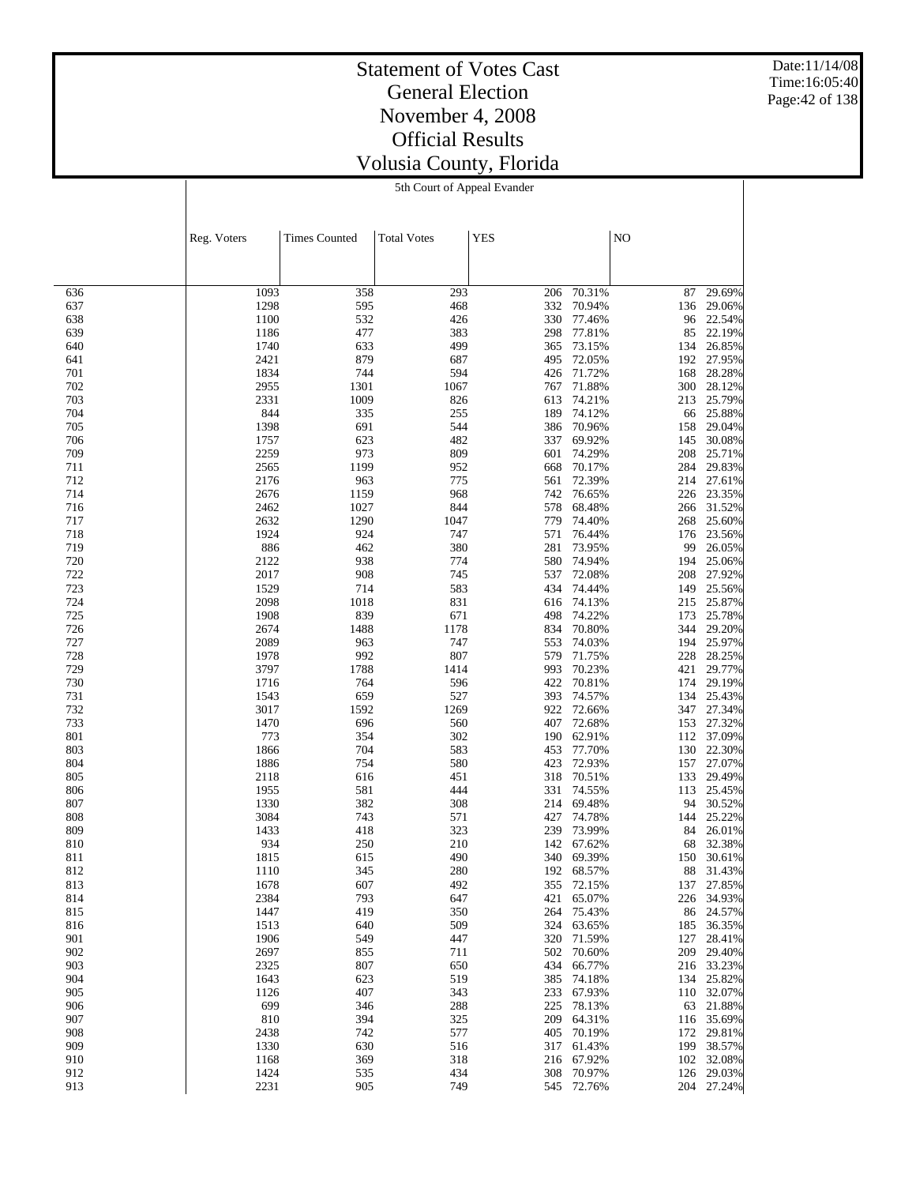Date:11/14/08 Time:16:05:40 Page:42 of 138

#### Statement of Votes Cast General Election November 4, 2008 Official Results Volusia County, Florida 5th Court of Appeal Evander

|            | Reg. Voters  | <b>Times Counted</b> | <b>Total Votes</b> | <b>YES</b> |                  | NO         |                  |
|------------|--------------|----------------------|--------------------|------------|------------------|------------|------------------|
|            |              |                      |                    |            |                  |            |                  |
|            |              |                      |                    |            |                  |            |                  |
| 636        | 1093         | 358                  | 293                | 206        | 70.31%           | 87         | 29.69%           |
| 637        | 1298         | 595                  | 468                | 332        | 70.94%           | 136        | 29.06%           |
| 638        | 1100         | 532                  | 426                | 330        | 77.46%           | 96         | 22.54%           |
| 639        | 1186         | 477                  | 383                | 298        | 77.81%           | 85         | 22.19%           |
| 640        | 1740         | 633                  | 499                | 365        | 73.15%           | 134        | 26.85%           |
| 641<br>701 | 2421<br>1834 | 879<br>744           | 687<br>594         | 495<br>426 | 72.05%<br>71.72% | 192<br>168 | 27.95%<br>28.28% |
| 702        | 2955         | 1301                 | 1067               | 767        | 71.88%           | 300        | 28.12%           |
| 703        | 2331         | 1009                 | 826                | 613        | 74.21%           | 213        | 25.79%           |
| 704        | 844          | 335                  | 255                | 189        | 74.12%           | 66         | 25.88%           |
| 705        | 1398         | 691                  | 544                | 386        | 70.96%           | 158        | 29.04%           |
| 706        | 1757         | 623                  | 482                | 337        | 69.92%           | 145        | 30.08%           |
| 709        | 2259         | 973                  | 809                | 601        | 74.29%           | 208        | 25.71%           |
| 711<br>712 | 2565<br>2176 | 1199                 | 952<br>775         | 668<br>561 | 70.17%<br>72.39% | 284        | 29.83%<br>27.61% |
| 714        | 2676         | 963<br>1159          | 968                | 742        | 76.65%           | 214<br>226 | 23.35%           |
| 716        | 2462         | 1027                 | 844                | 578        | 68.48%           | 266        | 31.52%           |
| 717        | 2632         | 1290                 | 1047               | 779        | 74.40%           | 268        | 25.60%           |
| 718        | 1924         | 924                  | 747                | 571        | 76.44%           | 176        | 23.56%           |
| 719        | 886          | 462                  | 380                | 281        | 73.95%           | 99         | 26.05%           |
| 720        | 2122         | 938                  | 774                | 580        | 74.94%           | 194        | 25.06%           |
| 722        | 2017         | 908                  | 745                | 537        | 72.08%           | 208        | 27.92%           |
| 723<br>724 | 1529<br>2098 | 714                  | 583<br>831         | 434<br>616 | 74.44%<br>74.13% | 149        | 25.56%<br>25.87% |
| 725        | 1908         | 1018<br>839          | 671                | 498        | 74.22%           | 215<br>173 | 25.78%           |
| 726        | 2674         | 1488                 | 1178               | 834        | 70.80%           | 344        | 29.20%           |
| 727        | 2089         | 963                  | 747                | 553        | 74.03%           | 194        | 25.97%           |
| 728        | 1978         | 992                  | 807                | 579        | 71.75%           | 228        | 28.25%           |
| 729        | 3797         | 1788                 | 1414               | 993        | 70.23%           | 421        | 29.77%           |
| 730        | 1716         | 764                  | 596                | 422        | 70.81%           | 174        | 29.19%           |
| 731        | 1543         | 659                  | 527                | 393        | 74.57%           | 134        | 25.43%           |
| 732<br>733 | 3017<br>1470 | 1592<br>696          | 1269<br>560        | 922<br>407 | 72.66%<br>72.68% | 347<br>153 | 27.34%<br>27.32% |
| 801        | 773          | 354                  | 302                | 190        | 62.91%           |            | 112 37.09%       |
| 803        | 1866         | 704                  | 583                | 453        | 77.70%           | 130        | 22.30%           |
| 804        | 1886         | 754                  | 580                | 423        | 72.93%           | 157        | 27.07%           |
| 805        | 2118         | 616                  | 451                | 318        | 70.51%           | 133        | 29.49%           |
| 806        | 1955         | 581                  | 444                | 331        | 74.55%           | 113        | 25.45%           |
| 807        | 1330         | 382                  | 308                | 214        | 69.48%           | 94         | 30.52%           |
| 808        | 3084         | 743                  | 571                | 427        | 74.78%           | 144        | 25.22%           |
| 809<br>810 | 1433<br>934  | 418<br>250           | 323<br>210         | 239<br>142 | 73.99%<br>67.62% | 84<br>68   | 26.01%<br>32.38% |
| 811        | 1815         | 615                  | 490                | 340        | 69.39%           | 150        | 30.61%           |
| 812        | 1110         | 345                  | 280                |            | 192 68.57%       |            | 88 31.43%        |
| 813        | 1678         | 607                  | 492                | 355        | 72.15%           | 137        | 27.85%           |
| 814        | 2384         | 793                  | 647                | 421        | 65.07%           | 226        | 34.93%           |
| 815        | 1447         | 419                  | 350                | 264        | 75.43%           | 86         | 24.57%           |
| 816        | 1513         | 640                  | 509                | 324        | 63.65%           | 185        | 36.35%           |
| 901        | 1906         | 549                  | 447                | 320        | 71.59%           | 127        | 28.41%           |
| 902<br>903 | 2697<br>2325 | 855<br>807           | 711<br>650         | 502<br>434 | 70.60%<br>66.77% | 209<br>216 | 29.40%<br>33.23% |
| 904        | 1643         | 623                  | 519                | 385        | 74.18%           | 134        | 25.82%           |
| 905        | 1126         | 407                  | 343                | 233        | 67.93%           | 110        | 32.07%           |
| 906        | 699          | 346                  | 288                | 225        | 78.13%           | 63         | 21.88%           |
| 907        | 810          | 394                  | 325                | 209        | 64.31%           | 116        | 35.69%           |
| 908        | 2438         | 742                  | 577                | 405        | 70.19%           | 172        | 29.81%           |
| 909        | 1330         | 630                  | 516                | 317        | 61.43%           | 199        | 38.57%           |
| 910        | 1168         | 369                  | 318                | 216        | 67.92%           | 102        | 32.08%           |
| 912<br>913 | 1424<br>2231 | 535<br>905           | 434<br>749         | 308<br>545 | 70.97%<br>72.76% | 126<br>204 | 29.03%<br>27.24% |
|            |              |                      |                    |            |                  |            |                  |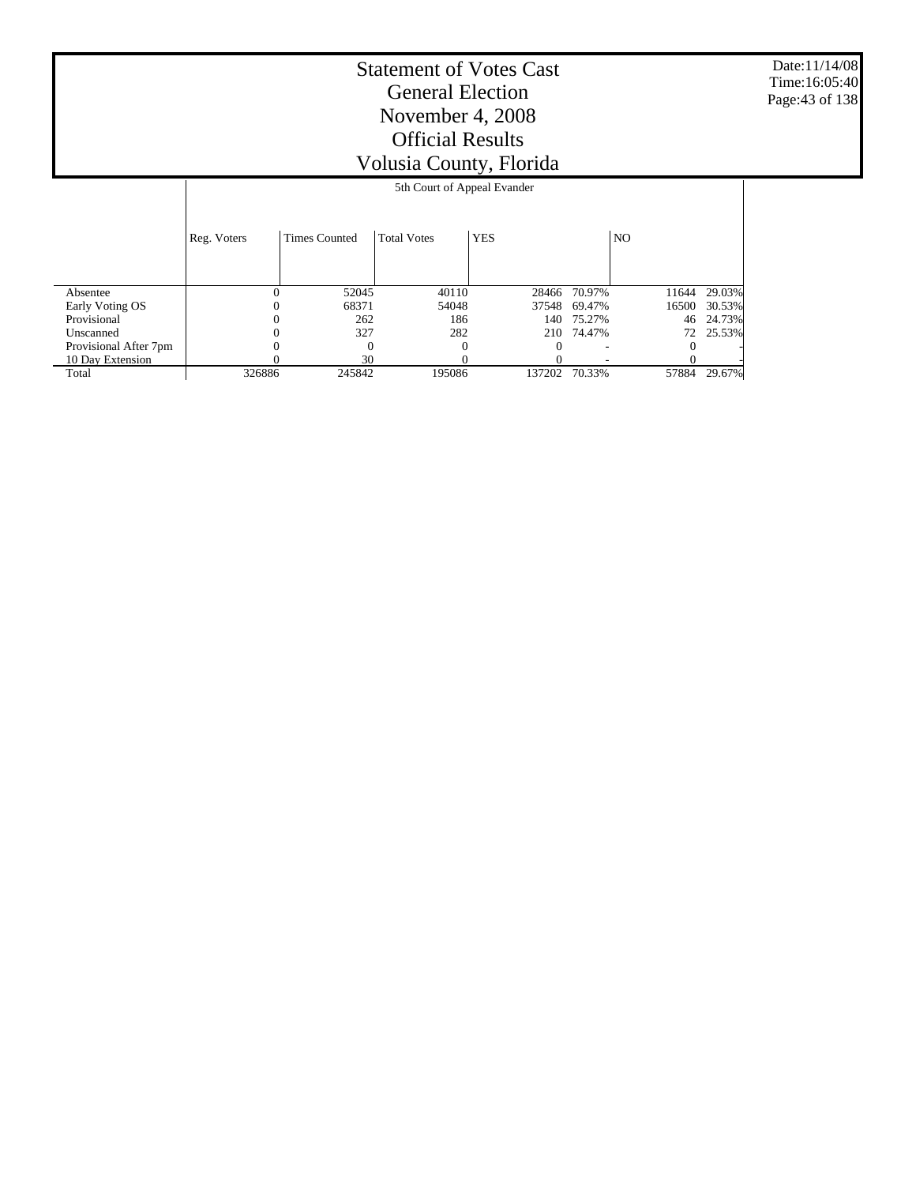Date:11/14/08 Time:16:05:40 Page:43 of 138

# Statement of Votes Cast General Election November 4, 2008 Official Results Volusia County, Florida

#### 5th Court of Appeal Evander

|                       | Reg. Voters | <b>Times Counted</b> | <b>Total Votes</b> | <b>YES</b> |              | N <sub>O</sub> |        |
|-----------------------|-------------|----------------------|--------------------|------------|--------------|----------------|--------|
| Absentee              | $_{0}$      | 52045                | 40110              |            | 28466 70.97% | 11644          | 29.03% |
| Early Voting OS       | $_{0}$      | 68371                | 54048              | 37548      | 69.47%       | 16500          | 30.53% |
| Provisional           |             | 262                  | 186                |            | 140 75.27%   | 46             | 24.73% |
| Unscanned             |             | 327                  | 282                |            | 210 74.47%   | 72             | 25.53% |
| Provisional After 7pm |             |                      |                    |            |              |                |        |
| 10 Day Extension      |             | 30                   |                    |            |              |                |        |
| Total                 | 326886      | 245842               | 195086             | 137202     | 70.33%       | 57884          | 29.67% |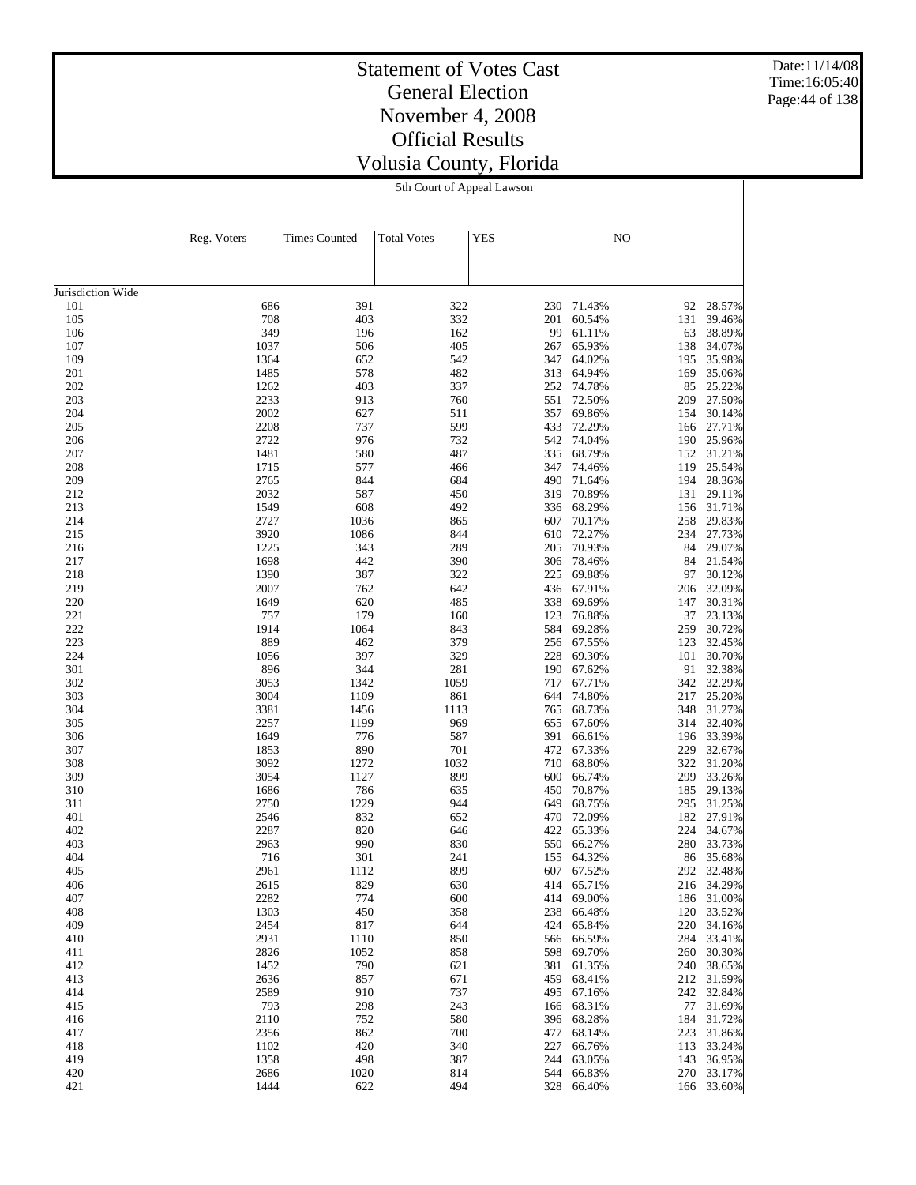Date:11/14/08 Time:16:05:40 Page:44 of 138

# Statement of Votes Cast General Election November 4, 2008 Official Results Volusia County, Florida

5th Court of Appeal Lawson

622 494 328 66.40% 166 33.60%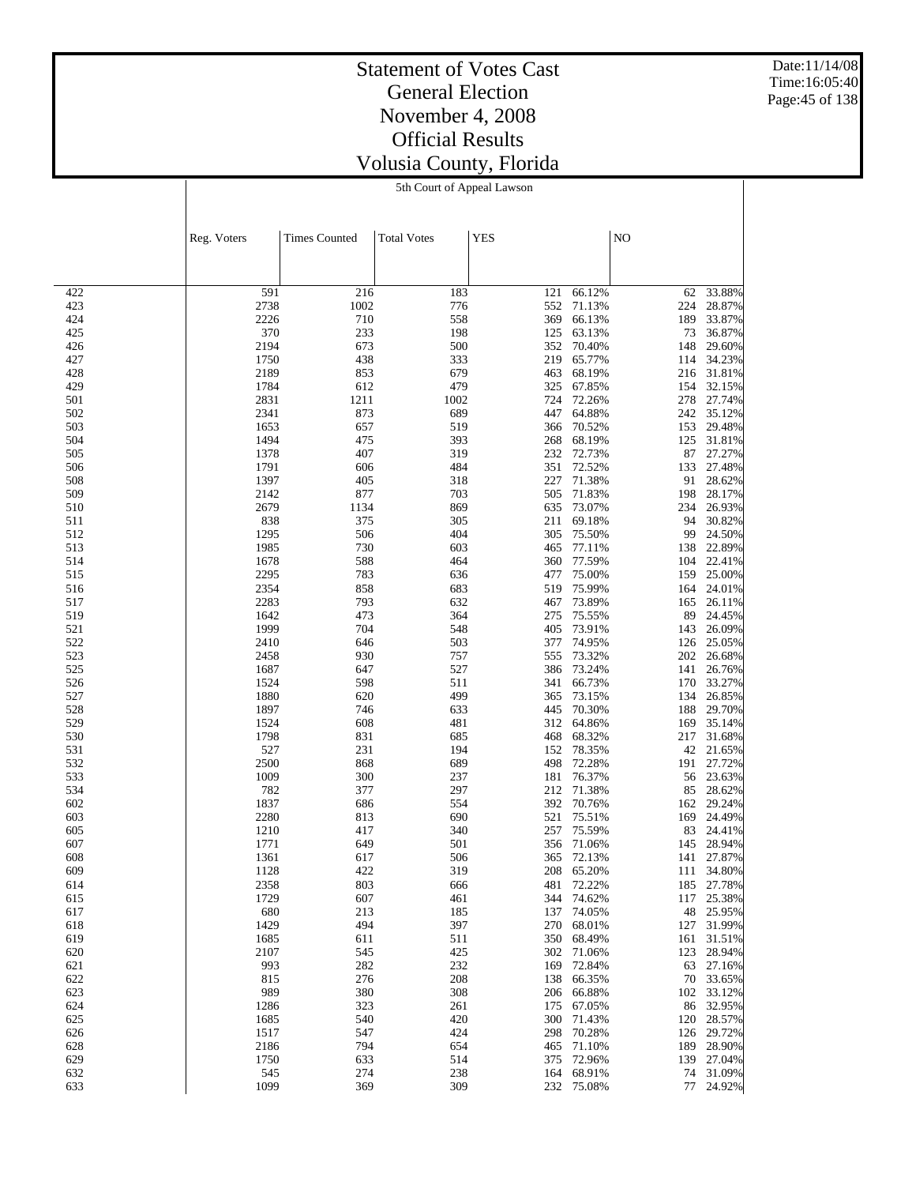Date:11/14/08 Time:16:05:40 Page:45 of 138

#### Statement of Votes Cast General Election November 4, 2008 Official Results Volusia County, Florida 5th Court of Appeal Lawson

|            | Reg. Voters  | <b>Times Counted</b> | <b>Total Votes</b> | <b>YES</b> |                  | NO         |                  |
|------------|--------------|----------------------|--------------------|------------|------------------|------------|------------------|
|            |              |                      |                    |            |                  |            |                  |
|            |              |                      |                    |            |                  |            |                  |
| 422        | 591          | 216                  | 183                | 121        | 66.12%           | 62         | 33.88%           |
| 423        | 2738         | 1002                 | 776                | 552        | 71.13%           | 224        | 28.87%           |
| 424        | 2226         | 710                  | 558                | 369        | 66.13%           | 189        | 33.87%           |
| 425<br>426 | 370<br>2194  | 233<br>673           | 198<br>500         | 125<br>352 | 63.13%<br>70.40% | 73<br>148  | 36.87%<br>29.60% |
| 427        | 1750         | 438                  | 333                | 219        | 65.77%           | 114        | 34.23%           |
| 428        | 2189         | 853                  | 679                | 463        | 68.19%           | 216        | 31.81%           |
| 429        | 1784         | 612                  | 479                | 325        | 67.85%           | 154        | 32.15%           |
| 501        | 2831         | 1211                 | 1002               | 724        | 72.26%           | 278        | 27.74%           |
| 502<br>503 | 2341<br>1653 | 873<br>657           | 689<br>519         | 447<br>366 | 64.88%<br>70.52% | 242<br>153 | 35.12%<br>29.48% |
| 504        | 1494         | 475                  | 393                | 268        | 68.19%           | 125        | 31.81%           |
| 505        | 1378         | 407                  | 319                | 232        | 72.73%           | 87         | 27.27%           |
| 506        | 1791         | 606                  | 484                | 351        | 72.52%           | 133        | 27.48%           |
| 508        | 1397         | 405                  | 318                | 227        | 71.38%           | 91         | 28.62%           |
| 509        | 2142<br>2679 | 877                  | 703                | 505<br>635 | 71.83%<br>73.07% | 198        | 28.17%<br>26.93% |
| 510<br>511 | 838          | 1134<br>375          | 869<br>305         | 211        | 69.18%           | 234<br>94  | 30.82%           |
| 512        | 1295         | 506                  | 404                | 305        | 75.50%           | 99         | 24.50%           |
| 513        | 1985         | 730                  | 603                | 465        | 77.11%           | 138        | 22.89%           |
| 514        | 1678         | 588                  | 464                | 360        | 77.59%           | 104        | 22.41%           |
| 515        | 2295         | 783                  | 636                | 477        | 75.00%           | 159        | 25.00%           |
| 516<br>517 | 2354<br>2283 | 858<br>793           | 683<br>632         | 519<br>467 | 75.99%<br>73.89% | 164<br>165 | 24.01%<br>26.11% |
| 519        | 1642         | 473                  | 364                | 275        | 75.55%           | 89         | 24.45%           |
| 521        | 1999         | 704                  | 548                | 405        | 73.91%           | 143        | 26.09%           |
| 522        | 2410         | 646                  | 503                | 377        | 74.95%           | 126        | 25.05%           |
| 523        | 2458         | 930                  | 757                | 555        | 73.32%           | 202        | 26.68%           |
| 525<br>526 | 1687<br>1524 | 647<br>598           | 527<br>511         | 386<br>341 | 73.24%<br>66.73% | 141<br>170 | 26.76%<br>33.27% |
| 527        | 1880         | 620                  | 499                | 365        | 73.15%           | 134        | 26.85%           |
| 528        | 1897         | 746                  | 633                | 445        | 70.30%           | 188        | 29.70%           |
| 529        | 1524         | 608                  | 481                | 312        | 64.86%           | 169        | 35.14%           |
| 530        | 1798         | 831                  | 685                | 468        | 68.32%           | 217        | 31.68%           |
| 531<br>532 | 527<br>2500  | 231<br>868           | 194<br>689         | 152<br>498 | 78.35%<br>72.28% | 42<br>191  | 21.65%<br>27.72% |
| 533        | 1009         | 300                  | 237                | 181        | 76.37%           | 56         | 23.63%           |
| 534        | 782          | 377                  | 297                | 212        | 71.38%           | 85         | 28.62%           |
| 602        | 1837         | 686                  | 554                | 392        | 70.76%           | 162        | 29.24%           |
| 603        | 2280         | 813                  | 690                | 521        | 75.51%           | 169        | 24.49%           |
| 605<br>607 | 1210<br>1771 | 417<br>649           | 340<br>501         | 257<br>356 | 75.59%<br>71.06% | 83         | 24.41%<br>28.94% |
| 608        | 1361         | 617                  | 506                | 365        | 72.13%           | 145<br>141 | 27.87%           |
| 609        | 1128         | 422                  | 319                | 208        | 65.20%           | 111        | 34.80%           |
| 614        | 2358         | 803                  | 666                |            | 481 72.22%       | 185        | 27.78%           |
| 615        | 1729         | 607                  | 461                |            | 344 74.62%       | 117        | 25.38%           |
| 617        | 680          | 213                  | 185                | 137        | 74.05%           | 48         | 25.95%           |
| 618<br>619 | 1429<br>1685 | 494<br>611           | 397<br>511         | 270<br>350 | 68.01%<br>68.49% | 127<br>161 | 31.99%<br>31.51% |
| 620        | 2107         | 545                  | 425                | 302        | 71.06%           | 123        | 28.94%           |
| 621        | 993          | 282                  | 232                | 169        | 72.84%           | 63         | 27.16%           |
| 622        | 815          | 276                  | 208                | 138        | 66.35%           | 70         | 33.65%           |
| 623        | 989          | 380                  | 308                | 206        | 66.88%           | 102        | 33.12%           |
| 624<br>625 | 1286<br>1685 | 323<br>540           | 261<br>420         | 175<br>300 | 67.05%<br>71.43% | 86<br>120  | 32.95%<br>28.57% |
| 626        | 1517         | 547                  | 424                | 298        | 70.28%           | 126        | 29.72%           |
| 628        | 2186         | 794                  | 654                | 465        | 71.10%           | 189        | 28.90%           |
| 629        | 1750         | 633                  | 514                | 375        | 72.96%           | 139        | 27.04%           |
| 632        | 545          | 274                  | 238                |            | 164 68.91%       | 74         | 31.09%           |
| 633        | 1099         | 369                  | 309                |            | 232 75.08%       |            | 77 24.92%        |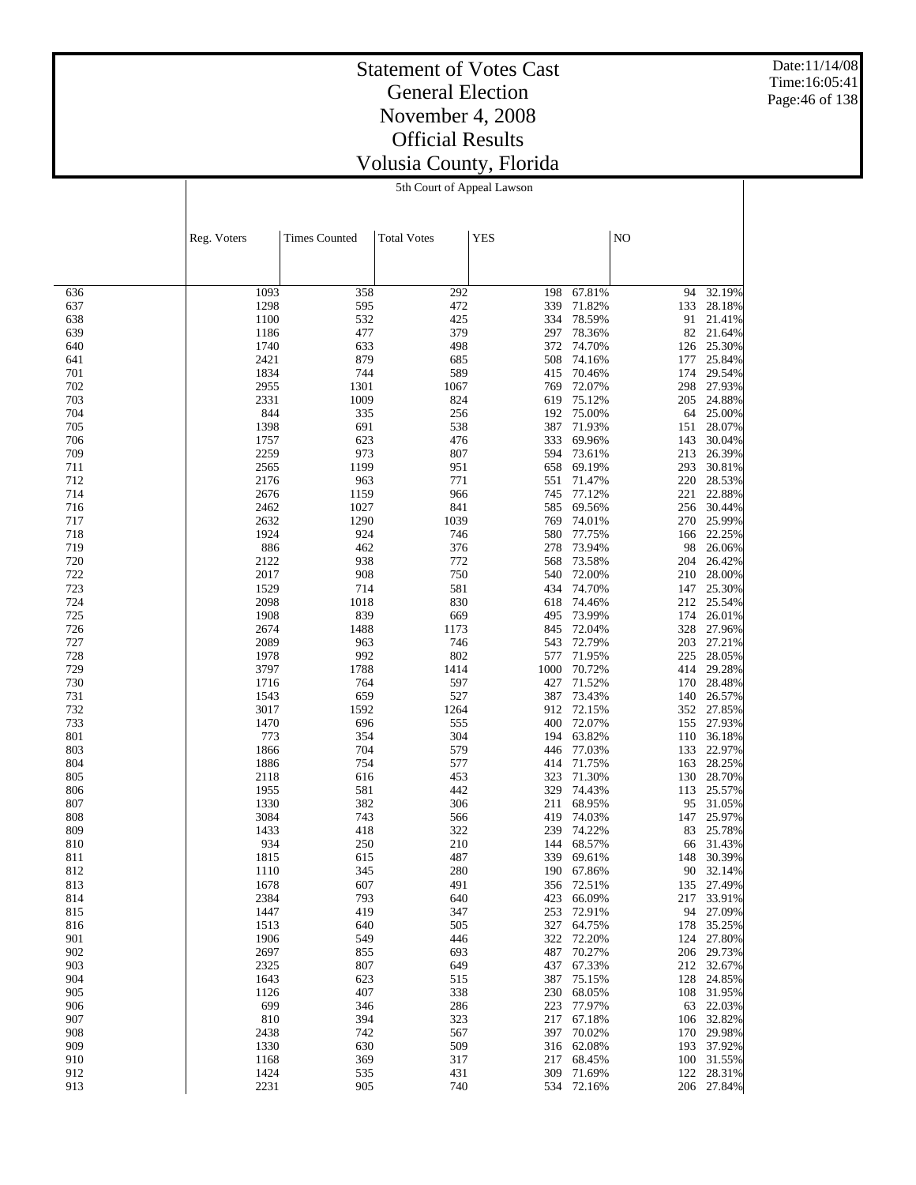Date:11/14/08 Time:16:05:41 Page:46 of 138

#### Statement of Votes Cast General Election November 4, 2008 Official Results Volusia County, Florida 5th Court of Appeal Lawson

|            | Reg. Voters  | <b>Times Counted</b> | <b>Total Votes</b> | <b>YES</b> |                  | N <sub>O</sub> |                      |
|------------|--------------|----------------------|--------------------|------------|------------------|----------------|----------------------|
|            |              |                      |                    |            |                  |                |                      |
|            |              |                      |                    |            |                  |                |                      |
| 636        | 1093         | 358                  | 292                | 198        | 67.81%           | 94             | 32.19%               |
| 637        | 1298         | 595                  | 472                | 339        | 71.82%           | 133            | 28.18%               |
| 638        | 1100         | 532                  | 425                | 334        | 78.59%           | 91             | 21.41%               |
| 639        | 1186         | 477                  | 379                | 297        | 78.36%           | 82             | 21.64%               |
| 640<br>641 | 1740<br>2421 | 633<br>879           | 498<br>685         | 372<br>508 | 74.70%<br>74.16% | 126<br>177     | 25.30%<br>25.84%     |
| 701        | 1834         | 744                  | 589                | 415        | 70.46%           | 174            | 29.54%               |
| 702        | 2955         | 1301                 | 1067               | 769        | 72.07%           | 298            | 27.93%               |
| 703        | 2331         | 1009                 | 824                | 619        | 75.12%           | 205            | 24.88%               |
| 704        | 844          | 335                  | 256                | 192        | 75.00%           | 64             | 25.00%               |
| 705<br>706 | 1398<br>1757 | 691<br>623           | 538<br>476         | 387<br>333 | 71.93%<br>69.96% | 151<br>143     | 28.07%<br>30.04%     |
| 709        | 2259         | 973                  | 807                | 594        | 73.61%           | 213            | 26.39%               |
| 711        | 2565         | 1199                 | 951                | 658        | 69.19%           | 293            | 30.81%               |
| 712        | 2176         | 963                  | 771                | 551        | 71.47%           | 220            | 28.53%               |
| 714        | 2676         | 1159                 | 966                | 745        | 77.12%           | 221            | 22.88%               |
| 716        | 2462         | 1027                 | 841                | 585        | 69.56%           | 256            | 30.44%               |
| 717<br>718 | 2632<br>1924 | 1290<br>924          | 1039<br>746        | 769<br>580 | 74.01%<br>77.75% | 270<br>166     | 25.99%<br>22.25%     |
| 719        | 886          | 462                  | 376                | 278        | 73.94%           | 98             | 26.06%               |
| 720        | 2122         | 938                  | 772                | 568        | 73.58%           | 204            | 26.42%               |
| 722        | 2017         | 908                  | 750                | 540        | 72.00%           | 210            | 28.00%               |
| 723        | 1529         | 714                  | 581                | 434        | 74.70%           | 147            | 25.30%               |
| 724        | 2098         | 1018                 | 830                | 618        | 74.46%<br>73.99% | 212            | 25.54%               |
| 725<br>726 | 1908<br>2674 | 839<br>1488          | 669<br>1173        | 495<br>845 | 72.04%           | 174<br>328     | 26.01%<br>27.96%     |
| 727        | 2089         | 963                  | 746                | 543        | 72.79%           | 203            | 27.21%               |
| 728        | 1978         | 992                  | 802                | 577        | 71.95%           | 225            | 28.05%               |
| 729        | 3797         | 1788                 | 1414               | 1000       | 70.72%           | 414            | 29.28%               |
| 730        | 1716         | 764                  | 597                | 427        | 71.52%           | 170            | 28.48%               |
| 731<br>732 | 1543<br>3017 | 659<br>1592          | 527<br>1264        | 387<br>912 | 73.43%<br>72.15% | 140<br>352     | 26.57%<br>27.85%     |
| 733        | 1470         | 696                  | 555                | 400        | 72.07%           | 155            | 27.93%               |
| 801        | 773          | 354                  | 304                | 194        | 63.82%           | 110            | 36.18%               |
| 803        | 1866         | 704                  | 579                | 446        | 77.03%           | 133            | 22.97%               |
| 804        | 1886         | 754                  | 577                | 414        | 71.75%           | 163            | 28.25%               |
| 805        | 2118         | 616                  | 453                | 323        | 71.30%           | 130            | 28.70%               |
| 806<br>807 | 1955<br>1330 | 581<br>382           | 442<br>306         | 329<br>211 | 74.43%<br>68.95% | 113<br>95      | 25.57%<br>31.05%     |
| 808        | 3084         | 743                  | 566                | 419        | 74.03%           | 147            | 25.97%               |
| 809        | 1433         | 418                  | 322                | 239        | 74.22%           | 83             | 25.78%               |
| 810        | 934          | 250                  | 210                | 144        | 68.57%           | 66             | 31.43%               |
| 811        | 1815         | 615                  | 487                | 339        | 69.61%           | 148            | 30.39%               |
| 812        | 1110         | 345                  | 280                | 190        | 67.86%<br>72.51% | 90             | 32.14%               |
| 813<br>814 | 1678<br>2384 | 607<br>793           | 491<br>640         | 356<br>423 | 66.09%           | 135<br>217     | 27.49%<br>33.91%     |
| 815        | 1447         | 419                  | 347                | 253        | 72.91%           | 94             | 27.09%               |
| 816        | 1513         | 640                  | 505                | 327        | 64.75%           | 178            | 35.25%               |
| 901        | 1906         | 549                  | 446                | 322        | 72.20%           | 124            | 27.80%               |
| 902        | 2697         | 855                  | 693                | 487        | 70.27%           | 206            | 29.73%               |
| 903<br>904 | 2325<br>1643 | 807<br>623           | 649<br>515         | 437<br>387 | 67.33%<br>75.15% | 128            | 212 32.67%<br>24.85% |
| 905        | 1126         | 407                  | 338                | 230        | 68.05%           | 108            | 31.95%               |
| 906        | 699          | 346                  | 286                | 223        | 77.97%           | 63             | 22.03%               |
| 907        | 810          | 394                  | 323                | 217        | 67.18%           | 106            | 32.82%               |
| 908        | 2438         | 742                  | 567                | 397        | 70.02%           | 170            | 29.98%               |
| 909        | 1330         | 630                  | 509                |            | 316 62.08%       | 193            | 37.92%               |
| 910<br>912 | 1168<br>1424 | 369<br>535           | 317<br>431         | 217<br>309 | 68.45%<br>71.69% | 100<br>122     | 31.55%<br>28.31%     |
| 913        | 2231         | 905                  | 740                | 534        | 72.16%           | 206            | 27.84%               |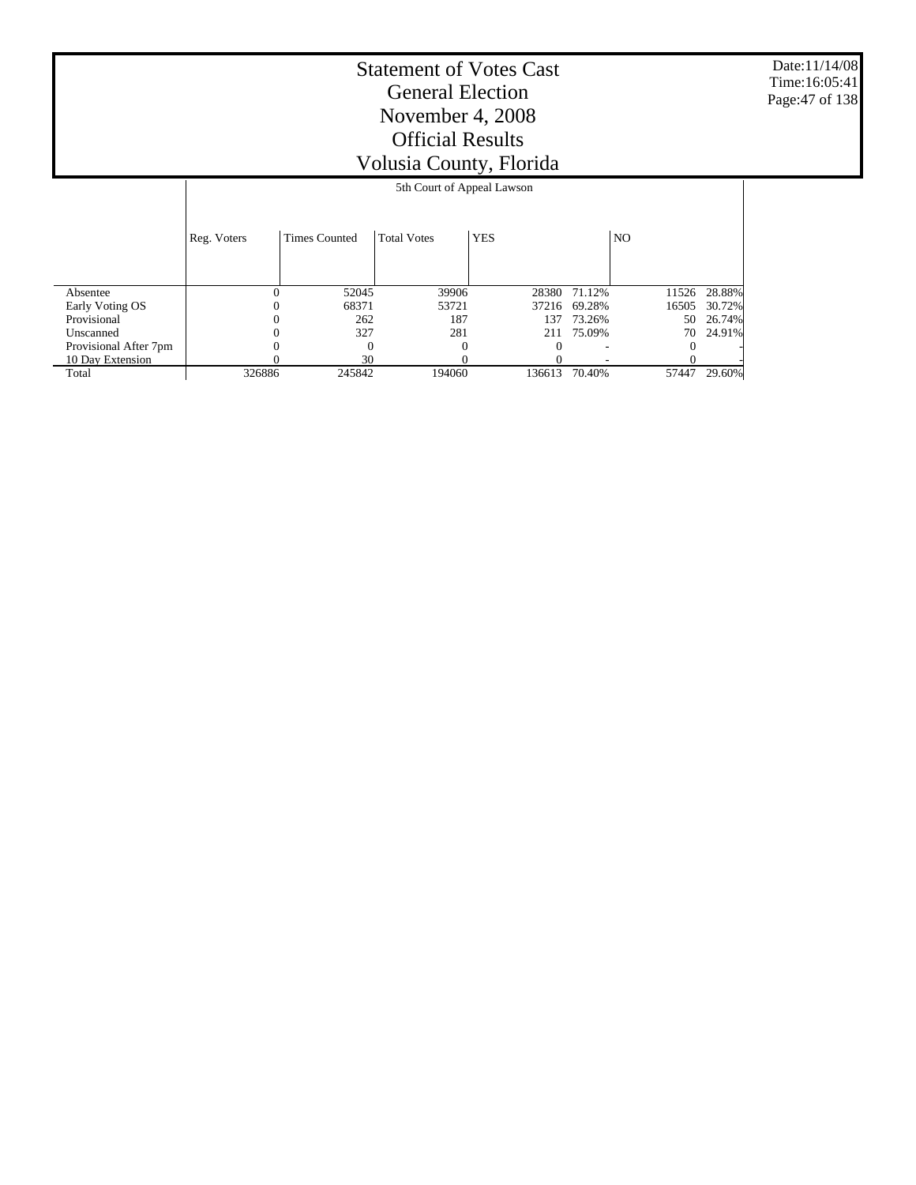Date:11/14/08 Time:16:05:41 Page:47 of 138

|                             | 5th Court of Appeal Lawson |                      |                    |            |        |       |        |  |  |
|-----------------------------|----------------------------|----------------------|--------------------|------------|--------|-------|--------|--|--|
|                             | Reg. Voters                | <b>Times Counted</b> | <b>Total Votes</b> | <b>YES</b> |        | NO.   |        |  |  |
|                             | $\Omega$                   | 52045                | 39906              | 28380      | 71.12% | 11526 | 28.88% |  |  |
| Absentee<br>Early Voting OS | 0                          | 68371                | 53721              | 37216      | 69.28% | 16505 | 30.72% |  |  |
| Provisional                 |                            | 262                  | 187                | 137        | 73.26% | 50    | 26.74% |  |  |
| Unscanned                   | 0                          | 327                  | 281                | 211        | 75.09% | 70    | 24.91% |  |  |
| Provisional After 7pm       |                            | $\Omega$             |                    |            |        |       |        |  |  |
| 10 Day Extension            |                            | 30                   |                    |            |        |       |        |  |  |
| Total                       | 326886                     | 245842               | 194060             | 136613     | 70.40% | 57447 | 29.60% |  |  |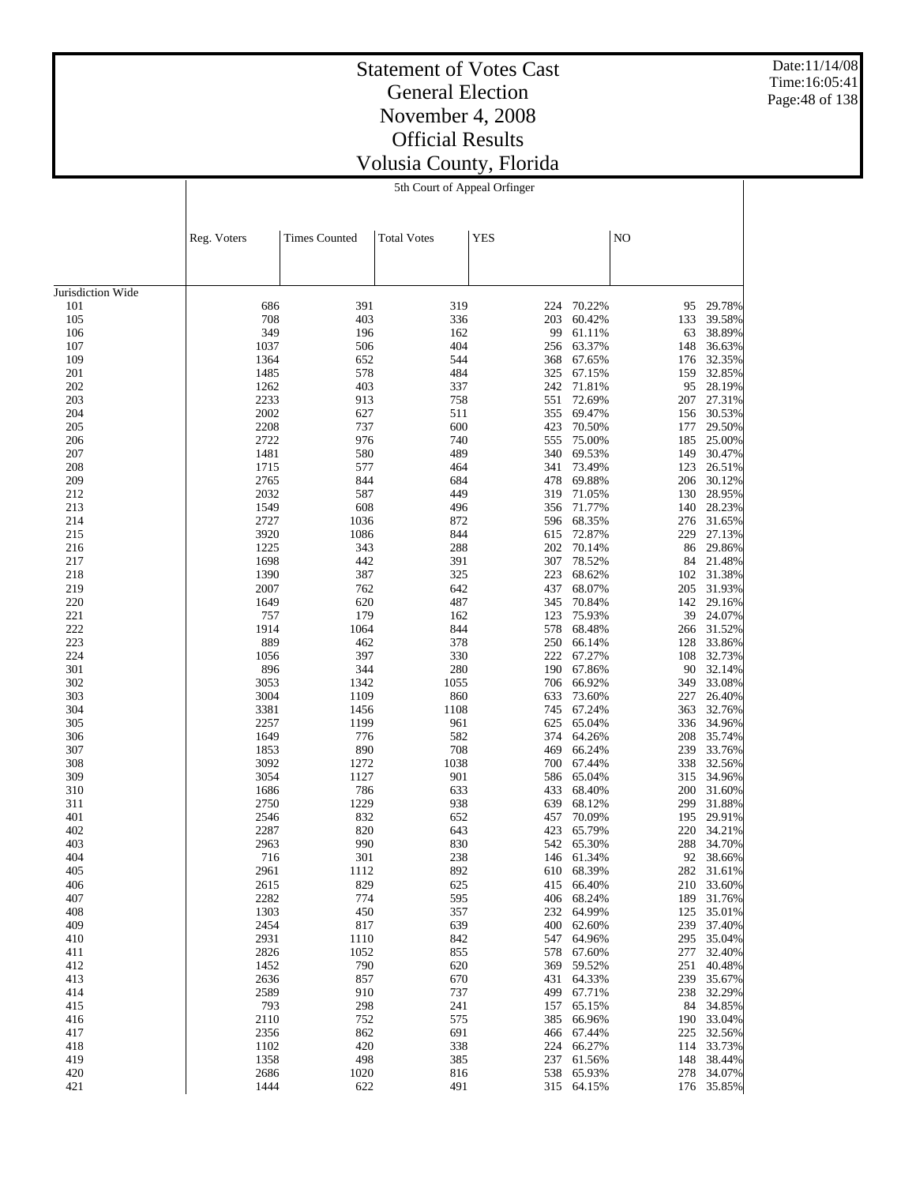Date:11/14/08 Time:16:05:41 Page:48 of 138

# Statement of Votes Cast General Election November 4, 2008 Official Results Volusia County, Florida

5th Court of Appeal Orfinger

|                   | Reg. Voters  | <b>Times Counted</b> | <b>Total Votes</b> | <b>YES</b> |                          | NO         |                      |
|-------------------|--------------|----------------------|--------------------|------------|--------------------------|------------|----------------------|
|                   |              |                      |                    |            |                          |            |                      |
|                   |              |                      |                    |            |                          |            |                      |
| Jurisdiction Wide |              |                      |                    |            |                          |            |                      |
| 101               | 686<br>708   | 391<br>403           | 319<br>336         | 224        | 70.22%                   | 95         | 29.78%<br>39.58%     |
| 105<br>106        | 349          | 196                  | 162                | 203<br>99  | 60.42%<br>61.11%         | 133<br>63  | 38.89%               |
| 107               | 1037         | 506                  | 404                | 256        | 63.37%                   | 148        | 36.63%               |
| 109               | 1364         | 652                  | 544                | 368        | 67.65%                   | 176        | 32.35%               |
| 201               | 1485         | 578                  | 484                | 325        | 67.15%                   | 159        | 32.85%               |
| 202               | 1262         | 403                  | 337                | 242        | 71.81%                   | 95         | 28.19%               |
| 203               | 2233         | 913                  | 758                | 551        | 72.69%                   | 207        | 27.31%               |
| 204               | 2002         | 627                  | 511                | 355        | 69.47%                   | 156        | 30.53%               |
| 205               | 2208         | 737                  | 600                | 423        | 70.50%                   | 177        | 29.50%               |
| 206               | 2722         | 976                  | 740                | 555        | 75.00%                   | 185        | 25.00%               |
| 207               | 1481         | 580                  | 489                | 340        | 69.53%                   | 149        | 30.47%               |
| 208               | 1715         | 577                  | 464                | 341        | 73.49%                   | 123        | 26.51%               |
| 209               | 2765         | 844                  | 684                | 478        | 69.88%                   | 206        | 30.12%               |
| 212               | 2032         | 587                  | 449                | 319        | 71.05%                   | 130        | 28.95%               |
| 213               | 1549         | 608                  | 496                | 356        | 71.77%                   | 140        | 28.23%               |
| 214               | 2727         | 1036                 | 872                | 596        | 68.35%                   | 276        | 31.65%               |
| 215               | 3920         | 1086                 | 844                | 615        | 72.87%                   | 229        | 27.13%               |
| 216               | 1225         | 343                  | 288                | 202        | 70.14%                   | 86         | 29.86%               |
| 217               | 1698         | 442                  | 391                | 307        | 78.52%                   | 84         | 21.48%               |
| 218               | 1390         | 387                  | 325                | 223        | 68.62%                   | 102        | 31.38%               |
| 219               | 2007         | 762                  | 642                | 437        | 68.07%                   | 205        | 31.93%               |
| 220               | 1649         | 620                  | 487                | 345        | 70.84%                   |            | 142 29.16%           |
| 221               | 757<br>1914  | 179<br>1064          | 162                | 123<br>578 | 75.93%<br>68.48%         | 39         | 24.07%<br>31.52%     |
| 222<br>223        | 889          | 462                  | 844<br>378         | 250        | 66.14%                   | 266<br>128 | 33.86%               |
| 224               | 1056         | 397                  | 330                | 222        | 67.27%                   | 108        | 32.73%               |
| 301               | 896          | 344                  | 280                | 190        | 67.86%                   | 90         | 32.14%               |
| 302               | 3053         | 1342                 | 1055               | 706        | 66.92%                   | 349        | 33.08%               |
| 303               | 3004         | 1109                 | 860                | 633        | 73.60%                   | 227        | 26.40%               |
| 304               | 3381         | 1456                 | 1108               | 745        | 67.24%                   | 363        | 32.76%               |
| 305               | 2257         | 1199                 | 961                | 625        | 65.04%                   | 336        | 34.96%               |
| 306               | 1649         | 776                  | 582                | 374        | 64.26%                   | 208        | 35.74%               |
| 307               | 1853         | 890                  | 708                | 469        | 66.24%                   | 239        | 33.76%               |
| 308               | 3092         | 1272                 | 1038               | 700        | 67.44%                   | 338        | 32.56%               |
| 309               | 3054         | 1127                 | 901                | 586        | 65.04%                   | 315        | 34.96%               |
| 310               | 1686         | 786                  | 633                | 433        | 68.40%                   | 200        | 31.60%               |
| 311               | 2750         | 1229                 | 938                | 639        | 68.12%                   | 299        | 31.88%               |
| 401               | 2546         | 832                  | 652                | 457        | 70.09%                   | 195        | 29.91%               |
| 402               | 2287         | 820                  | 643                | 423        | 65.79%                   | 220        | 34.21%               |
| 403               | 2963         | 990                  | 830                | 542        | 65.30%                   | 288        | 34.70%               |
| 404               | 716          | 301                  | 238                | 146        | 61.34%                   | 92         | 38.66%               |
| 405               | 2961         | 1112                 | 892                | 610        | 68.39%                   | 282        | 31.61%               |
| 406<br>407        | 2615         | 829                  | 625                |            | 415 66.40%               |            | 210 33.60%           |
| 408               | 2282<br>1303 | 774<br>450           | 595<br>357         |            | 406 68.24%<br>232 64.99% | 125        | 189 31.76%<br>35.01% |
| 409               | 2454         | 817                  | 639                | 400        | 62.60%                   | 239        | 37.40%               |
| 410               | 2931         | 1110                 | 842                | 547        | 64.96%                   |            | 295 35.04%           |
| 411               | 2826         | 1052                 | 855                | 578        | 67.60%                   |            | 277 32.40%           |
| 412               | 1452         | 790                  | 620                | 369        | 59.52%                   | 251        | 40.48%               |
| 413               | 2636         | 857                  | 670                | 431        | 64.33%                   | 239        | 35.67%               |
| 414               | 2589         | 910                  | 737                | 499        | 67.71%                   | 238        | 32.29%               |
| 415               | 793          | 298                  | 241                | 157        | 65.15%                   |            | 84 34.85%            |
| 416               | 2110         | 752                  | 575                | 385        | 66.96%                   |            | 190 33.04%           |
| 417               | 2356         | 862                  | 691                | 466        | 67.44%                   |            | 225 32.56%           |
| 418               | 1102         | 420                  | 338                | 224        | 66.27%                   |            | 114 33.73%           |
| 419               | 1358         | 498                  | 385                | 237        | 61.56%                   | 148        | 38.44%               |
| 420               | 2686         | 1020                 | 816                | 538        | 65.93%                   | 278        | 34.07%               |
| 421               | 1444         | 622                  | 491                |            | 315 64.15%               |            | 176 35.85%           |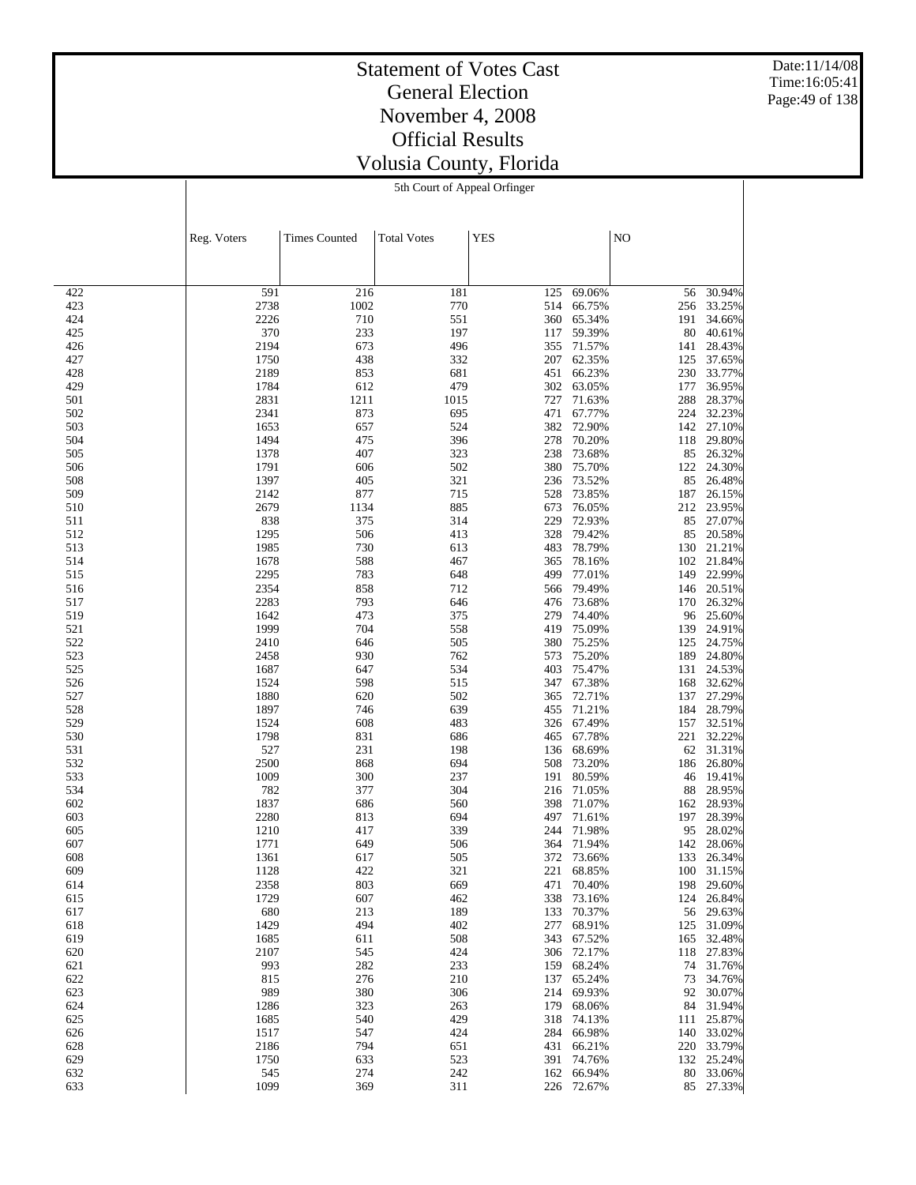Date:11/14/08 Time:16:05:41 Page:49 of 138

#### Statement of Votes Cast General Election November 4, 2008 Official Results Volusia County, Florida 5th Court of Appeal Orfinger

|            | Reg. Voters  | <b>Times Counted</b> | <b>Total Votes</b> | <b>YES</b> |                  | NO         |                  |
|------------|--------------|----------------------|--------------------|------------|------------------|------------|------------------|
|            |              |                      |                    |            |                  |            |                  |
|            |              |                      |                    |            |                  |            |                  |
| 422        | 591          | 216                  | 181                | 125        | 69.06%           | 56         | 30.94%           |
| 423        | 2738         | 1002                 | 770                | 514        | 66.75%           | 256        | 33.25%           |
| 424        | 2226         | 710                  | 551                | 360        | 65.34%           | 191        | 34.66%           |
| 425        | 370          | 233                  | 197                | 117        | 59.39%           | 80         | 40.61%           |
| 426<br>427 | 2194<br>1750 | 673                  | 496<br>332         | 355<br>207 | 71.57%<br>62.35% | 141        | 28.43%           |
| 428        | 2189         | 438<br>853           | 681                | 451        | 66.23%           | 125<br>230 | 37.65%<br>33.77% |
| 429        | 1784         | 612                  | 479                | 302        | 63.05%           | 177        | 36.95%           |
| 501        | 2831         | 1211                 | 1015               | 727        | 71.63%           | 288        | 28.37%           |
| 502        | 2341         | 873                  | 695                | 471        | 67.77%           | 224        | 32.23%           |
| 503        | 1653         | 657                  | 524                | 382        | 72.90%           | 142        | 27.10%           |
| 504        | 1494         | 475                  | 396                | 278        | 70.20%           | 118        | 29.80%           |
| 505<br>506 | 1378<br>1791 | 407<br>606           | 323<br>502         | 238<br>380 | 73.68%<br>75.70% | 85<br>122  | 26.32%<br>24.30% |
| 508        | 1397         | 405                  | 321                | 236        | 73.52%           | 85         | 26.48%           |
| 509        | 2142         | 877                  | 715                | 528        | 73.85%           | 187        | 26.15%           |
| 510        | 2679         | 1134                 | 885                | 673        | 76.05%           | 212        | 23.95%           |
| 511        | 838          | 375                  | 314                | 229        | 72.93%           | 85         | 27.07%           |
| 512        | 1295         | 506                  | 413                | 328        | 79.42%           | 85         | 20.58%           |
| 513        | 1985         | 730                  | 613                | 483        | 78.79%           | 130        | 21.21%           |
| 514        | 1678         | 588                  | 467                | 365<br>499 | 78.16%           | 102        | 21.84%<br>22.99% |
| 515<br>516 | 2295<br>2354 | 783<br>858           | 648<br>712         | 566        | 77.01%<br>79.49% | 149<br>146 | 20.51%           |
| 517        | 2283         | 793                  | 646                | 476        | 73.68%           | 170        | 26.32%           |
| 519        | 1642         | 473                  | 375                | 279        | 74.40%           | 96         | 25.60%           |
| 521        | 1999         | 704                  | 558                | 419        | 75.09%           | 139        | 24.91%           |
| 522        | 2410         | 646                  | 505                | 380        | 75.25%           | 125        | 24.75%           |
| 523        | 2458         | 930                  | 762                | 573        | 75.20%           | 189        | 24.80%           |
| 525        | 1687         | 647                  | 534                | 403        | 75.47%           | 131        | 24.53%           |
| 526<br>527 | 1524<br>1880 | 598<br>620           | 515<br>502         | 347<br>365 | 67.38%<br>72.71% | 168<br>137 | 32.62%<br>27.29% |
| 528        | 1897         | 746                  | 639                | 455        | 71.21%           | 184        | 28.79%           |
| 529        | 1524         | 608                  | 483                | 326        | 67.49%           | 157        | 32.51%           |
| 530        | 1798         | 831                  | 686                | 465        | 67.78%           | 221        | 32.22%           |
| 531        | 527          | 231                  | 198                | 136        | 68.69%           | 62         | 31.31%           |
| 532        | 2500         | 868                  | 694                | 508        | 73.20%           | 186        | 26.80%           |
| 533<br>534 | 1009<br>782  | 300                  | 237                | 191        | 80.59%<br>71.05% | 46         | 19.41%<br>28.95% |
| 602        | 1837         | 377<br>686           | 304<br>560         | 216<br>398 | 71.07%           | 88<br>162  | 28.93%           |
| 603        | 2280         | 813                  | 694                | 497        | 71.61%           | 197        | 28.39%           |
| 605        | 1210         | 417                  | 339                | 244        | 71.98%           | 95         | 28.02%           |
| 607        | 1771         | 649                  | 506                | 364        | 71.94%           | 142        | 28.06%           |
| 608        | 1361         | 617                  | 505                | 372        | 73.66%           | 133        | 26.34%           |
| 609        | 1128         | 422                  | 321                | 221        | 68.85%           | 100        | 31.15%           |
| 614        | 2358         | 803                  | 669                | 471        | 70.40%           | 198        | 29.60%           |
| 615<br>617 | 1729<br>680  | 607<br>213           | 462<br>189         | 338<br>133 | 73.16%<br>70.37% | 124<br>56  | 26.84%<br>29.63% |
| 618        | 1429         | 494                  | 402                | 277        | 68.91%           | 125        | 31.09%           |
| 619        | 1685         | 611                  | 508                | 343        | 67.52%           | 165        | 32.48%           |
| 620        | 2107         | 545                  | 424                | 306        | 72.17%           | 118        | 27.83%           |
| 621        | 993          | 282                  | 233                | 159        | 68.24%           | 74         | 31.76%           |
| 622        | 815          | 276                  | 210                | 137        | 65.24%           | 73         | 34.76%           |
| 623        | 989          | 380                  | 306                | 214        | 69.93%           | 92         | 30.07%           |
| 624<br>625 | 1286<br>1685 | 323<br>540           | 263<br>429         | 179<br>318 | 68.06%<br>74.13% | 84<br>111  | 31.94%<br>25.87% |
| 626        | 1517         | 547                  | 424                | 284        | 66.98%           | 140        | 33.02%           |
| 628        | 2186         | 794                  | 651                | 431        | 66.21%           | 220        | 33.79%           |
| 629        | 1750         | 633                  | 523                | 391        | 74.76%           | 132        | 25.24%           |
| 632        | 545          | 274                  | 242                | 162        | 66.94%           | 80         | 33.06%           |
| 633        | 1099         | 369                  | 311                | 226        | 72.67%           | 85         | 27.33%           |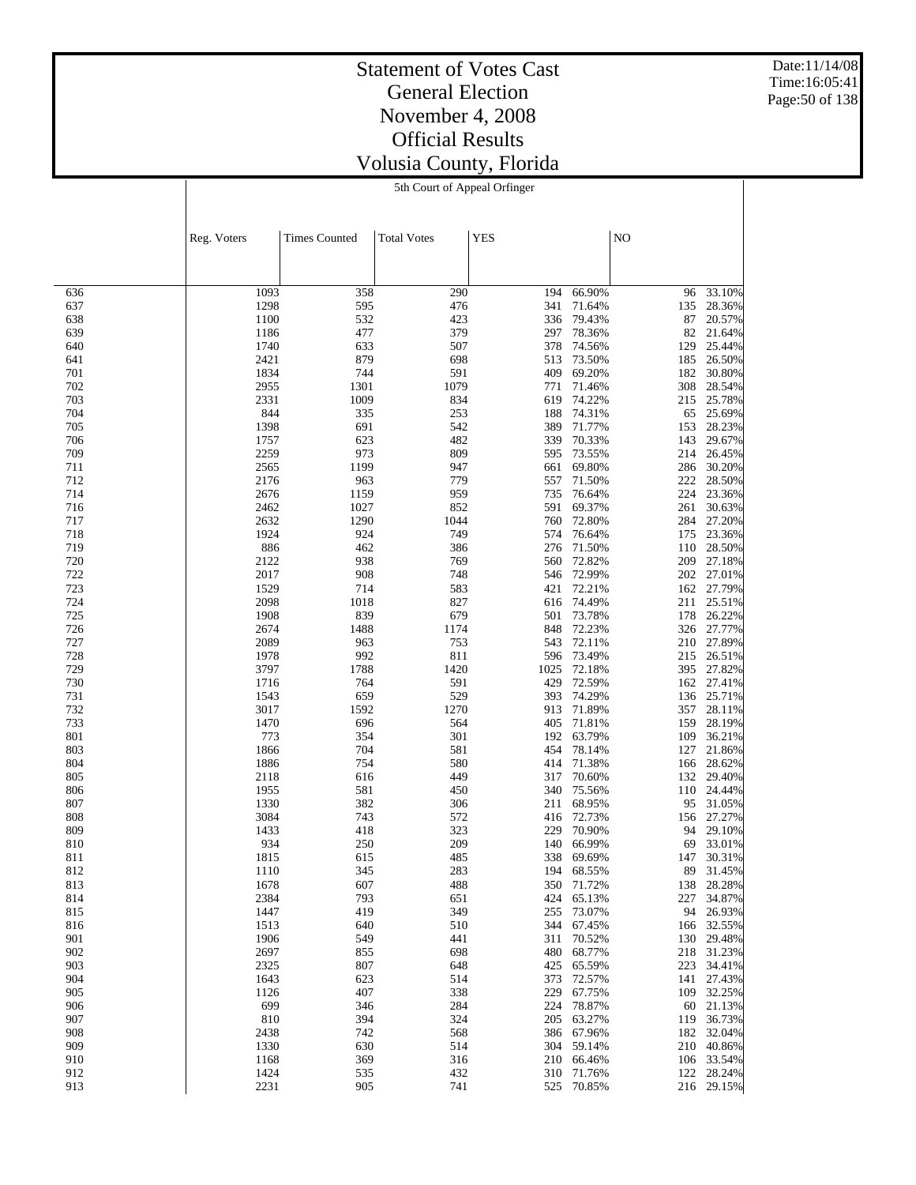Date:11/14/08 Time:16:05:41 Page:50 of 138

#### Statement of Votes Cast General Election November 4, 2008 Official Results Volusia County, Florida 5th Court of Appeal Orfinger

|            | Reg. Voters  | <b>Times Counted</b> | <b>Total Votes</b> | <b>YES</b> |                  | N <sub>O</sub> |                  |
|------------|--------------|----------------------|--------------------|------------|------------------|----------------|------------------|
|            |              |                      |                    |            |                  |                |                  |
|            |              |                      |                    |            |                  |                |                  |
| 636        | 1093         | 358                  | 290                | 194        | 66.90%           | 96             | 33.10%           |
| 637        | 1298         | 595                  | 476                | 341        | 71.64%           | 135            | 28.36%           |
| 638        | 1100         | 532                  | 423                | 336        | 79.43%           | 87             | 20.57%           |
| 639        | 1186         | 477<br>633           | 379<br>507         | 297<br>378 | 78.36%<br>74.56% | 82<br>129      | 21.64%<br>25.44% |
| 640<br>641 | 1740<br>2421 | 879                  | 698                | 513        | 73.50%           | 185            | 26.50%           |
| 701        | 1834         | 744                  | 591                | 409        | 69.20%           | 182            | 30.80%           |
| 702        | 2955         | 1301                 | 1079               | 771        | 71.46%           | 308            | 28.54%           |
| 703        | 2331         | 1009                 | 834                | 619        | 74.22%           | 215            | 25.78%           |
| 704        | 844          | 335                  | 253                | 188        | 74.31%           | 65             | 25.69%           |
| 705        | 1398         | 691                  | 542                | 389        | 71.77%           | 153            | 28.23%           |
| 706<br>709 | 1757<br>2259 | 623<br>973           | 482<br>809         | 339<br>595 | 70.33%<br>73.55% | 143<br>214     | 29.67%<br>26.45% |
| 711        | 2565         | 1199                 | 947                | 661        | 69.80%           | 286            | 30.20%           |
| 712        | 2176         | 963                  | 779                | 557        | 71.50%           | 222            | 28.50%           |
| 714        | 2676         | 1159                 | 959                | 735        | 76.64%           | 224            | 23.36%           |
| 716        | 2462         | 1027                 | 852                | 591        | 69.37%           | 261            | 30.63%           |
| 717        | 2632         | 1290                 | 1044               | 760        | 72.80%           | 284            | 27.20%           |
| 718<br>719 | 1924<br>886  | 924<br>462           | 749<br>386         | 574<br>276 | 76.64%<br>71.50% | 175            | 23.36%<br>28.50% |
| 720        | 2122         | 938                  | 769                | 560        | 72.82%           | 110<br>209     | 27.18%           |
| 722        | 2017         | 908                  | 748                | 546        | 72.99%           | 202            | 27.01%           |
| 723        | 1529         | 714                  | 583                | 421        | 72.21%           |                | 162 27.79%       |
| 724        | 2098         | 1018                 | 827                | 616        | 74.49%           | 211            | 25.51%           |
| 725        | 1908         | 839                  | 679                | 501        | 73.78%           | 178            | 26.22%           |
| 726        | 2674         | 1488                 | 1174               | 848        | 72.23%           | 326            | 27.77%           |
| 727<br>728 | 2089<br>1978 | 963<br>992           | 753<br>811         | 543<br>596 | 72.11%<br>73.49% | 210            | 27.89%           |
| 729        | 3797         | 1788                 | 1420               | 1025       | 72.18%           | 215<br>395     | 26.51%<br>27.82% |
| 730        | 1716         | 764                  | 591                | 429        | 72.59%           | 162            | 27.41%           |
| 731        | 1543         | 659                  | 529                | 393        | 74.29%           | 136            | 25.71%           |
| 732        | 3017         | 1592                 | 1270               | 913        | 71.89%           | 357            | 28.11%           |
| 733        | 1470         | 696                  | 564                | 405        | 71.81%           | 159            | 28.19%           |
| 801        | 773          | 354                  | 301                | 192        | 63.79%           | 109            | 36.21%           |
| 803<br>804 | 1866<br>1886 | 704<br>754           | 581<br>580         | 454<br>414 | 78.14%<br>71.38% | 127<br>166     | 21.86%<br>28.62% |
| 805        | 2118         | 616                  | 449                | 317        | 70.60%           | 132            | 29.40%           |
| 806        | 1955         | 581                  | 450                | 340        | 75.56%           | 110            | 24.44%           |
| 807        | 1330         | 382                  | 306                | 211        | 68.95%           | 95             | 31.05%           |
| 808        | 3084         | 743                  | 572                | 416        | 72.73%           | 156            | 27.27%           |
| 809        | 1433         | 418                  | 323                | 229        | 70.90%           | 94             | 29.10%           |
| 810<br>811 | 934<br>1815  | 250<br>615           | 209<br>485         | 140<br>338 | 66.99%<br>69.69% | 69<br>147      | 33.01%<br>30.31% |
| 812        | 1110         | 345                  | 283                | 194        | 68.55%           | 89             | 31.45%           |
| 813        | 1678         | 607                  | 488                | 350        | 71.72%           | 138            | 28.28%           |
| 814        | 2384         | 793                  | 651                | 424        | 65.13%           | 227            | 34.87%           |
| 815        | 1447         | 419                  | 349                | 255        | 73.07%           | 94             | 26.93%           |
| 816        | 1513         | 640                  | 510                | 344        | 67.45%           | 166            | 32.55%           |
| 901<br>902 | 1906<br>2697 | 549                  | 441                | 311<br>480 | 70.52%           | 130            | 29.48%           |
| 903        | 2325         | 855<br>807           | 698<br>648         | 425        | 68.77%<br>65.59% | 218<br>223     | 31.23%<br>34.41% |
| 904        | 1643         | 623                  | 514                | 373        | 72.57%           | 141            | 27.43%           |
| 905        | 1126         | 407                  | 338                | 229        | 67.75%           | 109            | 32.25%           |
| 906        | 699          | 346                  | 284                | 224        | 78.87%           | 60             | 21.13%           |
| 907        | 810          | 394                  | 324                | 205        | 63.27%           | 119            | 36.73%           |
| 908        | 2438         | 742                  | 568                | 386        | 67.96%           | 182            | 32.04%           |
| 909<br>910 | 1330<br>1168 | 630<br>369           | 514<br>316         | 304<br>210 | 59.14%<br>66.46% | 210<br>106     | 40.86%<br>33.54% |
| 912        | 1424         | 535                  | 432                | 310        | 71.76%           | 122            | 28.24%           |
| 913        | 2231         | 905                  | 741                | 525        | 70.85%           |                | 216 29.15%       |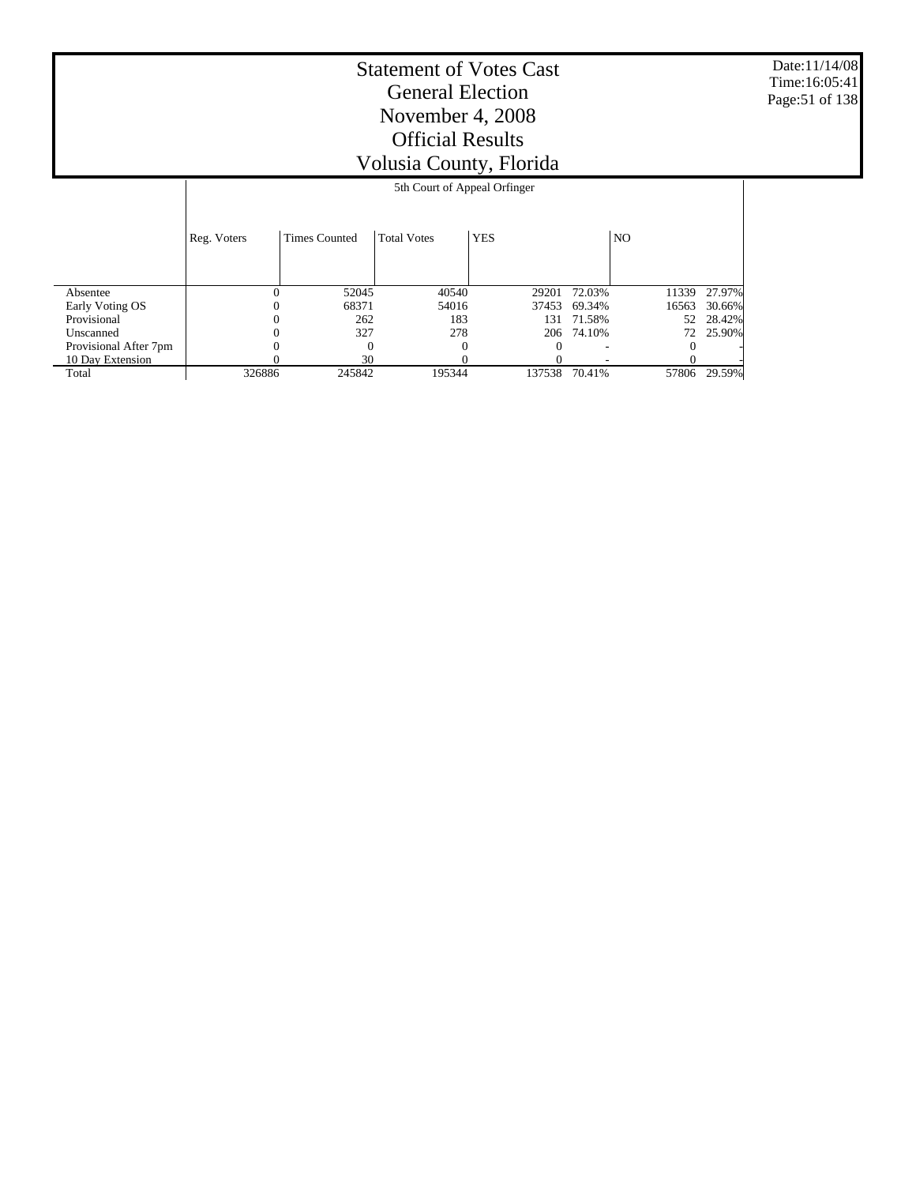Date:11/14/08 Time:16:05:41 Page:51 of 138

# Statement of Votes Cast General Election November 4, 2008 Official Results Volusia County, Florida

#### 5th Court of Appeal Orfinger

|                       | Reg. Voters | Times Counted | <b>Total Votes</b> | <b>YES</b> |            | NO.   |        |
|-----------------------|-------------|---------------|--------------------|------------|------------|-------|--------|
| Absentee              |             | 52045         | 40540              | 29201      | 72.03%     | 11339 | 27.97% |
| Early Voting OS       | 0           | 68371         | 54016              | 37453      | 69.34%     | 16563 | 30.66% |
| Provisional           | O           | 262           | 183                | 131        | 71.58%     | 52    | 28.42% |
| Unscanned             |             | 327           | 278                |            | 206 74.10% | 72.   | 25.90% |
| Provisional After 7pm |             | $\Omega$      |                    |            |            |       |        |
| 10 Day Extension      |             | 30            |                    |            |            |       |        |
| Total                 | 326886      | 245842        | 195344             | 137538     | 70.41%     | 57806 | 29.59% |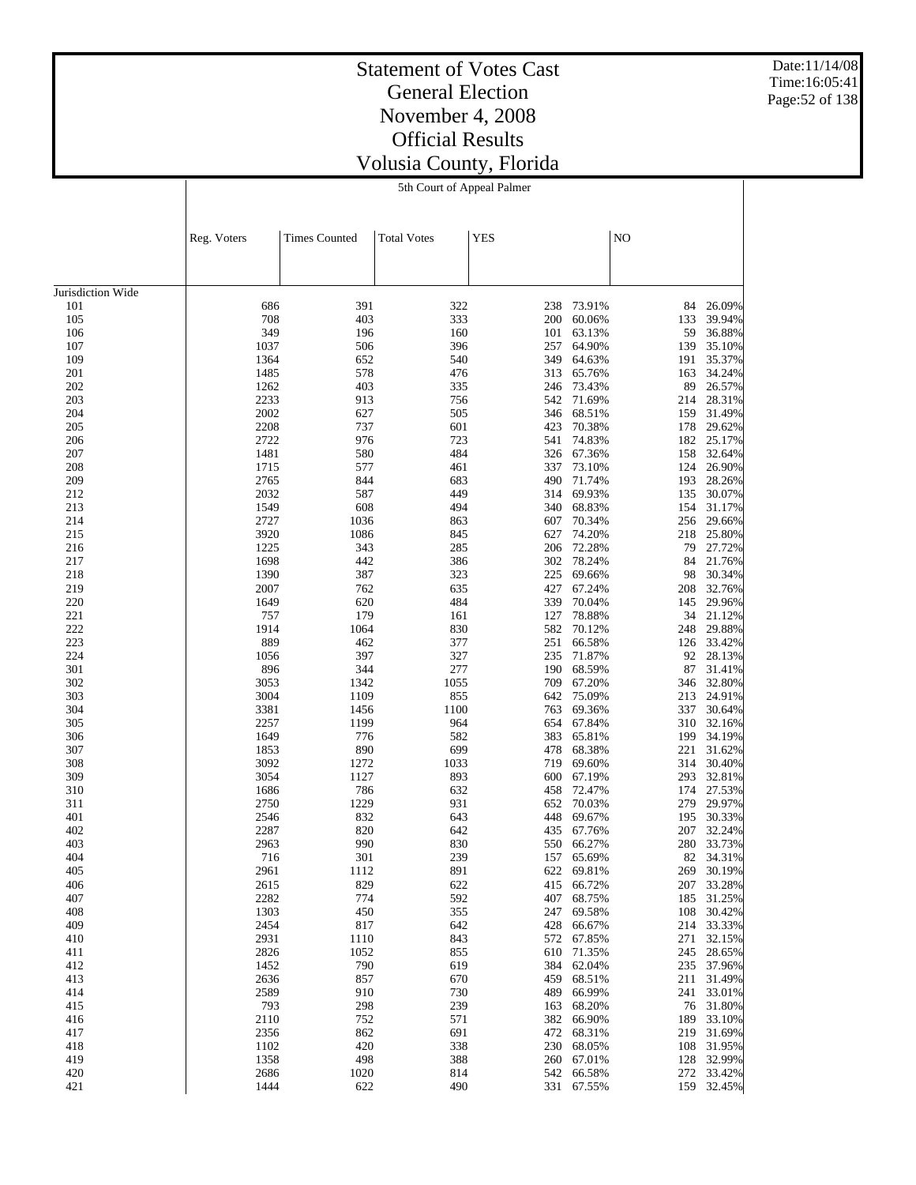Date:11/14/08 Time:16:05:41 Page:52 of 138

#### Statement of Votes Cast General Election November 4, 2008 Official Results Volusia County, Florida 5th Court of Appeal Palmer

|                   | Reg. Voters  | <b>Times Counted</b> | <b>Total Votes</b> | <b>YES</b> |                  | NO         |                  |
|-------------------|--------------|----------------------|--------------------|------------|------------------|------------|------------------|
|                   |              |                      |                    |            |                  |            |                  |
|                   |              |                      |                    |            |                  |            |                  |
| Jurisdiction Wide |              |                      |                    |            |                  |            |                  |
| 101               | 686          | 391                  | 322                | 238        | 73.91%           | 84         | 26.09%           |
| 105               | 708          | 403                  | 333                | 200        | 60.06%           | 133        | 39.94%           |
| 106               | 349          | 196                  | 160                | 101        | 63.13%           | 59         | 36.88%           |
| 107               | 1037         | 506                  | 396                | 257        | 64.90%           | 139        | 35.10%           |
| 109               | 1364         | 652                  | 540                | 349        | 64.63%           | 191        | 35.37%           |
| 201<br>202        | 1485<br>1262 | 578<br>403           | 476<br>335         | 313<br>246 | 65.76%<br>73.43% | 163<br>89  | 34.24%<br>26.57% |
| 203               | 2233         | 913                  | 756                | 542        | 71.69%           | 214        | 28.31%           |
| 204               | 2002         | 627                  | 505                | 346        | 68.51%           | 159        | 31.49%           |
| 205               | 2208         | 737                  | 601                | 423        | 70.38%           | 178        | 29.62%           |
| 206               | 2722         | 976                  | 723                | 541        | 74.83%           | 182        | 25.17%           |
| 207               | 1481         | 580                  | 484                | 326        | 67.36%           | 158        | 32.64%           |
| 208               | 1715         | 577                  | 461                | 337        | 73.10%           | 124        | 26.90%           |
| 209               | 2765         | 844                  | 683                | 490        | 71.74%           | 193        | 28.26%           |
| 212               | 2032         | 587                  | 449                | 314        | 69.93%           | 135        | 30.07%           |
| 213               | 1549         | 608                  | 494                | 340        | 68.83%           | 154        | 31.17%           |
| 214               | 2727         | 1036                 | 863                | 607        | 70.34%           | 256        | 29.66%           |
| 215               | 3920         | 1086                 | 845                | 627        | 74.20%           | 218        | 25.80%           |
| 216               | 1225         | 343                  | 285                | 206        | 72.28%           | 79         | 27.72%           |
| 217               | 1698<br>1390 | 442                  | 386                | 302<br>225 | 78.24%           | 84         | 21.76%<br>30.34% |
| 218<br>219        | 2007         | 387<br>762           | 323<br>635         | 427        | 69.66%<br>67.24% | 98<br>208  | 32.76%           |
| 220               | 1649         | 620                  | 484                | 339        | 70.04%           | 145        | 29.96%           |
| 221               | 757          | 179                  | 161                | 127        | 78.88%           | 34         | 21.12%           |
| 222               | 1914         | 1064                 | 830                | 582        | 70.12%           | 248        | 29.88%           |
| 223               | 889          | 462                  | 377                | 251        | 66.58%           | 126        | 33.42%           |
| 224               | 1056         | 397                  | 327                | 235        | 71.87%           | 92         | 28.13%           |
| 301               | 896          | 344                  | 277                | 190        | 68.59%           | 87         | 31.41%           |
| 302               | 3053         | 1342                 | 1055               | 709        | 67.20%           | 346        | 32.80%           |
| 303               | 3004         | 1109                 | 855                | 642        | 75.09%           | 213        | 24.91%           |
| 304               | 3381         | 1456                 | 1100               | 763        | 69.36%           | 337        | 30.64%           |
| 305               | 2257         | 1199                 | 964                | 654        | 67.84%           | 310        | 32.16%           |
| 306               | 1649         | 776                  | 582                | 383        | 65.81%           | 199        | 34.19%           |
| 307               | 1853<br>3092 | 890                  | 699                | 478<br>719 | 68.38%           | 221        | 31.62%           |
| 308<br>309        | 3054         | 1272<br>1127         | 1033<br>893        | 600        | 69.60%<br>67.19% | 314<br>293 | 30.40%<br>32.81% |
| 310               | 1686         | 786                  | 632                | 458        | 72.47%           | 174        | 27.53%           |
| 311               | 2750         | 1229                 | 931                | 652        | 70.03%           | 279        | 29.97%           |
| 401               | 2546         | 832                  | 643                | 448        | 69.67%           | 195        | 30.33%           |
| 402               | 2287         | 820                  | 642                | 435        | 67.76%           | 207        | 32.24%           |
| 403               | 2963         | 990                  | 830                | 550        | 66.27%           | 280        | 33.73%           |
| 404               | 716          | 301                  | 239                | 157        | 65.69%           | 82         | 34.31%           |
| 405               | 2961         | 1112                 | 891                | 622        | 69.81%           | 269        | 30.19%           |
| 406               | 2615         | 829                  | 622                | 415        | 66.72%           | 207        | 33.28%           |
| 407               | 2282         | 774                  | 592                | 407        | 68.75%           | 185        | 31.25%           |
| 408               | 1303         | 450                  | 355                | 247        | 69.58%           | 108        | 30.42%           |
| 409               | 2454         | 817                  | 642                | 428        | 66.67%           | 214        | 33.33%           |
| 410               | 2931         | 1110                 | 843                | 572        | 67.85%           | 271        | 32.15%<br>28.65% |
| 411<br>412        | 2826<br>1452 | 1052<br>790          | 855<br>619         | 610<br>384 | 71.35%<br>62.04% | 245<br>235 | 37.96%           |
| 413               | 2636         | 857                  | 670                | 459        | 68.51%           | 211        | 31.49%           |
| 414               | 2589         | 910                  | 730                | 489        | 66.99%           | 241        | 33.01%           |
| 415               | 793          | 298                  | 239                | 163        | 68.20%           | 76         | 31.80%           |
| 416               | 2110         | 752                  | 571                | 382        | 66.90%           | 189        | 33.10%           |
| 417               | 2356         | 862                  | 691                | 472        | 68.31%           | 219        | 31.69%           |
| 418               | 1102         | 420                  | 338                | 230        | 68.05%           | 108        | 31.95%           |
| 419               | 1358         | 498                  | 388                | 260        | 67.01%           | 128        | 32.99%           |
| 420               | 2686         | 1020                 | 814                | 542        | 66.58%           | 272        | 33.42%           |
| 421               | 1444         | 622                  | 490                | 331        | 67.55%           | 159        | 32.45%           |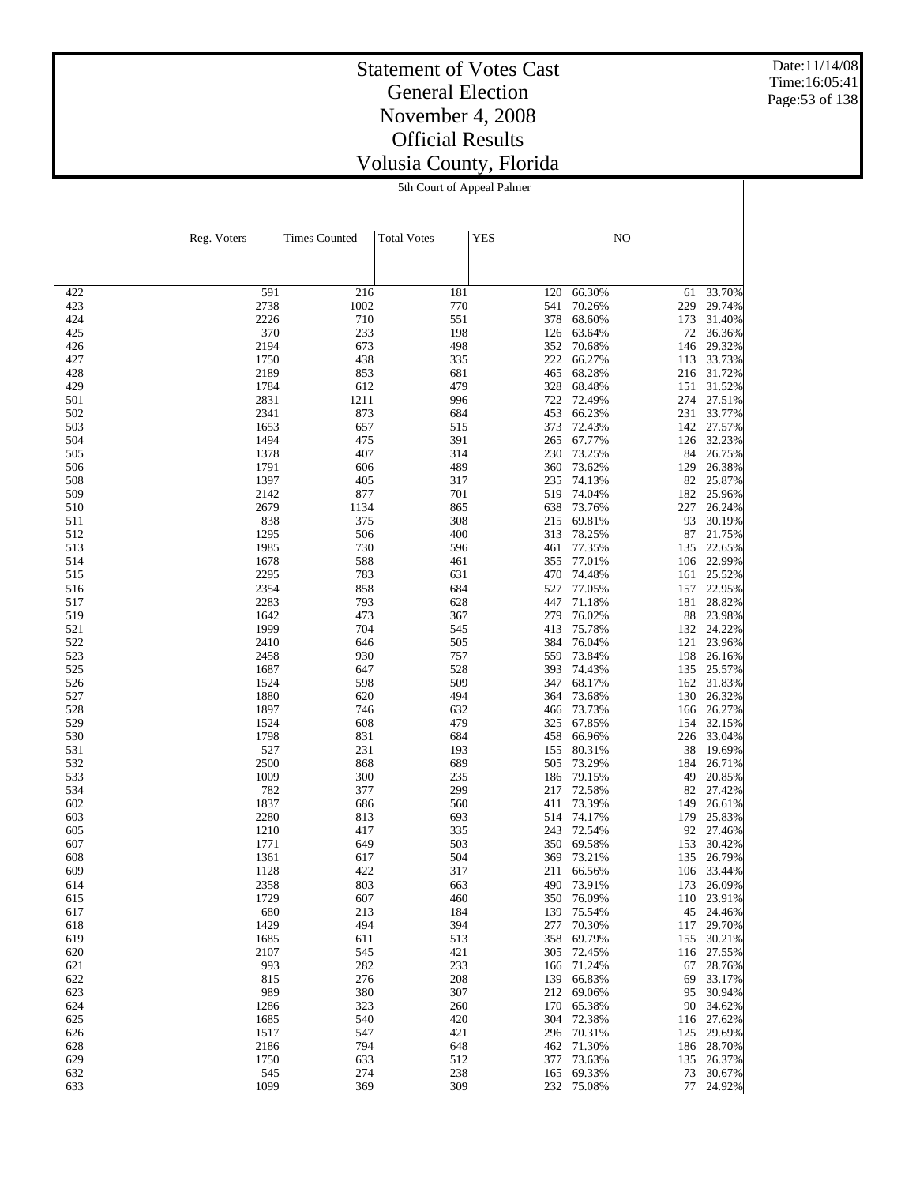Date:11/14/08 Time:16:05:41 Page:53 of 138

# Statement of Votes Cast General Election November 4, 2008 Official Results Volusia County, Florida

5th Court of Appeal Palmer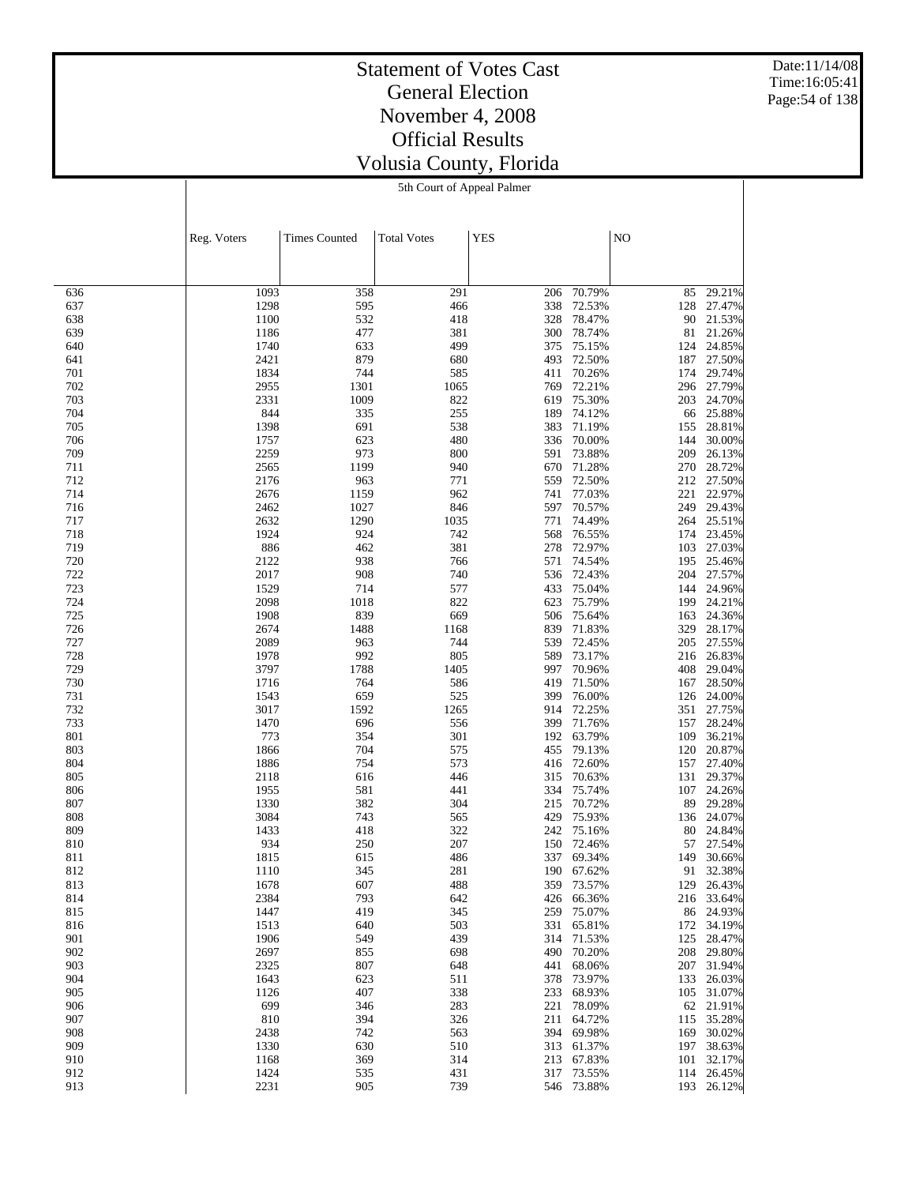Date:11/14/08 Time:16:05:41 Page:54 of 138

# Statement of Votes Cast General Election November 4, 2008 Official Results Volusia County, Florida

5th Court of Appeal Palmer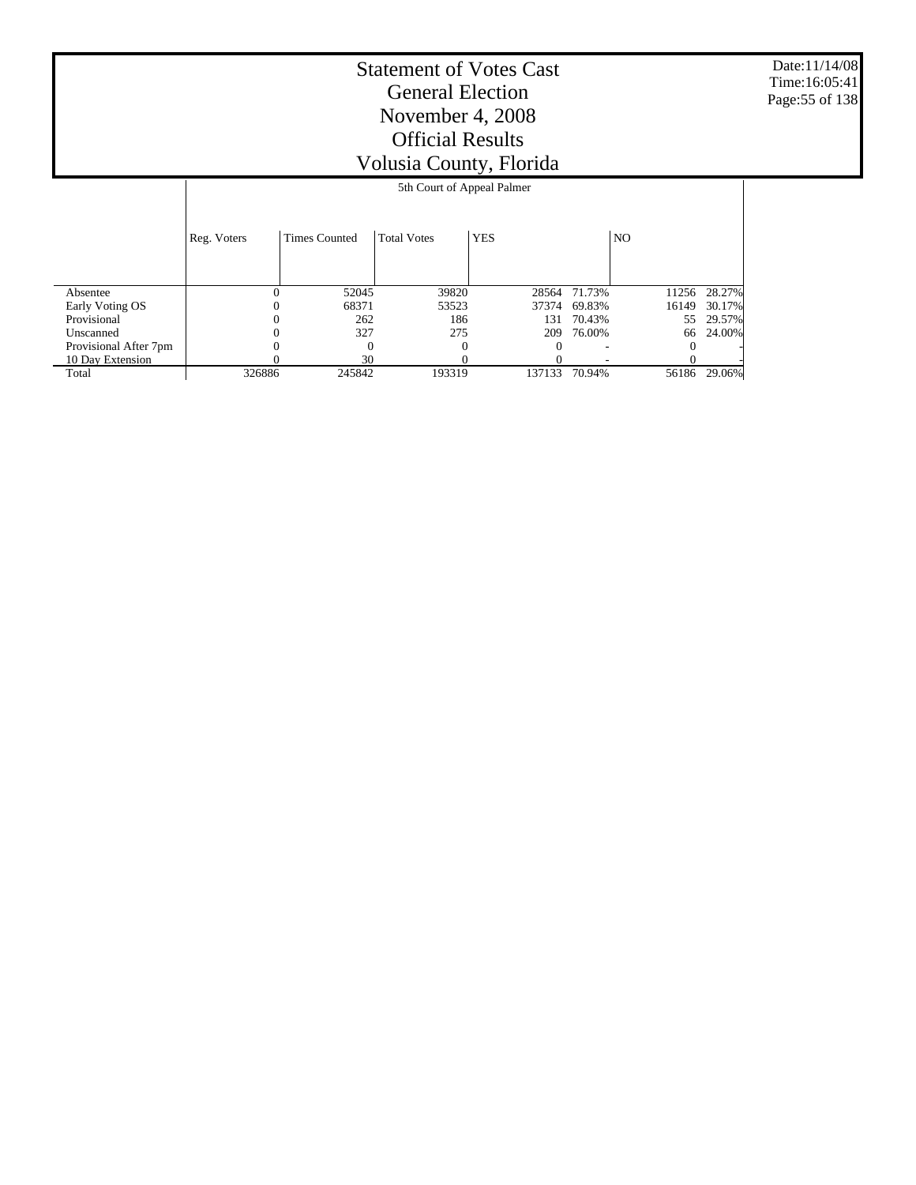Date:11/14/08 Time:16:05:41 Page:55 of 138

|                       |             | 5th Court of Appeal Palmer |                    |            |        |       |        |  |  |
|-----------------------|-------------|----------------------------|--------------------|------------|--------|-------|--------|--|--|
|                       |             |                            |                    |            |        |       |        |  |  |
|                       | Reg. Voters | <b>Times Counted</b>       | <b>Total Votes</b> | <b>YES</b> |        | NO.   |        |  |  |
|                       |             |                            |                    |            |        |       |        |  |  |
| Absentee              | $\Omega$    | 52045                      | 39820              | 28564      | 71.73% | 11256 | 28.27% |  |  |
| Early Voting OS       |             | 68371                      | 53523              | 37374      | 69.83% | 16149 | 30.17% |  |  |
| Provisional           | $\theta$    | 262                        | 186                | 131        | 70.43% | 55    | 29.57% |  |  |
| Unscanned             |             | 327                        | 275                | 209        | 76.00% | 66    | 24.00% |  |  |
| Provisional After 7pm |             |                            |                    |            |        |       |        |  |  |
| 10 Day Extension      |             | 30                         |                    |            |        |       |        |  |  |
| Total                 | 326886      | 245842                     | 193319             | 137133     | 70.94% | 56186 | 29.06% |  |  |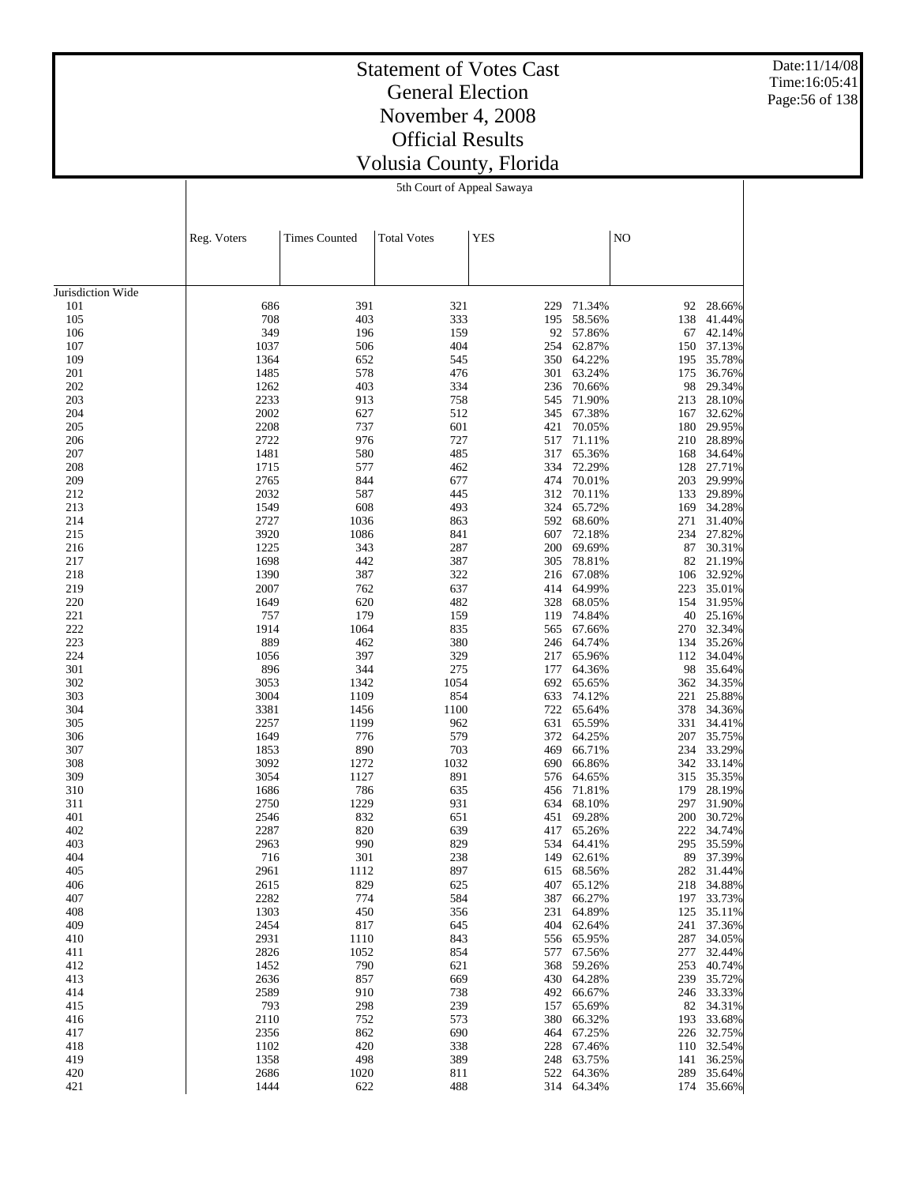Date:11/14/08 Time:16:05:41 Page:56 of 138

# Statement of Votes Cast General Election November 4, 2008 Official Results Volusia County, Florida

5th Court of Appeal Sawaya

|                   | Reg. Voters  | <b>Times Counted</b> | <b>Total Votes</b> | <b>YES</b> |                          | NO         |                          |
|-------------------|--------------|----------------------|--------------------|------------|--------------------------|------------|--------------------------|
|                   |              |                      |                    |            |                          |            |                          |
| Jurisdiction Wide |              |                      |                    |            |                          |            |                          |
| 101               | 686          | 391                  | 321                | 229        | 71.34%                   | 92         | 28.66%                   |
| 105               | 708          | 403                  | 333                | 195        | 58.56%                   | 138        | 41.44%                   |
| 106               | 349          | 196                  | 159                | 92         | 57.86%                   | 67         | 42.14%                   |
| 107               | 1037         | 506                  | 404                | 254        | 62.87%                   | 150        | 37.13%                   |
| 109               | 1364         | 652                  | 545                |            | 350 64.22%               | 195        | 35.78%                   |
| 201               | 1485         | 578                  | 476                | 301        | 63.24%                   | 175        | 36.76%                   |
| 202               | 1262         | 403                  | 334                | 236        | 70.66%                   | 98         | 29.34%                   |
| 203               | 2233         | 913                  | 758                | 545        | 71.90%                   | 213        | 28.10%                   |
| 204               | 2002         | 627                  | 512                | 345        | 67.38%                   | 167        | 32.62%                   |
| 205               | 2208         | 737                  | 601                | 421        | 70.05%                   | 180        | 29.95%                   |
| 206               | 2722         | 976                  | 727                | 517        | 71.11%                   | 210        | 28.89%                   |
| 207               | 1481         | 580                  | 485                | 317        | 65.36%                   | 168        | 34.64%                   |
| 208               | 1715<br>2765 | 577<br>844           | 462<br>677         | 334        | 72.29%                   | 128        | 27.71%<br>29.99%         |
| 209               |              | 587                  | 445                | 474<br>312 | 70.01%                   | 203        |                          |
| 212<br>213        | 2032<br>1549 | 608                  | 493                | 324        | 70.11%<br>65.72%         | 133<br>169 | 29.89%<br>34.28%         |
| 214               | 2727         | 1036                 | 863                | 592        | 68.60%                   | 271        | 31.40%                   |
| 215               | 3920         | 1086                 | 841                | 607        | 72.18%                   | 234        | 27.82%                   |
| 216               | 1225         | 343                  | 287                | 200        | 69.69%                   | 87         | 30.31%                   |
| 217               | 1698         | 442                  | 387                | 305        | 78.81%                   | 82         | 21.19%                   |
| 218               | 1390         | 387                  | 322                | 216        | 67.08%                   | 106        | 32.92%                   |
| 219               | 2007         | 762                  | 637                | 414        | 64.99%                   | 223        | 35.01%                   |
| 220               | 1649         | 620                  | 482                | 328        | 68.05%                   | 154        | 31.95%                   |
| 221               | 757          | 179                  | 159                | 119        | 74.84%                   | 40         | 25.16%                   |
| 222               | 1914         | 1064                 | 835                | 565        | 67.66%                   | 270        | 32.34%                   |
| 223               | 889          | 462                  | 380                | 246        | 64.74%                   | 134        | 35.26%                   |
| 224               | 1056         | 397                  | 329                | 217        | 65.96%                   | 112        | 34.04%                   |
| 301               | 896          | 344                  | 275                | 177        | 64.36%                   | 98         | 35.64%                   |
| 302               | 3053         | 1342                 | 1054               | 692        | 65.65%                   | 362        | 34.35%                   |
| 303               | 3004         | 1109                 | 854                | 633        | 74.12%                   | 221        | 25.88%                   |
| 304               | 3381         | 1456                 | 1100               | 722        | 65.64%                   | 378        | 34.36%                   |
| 305               | 2257         | 1199                 | 962                | 631        | 65.59%                   | 331        | 34.41%                   |
| 306               | 1649         | 776                  | 579                | 372        | 64.25%                   | 207        | 35.75%                   |
| 307               | 1853         | 890                  | 703                | 469        | 66.71%                   | 234        | 33.29%                   |
| 308               | 3092         | 1272                 | 1032               | 690        | 66.86%                   | 342        | 33.14%                   |
| 309               | 3054         | 1127                 | 891                | 576        | 64.65%                   | 315        | 35.35%                   |
| 310               | 1686         | 786                  | 635                | 456        | 71.81%                   | 179        | 28.19%                   |
| 311               | 2750         | 1229                 | 931                | 634        | 68.10%                   | 297        | 31.90%                   |
| 401               | 2546         | 832                  | 651                | 451        | 69.28%                   | 200        | 30.72%                   |
| 402               | 2287         | 820                  | 639                | 417        | 65.26%                   | 222        | 34.74%                   |
| 403               | 2963         | 990                  | 829                | 534        | 64.41%                   | 295        | 35.59%                   |
| 404               | 716          | 301                  | 238                | 149        | 62.61%                   | 89         | 37.39%                   |
| 405               | 2961         | 1112                 | 897                |            | 615 68.56%               |            | 282 31.44%               |
| 406               | 2615         | 829                  | 625                |            | 407 65.12%               |            | 218 34.88%               |
| 407               | 2282         | 774                  | 584                |            | 387 66.27%               |            | 197 33.73%               |
| 408<br>409        | 1303<br>2454 | 450<br>817           | 356                |            | 231 64.89%               |            | 125 35.11%               |
| 410               | 2931         | 1110                 | 645<br>843         |            | 404 62.64%<br>556 65.95% |            | 241 37.36%<br>287 34.05% |
| 411               | 2826         | 1052                 | 854                |            | 577 67.56%               |            | 277 32.44%               |
| 412               | 1452         | 790                  | 621                | 368        | 59.26%                   |            | 253 40.74%               |
| 413               | 2636         | 857                  | 669                |            | 430 64.28%               |            | 239 35.72%               |
| 414               | 2589         | 910                  | 738                |            | 492 66.67%               |            | 246 33.33%               |
| 415               | 793          | 298                  | 239                |            | 157 65.69%               |            | 82 34.31%                |
| 416               | 2110         | 752                  | 573                | 380        | 66.32%                   |            | 193 33.68%               |
| 417               | 2356         | 862                  | 690                |            | 464 67.25%               |            | 226 32.75%               |
| 418               | 1102         | 420                  | 338                | 228        | 67.46%                   |            | 110 32.54%               |
| 419               | 1358         | 498                  | 389                | 248        | 63.75%                   |            | 141 36.25%               |
| 420               | 2686         | 1020                 | 811                |            | 522 64.36%               |            | 289 35.64%               |
| 421               | 1444         | 622                  | 488                |            | 314 64.34%               |            | 174 35.66%               |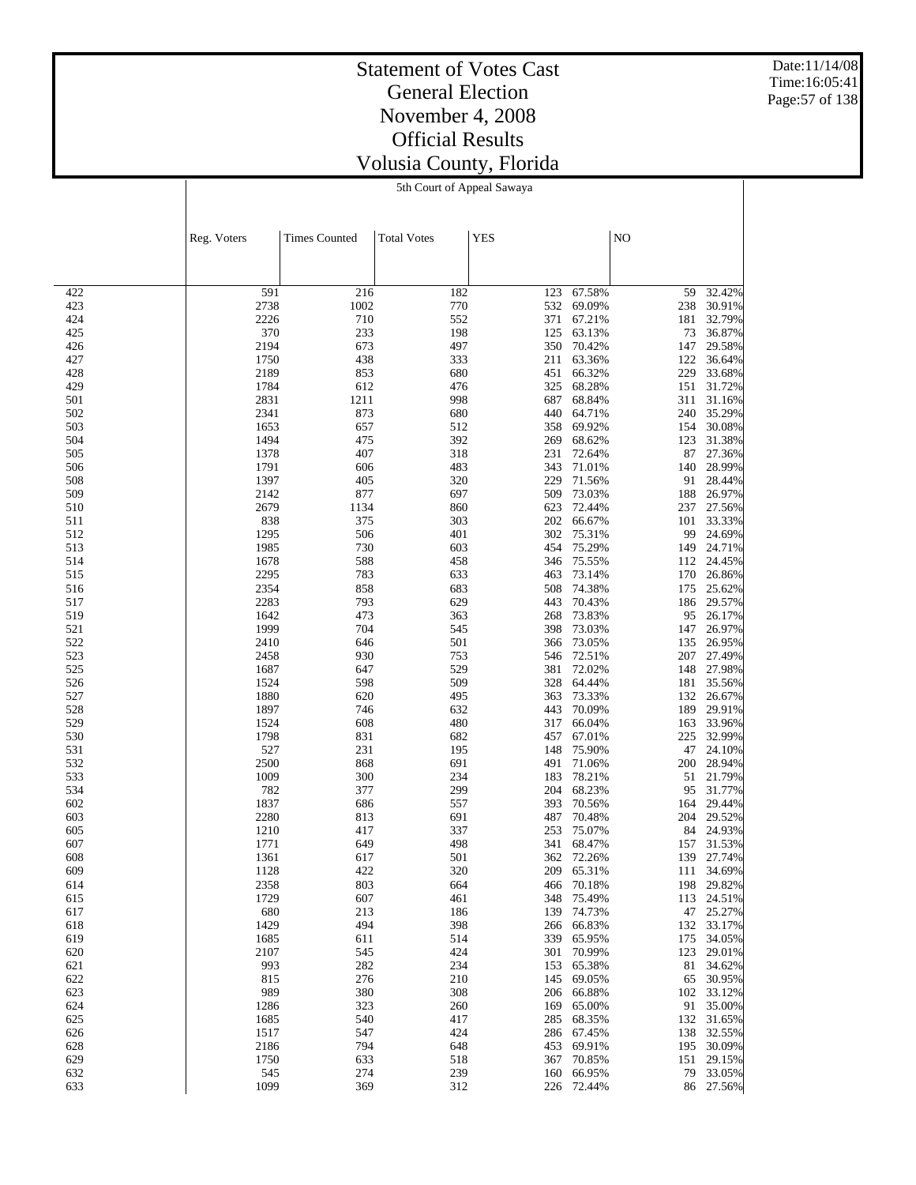Date:11/14/08 Time:16:05:41 Page:57 of 138

# Statement of Votes Cast General Election November 4, 2008 Official Results Volusia County, Florida

5th Court of Appeal Sawaya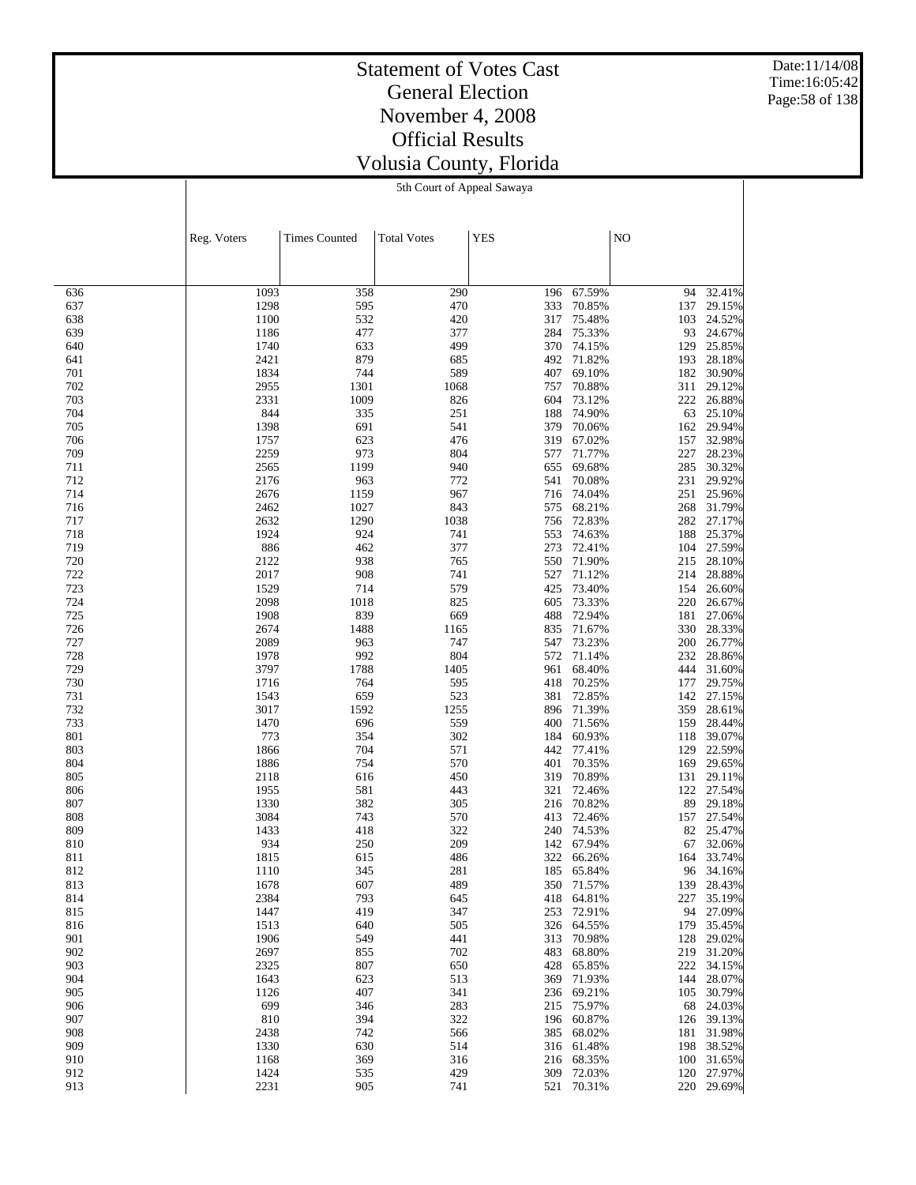Date:11/14/08 Time:16:05:42 Page:58 of 138

# Statement of Votes Cast General Election November 4, 2008 Official Results Volusia County, Florida

5th Court of Appeal Sawaya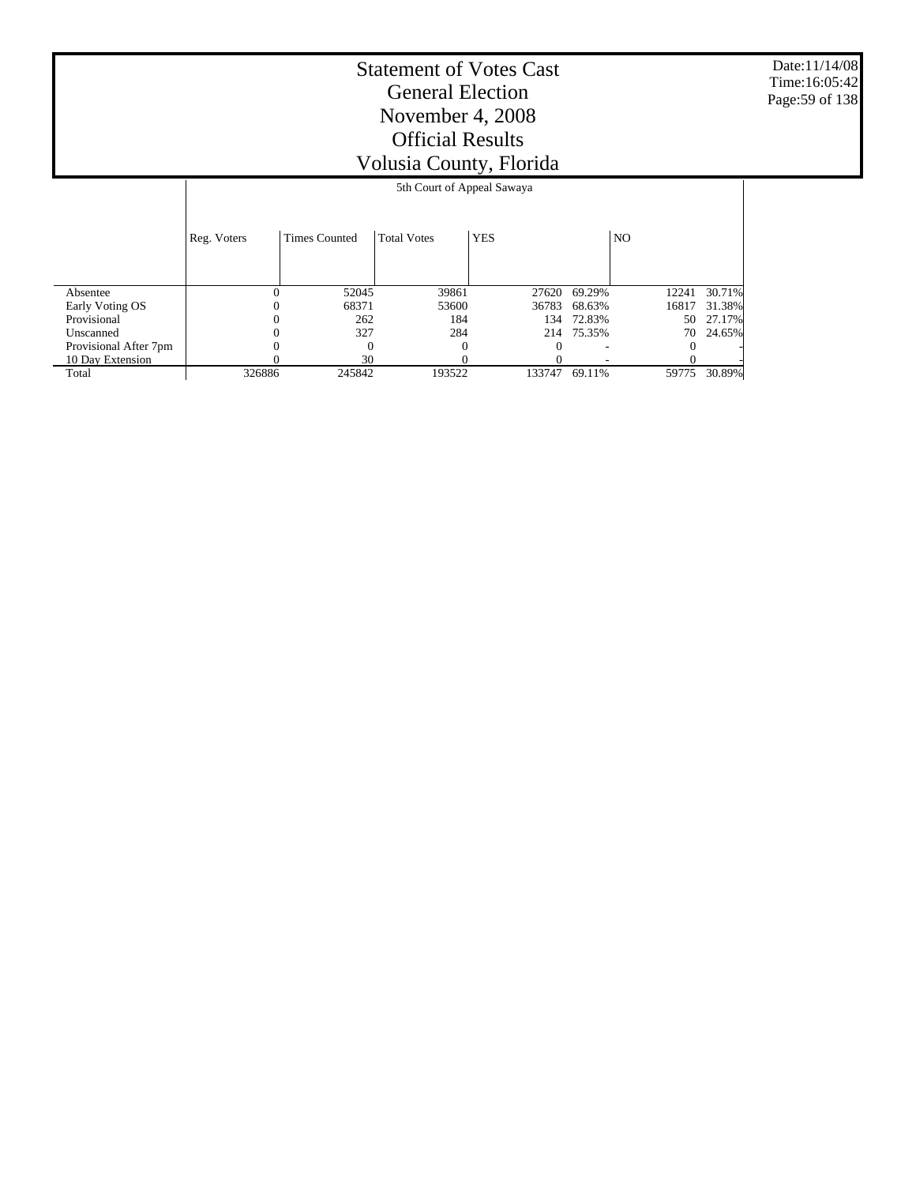Date:11/14/08 Time:16:05:42 Page:59 of 138

|                       |             | 5th Court of Appeal Sawaya |                    |            |            |       |        |  |  |
|-----------------------|-------------|----------------------------|--------------------|------------|------------|-------|--------|--|--|
|                       | Reg. Voters | <b>Times Counted</b>       | <b>Total Votes</b> | <b>YES</b> |            | NO.   |        |  |  |
| Absentee              |             | 52045                      | 39861              | 27620      | 69.29%     | 12241 | 30.71% |  |  |
| Early Voting OS       |             | 68371                      | 53600              | 36783      | 68.63%     | 16817 | 31.38% |  |  |
| Provisional           |             | 262                        | 184                | 134        | 72.83%     | 50    | 27.17% |  |  |
| Unscanned             |             | 327                        | 284                |            | 214 75.35% | 70    | 24.65% |  |  |
| Provisional After 7pm |             | 0                          |                    |            |            |       |        |  |  |
| 10 Day Extension      |             | 30                         |                    |            |            |       |        |  |  |
| Total                 | 326886      | 245842                     | 193522             | 133747     | 69.11%     | 59775 | 30.89% |  |  |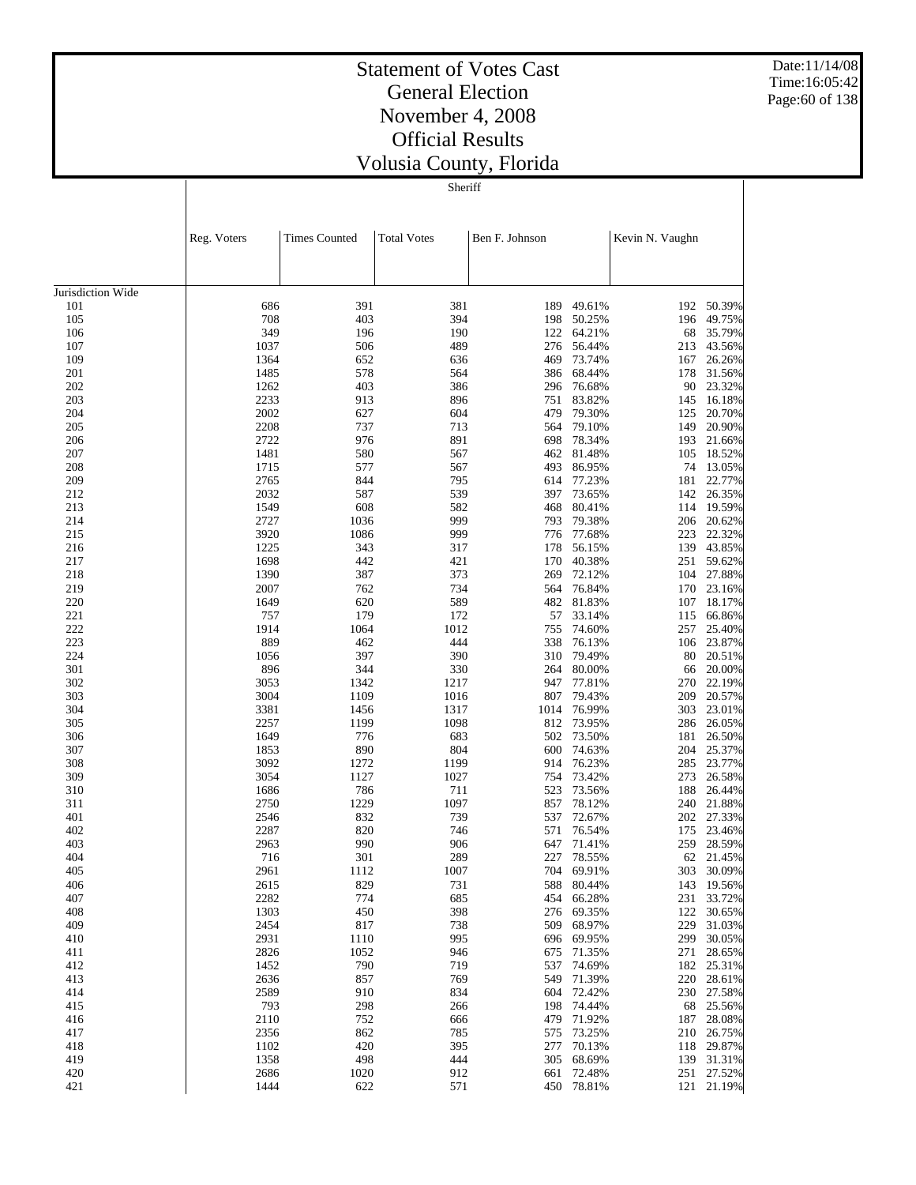Date:11/14/08 Time:16:05:42 Page:60 of 138

# Statement of Votes Cast General Election November 4, 2008 Official Results Volusia County, Florida

**Sheriff** 

|                   | Reg. Voters  | <b>Times Counted</b> | <b>Total Votes</b> | Ben F. Johnson |                          | Kevin N. Vaughn |                          |
|-------------------|--------------|----------------------|--------------------|----------------|--------------------------|-----------------|--------------------------|
|                   |              |                      |                    |                |                          |                 |                          |
| Jurisdiction Wide |              |                      |                    |                |                          |                 |                          |
| 101               | 686          | 391                  | 381                | 189            | 49.61%                   | 192             | 50.39%                   |
| 105               | 708          | 403                  | 394                | 198            | 50.25%                   | 196             | 49.75%                   |
| 106               | 349          | 196                  | 190                | 122            | 64.21%                   | 68              | 35.79%                   |
| 107               | 1037         | 506                  | 489                | 276            | 56.44%                   | 213             | 43.56%                   |
| 109               | 1364         | 652                  | 636                | 469            | 73.74%                   | 167             | 26.26%                   |
| 201               | 1485         | 578                  | 564                | 386            | 68.44%                   | 178             | 31.56%                   |
| 202               | 1262         | 403                  | 386                | 296            | 76.68%                   | 90              | 23.32%                   |
| 203               | 2233         | 913                  | 896                | 751            | 83.82%                   | 145             | 16.18%                   |
| 204               | 2002         | 627                  | 604                | 479            | 79.30%                   | 125             | 20.70%                   |
| 205               | 2208         | 737                  | 713                | 564            | 79.10%                   | 149             | 20.90%                   |
| 206               | 2722         | 976                  | 891                | 698            | 78.34%                   | 193             | 21.66%                   |
| 207               | 1481         | 580                  | 567                | 462            | 81.48%                   | 105             | 18.52%                   |
| 208               | 1715         | 577                  | 567<br>795         | 493            | 86.95%                   | 74              | 13.05%<br>22.77%         |
| 209               | 2765<br>2032 | 844                  | 539                | 614<br>397     | 77.23%                   | 181             | 26.35%                   |
| 212<br>213        | 1549         | 587<br>608           | 582                | 468            | 73.65%<br>80.41%         | 142<br>114      | 19.59%                   |
| 214               | 2727         | 1036                 | 999                | 793            | 79.38%                   | 206             | 20.62%                   |
| 215               | 3920         | 1086                 | 999                | 776            | 77.68%                   | 223             | 22.32%                   |
| 216               | 1225         | 343                  | 317                | 178            | 56.15%                   | 139             | 43.85%                   |
| 217               | 1698         | 442                  | 421                | 170            | 40.38%                   | 251             | 59.62%                   |
| 218               | 1390         | 387                  | 373                | 269            | 72.12%                   | 104             | 27.88%                   |
| 219               | 2007         | 762                  | 734                | 564            | 76.84%                   | 170             | 23.16%                   |
| 220               | 1649         | 620                  | 589                | 482            | 81.83%                   | 107             | 18.17%                   |
| 221               | 757          | 179                  | 172                | 57             | 33.14%                   | 115             | 66.86%                   |
| 222               | 1914         | 1064                 | 1012               | 755            | 74.60%                   | 257             | 25.40%                   |
| 223               | 889          | 462                  | 444                | 338            | 76.13%                   | 106             | 23.87%                   |
| 224               | 1056         | 397                  | 390                |                | 310 79.49%               |                 | 80 20.51%                |
| 301               | 896          | 344                  | 330                | 264            | 80.00%                   | 66              | 20.00%                   |
| 302               | 3053         | 1342                 | 1217               | 947            | 77.81%                   | 270             | 22.19%                   |
| 303               | 3004         | 1109                 | 1016               | 807            | 79.43%                   | 209             | 20.57%                   |
| 304               | 3381         | 1456                 | 1317               | 1014           | 76.99%                   | 303             | 23.01%                   |
| 305               | 2257         | 1199                 | 1098               | 812            | 73.95%                   | 286             | 26.05%                   |
| 306               | 1649         | 776                  | 683                | 502            | 73.50%                   | 181             | 26.50%                   |
| 307               | 1853         | 890                  | 804                | 600            | 74.63%                   | 204             | 25.37%                   |
| 308               | 3092         | 1272                 | 1199               | 914            | 76.23%                   | 285             | 23.77%                   |
| 309               | 3054         | 1127                 | 1027               | 754            | 73.42%                   | 273             | 26.58%                   |
| 310               | 1686         | 786                  | 711                | 523            | 73.56%                   | 188             | 26.44%                   |
| 311               | 2750         | 1229                 | 1097               | 857            | 78.12%                   | 240             | 21.88%                   |
| 401               | 2546         | 832                  | 739                | 537            | 72.67%                   | 202             | 27.33%                   |
| 402               | 2287         | 820                  | 746                | 571            | 76.54%                   | 175             | 23.46%                   |
| 403               | 2963         | 990                  | 906                | 647            | 71.41%                   | 259             | 28.59%                   |
| 404               | 716          | 301                  | 289                | 227            | 78.55%                   | 62              | 21.45%                   |
| 405               | 2961         | 1112                 | 1007               |                | 704 69.91%               | 303             | 30.09%                   |
| 406               | 2615         | 829                  | 731                |                | 588 80.44%               |                 | 143 19.56%               |
| 407               | 2282         | 774                  | 685<br>398         |                | 454 66.28%<br>276 69.35% |                 | 231 33.72%               |
| 408<br>409        | 1303<br>2454 | 450<br>817           | 738                |                | 509 68.97%               |                 | 122 30.65%<br>229 31.03% |
| 410               | 2931         | 1110                 | 995                |                | 696 69.95%               |                 | 299 30.05%               |
| 411               | 2826         | 1052                 | 946                |                | 675 71.35%               |                 | 271 28.65%               |
| 412               | 1452         | 790                  | 719                |                | 537 74.69%               |                 | 182 25.31%               |
| 413               | 2636         | 857                  | 769                |                | 549 71.39%               |                 | 220 28.61%               |
| 414               | 2589         | 910                  | 834                |                | 604 72.42%               |                 | 230 27.58%               |
| 415               | 793          | 298                  | 266                |                | 198 74.44%               |                 | 68 25.56%                |
| 416               | 2110         | 752                  | 666                |                | 479 71.92%               |                 | 187 28.08%               |
| 417               | 2356         | 862                  | 785                |                | 575 73.25%               |                 | 210 26.75%               |
| 418               | 1102         | 420                  | 395                | 277            | 70.13%                   |                 | 118 29.87%               |
| 419               | 1358         | 498                  | 444                |                | 305 68.69%               |                 | 139 31.31%               |
| 420               | 2686         | 1020                 | 912                |                | 661 72.48%               |                 | 251 27.52%               |
| 421               | 1444         | 622                  | 571                |                | 450 78.81%               |                 | 121 21.19%               |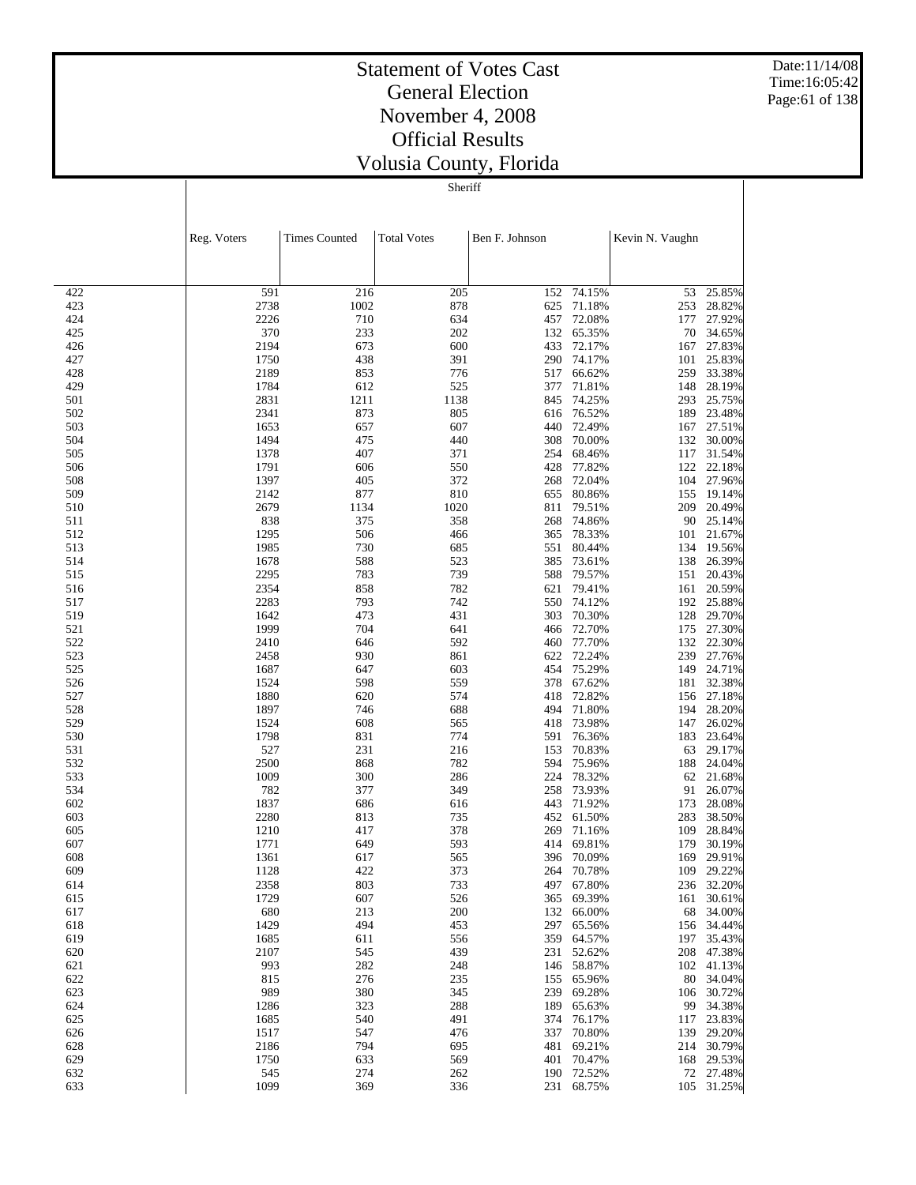Date:11/14/08 Time:16:05:42 Page:61 of 138

# Statement of Votes Cast General Election November 4, 2008 Official Results Volusia County, Florida

**Sheriff** 

|            | Reg. Voters  | <b>Times Counted</b> | <b>Total Votes</b> | Ben F. Johnson |                  | Kevin N. Vaughn |                     |
|------------|--------------|----------------------|--------------------|----------------|------------------|-----------------|---------------------|
|            |              |                      |                    |                |                  |                 |                     |
| 422        | 591          | 216                  | 205                |                | 152 74.15%       | 53              | 25.85%              |
| 423        | 2738         | 1002                 | 878                | 625            | 71.18%           | 253             | 28.82%              |
| 424        | 2226         | 710                  | 634                | 457            | 72.08%           | 177             | 27.92%              |
| 425        | 370          | 233                  | 202                | 132            | 65.35%           | 70              | 34.65%              |
| 426        | 2194         | 673                  | 600                | 433            | 72.17%           |                 | 167 27.83%          |
| 427        | 1750         | 438                  | 391                | 290            | 74.17%           | 101             | 25.83%              |
| 428        | 2189         | 853                  | 776                | 517            | 66.62%           | 259             | 33.38%              |
| 429        | 1784         | 612                  | 525                | 377            | 71.81%           | 148             | 28.19%              |
| 501        | 2831         | 1211                 | 1138               |                | 845 74.25%       | 293             | 25.75%              |
| 502        | 2341         | 873                  | 805                | 616            | 76.52%           | 189             | 23.48%              |
| 503        | 1653         | 657                  | 607                | 440            | 72.49%           | 167             | 27.51%              |
| 504        | 1494         | 475                  | 440                | 308            | 70.00%           | 132             | 30.00%              |
| 505        | 1378         | 407                  | 371                | 254            | 68.46%           | 117             | 31.54%              |
| 506        | 1791         | 606                  | 550                | 428            | 77.82%           | 122             | 22.18%              |
| 508        | 1397         | 405                  | 372                | 268            | 72.04%           | 104             | 27.96%              |
| 509        | 2142         | 877                  | 810                | 655            | 80.86%           | 155             | 19.14%              |
| 510        | 2679         | 1134                 | 1020               | 811            | 79.51%           | 209             | 20.49%              |
| 511        | 838          | 375<br>506           | 358<br>466         | 268            | 74.86%<br>78.33% |                 | 90 25.14%<br>21.67% |
| 512<br>513 | 1295<br>1985 | 730                  | 685                | 365<br>551     | 80.44%           | 101<br>134      | 19.56%              |
| 514        | 1678         | 588                  | 523                |                | 385 73.61%       | 138             | 26.39%              |
| 515        | 2295         | 783                  | 739                | 588            | 79.57%           | 151             | 20.43%              |
| 516        | 2354         | 858                  | 782                | 621            | 79.41%           | 161             | 20.59%              |
| 517        | 2283         | 793                  | 742                | 550            | 74.12%           | 192             | 25.88%              |
| 519        | 1642         | 473                  | 431                | 303            | 70.30%           | 128             | 29.70%              |
| 521        | 1999         | 704                  | 641                | 466            | 72.70%           | 175             | 27.30%              |
| 522        | 2410         | 646                  | 592                |                | 460 77.70%       |                 | 132 22.30%          |
| 523        | 2458         | 930                  | 861                | 622            | 72.24%           | 239             | 27.76%              |
| 525        | 1687         | 647                  | 603                | 454            | 75.29%           | 149             | 24.71%              |
| 526        | 1524         | 598                  | 559                | 378            | 67.62%           | 181             | 32.38%              |
| 527        | 1880         | 620                  | 574                | 418            | 72.82%           |                 | 156 27.18%          |
| 528        | 1897         | 746                  | 688                | 494            | 71.80%           | 194             | 28.20%              |
| 529        | 1524         | 608                  | 565                | 418            | 73.98%           | 147             | 26.02%              |
| 530        | 1798         | 831                  | 774                | 591            | 76.36%           | 183             | 23.64%              |
| 531        | 527          | 231                  | 216                | 153            | 70.83%           | 63              | 29.17%              |
| 532        | 2500         | 868                  | 782                | 594            | 75.96%           | 188             | 24.04%              |
| 533        | 1009         | 300                  | 286                | 224            | 78.32%           |                 | 62 21.68%           |
| 534        | 782          | 377                  | 349                | 258            | 73.93%           | 91              | 26.07%              |
| 602        | 1837         | 686                  | 616                | 443            | 71.92%           | 173             | 28.08%              |
| 603<br>605 | 2280<br>1210 | 813<br>417           | 735<br>378         | 452<br>269     | 61.50%<br>71.16% | 283<br>109      | 38.50%<br>28.84%    |
| 607        | 1771         | 649                  | 593                | 414            | 69.81%           | 179             | 30.19%              |
| 608        | 1361         | 617                  | 565                | 396            | 70.09%           | 169             | 29.91%              |
| 609        | 1128         | 422                  | 373                | 264            | 70.78%           | 109             | 29.22%              |
| 614        | 2358         | 803                  | 733                | 497            | 67.80%           |                 | 236 32.20%          |
| 615        | 1729         | 607                  | 526                |                | 365 69.39%       | 161             | 30.61%              |
| 617        | 680          | 213                  | 200                | 132            | 66.00%           | 68              | 34.00%              |
| 618        | 1429         | 494                  | 453                | 297            | 65.56%           | 156             | 34.44%              |
| 619        | 1685         | 611                  | 556                | 359            | 64.57%           | 197             | 35.43%              |
| 620        | 2107         | 545                  | 439                | 231            | 52.62%           | 208             | 47.38%              |
| 621        | 993          | 282                  | 248                | 146            | 58.87%           |                 | 102 41.13%          |
| 622        | 815          | 276                  | 235                | 155            | 65.96%           | 80              | 34.04%              |
| 623        | 989          | 380                  | 345                | 239            | 69.28%           | 106             | 30.72%              |
| 624        | 1286         | 323                  | 288                | 189            | 65.63%           | 99              | 34.38%              |
| 625        | 1685         | 540                  | 491                | 374            | 76.17%           | 117             | 23.83%              |
| 626        | 1517         | 547                  | 476                | 337            | 70.80%           | 139             | 29.20%              |
| 628        | 2186         | 794                  | 695                | 481            | 69.21%           | 214             | 30.79%              |
| 629        | 1750         | 633                  | 569                | 401            | 70.47%           | 168             | 29.53%              |
| 632        | 545          | 274                  | 262                |                | 190 72.52%       |                 | 72 27.48%           |
| 633        | 1099         | 369                  | 336                | 231            | 68.75%           |                 | 105 31.25%          |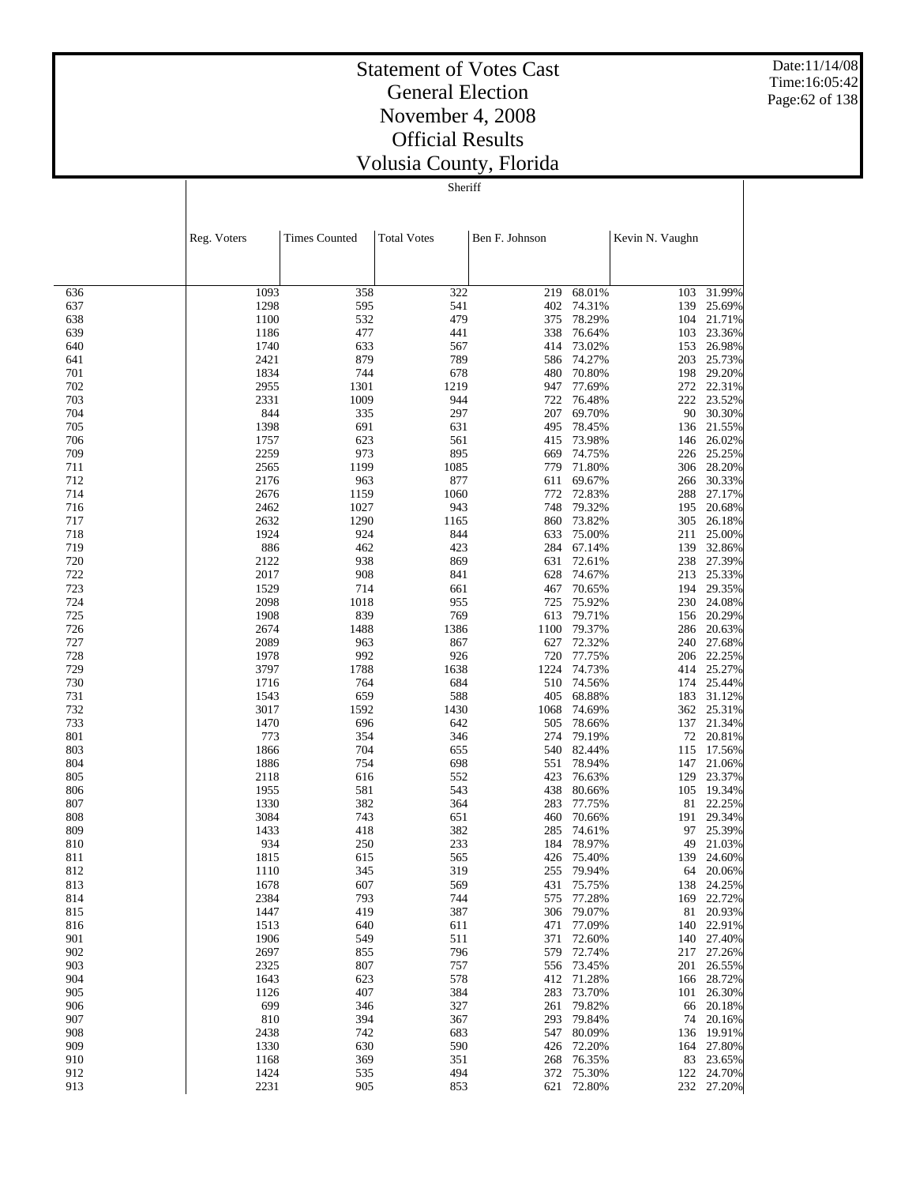Date:11/14/08 Time:16:05:42 Page:62 of 138

# Statement of Votes Cast General Election November 4, 2008 Official Results Volusia County, Florida

**Sheriff** 

|            | Reg. Voters  | <b>Times Counted</b> | <b>Total Votes</b> | Ben F. Johnson |                      | Kevin N. Vaughn |                      |
|------------|--------------|----------------------|--------------------|----------------|----------------------|-----------------|----------------------|
|            |              |                      |                    |                |                      |                 |                      |
| 636        | 1093         | 358                  | 322                | 219            | 68.01%               | 103             | 31.99%               |
| 637        | 1298         | 595                  | 541                | 402            | 74.31%               | 139             | 25.69%               |
| 638        | 1100         | 532                  | 479                | 375            | 78.29%               | 104             | 21.71%               |
| 639        | 1186         | 477                  | 441                | 338            | 76.64%               | 103             | 23.36%               |
| 640        | 1740         | 633                  | 567                | 414            | 73.02%               | 153             | 26.98%               |
| 641        | 2421         | 879                  | 789                | 586            | 74.27%<br>480 70.80% | 203             | 25.73%               |
| 701<br>702 | 1834<br>2955 | 744<br>1301          | 678<br>1219        | 947            | 77.69%               | 272             | 198 29.20%<br>22.31% |
| 703        | 2331         | 1009                 | 944                | 722            | 76.48%               |                 | 222 23.52%           |
| 704        | 844          | 335                  | 297                | 207            | 69.70%               | 90              | 30.30%               |
| 705        | 1398         | 691                  | 631                | 495            | 78.45%               |                 | 136 21.55%           |
| 706        | 1757         | 623                  | 561                | 415            | 73.98%               | 146             | 26.02%               |
| 709        | 2259         | 973                  | 895                | 669            | 74.75%               |                 | 226 25.25%           |
| 711        | 2565         | 1199                 | 1085               | 779            | 71.80%               | 306             | 28.20%               |
| 712        | 2176         | 963                  | 877                | 611            | 69.67%               |                 | 266 30.33%           |
| 714        | 2676         | 1159                 | 1060               | 772            | 72.83%               | 288             | 27.17%               |
| 716        | 2462         | 1027                 | 943                | 748            | 79.32%               |                 | 195 20.68%           |
| 717        | 2632         | 1290                 | 1165               | 860            | 73.82%               | 305             | 26.18%               |
| 718        | 1924         | 924                  | 844                | 633            | 75.00%               | 211             | 25.00%               |
| 719<br>720 | 886<br>2122  | 462<br>938           | 423<br>869         | 284            | 67.14%<br>631 72.61% | 139             | 32.86%<br>238 27.39% |
| 722        | 2017         | 908                  | 841                | 628            | 74.67%               | 213             | 25.33%               |
| 723        | 1529         | 714                  | 661                | 467            | 70.65%               |                 | 194 29.35%           |
| 724        | 2098         | 1018                 | 955                | 725            | 75.92%               | 230             | 24.08%               |
| 725        | 1908         | 839                  | 769                |                | 613 79.71%           |                 | 156 20.29%           |
| 726        | 2674         | 1488                 | 1386               | 1100           | 79.37%               | 286             | 20.63%               |
| 727        | 2089         | 963                  | 867                |                | 627 72.32%           |                 | 240 27.68%           |
| 728        | 1978         | 992                  | 926                | 720            | 77.75%               |                 | 206 22.25%           |
| 729        | 3797         | 1788                 | 1638               |                | 1224 74.73%          |                 | 414 25.27%           |
| 730        | 1716         | 764                  | 684                | 510            | 74.56%               | 174             | 25.44%               |
| 731        | 1543         | 659                  | 588                | 405            | 68.88%               | 183             | 31.12%               |
| 732<br>733 | 3017<br>1470 | 1592<br>696          | 1430<br>642        | 1068<br>505    | 74.69%<br>78.66%     | 362             | 25.31%<br>137 21.34% |
| 801        | 773          | 354                  | 346                | 274            | 79.19%               |                 | 72 20.81%            |
| 803        | 1866         | 704                  | 655                |                | 540 82.44%           |                 | 115 17.56%           |
| 804        | 1886         | 754                  | 698                | 551            | 78.94%               | 147             | 21.06%               |
| 805        | 2118         | 616                  | 552                | 423            | 76.63%               | 129             | 23.37%               |
| 806        | 1955         | 581                  | 543                | 438            | 80.66%               | 105             | 19.34%               |
| 807        | 1330         | 382                  | 364                | 283            | 77.75%               | 81              | 22.25%               |
| 808        | 3084         | 743                  | 651                | 460            | 70.66%               | 191             | 29.34%               |
| 809        | 1433         | 418                  | 382                | 285            | 74.61%               | 97              | 25.39%               |
| 810        | 934          | 250                  | 233                | 184            | 78.97%               | 49              | 21.03%               |
| 811        | 1815         | 615                  | 565                | 426            | 75.40%<br>79.94%     | 139             | 24.60%               |
| 812<br>813 | 1110<br>1678 | 345<br>607           | 319<br>569         | 255            | 431 75.75%           | 64              | 20.06%<br>138 24.25% |
| 814        | 2384         | 793                  | 744                |                | 575 77.28%           | 169             | 22.72%               |
| 815        | 1447         | 419                  | 387                |                | 306 79.07%           | 81              | 20.93%               |
| 816        | 1513         | 640                  | 611                | 471            | 77.09%               | 140             | 22.91%               |
| 901        | 1906         | 549                  | 511                | 371            | 72.60%               |                 | 140 27.40%           |
| 902        | 2697         | 855                  | 796                | 579            | 72.74%               | 217             | 27.26%               |
| 903        | 2325         | 807                  | 757                |                | 556 73.45%           | 201             | 26.55%               |
| 904        | 1643         | 623                  | 578                | 412            | 71.28%               | 166             | 28.72%               |
| 905        | 1126         | 407                  | 384                | 283            | 73.70%               | 101             | 26.30%               |
| 906        | 699          | 346                  | 327                | 261            | 79.82%<br>293 79.84% | 66              | 20.18%               |
| 907<br>908 | 810<br>2438  | 394<br>742           | 367<br>683         | 547            | 80.09%               | 74<br>136       | 20.16%<br>19.91%     |
| 909        | 1330         | 630                  | 590                | 426            | 72.20%               |                 | 164 27.80%           |
| 910        | 1168         | 369                  | 351                | 268            | 76.35%               | 83              | 23.65%               |
| 912        | 1424         | 535                  | 494                |                | 372 75.30%           |                 | 122 24.70%           |
| 913        | 2231         | 905                  | 853                |                | 621 72.80%           |                 | 232 27.20%           |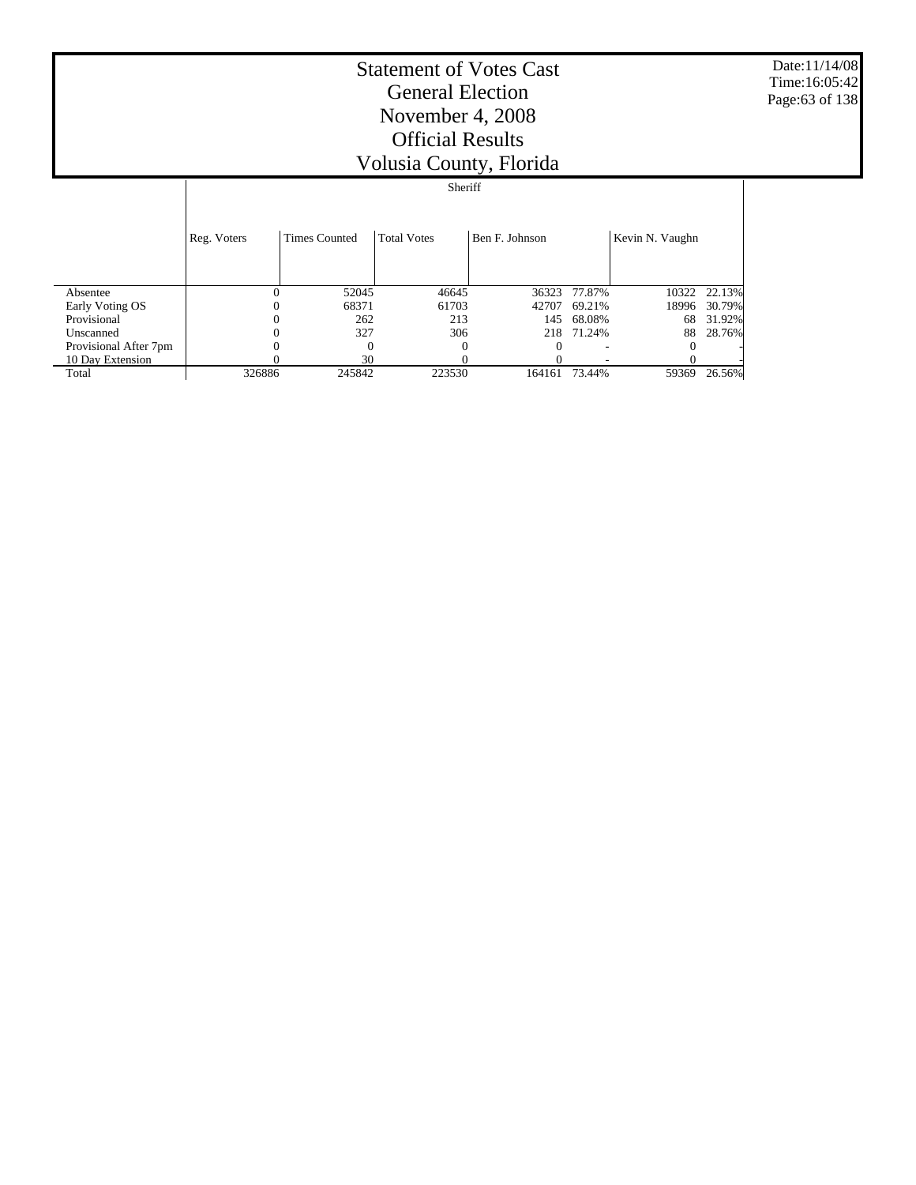Date:11/14/08 Time:16:05:42 Page:63 of 138

|  | $\frac{1}{2}$ . $\frac{1}{2}$ . $\frac{1}{2}$ . $\frac{1}{2}$ . $\frac{1}{2}$ . $\frac{1}{2}$ |  |
|--|-----------------------------------------------------------------------------------------------|--|
|  | Sheriff                                                                                       |  |
|  |                                                                                               |  |
|  |                                                                                               |  |
|  |                                                                                               |  |

|                       | Reg. Voters | <b>Times Counted</b> | <b>Total Votes</b> | Ben F. Johnson |              | Kevin N. Vaughn |        |
|-----------------------|-------------|----------------------|--------------------|----------------|--------------|-----------------|--------|
| Absentee              |             | 52045                | 46645              |                | 36323 77.87% | 10322           | 22.13% |
| Early Voting OS       |             | 68371                | 61703              | 42707          | 69.21%       | 18996           | 30.79% |
| Provisional           |             | 262                  | 213                | 145            | 68.08%       | 68              | 31.92% |
| Unscanned             |             | 327                  | 306                |                | 218 71.24%   | 88              | 28.76% |
| Provisional After 7pm |             |                      |                    |                |              |                 |        |
| 10 Day Extension      |             | 30                   |                    |                |              |                 |        |
| Total                 | 326886      | 245842               | 223530             | 164161         | 73.44%       | 59369           | 26.56% |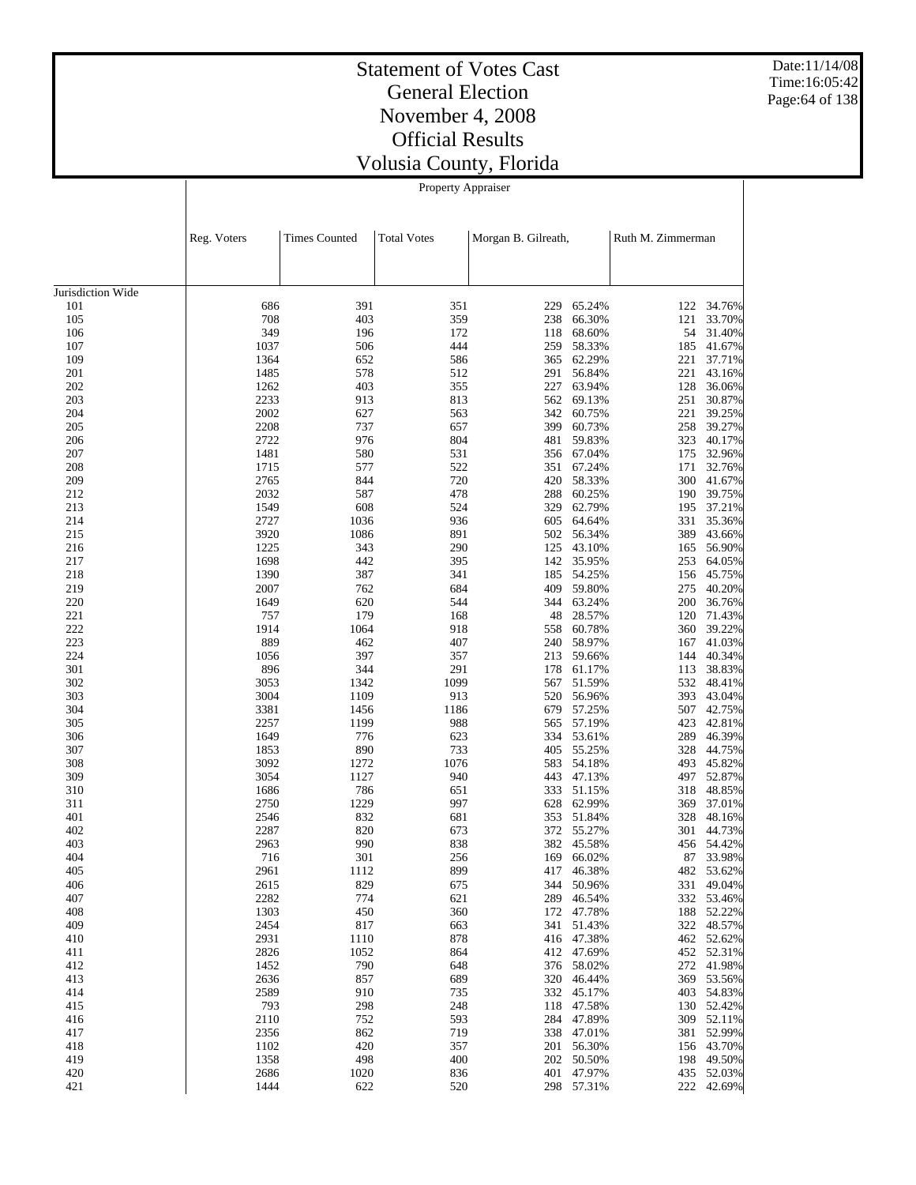Date:11/14/08 Time:16:05:42 Page:64 of 138

# Statement of Votes Cast General Election November 4, 2008 Official Results Volusia County, Florida

Property Appraiser

|                   | Reg. Voters  | <b>Times Counted</b> | <b>Total Votes</b> | Morgan B. Gilreath, |                          | Ruth M. Zimmerman |                          |
|-------------------|--------------|----------------------|--------------------|---------------------|--------------------------|-------------------|--------------------------|
|                   |              |                      |                    |                     |                          |                   |                          |
| Jurisdiction Wide |              |                      |                    |                     |                          |                   |                          |
| 101               | 686          | 391                  | 351                | 229                 | 65.24%                   | 122               | 34.76%                   |
| 105               | 708          | 403                  | 359                | 238                 | 66.30%                   | 121               | 33.70%                   |
| 106               | 349          | 196                  | 172                | 118                 | 68.60%                   | 54                | 31.40%                   |
| 107<br>109        | 1037<br>1364 | 506<br>652           | 444<br>586         | 259<br>365          | 58.33%<br>62.29%         | 185               | 41.67%                   |
| 201               | 1485         | 578                  | 512                | 291                 | 56.84%                   | $221\,$<br>221    | 37.71%<br>43.16%         |
| 202               | 1262         | 403                  | 355                | 227                 | 63.94%                   | 128               | 36.06%                   |
| 203               | 2233         | 913                  | 813                | 562                 | 69.13%                   | 251               | 30.87%                   |
| 204               | 2002         | 627                  | 563                | 342                 | 60.75%                   | 221               | 39.25%                   |
| 205               | 2208         | 737                  | 657                | 399                 | 60.73%                   | 258               | 39.27%                   |
| 206               | 2722         | 976                  | 804                | 481                 | 59.83%                   | 323               | 40.17%                   |
| 207               | 1481         | 580                  | 531                | 356                 | 67.04%                   | 175               | 32.96%                   |
| 208               | 1715         | 577                  | 522                | 351                 | 67.24%                   | 171               | 32.76%                   |
| 209               | 2765         | 844                  | 720                | 420                 | 58.33%                   | 300               | 41.67%                   |
| 212               | 2032         | 587                  | 478                | 288                 | 60.25%                   |                   | 190 39.75%               |
| 213               | 1549         | 608                  | 524                | 329                 | 62.79%                   | 195               | 37.21%                   |
| 214               | 2727         | 1036                 | 936                | 605                 | 64.64%                   | 331               | 35.36%                   |
| 215               | 3920         | 1086                 | 891                | 502                 | 56.34%                   | 389               | 43.66%                   |
| 216               | 1225         | 343                  | 290                | 125                 | 43.10%                   | 165               | 56.90%                   |
| 217               | 1698         | 442                  | 395                | 142                 | 35.95%                   | 253               | 64.05%                   |
| 218               | 1390         | 387                  | 341                | 185                 | 54.25%                   | 156               | 45.75%                   |
| 219               | 2007         | 762                  | 684                | 409                 | 59.80%                   | 275               | 40.20%                   |
| 220               | 1649         | 620                  | 544                | 344                 | 63.24%                   | 200               | 36.76%                   |
| 221               | 757          | 179                  | 168                | 48                  | 28.57%                   | 120               | 71.43%                   |
| 222               | 1914         | 1064                 | 918                | 558                 | 60.78%                   | 360               | 39.22%                   |
| 223<br>224        | 889          | 462<br>397           | 407<br>357         | 240                 | 58.97%                   | 167               | 41.03%                   |
| 301               | 1056<br>896  | 344                  | 291                | 213<br>178          | 59.66%<br>61.17%         | 144<br>113        | 40.34%<br>38.83%         |
| 302               | 3053         | 1342                 | 1099               | 567                 | 51.59%                   | 532               | 48.41%                   |
| 303               | 3004         | 1109                 | 913                | 520                 | 56.96%                   | 393               | 43.04%                   |
| 304               | 3381         | 1456                 | 1186               | 679                 | 57.25%                   |                   | 507 42.75%               |
| 305               | 2257         | 1199                 | 988                | 565                 | 57.19%                   | 423               | 42.81%                   |
| 306               | 1649         | 776                  | 623                | 334                 | 53.61%                   | 289               | 46.39%                   |
| 307               | 1853         | 890                  | 733                | 405                 | 55.25%                   | 328               | 44.75%                   |
| 308               | 3092         | 1272                 | 1076               | 583                 | 54.18%                   |                   | 493 45.82%               |
| 309               | 3054         | 1127                 | 940                | 443                 | 47.13%                   |                   | 497 52.87%               |
| 310               | 1686         | 786                  | 651                | 333                 | 51.15%                   | 318               | 48.85%                   |
| 311               | 2750         | 1229                 | 997                | 628                 | 62.99%                   | 369               | 37.01%                   |
| 401               | 2546         | 832                  | 681                | 353                 | 51.84%                   |                   | 328 48.16%               |
| 402               | 2287         | 820                  | 673                | 372                 | 55.27%                   | 301               | 44.73%                   |
| 403               | 2963         | 990                  | 838                | 382                 | 45.58%                   |                   | 456 54.42%               |
| 404               | 716          | 301                  | 256                | 169                 | 66.02%                   | 87                | 33.98%                   |
| 405               | 2961         | 1112                 | 899                | 417                 | 46.38%                   |                   | 482 53.62%               |
| 406               | 2615         | 829                  | 675                |                     | 344 50.96%               |                   | 331 49.04%               |
| 407               | 2282         | 774                  | 621                |                     | 289 46.54%               |                   | 332 53.46%               |
| 408<br>409        | 1303<br>2454 | 450<br>817           | 360                |                     | 172 47.78%<br>341 51.43% |                   | 188 52.22%<br>322 48.57% |
| 410               | 2931         | 1110                 | 663<br>878         |                     | 416 47.38%               |                   | 462 52.62%               |
| 411               | 2826         | 1052                 | 864                |                     | 412 47.69%               |                   | 452 52.31%               |
| 412               | 1452         | 790                  | 648                |                     | 376 58.02%               |                   | 272 41.98%               |
| 413               | 2636         | 857                  | 689                |                     | 320 46.44%               |                   | 369 53.56%               |
| 414               | 2589         | 910                  | 735                |                     | 332 45.17%               |                   | 403 54.83%               |
| 415               | 793          | 298                  | 248                |                     | 118 47.58%               |                   | 130 52.42%               |
| 416               | 2110         | 752                  | 593                |                     | 284 47.89%               |                   | 309 52.11%               |
| 417               | 2356         | 862                  | 719                |                     | 338 47.01%               |                   | 381 52.99%               |
| 418               | 1102         | 420                  | 357                |                     | 201 56.30%               |                   | 156 43.70%               |
| 419               | 1358         | 498                  | 400                |                     | 202 50.50%               |                   | 198 49.50%               |
| 420               | 2686         | 1020                 | 836                |                     | 401 47.97%               |                   | 435 52.03%               |
| 421               | 1444         | 622                  | 520                |                     | 298 57.31%               |                   | 222 42.69%               |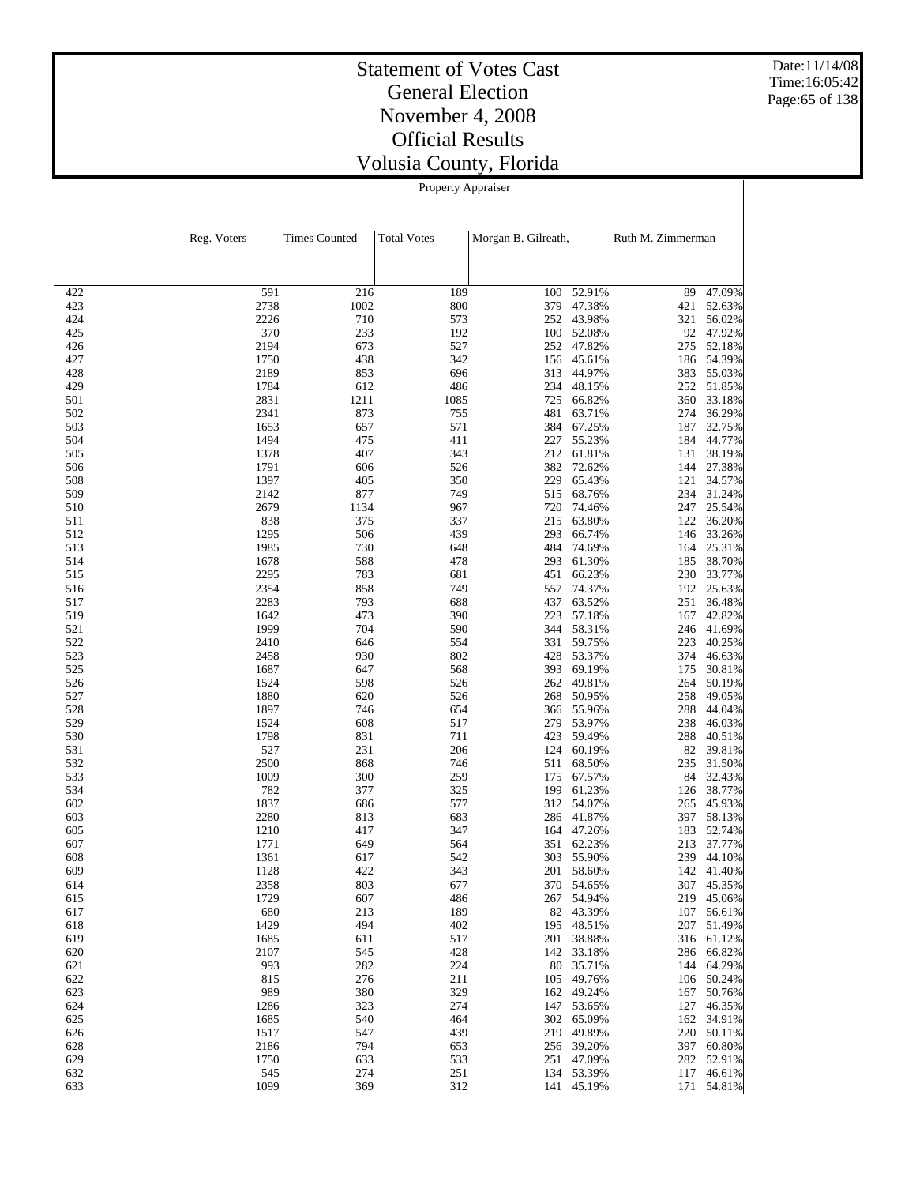Date:11/14/08 Time:16:05:42 Page:65 of 138

# Statement of Votes Cast General Election November 4, 2008 Official Results Volusia County, Florida

Property Appraiser

|            | Reg. Voters  | <b>Times Counted</b> | <b>Total Votes</b> | Morgan B. Gilreath, |                  | Ruth M. Zimmerman |                      |
|------------|--------------|----------------------|--------------------|---------------------|------------------|-------------------|----------------------|
|            |              |                      |                    |                     |                  |                   |                      |
| 422        | 591          | 216                  | 189                | 100                 | 52.91%           | 89                | 47.09%               |
| 423        | 2738         | 1002                 | 800                | 379                 | 47.38%           | 421               | 52.63%               |
| 424        | 2226         | 710                  | 573                | 252                 | 43.98%           | 321               | 56.02%               |
| 425        | 370          | 233                  | 192                | 100                 | 52.08%           |                   | 92 47.92%            |
| 426        | 2194         | 673                  | 527                |                     | 252 47.82%       | 275               | 52.18%               |
| 427<br>428 | 1750<br>2189 | 438<br>853           | 342<br>696         | 156<br>313          | 45.61%<br>44.97% | 186               | 54.39%<br>383 55.03% |
| 429        | 1784         | 612                  | 486                | 234                 | 48.15%           | 252               | 51.85%               |
| 501        | 2831         | 1211                 | 1085               | 725                 | 66.82%           | 360               | 33.18%               |
| 502        | 2341         | 873                  | 755                | 481                 | 63.71%           | 274               | 36.29%               |
| 503        | 1653         | 657                  | 571                | 384                 | 67.25%           | 187               | 32.75%               |
| 504        | 1494         | 475                  | 411                | 227                 | 55.23%           | 184               | 44.77%               |
| 505        | 1378         | 407                  | 343                |                     | 212 61.81%       | 131               | 38.19%               |
| 506        | 1791         | 606                  | 526                | 382                 | 72.62%           | 144               | 27.38%               |
| 508        | 1397         | 405                  | 350                | 229                 | 65.43%           | 121               | 34.57%               |
| 509        | 2142         | 877                  | 749                | 515                 | 68.76%           | 234               | 31.24%               |
| 510        | 2679         | 1134                 | 967                | 720                 | 74.46%           |                   | 247 25.54%           |
| 511<br>512 | 838<br>1295  | 375<br>506           | 337<br>439         | 215<br>293          | 63.80%<br>66.74% | 122<br>146        | 36.20%<br>33.26%     |
| 513        | 1985         | 730                  | 648                | 484                 | 74.69%           | 164               | 25.31%               |
| 514        | 1678         | 588                  | 478                | 293                 | 61.30%           | 185               | 38.70%               |
| 515        | 2295         | 783                  | 681                | 451                 | 66.23%           | 230               | 33.77%               |
| 516        | 2354         | 858                  | 749                | 557                 | 74.37%           |                   | 192 25.63%           |
| 517        | 2283         | 793                  | 688                | 437                 | 63.52%           | 251               | 36.48%               |
| 519        | 1642         | 473                  | 390                | 223                 | 57.18%           | 167               | 42.82%               |
| 521        | 1999         | 704                  | 590                | 344                 | 58.31%           | 246               | 41.69%               |
| 522        | 2410         | 646                  | 554                | 331                 | 59.75%           | 223               | 40.25%               |
| 523        | 2458         | 930                  | 802                | 428                 | 53.37%           | 374               | 46.63%               |
| 525        | 1687         | 647                  | 568                | 393                 | 69.19%           | 175               | 30.81%               |
| 526        | 1524         | 598                  | 526                | 262                 | 49.81%           | 264               | 50.19%               |
| 527<br>528 | 1880<br>1897 | 620<br>746           | 526<br>654         | 268<br>366          | 50.95%<br>55.96% | 258<br>288        | 49.05%<br>44.04%     |
| 529        | 1524         | 608                  | 517                | 279                 | 53.97%           | 238               | 46.03%               |
| 530        | 1798         | 831                  | 711                | 423                 | 59.49%           | 288               | 40.51%               |
| 531        | 527          | 231                  | 206                | 124                 | 60.19%           | 82                | 39.81%               |
| 532        | 2500         | 868                  | 746                | 511                 | 68.50%           | 235               | 31.50%               |
| 533        | 1009         | 300                  | 259                | 175                 | 67.57%           |                   | 84 32.43%            |
| 534        | 782          | 377                  | 325                | 199                 | 61.23%           | 126               | 38.77%               |
| 602        | 1837         | 686                  | 577                | 312                 | 54.07%           | 265               | 45.93%               |
| 603        | 2280         | 813                  | 683                | 286                 | 41.87%           | 397               | 58.13%               |
| 605        | 1210         | 417                  | 347                |                     | 164 47.26%       | 183               | 52.74%               |
| 607        | 1771         | 649                  | 564                | 351                 | 62.23%           | 213               | 37.77%               |
| 608<br>609 | 1361<br>1128 | 617<br>422           | 542<br>343         | 303<br>201          | 55.90%<br>58.60% | 239               | 44.10%<br>142 41.40% |
| 614        | 2358         | 803                  | 677                |                     | 370 54.65%       |                   | 307 45.35%           |
| 615        | 1729         | 607                  | 486                |                     | 267 54.94%       |                   | 219 45.06%           |
| 617        | 680          | 213                  | 189                |                     | 82 43.39%        |                   | 107 56.61%           |
| 618        | 1429         | 494                  | 402                | 195                 | 48.51%           |                   | 207 51.49%           |
| 619        | 1685         | 611                  | 517                | 201                 | 38.88%           |                   | 316 61.12%           |
| 620        | 2107         | 545                  | 428                | 142                 | 33.18%           | 286               | 66.82%               |
| 621        | 993          | 282                  | 224                | 80                  | 35.71%           |                   | 144 64.29%           |
| 622        | 815          | 276                  | 211                | 105                 | 49.76%           |                   | 106 50.24%           |
| 623        | 989          | 380                  | 329                | 162                 | 49.24%           | 167               | 50.76%               |
| 624        | 1286         | 323                  | 274                | 147                 | 53.65%           | 127               | 46.35%               |
| 625        | 1685         | 540                  | 464                | 302                 | 65.09%           | 162               | 34.91%               |
| 626        | 1517         | 547<br>794           | 439                | 219                 | 49.89%           | 220               | 50.11%<br>60.80%     |
| 628<br>629 | 2186<br>1750 | 633                  | 653<br>533         | 256<br>251          | 39.20%<br>47.09% | 397               | 282 52.91%           |
| 632        | 545          | 274                  | 251                |                     | 134 53.39%       |                   | 117 46.61%           |
| 633        | 1099         | 369                  | 312                |                     | 141 45.19%       | 171               | 54.81%               |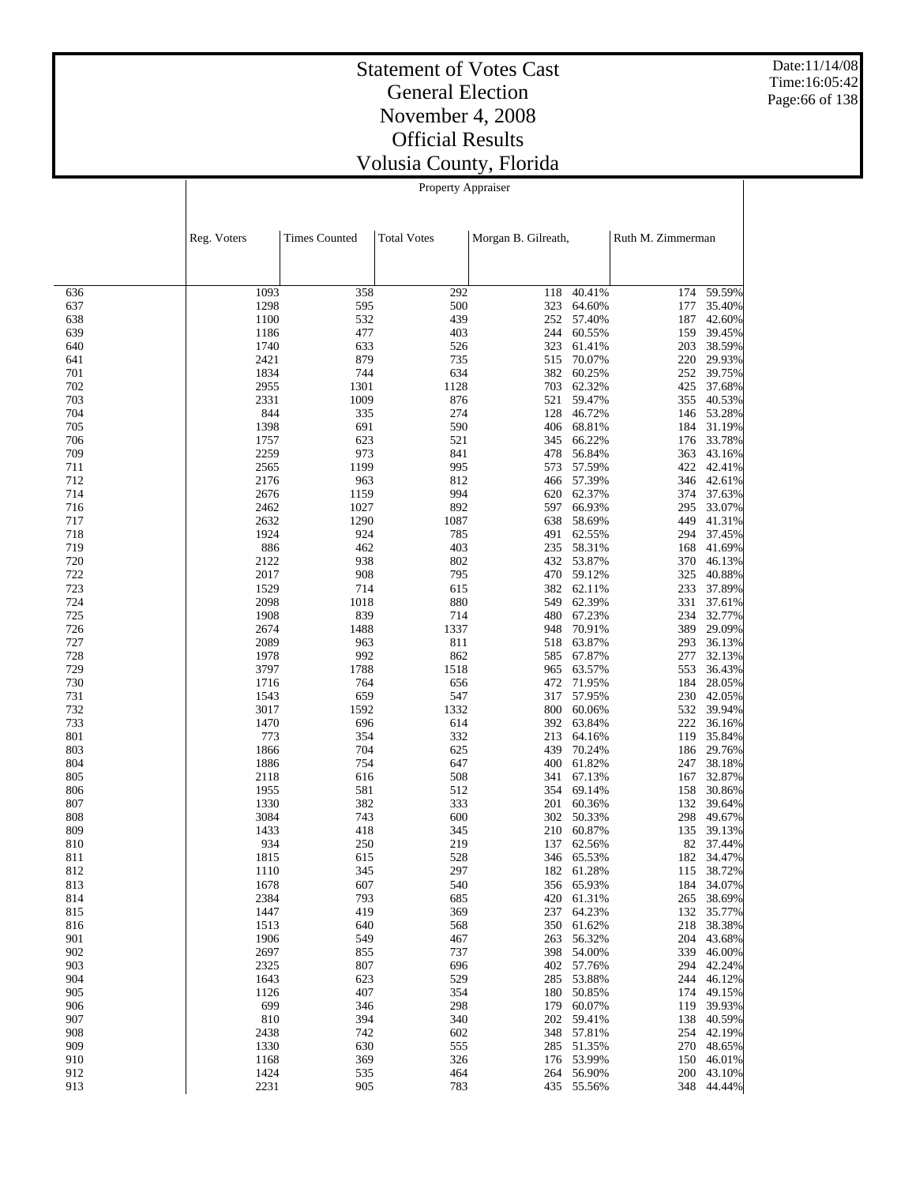Date:11/14/08 Time:16:05:42 Page:66 of 138

# Statement of Votes Cast General Election November 4, 2008 Official Results Volusia County, Florida

Property Appraiser

|            | Reg. Voters  | <b>Times Counted</b> | <b>Total Votes</b> | Morgan B. Gilreath, |                          | Ruth M. Zimmerman |                      |
|------------|--------------|----------------------|--------------------|---------------------|--------------------------|-------------------|----------------------|
|            |              |                      |                    |                     |                          |                   |                      |
| 636        | 1093         | 358                  | 292                | 118                 | 40.41%                   | 174               | 59.59%               |
| 637        | 1298         | 595                  | 500                | 323                 | 64.60%                   | 177               | 35.40%               |
| 638        | 1100         | 532                  | 439                | 252                 | 57.40%                   | 187               | 42.60%               |
| 639        | 1186         | 477                  | 403                | 244                 | 60.55%                   | 159               | 39.45%               |
| 640        | 1740         | 633                  | 526                | 323                 | 61.41%                   | 203               | 38.59%               |
| 641        | 2421         | 879<br>744           | 735<br>634         | 515<br>382          | 70.07%                   | 220<br>252        | 29.93%<br>39.75%     |
| 701<br>702 | 1834<br>2955 | 1301                 | 1128               | 703                 | 60.25%<br>62.32%         | 425               | 37.68%               |
| 703        | 2331         | 1009                 | 876                | 521                 | 59.47%                   |                   | 355 40.53%           |
| 704        | 844          | 335                  | 274                | 128                 | 46.72%                   |                   | 146 53.28%           |
| 705        | 1398         | 691                  | 590                | 406                 | 68.81%                   |                   | 184 31.19%           |
| 706        | 1757         | 623                  | 521                | 345                 | 66.22%                   | 176               | 33.78%               |
| 709        | 2259         | 973                  | 841                | 478                 | 56.84%                   | 363               | 43.16%               |
| 711        | 2565         | 1199                 | 995                | 573                 | 57.59%                   | 422               | 42.41%               |
| 712        | 2176         | 963                  | 812                | 466                 | 57.39%                   |                   | 346 42.61%           |
| 714        | 2676<br>2462 | 1159                 | 994<br>892         | 620                 | 62.37%<br>66.93%         | 374<br>295        | 37.63%<br>33.07%     |
| 716<br>717 | 2632         | 1027<br>1290         | 1087               | 597<br>638          | 58.69%                   | 449               | 41.31%               |
| 718        | 1924         | 924                  | 785                | 491                 | 62.55%                   | 294               | 37.45%               |
| 719        | 886          | 462                  | 403                | 235                 | 58.31%                   | 168               | 41.69%               |
| 720        | 2122         | 938                  | 802                |                     | 432 53.87%               | 370               | 46.13%               |
| 722        | 2017         | 908                  | 795                | 470                 | 59.12%                   | 325               | 40.88%               |
| 723        | 1529         | 714                  | 615                |                     | 382 62.11%               | 233               | 37.89%               |
| 724        | 2098         | 1018                 | 880                | 549                 | 62.39%                   | 331               | 37.61%               |
| 725        | 1908         | 839                  | 714                |                     | 480 67.23%               |                   | 234 32.77%           |
| 726        | 2674         | 1488                 | 1337               | 948                 | 70.91%                   | 389               | 29.09%               |
| 727        | 2089         | 963                  | 811                | 518                 | 63.87%                   | 293               | 36.13%               |
| 728<br>729 | 1978<br>3797 | 992<br>1788          | 862<br>1518        | 585<br>965          | 67.87%<br>63.57%         | 277<br>553        | 32.13%<br>36.43%     |
| 730        | 1716         | 764                  | 656                | 472                 | 71.95%                   | 184               | 28.05%               |
| 731        | 1543         | 659                  | 547                | 317                 | 57.95%                   |                   | 230 42.05%           |
| 732        | 3017         | 1592                 | 1332               | 800                 | 60.06%                   | 532               | 39.94%               |
| 733        | 1470         | 696                  | 614                | 392                 | 63.84%                   | 222               | 36.16%               |
| 801        | 773          | 354                  | 332                | 213                 | 64.16%                   | 119               | 35.84%               |
| 803        | 1866         | 704                  | 625                | 439                 | 70.24%                   |                   | 186 29.76%           |
| 804        | 1886         | 754                  | 647                | 400                 | 61.82%                   | 247               | 38.18%               |
| 805<br>806 | 2118<br>1955 | 616<br>581           | 508<br>512         | 341<br>354          | 67.13%<br>69.14%         | 167<br>158        | 32.87%<br>30.86%     |
| 807        | 1330         | 382                  | 333                |                     | 201 60.36%               | 132               | 39.64%               |
| 808        | 3084         | 743                  | 600                | 302                 | 50.33%                   | 298               | 49.67%               |
| 809        | 1433         | 418                  | 345                |                     | 210 60.87%               | 135               | 39.13%               |
| 810        | 934          | 250                  | 219                | 137                 | 62.56%                   | 82                | 37.44%               |
| 811        | 1815         | 615                  | 528                | 346                 | 65.53%                   | 182               | 34.47%               |
| 812        | 1110         | 345                  | 297                | 182                 | 61.28%                   | 115               | 38.72%               |
| 813        | 1678         | 607                  | 540                |                     | 356 65.93%               |                   | 184 34.07%           |
| 814        | 2384         | 793                  | 685                |                     | 420 61.31%               | 265               | 38.69%               |
| 815        | 1447         | 419                  | 369                | 237                 | 64.23%                   | 132               | 35.77%               |
| 816        | 1513         | 640                  | 568                | 350                 | 61.62%<br>56.32%         | 218               | 38.38%<br>204 43.68% |
| 901<br>902 | 1906<br>2697 | 549<br>855           | 467<br>737         | 263<br>398          | 54.00%                   | 339               | 46.00%               |
| 903        | 2325         | 807                  | 696                | 402                 | 57.76%                   | 294               | 42.24%               |
| 904        | 1643         | 623                  | 529                | 285                 | 53.88%                   | 244               | 46.12%               |
| 905        | 1126         | 407                  | 354                | 180                 | 50.85%                   | 174               | 49.15%               |
| 906        | 699          | 346                  | 298                | 179                 | 60.07%                   | 119               | 39.93%               |
| 907        | 810          | 394                  | 340                | 202                 | 59.41%                   | 138               | 40.59%               |
| 908        | 2438         | 742                  | 602                | 348                 | 57.81%                   | 254               | 42.19%               |
| 909        | 1330         | 630                  | 555                | 285                 | 51.35%                   |                   | 270 48.65%           |
| 910        | 1168         | 369                  | 326                | 176                 | 53.99%                   | 150               | 46.01%               |
| 912<br>913 | 1424<br>2231 | 535<br>905           | 464<br>783         |                     | 264 56.90%<br>435 55.56% | 348               | 200 43.10%<br>44.44% |
|            |              |                      |                    |                     |                          |                   |                      |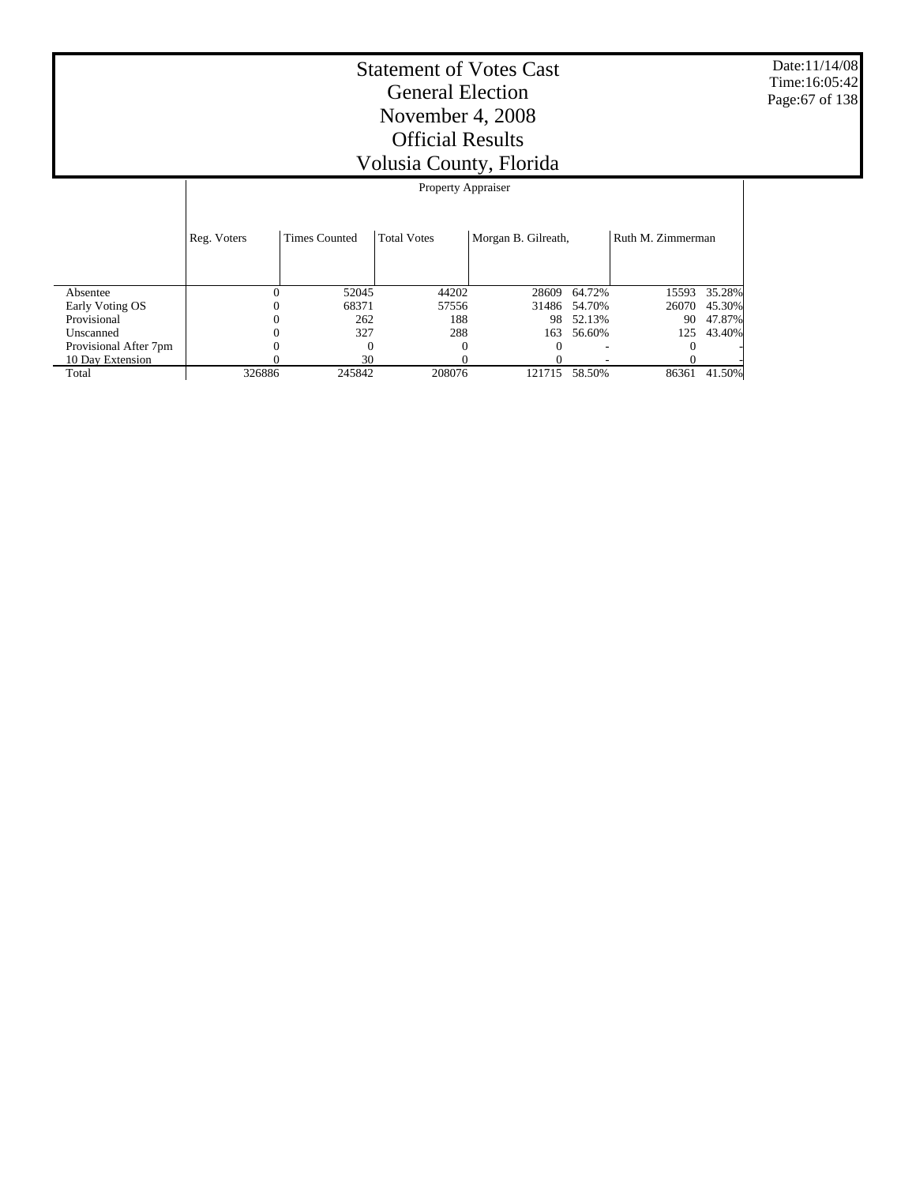Date:11/14/08 Time:16:05:42 Page:67 of 138

|                       | Property Appraiser |                      |                    |                     |        |                   |        |  |  |
|-----------------------|--------------------|----------------------|--------------------|---------------------|--------|-------------------|--------|--|--|
|                       | Reg. Voters        | <b>Times Counted</b> | <b>Total Votes</b> | Morgan B. Gilreath, |        | Ruth M. Zimmerman |        |  |  |
| Absentee              | 0                  | 52045                | 44202              | 28609               | 64.72% | 15593             | 35.28% |  |  |
| Early Voting OS       |                    | 68371                | 57556              | 31486               | 54.70% | 26070             | 45.30% |  |  |
| Provisional           | 0                  | 262                  | 188                | 98                  | 52.13% | 90                | 47.87% |  |  |
| Unscanned             |                    | 327                  | 288                | 163                 | 56.60% | 125               | 43.40% |  |  |
| Provisional After 7pm |                    | $\Omega$             | $\Omega$           |                     |        |                   |        |  |  |
| 10 Day Extension      |                    | 30                   |                    |                     |        |                   |        |  |  |
| Total                 | 326886             | 245842               | 208076             | 121715              | 58.50% | 86361             | 41.50% |  |  |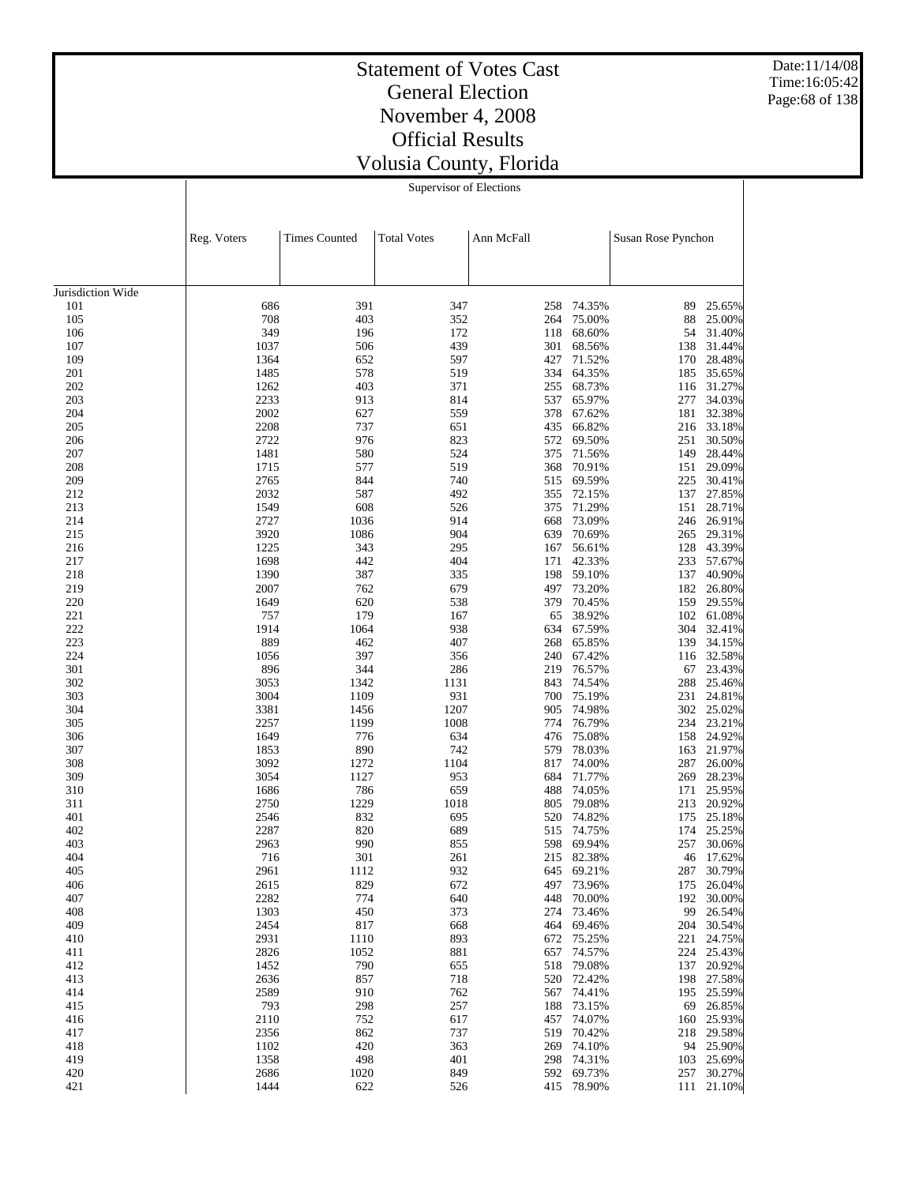Date:11/14/08 Time:16:05:42 Page:68 of 138

|  | Supervisor of Elections |  |  |  |  |  |  |  |
|--|-------------------------|--|--|--|--|--|--|--|
|  |                         |  |  |  |  |  |  |  |
|  | المتحدث والمحامر        |  |  |  |  |  |  |  |

| Jurisdiction Wide<br>686<br>391<br>347<br>74.35%<br>101<br>258<br>89<br>25.65%<br>105<br>708<br>403<br>352<br>75.00%<br>25.00%<br>264<br>88<br>349<br>106<br>196<br>172<br>68.60%<br>31.40%<br>118<br>54<br>107<br>1037<br>506<br>439<br>301<br>68.56%<br>138<br>31.44%<br>1364<br>109<br>652<br>597<br>427<br>71.52%<br>170<br>28.48%<br>201<br>1485<br>578<br>519<br>334<br>64.35%<br>35.65%<br>185<br>403<br>371<br>202<br>1262<br>255<br>68.73%<br>31.27%<br>116<br>2233<br>203<br>913<br>814<br>537<br>65.97%<br>277<br>34.03%<br>2002<br>204<br>627<br>559<br>378<br>67.62%<br>181<br>32.38%<br>205<br>2208<br>737<br>651<br>435<br>66.82%<br>216 33.18%<br>2722<br>976<br>823<br>206<br>572<br>69.50%<br>251<br>30.50%<br>149 28.44%<br>207<br>1481<br>580<br>524<br>375<br>71.56%<br>519<br>208<br>1715<br>577<br>368<br>70.91%<br>151<br>29.09%<br>209<br>2765<br>844<br>740<br>515<br>69.59%<br>225<br>30.41%<br>2032<br>212<br>587<br>492<br>355<br>72.15%<br>137<br>27.85%<br>71.29%<br>213<br>1549<br>608<br>526<br>375<br>151 28.71%<br>2727<br>214<br>1036<br>914<br>668<br>73.09%<br>246 26.91%<br>215<br>3920<br>1086<br>904<br>639<br>70.69%<br>265 29.31%<br>1225<br>343<br>295<br>167<br>56.61%<br>128 43.39%<br>216<br>217<br>1698<br>442<br>404<br>171<br>42.33%<br>233 57.67%<br>1390<br>218<br>387<br>335<br>198<br>59.10%<br>137<br>40.90%<br>219<br>2007<br>762<br>679<br>497<br>73.20%<br>182 26.80%<br>1649<br>220<br>620<br>538<br>379<br>70.45%<br>159<br>29.55%<br>221<br>757<br>179<br>167<br>38.92%<br>102<br>61.08%<br>65<br>1914<br>938<br>222<br>1064<br>67.59%<br>304<br>32.41%<br>634<br>889<br>407<br>223<br>462<br>65.85%<br>139<br>34.15%<br>268<br>397<br>224<br>1056<br>356<br>240<br>67.42%<br>32.58%<br>116<br>896<br>301<br>344<br>286<br>219<br>76.57%<br>67<br>23.43%<br>3053<br>302<br>1342<br>1131<br>843<br>74.54%<br>288<br>25.46%<br>931<br>303<br>3004<br>1109<br>700<br>75.19%<br>231 24.81%<br>1207<br>304<br>3381<br>1456<br>905<br>74.98%<br>302 25.02%<br>1008<br>234 23.21%<br>305<br>2257<br>1199<br>774<br>76.79%<br>1649<br>776<br>634<br>306<br>476<br>75.08%<br>158<br>24.92%<br>890<br>742<br>307<br>1853<br>579<br>78.03%<br>163<br>21.97%<br>3092<br>1104<br>308<br>1272<br>817<br>74.00%<br>287<br>26.00%<br>3054<br>309<br>1127<br>953<br>684<br>71.77%<br>269 28.23%<br>786<br>659<br>310<br>1686<br>488<br>74.05%<br>171<br>25.95%<br>1229<br>311<br>2750<br>1018<br>805<br>79.08%<br>213 20.92%<br>832<br>401<br>2546<br>695<br>520<br>74.82%<br>175<br>25.18%<br>2287<br>402<br>820<br>689<br>515<br>74.75%<br>174 25.25%<br>403<br>2963<br>990<br>855<br>598<br>69.94%<br>257<br>30.06%<br>404<br>716<br>301<br>261<br>215<br>82.38%<br>17.62%<br>46<br>405<br>2961<br>1112<br>932<br>645<br>69.21%<br>287<br>30.79%<br>829<br>406<br>2615<br>672<br>73.96%<br>26.04%<br>497<br>175<br>407<br>2282<br>774<br>640<br>448<br>70.00%<br>30.00%<br>192<br>408<br>1303<br>450<br>373<br>274 73.46%<br>99 26.54%<br>409<br>2454<br>817<br>668<br>464<br>69.46%<br>204<br>30.54%<br>2931<br>893<br>75.25%<br>410<br>1110<br>672<br>221<br>24.75%<br>2826<br>1052<br>881<br>74.57%<br>224<br>25.43%<br>411<br>657<br>412<br>1452<br>790<br>79.08%<br>137<br>20.92%<br>655<br>518<br>2636<br>857<br>718<br>413<br>520<br>72.42%<br>198<br>27.58%<br>2589<br>910<br>74.41%<br>25.59%<br>414<br>762<br>567<br>195<br>793<br>298<br>257<br>73.15%<br>69<br>26.85%<br>415<br>188<br>2110<br>74.07%<br>25.93%<br>416<br>752<br>617<br>457<br>160<br>2356<br>862<br>737<br>29.58%<br>417<br>519<br>70.42%<br>218<br>420<br>74.10%<br>94 25.90%<br>418<br>1102<br>363<br>269<br>1358<br>498<br>401<br>74.31%<br>25.69%<br>419<br>298<br>103<br>420<br>2686<br>1020<br>849<br>592 69.73%<br>30.27%<br>257<br>421<br>1444<br>622<br>526<br>415 78.90%<br>111 21.10% | Reg. Voters | <b>Times Counted</b> | <b>Total Votes</b> | Ann McFall | Susan Rose Pynchon |  |
|------------------------------------------------------------------------------------------------------------------------------------------------------------------------------------------------------------------------------------------------------------------------------------------------------------------------------------------------------------------------------------------------------------------------------------------------------------------------------------------------------------------------------------------------------------------------------------------------------------------------------------------------------------------------------------------------------------------------------------------------------------------------------------------------------------------------------------------------------------------------------------------------------------------------------------------------------------------------------------------------------------------------------------------------------------------------------------------------------------------------------------------------------------------------------------------------------------------------------------------------------------------------------------------------------------------------------------------------------------------------------------------------------------------------------------------------------------------------------------------------------------------------------------------------------------------------------------------------------------------------------------------------------------------------------------------------------------------------------------------------------------------------------------------------------------------------------------------------------------------------------------------------------------------------------------------------------------------------------------------------------------------------------------------------------------------------------------------------------------------------------------------------------------------------------------------------------------------------------------------------------------------------------------------------------------------------------------------------------------------------------------------------------------------------------------------------------------------------------------------------------------------------------------------------------------------------------------------------------------------------------------------------------------------------------------------------------------------------------------------------------------------------------------------------------------------------------------------------------------------------------------------------------------------------------------------------------------------------------------------------------------------------------------------------------------------------------------------------------------------------------------------------------------------------------------------------------------------------------------------------------------------------------------------------------------------------------------------------------------------------------------------------------------------------------------------------------------------------------------------------------------------------------------------------------------------------------------------------------------------------------------------------------------------------------------------------------------------------------------------------------------------------------------------------------------------------------|-------------|----------------------|--------------------|------------|--------------------|--|
|                                                                                                                                                                                                                                                                                                                                                                                                                                                                                                                                                                                                                                                                                                                                                                                                                                                                                                                                                                                                                                                                                                                                                                                                                                                                                                                                                                                                                                                                                                                                                                                                                                                                                                                                                                                                                                                                                                                                                                                                                                                                                                                                                                                                                                                                                                                                                                                                                                                                                                                                                                                                                                                                                                                                                                                                                                                                                                                                                                                                                                                                                                                                                                                                                                                                                                                                                                                                                                                                                                                                                                                                                                                                                                                                                                                                                              |             |                      |                    |            |                    |  |
|                                                                                                                                                                                                                                                                                                                                                                                                                                                                                                                                                                                                                                                                                                                                                                                                                                                                                                                                                                                                                                                                                                                                                                                                                                                                                                                                                                                                                                                                                                                                                                                                                                                                                                                                                                                                                                                                                                                                                                                                                                                                                                                                                                                                                                                                                                                                                                                                                                                                                                                                                                                                                                                                                                                                                                                                                                                                                                                                                                                                                                                                                                                                                                                                                                                                                                                                                                                                                                                                                                                                                                                                                                                                                                                                                                                                                              |             |                      |                    |            |                    |  |
|                                                                                                                                                                                                                                                                                                                                                                                                                                                                                                                                                                                                                                                                                                                                                                                                                                                                                                                                                                                                                                                                                                                                                                                                                                                                                                                                                                                                                                                                                                                                                                                                                                                                                                                                                                                                                                                                                                                                                                                                                                                                                                                                                                                                                                                                                                                                                                                                                                                                                                                                                                                                                                                                                                                                                                                                                                                                                                                                                                                                                                                                                                                                                                                                                                                                                                                                                                                                                                                                                                                                                                                                                                                                                                                                                                                                                              |             |                      |                    |            |                    |  |
|                                                                                                                                                                                                                                                                                                                                                                                                                                                                                                                                                                                                                                                                                                                                                                                                                                                                                                                                                                                                                                                                                                                                                                                                                                                                                                                                                                                                                                                                                                                                                                                                                                                                                                                                                                                                                                                                                                                                                                                                                                                                                                                                                                                                                                                                                                                                                                                                                                                                                                                                                                                                                                                                                                                                                                                                                                                                                                                                                                                                                                                                                                                                                                                                                                                                                                                                                                                                                                                                                                                                                                                                                                                                                                                                                                                                                              |             |                      |                    |            |                    |  |
|                                                                                                                                                                                                                                                                                                                                                                                                                                                                                                                                                                                                                                                                                                                                                                                                                                                                                                                                                                                                                                                                                                                                                                                                                                                                                                                                                                                                                                                                                                                                                                                                                                                                                                                                                                                                                                                                                                                                                                                                                                                                                                                                                                                                                                                                                                                                                                                                                                                                                                                                                                                                                                                                                                                                                                                                                                                                                                                                                                                                                                                                                                                                                                                                                                                                                                                                                                                                                                                                                                                                                                                                                                                                                                                                                                                                                              |             |                      |                    |            |                    |  |
|                                                                                                                                                                                                                                                                                                                                                                                                                                                                                                                                                                                                                                                                                                                                                                                                                                                                                                                                                                                                                                                                                                                                                                                                                                                                                                                                                                                                                                                                                                                                                                                                                                                                                                                                                                                                                                                                                                                                                                                                                                                                                                                                                                                                                                                                                                                                                                                                                                                                                                                                                                                                                                                                                                                                                                                                                                                                                                                                                                                                                                                                                                                                                                                                                                                                                                                                                                                                                                                                                                                                                                                                                                                                                                                                                                                                                              |             |                      |                    |            |                    |  |
|                                                                                                                                                                                                                                                                                                                                                                                                                                                                                                                                                                                                                                                                                                                                                                                                                                                                                                                                                                                                                                                                                                                                                                                                                                                                                                                                                                                                                                                                                                                                                                                                                                                                                                                                                                                                                                                                                                                                                                                                                                                                                                                                                                                                                                                                                                                                                                                                                                                                                                                                                                                                                                                                                                                                                                                                                                                                                                                                                                                                                                                                                                                                                                                                                                                                                                                                                                                                                                                                                                                                                                                                                                                                                                                                                                                                                              |             |                      |                    |            |                    |  |
|                                                                                                                                                                                                                                                                                                                                                                                                                                                                                                                                                                                                                                                                                                                                                                                                                                                                                                                                                                                                                                                                                                                                                                                                                                                                                                                                                                                                                                                                                                                                                                                                                                                                                                                                                                                                                                                                                                                                                                                                                                                                                                                                                                                                                                                                                                                                                                                                                                                                                                                                                                                                                                                                                                                                                                                                                                                                                                                                                                                                                                                                                                                                                                                                                                                                                                                                                                                                                                                                                                                                                                                                                                                                                                                                                                                                                              |             |                      |                    |            |                    |  |
|                                                                                                                                                                                                                                                                                                                                                                                                                                                                                                                                                                                                                                                                                                                                                                                                                                                                                                                                                                                                                                                                                                                                                                                                                                                                                                                                                                                                                                                                                                                                                                                                                                                                                                                                                                                                                                                                                                                                                                                                                                                                                                                                                                                                                                                                                                                                                                                                                                                                                                                                                                                                                                                                                                                                                                                                                                                                                                                                                                                                                                                                                                                                                                                                                                                                                                                                                                                                                                                                                                                                                                                                                                                                                                                                                                                                                              |             |                      |                    |            |                    |  |
|                                                                                                                                                                                                                                                                                                                                                                                                                                                                                                                                                                                                                                                                                                                                                                                                                                                                                                                                                                                                                                                                                                                                                                                                                                                                                                                                                                                                                                                                                                                                                                                                                                                                                                                                                                                                                                                                                                                                                                                                                                                                                                                                                                                                                                                                                                                                                                                                                                                                                                                                                                                                                                                                                                                                                                                                                                                                                                                                                                                                                                                                                                                                                                                                                                                                                                                                                                                                                                                                                                                                                                                                                                                                                                                                                                                                                              |             |                      |                    |            |                    |  |
|                                                                                                                                                                                                                                                                                                                                                                                                                                                                                                                                                                                                                                                                                                                                                                                                                                                                                                                                                                                                                                                                                                                                                                                                                                                                                                                                                                                                                                                                                                                                                                                                                                                                                                                                                                                                                                                                                                                                                                                                                                                                                                                                                                                                                                                                                                                                                                                                                                                                                                                                                                                                                                                                                                                                                                                                                                                                                                                                                                                                                                                                                                                                                                                                                                                                                                                                                                                                                                                                                                                                                                                                                                                                                                                                                                                                                              |             |                      |                    |            |                    |  |
|                                                                                                                                                                                                                                                                                                                                                                                                                                                                                                                                                                                                                                                                                                                                                                                                                                                                                                                                                                                                                                                                                                                                                                                                                                                                                                                                                                                                                                                                                                                                                                                                                                                                                                                                                                                                                                                                                                                                                                                                                                                                                                                                                                                                                                                                                                                                                                                                                                                                                                                                                                                                                                                                                                                                                                                                                                                                                                                                                                                                                                                                                                                                                                                                                                                                                                                                                                                                                                                                                                                                                                                                                                                                                                                                                                                                                              |             |                      |                    |            |                    |  |
|                                                                                                                                                                                                                                                                                                                                                                                                                                                                                                                                                                                                                                                                                                                                                                                                                                                                                                                                                                                                                                                                                                                                                                                                                                                                                                                                                                                                                                                                                                                                                                                                                                                                                                                                                                                                                                                                                                                                                                                                                                                                                                                                                                                                                                                                                                                                                                                                                                                                                                                                                                                                                                                                                                                                                                                                                                                                                                                                                                                                                                                                                                                                                                                                                                                                                                                                                                                                                                                                                                                                                                                                                                                                                                                                                                                                                              |             |                      |                    |            |                    |  |
|                                                                                                                                                                                                                                                                                                                                                                                                                                                                                                                                                                                                                                                                                                                                                                                                                                                                                                                                                                                                                                                                                                                                                                                                                                                                                                                                                                                                                                                                                                                                                                                                                                                                                                                                                                                                                                                                                                                                                                                                                                                                                                                                                                                                                                                                                                                                                                                                                                                                                                                                                                                                                                                                                                                                                                                                                                                                                                                                                                                                                                                                                                                                                                                                                                                                                                                                                                                                                                                                                                                                                                                                                                                                                                                                                                                                                              |             |                      |                    |            |                    |  |
|                                                                                                                                                                                                                                                                                                                                                                                                                                                                                                                                                                                                                                                                                                                                                                                                                                                                                                                                                                                                                                                                                                                                                                                                                                                                                                                                                                                                                                                                                                                                                                                                                                                                                                                                                                                                                                                                                                                                                                                                                                                                                                                                                                                                                                                                                                                                                                                                                                                                                                                                                                                                                                                                                                                                                                                                                                                                                                                                                                                                                                                                                                                                                                                                                                                                                                                                                                                                                                                                                                                                                                                                                                                                                                                                                                                                                              |             |                      |                    |            |                    |  |
|                                                                                                                                                                                                                                                                                                                                                                                                                                                                                                                                                                                                                                                                                                                                                                                                                                                                                                                                                                                                                                                                                                                                                                                                                                                                                                                                                                                                                                                                                                                                                                                                                                                                                                                                                                                                                                                                                                                                                                                                                                                                                                                                                                                                                                                                                                                                                                                                                                                                                                                                                                                                                                                                                                                                                                                                                                                                                                                                                                                                                                                                                                                                                                                                                                                                                                                                                                                                                                                                                                                                                                                                                                                                                                                                                                                                                              |             |                      |                    |            |                    |  |
|                                                                                                                                                                                                                                                                                                                                                                                                                                                                                                                                                                                                                                                                                                                                                                                                                                                                                                                                                                                                                                                                                                                                                                                                                                                                                                                                                                                                                                                                                                                                                                                                                                                                                                                                                                                                                                                                                                                                                                                                                                                                                                                                                                                                                                                                                                                                                                                                                                                                                                                                                                                                                                                                                                                                                                                                                                                                                                                                                                                                                                                                                                                                                                                                                                                                                                                                                                                                                                                                                                                                                                                                                                                                                                                                                                                                                              |             |                      |                    |            |                    |  |
|                                                                                                                                                                                                                                                                                                                                                                                                                                                                                                                                                                                                                                                                                                                                                                                                                                                                                                                                                                                                                                                                                                                                                                                                                                                                                                                                                                                                                                                                                                                                                                                                                                                                                                                                                                                                                                                                                                                                                                                                                                                                                                                                                                                                                                                                                                                                                                                                                                                                                                                                                                                                                                                                                                                                                                                                                                                                                                                                                                                                                                                                                                                                                                                                                                                                                                                                                                                                                                                                                                                                                                                                                                                                                                                                                                                                                              |             |                      |                    |            |                    |  |
|                                                                                                                                                                                                                                                                                                                                                                                                                                                                                                                                                                                                                                                                                                                                                                                                                                                                                                                                                                                                                                                                                                                                                                                                                                                                                                                                                                                                                                                                                                                                                                                                                                                                                                                                                                                                                                                                                                                                                                                                                                                                                                                                                                                                                                                                                                                                                                                                                                                                                                                                                                                                                                                                                                                                                                                                                                                                                                                                                                                                                                                                                                                                                                                                                                                                                                                                                                                                                                                                                                                                                                                                                                                                                                                                                                                                                              |             |                      |                    |            |                    |  |
|                                                                                                                                                                                                                                                                                                                                                                                                                                                                                                                                                                                                                                                                                                                                                                                                                                                                                                                                                                                                                                                                                                                                                                                                                                                                                                                                                                                                                                                                                                                                                                                                                                                                                                                                                                                                                                                                                                                                                                                                                                                                                                                                                                                                                                                                                                                                                                                                                                                                                                                                                                                                                                                                                                                                                                                                                                                                                                                                                                                                                                                                                                                                                                                                                                                                                                                                                                                                                                                                                                                                                                                                                                                                                                                                                                                                                              |             |                      |                    |            |                    |  |
|                                                                                                                                                                                                                                                                                                                                                                                                                                                                                                                                                                                                                                                                                                                                                                                                                                                                                                                                                                                                                                                                                                                                                                                                                                                                                                                                                                                                                                                                                                                                                                                                                                                                                                                                                                                                                                                                                                                                                                                                                                                                                                                                                                                                                                                                                                                                                                                                                                                                                                                                                                                                                                                                                                                                                                                                                                                                                                                                                                                                                                                                                                                                                                                                                                                                                                                                                                                                                                                                                                                                                                                                                                                                                                                                                                                                                              |             |                      |                    |            |                    |  |
|                                                                                                                                                                                                                                                                                                                                                                                                                                                                                                                                                                                                                                                                                                                                                                                                                                                                                                                                                                                                                                                                                                                                                                                                                                                                                                                                                                                                                                                                                                                                                                                                                                                                                                                                                                                                                                                                                                                                                                                                                                                                                                                                                                                                                                                                                                                                                                                                                                                                                                                                                                                                                                                                                                                                                                                                                                                                                                                                                                                                                                                                                                                                                                                                                                                                                                                                                                                                                                                                                                                                                                                                                                                                                                                                                                                                                              |             |                      |                    |            |                    |  |
|                                                                                                                                                                                                                                                                                                                                                                                                                                                                                                                                                                                                                                                                                                                                                                                                                                                                                                                                                                                                                                                                                                                                                                                                                                                                                                                                                                                                                                                                                                                                                                                                                                                                                                                                                                                                                                                                                                                                                                                                                                                                                                                                                                                                                                                                                                                                                                                                                                                                                                                                                                                                                                                                                                                                                                                                                                                                                                                                                                                                                                                                                                                                                                                                                                                                                                                                                                                                                                                                                                                                                                                                                                                                                                                                                                                                                              |             |                      |                    |            |                    |  |
|                                                                                                                                                                                                                                                                                                                                                                                                                                                                                                                                                                                                                                                                                                                                                                                                                                                                                                                                                                                                                                                                                                                                                                                                                                                                                                                                                                                                                                                                                                                                                                                                                                                                                                                                                                                                                                                                                                                                                                                                                                                                                                                                                                                                                                                                                                                                                                                                                                                                                                                                                                                                                                                                                                                                                                                                                                                                                                                                                                                                                                                                                                                                                                                                                                                                                                                                                                                                                                                                                                                                                                                                                                                                                                                                                                                                                              |             |                      |                    |            |                    |  |
|                                                                                                                                                                                                                                                                                                                                                                                                                                                                                                                                                                                                                                                                                                                                                                                                                                                                                                                                                                                                                                                                                                                                                                                                                                                                                                                                                                                                                                                                                                                                                                                                                                                                                                                                                                                                                                                                                                                                                                                                                                                                                                                                                                                                                                                                                                                                                                                                                                                                                                                                                                                                                                                                                                                                                                                                                                                                                                                                                                                                                                                                                                                                                                                                                                                                                                                                                                                                                                                                                                                                                                                                                                                                                                                                                                                                                              |             |                      |                    |            |                    |  |
|                                                                                                                                                                                                                                                                                                                                                                                                                                                                                                                                                                                                                                                                                                                                                                                                                                                                                                                                                                                                                                                                                                                                                                                                                                                                                                                                                                                                                                                                                                                                                                                                                                                                                                                                                                                                                                                                                                                                                                                                                                                                                                                                                                                                                                                                                                                                                                                                                                                                                                                                                                                                                                                                                                                                                                                                                                                                                                                                                                                                                                                                                                                                                                                                                                                                                                                                                                                                                                                                                                                                                                                                                                                                                                                                                                                                                              |             |                      |                    |            |                    |  |
|                                                                                                                                                                                                                                                                                                                                                                                                                                                                                                                                                                                                                                                                                                                                                                                                                                                                                                                                                                                                                                                                                                                                                                                                                                                                                                                                                                                                                                                                                                                                                                                                                                                                                                                                                                                                                                                                                                                                                                                                                                                                                                                                                                                                                                                                                                                                                                                                                                                                                                                                                                                                                                                                                                                                                                                                                                                                                                                                                                                                                                                                                                                                                                                                                                                                                                                                                                                                                                                                                                                                                                                                                                                                                                                                                                                                                              |             |                      |                    |            |                    |  |
|                                                                                                                                                                                                                                                                                                                                                                                                                                                                                                                                                                                                                                                                                                                                                                                                                                                                                                                                                                                                                                                                                                                                                                                                                                                                                                                                                                                                                                                                                                                                                                                                                                                                                                                                                                                                                                                                                                                                                                                                                                                                                                                                                                                                                                                                                                                                                                                                                                                                                                                                                                                                                                                                                                                                                                                                                                                                                                                                                                                                                                                                                                                                                                                                                                                                                                                                                                                                                                                                                                                                                                                                                                                                                                                                                                                                                              |             |                      |                    |            |                    |  |
|                                                                                                                                                                                                                                                                                                                                                                                                                                                                                                                                                                                                                                                                                                                                                                                                                                                                                                                                                                                                                                                                                                                                                                                                                                                                                                                                                                                                                                                                                                                                                                                                                                                                                                                                                                                                                                                                                                                                                                                                                                                                                                                                                                                                                                                                                                                                                                                                                                                                                                                                                                                                                                                                                                                                                                                                                                                                                                                                                                                                                                                                                                                                                                                                                                                                                                                                                                                                                                                                                                                                                                                                                                                                                                                                                                                                                              |             |                      |                    |            |                    |  |
|                                                                                                                                                                                                                                                                                                                                                                                                                                                                                                                                                                                                                                                                                                                                                                                                                                                                                                                                                                                                                                                                                                                                                                                                                                                                                                                                                                                                                                                                                                                                                                                                                                                                                                                                                                                                                                                                                                                                                                                                                                                                                                                                                                                                                                                                                                                                                                                                                                                                                                                                                                                                                                                                                                                                                                                                                                                                                                                                                                                                                                                                                                                                                                                                                                                                                                                                                                                                                                                                                                                                                                                                                                                                                                                                                                                                                              |             |                      |                    |            |                    |  |
|                                                                                                                                                                                                                                                                                                                                                                                                                                                                                                                                                                                                                                                                                                                                                                                                                                                                                                                                                                                                                                                                                                                                                                                                                                                                                                                                                                                                                                                                                                                                                                                                                                                                                                                                                                                                                                                                                                                                                                                                                                                                                                                                                                                                                                                                                                                                                                                                                                                                                                                                                                                                                                                                                                                                                                                                                                                                                                                                                                                                                                                                                                                                                                                                                                                                                                                                                                                                                                                                                                                                                                                                                                                                                                                                                                                                                              |             |                      |                    |            |                    |  |
|                                                                                                                                                                                                                                                                                                                                                                                                                                                                                                                                                                                                                                                                                                                                                                                                                                                                                                                                                                                                                                                                                                                                                                                                                                                                                                                                                                                                                                                                                                                                                                                                                                                                                                                                                                                                                                                                                                                                                                                                                                                                                                                                                                                                                                                                                                                                                                                                                                                                                                                                                                                                                                                                                                                                                                                                                                                                                                                                                                                                                                                                                                                                                                                                                                                                                                                                                                                                                                                                                                                                                                                                                                                                                                                                                                                                                              |             |                      |                    |            |                    |  |
|                                                                                                                                                                                                                                                                                                                                                                                                                                                                                                                                                                                                                                                                                                                                                                                                                                                                                                                                                                                                                                                                                                                                                                                                                                                                                                                                                                                                                                                                                                                                                                                                                                                                                                                                                                                                                                                                                                                                                                                                                                                                                                                                                                                                                                                                                                                                                                                                                                                                                                                                                                                                                                                                                                                                                                                                                                                                                                                                                                                                                                                                                                                                                                                                                                                                                                                                                                                                                                                                                                                                                                                                                                                                                                                                                                                                                              |             |                      |                    |            |                    |  |
|                                                                                                                                                                                                                                                                                                                                                                                                                                                                                                                                                                                                                                                                                                                                                                                                                                                                                                                                                                                                                                                                                                                                                                                                                                                                                                                                                                                                                                                                                                                                                                                                                                                                                                                                                                                                                                                                                                                                                                                                                                                                                                                                                                                                                                                                                                                                                                                                                                                                                                                                                                                                                                                                                                                                                                                                                                                                                                                                                                                                                                                                                                                                                                                                                                                                                                                                                                                                                                                                                                                                                                                                                                                                                                                                                                                                                              |             |                      |                    |            |                    |  |
|                                                                                                                                                                                                                                                                                                                                                                                                                                                                                                                                                                                                                                                                                                                                                                                                                                                                                                                                                                                                                                                                                                                                                                                                                                                                                                                                                                                                                                                                                                                                                                                                                                                                                                                                                                                                                                                                                                                                                                                                                                                                                                                                                                                                                                                                                                                                                                                                                                                                                                                                                                                                                                                                                                                                                                                                                                                                                                                                                                                                                                                                                                                                                                                                                                                                                                                                                                                                                                                                                                                                                                                                                                                                                                                                                                                                                              |             |                      |                    |            |                    |  |
|                                                                                                                                                                                                                                                                                                                                                                                                                                                                                                                                                                                                                                                                                                                                                                                                                                                                                                                                                                                                                                                                                                                                                                                                                                                                                                                                                                                                                                                                                                                                                                                                                                                                                                                                                                                                                                                                                                                                                                                                                                                                                                                                                                                                                                                                                                                                                                                                                                                                                                                                                                                                                                                                                                                                                                                                                                                                                                                                                                                                                                                                                                                                                                                                                                                                                                                                                                                                                                                                                                                                                                                                                                                                                                                                                                                                                              |             |                      |                    |            |                    |  |
|                                                                                                                                                                                                                                                                                                                                                                                                                                                                                                                                                                                                                                                                                                                                                                                                                                                                                                                                                                                                                                                                                                                                                                                                                                                                                                                                                                                                                                                                                                                                                                                                                                                                                                                                                                                                                                                                                                                                                                                                                                                                                                                                                                                                                                                                                                                                                                                                                                                                                                                                                                                                                                                                                                                                                                                                                                                                                                                                                                                                                                                                                                                                                                                                                                                                                                                                                                                                                                                                                                                                                                                                                                                                                                                                                                                                                              |             |                      |                    |            |                    |  |
|                                                                                                                                                                                                                                                                                                                                                                                                                                                                                                                                                                                                                                                                                                                                                                                                                                                                                                                                                                                                                                                                                                                                                                                                                                                                                                                                                                                                                                                                                                                                                                                                                                                                                                                                                                                                                                                                                                                                                                                                                                                                                                                                                                                                                                                                                                                                                                                                                                                                                                                                                                                                                                                                                                                                                                                                                                                                                                                                                                                                                                                                                                                                                                                                                                                                                                                                                                                                                                                                                                                                                                                                                                                                                                                                                                                                                              |             |                      |                    |            |                    |  |
|                                                                                                                                                                                                                                                                                                                                                                                                                                                                                                                                                                                                                                                                                                                                                                                                                                                                                                                                                                                                                                                                                                                                                                                                                                                                                                                                                                                                                                                                                                                                                                                                                                                                                                                                                                                                                                                                                                                                                                                                                                                                                                                                                                                                                                                                                                                                                                                                                                                                                                                                                                                                                                                                                                                                                                                                                                                                                                                                                                                                                                                                                                                                                                                                                                                                                                                                                                                                                                                                                                                                                                                                                                                                                                                                                                                                                              |             |                      |                    |            |                    |  |
|                                                                                                                                                                                                                                                                                                                                                                                                                                                                                                                                                                                                                                                                                                                                                                                                                                                                                                                                                                                                                                                                                                                                                                                                                                                                                                                                                                                                                                                                                                                                                                                                                                                                                                                                                                                                                                                                                                                                                                                                                                                                                                                                                                                                                                                                                                                                                                                                                                                                                                                                                                                                                                                                                                                                                                                                                                                                                                                                                                                                                                                                                                                                                                                                                                                                                                                                                                                                                                                                                                                                                                                                                                                                                                                                                                                                                              |             |                      |                    |            |                    |  |
|                                                                                                                                                                                                                                                                                                                                                                                                                                                                                                                                                                                                                                                                                                                                                                                                                                                                                                                                                                                                                                                                                                                                                                                                                                                                                                                                                                                                                                                                                                                                                                                                                                                                                                                                                                                                                                                                                                                                                                                                                                                                                                                                                                                                                                                                                                                                                                                                                                                                                                                                                                                                                                                                                                                                                                                                                                                                                                                                                                                                                                                                                                                                                                                                                                                                                                                                                                                                                                                                                                                                                                                                                                                                                                                                                                                                                              |             |                      |                    |            |                    |  |
|                                                                                                                                                                                                                                                                                                                                                                                                                                                                                                                                                                                                                                                                                                                                                                                                                                                                                                                                                                                                                                                                                                                                                                                                                                                                                                                                                                                                                                                                                                                                                                                                                                                                                                                                                                                                                                                                                                                                                                                                                                                                                                                                                                                                                                                                                                                                                                                                                                                                                                                                                                                                                                                                                                                                                                                                                                                                                                                                                                                                                                                                                                                                                                                                                                                                                                                                                                                                                                                                                                                                                                                                                                                                                                                                                                                                                              |             |                      |                    |            |                    |  |
|                                                                                                                                                                                                                                                                                                                                                                                                                                                                                                                                                                                                                                                                                                                                                                                                                                                                                                                                                                                                                                                                                                                                                                                                                                                                                                                                                                                                                                                                                                                                                                                                                                                                                                                                                                                                                                                                                                                                                                                                                                                                                                                                                                                                                                                                                                                                                                                                                                                                                                                                                                                                                                                                                                                                                                                                                                                                                                                                                                                                                                                                                                                                                                                                                                                                                                                                                                                                                                                                                                                                                                                                                                                                                                                                                                                                                              |             |                      |                    |            |                    |  |
|                                                                                                                                                                                                                                                                                                                                                                                                                                                                                                                                                                                                                                                                                                                                                                                                                                                                                                                                                                                                                                                                                                                                                                                                                                                                                                                                                                                                                                                                                                                                                                                                                                                                                                                                                                                                                                                                                                                                                                                                                                                                                                                                                                                                                                                                                                                                                                                                                                                                                                                                                                                                                                                                                                                                                                                                                                                                                                                                                                                                                                                                                                                                                                                                                                                                                                                                                                                                                                                                                                                                                                                                                                                                                                                                                                                                                              |             |                      |                    |            |                    |  |
|                                                                                                                                                                                                                                                                                                                                                                                                                                                                                                                                                                                                                                                                                                                                                                                                                                                                                                                                                                                                                                                                                                                                                                                                                                                                                                                                                                                                                                                                                                                                                                                                                                                                                                                                                                                                                                                                                                                                                                                                                                                                                                                                                                                                                                                                                                                                                                                                                                                                                                                                                                                                                                                                                                                                                                                                                                                                                                                                                                                                                                                                                                                                                                                                                                                                                                                                                                                                                                                                                                                                                                                                                                                                                                                                                                                                                              |             |                      |                    |            |                    |  |
|                                                                                                                                                                                                                                                                                                                                                                                                                                                                                                                                                                                                                                                                                                                                                                                                                                                                                                                                                                                                                                                                                                                                                                                                                                                                                                                                                                                                                                                                                                                                                                                                                                                                                                                                                                                                                                                                                                                                                                                                                                                                                                                                                                                                                                                                                                                                                                                                                                                                                                                                                                                                                                                                                                                                                                                                                                                                                                                                                                                                                                                                                                                                                                                                                                                                                                                                                                                                                                                                                                                                                                                                                                                                                                                                                                                                                              |             |                      |                    |            |                    |  |
|                                                                                                                                                                                                                                                                                                                                                                                                                                                                                                                                                                                                                                                                                                                                                                                                                                                                                                                                                                                                                                                                                                                                                                                                                                                                                                                                                                                                                                                                                                                                                                                                                                                                                                                                                                                                                                                                                                                                                                                                                                                                                                                                                                                                                                                                                                                                                                                                                                                                                                                                                                                                                                                                                                                                                                                                                                                                                                                                                                                                                                                                                                                                                                                                                                                                                                                                                                                                                                                                                                                                                                                                                                                                                                                                                                                                                              |             |                      |                    |            |                    |  |
|                                                                                                                                                                                                                                                                                                                                                                                                                                                                                                                                                                                                                                                                                                                                                                                                                                                                                                                                                                                                                                                                                                                                                                                                                                                                                                                                                                                                                                                                                                                                                                                                                                                                                                                                                                                                                                                                                                                                                                                                                                                                                                                                                                                                                                                                                                                                                                                                                                                                                                                                                                                                                                                                                                                                                                                                                                                                                                                                                                                                                                                                                                                                                                                                                                                                                                                                                                                                                                                                                                                                                                                                                                                                                                                                                                                                                              |             |                      |                    |            |                    |  |
|                                                                                                                                                                                                                                                                                                                                                                                                                                                                                                                                                                                                                                                                                                                                                                                                                                                                                                                                                                                                                                                                                                                                                                                                                                                                                                                                                                                                                                                                                                                                                                                                                                                                                                                                                                                                                                                                                                                                                                                                                                                                                                                                                                                                                                                                                                                                                                                                                                                                                                                                                                                                                                                                                                                                                                                                                                                                                                                                                                                                                                                                                                                                                                                                                                                                                                                                                                                                                                                                                                                                                                                                                                                                                                                                                                                                                              |             |                      |                    |            |                    |  |
|                                                                                                                                                                                                                                                                                                                                                                                                                                                                                                                                                                                                                                                                                                                                                                                                                                                                                                                                                                                                                                                                                                                                                                                                                                                                                                                                                                                                                                                                                                                                                                                                                                                                                                                                                                                                                                                                                                                                                                                                                                                                                                                                                                                                                                                                                                                                                                                                                                                                                                                                                                                                                                                                                                                                                                                                                                                                                                                                                                                                                                                                                                                                                                                                                                                                                                                                                                                                                                                                                                                                                                                                                                                                                                                                                                                                                              |             |                      |                    |            |                    |  |
|                                                                                                                                                                                                                                                                                                                                                                                                                                                                                                                                                                                                                                                                                                                                                                                                                                                                                                                                                                                                                                                                                                                                                                                                                                                                                                                                                                                                                                                                                                                                                                                                                                                                                                                                                                                                                                                                                                                                                                                                                                                                                                                                                                                                                                                                                                                                                                                                                                                                                                                                                                                                                                                                                                                                                                                                                                                                                                                                                                                                                                                                                                                                                                                                                                                                                                                                                                                                                                                                                                                                                                                                                                                                                                                                                                                                                              |             |                      |                    |            |                    |  |
|                                                                                                                                                                                                                                                                                                                                                                                                                                                                                                                                                                                                                                                                                                                                                                                                                                                                                                                                                                                                                                                                                                                                                                                                                                                                                                                                                                                                                                                                                                                                                                                                                                                                                                                                                                                                                                                                                                                                                                                                                                                                                                                                                                                                                                                                                                                                                                                                                                                                                                                                                                                                                                                                                                                                                                                                                                                                                                                                                                                                                                                                                                                                                                                                                                                                                                                                                                                                                                                                                                                                                                                                                                                                                                                                                                                                                              |             |                      |                    |            |                    |  |
|                                                                                                                                                                                                                                                                                                                                                                                                                                                                                                                                                                                                                                                                                                                                                                                                                                                                                                                                                                                                                                                                                                                                                                                                                                                                                                                                                                                                                                                                                                                                                                                                                                                                                                                                                                                                                                                                                                                                                                                                                                                                                                                                                                                                                                                                                                                                                                                                                                                                                                                                                                                                                                                                                                                                                                                                                                                                                                                                                                                                                                                                                                                                                                                                                                                                                                                                                                                                                                                                                                                                                                                                                                                                                                                                                                                                                              |             |                      |                    |            |                    |  |
|                                                                                                                                                                                                                                                                                                                                                                                                                                                                                                                                                                                                                                                                                                                                                                                                                                                                                                                                                                                                                                                                                                                                                                                                                                                                                                                                                                                                                                                                                                                                                                                                                                                                                                                                                                                                                                                                                                                                                                                                                                                                                                                                                                                                                                                                                                                                                                                                                                                                                                                                                                                                                                                                                                                                                                                                                                                                                                                                                                                                                                                                                                                                                                                                                                                                                                                                                                                                                                                                                                                                                                                                                                                                                                                                                                                                                              |             |                      |                    |            |                    |  |
|                                                                                                                                                                                                                                                                                                                                                                                                                                                                                                                                                                                                                                                                                                                                                                                                                                                                                                                                                                                                                                                                                                                                                                                                                                                                                                                                                                                                                                                                                                                                                                                                                                                                                                                                                                                                                                                                                                                                                                                                                                                                                                                                                                                                                                                                                                                                                                                                                                                                                                                                                                                                                                                                                                                                                                                                                                                                                                                                                                                                                                                                                                                                                                                                                                                                                                                                                                                                                                                                                                                                                                                                                                                                                                                                                                                                                              |             |                      |                    |            |                    |  |
|                                                                                                                                                                                                                                                                                                                                                                                                                                                                                                                                                                                                                                                                                                                                                                                                                                                                                                                                                                                                                                                                                                                                                                                                                                                                                                                                                                                                                                                                                                                                                                                                                                                                                                                                                                                                                                                                                                                                                                                                                                                                                                                                                                                                                                                                                                                                                                                                                                                                                                                                                                                                                                                                                                                                                                                                                                                                                                                                                                                                                                                                                                                                                                                                                                                                                                                                                                                                                                                                                                                                                                                                                                                                                                                                                                                                                              |             |                      |                    |            |                    |  |
|                                                                                                                                                                                                                                                                                                                                                                                                                                                                                                                                                                                                                                                                                                                                                                                                                                                                                                                                                                                                                                                                                                                                                                                                                                                                                                                                                                                                                                                                                                                                                                                                                                                                                                                                                                                                                                                                                                                                                                                                                                                                                                                                                                                                                                                                                                                                                                                                                                                                                                                                                                                                                                                                                                                                                                                                                                                                                                                                                                                                                                                                                                                                                                                                                                                                                                                                                                                                                                                                                                                                                                                                                                                                                                                                                                                                                              |             |                      |                    |            |                    |  |
|                                                                                                                                                                                                                                                                                                                                                                                                                                                                                                                                                                                                                                                                                                                                                                                                                                                                                                                                                                                                                                                                                                                                                                                                                                                                                                                                                                                                                                                                                                                                                                                                                                                                                                                                                                                                                                                                                                                                                                                                                                                                                                                                                                                                                                                                                                                                                                                                                                                                                                                                                                                                                                                                                                                                                                                                                                                                                                                                                                                                                                                                                                                                                                                                                                                                                                                                                                                                                                                                                                                                                                                                                                                                                                                                                                                                                              |             |                      |                    |            |                    |  |
|                                                                                                                                                                                                                                                                                                                                                                                                                                                                                                                                                                                                                                                                                                                                                                                                                                                                                                                                                                                                                                                                                                                                                                                                                                                                                                                                                                                                                                                                                                                                                                                                                                                                                                                                                                                                                                                                                                                                                                                                                                                                                                                                                                                                                                                                                                                                                                                                                                                                                                                                                                                                                                                                                                                                                                                                                                                                                                                                                                                                                                                                                                                                                                                                                                                                                                                                                                                                                                                                                                                                                                                                                                                                                                                                                                                                                              |             |                      |                    |            |                    |  |
|                                                                                                                                                                                                                                                                                                                                                                                                                                                                                                                                                                                                                                                                                                                                                                                                                                                                                                                                                                                                                                                                                                                                                                                                                                                                                                                                                                                                                                                                                                                                                                                                                                                                                                                                                                                                                                                                                                                                                                                                                                                                                                                                                                                                                                                                                                                                                                                                                                                                                                                                                                                                                                                                                                                                                                                                                                                                                                                                                                                                                                                                                                                                                                                                                                                                                                                                                                                                                                                                                                                                                                                                                                                                                                                                                                                                                              |             |                      |                    |            |                    |  |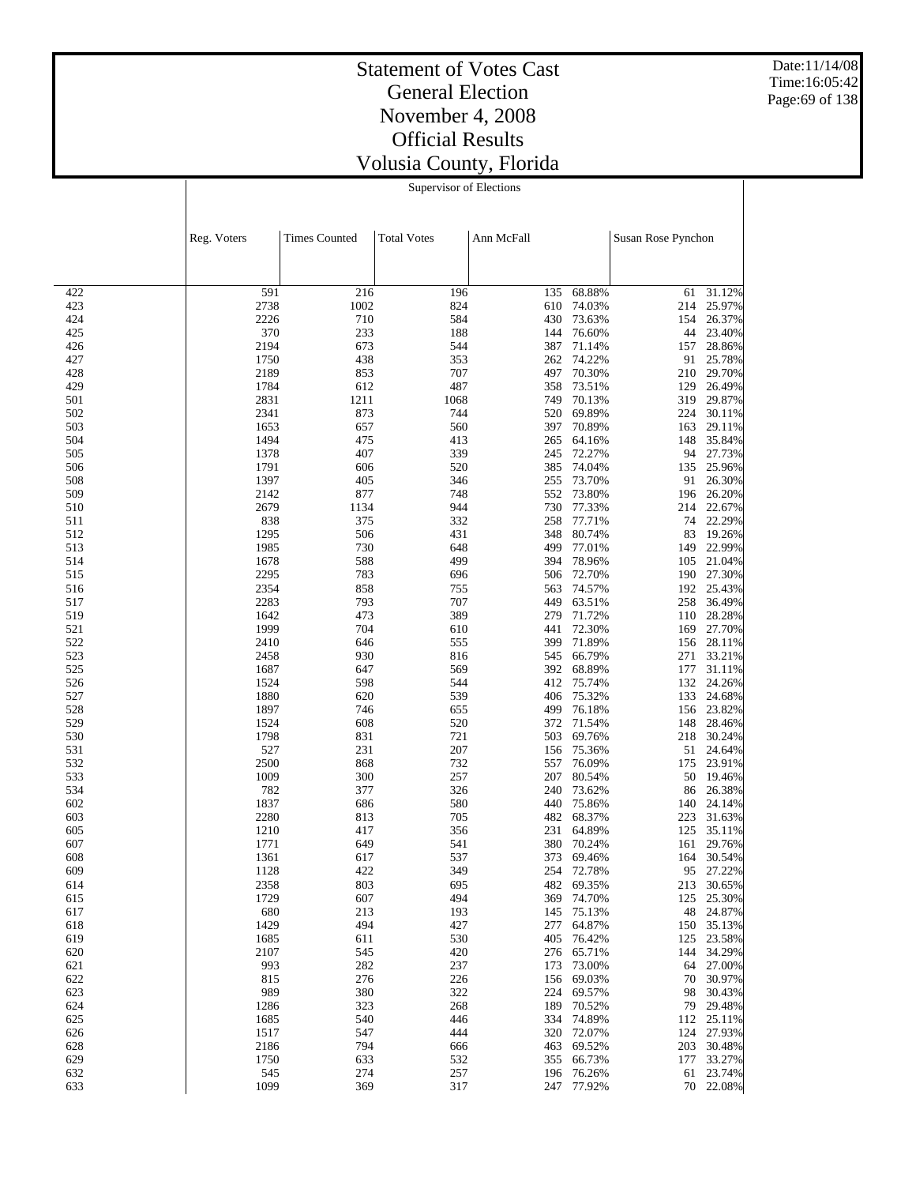Date:11/14/08 Time:16:05:42 Page:69 of 138

#### Statement of Votes Cast General Election November 4, 2008 Official Results Volusia County, Florida Supervisor of Elections

|            | Reg. Voters  | <b>Times Counted</b> | <b>Total Votes</b> | Ann McFall |                  | Susan Rose Pynchon |                      |
|------------|--------------|----------------------|--------------------|------------|------------------|--------------------|----------------------|
|            |              |                      |                    |            |                  |                    |                      |
| 422        | 591          | 216                  | 196                | 135        | 68.88%           | 61                 | 31.12%               |
| 423        | 2738         | 1002                 | 824                | 610        | 74.03%           | 214                | 25.97%               |
| 424        | 2226         | 710                  | 584                | 430        | 73.63%           | 154                | 26.37%               |
| 425        | 370          | 233                  | 188                | 144        | 76.60%           | 44                 | 23.40%               |
| 426<br>427 | 2194<br>1750 | 673<br>438           | 544<br>353         | 387        | 71.14%<br>74.22% | 157                | 28.86%<br>25.78%     |
| 428        | 2189         | 853                  | 707                | 262<br>497 | 70.30%           | 91<br>210          | 29.70%               |
| 429        | 1784         | 612                  | 487                | 358        | 73.51%           | 129                | 26.49%               |
| 501        | 2831         | 1211                 | 1068               | 749        | 70.13%           | 319                | 29.87%               |
| 502        | 2341         | 873                  | 744                | 520        | 69.89%           | 224                | 30.11%               |
| 503        | 1653         | 657                  | 560                | 397        | 70.89%           | 163                | 29.11%               |
| 504        | 1494         | 475                  | 413                | 265        | 64.16%           |                    | 148 35.84%           |
| 505        | 1378         | 407                  | 339                | 245        | 72.27%           |                    | 94 27.73%            |
| 506        | 1791         | 606                  | 520                | 385        | 74.04%           | 135                | 25.96%               |
| 508        | 1397         | 405                  | 346                | 255        | 73.70%           | 91                 | 26.30%               |
| 509        | 2142         | 877                  | 748                | 552        | 73.80%           | 196                | 26.20%               |
| 510        | 2679         | 1134                 | 944                | 730        | 77.33%           | 214                | 22.67%               |
| 511        | 838          | 375                  | 332                | 258        | 77.71%           | 74                 | 22.29%               |
| 512        | 1295         | 506                  | 431                | 348        | 80.74%           | 83                 | 19.26%               |
| 513        | 1985         | 730                  | 648                | 499        | 77.01%           | 149                | 22.99%               |
| 514<br>515 | 1678         | 588<br>783           | 499                | 394        | 78.96%<br>72.70% | 105                | 21.04%<br>27.30%     |
| 516        | 2295<br>2354 | 858                  | 696<br>755         | 506<br>563 | 74.57%           | 190<br>192         | 25.43%               |
| 517        | 2283         | 793                  | 707                | 449        | 63.51%           | 258                | 36.49%               |
| 519        | 1642         | 473                  | 389                | 279        | 71.72%           | 110                | 28.28%               |
| 521        | 1999         | 704                  | 610                | 441        | 72.30%           | 169                | 27.70%               |
| 522        | 2410         | 646                  | 555                | 399        | 71.89%           |                    | 156 28.11%           |
| 523        | 2458         | 930                  | 816                | 545        | 66.79%           | 271                | 33.21%               |
| 525        | 1687         | 647                  | 569                | 392        | 68.89%           | 177                | 31.11%               |
| 526        | 1524         | 598                  | 544                | 412        | 75.74%           | 132                | 24.26%               |
| 527        | 1880         | 620                  | 539                | 406        | 75.32%           | 133                | 24.68%               |
| 528        | 1897         | 746                  | 655                | 499        | 76.18%           | 156                | 23.82%               |
| 529        | 1524         | 608                  | 520                | 372        | 71.54%           | 148                | 28.46%               |
| 530        | 1798         | 831                  | 721                | 503        | 69.76%           | 218                | 30.24%               |
| 531        | 527          | 231                  | 207                | 156        | 75.36%           | 51                 | 24.64%               |
| 532        | 2500         | 868                  | 732                | 557        | 76.09%           | 175                | 23.91%               |
| 533<br>534 | 1009         | 300<br>377           | 257<br>326         | 207        | 80.54%           | 50                 | 19.46%               |
| 602        | 782<br>1837  | 686                  | 580                | 240<br>440 | 73.62%<br>75.86% | 86<br>140          | 26.38%<br>24.14%     |
| 603        | 2280         | 813                  | 705                | 482        | 68.37%           | 223                | 31.63%               |
| 605        | 1210         | 417                  | 356                | 231        | 64.89%           | 125                | 35.11%               |
| 607        | 1771         | 649                  | 541                | 380        | 70.24%           | 161                | 29.76%               |
| 608        | 1361         | 617                  | 537                | 373        | 69.46%           | 164                | 30.54%               |
| 609        | 1128         | 422                  | 349                | 254        | 72.78%           | 95                 | 27.22%               |
| 614        | 2358         | 803                  | 695                |            | 482 69.35%       | 213                | 30.65%               |
| 615        | 1729         | 607                  | 494                |            | 369 74.70%       | 125                | 25.30%               |
| 617        | 680          | 213                  | 193                | 145        | 75.13%           | 48                 | 24.87%               |
| 618        | 1429         | 494                  | 427                | 277        | 64.87%           |                    | 150 35.13%           |
| 619        | 1685         | 611                  | 530                | 405        | 76.42%           | 125                | 23.58%               |
| 620        | 2107         | 545                  | 420                | 276        | 65.71%           | 144                | 34.29%               |
| 621        | 993          | 282                  | 237                | 173        | 73.00%           | 64                 | 27.00%               |
| 622        | 815          | 276                  | 226                | 156        | 69.03%           | 70                 | 30.97%               |
| 623        | 989          | 380                  | 322                | 224        | 69.57%           | 98                 | 30.43%               |
| 624<br>625 | 1286<br>1685 | 323<br>540           | 268<br>446         | 189<br>334 | 70.52%<br>74.89% | 79                 | 29.48%<br>112 25.11% |
| 626        | 1517         | 547                  | 444                | 320        | 72.07%           | 124                | 27.93%               |
| 628        | 2186         | 794                  | 666                | 463        | 69.52%           | 203                | 30.48%               |
| 629        | 1750         | 633                  | 532                | 355        | 66.73%           | 177                | 33.27%               |
| 632        | 545          | 274                  | 257                | 196        | 76.26%           | 61                 | 23.74%               |
| 633        | 1099         | 369                  | 317                |            | 247 77.92%       |                    | 70 22.08%            |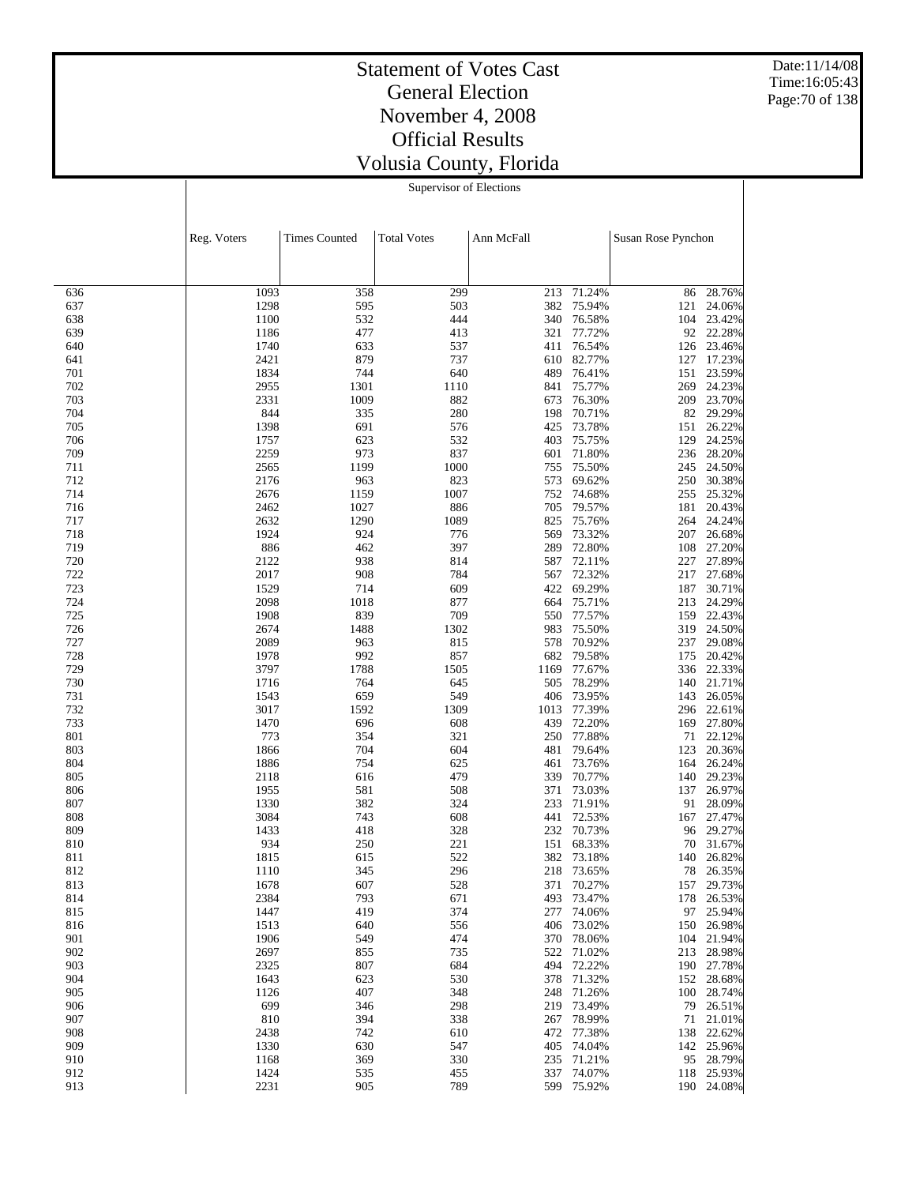Date:11/14/08 Time:16:05:43 Page:70 of 138

#### Statement of Votes Cast General Election November 4, 2008 Official Results Volusia County, Florida Supervisor of Elections

|            | Reg. Voters  | <b>Times Counted</b> | <b>Total Votes</b> | Ann McFall |                  | Susan Rose Pynchon |                          |
|------------|--------------|----------------------|--------------------|------------|------------------|--------------------|--------------------------|
|            |              |                      |                    |            |                  |                    |                          |
| 636        | 1093         | 358                  | 299                | 213        | 71.24%           | 86                 | 28.76%                   |
| 637        | 1298         | 595                  | 503                | 382        | 75.94%           | 121                | 24.06%                   |
| 638        | 1100         | 532                  | 444                | 340        | 76.58%           | 104                | 23.42%                   |
| 639        | 1186         | 477                  | 413                | 321        | 77.72%           |                    | 92 22.28%                |
| 640        | 1740         | 633                  | 537                | 411        | 76.54%           | 126                | 23.46%                   |
| 641        | 2421         | 879                  | 737                | 610        | 82.77%           | 127                | 17.23%                   |
| 701        | 1834         | 744                  | 640                | 489        | 76.41%           | 151                | 23.59%                   |
| 702        | 2955         | 1301                 | 1110               | 841        | 75.77%           | 269                | 24.23%                   |
| 703        | 2331         | 1009                 | 882                | 673        | 76.30%           | 209                | 23.70%                   |
| 704        | 844          | 335                  | 280                | 198        | 70.71%           | 82                 | 29.29%                   |
| 705        | 1398         | 691                  | 576                | 425        | 73.78%           | 151                | 26.22%                   |
| 706        | 1757         | 623                  | 532                | 403        | 75.75%           | 129                | 24.25%                   |
| 709        | 2259         | 973                  | 837                | 601        | 71.80%           | 236                | 28.20%                   |
| 711        | 2565         | 1199                 | 1000               | 755        | 75.50%           | 245                | 24.50%                   |
| 712        | 2176         | 963                  | 823                | 573        | 69.62%           | 250                | 30.38%                   |
| 714        | 2676         | 1159                 | 1007               | 752        | 74.68%           | 255                | 25.32%                   |
| 716        | 2462         | 1027                 | 886                | 705        | 79.57%           | 181                | 20.43%                   |
| 717        | 2632         | 1290                 | 1089               | 825        | 75.76%           | 264                | 24.24%                   |
| 718        | 1924         | 924                  | 776                | 569        | 73.32%           | 207                | 26.68%                   |
| 719        | 886          | 462                  | 397                | 289        | 72.80%           | 108                | 27.20%                   |
| 720        | 2122         | 938                  | 814                | 587        | 72.11%           | 227                | 27.89%                   |
| 722        | 2017         | 908                  | 784                | 567        | 72.32%           | 217                | 27.68%                   |
| 723        | 1529         | 714                  | 609                | 422        | 69.29%           | 187                | 30.71%                   |
| 724        | 2098         | 1018                 | 877                | 664        | 75.71%<br>77.57% | 213                | 24.29%                   |
| 725        | 1908         | 839                  | 709                | 550        | 75.50%           | 159                | 22.43%<br>24.50%         |
| 726        | 2674<br>2089 | 1488<br>963          | 1302<br>815        | 983<br>578 | 70.92%           | 319                | 29.08%                   |
| 727<br>728 | 1978         | 992                  | 857                | 682        | 79.58%           | 237<br>175         | 20.42%                   |
| 729        | 3797         | 1788                 | 1505               | 1169       | 77.67%           | 336                | 22.33%                   |
| 730        | 1716         | 764                  | 645                | 505        | 78.29%           | 140                | 21.71%                   |
| 731        | 1543         | 659                  | 549                | 406        | 73.95%           | 143                | 26.05%                   |
| 732        | 3017         | 1592                 | 1309               | 1013       | 77.39%           | 296                | 22.61%                   |
| 733        | 1470         | 696                  | 608                | 439        | 72.20%           | 169                | 27.80%                   |
| 801        | 773          | 354                  | 321                | 250        | 77.88%           | 71                 | 22.12%                   |
| 803        | 1866         | 704                  | 604                | 481        | 79.64%           | 123                | 20.36%                   |
| 804        | 1886         | 754                  | 625                | 461        | 73.76%           | 164                | 26.24%                   |
| 805        | 2118         | 616                  | 479                | 339        | 70.77%           | 140                | 29.23%                   |
| 806        | 1955         | 581                  | 508                | 371        | 73.03%           | 137                | 26.97%                   |
| 807        | 1330         | 382                  | 324                | 233        | 71.91%           | 91                 | 28.09%                   |
| 808        | 3084         | 743                  | 608                | 441        | 72.53%           | 167                | 27.47%                   |
| 809        | 1433         | 418                  | 328                | 232        | 70.73%           | 96                 | 29.27%                   |
| 810        | 934          | 250                  | 221                | 151        | 68.33%           | 70                 | 31.67%                   |
| 811        | 1815         | 615                  | 522                | 382        | 73.18%           | 140                | 26.82%                   |
| 812        | 1110         | 345                  | 296                | 218        | 73.65%           | 78                 | 26.35%                   |
| 813        | 1678         | 607                  | 528                |            | 371 70.27%       | 157                | 29.73%                   |
| 814        | 2384         | 793                  | 671                | 493        | 73.47%           | 178                | 26.53%                   |
| 815        | 1447         | 419                  | 374                | 277        | 74.06%           | 97                 | 25.94%                   |
| 816        | 1513         | 640                  | 556                | 406        | 73.02%           | 150                | 26.98%                   |
| 901<br>902 | 1906<br>2697 | 549<br>855           | 474<br>735         | 370        | 78.06%           |                    | 104 21.94%<br>213 28.98% |
| 903        |              | 807                  | 684                | 522<br>494 | 71.02%<br>72.22% |                    | 190 27.78%               |
| 904        | 2325<br>1643 | 623                  | 530                | 378        | 71.32%           | 152                | 28.68%                   |
| 905        | 1126         | 407                  | 348                | 248        | 71.26%           | 100                | 28.74%                   |
| 906        | 699          | 346                  | 298                | 219        | 73.49%           | 79                 | 26.51%                   |
| 907        | 810          | 394                  | 338                | 267        | 78.99%           | 71                 | 21.01%                   |
| 908        | 2438         | 742                  | 610                | 472        | 77.38%           | 138                | 22.62%                   |
| 909        | 1330         | 630                  | 547                | 405        | 74.04%           | 142                | 25.96%                   |
| 910        | 1168         | 369                  | 330                | 235        | 71.21%           | 95                 | 28.79%                   |
| 912        | 1424         | 535                  | 455                | 337        | 74.07%           | 118                | 25.93%                   |
| 913        | 2231         | 905                  | 789                |            | 599 75.92%       |                    | 190 24.08%               |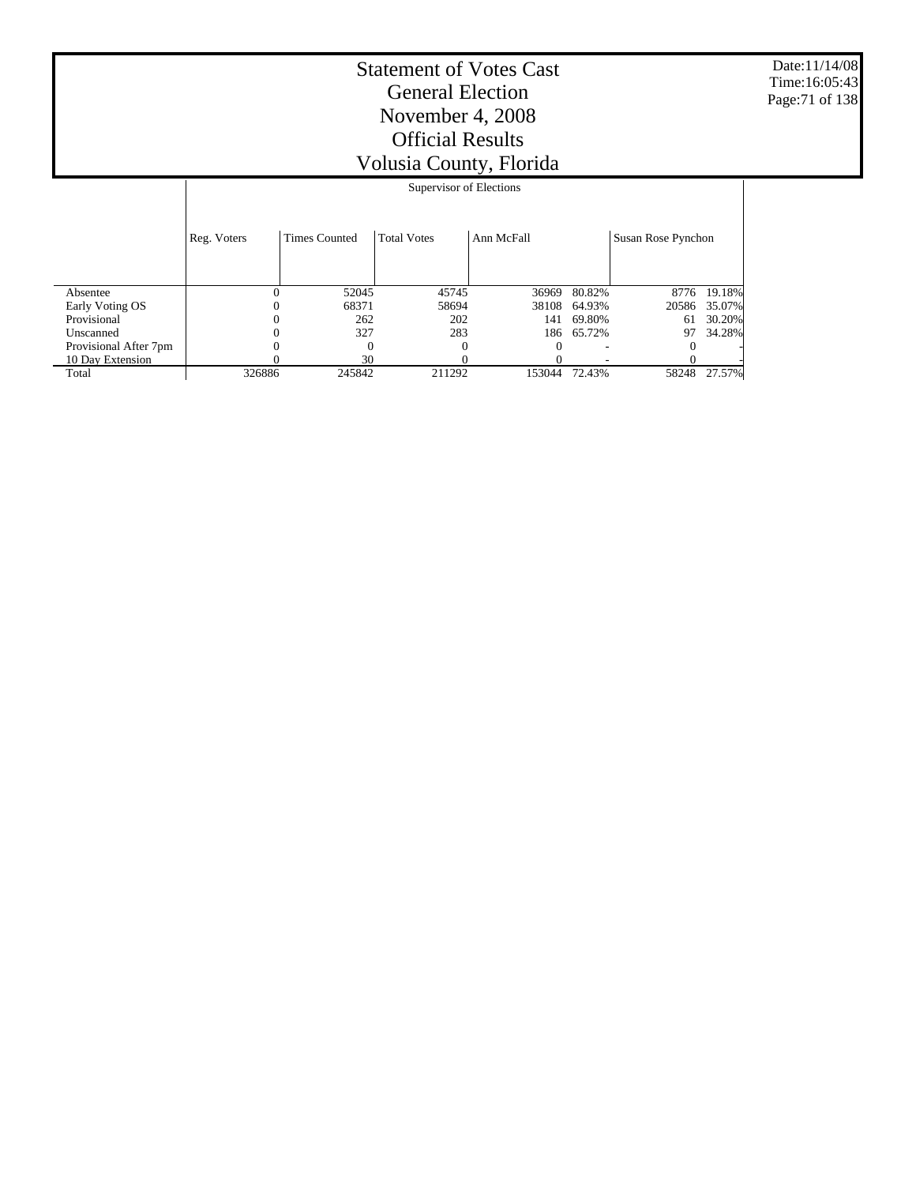Date:11/14/08 Time:16:05:43 Page:71 of 138

|                       | Supervisor of Elections |                      |                    |            |            |                    |        |  |  |
|-----------------------|-------------------------|----------------------|--------------------|------------|------------|--------------------|--------|--|--|
|                       | Reg. Voters             | <b>Times Counted</b> | <b>Total Votes</b> | Ann McFall |            | Susan Rose Pynchon |        |  |  |
|                       |                         |                      |                    |            |            |                    |        |  |  |
| Absentee              | $\Omega$                | 52045                | 45745              | 36969      | 80.82%     | 8776               | 19.18% |  |  |
| Early Voting OS       | 0                       | 68371                | 58694              | 38108      | 64.93%     | 20586              | 35.07% |  |  |
| Provisional           | 0                       | 262                  | 202                | 141        | 69.80%     | 61                 | 30.20% |  |  |
| Unscanned             |                         | 327                  | 283                |            | 186 65.72% | 97                 | 34.28% |  |  |
| Provisional After 7pm |                         | $\Omega$             | 0                  |            |            |                    |        |  |  |
| 10 Day Extension      |                         | 30                   |                    |            |            |                    |        |  |  |
| Total                 | 326886                  | 245842               | 211292             | 153044     | 72.43%     | 58248              | 27.57% |  |  |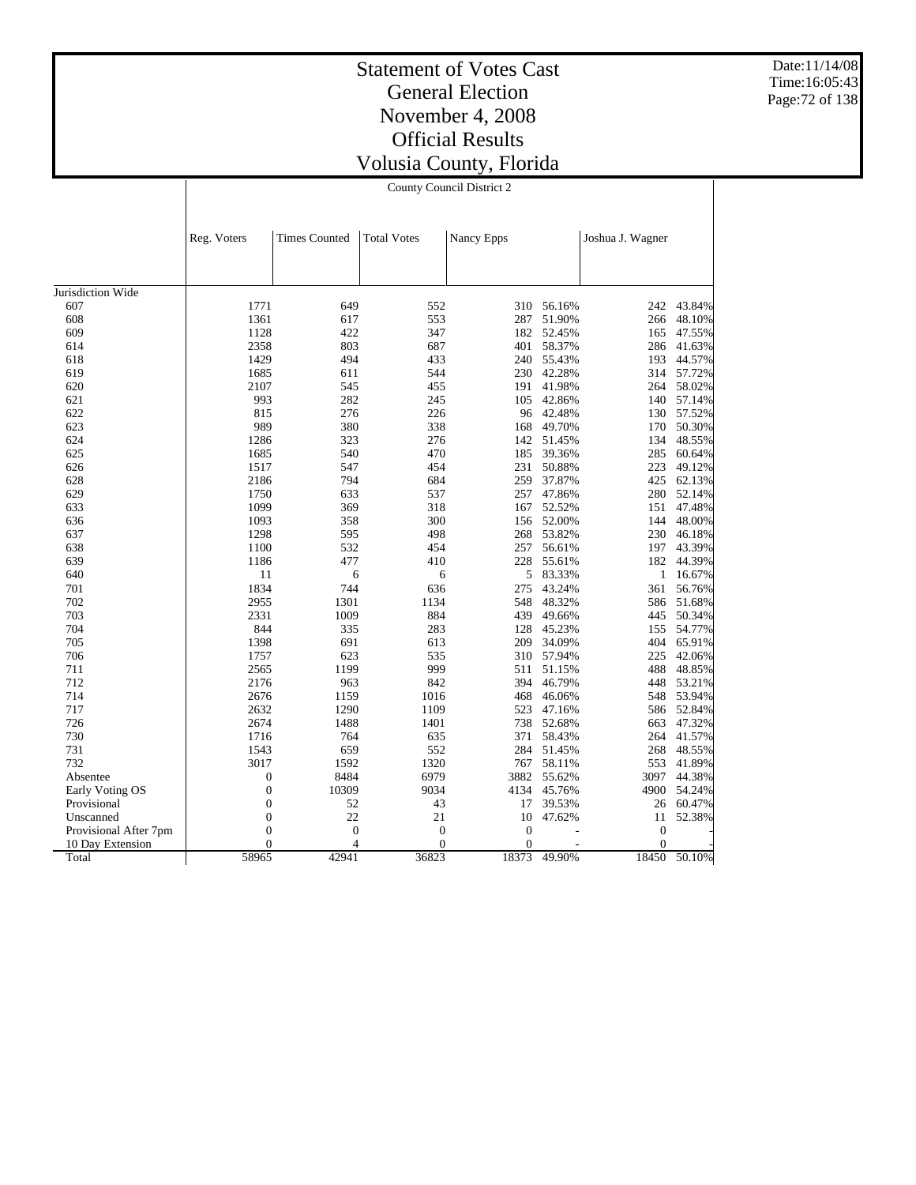Date:11/14/08 Time:16:05:43 Page:72 of 138

# Statement of Votes Cast General Election November 4, 2008 Official Results Volusia County, Florida

County Council District 2

|                       | Reg. Voters      | <b>Times Counted</b> | <b>Total Votes</b> | Nancy Epps |        | Joshua J. Wagner |            |
|-----------------------|------------------|----------------------|--------------------|------------|--------|------------------|------------|
|                       |                  |                      |                    |            |        |                  |            |
| Jurisdiction Wide     |                  |                      |                    |            |        |                  |            |
| 607                   | 1771             | 649                  | 552                | 310        | 56.16% | 242              | 43.84%     |
| 608                   | 1361             | 617                  | 553                | 287        | 51.90% | 266              | 48.10%     |
| 609                   | 1128             | 422                  | 347                | 182        | 52.45% | 165              | 47.55%     |
| 614                   | 2358             | 803                  | 687                | 401        | 58.37% | 286              | 41.63%     |
| 618                   | 1429             | 494                  | 433                | 240        | 55.43% | 193              | 44.57%     |
| 619                   | 1685             | 611                  | 544                | 230        | 42.28% |                  | 314 57.72% |
| 620                   | 2107             | 545                  | 455                | 191        | 41.98% | 264              | 58.02%     |
|                       | 993              | 282                  |                    |            |        |                  |            |
| 621                   |                  |                      | 245                | 105        | 42.86% | 140              | 57.14%     |
| 622                   | 815              | 276                  | 226                | 96         | 42.48% | 130              | 57.52%     |
| 623                   | 989              | 380                  | 338                | 168        | 49.70% | 170              | 50.30%     |
| 624                   | 1286             | 323                  | 276                | 142        | 51.45% | 134              | 48.55%     |
| 625                   | 1685             | 540                  | 470                | 185        | 39.36% | 285              | 60.64%     |
| 626                   | 1517             | 547                  | 454                | 231        | 50.88% | 223              | 49.12%     |
| 628                   | 2186             | 794                  | 684                | 259        | 37.87% | 425              | 62.13%     |
| 629                   | 1750             | 633                  | 537                | 257        | 47.86% | 280              | 52.14%     |
| 633                   | 1099             | 369                  | 318                | 167        | 52.52% | 151              | 47.48%     |
| 636                   | 1093             | 358                  | 300                | 156        | 52.00% | 144              | 48.00%     |
| 637                   | 1298             | 595                  | 498                | 268        | 53.82% | 230              | 46.18%     |
| 638                   | 1100             | 532                  | 454                | 257        | 56.61% | 197              | 43.39%     |
| 639                   | 1186             | 477                  | 410                | 228        | 55.61% | 182              | 44.39%     |
| 640                   | 11               | 6                    | 6                  | 5          | 83.33% | 1                | 16.67%     |
| 701                   | 1834             | 744                  | 636                | 275        | 43.24% | 361              | 56.76%     |
| 702                   | 2955             | 1301                 | 1134               | 548        | 48.32% | 586              | 51.68%     |
| 703                   | 2331             | 1009                 | 884                | 439        | 49.66% | 445              | 50.34%     |
| 704                   | 844              | 335                  | 283                | 128        | 45.23% | 155              | 54.77%     |
| 705                   | 1398             | 691                  | 613                | 209        | 34.09% | 404              | 65.91%     |
| 706                   | 1757             | 623                  | 535                | 310        | 57.94% | 225              | 42.06%     |
| 711                   | 2565             | 1199                 | 999                | 511        | 51.15% | 488              | 48.85%     |
| 712                   | 2176             | 963                  | 842                | 394        | 46.79% | 448              | 53.21%     |
| 714                   | 2676             | 1159                 | 1016               | 468        | 46.06% | 548              | 53.94%     |
| 717                   | 2632             | 1290                 | 1109               | 523        | 47.16% | 586              | 52.84%     |
| 726                   | 2674             | 1488                 | 1401               | 738        | 52.68% | 663              | 47.32%     |
| 730                   | 1716             | 764                  | 635                | 371        | 58.43% | 264              | 41.57%     |
|                       |                  | 659                  | 552                | 284        |        |                  |            |
| 731                   | 1543             |                      |                    |            | 51.45% | 268              | 48.55%     |
| 732                   | 3017             | 1592                 | 1320               | 767        | 58.11% | 553              | 41.89%     |
| Absentee              | $\boldsymbol{0}$ | 8484                 | 6979               | 3882       | 55.62% | 3097             | 44.38%     |
| Early Voting OS       | $\boldsymbol{0}$ | 10309                | 9034               | 4134       | 45.76% | 4900             | 54.24%     |
| Provisional           | $\mathbf{0}$     | 52                   | 43                 | 17         | 39.53% | 26               | 60.47%     |
| Unscanned             | $\mathbf{0}$     | 22                   | 21                 | 10         | 47.62% | 11               | 52.38%     |
| Provisional After 7pm | $\mathbf{0}$     | $\mathbf{0}$         | $\boldsymbol{0}$   | $\theta$   |        | $\mathbf{0}$     |            |
| 10 Day Extension      | $\overline{0}$   | $\overline{4}$       | $\theta$           | $\theta$   |        | $\Omega$         |            |
| Total                 | 58965            | 42941                | 36823              | 18373      | 49.90% | 18450            | 50.10%     |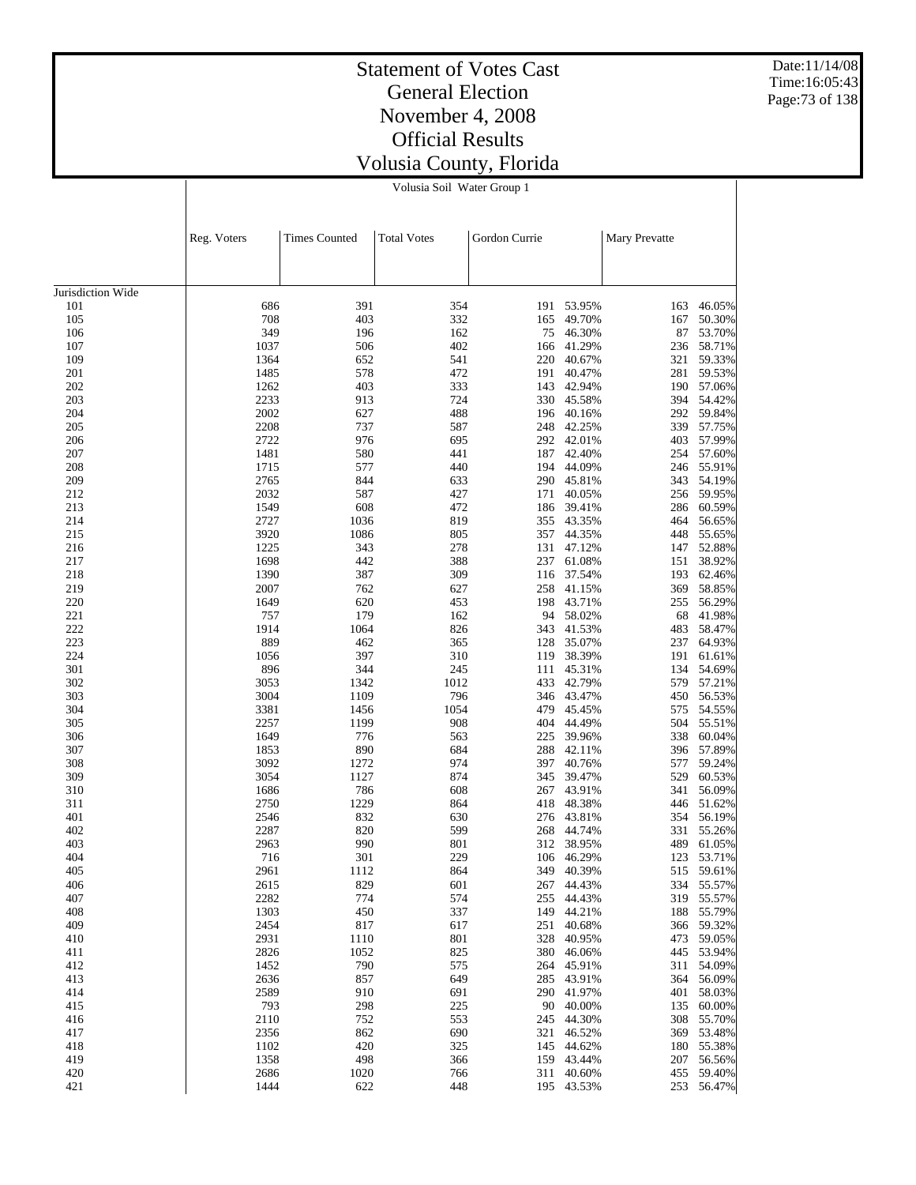Date:11/14/08 Time:16:05:43 Page:73 of 138

#### Statement of Votes Cast General Election November 4, 2008 Official Results Volusia County, Florida Volusia Soil Water Group 1

|                   | Reg. Voters  | <b>Times Counted</b> | <b>Total Votes</b> | Gordon Currie |                          | Mary Prevatte |                          |
|-------------------|--------------|----------------------|--------------------|---------------|--------------------------|---------------|--------------------------|
|                   |              |                      |                    |               |                          |               |                          |
| Jurisdiction Wide |              |                      |                    |               |                          |               |                          |
| 101               | 686          | 391                  | 354                |               | 191 53.95%               | 163           | 46.05%                   |
| 105               | 708          | 403                  | 332                | 165           | 49.70%                   | 167           | 50.30%                   |
| 106               | 349          | 196                  | 162                | 75            | 46.30%                   | 87            | 53.70%                   |
| 107               | 1037         | 506                  | 402                | 166           | 41.29%                   | 236           | 58.71%                   |
| 109               | 1364         | 652                  | 541                | 220           | 40.67%                   | 321           | 59.33%                   |
| 201               | 1485         | 578                  | 472                | 191           | 40.47%                   | 281           | 59.53%                   |
| 202               | 1262         | 403                  | 333                | 143           | 42.94%                   | 190           | 57.06%                   |
| 203               | 2233         | 913                  | 724                | 330           | 45.58%                   | 394           | 54.42%                   |
| 204               | 2002         | 627                  | 488                |               | 196 40.16%               | 292           | 59.84%                   |
| 205               | 2208         | 737                  | 587                | 248           | 42.25%                   | 339           | 57.75%                   |
| 206               | 2722         | 976                  | 695                | 292           | 42.01%                   | 403           | 57.99%                   |
| 207<br>208        | 1481<br>1715 | 580<br>577           | 441<br>440         | 187<br>194    | 42.40%<br>44.09%         | 254           | 57.60%<br>246 55.91%     |
| 209               | 2765         | 844                  | 633                |               | 290 45.81%               | 343           | 54.19%                   |
| 212               | 2032         | 587                  | 427                | 171           | 40.05%                   | 256           | 59.95%                   |
| 213               | 1549         | 608                  | 472                | 186           | 39.41%                   | 286           | 60.59%                   |
| 214               | 2727         | 1036                 | 819                |               | 355 43.35%               | 464           | 56.65%                   |
| 215               | 3920         | 1086                 | 805                | 357           | 44.35%                   | 448           | 55.65%                   |
| 216               | 1225         | 343                  | 278                |               | 131 47.12%               | 147           | 52.88%                   |
| 217               | 1698         | 442                  | 388                | 237           | 61.08%                   | 151           | 38.92%                   |
| 218               | 1390         | 387                  | 309                |               | 116 37.54%               | 193           | 62.46%                   |
| 219               | 2007         | 762                  | 627                | 258           | 41.15%                   | 369           | 58.85%                   |
| 220               | 1649         | 620                  | 453                | 198           | 43.71%                   | 255           | 56.29%                   |
| 221               | 757          | 179                  | 162                | 94            | 58.02%                   | 68            | 41.98%                   |
| 222               | 1914         | 1064                 | 826                | 343           | 41.53%                   | 483           | 58.47%                   |
| 223               | 889          | 462                  | 365                | 128           | 35.07%                   | 237           | 64.93%                   |
| 224               | 1056         | 397                  | 310                | 119           | 38.39%                   | 191           | 61.61%                   |
| 301<br>302        | 896<br>3053  | 344<br>1342          | 245<br>1012        | 111<br>433    | 45.31%<br>42.79%         | 134<br>579    | 54.69%<br>57.21%         |
| 303               | 3004         | 1109                 | 796                | 346           | 43.47%                   | 450           | 56.53%                   |
| 304               | 3381         | 1456                 | 1054               | 479           | 45.45%                   | 575           | 54.55%                   |
| 305               | 2257         | 1199                 | 908                | 404           | 44.49%                   | 504           | 55.51%                   |
| 306               | 1649         | 776                  | 563                | 225           | 39.96%                   | 338           | 60.04%                   |
| 307               | 1853         | 890                  | 684                | 288           | 42.11%                   | 396           | 57.89%                   |
| 308               | 3092         | 1272                 | 974                | 397           | 40.76%                   | 577           | 59.24%                   |
| 309               | 3054         | 1127                 | 874                | 345           | 39.47%                   | 529           | 60.53%                   |
| 310               | 1686         | 786                  | 608                |               | 267 43.91%               | 341           | 56.09%                   |
| 311               | 2750         | 1229                 | 864                | 418           | 48.38%                   | 446           | 51.62%                   |
| 401               | 2546         | 832                  | 630                |               | 276 43.81%               | 354           | 56.19%                   |
| 402               | 2287         | 820                  | 599                | 268           | 44.74%                   | 331           | 55.26%                   |
| 403<br>404        | 2963<br>716  | 990<br>301           | 801<br>229         | 312           | 38.95%                   | 123           | 489 61.05%               |
| 405               | 2961         | 1112                 | 864                | 106<br>349    | 46.29%<br>40.39%         |               | 53.71%<br>515 59.61%     |
| 406               | 2615         | 829                  | 601                |               | 267 44.43%               |               | 334 55.57%               |
| 407               | 2282         | 774                  | 574                |               | 255 44.43%               |               | 319 55.57%               |
| 408               | 1303         | 450                  | 337                |               | 149 44.21%               |               | 188 55.79%               |
| 409               | 2454         | 817                  | 617                |               | 251 40.68%               |               | 366 59.32%               |
| 410               | 2931         | 1110                 | 801                |               | 328 40.95%               |               | 473 59.05%               |
| 411               | 2826         | 1052                 | 825                |               | 380 46.06%               |               | 445 53.94%               |
| 412               | 1452         | 790                  | 575                |               | 264 45.91%               |               | 311 54.09%               |
| 413               | 2636         | 857                  | 649                |               | 285 43.91%               |               | 364 56.09%               |
| 414               | 2589         | 910                  | 691                |               | 290 41.97%               |               | 401 58.03%               |
| 415               | 793          | 298                  | 225                |               | 90 40.00%                |               | 135 60.00%               |
| 416               | 2110         | 752                  | 553                |               | 245 44.30%               | 308           | 55.70%                   |
| 417               | 2356         | 862                  | 690                |               | 321 46.52%               |               | 369 53.48%               |
| 418               | 1102         | 420                  | 325                |               | 145 44.62%               |               | 180 55.38%               |
| 419<br>420        | 1358<br>2686 | 498<br>1020          | 366<br>766         |               | 159 43.44%<br>311 40.60% |               | 207 56.56%<br>455 59.40% |
| 421               | 1444         | 622                  | 448                |               | 195 43.53%               |               | 253 56.47%               |
|                   |              |                      |                    |               |                          |               |                          |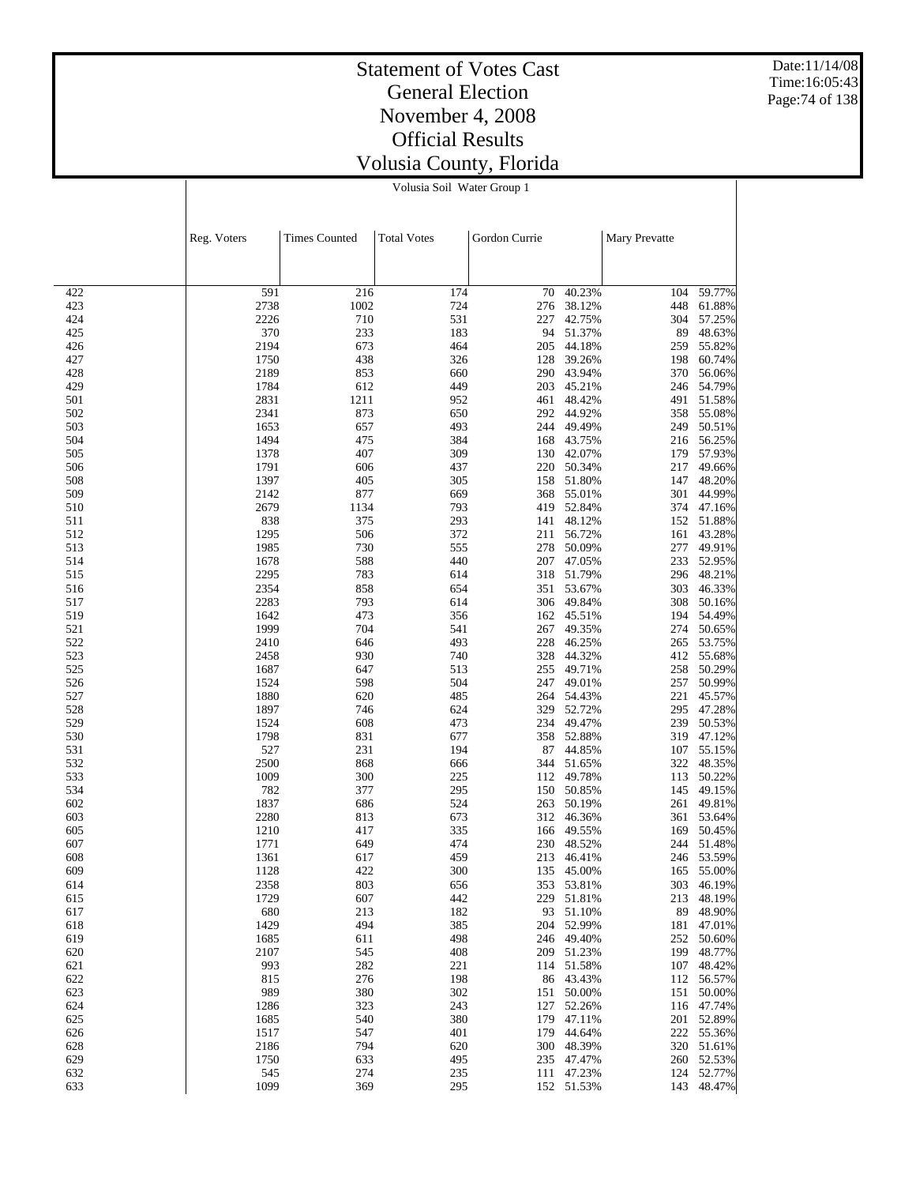Date:11/14/08 Time:16:05:43 Page:74 of 138

#### Statement of Votes Cast General Election November 4, 2008 Official Results Volusia County, Florida Volusia Soil Water Group 1

|            | Reg. Voters  | <b>Times Counted</b> | <b>Total Votes</b> | Gordon Currie |                         | Mary Prevatte |                      |
|------------|--------------|----------------------|--------------------|---------------|-------------------------|---------------|----------------------|
|            |              |                      |                    |               |                         |               |                      |
| 422        | 591          | 216                  | 174                | 70            | 40.23%                  | 104           | 59.77%               |
| 423        | 2738         | 1002                 | 724                | 276           | 38.12%                  | 448           | 61.88%               |
| 424        | 2226         | 710                  | 531                | 227           | 42.75%                  | 304           | 57.25%               |
| 425        | 370          | 233                  | 183                | 94            | 51.37%                  | 89            | 48.63%               |
| 426        | 2194         | 673                  | 464                | 205           | 44.18%                  | 259           | 55.82%               |
| 427        | 1750         | 438                  | 326                | 128           | 39.26%                  | 198           | 60.74%               |
| 428        | 2189         | 853                  | 660                |               | 290 43.94%              | 370           | 56.06%               |
| 429        | 1784         | 612                  | 449                | 203           | 45.21%                  | 246           | 54.79%               |
| 501        | 2831         | 1211                 | 952                | 461           | 48.42%                  | 491           | 51.58%               |
| 502<br>503 | 2341<br>1653 | 873<br>657           | 650<br>493         | 292<br>244    | 44.92%<br>49.49%        | 358<br>249    | 55.08%<br>50.51%     |
| 504        | 1494         | 475                  | 384                | 168           | 43.75%                  | 216           | 56.25%               |
| 505        | 1378         | 407                  | 309                |               | 130 42.07%              | 179           | 57.93%               |
| 506        | 1791         | 606                  | 437                | 220           | 50.34%                  | 217           | 49.66%               |
| 508        | 1397         | 405                  | 305                |               | 158 51.80%              | 147           | 48.20%               |
| 509        | 2142         | 877                  | 669                | 368           | 55.01%                  | 301           | 44.99%               |
| 510        | 2679         | 1134                 | 793                | 419           | 52.84%                  |               | 374 47.16%           |
| 511        | 838          | 375                  | 293                | 141           | 48.12%                  | 152           | 51.88%               |
| 512        | 1295         | 506                  | 372                | 211           | 56.72%                  | 161           | 43.28%               |
| 513        | 1985         | 730                  | 555                | 278           | 50.09%                  | 277           | 49.91%               |
| 514        | 1678         | 588                  | 440                | 207           | 47.05%                  | 233           | 52.95%               |
| 515        | 2295         | 783                  | 614                | 318           | 51.79%                  | 296           | 48.21%               |
| 516        | 2354<br>2283 | 858<br>793           | 654                | 351           | 53.67%<br>49.84%        | 303<br>308    | 46.33%               |
| 517<br>519 | 1642         | 473                  | 614<br>356         | 306<br>162    | 45.51%                  | 194           | 50.16%<br>54.49%     |
| 521        | 1999         | 704                  | 541                | 267           | 49.35%                  | 274           | 50.65%               |
| 522        | 2410         | 646                  | 493                | 228           | 46.25%                  | 265           | 53.75%               |
| 523        | 2458         | 930                  | 740                | 328           | 44.32%                  | 412           | 55.68%               |
| 525        | 1687         | 647                  | 513                | 255           | 49.71%                  | 258           | 50.29%               |
| 526        | 1524         | 598                  | 504                | 247           | 49.01%                  | 257           | 50.99%               |
| 527        | 1880         | 620                  | 485                | 264           | 54.43%                  | 221           | 45.57%               |
| 528        | 1897         | 746                  | 624                | 329           | 52.72%                  | 295           | 47.28%               |
| 529        | 1524         | 608                  | 473                | 234           | 49.47%                  | 239           | 50.53%               |
| 530        | 1798         | 831                  | 677                | 358           | 52.88%                  | 319           | 47.12%               |
| 531        | 527          | 231                  | 194                | 87            | 44.85%                  | 107           | 55.15%               |
| 532<br>533 | 2500         | 868<br>300           | 666                | 344           | 51.65%                  | 322           | 48.35%               |
| 534        | 1009<br>782  | 377                  | 225<br>295         | 112<br>150    | 49.78%<br>50.85%        | 113<br>145    | 50.22%<br>49.15%     |
| 602        | 1837         | 686                  | 524                | 263           | 50.19%                  | 261           | 49.81%               |
| 603        | 2280         | 813                  | 673                | 312           | 46.36%                  | 361           | 53.64%               |
| 605        | 1210         | 417                  | 335                | 166           | 49.55%                  | 169           | 50.45%               |
| 607        | 1771         | 649                  | 474                | 230           | 48.52%                  | 244           | 51.48%               |
| 608        | 1361         | 617                  | 459                | 213           | 46.41%                  | 246           | 53.59%               |
| 609        | 1128         | 422                  | 300                | 135           | 45.00%                  | 165           | 55.00%               |
| 614        | 2358         | 803                  | 656                |               | 353 53.81%              |               | 303 46.19%           |
| 615        | 1729         | 607                  | 442                |               | 229 51.81%              | 213           | 48.19%               |
| 617        | 680          | 213                  | 182                |               | 93 51.10%               | 89            | 48.90%               |
| 618        | 1429         | 494                  | 385                |               | 204 52.99%              | 181           | 47.01%               |
| 619        | 1685         | 611                  | 498                |               | 246 49.40%              | 252           | 50.60%               |
| 620        | 2107<br>993  | 545                  | 408                |               | 209 51.23%              | 199           | 48.77%               |
| 621<br>622 | 815          | 282<br>276           | 221<br>198         |               | 114 51.58%<br>86 43.43% | 107           | 48.42%<br>112 56.57% |
| 623        | 989          | 380                  | 302                |               | 151 50.00%              | 151           | 50.00%               |
| 624        | 1286         | 323                  | 243                | 127           | 52.26%                  |               | 116 47.74%           |
| 625        | 1685         | 540                  | 380                |               | 179 47.11%              | 201           | 52.89%               |
| 626        | 1517         | 547                  | 401                |               | 179 44.64%              | 222           | 55.36%               |
| 628        | 2186         | 794                  | 620                |               | 300 48.39%              |               | 320 51.61%           |
| 629        | 1750         | 633                  | 495                |               | 235 47.47%              |               | 260 52.53%           |
| 632        | 545          | 274                  | 235                |               | 111 47.23%              | 124           | 52.77%               |
| 633        | 1099         | 369                  | 295                |               | 152 51.53%              | 143           | 48.47%               |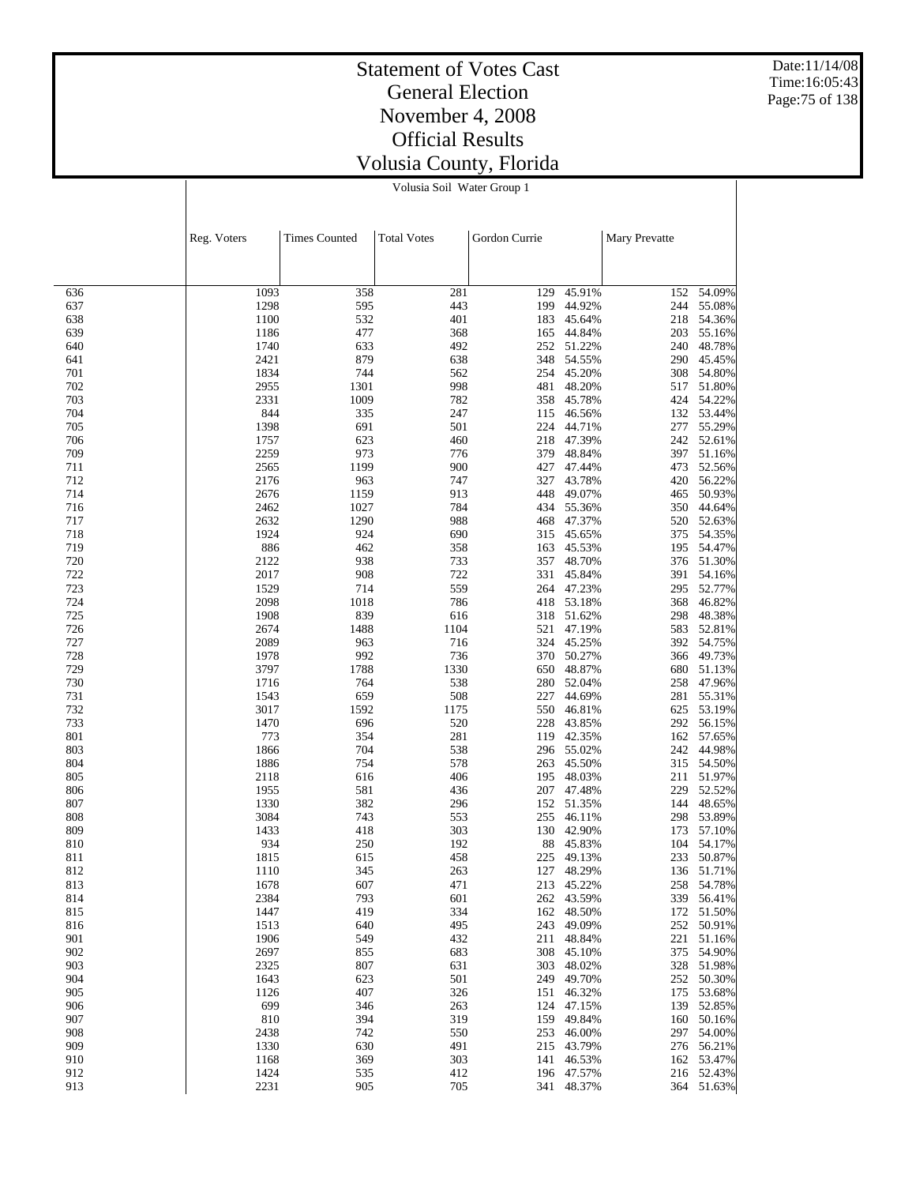Date:11/14/08 Time:16:05:43 Page:75 of 138

#### Statement of Votes Cast General Election November 4, 2008 Official Results Volusia County, Florida Volusia Soil Water Group 1

|            | Reg. Voters  | <b>Times Counted</b> | <b>Total Votes</b> | Gordon Currie |                      | Mary Prevatte |                      |
|------------|--------------|----------------------|--------------------|---------------|----------------------|---------------|----------------------|
|            |              |                      |                    |               |                      |               |                      |
| 636        | 1093         | 358                  | 281                | 129           | 45.91%               | 152           | 54.09%               |
| 637        | 1298         | 595                  | 443                | 199           | 44.92%               | 244           | 55.08%               |
| 638        | 1100         | 532                  | 401                | 183           | 45.64%               | 218           | 54.36%               |
| 639        | 1186         | 477                  | 368                | 165           | 44.84%               | 203           | 55.16%               |
| 640        | 1740         | 633                  | 492                | 252           | 51.22%               | 240           | 48.78%               |
| 641        | 2421         | 879                  | 638                | 348           | 54.55%               | 290           | 45.45%               |
| 701<br>702 | 1834<br>2955 | 744<br>1301          | 562<br>998         | 254<br>481    | 45.20%<br>48.20%     | 308<br>517    | 54.80%<br>51.80%     |
| 703        | 2331         | 1009                 | 782                | 358           | 45.78%               | 424           | 54.22%               |
| 704        | 844          | 335                  | 247                | 115           | 46.56%               | 132           | 53.44%               |
| 705        | 1398         | 691                  | 501                | 224           | 44.71%               | 277           | 55.29%               |
| 706        | 1757         | 623                  | 460                | 218           | 47.39%               | 242           | 52.61%               |
| 709        | 2259         | 973                  | 776                | 379           | 48.84%               | 397           | 51.16%               |
| 711<br>712 | 2565<br>2176 | 1199<br>963          | 900<br>747         | 427<br>327    | 47.44%<br>43.78%     | 473<br>420    | 52.56%<br>56.22%     |
| 714        | 2676         | 1159                 | 913                | 448           | 49.07%               | 465           | 50.93%               |
| 716        | 2462         | 1027                 | 784                | 434           | 55.36%               | 350           | 44.64%               |
| 717        | 2632         | 1290                 | 988                | 468           | 47.37%               | 520           | 52.63%               |
| 718        | 1924         | 924                  | 690                | 315           | 45.65%               | 375           | 54.35%               |
| 719        | 886          | 462                  | 358                | 163           | 45.53%               | 195           | 54.47%               |
| 720        | 2122         | 938                  | 733                | 357           | 48.70%               |               | 376 51.30%           |
| 722<br>723 | 2017<br>1529 | 908<br>714           | 722<br>559         | 331<br>264    | 45.84%<br>47.23%     | 391<br>295    | 54.16%<br>52.77%     |
| 724        | 2098         | 1018                 | 786                | 418           | 53.18%               | 368           | 46.82%               |
| 725        | 1908         | 839                  | 616                |               | 318 51.62%           | 298           | 48.38%               |
| 726        | 2674         | 1488                 | 1104               | 521           | 47.19%               | 583           | 52.81%               |
| 727        | 2089         | 963                  | 716                | 324           | 45.25%               | 392           | 54.75%               |
| 728        | 1978         | 992                  | 736                | 370           | 50.27%               | 366           | 49.73%               |
| 729        | 3797         | 1788                 | 1330               |               | 650 48.87%           | 680           | 51.13%               |
| 730        | 1716<br>1543 | 764<br>659           | 538                | 280<br>227    | 52.04%               | 258           | 47.96%               |
| 731<br>732 | 3017         | 1592                 | 508<br>1175        | 550           | 44.69%<br>46.81%     | 281<br>625    | 55.31%<br>53.19%     |
| 733        | 1470         | 696                  | 520                | 228           | 43.85%               | 292           | 56.15%               |
| 801        | 773          | 354                  | 281                | 119           | 42.35%               | 162           | 57.65%               |
| 803        | 1866         | 704                  | 538                |               | 296 55.02%           | 242           | 44.98%               |
| 804        | 1886         | 754                  | 578                | 263           | 45.50%               | 315           | 54.50%               |
| 805        | 2118         | 616                  | 406                | 195           | 48.03%               | 211           | 51.97%               |
| 806<br>807 | 1955<br>1330 | 581<br>382           | 436<br>296         | 207<br>152    | 47.48%<br>51.35%     | 229<br>144    | 52.52%<br>48.65%     |
| 808        | 3084         | 743                  | 553                | 255           | 46.11%               | 298           | 53.89%               |
| 809        | 1433         | 418                  | 303                | 130           | 42.90%               | 173           | 57.10%               |
| 810        | 934          | 250                  | 192                | 88            | 45.83%               | 104           | 54.17%               |
| 811        | 1815         | 615                  | 458                | 225           | 49.13%               | 233           | 50.87%               |
| 812        | 1110         | 345                  | 263                | 127           | 48.29%               | 136           | 51.71%               |
| 813        | 1678         | 607                  | 471                |               | 213 45.22%           |               | 258 54.78%           |
| 814<br>815 | 2384<br>1447 | 793<br>419           | 601<br>334         | 162           | 262 43.59%<br>48.50% | 172           | 339 56.41%<br>51.50% |
| 816        | 1513         | 640                  | 495                | 243           | 49.09%               | 252           | 50.91%               |
| 901        | 1906         | 549                  | 432                | 211           | 48.84%               | 221           | 51.16%               |
| 902        | 2697         | 855                  | 683                |               | 308 45.10%           | 375           | 54.90%               |
| 903        | 2325         | 807                  | 631                | 303           | 48.02%               |               | 328 51.98%           |
| 904        | 1643         | 623                  | 501                |               | 249 49.70%           | 252           | 50.30%               |
| 905        | 1126         | 407                  | 326                |               | 151 46.32%           | 175           | 53.68%               |
| 906<br>907 | 699<br>810   | 346<br>394           | 263<br>319         | 124           | 47.15%<br>159 49.84% | 139           | 52.85%<br>160 50.16% |
| 908        | 2438         | 742                  | 550                |               | 253 46.00%           | 297           | 54.00%               |
| 909        | 1330         | 630                  | 491                |               | 215 43.79%           |               | 276 56.21%           |
| 910        | 1168         | 369                  | 303                | 141           | 46.53%               | 162           | 53.47%               |
| 912        | 1424         | 535                  | 412                |               | 196 47.57%           |               | 216 52.43%           |
| 913        | 2231         | 905                  | 705                |               | 341 48.37%           |               | 364 51.63%           |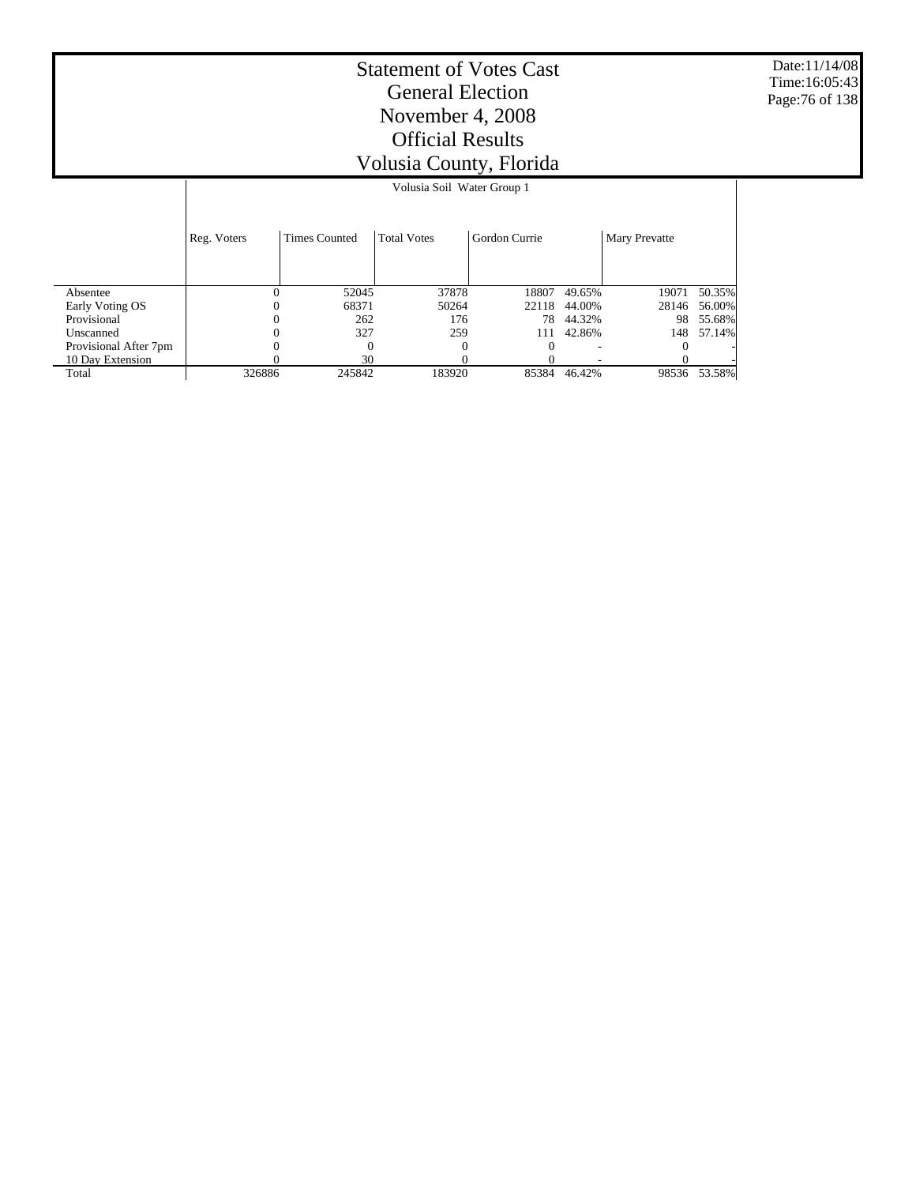Date:11/14/08 Time:16:05:43 Page:76 of 138

|                       |             |                      | Volusia Soil Water Group 1 |               |        |               |        |
|-----------------------|-------------|----------------------|----------------------------|---------------|--------|---------------|--------|
|                       | Reg. Voters | <b>Times Counted</b> | <b>Total Votes</b>         | Gordon Currie |        | Mary Prevatte |        |
| Absentee              | $\theta$    | 52045                | 37878                      | 18807         | 49.65% | 19071         | 50.35% |
| Early Voting OS       | 0           | 68371                | 50264                      | 22118         | 44.00% | 28146         | 56.00% |
| Provisional           | $\Omega$    | 262                  | 176                        | 78            | 44.32% | 98            | 55.68% |
| Unscanned             |             | 327                  | 259                        | 111           | 42.86% | 148           | 57.14% |
| Provisional After 7pm |             |                      |                            |               |        |               |        |
| 10 Day Extension      |             | 30                   |                            |               |        |               |        |
| Total                 | 326886      | 245842               | 183920                     | 85384         | 46.42% | 98536         | 53.58% |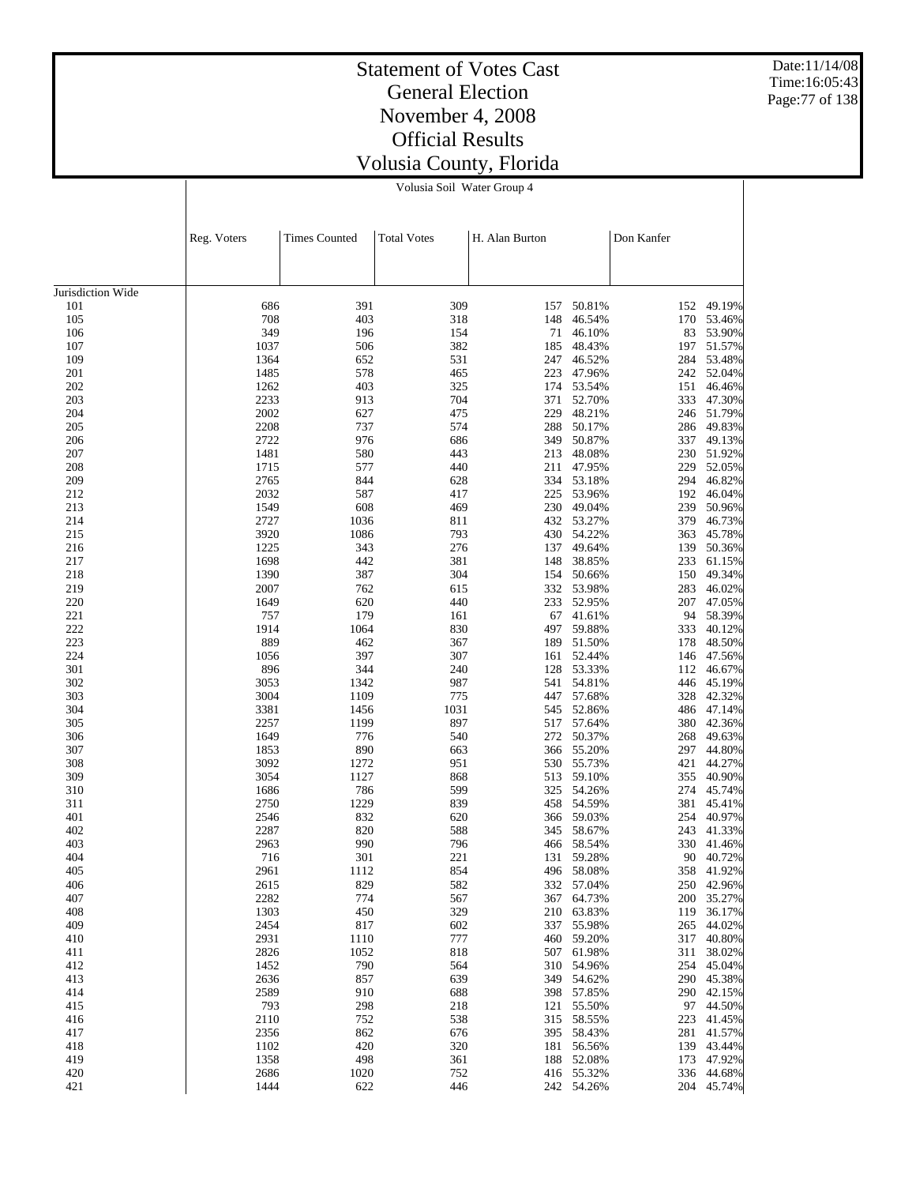Date:11/14/08 Time:16:05:43 Page:77 of 138

#### Statement of Votes Cast General Election November 4, 2008 Official Results Volusia County, Florida

Volusia Soil Water Group 4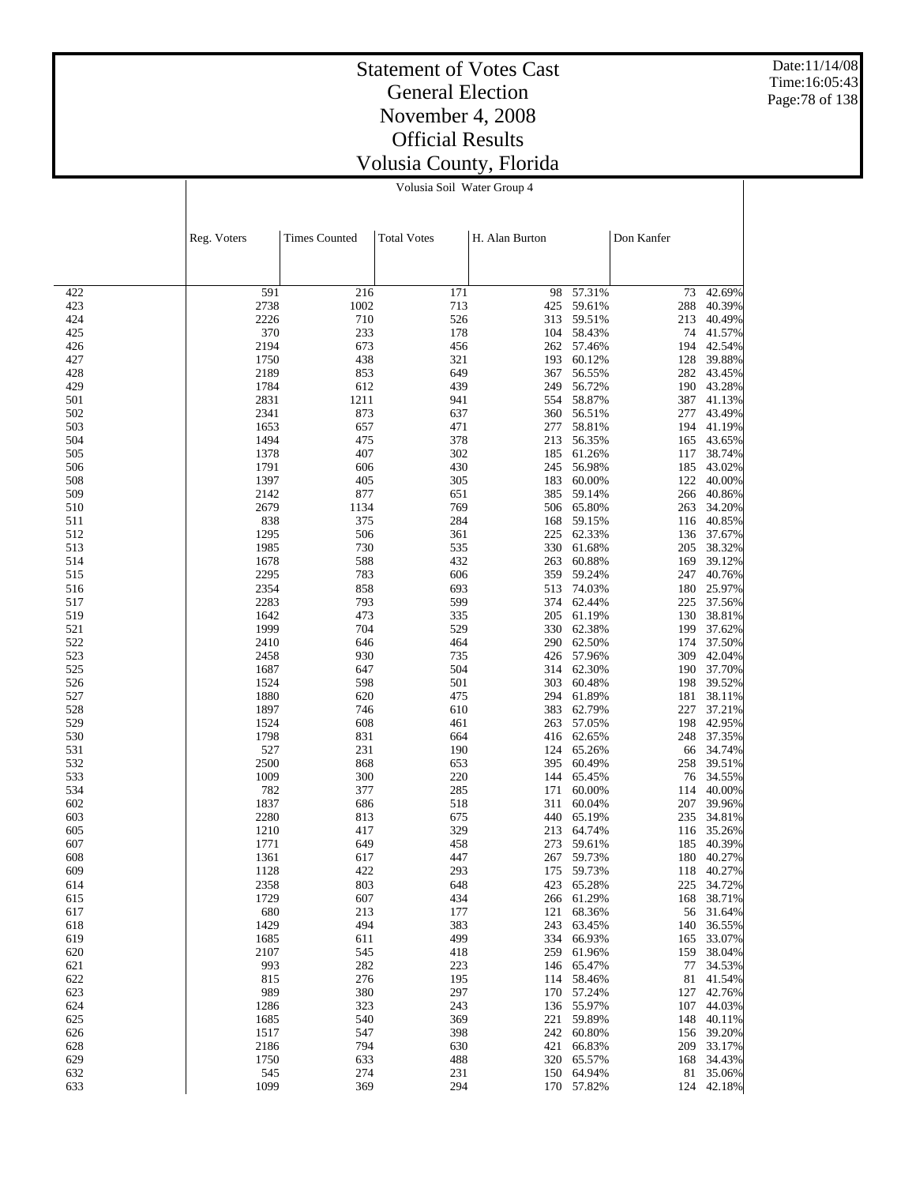Date:11/14/08 Time:16:05:43 Page:78 of 138

#### Statement of Votes Cast General Election November 4, 2008 Official Results Volusia County, Florida

Volusia Soil Water Group 4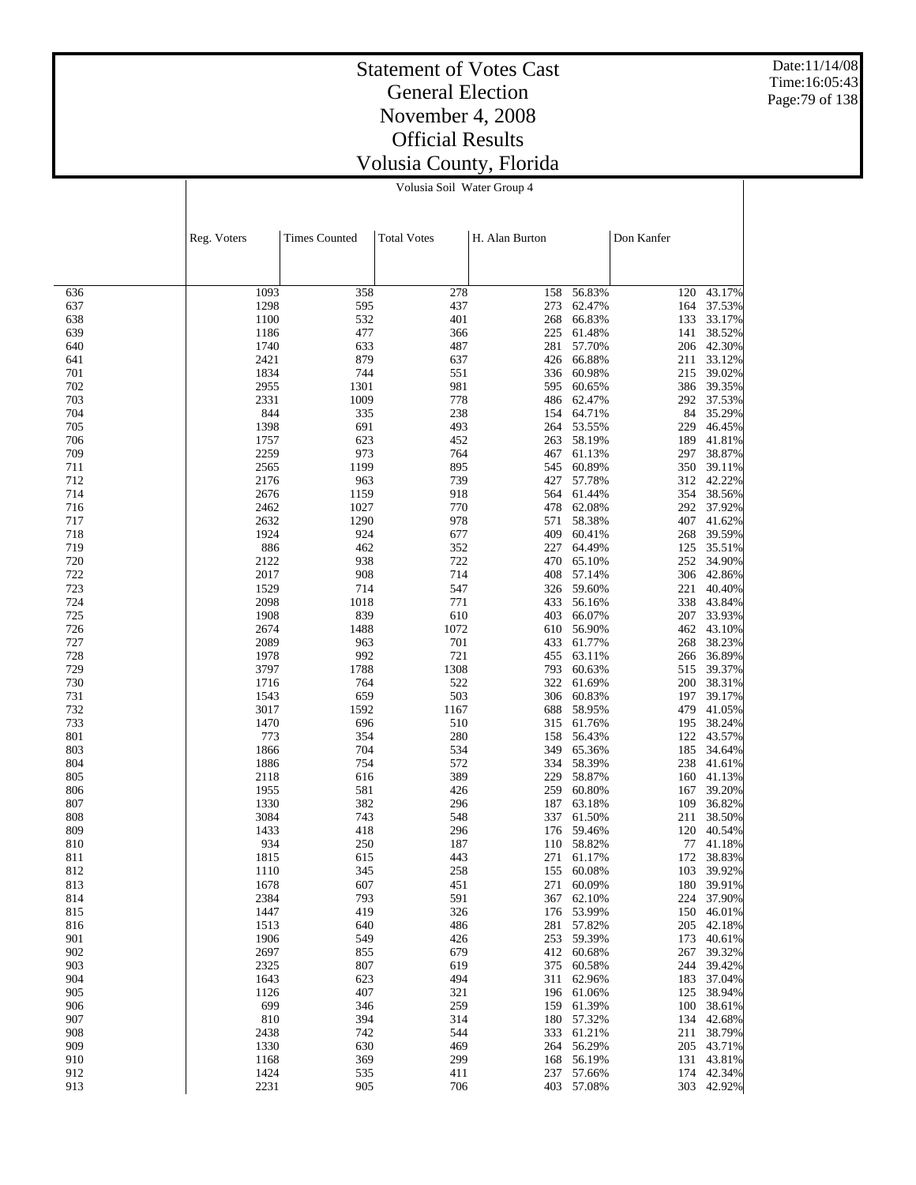Date:11/14/08 Time:16:05:43 Page:79 of 138

#### Statement of Votes Cast General Election November 4, 2008 Official Results Volusia County, Florida

Volusia Soil Water Group 4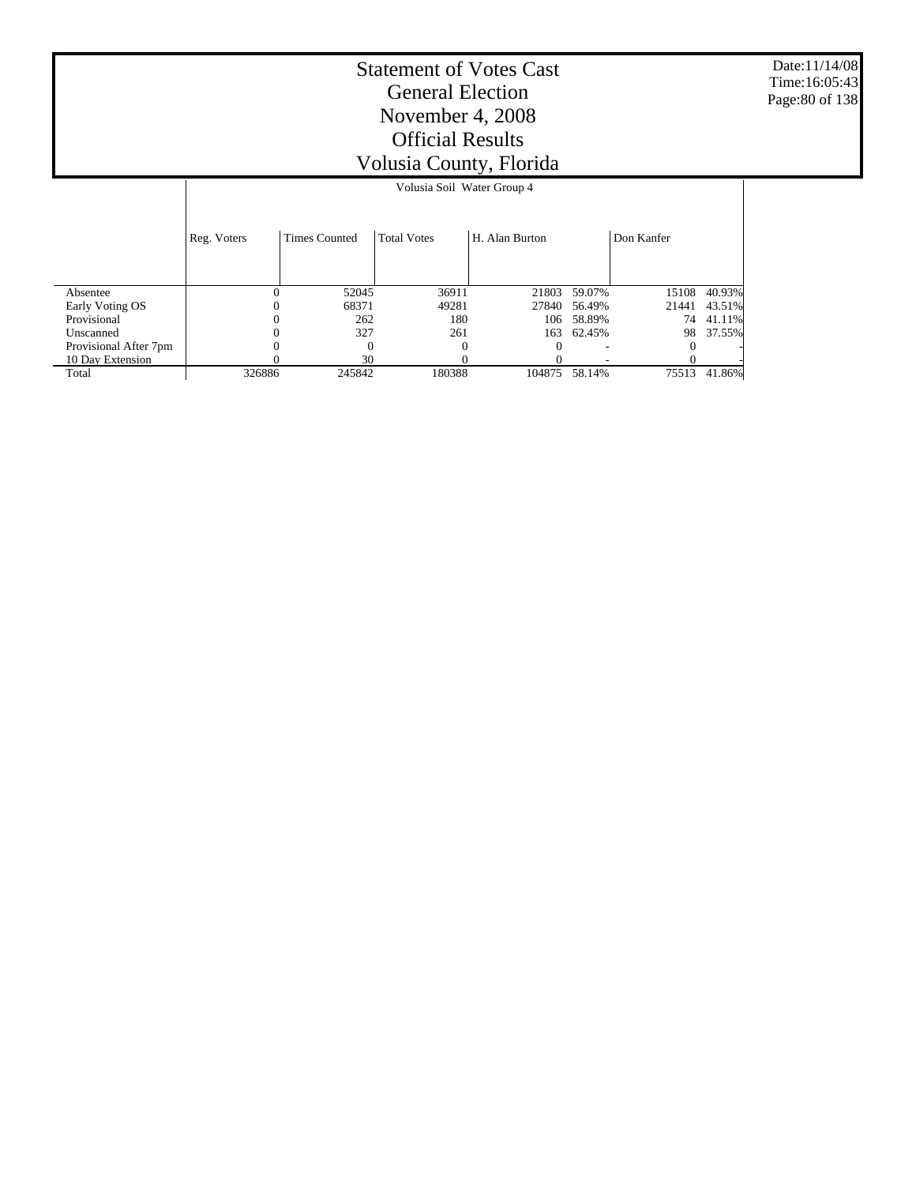Date:11/14/08 Time:16:05:43 Page:80 of 138

|                       |             |                      | Volusia Soil Water Group 4 |                |        |            |        |
|-----------------------|-------------|----------------------|----------------------------|----------------|--------|------------|--------|
|                       | Reg. Voters | <b>Times Counted</b> | <b>Total Votes</b>         | H. Alan Burton |        | Don Kanfer |        |
|                       |             |                      |                            |                |        |            |        |
| Absentee              |             | 52045                | 36911                      | 21803          | 59.07% | 15108      | 40.93% |
| Early Voting OS       |             | 68371                | 49281                      | 27840          | 56.49% | 21441      | 43.51% |
| Provisional           |             | 262                  | 180                        | 106            | 58.89% | 74         | 41.11% |
| Unscanned             |             | 327                  | 261                        | 163            | 62.45% | 98         | 37.55% |
| Provisional After 7pm |             |                      | 0                          | $\theta$       |        |            |        |
| 10 Day Extension      |             | 30                   |                            |                |        |            |        |
| Total                 | 326886      | 245842               | 180388                     | 104875         | 58.14% | 75513      | 41.86% |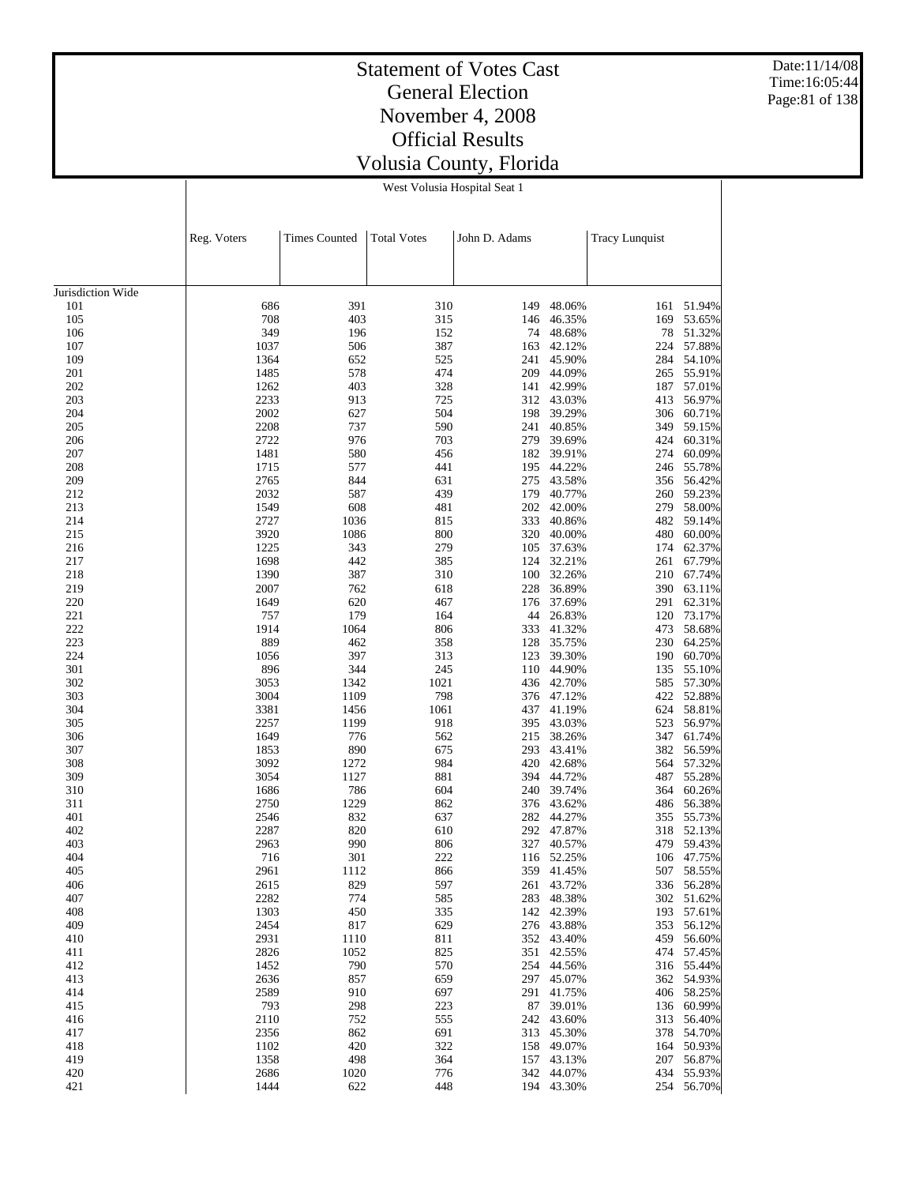Date:11/14/08 Time:16:05:44 Page:81 of 138

#### Statement of Votes Cast General Election November 4, 2008 Official Results Volusia County, Florida

West Volusia Hospital Seat 1

|                   | Reg. Voters  | <b>Times Counted</b> | <b>Total Votes</b> | John D. Adams |                         | <b>Tracy Lunquist</b> |                          |
|-------------------|--------------|----------------------|--------------------|---------------|-------------------------|-----------------------|--------------------------|
|                   |              |                      |                    |               |                         |                       |                          |
|                   |              |                      |                    |               |                         |                       |                          |
| Jurisdiction Wide |              |                      |                    |               |                         |                       |                          |
| 101<br>105        | 686<br>708   | 391<br>403           | 310<br>315         | 149<br>146    | 48.06%<br>46.35%        | 161<br>169            | 51.94%<br>53.65%         |
| 106               | 349          | 196                  | 152                | 74            | 48.68%                  | 78                    | 51.32%                   |
| 107               | 1037         | 506                  | 387                | 163           | 42.12%                  | 224                   | 57.88%                   |
| 109               | 1364         | 652                  | 525                | 241           | 45.90%                  | 284                   | 54.10%                   |
| 201               | 1485         | 578                  | 474                | 209           | 44.09%                  | 265                   | 55.91%                   |
| 202               | 1262         | 403                  | 328                | 141           | 42.99%                  | 187                   | 57.01%                   |
| 203               | 2233         | 913                  | 725                |               | 312 43.03%              | 413                   | 56.97%                   |
| 204               | 2002         | 627                  | 504                | 198           | 39.29%                  | 306                   | 60.71%                   |
| 205               | 2208         | 737                  | 590                | 241           | 40.85%                  | 349                   | 59.15%                   |
| 206               | 2722         | 976                  | 703                | 279           | 39.69%                  | 424                   | 60.31%                   |
| 207               | 1481         | 580                  | 456                | 182           | 39.91%                  | 274                   | 60.09%                   |
| 208               | 1715         | 577                  | 441                | 195           | 44.22%                  | 246                   | 55.78%                   |
| 209               | 2765         | 844                  | 631                | 275           | 43.58%                  | 356                   | 56.42%                   |
| 212               | 2032         | 587                  | 439                | 179           | 40.77%                  | 260                   | 59.23%                   |
| 213               | 1549         | 608                  | 481                | 202           | 42.00%                  | 279                   | 58.00%                   |
| 214               | 2727         | 1036                 | 815                | 333           | 40.86%                  | 482                   | 59.14%                   |
| 215<br>216        | 3920<br>1225 | 1086<br>343          | 800<br>279         | 320<br>105    | 40.00%<br>37.63%        | 480<br>174            | 60.00%<br>62.37%         |
| 217               | 1698         | 442                  | 385                | 124           | 32.21%                  | 261                   | 67.79%                   |
| 218               | 1390         | 387                  | 310                | 100           | 32.26%                  |                       | 210 67.74%               |
| 219               | 2007         | 762                  | 618                | 228           | 36.89%                  | 390                   | 63.11%                   |
| 220               | 1649         | 620                  | 467                | 176           | 37.69%                  | 291                   | 62.31%                   |
| 221               | 757          | 179                  | 164                | 44            | 26.83%                  | 120                   | 73.17%                   |
| 222               | 1914         | 1064                 | 806                | 333           | 41.32%                  | 473                   | 58.68%                   |
| 223               | 889          | 462                  | 358                | 128           | 35.75%                  | 230                   | 64.25%                   |
| 224               | 1056         | 397                  | 313                | 123           | 39.30%                  | 190                   | 60.70%                   |
| 301               | 896          | 344                  | 245                | 110           | 44.90%                  | 135                   | 55.10%                   |
| 302               | 3053         | 1342                 | 1021               | 436           | 42.70%                  | 585                   | 57.30%                   |
| 303               | 3004         | 1109                 | 798                | 376           | 47.12%                  | 422                   | 52.88%                   |
| 304               | 3381         | 1456                 | 1061               | 437           | 41.19%                  | 624                   | 58.81%                   |
| 305               | 2257         | 1199                 | 918                | 395           | 43.03%                  | 523                   | 56.97%                   |
| 306               | 1649         | 776                  | 562                | 215           | 38.26%                  | 347                   | 61.74%                   |
| 307               | 1853<br>3092 | 890                  | 675<br>984         | 293<br>420    | 43.41%                  | 382<br>564            | 56.59%<br>57.32%         |
| 308<br>309        | 3054         | 1272<br>1127         | 881                | 394           | 42.68%<br>44.72%        | 487                   | 55.28%                   |
| 310               | 1686         | 786                  | 604                | 240           | 39.74%                  | 364                   | 60.26%                   |
| 311               | 2750         | 1229                 | 862                | 376           | 43.62%                  | 486                   | 56.38%                   |
| 401               | 2546         | 832                  | 637                | 282           | 44.27%                  | 355                   | 55.73%                   |
| 402               | 2287         | 820                  | 610                | 292           | 47.87%                  | 318                   | 52.13%                   |
| 403               | 2963         | 990                  | 806                | 327           | 40.57%                  | 479                   | 59.43%                   |
| 404               | 716          | 301                  | 222                | 116           | 52.25%                  | 106                   | 47.75%                   |
| 405               | 2961         | 1112                 | 866                |               | 359 41.45%              | 507                   | 58.55%                   |
| 406               | 2615         | 829                  | 597                |               | 261 43.72%              |                       | 336 56.28%               |
| 407               | 2282         | 774                  | 585                |               | 283 48.38%              |                       | 302 51.62%               |
| 408               | 1303         | 450                  | 335                |               | 142 42.39%              | 193                   | 57.61%                   |
| 409               | 2454         | 817                  | 629                |               | 276 43.88%              |                       | 353 56.12%               |
| 410               | 2931         | 1110                 | 811                |               | 352 43.40%              |                       | 459 56.60%               |
| 411               | 2826         | 1052                 | 825                |               | 351 42.55%              |                       | 474 57.45%               |
| 412               | 1452         | 790                  | 570                |               | 254 44.56%              |                       | 316 55.44%               |
| 413               | 2636<br>2589 | 857<br>910           | 659<br>697         |               | 297 45.07%<br>41.75%    |                       | 362 54.93%               |
| 414               | 793          |                      |                    | 291           |                         |                       | 406 58.25%<br>136 60.99% |
| 415<br>416        | 2110         | 298<br>752           | 223<br>555         |               | 87 39.01%<br>242 43.60% | 313                   | 56.40%                   |
| 417               | 2356         | 862                  | 691                |               | 313 45.30%              |                       | 378 54.70%               |
| 418               | 1102         | 420                  | 322                |               | 158 49.07%              |                       | 164 50.93%               |
| 419               | 1358         | 498                  | 364                |               | 157 43.13%              |                       | 207 56.87%               |
| 420               | 2686         | 1020                 | 776                |               | 342 44.07%              |                       | 434 55.93%               |
| 421               | 1444         | 622                  | 448                |               | 194 43.30%              |                       | 254 56.70%               |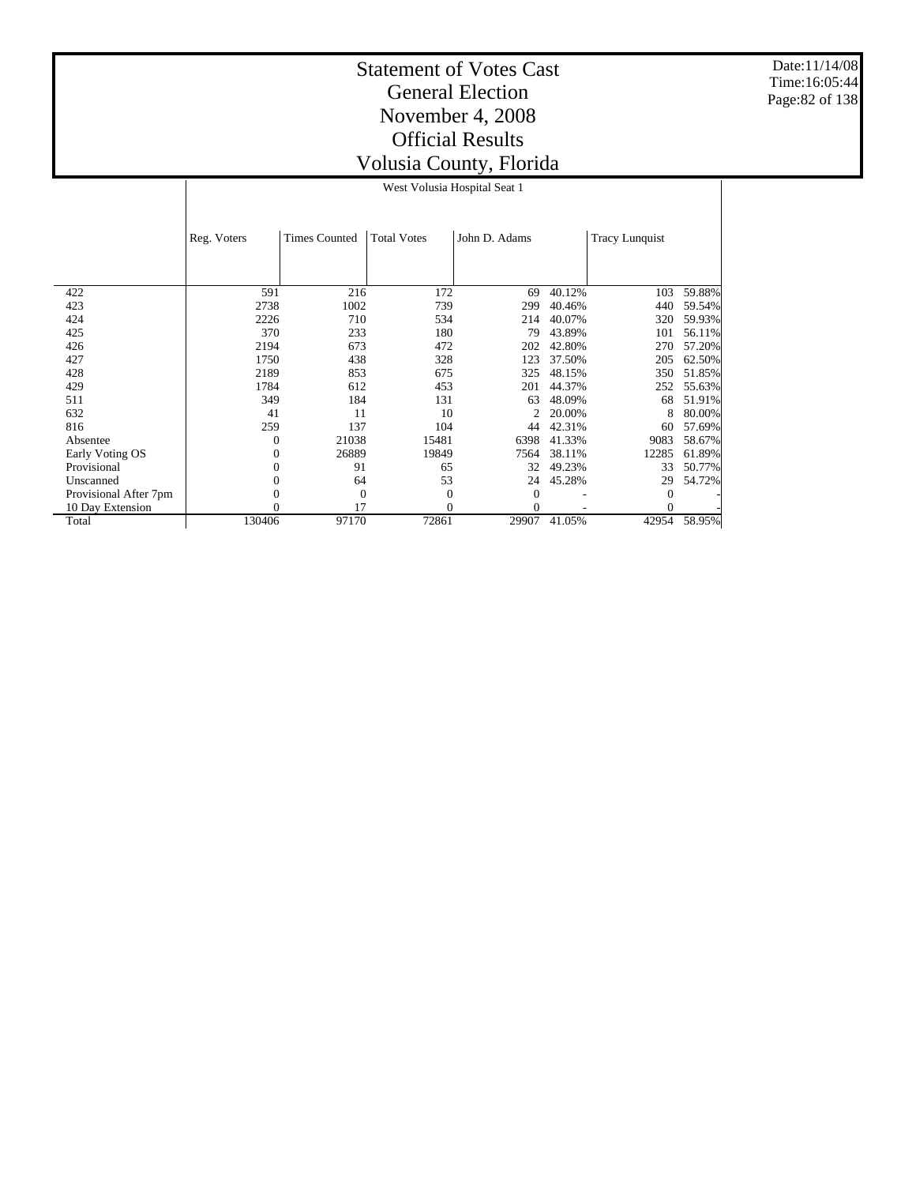Date:11/14/08 Time:16:05:44 Page:82 of 138

|                       | Reg. Voters | <b>Times Counted</b> | <b>Total Votes</b> | John D. Adams |        | <b>Tracy Lunquist</b> |        |
|-----------------------|-------------|----------------------|--------------------|---------------|--------|-----------------------|--------|
|                       |             |                      |                    |               |        |                       |        |
|                       |             |                      |                    |               |        |                       |        |
|                       |             |                      |                    |               |        |                       |        |
| 422                   | 591         | 216                  | 172                | 69            | 40.12% | 103                   | 59.88% |
| 423                   | 2738        | 1002                 | 739                | 299           | 40.46% | 440                   | 59.54% |
| 424                   | 2226        | 710                  | 534                | 214           | 40.07% | 320                   | 59.93% |
| 425                   | 370         | 233                  | 180                | 79            | 43.89% | 101                   | 56.11% |
| 426                   | 2194        | 673                  | 472                | 202           | 42.80% | 270                   | 57.20% |
| 427                   | 1750        | 438                  | 328                | 123           | 37.50% | 205                   | 62.50% |
| 428                   | 2189        | 853                  | 675                | 325           | 48.15% | 350                   | 51.85% |
| 429                   | 1784        | 612                  | 453                | 201           | 44.37% | 252                   | 55.63% |
| 511                   | 349         | 184                  | 131                | 63            | 48.09% | 68                    | 51.91% |
| 632                   | 41          | 11                   | 10                 |               | 20.00% | 8                     | 80.00% |
| 816                   | 259         | 137                  | 104                | 44            | 42.31% | 60                    | 57.69% |
| Absentee              | 0           | 21038                | 15481              | 6398          | 41.33% | 9083                  | 58.67% |
| Early Voting OS       | 0           | 26889                | 19849              | 7564          | 38.11% | 12285                 | 61.89% |
| Provisional           | 0           | 91                   | 65                 | 32            | 49.23% | 33                    | 50.77% |
| Unscanned             | 0           | 64                   | 53                 | 24            | 45.28% | 29                    | 54.72% |
| Provisional After 7pm |             | $\theta$             | $\boldsymbol{0}$   | $\Omega$      |        | $\Omega$              |        |
| 10 Day Extension      | 0           | 17                   | $\mathbf{0}$       | 0             |        |                       |        |
| Total                 | 130406      | 97170                | 72861              | 29907         | 41.05% | 42954                 | 58.95% |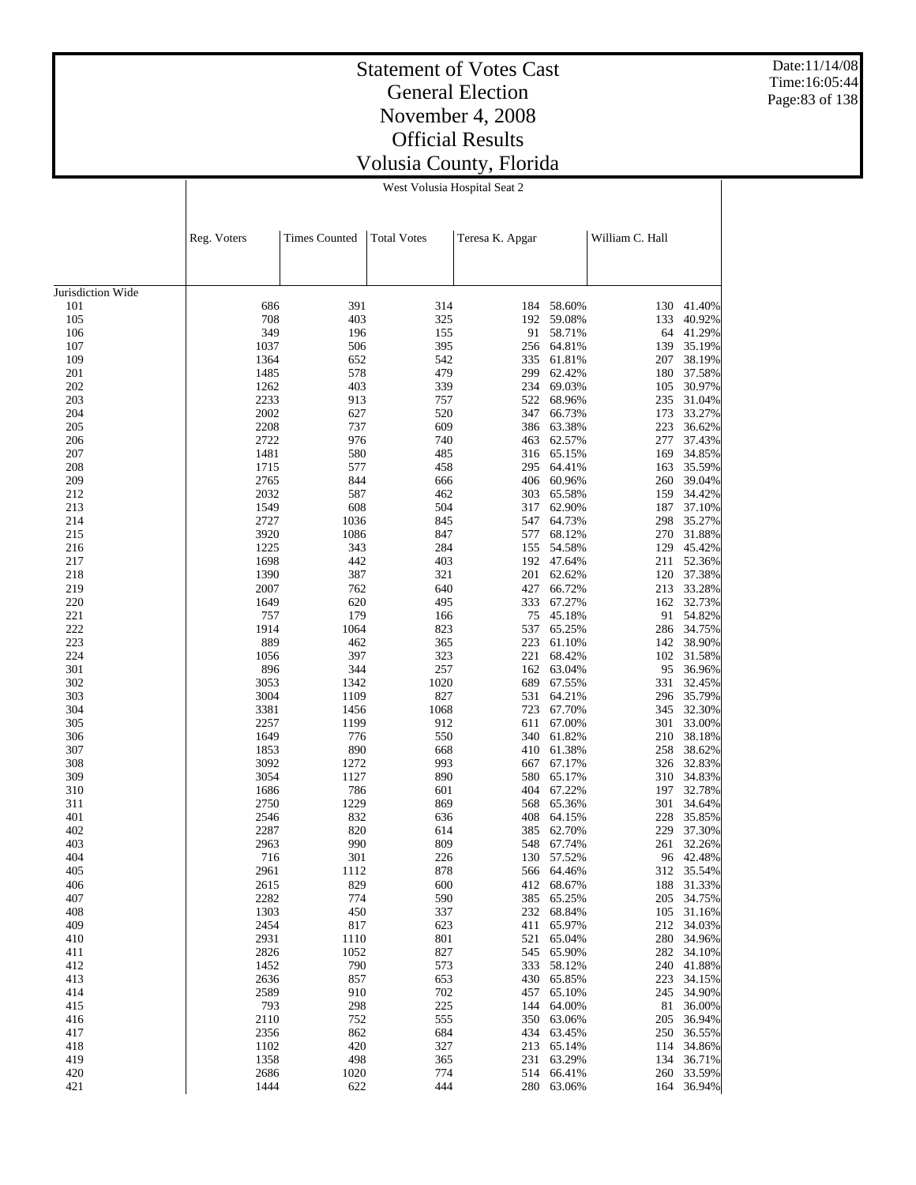Date:11/14/08 Time:16:05:44 Page:83 of 138

#### Statement of Votes Cast General Election November 4, 2008 Official Results Volusia County, Florida

West Volusia Hospital Seat 2

|                   | Reg. Voters  | <b>Times Counted</b> | Total Votes | Teresa K. Apgar |                          | William C. Hall |                      |
|-------------------|--------------|----------------------|-------------|-----------------|--------------------------|-----------------|----------------------|
|                   |              |                      |             |                 |                          |                 |                      |
| Jurisdiction Wide |              |                      |             |                 |                          |                 |                      |
| 101               | 686          | 391                  | 314         |                 | 184 58.60%               | 130             | 41.40%               |
| 105               | 708          | 403                  | 325         | 192             | 59.08%                   | 133             | 40.92%               |
| 106               | 349          | 196                  | 155         | 91              | 58.71%                   | 64              | 41.29%               |
| 107               | 1037         | 506                  | 395         | 256             | 64.81%                   | 139             | 35.19%               |
| 109               | 1364         | 652                  | 542         | 335             | 61.81%                   | 207             | 38.19%               |
| 201               | 1485         | 578                  | 479         | 299             | 62.42%                   | 180             | 37.58%               |
| 202<br>203        | 1262<br>2233 | 403<br>913           | 339<br>757  | 234<br>522      | 69.03%<br>68.96%         | 105<br>235      | 30.97%<br>31.04%     |
| 204               | 2002         | 627                  | 520         | 347             | 66.73%                   | 173             | 33.27%               |
| 205               | 2208         | 737                  | 609         | 386             | 63.38%                   | 223             | 36.62%               |
| 206               | 2722         | 976                  | 740         | 463             | 62.57%                   | 277             | 37.43%               |
| 207               | 1481         | 580                  | 485         | 316             | 65.15%                   | 169             | 34.85%               |
| 208               | 1715         | 577                  | 458         | 295             | 64.41%                   | 163             | 35.59%               |
| 209               | 2765         | 844                  | 666         | 406             | 60.96%                   | 260             | 39.04%               |
| 212               | 2032         | 587                  | 462         | 303             | 65.58%                   | 159             | 34.42%               |
| 213               | 1549         | 608                  | 504         | 317             | 62.90%                   | 187             | 37.10%               |
| 214               | 2727         | 1036                 | 845         | 547             | 64.73%                   | 298             | 35.27%               |
| 215               | 3920         | 1086                 | 847         | 577             | 68.12%                   | 270             | 31.88%               |
| 216               | 1225         | 343                  | 284         | 155             | 54.58%                   | 129             | 45.42%               |
| 217               | 1698         | 442                  | 403         | 192             | 47.64%                   | 211             | 52.36%               |
| 218<br>219        | 1390<br>2007 | 387<br>762           | 321<br>640  | 201             | 62.62%                   |                 | 120 37.38%<br>33.28% |
| 220               | 1649         | 620                  | 495         | 427<br>333      | 66.72%<br>67.27%         | 213<br>162      | 32.73%               |
| 221               | 757          | 179                  | 166         | 75              | 45.18%                   | 91              | 54.82%               |
| 222               | 1914         | 1064                 | 823         | 537             | 65.25%                   | 286             | 34.75%               |
| 223               | 889          | 462                  | 365         | 223             | 61.10%                   | 142             | 38.90%               |
| 224               | 1056         | 397                  | 323         | 221             | 68.42%                   | 102             | 31.58%               |
| 301               | 896          | 344                  | 257         | 162             | 63.04%                   | 95              | 36.96%               |
| 302               | 3053         | 1342                 | 1020        | 689             | 67.55%                   | 331             | 32.45%               |
| 303               | 3004         | 1109                 | 827         | 531             | 64.21%                   | 296             | 35.79%               |
| 304               | 3381         | 1456                 | 1068        | 723             | 67.70%                   | 345             | 32.30%               |
| 305               | 2257         | 1199                 | 912         | 611             | 67.00%                   | 301             | 33.00%               |
| 306               | 1649         | 776                  | 550         | 340             | 61.82%                   | 210             | 38.18%               |
| 307               | 1853         | 890                  | 668         | 410             | 61.38%                   | 258             | 38.62%               |
| 308               | 3092         | 1272                 | 993         | 667             | 67.17%                   | 326             | 32.83%               |
| 309               | 3054         | 1127                 | 890         | 580             | 65.17%                   | 310             | 34.83%               |
| 310               | 1686         | 786                  | 601         | 404             | 67.22%                   | 197             | 32.78%               |
| 311<br>401        | 2750<br>2546 | 1229<br>832          | 869<br>636  | 568<br>408      | 65.36%<br>64.15%         | 301<br>228      | 34.64%<br>35.85%     |
| 402               | 2287         | 820                  | 614         | 385             | 62.70%                   | 229             | 37.30%               |
| 403               | 2963         | 990                  | 809         | 548             | 67.74%                   | 261             | 32.26%               |
| 404               | 716          | 301                  | 226         | 130             | 57.52%                   | 96              | 42.48%               |
| 405               | 2961         | 1112                 | 878         |                 | 566 64.46%               |                 | 312 35.54%           |
| 406               | 2615         | 829                  | 600         |                 | 412 68.67%               |                 | 188 31.33%           |
| 407               | 2282         | 774                  | 590         |                 | 385 65.25%               |                 | 205 34.75%           |
| 408               | 1303         | 450                  | 337         |                 | 232 68.84%               | 105             | 31.16%               |
| 409               | 2454         | 817                  | 623         |                 | 411 65.97%               |                 | 212 34.03%           |
| 410               | 2931         | 1110                 | 801         |                 | 521 65.04%               | 280             | 34.96%               |
| 411               | 2826         | 1052                 | 827         |                 | 545 65.90%               |                 | 282 34.10%           |
| 412               | 1452         | 790                  | 573         |                 | 333 58.12%               | 240             | 41.88%               |
| 413               | 2636         | 857                  | 653         |                 | 430 65.85%               | 223             | 34.15%               |
| 414               | 2589         | 910                  | 702         |                 | 457 65.10%               | 245             | 34.90%               |
| 415<br>416        | 793<br>2110  | 298<br>752           | 225<br>555  |                 | 144 64.00%<br>350 63.06% | 81<br>205       | 36.00%<br>36.94%     |
| 417               | 2356         | 862                  | 684         |                 | 434 63.45%               |                 | 250 36.55%           |
| 418               | 1102         | 420                  | 327         |                 | 213 65.14%               |                 | 114 34.86%           |
| 419               | 1358         | 498                  | 365         |                 | 231 63.29%               | 134             | 36.71%               |
| 420               | 2686         | 1020                 | 774         |                 | 514 66.41%               |                 | 260 33.59%           |
| 421               | 1444         | 622                  | 444         |                 | 280 63.06%               |                 | 164 36.94%           |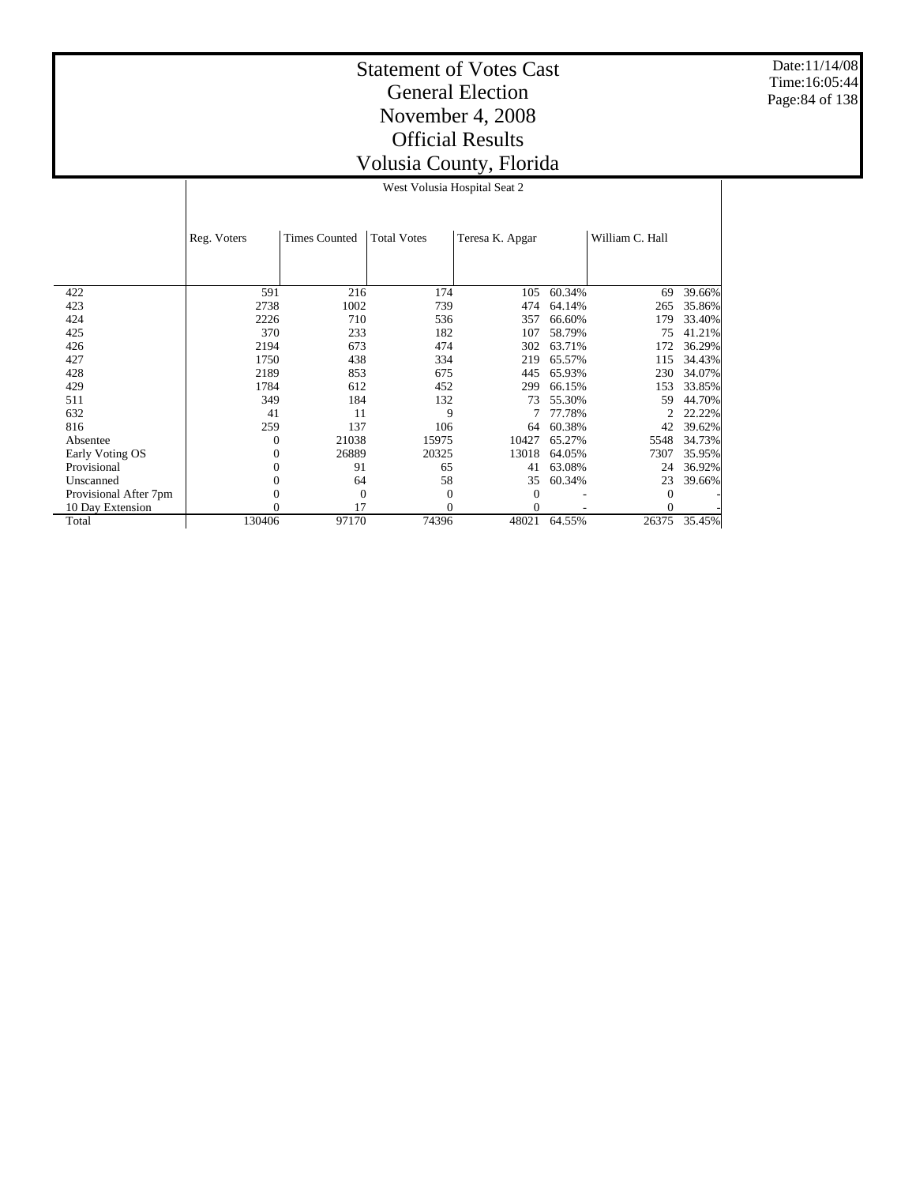Date:11/14/08 Time:16:05:44 Page:84 of 138

|  | West Volusia Hospital Seat 2 |  |
|--|------------------------------|--|
|  |                              |  |

|                       | Reg. Voters  | <b>Times Counted</b> | <b>Total Votes</b> | Teresa K. Apgar |        | William C. Hall |        |
|-----------------------|--------------|----------------------|--------------------|-----------------|--------|-----------------|--------|
|                       |              |                      |                    |                 |        |                 |        |
|                       |              |                      |                    |                 |        |                 |        |
| 422                   | 591          | 216                  | 174                | 105             | 60.34% | 69              | 39.66% |
| 423                   | 2738         | 1002                 | 739                | 474             | 64.14% | 265             | 35.86% |
| 424                   | 2226         | 710                  | 536                | 357             | 66.60% | 179             | 33.40% |
| 425                   | 370          | 233                  | 182                | 107             | 58.79% | 75              | 41.21% |
| 426                   | 2194         | 673                  | 474                | 302             | 63.71% | 172             | 36.29% |
| 427                   | 1750         | 438                  | 334                | 219             | 65.57% | 115             | 34.43% |
| 428                   | 2189         | 853                  | 675                | 445             | 65.93% | 230             | 34.07% |
| 429                   | 1784         | 612                  | 452                | 299             | 66.15% | 153             | 33.85% |
| 511                   | 349          | 184                  | 132                | 73              | 55.30% | 59              | 44.70% |
| 632                   | 41           | 11                   | 9                  |                 | 77.78% |                 | 22.22% |
| 816                   | 259          | 137                  | 106                | 64              | 60.38% | 42              | 39.62% |
| Absentee              | $\mathbf{0}$ | 21038                | 15975              | 10427           | 65.27% | 5548            | 34.73% |
| Early Voting OS       | 0            | 26889                | 20325              | 13018           | 64.05% | 7307            | 35.95% |
| Provisional           | 0            | 91                   | 65                 | 41              | 63.08% | 24              | 36.92% |
| Unscanned             | 0            | 64                   | 58                 | 35              | 60.34% | 23              | 39.66% |
| Provisional After 7pm |              | $\overline{0}$       | $\theta$           | 0               |        |                 |        |
| 10 Day Extension      |              | 17                   | $\theta$           | 0               |        |                 |        |
| Total                 | 130406       | 97170                | 74396              | 48021           | 64.55% | 26375           | 35.45% |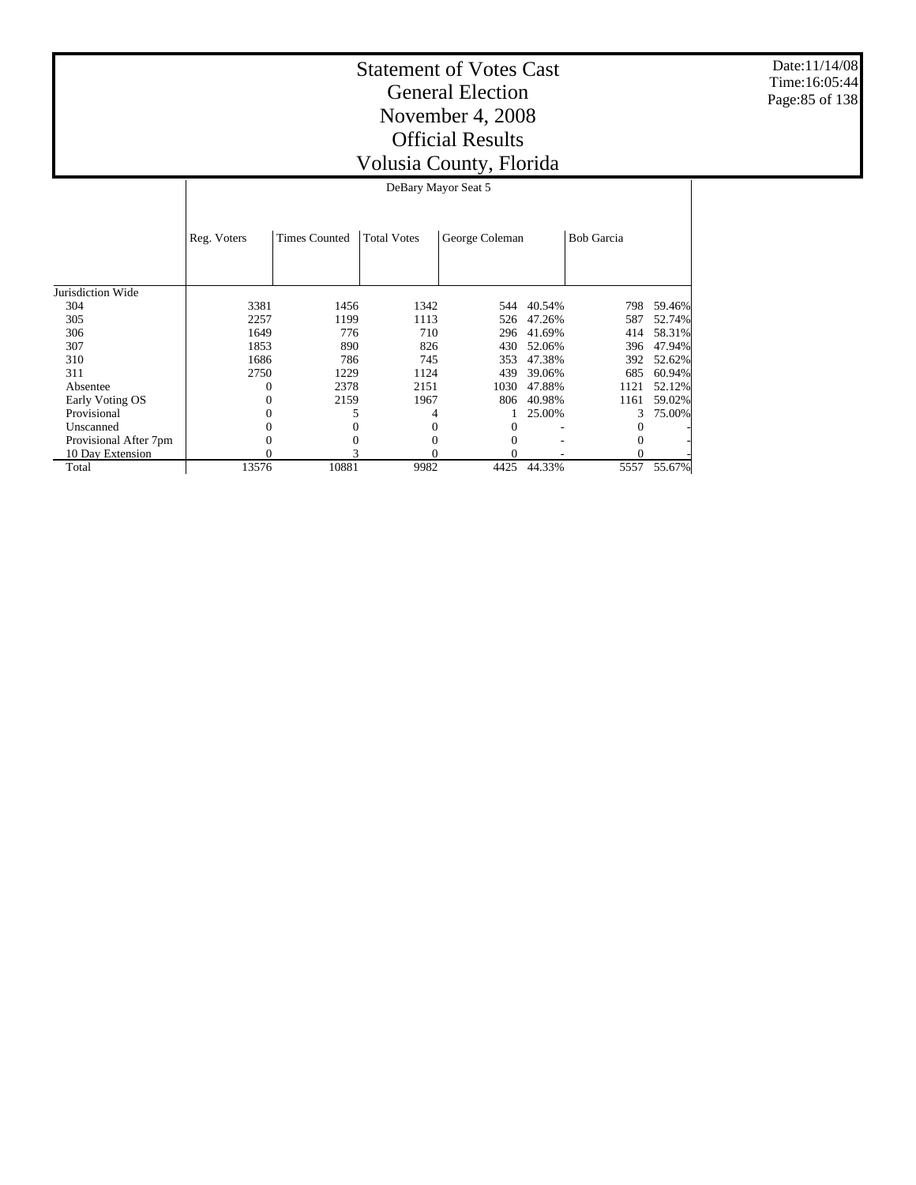Date:11/14/08 Time:16:05:44 Page:85 of 138

| DeBary Mayor Seat 5 |
|---------------------|
|---------------------|

|                       | Reg. Voters | <b>Times Counted</b> | <b>Total Votes</b> | George Coleman |        | <b>Bob Garcia</b> |        |
|-----------------------|-------------|----------------------|--------------------|----------------|--------|-------------------|--------|
|                       |             |                      |                    |                |        |                   |        |
|                       |             |                      |                    |                |        |                   |        |
| Jurisdiction Wide     |             |                      |                    |                |        |                   |        |
| 304                   | 3381        | 1456                 | 1342               | 544            | 40.54% | 798               | 59.46% |
| 305                   | 2257        | 1199                 | 1113               | 526            | 47.26% | 587               | 52.74% |
| 306                   | 1649        | 776                  | 710                | 296            | 41.69% | 414               | 58.31% |
| 307                   | 1853        | 890                  | 826                | 430            | 52.06% | 396               | 47.94% |
| 310                   | 1686        | 786                  | 745                | 353            | 47.38% | 392               | 52.62% |
| 311                   | 2750        | 1229                 | 1124               | 439            | 39.06% | 685               | 60.94% |
| Absentee              |             | 2378                 | 2151               | 1030           | 47.88% | 1121              | 52.12% |
| Early Voting OS       |             | 2159                 | 1967               | 806            | 40.98% | 1161              | 59.02% |
| Provisional           |             |                      | 4                  |                | 25.00% | $\mathcal{E}$     | 75.00% |
| Unscanned             |             |                      |                    | 0              |        |                   |        |
| Provisional After 7pm |             |                      | 0                  | 0              |        |                   |        |
| 10 Day Extension      |             |                      |                    | 0              |        |                   |        |
| Total                 | 13576       | 10881                | 9982               | 4425           | 44.33% | 5557              | 55.67% |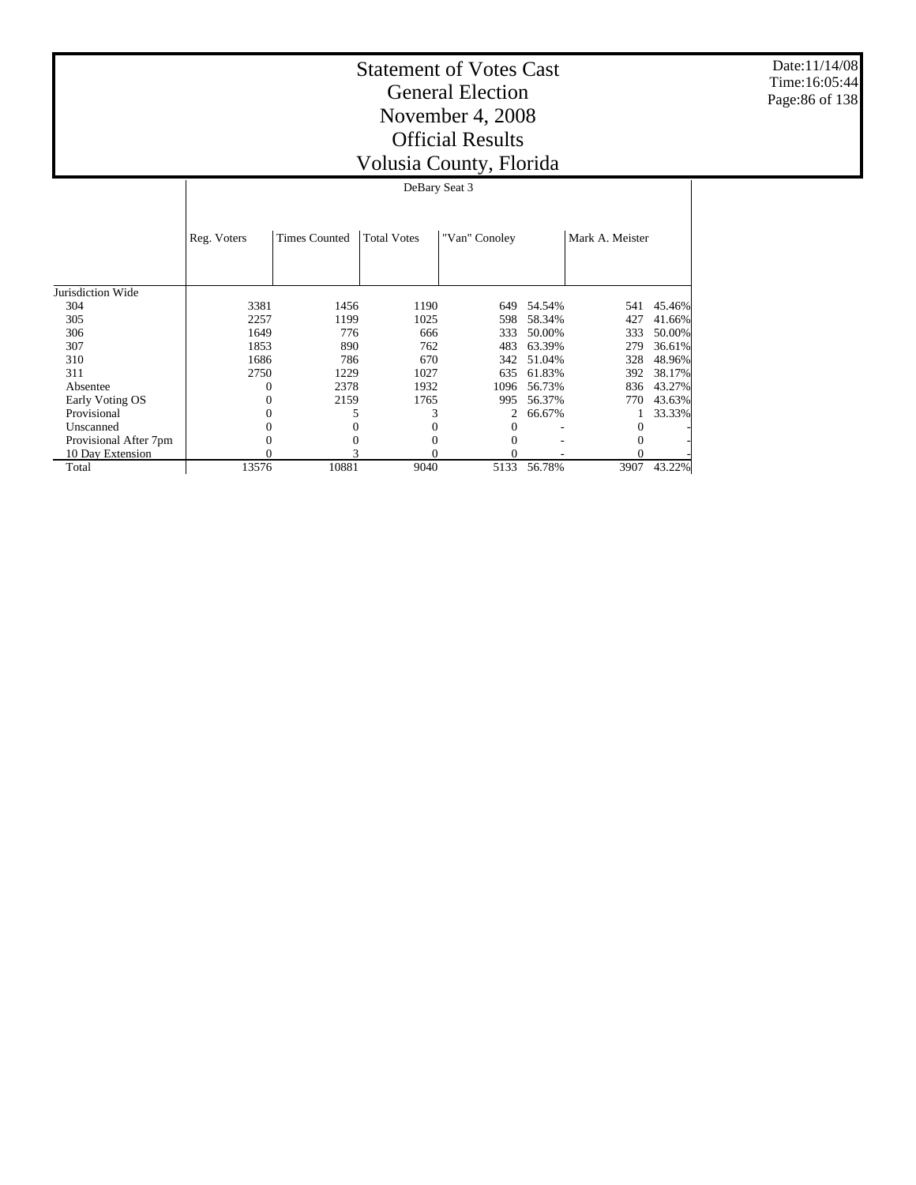Date:11/14/08 Time:16:05:44 Page:86 of 138

| DeBary Seat 3 |  |
|---------------|--|

|                       | Reg. Voters | <b>Times Counted</b> | <b>Total Votes</b> | "Van" Conoley |        | Mark A. Meister |        |
|-----------------------|-------------|----------------------|--------------------|---------------|--------|-----------------|--------|
| Jurisdiction Wide     |             |                      |                    |               |        |                 |        |
| 304                   | 3381        | 1456                 | 1190               | 649           | 54.54% | 541             | 45.46% |
| 305                   | 2257        | 1199                 | 1025               | 598           | 58.34% | 427             | 41.66% |
| 306                   | 1649        | 776                  | 666                | 333           | 50.00% | 333             | 50.00% |
| 307                   | 1853        | 890                  | 762                | 483           | 63.39% | 279             | 36.61% |
| 310                   | 1686        | 786                  | 670                | 342           | 51.04% | 328             | 48.96% |
| 311                   | 2750        | 1229                 | 1027               | 635           | 61.83% | 392             | 38.17% |
| Absentee              |             | 2378                 | 1932               | 1096          | 56.73% | 836             | 43.27% |
| Early Voting OS       |             | 2159                 | 1765               | 995           | 56.37% | 770             | 43.63% |
| Provisional           |             |                      |                    |               | 66.67% |                 | 33.33% |
| Unscanned             |             |                      |                    |               |        |                 |        |
| Provisional After 7pm |             |                      |                    | 0             |        |                 |        |
| 10 Day Extension      | $\Omega$    |                      | 0                  | 0             |        |                 |        |
| Total                 | 13576       | 10881                | 9040               | 5133          | 56.78% | 3907            | 43.22% |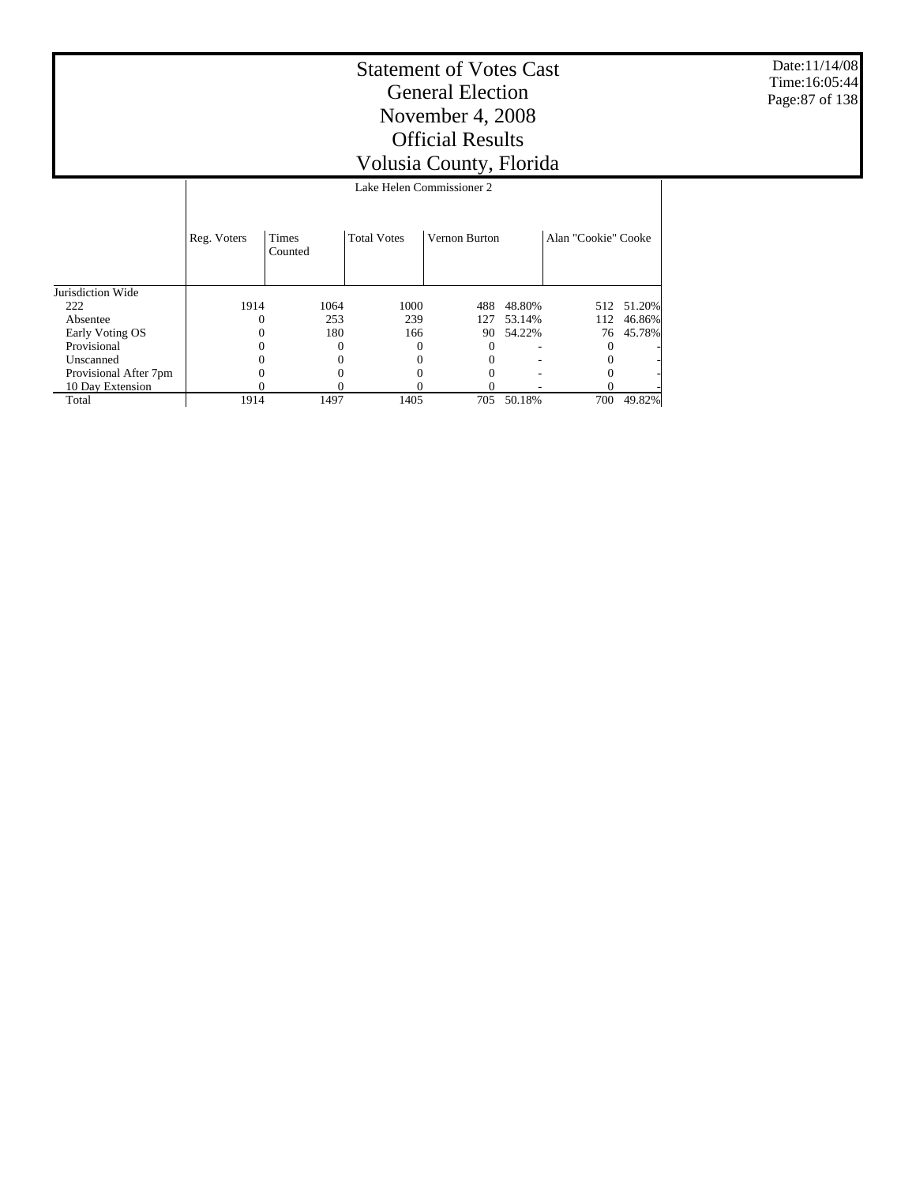Date:11/14/08 Time:16:05:44 Page:87 of 138

 $\overline{\phantom{a}}$ 

#### Statement of Votes Cast General Election November 4, 2008 Official Results Volusia County, Florida Lake Helen Commissioner 2

|                       |             | ваке пект сопшивание в |                    |               |        |                     |            |  |  |  |
|-----------------------|-------------|------------------------|--------------------|---------------|--------|---------------------|------------|--|--|--|
|                       | Reg. Voters | Times<br>Counted       | <b>Total Votes</b> | Vernon Burton |        | Alan "Cookie" Cooke |            |  |  |  |
|                       |             |                        |                    |               |        |                     |            |  |  |  |
| Jurisdiction Wide     |             |                        |                    |               |        |                     |            |  |  |  |
| 222                   | 1914        | 1064                   | 1000               | 488           | 48.80% |                     | 512 51.20% |  |  |  |
| Absentee              |             | 253                    | 239                | 127           | 53.14% | 112                 | 46.86%     |  |  |  |
| Early Voting OS       |             | 180                    | 166                | 90            | 54.22% |                     | 76 45.78%  |  |  |  |
| Provisional           |             |                        |                    |               | ۰      |                     |            |  |  |  |
| Unscanned             |             |                        |                    |               | ۰      |                     |            |  |  |  |
| Provisional After 7pm |             |                        |                    |               |        |                     |            |  |  |  |
| 10 Day Extension      |             |                        |                    |               |        |                     |            |  |  |  |
| Total                 | 1914        | 1497                   | 1405               | 705           | 50.18% | 700                 | 49.82%     |  |  |  |

Τ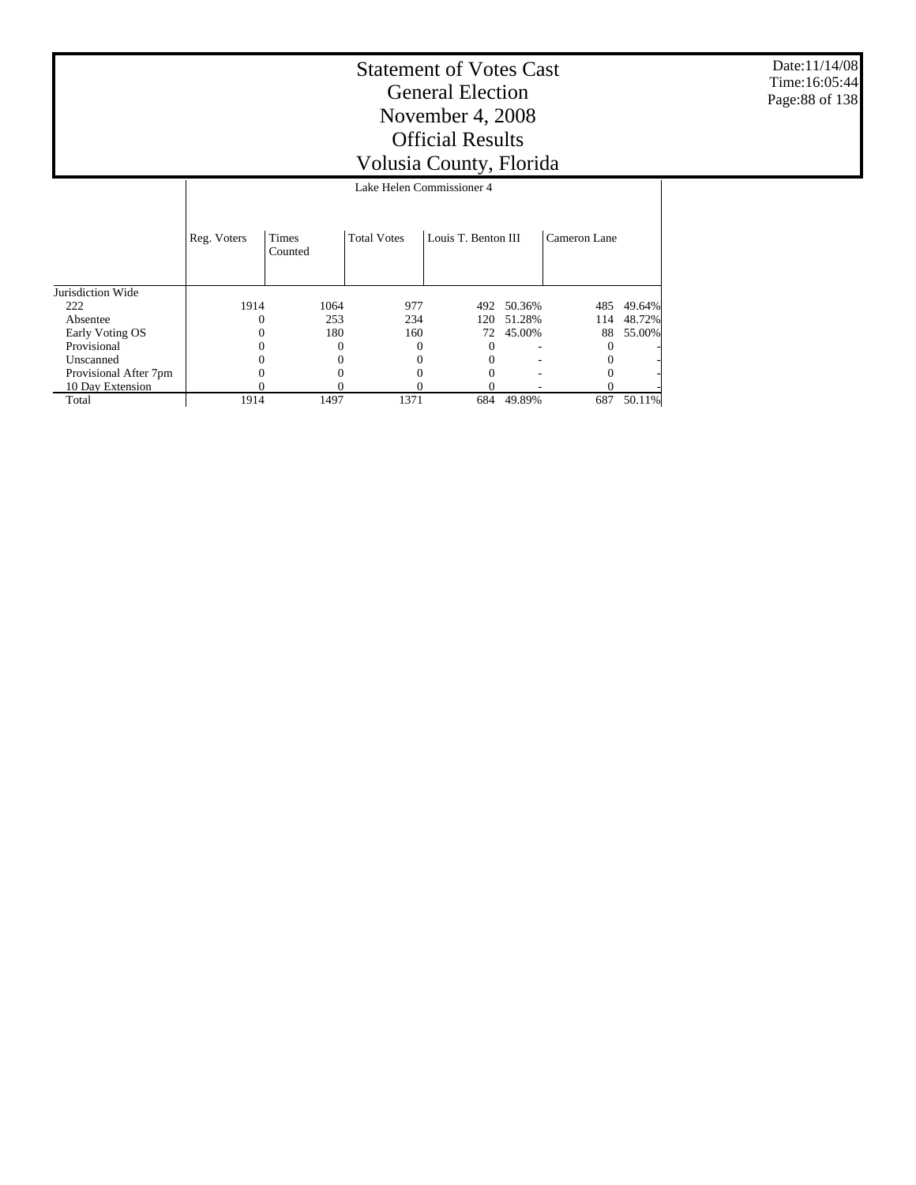Date:11/14/08 Time:16:05:44 Page:88 of 138

#### Statement of Votes Cast General Election November 4, 2008 Official Results Volusia County, Florida Lake Helen Commissioner 4

|                       | Reg. Voters | <b>Times</b><br>Counted | <b>Total Votes</b> | Louis T. Benton III |        | Cameron Lane |        |
|-----------------------|-------------|-------------------------|--------------------|---------------------|--------|--------------|--------|
| Jurisdiction Wide     |             |                         |                    |                     |        |              |        |
| 222                   | 1914        | 1064                    | 977                | 492                 | 50.36% | 485          | 49.64% |
| Absentee              | 0           | 253                     | 234                | 120-                | 51.28% | 114          | 48.72% |
| Early Voting OS       |             | 180                     | 160                | 72                  | 45.00% | 88           | 55.00% |
| Provisional           |             |                         |                    | O                   | ۰      |              |        |
| Unscanned             |             |                         |                    |                     | ۰      |              |        |
| Provisional After 7pm |             |                         |                    |                     | ۰      |              |        |
| 10 Day Extension      |             |                         |                    |                     |        |              |        |
| Total                 | 1914        | 1497                    | 1371               | 684                 | 49.89% | 687          | 50.11% |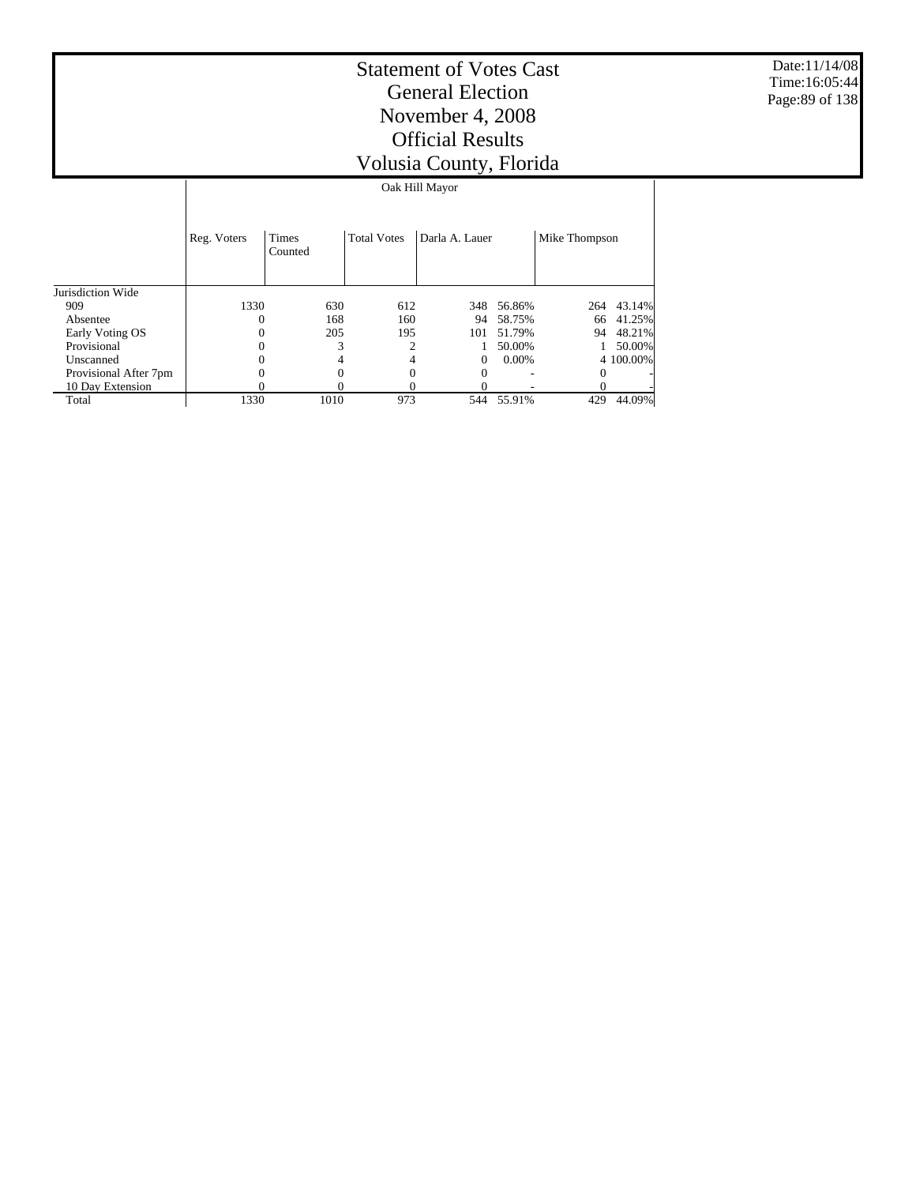Date:11/14/08 Time:16:05:44 Page:89 of 138

# Statement of Votes Cast General Election November 4, 2008 Official Results Volusia County, Florida

Oak Hill Mayor

|                       | Reg. Voters | <b>Times</b><br>Counted | <b>Total Votes</b> | Darla A. Lauer |          | Mike Thompson |           |
|-----------------------|-------------|-------------------------|--------------------|----------------|----------|---------------|-----------|
| Jurisdiction Wide     |             |                         |                    |                |          |               |           |
| 909                   | 1330        | 630                     | 612                | 348            | 56.86%   | 264           | 43.14%    |
| Absentee              | 0           | 168                     | 160                | 94             | 58.75%   | 66            | 41.25%    |
| Early Voting OS       | $\Omega$    | 205                     | 195                | 101            | 51.79%   | 94            | 48.21%    |
| Provisional           | $\Omega$    | 3                       | 2                  |                | 50.00%   |               | 50.00%    |
| Unscanned             | 0           | 4                       | 4                  | 0              | $0.00\%$ |               | 4 100,00% |
| Provisional After 7pm | 0           | 0                       | $\Omega$           | $\Omega$       |          | $\Omega$      | ٠         |
| 10 Day Extension      |             | 0                       |                    |                |          |               |           |
| Total                 | 1330        | 1010                    | 973                | 544            | 55.91%   | 429           | 44.09%    |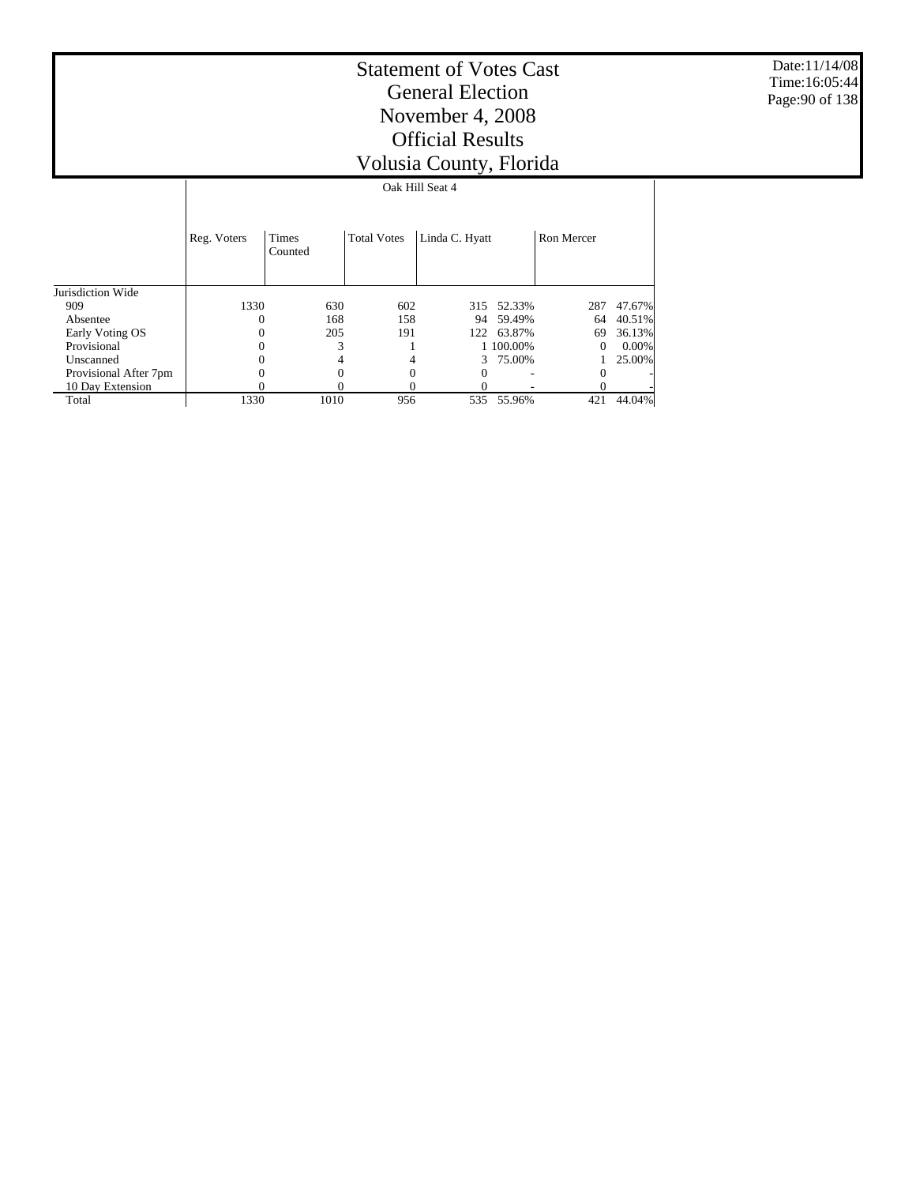Date:11/14/08 Time:16:05:44 Page:90 of 138

| Oak Hill Seat 4 |  |
|-----------------|--|
|                 |  |
|                 |  |

|                       | Reg. Voters | Times<br>Counted | <b>Total Votes</b> | Linda C. Hyatt |            | Ron Mercer |        |
|-----------------------|-------------|------------------|--------------------|----------------|------------|------------|--------|
| Jurisdiction Wide     |             |                  |                    |                |            |            |        |
| 909                   | 1330        | 630              | 602                |                | 315 52.33% | 287        | 47.67% |
| Absentee              | 0           | 168              | 158                | 94             | 59.49%     | 64         | 40.51% |
| Early Voting OS       | $\Omega$    | 205              | 191                | 122            | 63.87%     | 69         | 36.13% |
| Provisional           | 0           | 3                |                    |                | 1 100,00%  | 0          | 0.00%  |
| Unscanned             | 0           | 4                |                    |                | 75.00%     |            | 25.00% |
| Provisional After 7pm | 0           | 0                | 0                  | $_{0}$         |            | $\Omega$   |        |
| 10 Day Extension      | 0           | 0                |                    |                |            |            |        |
| Total                 | 1330        | 1010             | 956                | 535            | 55.96%     | 421        | 44.04% |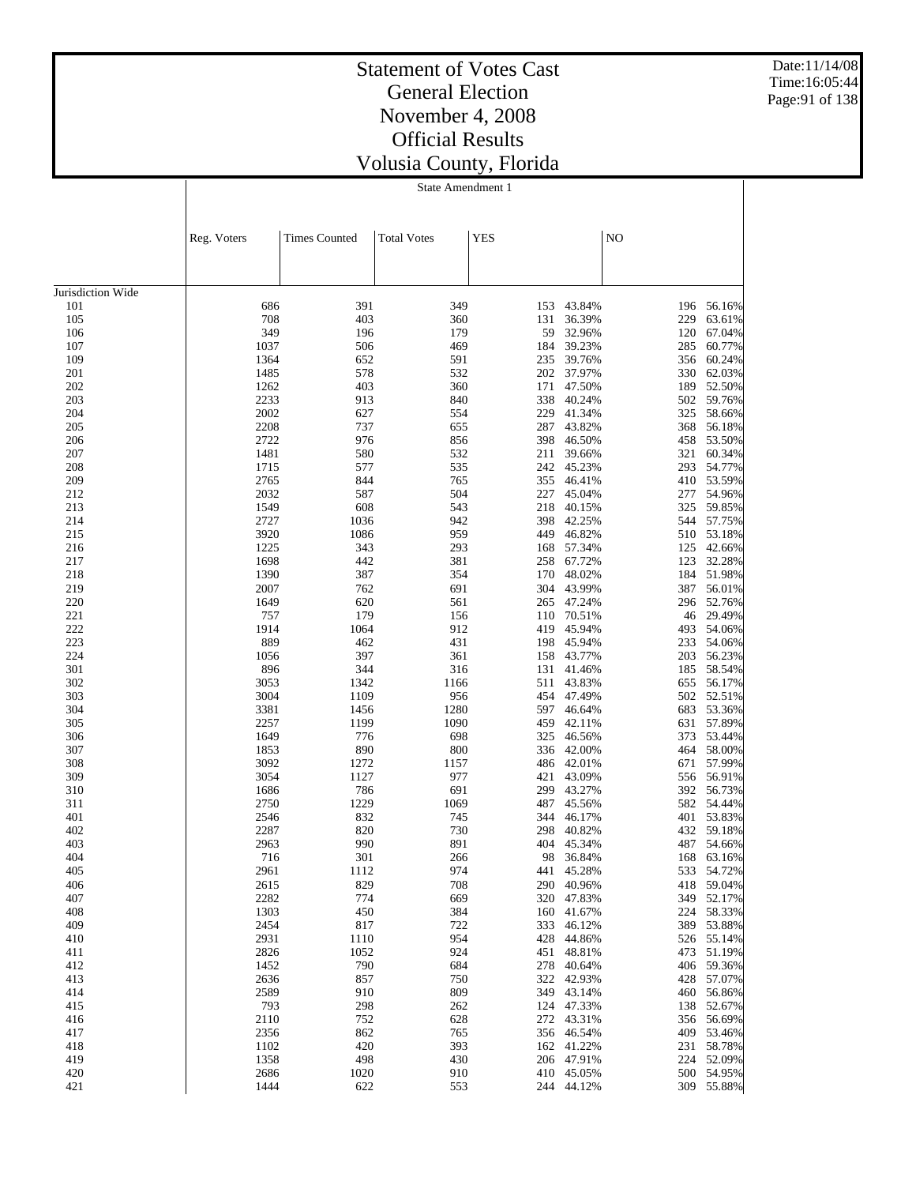Date:11/14/08 Time:16:05:44 Page:91 of 138

## Statement of Votes Cast General Election November 4, 2008 Official Results Volusia County, Florida

|                   | Reg. Voters  | <b>Times Counted</b> | <b>Total Votes</b> | <b>YES</b> |                  | NO         |                  |
|-------------------|--------------|----------------------|--------------------|------------|------------------|------------|------------------|
|                   |              |                      |                    |            |                  |            |                  |
|                   |              |                      |                    |            |                  |            |                  |
| Jurisdiction Wide |              |                      |                    |            |                  |            |                  |
| 101               | 686          | 391                  | 349                | 153        | 43.84%           | 196        | 56.16%           |
| 105<br>106        | 708<br>349   | 403<br>196           | 360<br>179         | 131<br>59  | 36.39%<br>32.96% | 229<br>120 | 63.61%<br>67.04% |
| 107               | 1037         | 506                  | 469                | 184        | 39.23%           | 285        | 60.77%           |
| 109               | 1364         | 652                  | 591                | 235        | 39.76%           | 356        | 60.24%           |
| 201               | 1485         | 578                  | 532                | 202        | 37.97%           | 330        | 62.03%           |
| 202               | 1262         | 403                  | 360                | 171        | 47.50%           | 189        | 52.50%           |
| 203               | 2233         | 913                  | 840                | 338        | 40.24%           | 502        | 59.76%           |
| 204               | 2002         | 627                  | 554                | 229        | 41.34%           | 325        | 58.66%           |
| 205               | 2208<br>2722 | 737<br>976           | 655<br>856         | 287<br>398 | 43.82%           | 368        | 56.18%<br>53.50% |
| 206<br>207        | 1481         | 580                  | 532                | 211        | 46.50%<br>39.66% | 458<br>321 | 60.34%           |
| 208               | 1715         | 577                  | 535                | 242        | 45.23%           | 293        | 54.77%           |
| 209               | 2765         | 844                  | 765                | 355        | 46.41%           | 410        | 53.59%           |
| 212               | 2032         | 587                  | 504                | 227        | 45.04%           | 277        | 54.96%           |
| 213               | 1549         | 608                  | 543                | 218        | 40.15%           | 325        | 59.85%           |
| 214               | 2727         | 1036                 | 942                | 398        | 42.25%           | 544        | 57.75%           |
| 215               | 3920         | 1086                 | 959                | 449        | 46.82%           | 510        | 53.18%           |
| 216<br>217        | 1225<br>1698 | 343<br>442           | 293<br>381         | 168<br>258 | 57.34%<br>67.72% | 125<br>123 | 42.66%<br>32.28% |
| 218               | 1390         | 387                  | 354                | 170        | 48.02%           | 184        | 51.98%           |
| 219               | 2007         | 762                  | 691                | 304        | 43.99%           | 387        | 56.01%           |
| 220               | 1649         | 620                  | 561                | 265        | 47.24%           | 296        | 52.76%           |
| 221               | 757          | 179                  | 156                | 110        | 70.51%           | 46         | 29.49%           |
| 222               | 1914         | 1064                 | 912                | 419        | 45.94%           | 493        | 54.06%           |
| 223               | 889          | 462                  | 431                | 198        | 45.94%           | 233        | 54.06%           |
| 224               | 1056         | 397                  | 361                | 158        | 43.77%           | 203        | 56.23%           |
| 301<br>302        | 896<br>3053  | 344<br>1342          | 316<br>1166        | 131<br>511 | 41.46%<br>43.83% | 185<br>655 | 58.54%<br>56.17% |
| 303               | 3004         | 1109                 | 956                | 454        | 47.49%           | 502        | 52.51%           |
| 304               | 3381         | 1456                 | 1280               | 597        | 46.64%           | 683        | 53.36%           |
| 305               | 2257         | 1199                 | 1090               | 459        | 42.11%           | 631        | 57.89%           |
| 306               | 1649         | 776                  | 698                | 325        | 46.56%           | 373        | 53.44%           |
| 307               | 1853         | 890                  | 800                | 336        | 42.00%           | 464        | 58.00%           |
| 308               | 3092         | 1272                 | 1157               | 486        | 42.01%           | 671        | 57.99%           |
| 309<br>310        | 3054         | 1127<br>786          | 977<br>691         | 421<br>299 | 43.09%<br>43.27% | 556        | 56.91%<br>56.73% |
| 311               | 1686<br>2750 | 1229                 | 1069               | 487        | 45.56%           | 392<br>582 | 54.44%           |
| 401               | 2546         | 832                  | 745                | 344        | 46.17%           | 401        | 53.83%           |
| 402               | 2287         | 820                  | 730                | 298        | 40.82%           | 432        | 59.18%           |
| 403               | 2963         | 990                  | 891                | 404        | 45.34%           | 487        | 54.66%           |
| 404               | 716          | 301                  | 266                | 98         | 36.84%           | 168        | 63.16%           |
| 405               | 2961         | 1112                 | 974                | 441        | 45.28%           | 533        | 54.72%           |
| 406               | 2615         | 829                  | 708                | 290        | 40.96%           |            | 418 59.04%       |
| 407<br>408        | 2282<br>1303 | 774<br>450           | 669<br>384         | 320        | 47.83%<br>41.67% | 349<br>224 | 52.17%<br>58.33% |
| 409               | 2454         | 817                  | 722                | 160<br>333 | 46.12%           | 389        | 53.88%           |
| 410               | 2931         | 1110                 | 954                | 428        | 44.86%           |            | 526 55.14%       |
| 411               | 2826         | 1052                 | 924                | 451        | 48.81%           | 473        | 51.19%           |
| 412               | 1452         | 790                  | 684                | 278        | 40.64%           | 406        | 59.36%           |
| 413               | 2636         | 857                  | 750                | 322        | 42.93%           | 428        | 57.07%           |
| 414               | 2589         | 910                  | 809                | 349        | 43.14%           | 460        | 56.86%           |
| 415               | 793          | 298                  | 262                | 124        | 47.33%           | 138        | 52.67%           |
| 416<br>417        | 2110<br>2356 | 752<br>862           | 628<br>765         | 272<br>356 | 43.31%<br>46.54% | 356<br>409 | 56.69%<br>53.46% |
| 418               | 1102         | 420                  | 393                |            | 162 41.22%       | 231        | 58.78%           |
| 419               | 1358         | 498                  | 430                | 206        | 47.91%           | 224        | 52.09%           |
| 420               | 2686         | 1020                 | 910                |            | 410 45.05%       |            | 500 54.95%       |
| 421               | 1444         | 622                  | 553                |            | 244 44.12%       |            | 309 55.88%       |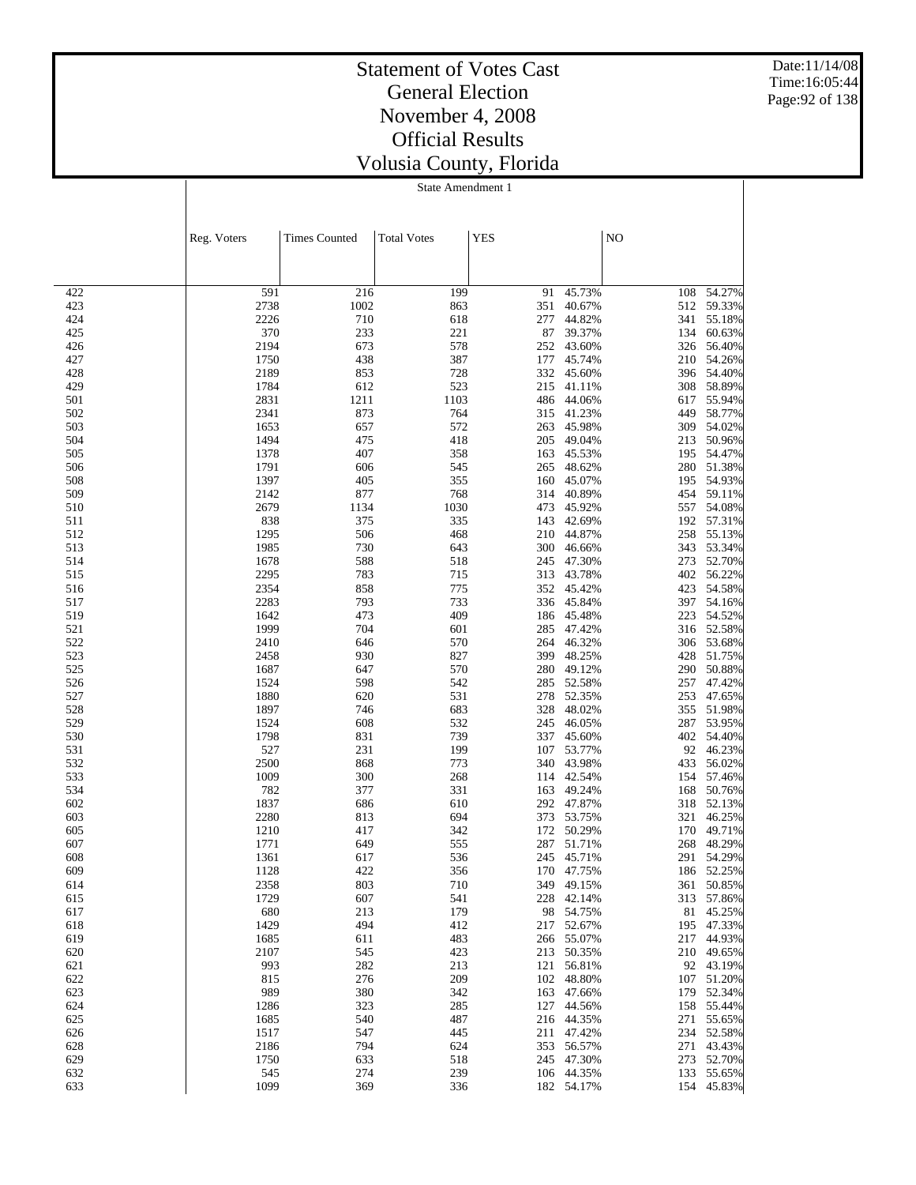Date:11/14/08 Time:16:05:44 Page:92 of 138

### Statement of Votes Cast General Election November 4, 2008 Official Results Volusia County, Florida

|            | Reg. Voters  | <b>Times Counted</b> | <b>Total Votes</b> | <b>YES</b> |                          | NO         |                          |
|------------|--------------|----------------------|--------------------|------------|--------------------------|------------|--------------------------|
|            |              |                      |                    |            |                          |            |                          |
| 422        | 591          | 216                  | 199                | 91         | 45.73%                   | 108        | 54.27%                   |
| 423        | 2738         | 1002                 | 863                | 351        | 40.67%                   |            | 512 59.33%               |
| 424        | 2226         | 710                  | 618                | 277        | 44.82%                   | 341        | 55.18%                   |
| 425        | 370          | 233                  | 221                | 87         | 39.37%                   | 134        | 60.63%                   |
| 426        | 2194         | 673                  | 578                | 252        | 43.60%                   | 326        | 56.40%                   |
| 427<br>428 | 1750<br>2189 | 438<br>853           | 387<br>728         | 177<br>332 | 45.74%<br>45.60%         | 396        | 210 54.26%<br>54.40%     |
| 429        | 1784         | 612                  | 523                | 215        | 41.11%                   | 308        | 58.89%                   |
| 501        | 2831         | 1211                 | 1103               | 486        | 44.06%                   | 617        | 55.94%                   |
| 502        | 2341         | 873                  | 764                | 315        | 41.23%                   | 449        | 58.77%                   |
| 503        | 1653         | 657                  | 572                | 263        | 45.98%                   | 309        | 54.02%                   |
| 504        | 1494         | 475                  | 418                | 205        | 49.04%                   | 213        | 50.96%                   |
| 505<br>506 | 1378<br>1791 | 407<br>606           | 358<br>545         | 163<br>265 | 45.53%<br>48.62%         | 195<br>280 | 54.47%<br>51.38%         |
| 508        | 1397         | 405                  | 355                | 160        | 45.07%                   | 195        | 54.93%                   |
| 509        | 2142         | 877                  | 768                | 314        | 40.89%                   | 454        | 59.11%                   |
| 510        | 2679         | 1134                 | 1030               | 473        | 45.92%                   | 557        | 54.08%                   |
| 511        | 838          | 375                  | 335                | 143        | 42.69%                   |            | 192 57.31%               |
| 512        | 1295         | 506                  | 468                | 210        | 44.87%                   | 258        | 55.13%                   |
| 513        | 1985         | 730                  | 643                | 300        | 46.66%                   |            | 343 53.34%               |
| 514<br>515 | 1678<br>2295 | 588<br>783           | 518<br>715         | 245<br>313 | 47.30%<br>43.78%         | 273        | 52.70%<br>402 56.22%     |
| 516        | 2354         | 858                  | 775                | 352        | 45.42%                   | 423        | 54.58%                   |
| 517        | 2283         | 793                  | 733                | 336        | 45.84%                   |            | 397 54.16%               |
| 519        | 1642         | 473                  | 409                | 186        | 45.48%                   | 223        | 54.52%                   |
| 521        | 1999         | 704                  | 601                | 285        | 47.42%                   |            | 316 52.58%               |
| 522        | 2410         | 646                  | 570                | 264        | 46.32%                   | 306        | 53.68%                   |
| 523        | 2458         | 930                  | 827                | 399        | 48.25%                   |            | 428 51.75%               |
| 525<br>526 | 1687<br>1524 | 647<br>598           | 570<br>542         | 280<br>285 | 49.12%<br>52.58%         | 290<br>257 | 50.88%<br>47.42%         |
| 527        | 1880         | 620                  | 531                | 278        | 52.35%                   | 253        | 47.65%                   |
| 528        | 1897         | 746                  | 683                | 328        | 48.02%                   |            | 355 51.98%               |
| 529        | 1524         | 608                  | 532                | 245        | 46.05%                   | 287        | 53.95%                   |
| 530        | 1798         | 831                  | 739                | 337        | 45.60%                   | 402        | 54.40%                   |
| 531        | 527          | 231                  | 199                | 107        | 53.77%                   | 92         | 46.23%                   |
| 532        | 2500         | 868                  | 773                | 340        | 43.98%                   | 433        | 56.02%                   |
| 533<br>534 | 1009<br>782  | 300<br>377           | 268<br>331         | 114<br>163 | 42.54%<br>49.24%         | 154<br>168 | 57.46%<br>50.76%         |
| 602        | 1837         | 686                  | 610                |            | 292 47.87%               | 318        | 52.13%                   |
| 603        | 2280         | 813                  | 694                | 373        | 53.75%                   | 321        | 46.25%                   |
| 605        | 1210         | 417                  | 342                | 172        | 50.29%                   | 170        | 49.71%                   |
| 607        | 1771         | 649                  | 555                | 287        | 51.71%                   | 268        | 48.29%                   |
| 608        | 1361         | 617                  | 536                | 245        | 45.71%                   | 291        | 54.29%                   |
| 609        | 1128         | 422                  | 356                |            | 170 47.75%               |            | 186 52.25%               |
| 614        | 2358         | 803                  | 710                |            | 349 49.15%               |            | 361 50.85%               |
| 615<br>617 | 1729<br>680  | 607<br>213           | 541<br>179         |            | 228 42.14%<br>98 54.75%  |            | 313 57.86%<br>81 45.25%  |
| 618        | 1429         | 494                  | 412                |            | 217 52.67%               |            | 195 47.33%               |
| 619        | 1685         | 611                  | 483                |            | 266 55.07%               |            | 217 44.93%               |
| 620        | 2107         | 545                  | 423                |            | 213 50.35%               |            | 210 49.65%               |
| 621        | 993          | 282                  | 213                | 121        | 56.81%                   |            | 92 43.19%                |
| 622        | 815          | 276                  | 209                |            | 102 48.80%               |            | 107 51.20%               |
| 623        | 989          | 380                  | 342                |            | 163 47.66%               |            | 179 52.34%               |
| 624<br>625 | 1286<br>1685 | 323<br>540           | 285<br>487         |            | 127 44.56%<br>216 44.35% |            | 158 55.44%<br>271 55.65% |
| 626        | 1517         | 547                  | 445                |            | 211 47.42%               |            | 234 52.58%               |
| 628        | 2186         | 794                  | 624                | 353        | 56.57%                   |            | 271 43.43%               |
| 629        | 1750         | 633                  | 518                |            | 245 47.30%               |            | 273 52.70%               |
| 632        | 545          | 274                  | 239                |            | 106 44.35%               |            | 133 55.65%               |
| 633        | 1099         | 369                  | 336                |            | 182 54.17%               |            | 154 45.83%               |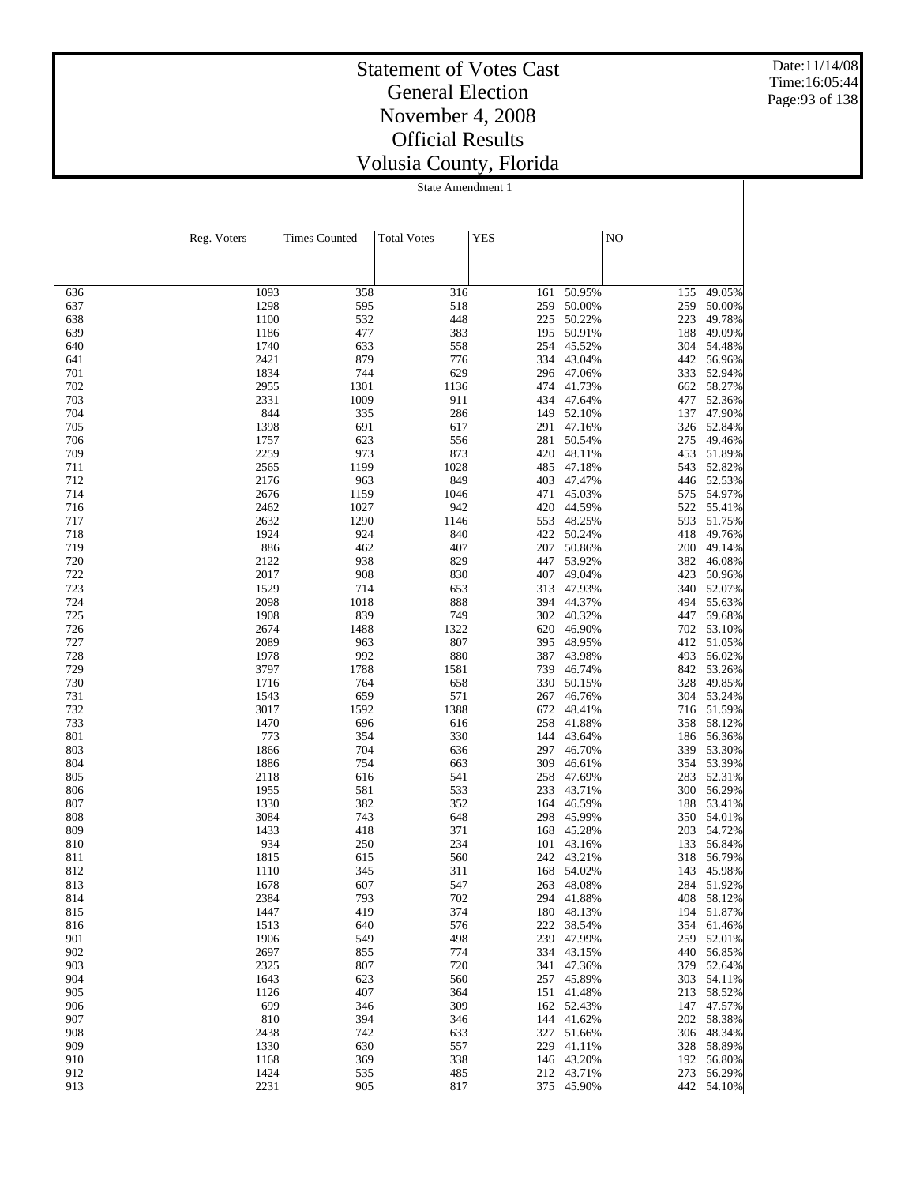Date:11/14/08 Time:16:05:44 Page:93 of 138

### Statement of Votes Cast General Election November 4, 2008 Official Results Volusia County, Florida

|            | Reg. Voters  | <b>Times Counted</b> | <b>Total Votes</b> | <b>YES</b> |                      | NO         |                          |
|------------|--------------|----------------------|--------------------|------------|----------------------|------------|--------------------------|
|            |              |                      |                    |            |                      |            |                          |
| 636        | 1093         | 358                  | 316                | 161        | 50.95%               | 155        | 49.05%                   |
| 637        | 1298         | 595                  | 518                | 259        | 50.00%               | 259        | 50.00%                   |
| 638        | 1100         | 532                  | 448                | 225        | 50.22%               | 223        | 49.78%                   |
| 639<br>640 | 1186<br>1740 | 477<br>633           | 383<br>558         | 195<br>254 | 50.91%<br>45.52%     | 188<br>304 | 49.09%<br>54.48%         |
| 641        | 2421         | 879                  | 776                | 334        | 43.04%               | 442        | 56.96%                   |
| 701        | 1834         | 744                  | 629                | 296        | 47.06%               | 333        | 52.94%                   |
| 702        | 2955         | 1301                 | 1136               | 474        | 41.73%               | 662        | 58.27%                   |
| 703        | 2331         | 1009                 | 911                | 434        | 47.64%               | 477        | 52.36%                   |
| 704        | 844          | 335                  | 286                | 149        | 52.10%               | 137        | 47.90%                   |
| 705<br>706 | 1398<br>1757 | 691<br>623           | 617<br>556         | 291<br>281 | 47.16%<br>50.54%     | 326<br>275 | 52.84%<br>49.46%         |
| 709        | 2259         | 973                  | 873                | 420        | 48.11%               | 453        | 51.89%                   |
| 711        | 2565         | 1199                 | 1028               | 485        | 47.18%               | 543        | 52.82%                   |
| 712        | 2176         | 963                  | 849                | 403        | 47.47%               |            | 446 52.53%               |
| 714        | 2676         | 1159                 | 1046               | 471        | 45.03%               | 575        | 54.97%                   |
| 716        | 2462         | 1027                 | 942                | 420        | 44.59%               | 522        | 55.41%                   |
| 717        | 2632         | 1290                 | 1146               | 553        | 48.25%               | 593        | 51.75%                   |
| 718<br>719 | 1924<br>886  | 924<br>462           | 840<br>407         | 422<br>207 | 50.24%<br>50.86%     | 418<br>200 | 49.76%<br>49.14%         |
| 720        | 2122         | 938                  | 829                | 447        | 53.92%               | 382        | 46.08%                   |
| 722        | 2017         | 908                  | 830                | 407        | 49.04%               | 423        | 50.96%                   |
| 723        | 1529         | 714                  | 653                | 313        | 47.93%               | 340        | 52.07%                   |
| 724        | 2098         | 1018                 | 888                | 394        | 44.37%               | 494        | 55.63%                   |
| 725        | 1908         | 839                  | 749                | 302        | 40.32%               | 447        | 59.68%                   |
| 726        | 2674         | 1488                 | 1322               |            | 620 46.90%           | 702        | 53.10%                   |
| 727<br>728 | 2089<br>1978 | 963<br>992           | 807<br>880         | 395<br>387 | 48.95%<br>43.98%     | 412<br>493 | 51.05%<br>56.02%         |
| 729        | 3797         | 1788                 | 1581               | 739        | 46.74%               | 842        | 53.26%                   |
| 730        | 1716         | 764                  | 658                | 330        | 50.15%               | 328        | 49.85%                   |
| 731        | 1543         | 659                  | 571                | 267        | 46.76%               | 304        | 53.24%                   |
| 732        | 3017         | 1592                 | 1388               | 672        | 48.41%               |            | 716 51.59%               |
| 733        | 1470         | 696                  | 616                | 258        | 41.88%               | 358        | 58.12%                   |
| 801<br>803 | 773<br>1866  | 354<br>704           | 330<br>636         | 144<br>297 | 43.64%<br>46.70%     | 186<br>339 | 56.36%<br>53.30%         |
| 804        | 1886         | 754                  | 663                | 309        | 46.61%               | 354        | 53.39%                   |
| 805        | 2118         | 616                  | 541                | 258        | 47.69%               | 283        | 52.31%                   |
| 806        | 1955         | 581                  | 533                | 233        | 43.71%               | 300        | 56.29%                   |
| 807        | 1330         | 382                  | 352                | 164        | 46.59%               | 188        | 53.41%                   |
| 808        | 3084         | 743                  | 648                | 298        | 45.99%               | 350        | 54.01%                   |
| 809<br>810 | 1433         | 418<br>250           | 371<br>234         | 168        | 45.28%<br>43.16%     | 203        | 54.72%<br>56.84%         |
| 811        | 934<br>1815  | 615                  | 560                | 101<br>242 | 43.21%               | 133<br>318 | 56.79%                   |
| 812        | 1110         | 345                  | 311                |            | 168 54.02%           |            | 143 45.98%               |
| 813        | 1678         | 607                  | 547                |            | 263 48.08%           |            | 284 51.92%               |
| 814        | 2384         | 793                  | 702                |            | 294 41.88%           |            | 408 58.12%               |
| 815        | 1447         | 419                  | 374                |            | 180 48.13%           |            | 194 51.87%               |
| 816        | 1513         | 640                  | 576                |            | 222 38.54%           |            | 354 61.46%               |
| 901<br>902 | 1906<br>2697 | 549<br>855           | 498<br>774         | 239        | 47.99%<br>334 43.15% | 440        | 259 52.01%<br>56.85%     |
| 903        | 2325         | 807                  | 720                | 341        | 47.36%               |            | 379 52.64%               |
| 904        | 1643         | 623                  | 560                |            | 257 45.89%           |            | 303 54.11%               |
| 905        | 1126         | 407                  | 364                | 151        | 41.48%               |            | 213 58.52%               |
| 906        | 699          | 346                  | 309                |            | 162 52.43%           |            | 147 47.57%               |
| 907        | 810          | 394                  | 346                |            | 144 41.62%           |            | 202 58.38%               |
| 908        | 2438         | 742                  | 633                |            | 327 51.66%           |            | 306 48.34%               |
| 909<br>910 | 1330<br>1168 | 630<br>369           | 557<br>338         | 229        | 41.11%<br>146 43.20% |            | 328 58.89%<br>192 56.80% |
| 912        | 1424         | 535                  | 485                |            | 212 43.71%           |            | 273 56.29%               |
| 913        | 2231         | 905                  | 817                |            | 375 45.90%           |            | 442 54.10%               |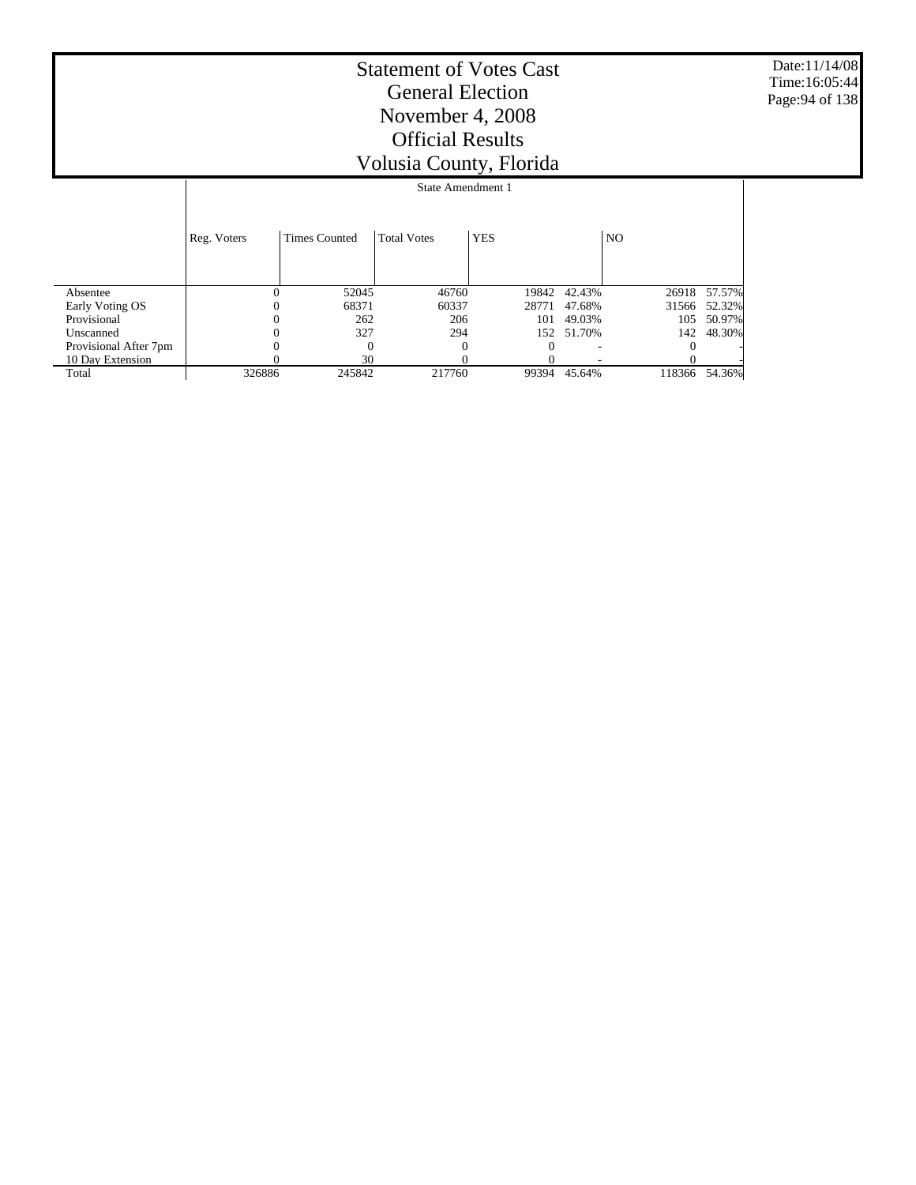Date:11/14/08 Time:16:05:44 Page:94 of 138

|                       |             | State Amendment 1    |                    |            |        |                |        |  |  |  |
|-----------------------|-------------|----------------------|--------------------|------------|--------|----------------|--------|--|--|--|
|                       |             |                      |                    |            |        |                |        |  |  |  |
|                       | Reg. Voters | <b>Times Counted</b> | <b>Total Votes</b> | <b>YES</b> |        | N <sub>O</sub> |        |  |  |  |
|                       |             |                      |                    |            |        |                |        |  |  |  |
| Absentee              |             | 52045                | 46760              | 19842      | 42.43% | 26918          | 57.57% |  |  |  |
| Early Voting OS       |             | 68371                | 60337              | 28771      | 47.68% | 31566          | 52.32% |  |  |  |
| Provisional           |             | 262                  | 206                | 101        | 49.03% | 105            | 50.97% |  |  |  |
| Unscanned             |             | 327                  | 294                | 152        | 51.70% | 142            | 48.30% |  |  |  |
| Provisional After 7pm |             | $\Omega$             | $\theta$           |            |        |                |        |  |  |  |
| 10 Day Extension      |             | 30                   |                    |            |        |                |        |  |  |  |
| Total                 | 326886      | 245842               | 217760             | 99394      | 45.64% | 118366         | 54.36% |  |  |  |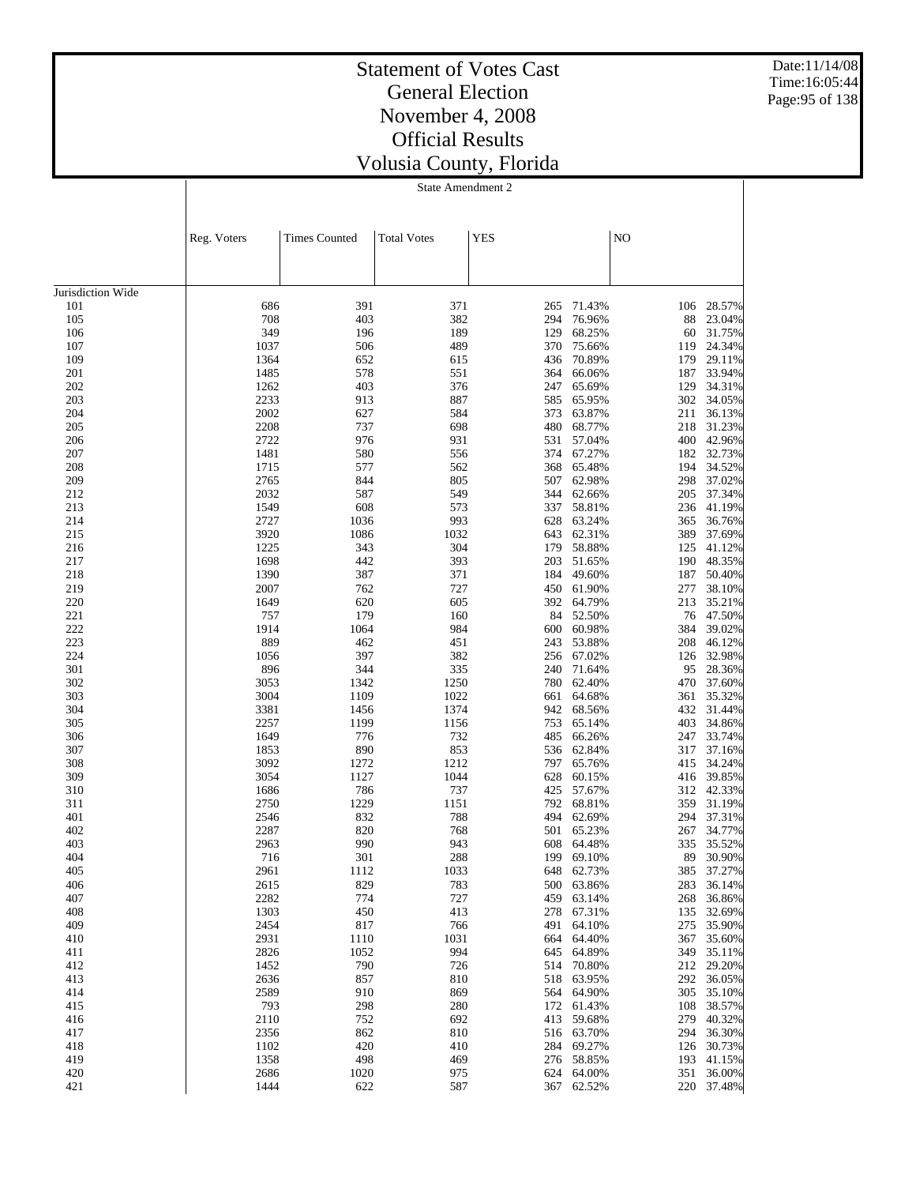Date:11/14/08 Time:16:05:44 Page:95 of 138

## Statement of Votes Cast General Election November 4, 2008 Official Results Volusia County, Florida

|                   | Reg. Voters  | <b>Times Counted</b> | <b>Total Votes</b> | <b>YES</b> |                  | NO         |                  |
|-------------------|--------------|----------------------|--------------------|------------|------------------|------------|------------------|
|                   |              |                      |                    |            |                  |            |                  |
|                   |              |                      |                    |            |                  |            |                  |
| Jurisdiction Wide |              |                      |                    |            |                  |            |                  |
| 101<br>105        | 686<br>708   | 391<br>403           | 371<br>382         | 265<br>294 | 71.43%<br>76.96% | 106<br>88  | 28.57%<br>23.04% |
| 106               | 349          | 196                  | 189                | 129        | 68.25%           | 60         | 31.75%           |
| 107               | 1037         | 506                  | 489                | 370        | 75.66%           | 119        | 24.34%           |
| 109               | 1364         | 652                  | 615                | 436        | 70.89%           | 179        | 29.11%           |
| 201               | 1485         | 578                  | 551                | 364        | 66.06%           | 187        | 33.94%           |
| 202               | 1262         | 403                  | 376                | 247        | 65.69%           | 129        | 34.31%           |
| 203               | 2233         | 913                  | 887                | 585        | 65.95%           | 302        | 34.05%           |
| 204               | 2002         | 627                  | 584                | 373        | 63.87%           | 211        | 36.13%           |
| 205<br>206        | 2208<br>2722 | 737<br>976           | 698<br>931         | 480<br>531 | 68.77%<br>57.04% | 218<br>400 | 31.23%<br>42.96% |
| 207               | 1481         | 580                  | 556                | 374        | 67.27%           | 182        | 32.73%           |
| 208               | 1715         | 577                  | 562                | 368        | 65.48%           | 194        | 34.52%           |
| 209               | 2765         | 844                  | 805                | 507        | 62.98%           | 298        | 37.02%           |
| 212               | 2032         | 587                  | 549                | 344        | 62.66%           | 205        | 37.34%           |
| 213               | 1549         | 608                  | 573                | 337        | 58.81%           | 236        | 41.19%           |
| 214               | 2727         | 1036                 | 993                | 628        | 63.24%           | 365        | 36.76%           |
| 215               | 3920         | 1086                 | 1032               | 643        | 62.31%           | 389        | 37.69%           |
| 216<br>217        | 1225<br>1698 | 343<br>442           | 304<br>393         | 179<br>203 | 58.88%<br>51.65% | 125<br>190 | 41.12%<br>48.35% |
| 218               | 1390         | 387                  | 371                | 184        | 49.60%           | 187        | 50.40%           |
| 219               | 2007         | 762                  | 727                | 450        | 61.90%           | 277        | 38.10%           |
| 220               | 1649         | 620                  | 605                | 392        | 64.79%           | 213        | 35.21%           |
| 221               | 757          | 179                  | 160                | 84         | 52.50%           |            | 76 47.50%        |
| 222               | 1914         | 1064                 | 984                | 600        | 60.98%           | 384        | 39.02%           |
| 223               | 889          | 462                  | 451                | 243        | 53.88%           | 208        | 46.12%           |
| 224               | 1056         | 397                  | 382                | 256        | 67.02%           | 126        | 32.98%           |
| 301<br>302        | 896<br>3053  | 344<br>1342          | 335<br>1250        | 240<br>780 | 71.64%<br>62.40% | 95<br>470  | 28.36%<br>37.60% |
| 303               | 3004         | 1109                 | 1022               | 661        | 64.68%           | 361        | 35.32%           |
| 304               | 3381         | 1456                 | 1374               | 942        | 68.56%           | 432        | 31.44%           |
| 305               | 2257         | 1199                 | 1156               | 753        | 65.14%           | 403        | 34.86%           |
| 306               | 1649         | 776                  | 732                | 485        | 66.26%           | 247        | 33.74%           |
| 307               | 1853         | 890                  | 853                | 536        | 62.84%           | 317        | 37.16%           |
| 308               | 3092         | 1272                 | 1212               | 797        | 65.76%           | 415        | 34.24%           |
| 309               | 3054         | 1127                 | 1044               | 628        | 60.15%           | 416        | 39.85%           |
| 310<br>311        | 1686<br>2750 | 786<br>1229          | 737<br>1151        | 425<br>792 | 57.67%<br>68.81% | 312<br>359 | 42.33%<br>31.19% |
| 401               | 2546         | 832                  | 788                | 494        | 62.69%           | 294        | 37.31%           |
| 402               | 2287         | 820                  | 768                | 501        | 65.23%           | 267        | 34.77%           |
| 403               | 2963         | 990                  | 943                | 608        | 64.48%           | 335        | 35.52%           |
| 404               | 716          | 301                  | 288                | 199        | 69.10%           | 89         | 30.90%           |
| 405               | 2961         | 1112                 | 1033               | 648        | 62.73%           | 385        | 37.27%           |
| 406               | 2615         | 829                  | 783                |            | 500 63.86%       | 283        | 36.14%           |
| 407               | 2282         | 774                  | 727                | 459        | 63.14%           | 268        | 36.86%           |
| 408<br>409        | 1303<br>2454 | 450<br>817           | 413<br>766         | 278<br>491 | 67.31%<br>64.10% | 135<br>275 | 32.69%<br>35.90% |
| 410               | 2931         | 1110                 | 1031               | 664        | 64.40%           | 367        | 35.60%           |
| 411               | 2826         | 1052                 | 994                | 645        | 64.89%           | 349        | 35.11%           |
| 412               | 1452         | 790                  | 726                | 514        | 70.80%           | 212        | 29.20%           |
| 413               | 2636         | 857                  | 810                | 518        | 63.95%           | 292        | 36.05%           |
| 414               | 2589         | 910                  | 869                | 564        | 64.90%           | 305        | 35.10%           |
| 415               | 793          | 298                  | 280                | 172        | 61.43%           | 108        | 38.57%           |
| 416               | 2110         | 752                  | 692                | 413        | 59.68%           |            | 279 40.32%       |
| 417<br>418        | 2356<br>1102 | 862<br>420           | 810<br>410         | 516<br>284 | 63.70%<br>69.27% | 294<br>126 | 36.30%<br>30.73% |
| 419               | 1358         | 498                  | 469                | 276        | 58.85%           | 193        | 41.15%           |
| 420               | 2686         | 1020                 | 975                |            | 624 64.00%       | 351        | 36.00%           |
| 421               | 1444         | 622                  | 587                | 367        | 62.52%           | 220        | 37.48%           |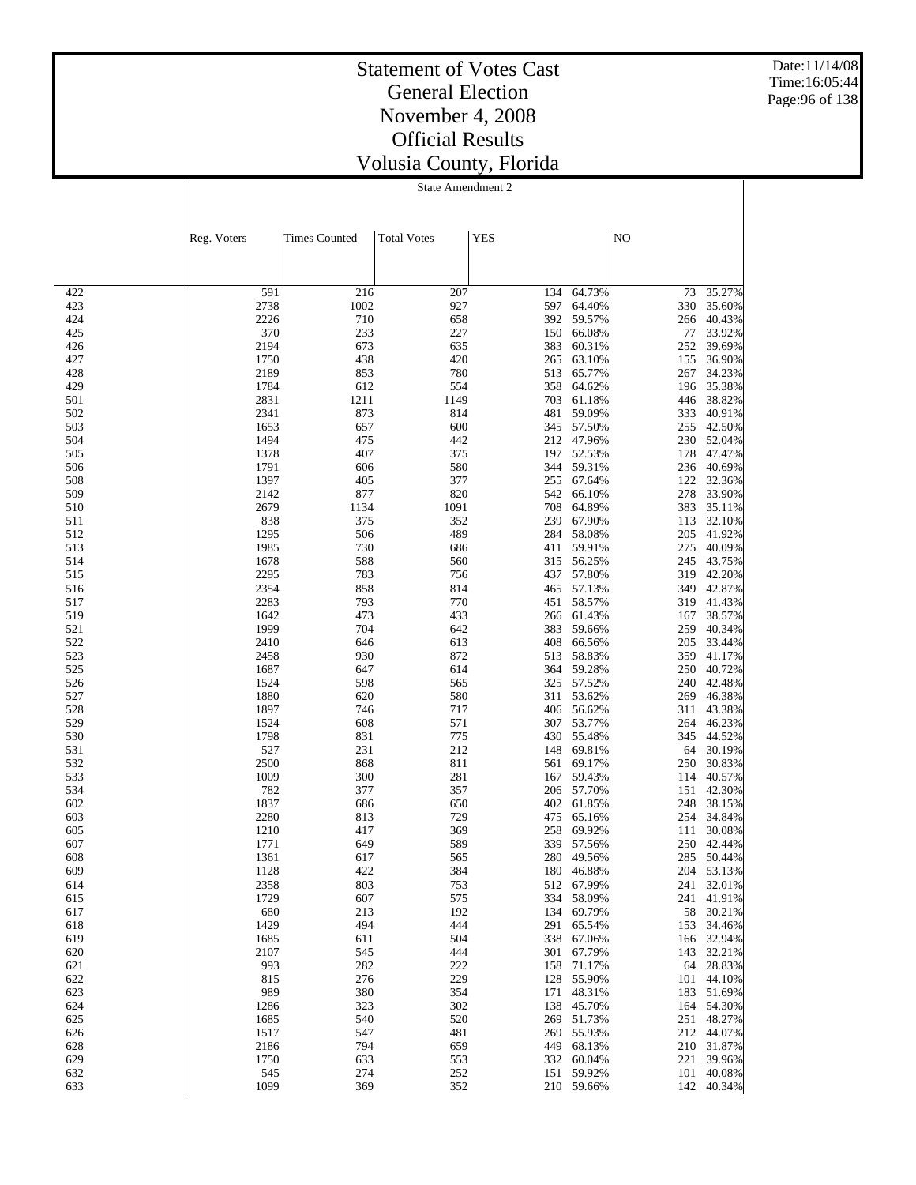Date:11/14/08 Time:16:05:44 Page:96 of 138

### Statement of Votes Cast General Election November 4, 2008 Official Results Volusia County, Florida

|            | Reg. Voters  | <b>Times Counted</b> | <b>Total Votes</b> | <b>YES</b> |                      | NO         |                  |
|------------|--------------|----------------------|--------------------|------------|----------------------|------------|------------------|
|            |              |                      |                    |            |                      |            |                  |
| 422        | 591          | 216                  | 207                | 134        | 64.73%               | 73         | 35.27%           |
| 423        | 2738         | 1002                 | 927                | 597        | 64.40%               | 330        | 35.60%           |
| 424        | 2226         | 710                  | 658                | 392        | 59.57%               | 266        | 40.43%           |
| 425        | 370          | 233                  | 227                | 150        | 66.08%               | 77         | 33.92%           |
| 426        | 2194         | 673                  | 635                | 383        | 60.31%               | 252        | 39.69%           |
| 427        | 1750         | 438                  | 420                | 265        | 63.10%               | 155        | 36.90%           |
| 428        | 2189         | 853                  | 780                | 513        | 65.77%               | 267        | 34.23%           |
| 429        | 1784         | 612                  | 554                | 358        | 64.62%               | 196        | 35.38%           |
| 501        | 2831         | 1211                 | 1149               | 703        | 61.18%               | 446        | 38.82%           |
| 502        | 2341         | 873                  | 814                | 481        | 59.09%               | 333        | 40.91%           |
| 503        | 1653         | 657                  | 600                | 345        | 57.50%               | 255        | 42.50%           |
| 504        | 1494         | 475                  | 442                |            | 212 47.96%           | 230        | 52.04%           |
| 505        | 1378         | 407                  | 375                | 197        | 52.53%               | 178        | 47.47%           |
| 506        | 1791         | 606                  | 580                | 344        | 59.31%               | 236        | 40.69%           |
| 508        | 1397         | 405                  | 377                | 255        | 67.64%               | 122        | 32.36%           |
| 509        | 2142         | 877                  | 820                | 542        | 66.10%               | 278        | 33.90%           |
| 510        | 2679         | 1134                 | 1091               | 708        | 64.89%               | 383        | 35.11%           |
| 511        | 838          | 375                  | 352                | 239        | 67.90%               | 113        | 32.10%           |
| 512        | 1295         | 506                  | 489                | 284        | 58.08%<br>59.91%     | 205<br>275 | 41.92%<br>40.09% |
| 513<br>514 | 1985<br>1678 | 730<br>588           | 686<br>560         | 411<br>315 | 56.25%               | 245        | 43.75%           |
| 515        | 2295         | 783                  | 756                | 437        | 57.80%               |            | 319 42.20%       |
| 516        | 2354         | 858                  | 814                | 465        | 57.13%               | 349        | 42.87%           |
| 517        | 2283         | 793                  | 770                | 451        | 58.57%               | 319        | 41.43%           |
| 519        | 1642         | 473                  | 433                | 266        | 61.43%               | 167        | 38.57%           |
| 521        | 1999         | 704                  | 642                | 383        | 59.66%               | 259        | 40.34%           |
| 522        | 2410         | 646                  | 613                | 408        | 66.56%               | 205        | 33.44%           |
| 523        | 2458         | 930                  | 872                | 513        | 58.83%               | 359        | 41.17%           |
| 525        | 1687         | 647                  | 614                | 364        | 59.28%               | 250        | 40.72%           |
| 526        | 1524         | 598                  | 565                | 325        | 57.52%               | 240        | 42.48%           |
| 527        | 1880         | 620                  | 580                | 311        | 53.62%               | 269        | 46.38%           |
| 528        | 1897         | 746                  | 717                | 406        | 56.62%               | 311        | 43.38%           |
| 529        | 1524         | 608                  | 571                | 307        | 53.77%               | 264        | 46.23%           |
| 530        | 1798         | 831                  | 775                | 430        | 55.48%               | 345        | 44.52%           |
| 531        | 527          | 231                  | 212                | 148        | 69.81%               | 64         | 30.19%           |
| 532        | 2500         | 868                  | 811                | 561        | 69.17%               | 250        | 30.83%           |
| 533        | 1009         | 300                  | 281                | 167        | 59.43%               | 114        | 40.57%           |
| 534        | 782          | 377                  | 357                | 206        | 57.70%               | 151        | 42.30%           |
| 602        | 1837         | 686                  | 650                | 402        | 61.85%               | 248        | 38.15%           |
| 603        | 2280         | 813                  | 729                | 475        | 65.16%               | 254        | 34.84%           |
| 605        | 1210         | 417                  | 369                | 258        | 69.92%               | 111        | 30.08%           |
| 607<br>608 | 1771<br>1361 | 649                  | 589<br>565         | 339        | 57.56%               | 250        | 42.44%<br>50.44% |
| 609        | 1128         | 617<br>422           | 384                | 280        | 49.56%<br>180 46.88% | 285        | 204 53.13%       |
| 614        | 2358         | 803                  | 753                |            | 512 67.99%           |            | 241 32.01%       |
| 615        | 1729         | 607                  | 575                |            | 334 58.09%           |            | 241 41.91%       |
| 617        | 680          | 213                  | 192                |            | 134 69.79%           |            | 58 30.21%        |
| 618        | 1429         | 494                  | 444                |            | 291 65.54%           |            | 153 34.46%       |
| 619        | 1685         | 611                  | 504                |            | 338 67.06%           |            | 166 32.94%       |
| 620        | 2107         | 545                  | 444                |            | 301 67.79%           |            | 143 32.21%       |
| 621        | 993          | 282                  | 222                | 158        | 71.17%               |            | 64 28.83%        |
| 622        | 815          | 276                  | 229                | 128        | 55.90%               |            | 101 44.10%       |
| 623        | 989          | 380                  | 354                | 171        | 48.31%               |            | 183 51.69%       |
| 624        | 1286         | 323                  | 302                |            | 138 45.70%           |            | 164 54.30%       |
| 625        | 1685         | 540                  | 520                |            | 269 51.73%           |            | 251 48.27%       |
| 626        | 1517         | 547                  | 481                |            | 269 55.93%           |            | 212 44.07%       |
| 628        | 2186         | 794                  | 659                |            | 449 68.13%           |            | 210 31.87%       |
| 629        | 1750         | 633                  | 553                |            | 332 60.04%           |            | 221 39.96%       |
| 632        | 545          | 274                  | 252                | 151        | 59.92%               |            | 101 40.08%       |
| 633        | 1099         | 369                  | 352                |            | 210 59.66%           |            | 142 40.34%       |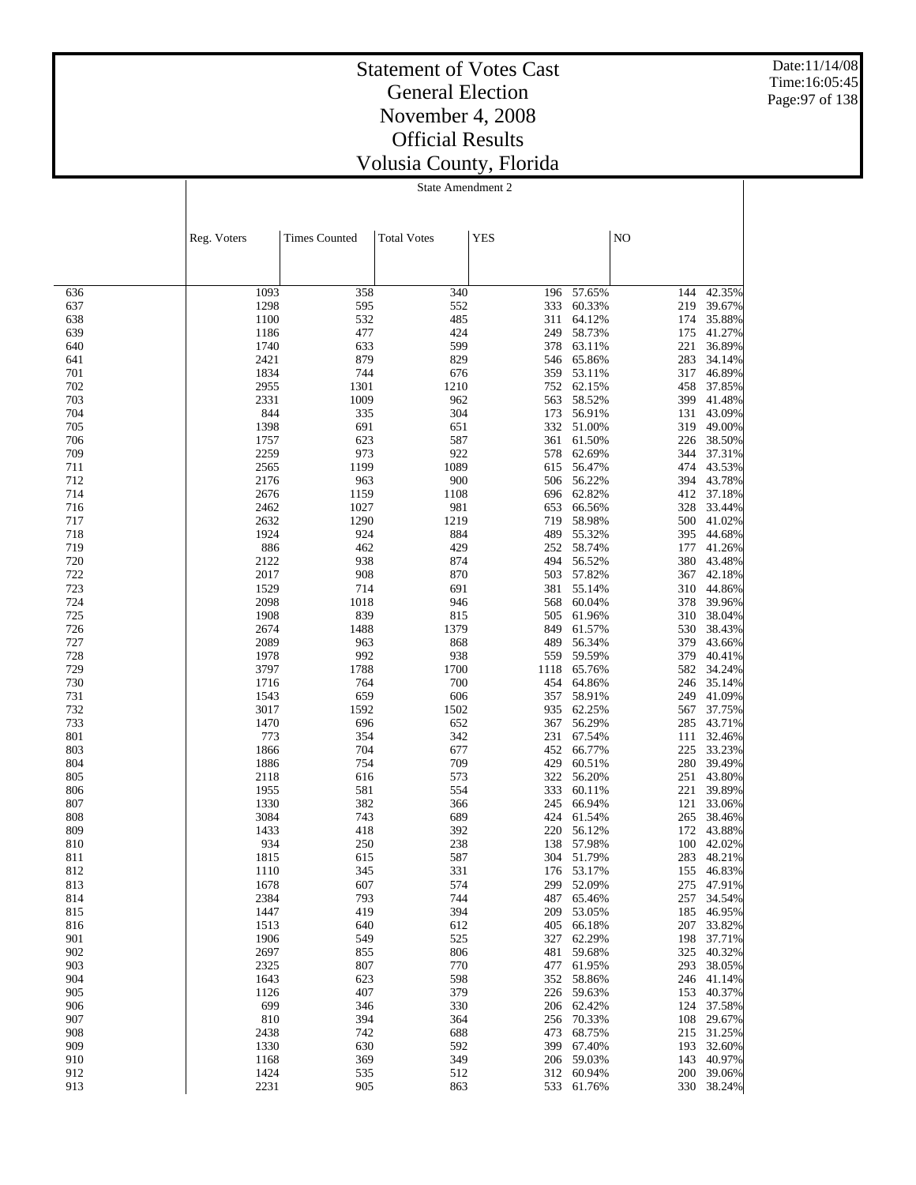Date:11/14/08 Time:16:05:45 Page:97 of 138

## Statement of Votes Cast General Election November 4, 2008 Official Results Volusia County, Florida

|            | Reg. Voters  | <b>Times Counted</b> | <b>Total Votes</b> | <b>YES</b> |                          | NO         |                      |
|------------|--------------|----------------------|--------------------|------------|--------------------------|------------|----------------------|
|            |              |                      |                    |            |                          |            |                      |
| 636        | 1093         | 358                  | 340                | 196        | 57.65%                   | 144        | 42.35%               |
| 637        | 1298         | 595                  | 552                | 333        | 60.33%                   | 219        | 39.67%               |
| 638        | 1100         | 532                  | 485                | 311        | 64.12%                   | 174        | 35.88%               |
| 639        | 1186         | 477                  | 424                | 249        | 58.73%                   | 175        | 41.27%               |
| 640<br>641 | 1740<br>2421 | 633<br>879           | 599<br>829         | 378<br>546 | 63.11%<br>65.86%         | 221<br>283 | 36.89%<br>34.14%     |
| 701        | 1834         | 744                  | 676                | 359        | 53.11%                   | 317        | 46.89%               |
| 702        | 2955         | 1301                 | 1210               | 752        | 62.15%                   | 458        | 37.85%               |
| 703        | 2331         | 1009                 | 962                | 563        | 58.52%                   | 399        | 41.48%               |
| 704        | 844          | 335                  | 304                | 173        | 56.91%                   | 131        | 43.09%               |
| 705        | 1398         | 691                  | 651                | 332        | 51.00%                   | 319        | 49.00%               |
| 706<br>709 | 1757<br>2259 | 623<br>973           | 587<br>922         | 361<br>578 | 61.50%<br>62.69%         | 226<br>344 | 38.50%<br>37.31%     |
| 711        | 2565         | 1199                 | 1089               | 615        | 56.47%                   |            | 474 43.53%           |
| 712        | 2176         | 963                  | 900                | 506        | 56.22%                   | 394        | 43.78%               |
| 714        | 2676         | 1159                 | 1108               | 696        | 62.82%                   | 412        | 37.18%               |
| 716        | 2462         | 1027                 | 981                | 653        | 66.56%                   | 328        | 33.44%               |
| 717        | 2632         | 1290                 | 1219               | 719        | 58.98%                   |            | 500 41.02%           |
| 718        | 1924         | 924                  | 884<br>429         | 489        | 55.32%                   | 395        | 44.68%               |
| 719<br>720 | 886<br>2122  | 462<br>938           | 874                | 252<br>494 | 58.74%<br>56.52%         | 177<br>380 | 41.26%<br>43.48%     |
| 722        | 2017         | 908                  | 870                | 503        | 57.82%                   | 367        | 42.18%               |
| 723        | 1529         | 714                  | 691                | 381        | 55.14%                   | 310        | 44.86%               |
| 724        | 2098         | 1018                 | 946                | 568        | 60.04%                   | 378        | 39.96%               |
| 725        | 1908         | 839                  | 815                | 505        | 61.96%                   | 310        | 38.04%               |
| 726        | 2674         | 1488                 | 1379               | 849        | 61.57%                   | 530        | 38.43%               |
| 727<br>728 | 2089<br>1978 | 963<br>992           | 868<br>938         | 489<br>559 | 56.34%<br>59.59%         | 379<br>379 | 43.66%<br>40.41%     |
| 729        | 3797         | 1788                 | 1700               | 1118       | 65.76%                   | 582        | 34.24%               |
| 730        | 1716         | 764                  | 700                | 454        | 64.86%                   |            | 246 35.14%           |
| 731        | 1543         | 659                  | 606                | 357        | 58.91%                   | 249        | 41.09%               |
| 732        | 3017         | 1592                 | 1502               | 935        | 62.25%                   | 567        | 37.75%               |
| 733        | 1470         | 696                  | 652                | 367        | 56.29%                   | 285        | 43.71%               |
| 801<br>803 | 773<br>1866  | 354<br>704           | 342<br>677         | 231<br>452 | 67.54%<br>66.77%         | 111<br>225 | 32.46%<br>33.23%     |
| 804        | 1886         | 754                  | 709                | 429        | 60.51%                   | 280        | 39.49%               |
| 805        | 2118         | 616                  | 573                | 322        | 56.20%                   | 251        | 43.80%               |
| 806        | 1955         | 581                  | 554                | 333        | 60.11%                   | 221        | 39.89%               |
| 807        | 1330         | 382                  | 366                | 245        | 66.94%                   | 121        | 33.06%               |
| 808        | 3084         | 743                  | 689                | 424        | 61.54%                   | 265        | 38.46%               |
| 809        | 1433         | 418                  | 392                | 220        | 56.12%                   | 172        | 43.88%               |
| 810<br>811 | 934<br>1815  | 250<br>615           | 238<br>587         | 138<br>304 | 57.98%<br>51.79%         | 283        | 100 42.02%<br>48.21% |
| 812        | 1110         | 345                  | 331                |            | 176 53.17%               |            | 155 46.83%           |
| 813        | 1678         | 607                  | 574                |            | 299 52.09%               |            | 275 47.91%           |
| 814        | 2384         | 793                  | 744                |            | 487 65.46%               |            | 257 34.54%           |
| 815        | 1447         | 419                  | 394                |            | 209 53.05%               |            | 185 46.95%           |
| 816        | 1513         | 640                  | 612                |            | 405 66.18%               |            | 207 33.82%           |
| 901<br>902 | 1906<br>2697 | 549<br>855           | 525<br>806         |            | 327 62.29%<br>481 59.68% | 198        | 37.71%<br>325 40.32% |
| 903        | 2325         | 807                  | 770                |            | 477 61.95%               |            | 293 38.05%           |
| 904        | 1643         | 623                  | 598                | 352        | 58.86%                   |            | 246 41.14%           |
| 905        | 1126         | 407                  | 379                |            | 226 59.63%               | 153        | 40.37%               |
| 906        | 699          | 346                  | 330                |            | 206 62.42%               | 124        | 37.58%               |
| 907        | 810          | 394                  | 364                | 256        | 70.33%                   | 108        | 29.67%               |
| 908<br>909 | 2438<br>1330 | 742<br>630           | 688<br>592         | 473        | 68.75%<br>399 67.40%     | 193        | 215 31.25%<br>32.60% |
| 910        | 1168         | 369                  | 349                |            | 206 59.03%               |            | 143 40.97%           |
| 912        | 1424         | 535                  | 512                |            | 312 60.94%               |            | 200 39.06%           |
| 913        | 2231         | 905                  | 863                |            | 533 61.76%               |            | 330 38.24%           |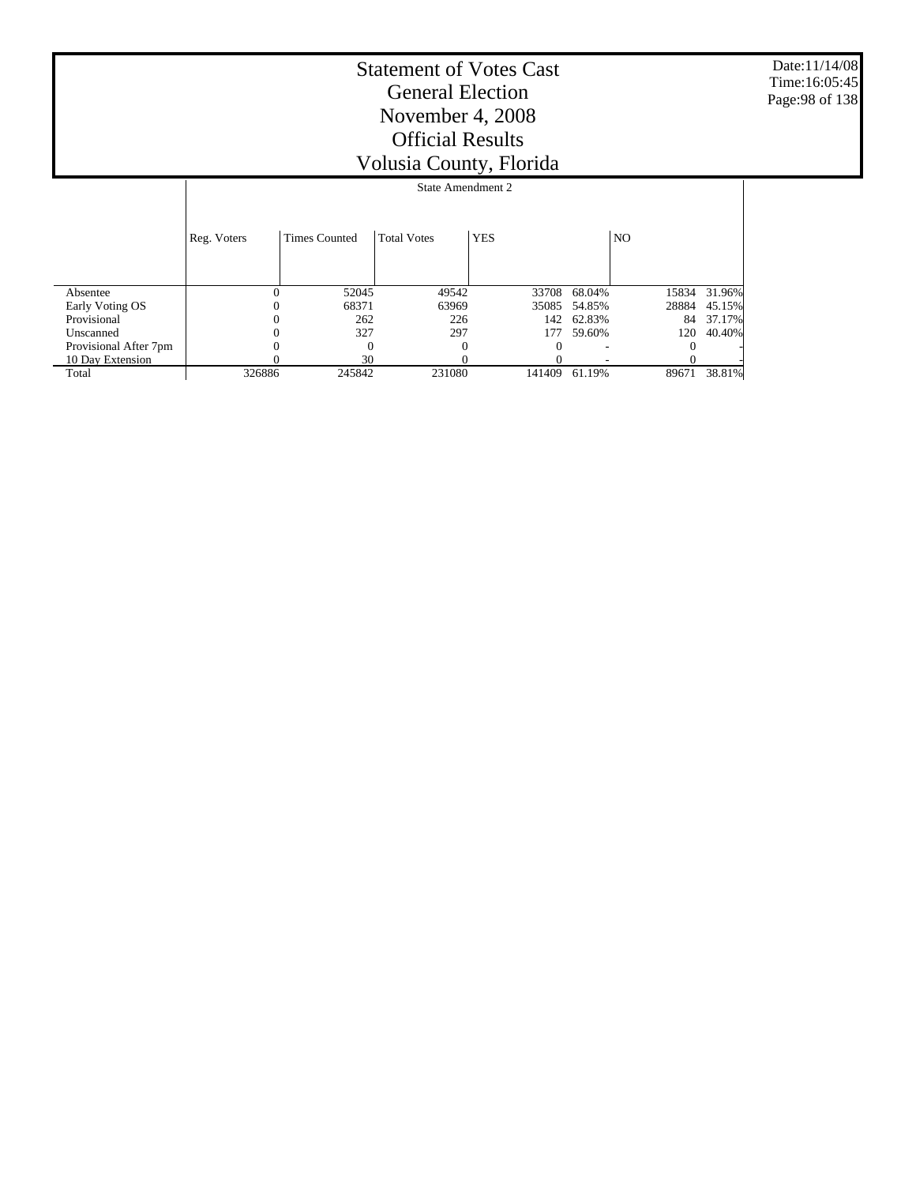Date:11/14/08 Time:16:05:45 Page:98 of 138

|                       |             | State Amendment 2 |                    |            |              |       |              |  |  |
|-----------------------|-------------|-------------------|--------------------|------------|--------------|-------|--------------|--|--|
|                       | Reg. Voters | Times Counted     | <b>Total Votes</b> | <b>YES</b> |              | NO.   |              |  |  |
| Absentee              | 0           | 52045             | 49542              |            | 33708 68.04% |       | 15834 31.96% |  |  |
| Early Voting OS       |             | 68371             | 63969              | 35085      | 54.85%       | 28884 | 45.15%       |  |  |
| Provisional           | 0           | 262               | 226                | 142        | 62.83%       | 84    | 37.17%       |  |  |
| Unscanned             |             | 327               | 297                | 177        | 59.60%       | 120   | 40.40%       |  |  |
| Provisional After 7pm |             | $\Omega$          | $\Omega$           | $\Omega$   |              |       |              |  |  |
| 10 Day Extension      |             | 30                |                    |            |              |       |              |  |  |
| Total                 | 326886      | 245842            | 231080             | 141409     | 61.19%       | 89671 | 38.81%       |  |  |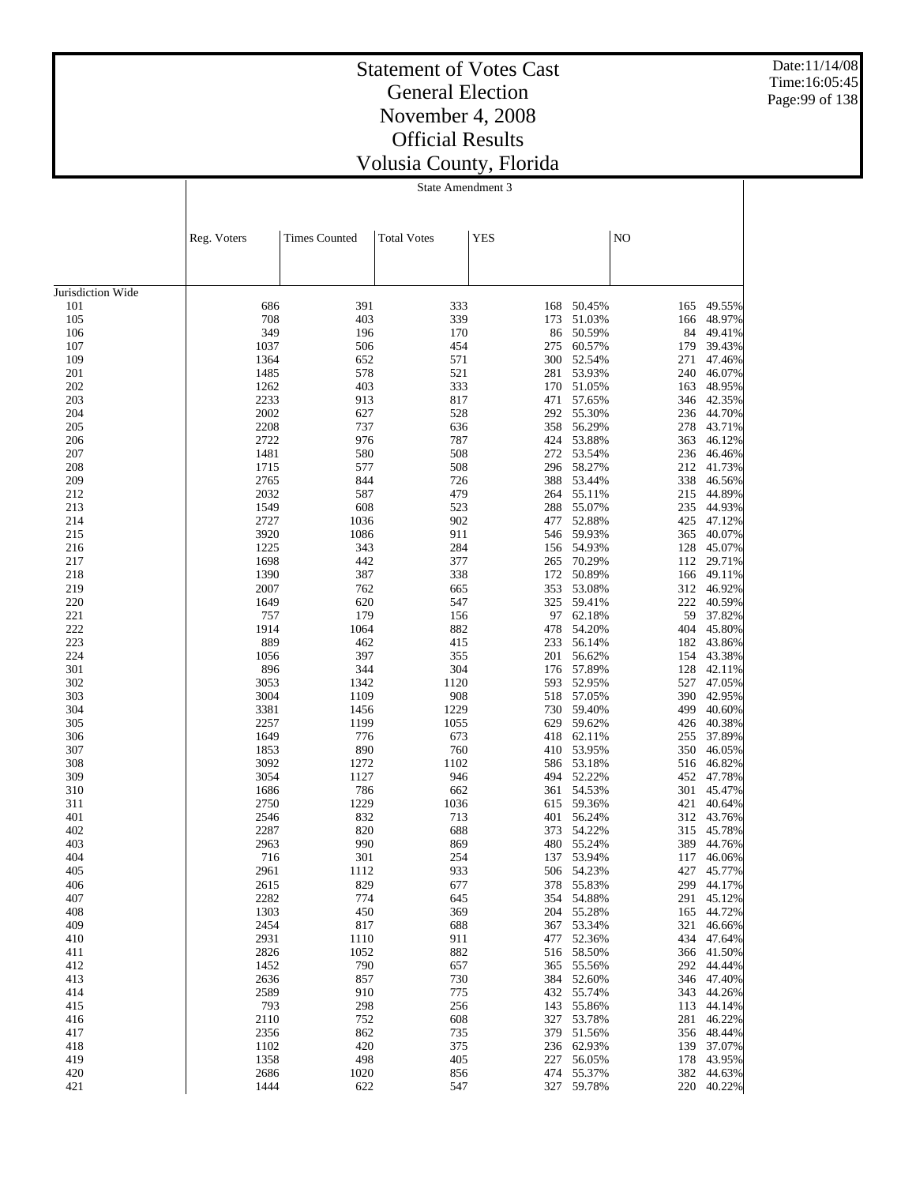Date:11/14/08 Time:16:05:45 Page:99 of 138

## Statement of Votes Cast General Election November 4, 2008 Official Results Volusia County, Florida

|                   | Reg. Voters  | <b>Times Counted</b> | <b>Total Votes</b> | <b>YES</b> |                  | NO         |                          |
|-------------------|--------------|----------------------|--------------------|------------|------------------|------------|--------------------------|
|                   |              |                      |                    |            |                  |            |                          |
|                   |              |                      |                    |            |                  |            |                          |
| Jurisdiction Wide |              |                      |                    |            |                  |            |                          |
| 101               | 686          | 391                  | 333                | 168        | 50.45%           | 165        | 49.55%                   |
| 105               | 708<br>349   | 403<br>196           | 339<br>170         | 173<br>86  | 51.03%           | 166<br>84  | 48.97%                   |
| 106<br>107        | 1037         | 506                  | 454                | 275        | 50.59%<br>60.57% | 179        | 49.41%<br>39.43%         |
| 109               | 1364         | 652                  | 571                | 300        | 52.54%           | 271        | 47.46%                   |
| 201               | 1485         | 578                  | 521                | 281        | 53.93%           | 240        | 46.07%                   |
| 202               | 1262         | 403                  | 333                | 170        | 51.05%           | 163        | 48.95%                   |
| 203               | 2233         | 913                  | 817                | 471        | 57.65%           | 346        | 42.35%                   |
| 204               | 2002         | 627                  | 528                | 292        | 55.30%           | 236        | 44.70%                   |
| 205               | 2208         | 737                  | 636                | 358        | 56.29%           | 278        | 43.71%                   |
| 206               | 2722         | 976                  | 787                | 424        | 53.88%           | 363        | 46.12%                   |
| 207<br>208        | 1481<br>1715 | 580<br>577           | 508<br>508         | 272<br>296 | 53.54%<br>58.27% | 236<br>212 | 46.46%<br>41.73%         |
| 209               | 2765         | 844                  | 726                | 388        | 53.44%           | 338        | 46.56%                   |
| 212               | 2032         | 587                  | 479                | 264        | 55.11%           | 215        | 44.89%                   |
| 213               | 1549         | 608                  | 523                | 288        | 55.07%           | 235        | 44.93%                   |
| 214               | 2727         | 1036                 | 902                | 477        | 52.88%           | 425        | 47.12%                   |
| 215               | 3920         | 1086                 | 911                | 546        | 59.93%           | 365        | 40.07%                   |
| 216               | 1225         | 343                  | 284                | 156        | 54.93%           | 128        | 45.07%                   |
| 217               | 1698         | 442                  | 377                | 265        | 70.29%           | 112        | 29.71%<br>49.11%         |
| 218<br>219        | 1390<br>2007 | 387<br>762           | 338<br>665         | 172<br>353 | 50.89%<br>53.08% | 166<br>312 | 46.92%                   |
| 220               | 1649         | 620                  | 547                | 325        | 59.41%           | 222        | 40.59%                   |
| 221               | 757          | 179                  | 156                | 97         | 62.18%           | 59         | 37.82%                   |
| 222               | 1914         | 1064                 | 882                | 478        | 54.20%           | 404        | 45.80%                   |
| 223               | 889          | 462                  | 415                | 233        | 56.14%           | 182        | 43.86%                   |
| 224               | 1056         | 397                  | 355                | 201        | 56.62%           | 154        | 43.38%                   |
| 301               | 896          | 344                  | 304                | 176        | 57.89%           | 128        | 42.11%                   |
| 302               | 3053         | 1342                 | 1120               | 593        | 52.95%           | 527        | 47.05%                   |
| 303<br>304        | 3004<br>3381 | 1109<br>1456         | 908<br>1229        | 518<br>730 | 57.05%<br>59.40% | 390<br>499 | 42.95%<br>40.60%         |
| 305               | 2257         | 1199                 | 1055               | 629        | 59.62%           | 426        | 40.38%                   |
| 306               | 1649         | 776                  | 673                | 418        | 62.11%           | 255        | 37.89%                   |
| 307               | 1853         | 890                  | 760                |            | 410 53.95%       | 350        | 46.05%                   |
| 308               | 3092         | 1272                 | 1102               | 586        | 53.18%           | 516        | 46.82%                   |
| 309               | 3054         | 1127                 | 946                | 494        | 52.22%           | 452        | 47.78%                   |
| 310               | 1686         | 786                  | 662                | 361        | 54.53%           | 301        | 45.47%                   |
| 311               | 2750         | 1229                 | 1036               | 615        | 59.36%           | 421        | 40.64%                   |
| 401<br>402        | 2546<br>2287 | 832<br>820           | 713<br>688         | 401<br>373 | 56.24%<br>54.22% | 312<br>315 | 43.76%<br>45.78%         |
| 403               | 2963         | 990                  | 869                | 480        | 55.24%           | 389        | 44.76%                   |
| 404               | 716          | 301                  | 254                | 137        | 53.94%           | 117        | 46.06%                   |
| 405               | 2961         | 1112                 | 933                | 506        | 54.23%           | 427        | 45.77%                   |
| 406               | 2615         | 829                  | 677                | 378        | 55.83%           |            | 299 44.17%               |
| 407               | 2282         | 774                  | 645                | 354        | 54.88%           |            | 291 45.12%               |
| 408               | 1303         | 450                  | 369                | 204        | 55.28%           | 165        | 44.72%                   |
| 409               | 2454         | 817                  | 688                | 367        | 53.34%           | 321        | 46.66%                   |
| 410<br>411        | 2931<br>2826 | 1110<br>1052         | 911<br>882         | 477<br>516 | 52.36%<br>58.50% |            | 434 47.64%<br>366 41.50% |
| 412               | 1452         | 790                  | 657                | 365        | 55.56%           | 292        | 44.44%                   |
| 413               | 2636         | 857                  | 730                | 384        | 52.60%           |            | 346 47.40%               |
| 414               | 2589         | 910                  | 775                | 432        | 55.74%           | 343        | 44.26%                   |
| 415               | 793          | 298                  | 256                | 143        | 55.86%           | 113        | 44.14%                   |
| 416               | 2110         | 752                  | 608                | 327        | 53.78%           |            | 281 46.22%               |
| 417               | 2356         | 862                  | 735                | 379        | 51.56%           |            | 356 48.44%               |
| 418               | 1102         | 420                  | 375                | 236        | 62.93%           |            | 139 37.07%               |
| 419<br>420        | 1358<br>2686 | 498<br>1020          | 405<br>856         | 227<br>474 | 56.05%<br>55.37% | 178<br>382 | 43.95%<br>44.63%         |
| 421               | 1444         | 622                  | 547                | 327        | 59.78%           | 220        | 40.22%                   |
|                   |              |                      |                    |            |                  |            |                          |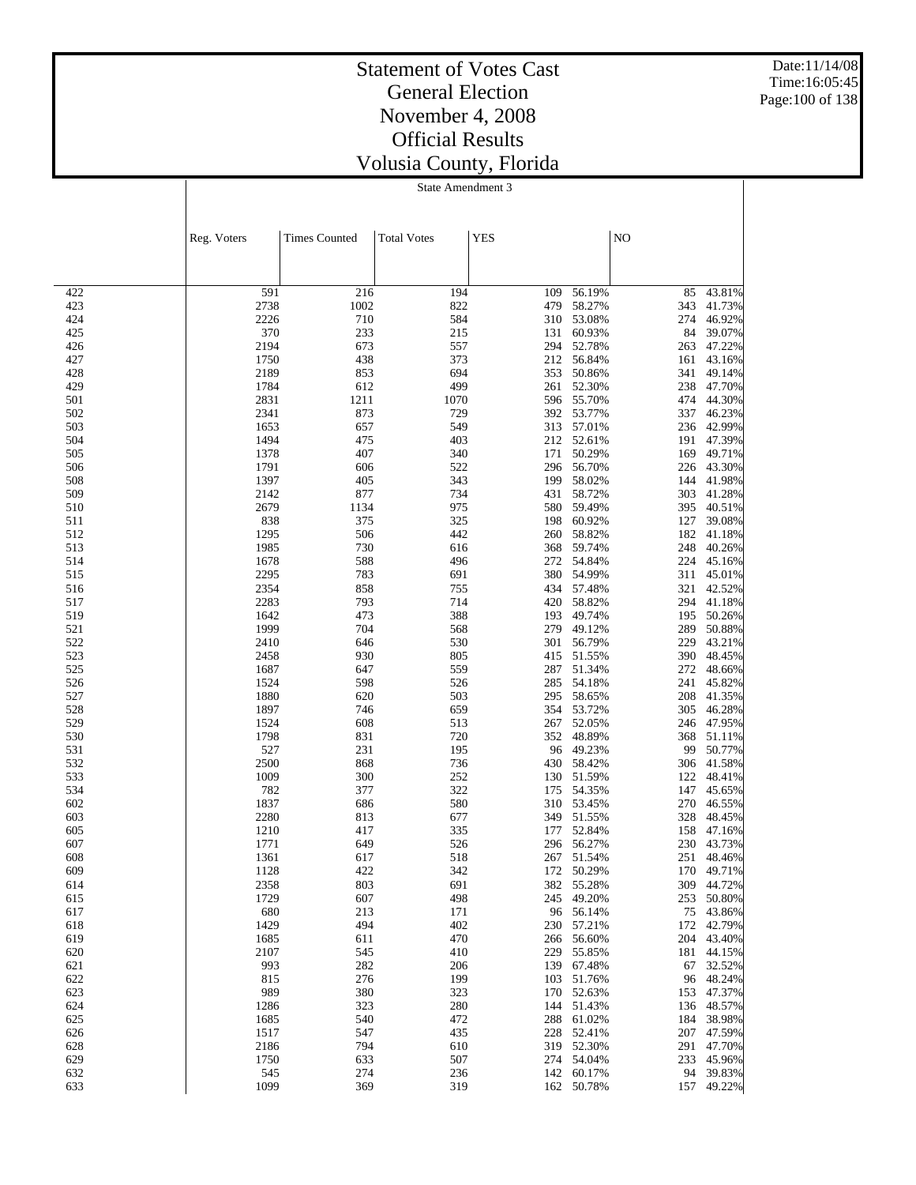Date:11/14/08 Time:16:05:45 Page:100 of 138

### Statement of Votes Cast General Election November 4, 2008 Official Results Volusia County, Florida

|            | Reg. Voters  | <b>Times Counted</b> | <b>Total Votes</b> | <b>YES</b> |                      | NO         |                      |
|------------|--------------|----------------------|--------------------|------------|----------------------|------------|----------------------|
|            |              |                      |                    |            |                      |            |                      |
| 422        | 591          | 216                  | 194                | 109        | 56.19%               | 85         | 43.81%               |
| 423        | 2738         | 1002                 | 822                | 479        | 58.27%               | 343        | 41.73%               |
| 424        | 2226         | 710                  | 584                | 310        | 53.08%               | 274        | 46.92%               |
| 425        | 370          | 233                  | 215                | 131        | 60.93%               | 84         | 39.07%               |
| 426        | 2194         | 673                  | 557                | 294        | 52.78%               | 263        | 47.22%               |
| 427        | 1750         | 438                  | 373                | 212        | 56.84%               | 161        | 43.16%               |
| 428        | 2189         | 853                  | 694                | 353        | 50.86%               | 341        | 49.14%               |
| 429        | 1784         | 612                  | 499                | 261        | 52.30%               | 238        | 47.70%               |
| 501        | 2831         | 1211                 | 1070               | 596        | 55.70%               | 474        | 44.30%               |
| 502        | 2341         | 873                  | 729                | 392        | 53.77%               | 337        | 46.23%               |
| 503        | 1653         | 657                  | 549                | 313        | 57.01%               |            | 236 42.99%           |
| 504        | 1494         | 475<br>407           | 403<br>340         |            | 212 52.61%<br>50.29% |            | 191 47.39%<br>49.71% |
| 505<br>506 | 1378<br>1791 | 606                  | 522                | 171<br>296 | 56.70%               | 169        | 226 43.30%           |
| 508        | 1397         | 405                  | 343                | 199        | 58.02%               | 144        | 41.98%               |
| 509        | 2142         | 877                  | 734                | 431        | 58.72%               | 303        | 41.28%               |
| 510        | 2679         | 1134                 | 975                | 580        | 59.49%               | 395        | 40.51%               |
| 511        | 838          | 375                  | 325                | 198        | 60.92%               | 127        | 39.08%               |
| 512        | 1295         | 506                  | 442                | 260        | 58.82%               | 182        | 41.18%               |
| 513        | 1985         | 730                  | 616                | 368        | 59.74%               | 248        | 40.26%               |
| 514        | 1678         | 588                  | 496                | 272        | 54.84%               | 224        | 45.16%               |
| 515        | 2295         | 783                  | 691                | 380        | 54.99%               |            | 311 45.01%           |
| 516        | 2354         | 858                  | 755                | 434        | 57.48%               | 321        | 42.52%               |
| 517        | 2283         | 793                  | 714                | 420        | 58.82%               | 294        | 41.18%               |
| 519        | 1642         | 473                  | 388                | 193        | 49.74%               | 195        | 50.26%               |
| 521        | 1999         | 704                  | 568                |            | 279 49.12%           | 289        | 50.88%               |
| 522        | 2410         | 646                  | 530                | 301        | 56.79%               | 229        | 43.21%               |
| 523        | 2458         | 930                  | 805                | 415        | 51.55%               |            | 390 48.45%           |
| 525        | 1687         | 647                  | 559                | 287        | 51.34%               | 272        | 48.66%               |
| 526        | 1524         | 598                  | 526                | 285        | 54.18%               |            | 241 45.82%           |
| 527        | 1880         | 620                  | 503                | 295        | 58.65%               | 208        | 41.35%               |
| 528        | 1897         | 746                  | 659                | 354        | 53.72%               | 305        | 46.28%               |
| 529        | 1524         | 608                  | 513                | 267        | 52.05%               |            | 246 47.95%           |
| 530        | 1798         | 831                  | 720                |            | 352 48.89%           | 368        | 51.11%               |
| 531        | 527          | 231                  | 195                | 96         | 49.23%               | 99         | 50.77%               |
| 532        | 2500         | 868                  | 736                | 430        | 58.42%               |            | 306 41.58%           |
| 533        | 1009         | 300                  | 252                | 130        | 51.59%               | 122        | 48.41%               |
| 534        | 782          | 377                  | 322                | 175<br>310 | 54.35%               |            | 147 45.65%<br>46.55% |
| 602        | 1837         | 686                  | 580                |            | 53.45%<br>349 51.55% | 270        |                      |
| 603<br>605 | 2280<br>1210 | 813<br>417           | 677<br>335         | 177        | 52.84%               | 328<br>158 | 48.45%<br>47.16%     |
| 607        | 1771         | 649                  | 526                |            | 296 56.27%           |            | 230 43.73%           |
| 608        | 1361         | 617                  | 518                | 267        | 51.54%               | 251        | 48.46%               |
| 609        | 1128         | 422                  | 342                |            | 172 50.29%           |            | 170 49.71%           |
| 614        | 2358         | 803                  | 691                |            | 382 55.28%           |            | 309 44.72%           |
| 615        | 1729         | 607                  | 498                |            | 245 49.20%           |            | 253 50.80%           |
| 617        | 680          | 213                  | 171                |            | 96 56.14%            |            | 75 43.86%            |
| 618        | 1429         | 494                  | 402                |            | 230 57.21%           |            | 172 42.79%           |
| 619        | 1685         | 611                  | 470                |            | 266 56.60%           |            | 204 43.40%           |
| 620        | 2107         | 545                  | 410                |            | 229 55.85%           |            | 181 44.15%           |
| 621        | 993          | 282                  | 206                |            | 139 67.48%           |            | 67 32.52%            |
| 622        | 815          | 276                  | 199                | 103        | 51.76%               |            | 96 48.24%            |
| 623        | 989          | 380                  | 323                |            | 170 52.63%           |            | 153 47.37%           |
| 624        | 1286         | 323                  | 280                | 144        | 51.43%               |            | 136 48.57%           |
| 625        | 1685         | 540                  | 472                | 288        | 61.02%               | 184        | 38.98%               |
| 626        | 1517         | 547                  | 435                | 228        | 52.41%               |            | 207 47.59%           |
| 628        | 2186         | 794                  | 610                |            | 319 52.30%           |            | 291 47.70%           |
| 629        | 1750         | 633                  | 507                |            | 274 54.04%           |            | 233 45.96%           |
| 632        | 545          | 274                  | 236                |            | 142 60.17%           |            | 94 39.83%            |
| 633        | 1099         | 369                  | 319                |            | 162 50.78%           |            | 157 49.22%           |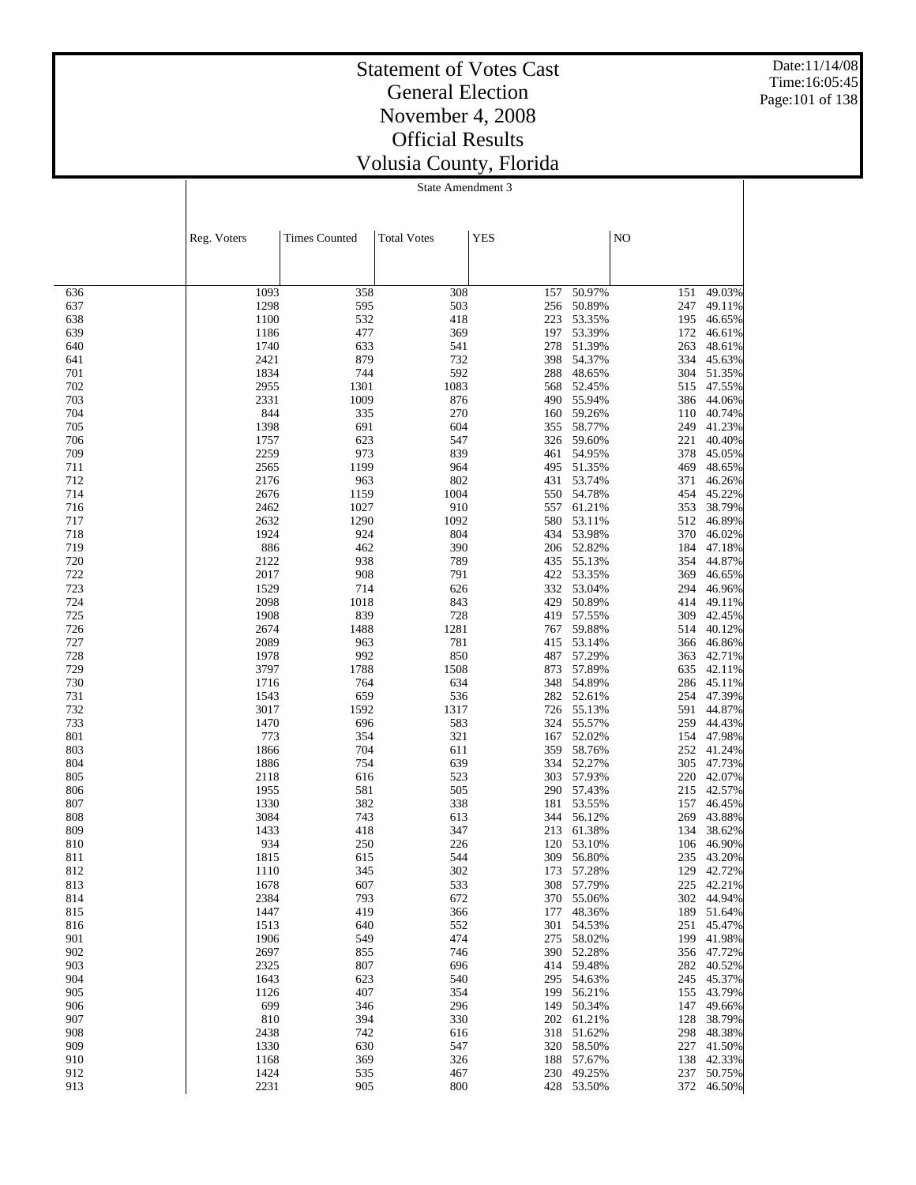Date:11/14/08 Time:16:05:45 Page:101 of 138

### Statement of Votes Cast General Election November 4, 2008 Official Results Volusia County, Florida

|            | Reg. Voters  | <b>Times Counted</b> | <b>Total Votes</b> | <b>YES</b> |                          | NO         |                          |
|------------|--------------|----------------------|--------------------|------------|--------------------------|------------|--------------------------|
|            |              |                      |                    |            |                          |            |                          |
| 636        | 1093         | 358                  | 308                | 157        | 50.97%                   | 151        | 49.03%                   |
| 637        | 1298         | 595                  | 503                | 256        | 50.89%                   | 247        | 49.11%                   |
| 638        | 1100         | 532                  | 418                | 223        | 53.35%                   | 195        | 46.65%                   |
| 639        | 1186         | 477                  | 369                | 197        | 53.39%                   | 172        | 46.61%                   |
| 640        | 1740         | 633                  | 541                | 278        | 51.39%                   | 263        | 48.61%                   |
| 641        | 2421         | 879                  | 732                | 398        | 54.37%                   | 334        | 45.63%                   |
| 701        | 1834         | 744                  | 592                | 288        | 48.65%                   | 304        | 51.35%                   |
| 702        | 2955         | 1301                 | 1083               | 568        | 52.45%                   |            | 515 47.55%               |
| 703        | 2331         | 1009                 | 876                | 490        | 55.94%                   | 386        | 44.06%                   |
| 704        | 844          | 335                  | 270                | 160        | 59.26%                   |            | 110 40.74%               |
| 705        | 1398         | 691                  | 604                | 355<br>326 | 58.77%<br>59.60%         | 249<br>221 | 41.23%<br>40.40%         |
| 706<br>709 | 1757<br>2259 | 623<br>973           | 547<br>839         | 461        | 54.95%                   | 378        | 45.05%                   |
| 711        | 2565         | 1199                 | 964                | 495        | 51.35%                   | 469        | 48.65%                   |
| 712        | 2176         | 963                  | 802                | 431        | 53.74%                   | 371        | 46.26%                   |
| 714        | 2676         | 1159                 | 1004               | 550        | 54.78%                   | 454        | 45.22%                   |
| 716        | 2462         | 1027                 | 910                | 557        | 61.21%                   | 353        | 38.79%                   |
| 717        | 2632         | 1290                 | 1092               | 580        | 53.11%                   | 512        | 46.89%                   |
| 718        | 1924         | 924                  | 804                | 434        | 53.98%                   | 370        | 46.02%                   |
| 719        | 886          | 462                  | 390                | 206        | 52.82%                   | 184        | 47.18%                   |
| 720        | 2122         | 938                  | 789                | 435        | 55.13%                   | 354        | 44.87%                   |
| 722        | 2017         | 908                  | 791                | 422        | 53.35%                   | 369        | 46.65%                   |
| 723        | 1529         | 714                  | 626                | 332        | 53.04%                   | 294        | 46.96%                   |
| 724        | 2098         | 1018                 | 843                | 429        | 50.89%                   | 414        | 49.11%                   |
| 725        | 1908         | 839                  | 728                | 419        | 57.55%                   | 309        | 42.45%                   |
| 726        | 2674         | 1488                 | 1281               | 767        | 59.88%                   | 514        | 40.12%                   |
| 727        | 2089         | 963                  | 781                | 415        | 53.14%                   | 366        | 46.86%                   |
| 728        | 1978         | 992                  | 850                | 487        | 57.29%                   | 363        | 42.71%                   |
| 729<br>730 | 3797         | 1788                 | 1508<br>634        | 873<br>348 | 57.89%<br>54.89%         | 635        | 42.11%<br>286 45.11%     |
| 731        | 1716<br>1543 | 764<br>659           | 536                | 282        | 52.61%                   | 254        | 47.39%                   |
| 732        | 3017         | 1592                 | 1317               | 726        | 55.13%                   |            | 591 44.87%               |
| 733        | 1470         | 696                  | 583                | 324        | 55.57%                   | 259        | 44.43%                   |
| 801        | 773          | 354                  | 321                | 167        | 52.02%                   | 154        | 47.98%                   |
| 803        | 1866         | 704                  | 611                | 359        | 58.76%                   | 252        | 41.24%                   |
| 804        | 1886         | 754                  | 639                | 334        | 52.27%                   |            | 305 47.73%               |
| 805        | 2118         | 616                  | 523                | 303        | 57.93%                   | 220        | 42.07%                   |
| 806        | 1955         | 581                  | 505                |            | 290 57.43%               |            | 215 42.57%               |
| 807        | 1330         | 382                  | 338                | 181        | 53.55%                   | 157        | 46.45%                   |
| 808        | 3084         | 743                  | 613                | 344        | 56.12%                   | 269        | 43.88%                   |
| 809        | 1433         | 418                  | 347                | 213        | 61.38%                   | 134        | 38.62%                   |
| 810        | 934          | 250                  | 226                | 120        | 53.10%                   | 106        | 46.90%                   |
| 811        | 1815         | 615                  | 544                | 309        | 56.80%                   | 235        | 43.20%                   |
| 812        | 1110         | 345                  | 302                | 173        | 57.28%                   | 129        | 42.72%                   |
| 813        | 1678         | 607                  | 533                |            | 308 57.79%               |            | 225 42.21%               |
| 814<br>815 | 2384<br>1447 | 793<br>419           | 672<br>366         |            | 370 55.06%<br>177 48.36% |            | 302 44.94%<br>189 51.64% |
| 816        | 1513         | 640                  | 552                |            | 301 54.53%               |            | 251 45.47%               |
| 901        | 1906         | 549                  | 474                | 275        | 58.02%                   |            | 199 41.98%               |
| 902        | 2697         | 855                  | 746                |            | 390 52.28%               |            | 356 47.72%               |
| 903        | 2325         | 807                  | 696                | 414        | 59.48%                   |            | 282 40.52%               |
| 904        | 1643         | 623                  | 540                |            | 295 54.63%               |            | 245 45.37%               |
| 905        | 1126         | 407                  | 354                |            | 199 56.21%               |            | 155 43.79%               |
| 906        | 699          | 346                  | 296                |            | 149 50.34%               |            | 147 49.66%               |
| 907        | 810          | 394                  | 330                |            | 202 61.21%               | 128        | 38.79%                   |
| 908        | 2438         | 742                  | 616                |            | 318 51.62%               |            | 298 48.38%               |
| 909        | 1330         | 630                  | 547                | 320        | 58.50%                   |            | 227 41.50%               |
| 910        | 1168         | 369                  | 326                | 188        | 57.67%                   |            | 138 42.33%               |
| 912        | 1424         | 535                  | 467                |            | 230 49.25%               | 237        | 50.75%                   |
| 913        | 2231         | 905                  | 800                |            | 428 53.50%               |            | 372 46.50%               |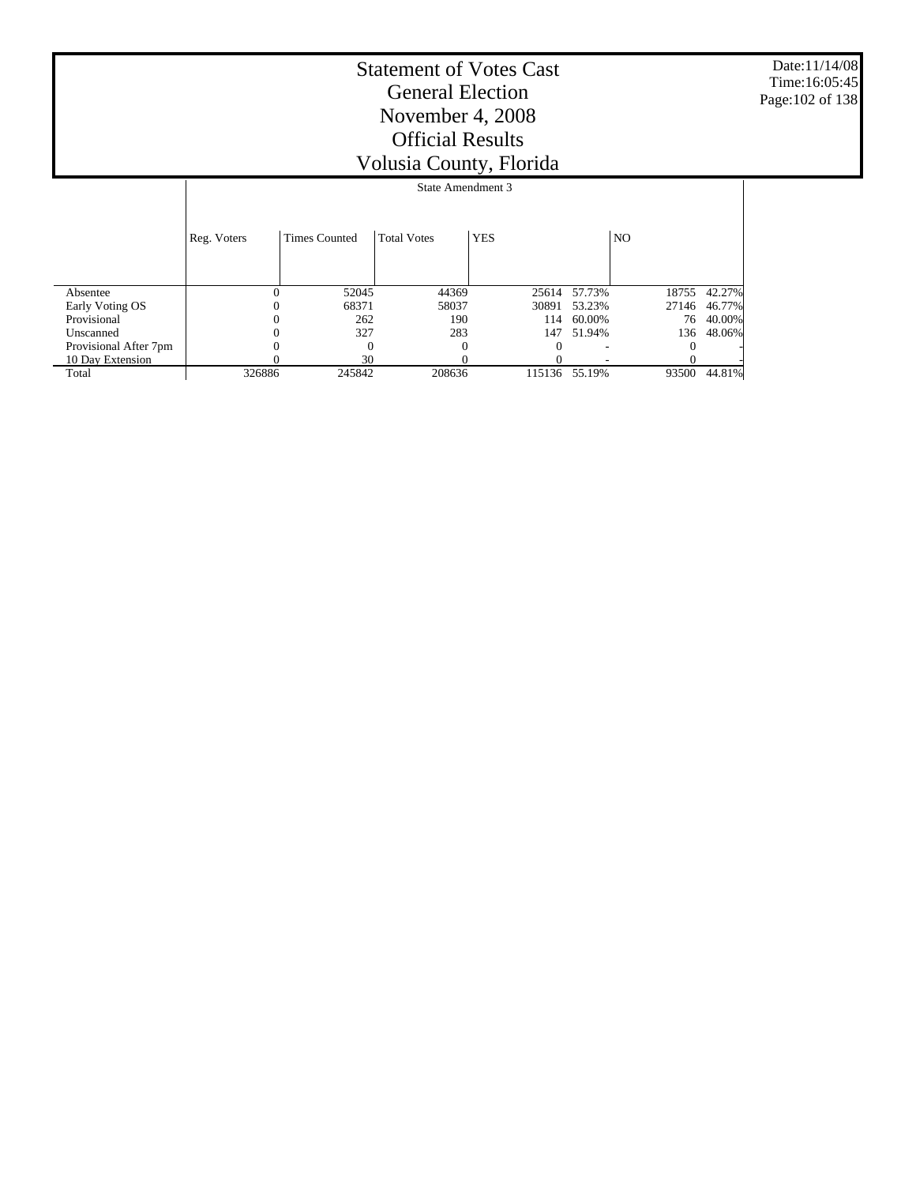Date:11/14/08 Time:16:05:45 Page:102 of 138

|                       |             | State Amendment 3    |                    |            |        |                |        |  |
|-----------------------|-------------|----------------------|--------------------|------------|--------|----------------|--------|--|
|                       | Reg. Voters | <b>Times Counted</b> | <b>Total Votes</b> | <b>YES</b> |        | N <sub>O</sub> |        |  |
| Absentee              | 0           | 52045                | 44369              | 25614      | 57.73% | 18755          | 42.27% |  |
| Early Voting OS       |             | 68371                | 58037              | 30891      | 53.23% | 27146          | 46.77% |  |
| Provisional           |             | 262                  | 190                | 114        | 60.00% | 76             | 40.00% |  |
| Unscanned             |             | 327                  | 283                | 147        | 51.94% | 136            | 48.06% |  |
| Provisional After 7pm |             | $\Omega$             |                    |            |        |                |        |  |
| 10 Day Extension      |             | 30                   |                    |            |        |                |        |  |
| Total                 | 326886      | 245842               | 208636             | 115136     | 55.19% | 93500          | 44.81% |  |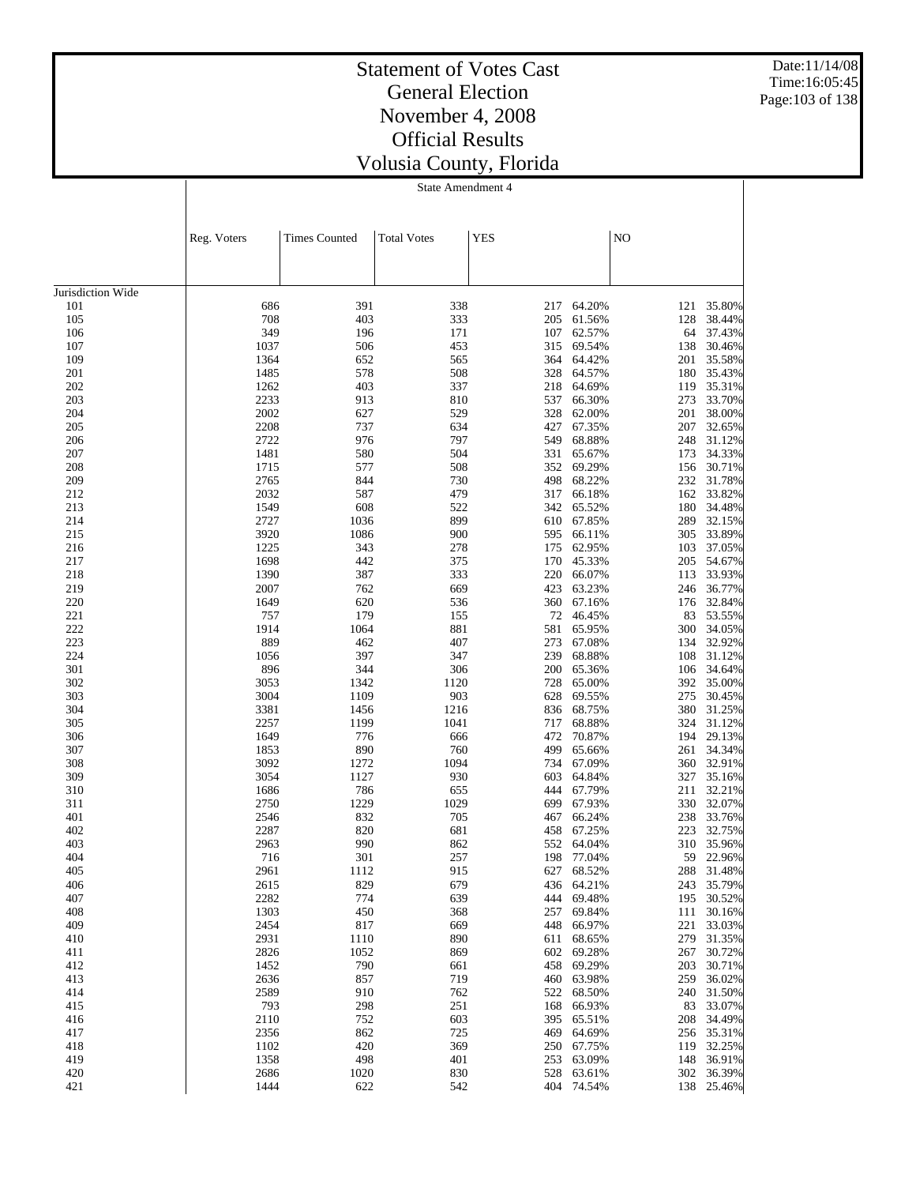Date:11/14/08 Time:16:05:45 Page:103 of 138

## Statement of Votes Cast General Election November 4, 2008 Official Results Volusia County, Florida

|                   | Reg. Voters  | <b>Times Counted</b> | <b>Total Votes</b> | <b>YES</b> |                  | $\rm NO$   |                  |
|-------------------|--------------|----------------------|--------------------|------------|------------------|------------|------------------|
|                   |              |                      |                    |            |                  |            |                  |
|                   |              |                      |                    |            |                  |            |                  |
| Jurisdiction Wide |              |                      |                    |            |                  |            |                  |
| 101               | 686          | 391                  | 338                | 217        | 64.20%           | 121        | 35.80%           |
| 105               | 708<br>349   | 403<br>196           | 333<br>171         | 205<br>107 | 61.56%<br>62.57% | 128<br>64  | 38.44%<br>37.43% |
| 106<br>107        | 1037         | 506                  | 453                | 315        | 69.54%           | 138        | 30.46%           |
| 109               | 1364         | 652                  | 565                | 364        | 64.42%           | 201        | 35.58%           |
| 201               | 1485         | 578                  | 508                | 328        | 64.57%           | 180        | 35.43%           |
| 202               | 1262         | 403                  | 337                | 218        | 64.69%           | 119        | 35.31%           |
| 203               | 2233         | 913                  | 810                | 537        | 66.30%           | 273        | 33.70%           |
| 204               | 2002         | 627                  | 529                | 328        | 62.00%           | 201        | 38.00%           |
| 205               | 2208         | 737                  | 634                | 427        | 67.35%           | 207        | 32.65%           |
| 206<br>207        | 2722<br>1481 | 976<br>580           | 797<br>504         | 549<br>331 | 68.88%<br>65.67% | 248<br>173 | 31.12%<br>34.33% |
| 208               | 1715         | 577                  | 508                | 352        | 69.29%           | 156        | 30.71%           |
| 209               | 2765         | 844                  | 730                | 498        | 68.22%           | 232        | 31.78%           |
| 212               | 2032         | 587                  | 479                | 317        | 66.18%           | 162        | 33.82%           |
| 213               | 1549         | 608                  | 522                | 342        | 65.52%           | 180        | 34.48%           |
| 214               | 2727         | 1036                 | 899                | 610        | 67.85%           | 289        | 32.15%           |
| 215               | 3920         | 1086                 | 900                | 595        | 66.11%           | 305        | 33.89%           |
| 216               | 1225         | 343                  | 278                | 175        | 62.95%           | 103        | 37.05%           |
| 217<br>218        | 1698<br>1390 | 442<br>387           | 375<br>333         | 170<br>220 | 45.33%<br>66.07% | 205        | 54.67%<br>33.93% |
| 219               | 2007         | 762                  | 669                | 423        | 63.23%           | 113<br>246 | 36.77%           |
| 220               | 1649         | 620                  | 536                | 360        | 67.16%           | 176        | 32.84%           |
| 221               | 757          | 179                  | 155                | 72         | 46.45%           | 83         | 53.55%           |
| 222               | 1914         | 1064                 | 881                | 581        | 65.95%           | 300        | 34.05%           |
| 223               | 889          | 462                  | 407                | 273        | 67.08%           | 134        | 32.92%           |
| 224               | 1056         | 397                  | 347                | 239        | 68.88%           | 108        | 31.12%           |
| 301               | 896          | 344                  | 306                | 200        | 65.36%           | 106        | 34.64%           |
| 302<br>303        | 3053<br>3004 | 1342<br>1109         | 1120<br>903        | 728<br>628 | 65.00%<br>69.55% | 392<br>275 | 35.00%<br>30.45% |
| 304               | 3381         | 1456                 | 1216               | 836        | 68.75%           | 380        | 31.25%           |
| 305               | 2257         | 1199                 | 1041               | 717        | 68.88%           | 324        | 31.12%           |
| 306               | 1649         | 776                  | 666                | 472        | 70.87%           | 194        | 29.13%           |
| 307               | 1853         | 890                  | 760                | 499        | 65.66%           | 261        | 34.34%           |
| 308               | 3092         | 1272                 | 1094               | 734        | 67.09%           | 360        | 32.91%           |
| 309               | 3054         | 1127                 | 930                | 603        | 64.84%           | 327        | 35.16%           |
| 310               | 1686         | 786                  | 655                | 444        | 67.79%           | 211        | 32.21%           |
| 311<br>401        | 2750<br>2546 | 1229<br>832          | 1029<br>705        | 699<br>467 | 67.93%<br>66.24% | 330<br>238 | 32.07%<br>33.76% |
| 402               | 2287         | 820                  | 681                | 458        | 67.25%           | 223        | 32.75%           |
| 403               | 2963         | 990                  | 862                | 552        | 64.04%           | 310        | 35.96%           |
| 404               | 716          | 301                  | 257                | 198        | 77.04%           | 59         | 22.96%           |
| 405               | 2961         | 1112                 | 915                | 627        | 68.52%           | 288        | 31.48%           |
| 406               | 2615         | 829                  | 679                | 436        | 64.21%           | 243        | 35.79%           |
| 407               | 2282         | 774                  | 639                | 444        | 69.48%           | 195        | 30.52%           |
| 408               | 1303         | 450                  | 368                | 257        | 69.84%           | 111        | 30.16%           |
| 409<br>410        | 2454<br>2931 | 817<br>1110          | 669<br>890         | 448<br>611 | 66.97%<br>68.65% | 221<br>279 | 33.03%<br>31.35% |
| 411               | 2826         | 1052                 | 869                | 602        | 69.28%           | 267        | 30.72%           |
| 412               | 1452         | 790                  | 661                | 458        | 69.29%           | 203        | 30.71%           |
| 413               | 2636         | 857                  | 719                | 460        | 63.98%           | 259        | 36.02%           |
| 414               | 2589         | 910                  | 762                | 522        | 68.50%           | 240        | 31.50%           |
| 415               | 793          | 298                  | 251                | 168        | 66.93%           | 83         | 33.07%           |
| 416               | 2110         | 752                  | 603                | 395        | 65.51%           | 208        | 34.49%           |
| 417               | 2356         | 862                  | 725                | 469        | 64.69%           | 256        | 35.31%           |
| 418<br>419        | 1102<br>1358 | 420<br>498           | 369<br>401         | 250<br>253 | 67.75%<br>63.09% | 119<br>148 | 32.25%<br>36.91% |
| 420               | 2686         | 1020                 | 830                | 528        | 63.61%           | 302        | 36.39%           |
| 421               | 1444         | 622                  | 542                |            | 404 74.54%       |            | 138 25.46%       |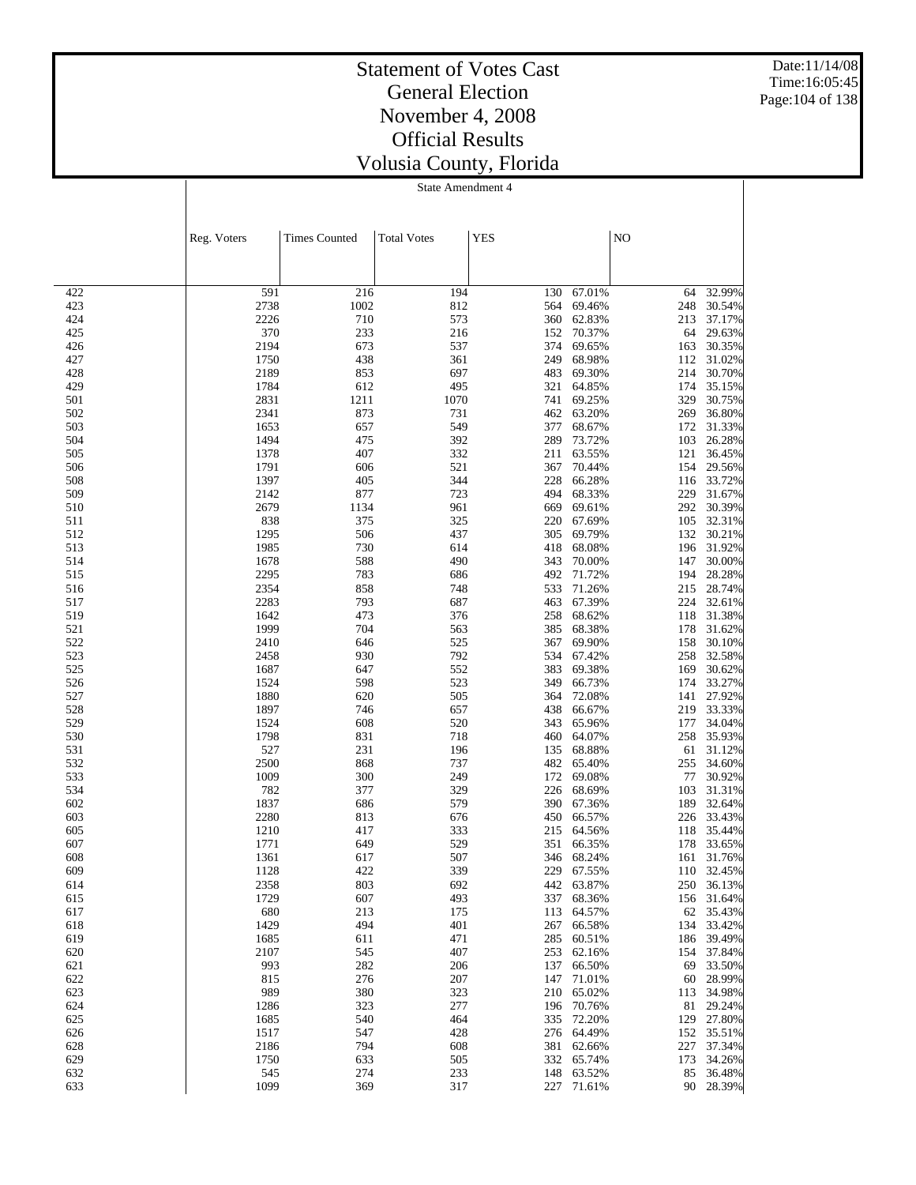Date:11/14/08 Time:16:05:45 Page:104 of 138

### Statement of Votes Cast General Election November 4, 2008 Official Results Volusia County, Florida

|            | Reg. Voters  | <b>Times Counted</b> | <b>Total Votes</b> | <b>YES</b> |                          | NO         |                          |
|------------|--------------|----------------------|--------------------|------------|--------------------------|------------|--------------------------|
|            |              |                      |                    |            |                          |            |                          |
| 422        | 591          | 216                  | 194                | 130        | 67.01%                   | 64         | 32.99%                   |
| 423        | 2738         | 1002                 | 812                | 564        | 69.46%                   | 248        | 30.54%                   |
| 424        | 2226         | 710                  | 573                | 360        | 62.83%                   | 213        | 37.17%                   |
| 425        | 370          | 233                  | 216                | 152        | 70.37%                   | 64         | 29.63%                   |
| 426        | 2194         | 673                  | 537                | 374        | 69.65%                   | 163        | 30.35%                   |
| 427        | 1750         | 438                  | 361                | 249        | 68.98%                   | 112        | 31.02%                   |
| 428        | 2189         | 853                  | 697                | 483        | 69.30%                   | 214        | 30.70%                   |
| 429        | 1784         | 612                  | 495                | 321        | 64.85%                   | 174        | 35.15%                   |
| 501        | 2831         | 1211                 | 1070               | 741        | 69.25%                   | 329        | 30.75%                   |
| 502        | 2341         | 873                  | 731                | 462        | 63.20%                   | 269        | 36.80%                   |
| 503<br>504 | 1653<br>1494 | 657<br>475           | 549<br>392         | 377<br>289 | 68.67%<br>73.72%         | 172<br>103 | 31.33%<br>26.28%         |
| 505        | 1378         | 407                  | 332                | 211        | 63.55%                   | 121        | 36.45%                   |
| 506        | 1791         | 606                  | 521                | 367        | 70.44%                   | 154        | 29.56%                   |
| 508        | 1397         | 405                  | 344                | 228        | 66.28%                   | 116        | 33.72%                   |
| 509        | 2142         | 877                  | 723                | 494        | 68.33%                   | 229        | 31.67%                   |
| 510        | 2679         | 1134                 | 961                | 669        | 69.61%                   | 292        | 30.39%                   |
| 511        | 838          | 375                  | 325                | 220        | 67.69%                   | 105        | 32.31%                   |
| 512        | 1295         | 506                  | 437                | 305        | 69.79%                   | 132        | 30.21%                   |
| 513        | 1985         | 730                  | 614                | 418        | 68.08%                   | 196        | 31.92%                   |
| 514        | 1678         | 588                  | 490                | 343        | 70.00%                   | 147        | 30.00%                   |
| 515        | 2295         | 783                  | 686                | 492        | 71.72%                   | 194        | 28.28%                   |
| 516        | 2354         | 858                  | 748                | 533        | 71.26%                   | 215        | 28.74%                   |
| 517        | 2283         | 793                  | 687                | 463        | 67.39%                   | 224        | 32.61%                   |
| 519        | 1642         | 473                  | 376                | 258        | 68.62%                   | 118        | 31.38%                   |
| 521        | 1999         | 704                  | 563                | 385        | 68.38%                   | 178        | 31.62%                   |
| 522        | 2410         | 646                  | 525                | 367        | 69.90%                   | 158        | 30.10%                   |
| 523        | 2458         | 930                  | 792                | 534        | 67.42%                   | 258        | 32.58%                   |
| 525<br>526 | 1687<br>1524 | 647<br>598           | 552<br>523         | 383<br>349 | 69.38%<br>66.73%         | 169<br>174 | 30.62%<br>33.27%         |
| 527        | 1880         | 620                  | 505                | 364        | 72.08%                   | 141        | 27.92%                   |
| 528        | 1897         | 746                  | 657                | 438        | 66.67%                   | 219        | 33.33%                   |
| 529        | 1524         | 608                  | 520                | 343        | 65.96%                   | 177        | 34.04%                   |
| 530        | 1798         | 831                  | 718                | 460        | 64.07%                   | 258        | 35.93%                   |
| 531        | 527          | 231                  | 196                | 135        | 68.88%                   | 61         | 31.12%                   |
| 532        | 2500         | 868                  | 737                | 482        | 65.40%                   | 255        | 34.60%                   |
| 533        | 1009         | 300                  | 249                | 172        | 69.08%                   | 77         | 30.92%                   |
| 534        | 782          | 377                  | 329                | 226        | 68.69%                   | 103        | 31.31%                   |
| 602        | 1837         | 686                  | 579                | 390        | 67.36%                   | 189        | 32.64%                   |
| 603        | 2280         | 813                  | 676                | 450        | 66.57%                   | 226        | 33.43%                   |
| 605        | 1210         | 417                  | 333                | 215        | 64.56%                   | 118        | 35.44%                   |
| 607        | 1771         | 649                  | 529                | 351        | 66.35%                   | 178        | 33.65%                   |
| 608        | 1361         | 617                  | 507                | 346        | 68.24%                   | 161        | 31.76%                   |
| 609<br>614 | 1128<br>2358 | 422<br>803           | 339<br>692         |            | 229 67.55%<br>442 63.87% |            | 110 32.45%<br>250 36.13% |
| 615        | 1729         | 607                  | 493                |            | 337 68.36%               |            | 156 31.64%               |
| 617        | 680          | 213                  | 175                |            | 113 64.57%               |            | 62 35.43%                |
| 618        | 1429         | 494                  | 401                |            | 267 66.58%               |            | 134 33.42%               |
| 619        | 1685         | 611                  | 471                | 285        | 60.51%                   |            | 186 39.49%               |
| 620        | 2107         | 545                  | 407                | 253        | 62.16%                   |            | 154 37.84%               |
| 621        | 993          | 282                  | 206                | 137        | 66.50%                   | 69         | 33.50%                   |
| 622        | 815          | 276                  | 207                | 147        | 71.01%                   |            | 60 28.99%                |
| 623        | 989          | 380                  | 323                | 210        | 65.02%                   |            | 113 34.98%               |
| 624        | 1286         | 323                  | 277                |            | 196 70.76%               |            | 81 29.24%                |
| 625        | 1685         | 540                  | 464                | 335        | 72.20%                   |            | 129 27.80%               |
| 626        | 1517         | 547                  | 428                |            | 276 64.49%               |            | 152 35.51%               |
| 628        | 2186         | 794                  | 608                |            | 381 62.66%               |            | 227 37.34%               |
| 629        | 1750         | 633                  | 505                |            | 332 65.74%               |            | 173 34.26%               |
| 632        | 545          | 274                  | 233                | 148        | 63.52%                   | 85         | 36.48%                   |
| 633        | 1099         | 369                  | 317                | 227        | 71.61%                   |            | 90 28.39%                |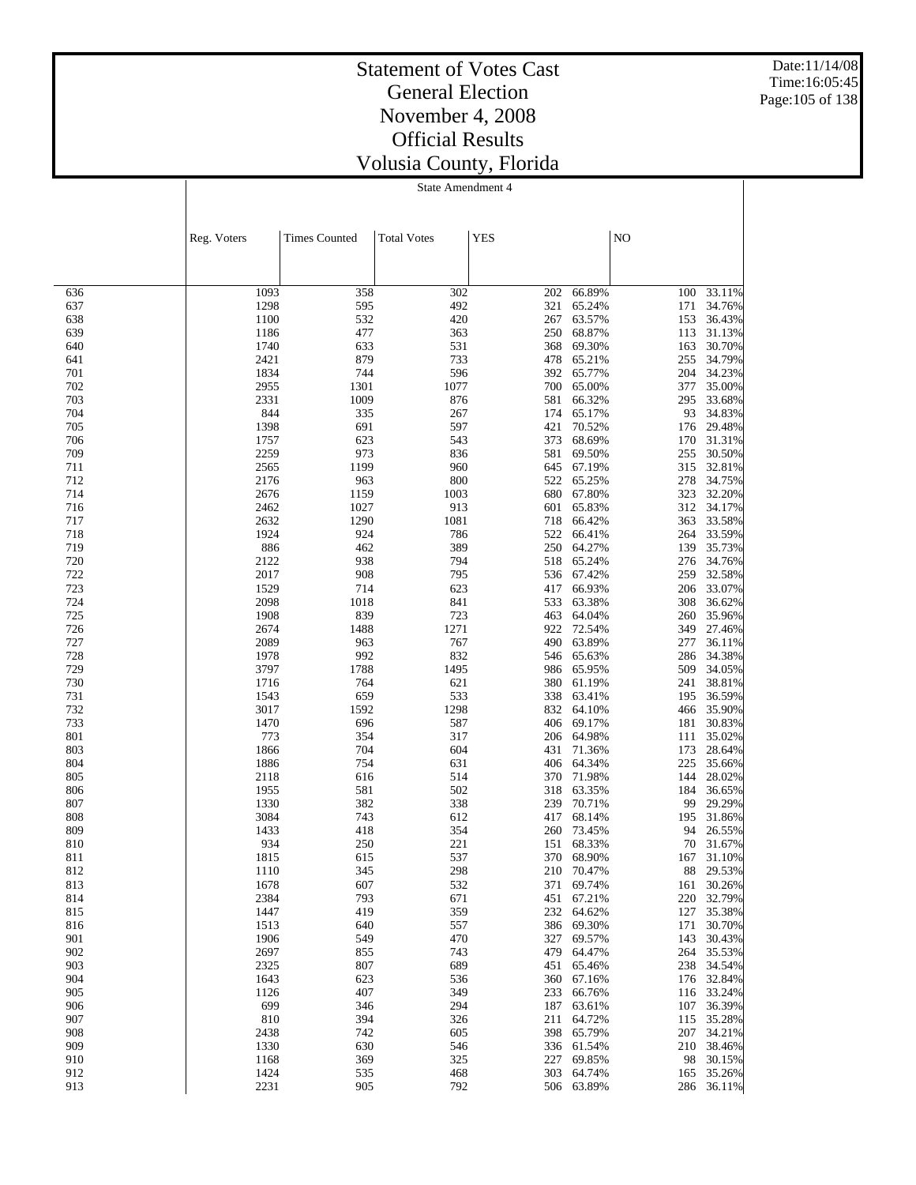Date:11/14/08 Time:16:05:45 Page:105 of 138

### Statement of Votes Cast General Election November 4, 2008 Official Results Volusia County, Florida

|            | Reg. Voters  | <b>Times Counted</b> | <b>Total Votes</b> | <b>YES</b> |                  | NO         |                  |
|------------|--------------|----------------------|--------------------|------------|------------------|------------|------------------|
|            |              |                      |                    |            |                  |            |                  |
|            |              |                      |                    |            |                  |            |                  |
| 636        | 1093         | 358                  | 302                | 202        | 66.89%           | 100        | 33.11%           |
| 637        | 1298         | 595                  | 492                | 321        | 65.24%           | 171        | 34.76%           |
| 638        | 1100         | 532                  | 420                | 267        | 63.57%           | 153        | 36.43%           |
| 639        | 1186         | 477                  | 363                | 250        | 68.87%           | 113        | 31.13%           |
| 640        | 1740         | 633                  | 531                | 368        | 69.30%           | 163        | 30.70%           |
| 641        | 2421         | 879                  | 733                | 478        | 65.21%           | 255        | 34.79%           |
| 701<br>702 | 1834<br>2955 | 744<br>1301          | 596<br>1077        | 392<br>700 | 65.77%<br>65.00% | 204<br>377 | 34.23%<br>35.00% |
| 703        | 2331         | 1009                 | 876                | 581        | 66.32%           | 295        | 33.68%           |
| 704        | 844          | 335                  | 267                | 174        | 65.17%           | 93         | 34.83%           |
| 705        | 1398         | 691                  | 597                | 421        | 70.52%           | 176        | 29.48%           |
| 706        | 1757         | 623                  | 543                | 373        | 68.69%           | 170        | 31.31%           |
| 709        | 2259         | 973                  | 836                | 581        | 69.50%           | 255        | 30.50%           |
| 711        | 2565         | 1199                 | 960                | 645        | 67.19%           | 315        | 32.81%           |
| 712        | 2176         | 963                  | 800                | 522        | 65.25%           | 278        | 34.75%           |
| 714        | 2676         | 1159                 | 1003               | 680        | 67.80%           | 323        | 32.20%           |
| 716        | 2462         | 1027                 | 913                | 601        | 65.83%           | 312        | 34.17%           |
| 717<br>718 | 2632<br>1924 | 1290<br>924          | 1081<br>786        | 718<br>522 | 66.42%<br>66.41% | 363<br>264 | 33.58%<br>33.59% |
| 719        | 886          | 462                  | 389                | 250        | 64.27%           | 139        | 35.73%           |
| 720        | 2122         | 938                  | 794                | 518        | 65.24%           | 276        | 34.76%           |
| 722        | 2017         | 908                  | 795                | 536        | 67.42%           | 259        | 32.58%           |
| 723        | 1529         | 714                  | 623                | 417        | 66.93%           | 206        | 33.07%           |
| 724        | 2098         | 1018                 | 841                | 533        | 63.38%           | 308        | 36.62%           |
| 725        | 1908         | 839                  | 723                | 463        | 64.04%           | 260        | 35.96%           |
| 726        | 2674         | 1488                 | 1271               | 922        | 72.54%           | 349        | 27.46%           |
| 727        | 2089         | 963                  | 767                | 490        | 63.89%           | 277        | 36.11%           |
| 728        | 1978         | 992                  | 832                | 546        | 65.63%           | 286        | 34.38%           |
| 729<br>730 | 3797         | 1788                 | 1495<br>621        | 986        | 65.95%           | 509        | 34.05%<br>38.81% |
| 731        | 1716<br>1543 | 764<br>659           | 533                | 380<br>338 | 61.19%<br>63.41% | 241<br>195 | 36.59%           |
| 732        | 3017         | 1592                 | 1298               | 832        | 64.10%           | 466        | 35.90%           |
| 733        | 1470         | 696                  | 587                | 406        | 69.17%           | 181        | 30.83%           |
| 801        | 773          | 354                  | 317                | 206        | 64.98%           | 111        | 35.02%           |
| 803        | 1866         | 704                  | 604                | 431        | 71.36%           | 173        | 28.64%           |
| 804        | 1886         | 754                  | 631                | 406        | 64.34%           | 225        | 35.66%           |
| 805        | 2118         | 616                  | 514                | 370        | 71.98%           | 144        | 28.02%           |
| 806        | 1955         | 581                  | 502                | 318        | 63.35%           | 184        | 36.65%           |
| 807        | 1330         | 382                  | 338                | 239        | 70.71%           | 99         | 29.29%           |
| 808        | 3084         | 743                  | 612<br>354         | 417        | 68.14%<br>73.45% | 195        | 31.86%           |
| 809<br>810 | 1433<br>934  | 418<br>250           | 221                | 260<br>151 | 68.33%           | 94<br>70   | 26.55%<br>31.67% |
| 811        | 1815         | 615                  | 537                | 370        | 68.90%           | 167        | 31.10%           |
| 812        | 1110         | 345                  | 298                | 210        | 70.47%           | 88         | 29.53%           |
| 813        | 1678         | 607                  | 532                |            | 371 69.74%       | 161        | 30.26%           |
| 814        | 2384         | 793                  | 671                | 451        | 67.21%           | 220        | 32.79%           |
| 815        | 1447         | 419                  | 359                | 232        | 64.62%           | 127        | 35.38%           |
| 816        | 1513         | 640                  | 557                | 386        | 69.30%           | 171        | 30.70%           |
| 901        | 1906         | 549                  | 470                | 327        | 69.57%           | 143        | 30.43%           |
| 902        | 2697         | 855                  | 743                | 479        | 64.47%           | 264        | 35.53%           |
| 903        | 2325         | 807                  | 689                | 451        | 65.46%           | 238        | 34.54%           |
| 904<br>905 | 1643         | 623<br>407           | 536<br>349         | 360<br>233 | 67.16%<br>66.76% | 176        | 32.84%<br>33.24% |
| 906        | 1126<br>699  | 346                  | 294                | 187        | 63.61%           | 116<br>107 | 36.39%           |
| 907        | 810          | 394                  | 326                | 211        | 64.72%           | 115        | 35.28%           |
| 908        | 2438         | 742                  | 605                | 398        | 65.79%           | 207        | 34.21%           |
| 909        | 1330         | 630                  | 546                |            | 336 61.54%       | 210        | 38.46%           |
| 910        | 1168         | 369                  | 325                | 227        | 69.85%           | 98         | 30.15%           |
| 912        | 1424         | 535                  | 468                | 303        | 64.74%           | 165        | 35.26%           |
| 913        | 2231         | 905                  | 792                | 506        | 63.89%           | 286        | 36.11%           |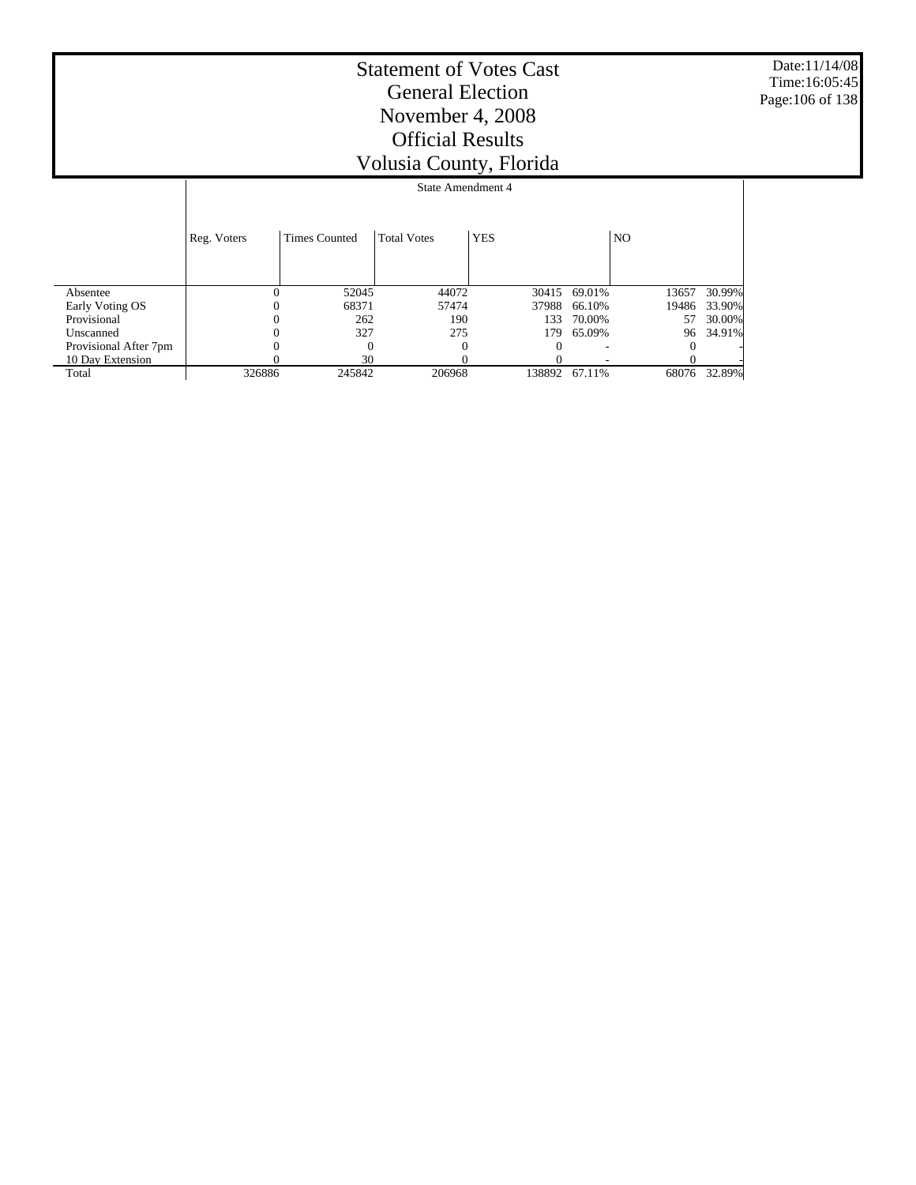Date:11/14/08 Time:16:05:45 Page:106 of 138

|                       |             | State Amendment 4    |                    |            |              |                |        |  |
|-----------------------|-------------|----------------------|--------------------|------------|--------------|----------------|--------|--|
|                       | Reg. Voters | <b>Times Counted</b> | <b>Total Votes</b> | <b>YES</b> |              | N <sub>O</sub> |        |  |
| Absentee              | 0           | 52045                | 44072              |            | 30415 69.01% | 13657          | 30.99% |  |
| Early Voting OS       |             | 68371                | 57474              | 37988      | 66.10%       | 19486          | 33.90% |  |
| Provisional           | 0           | 262                  | 190                | 133        | 70.00%       | 57             | 30.00% |  |
| Unscanned             |             | 327                  | 275                | 179        | 65.09%       | 96             | 34.91% |  |
| Provisional After 7pm |             | $\Omega$             | $\Omega$           | 0          |              |                |        |  |
| 10 Day Extension      |             | 30                   |                    |            |              |                |        |  |
| Total                 | 326886      | 245842               | 206968             | 138892     | 67.11%       | 68076          | 32.89% |  |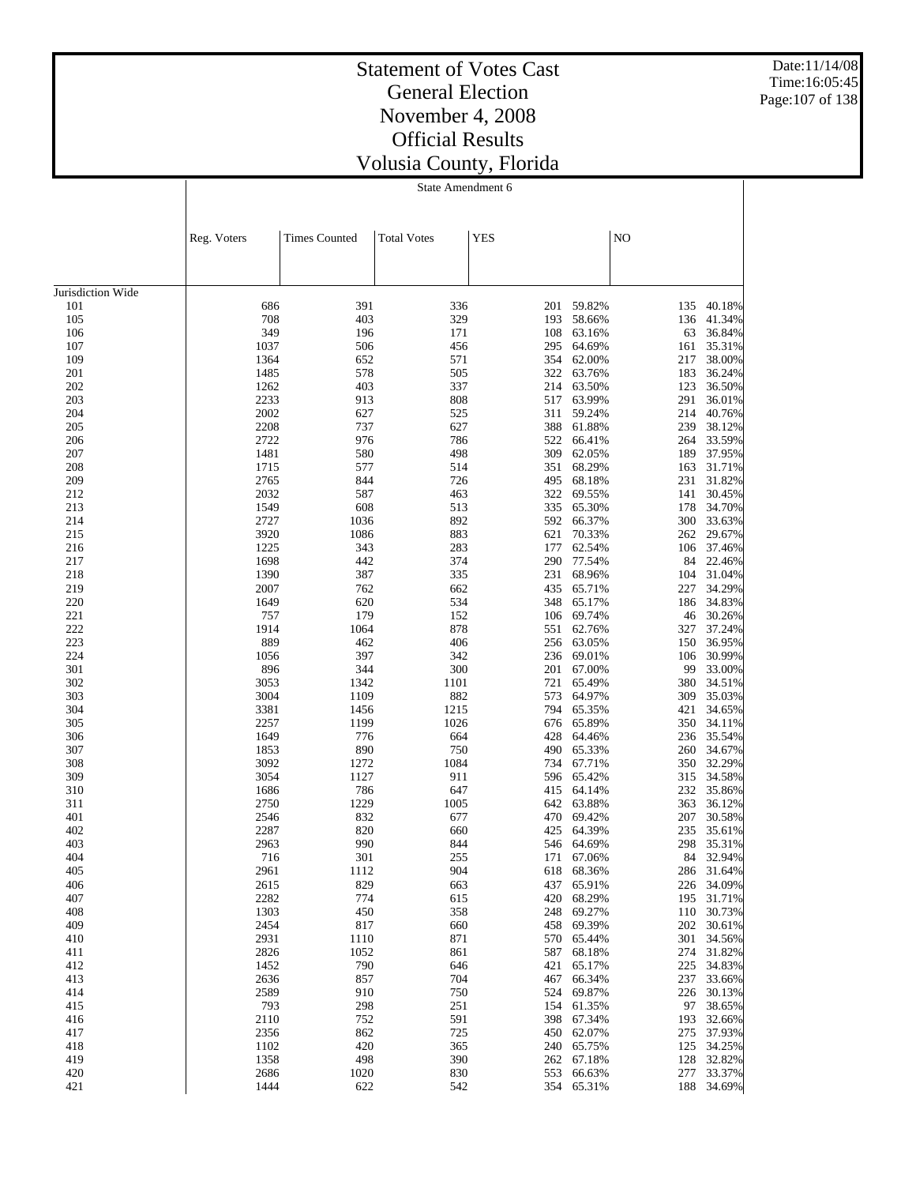Date:11/14/08 Time:16:05:45 Page:107 of 138

## Statement of Votes Cast General Election November 4, 2008 Official Results Volusia County, Florida

State Amendment 6

|                   | Reg. Voters  | <b>Times Counted</b> | <b>Total Votes</b> | <b>YES</b> |                      | NO         |                  |
|-------------------|--------------|----------------------|--------------------|------------|----------------------|------------|------------------|
|                   |              |                      |                    |            |                      |            |                  |
|                   |              |                      |                    |            |                      |            |                  |
| Jurisdiction Wide |              |                      |                    |            |                      |            |                  |
| 101               | 686          | 391                  | 336                | 201        | 59.82%               | 135        | 40.18%           |
| 105               | 708          | 403                  | 329                | 193        | 58.66%               | 136        | 41.34%           |
| 106               | 349          | 196                  | 171                | 108        | 63.16%               | 63         | 36.84%           |
| 107               | 1037         | 506                  | 456                | 295        | 64.69%               | 161        | 35.31%           |
| 109               | 1364         | 652                  | 571                | 354        | 62.00%               | 217        | 38.00%           |
| 201               | 1485         | 578                  | 505                | 322        | 63.76%               | 183        | 36.24%           |
| 202               | 1262         | 403                  | 337                | 214        | 63.50%               | 123        | 36.50%           |
| 203               | 2233         | 913                  | 808                | 517        | 63.99%               | 291        | 36.01%           |
| 204<br>205        | 2002<br>2208 | 627<br>737           | 525<br>627         | 311        | 59.24%               | 214        | 40.76%           |
| 206               | 2722         | 976                  | 786                | 388<br>522 | 61.88%<br>66.41%     | 239<br>264 | 38.12%<br>33.59% |
| 207               | 1481         | 580                  | 498                | 309        | 62.05%               | 189        | 37.95%           |
| 208               | 1715         | 577                  | 514                | 351        | 68.29%               | 163        | 31.71%           |
| 209               | 2765         | 844                  | 726                | 495        | 68.18%               | 231        | 31.82%           |
| 212               | 2032         | 587                  | 463                | 322        | 69.55%               | 141        | 30.45%           |
| 213               | 1549         | 608                  | 513                | 335        | 65.30%               | 178        | 34.70%           |
| 214               | 2727         | 1036                 | 892                | 592        | 66.37%               | 300        | 33.63%           |
| 215               | 3920         | 1086                 | 883                | 621        | 70.33%               | 262        | 29.67%           |
| 216               | 1225         | 343                  | 283                | 177        | 62.54%               | 106        | 37.46%           |
| 217               | 1698         | 442                  | 374                | 290        | 77.54%               | 84         | 22.46%           |
| 218               | 1390         | 387                  | 335                | 231        | 68.96%               | 104        | 31.04%           |
| 219               | 2007         | 762                  | 662                | 435        | 65.71%               | 227        | 34.29%           |
| 220               | 1649         | 620                  | 534                | 348        | 65.17%               | 186        | 34.83%           |
| 221               | 757          | 179                  | 152                |            | 106 69.74%           | 46         | 30.26%           |
| 222               | 1914         | 1064                 | 878                | 551        | 62.76%               | 327        | 37.24%           |
| 223               | 889          | 462                  | 406                |            | 256 63.05%           | 150        | 36.95%           |
| 224               | 1056         | 397                  | 342                | 236        | 69.01%               | 106        | 30.99%           |
| 301               | 896          | 344                  | 300                | 201        | 67.00%               | 99         | 33.00%           |
| 302               | 3053<br>3004 | 1342<br>1109         | 1101<br>882        | 721        | 65.49%               | 380        | 34.51%           |
| 303<br>304        | 3381         | 1456                 | 1215               | 573<br>794 | 64.97%<br>65.35%     | 309<br>421 | 35.03%<br>34.65% |
| 305               | 2257         | 1199                 | 1026               | 676        | 65.89%               | 350        | 34.11%           |
| 306               | 1649         | 776                  | 664                | 428        | 64.46%               | 236        | 35.54%           |
| 307               | 1853         | 890                  | 750                | 490        | 65.33%               | 260        | 34.67%           |
| 308               | 3092         | 1272                 | 1084               | 734        | 67.71%               | 350        | 32.29%           |
| 309               | 3054         | 1127                 | 911                |            | 596 65.42%           | 315        | 34.58%           |
| 310               | 1686         | 786                  | 647                | 415        | 64.14%               | 232        | 35.86%           |
| 311               | 2750         | 1229                 | 1005               | 642        | 63.88%               | 363        | 36.12%           |
| 401               | 2546         | 832                  | 677                | 470        | 69.42%               | 207        | 30.58%           |
| 402               | 2287         | 820                  | 660                | 425        | 64.39%               | 235        | 35.61%           |
| 403               | 2963         | 990                  | 844                | 546        | 64.69%               | 298        | 35.31%           |
| 404               | 716          | 301                  | 255                | 171        | 67.06%               | 84         | 32.94%           |
| 405               | 2961         | 1112                 | 904                | 618        | 68.36%               | 286        | 31.64%           |
| 406               | 2615         | 829                  | 663                |            | 437 65.91%           | 226        | 34.09%           |
| 407               | 2282         | 774                  | 615                |            | 420 68.29%           | 195        | 31.71%           |
| 408               | 1303         | 450                  | 358                | 248        | 69.27%               | 110        | 30.73%           |
| 409               | 2454         | 817                  | 660                | 458        | 69.39%               | 202        | 30.61%           |
| 410               | 2931<br>2826 | 1110<br>1052         | 871<br>861         | 587        | 570 65.44%<br>68.18% | 301        | 34.56%<br>31.82% |
| 411<br>412        | 1452         | 790                  | 646                | 421        | 65.17%               | 274<br>225 | 34.83%           |
| 413               | 2636         | 857                  | 704                | 467        | 66.34%               | 237        | 33.66%           |
| 414               | 2589         | 910                  | 750                |            | 524 69.87%           | 226        | 30.13%           |
| 415               | 793          | 298                  | 251                | 154        | 61.35%               | 97         | 38.65%           |
| 416               | 2110         | 752                  | 591                |            | 398 67.34%           | 193        | 32.66%           |
| 417               | 2356         | 862                  | 725                |            | 450 62.07%           | 275        | 37.93%           |
| 418               | 1102         | 420                  | 365                |            | 240 65.75%           | 125        | 34.25%           |

 $\begin{array}{cccc}\n 1102 & 420 & 365 & 240 & 65.75\% \\
1358 & 498 & 390 & 262 & 67.18\% \end{array}$ 

 $\begin{array}{ccccccccc} 1358 && 498 && 390 && 262 & 67.18\% & && 128 & 32.82\% \\ 2686 && 1020 && 830 && 553 & 66.63\% && 277 & 33.37\% \end{array}$ 2686 1020 830 553 66.63% 277 33.37% 1444 622 542 354 65.31% 188 34.69%

354 65.31%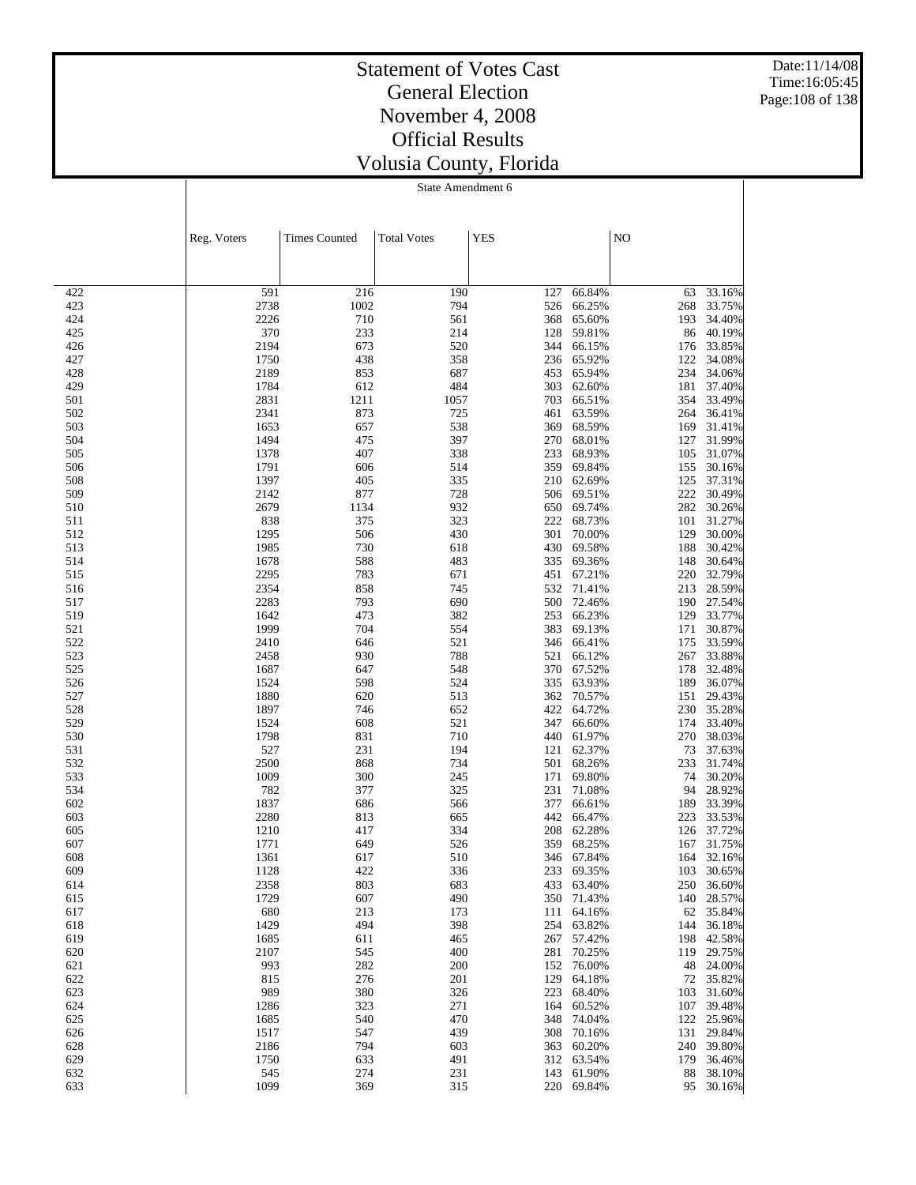Date:11/14/08 Time:16:05:45 Page:108 of 138

### Statement of Votes Cast General Election November 4, 2008 Official Results Volusia County, Florida

|            | Reg. Voters  | <b>Times Counted</b> | <b>Total Votes</b> | <b>YES</b> |                          | NO         |                          |
|------------|--------------|----------------------|--------------------|------------|--------------------------|------------|--------------------------|
|            |              |                      |                    |            |                          |            |                          |
| 422        | 591          | 216                  | 190                | 127        | 66.84%                   | 63         | 33.16%                   |
| 423        | 2738         | 1002                 | 794                | 526        | 66.25%                   | 268        | 33.75%                   |
| 424        | 2226         | 710                  | 561                | 368        | 65.60%                   | 193        | 34.40%                   |
| 425        | 370          | 233                  | 214                | 128        | 59.81%                   | 86         | 40.19%                   |
| 426        | 2194         | 673                  | 520                | 344        | 66.15%                   | 176        | 33.85%                   |
| 427<br>428 | 1750<br>2189 | 438<br>853           | 358<br>687         | 236<br>453 | 65.92%<br>65.94%         | 122<br>234 | 34.08%<br>34.06%         |
| 429        | 1784         | 612                  | 484                | 303        | 62.60%                   | 181        | 37.40%                   |
| 501        | 2831         | 1211                 | 1057               | 703        | 66.51%                   | 354        | 33.49%                   |
| 502        | 2341         | 873                  | 725                | 461        | 63.59%                   | 264        | 36.41%                   |
| 503        | 1653         | 657                  | 538                | 369        | 68.59%                   | 169        | 31.41%                   |
| 504        | 1494         | 475                  | 397                | 270        | 68.01%                   | 127        | 31.99%                   |
| 505<br>506 | 1378<br>1791 | 407<br>606           | 338<br>514         | 233<br>359 | 68.93%<br>69.84%         | 105<br>155 | 31.07%<br>30.16%         |
| 508        | 1397         | 405                  | 335                | 210        | 62.69%                   | 125        | 37.31%                   |
| 509        | 2142         | 877                  | 728                | 506        | 69.51%                   | 222        | 30.49%                   |
| 510        | 2679         | 1134                 | 932                | 650        | 69.74%                   | 282        | 30.26%                   |
| 511        | 838          | 375                  | 323                | 222        | 68.73%                   | 101        | 31.27%                   |
| 512        | 1295         | 506                  | 430                | 301        | 70.00%                   | 129        | 30.00%                   |
| 513<br>514 | 1985<br>1678 | 730<br>588           | 618<br>483         | 430<br>335 | 69.58%<br>69.36%         | 188<br>148 | 30.42%<br>30.64%         |
| 515        | 2295         | 783                  | 671                | 451        | 67.21%                   | 220        | 32.79%                   |
| 516        | 2354         | 858                  | 745                | 532        | 71.41%                   | 213        | 28.59%                   |
| 517        | 2283         | 793                  | 690                | 500        | 72.46%                   |            | 190 27.54%               |
| 519        | 1642         | 473                  | 382                | 253        | 66.23%                   | 129        | 33.77%                   |
| 521        | 1999         | 704                  | 554                | 383        | 69.13%                   | 171        | 30.87%                   |
| 522        | 2410         | 646                  | 521                | 346        | 66.41%                   | 175        | 33.59%                   |
| 523<br>525 | 2458<br>1687 | 930<br>647           | 788<br>548         | 521<br>370 | 66.12%<br>67.52%         | 267<br>178 | 33.88%<br>32.48%         |
| 526        | 1524         | 598                  | 524                | 335        | 63.93%                   | 189        | 36.07%                   |
| 527        | 1880         | 620                  | 513                | 362        | 70.57%                   | 151        | 29.43%                   |
| 528        | 1897         | 746                  | 652                | 422        | 64.72%                   | 230        | 35.28%                   |
| 529        | 1524         | 608                  | 521                | 347        | 66.60%                   | 174        | 33.40%                   |
| 530        | 1798<br>527  | 831                  | 710                | 440        | 61.97%<br>62.37%         | 270        | 38.03%<br>37.63%         |
| 531<br>532 | 2500         | 231<br>868           | 194<br>734         | 121<br>501 | 68.26%                   | 73<br>233  | 31.74%                   |
| 533        | 1009         | 300                  | 245                | 171        | 69.80%                   | 74         | 30.20%                   |
| 534        | 782          | 377                  | 325                | 231        | 71.08%                   | 94         | 28.92%                   |
| 602        | 1837         | 686                  | 566                | 377        | 66.61%                   | 189        | 33.39%                   |
| 603        | 2280         | 813                  | 665                | 442        | 66.47%                   | 223        | 33.53%                   |
| 605        | 1210         | 417                  | 334                | 208        | 62.28%                   | 126        | 37.72%                   |
| 607<br>608 | 1771<br>1361 | 649<br>617           | 526<br>510         | 359<br>346 | 68.25%<br>67.84%         | 167<br>164 | 31.75%<br>32.16%         |
| 609        | 1128         | 422                  | 336                |            | 233 69.35%               |            | 103 30.65%               |
| 614        | 2358         | 803                  | 683                |            | 433 63.40%               |            | 250 36.60%               |
| 615        | 1729         | 607                  | 490                |            | 350 71.43%               |            | 140 28.57%               |
| 617        | 680          | 213                  | 173                |            | 111 64.16%               |            | 62 35.84%                |
| 618        | 1429         | 494                  | 398                |            | 254 63.82%               |            | 144 36.18%               |
| 619<br>620 | 1685<br>2107 | 611<br>545           | 465<br>400         |            | 267 57.42%<br>281 70.25% |            | 198 42.58%<br>119 29.75% |
| 621        | 993          | 282                  | 200                | 152        | 76.00%                   | 48         | 24.00%                   |
| 622        | 815          | 276                  | 201                | 129        | 64.18%                   |            | 72 35.82%                |
| 623        | 989          | 380                  | 326                | 223        | 68.40%                   |            | 103 31.60%               |
| 624        | 1286         | 323                  | 271                | 164        | 60.52%                   |            | 107 39.48%               |
| 625        | 1685         | 540                  | 470                | 348        | 74.04%                   |            | 122 25.96%               |
| 626        | 1517<br>2186 | 547<br>794           | 439<br>603         | 308<br>363 | 70.16%<br>60.20%         |            | 131 29.84%<br>240 39.80% |
| 628<br>629 | 1750         | 633                  | 491                |            | 312 63.54%               |            | 179 36.46%               |
| 632        | 545          | 274                  | 231                |            | 143 61.90%               | 88         | 38.10%                   |
| 633        | 1099         | 369                  | 315                |            | 220 69.84%               |            | 95 30.16%                |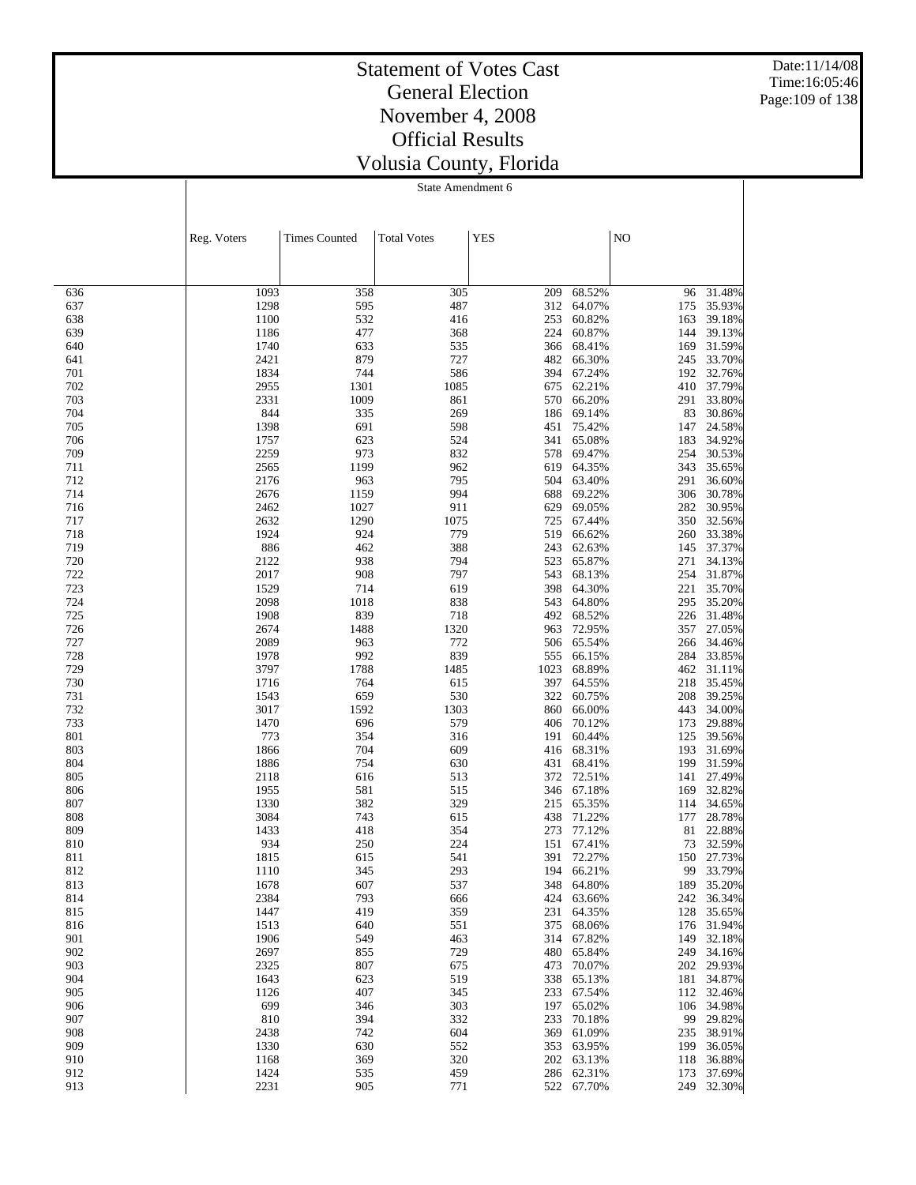Date:11/14/08 Time:16:05:46 Page:109 of 138

### Statement of Votes Cast General Election November 4, 2008 Official Results Volusia County, Florida

State Amendment 6

|            | Reg. Voters  | <b>Times Counted</b> | <b>Total Votes</b> | <b>YES</b> |                  | NO         |                      |
|------------|--------------|----------------------|--------------------|------------|------------------|------------|----------------------|
|            |              |                      |                    |            |                  |            |                      |
|            |              |                      |                    |            |                  |            |                      |
| 636        | 1093         | 358                  | 305                | 209        | 68.52%           | 96         | 31.48%               |
| 637        | 1298         | 595                  | 487                | 312        | 64.07%           | 175        | 35.93%               |
| 638        | 1100         | 532                  | 416                | 253        | 60.82%           | 163        | 39.18%               |
| 639        | 1186         | 477                  | 368                | 224<br>366 | 60.87%           | 144        | 39.13%<br>31.59%     |
| 640<br>641 | 1740<br>2421 | 633<br>879           | 535<br>727         | 482        | 68.41%<br>66.30% | 169<br>245 | 33.70%               |
| 701        | 1834         | 744                  | 586                | 394        | 67.24%           | 192        | 32.76%               |
| 702        | 2955         | 1301                 | 1085               | 675        | 62.21%           | 410        | 37.79%               |
| 703        | 2331         | 1009                 | 861                | 570        | 66.20%           | 291        | 33.80%               |
| 704        | 844          | 335                  | 269                | 186        | 69.14%           | 83         | 30.86%               |
| 705        | 1398         | 691                  | 598                | 451        | 75.42%           | 147        | 24.58%               |
| 706        | 1757         | 623                  | 524                | 341        | 65.08%           | 183        | 34.92%               |
| 709        | 2259         | 973                  | 832                | 578<br>619 | 69.47%<br>64.35% | 254        | 30.53%               |
| 711<br>712 | 2565<br>2176 | 1199<br>963          | 962<br>795         | 504        | 63.40%           | 343<br>291 | 35.65%<br>36.60%     |
| 714        | 2676         | 1159                 | 994                | 688        | 69.22%           | 306        | 30.78%               |
| 716        | 2462         | 1027                 | 911                | 629        | 69.05%           | 282        | 30.95%               |
| 717        | 2632         | 1290                 | 1075               | 725        | 67.44%           | 350        | 32.56%               |
| 718        | 1924         | 924                  | 779                | 519        | 66.62%           | 260        | 33.38%               |
| 719        | 886          | 462                  | 388                | 243        | 62.63%           | 145        | 37.37%               |
| 720        | 2122         | 938                  | 794                | 523        | 65.87%           | 271        | 34.13%               |
| 722        | 2017         | 908                  | 797                | 543        | 68.13%           | 254        | 31.87%               |
| 723        | 1529         | 714                  | 619                | 398<br>543 | 64.30%           | 221        | 35.70%<br>35.20%     |
| 724<br>725 | 2098<br>1908 | 1018<br>839          | 838<br>718         | 492        | 64.80%<br>68.52% | 295<br>226 | 31.48%               |
| 726        | 2674         | 1488                 | 1320               | 963        | 72.95%           | 357        | 27.05%               |
| 727        | 2089         | 963                  | 772                | 506        | 65.54%           | 266        | 34.46%               |
| 728        | 1978         | 992                  | 839                | 555        | 66.15%           | 284        | 33.85%               |
| 729        | 3797         | 1788                 | 1485               | 1023       | 68.89%           | 462        | 31.11%               |
| 730        | 1716         | 764                  | 615                | 397        | 64.55%           | 218        | 35.45%               |
| 731        | 1543         | 659                  | 530                | 322        | 60.75%           | 208        | 39.25%               |
| 732        | 3017         | 1592                 | 1303               | 860        | 66.00%           | 443        | 34.00%               |
| 733<br>801 | 1470<br>773  | 696<br>354           | 579<br>316         | 406<br>191 | 70.12%<br>60.44% | 173<br>125 | 29.88%<br>39.56%     |
| 803        | 1866         | 704                  | 609                | 416        | 68.31%           | 193        | 31.69%               |
| 804        | 1886         | 754                  | 630                | 431        | 68.41%           | 199        | 31.59%               |
| 805        | 2118         | 616                  | 513                | 372        | 72.51%           | 141        | 27.49%               |
| 806        | 1955         | 581                  | 515                | 346        | 67.18%           | 169        | 32.82%               |
| 807        | 1330         | 382                  | 329                | 215        | 65.35%           | 114        | 34.65%               |
| 808        | 3084         | 743                  | 615                | 438        | 71.22%           | 177        | 28.78%               |
| 809        | 1433         | 418                  | 354                | 273        | 77.12%           | 81         | 22.88%               |
| 810<br>811 | 934<br>1815  | 250<br>615           | 224<br>541         | 151<br>391 | 67.41%<br>72.27% | 73<br>150  | 32.59%<br>27.73%     |
| 812        | 1110         | 345                  | 293                | 194        | 66.21%           | 99         | 33.79%               |
| 813        | 1678         | 607                  | 537                |            | 348 64.80%       |            | 189 35.20%           |
| 814        | 2384         | 793                  | 666                |            | 424 63.66%       |            | 242 36.34%           |
| 815        | 1447         | 419                  | 359                | 231        | 64.35%           | 128        | 35.65%               |
| 816        | 1513         | 640                  | 551                | 375        | 68.06%           |            | 176 31.94%           |
| 901        | 1906         | 549                  | 463                | 314        | 67.82%           | 149        | 32.18%               |
| 902        | 2697         | 855                  | 729                | 480        | 65.84%           | 249        | 34.16%               |
| 903        | 2325         | 807                  | 675                | 473        | 70.07%<br>65.13% |            | 202 29.93%<br>34.87% |
| 904<br>905 | 1643<br>1126 | 623<br>407           | 519<br>345         | 338<br>233 | 67.54%           | 181        | 112 32.46%           |
| 906        | 699          | 346                  | 303                | 197        | 65.02%           | 106        | 34.98%               |
| 907        | 810          | 394                  | 332                | 233        | 70.18%           | 99         | 29.82%               |
| 908        | 2438         | 742                  | 604                | 369        | 61.09%           | 235        | 38.91%               |
| 909        | 1330         | 630                  | 552                | 353        | 63.95%           | 199        | 36.05%               |
| 910        | 1168         | 369                  | 320                | 202        | 63.13%           | 118        | 36.88%               |
| 912        | 1424         | 535                  | 459                | 286        | 62.31%           | 173        | 37.69%               |
| 913        | 2231         | 905                  | 771                |            | 522 67.70%       | 249        | 32.30%               |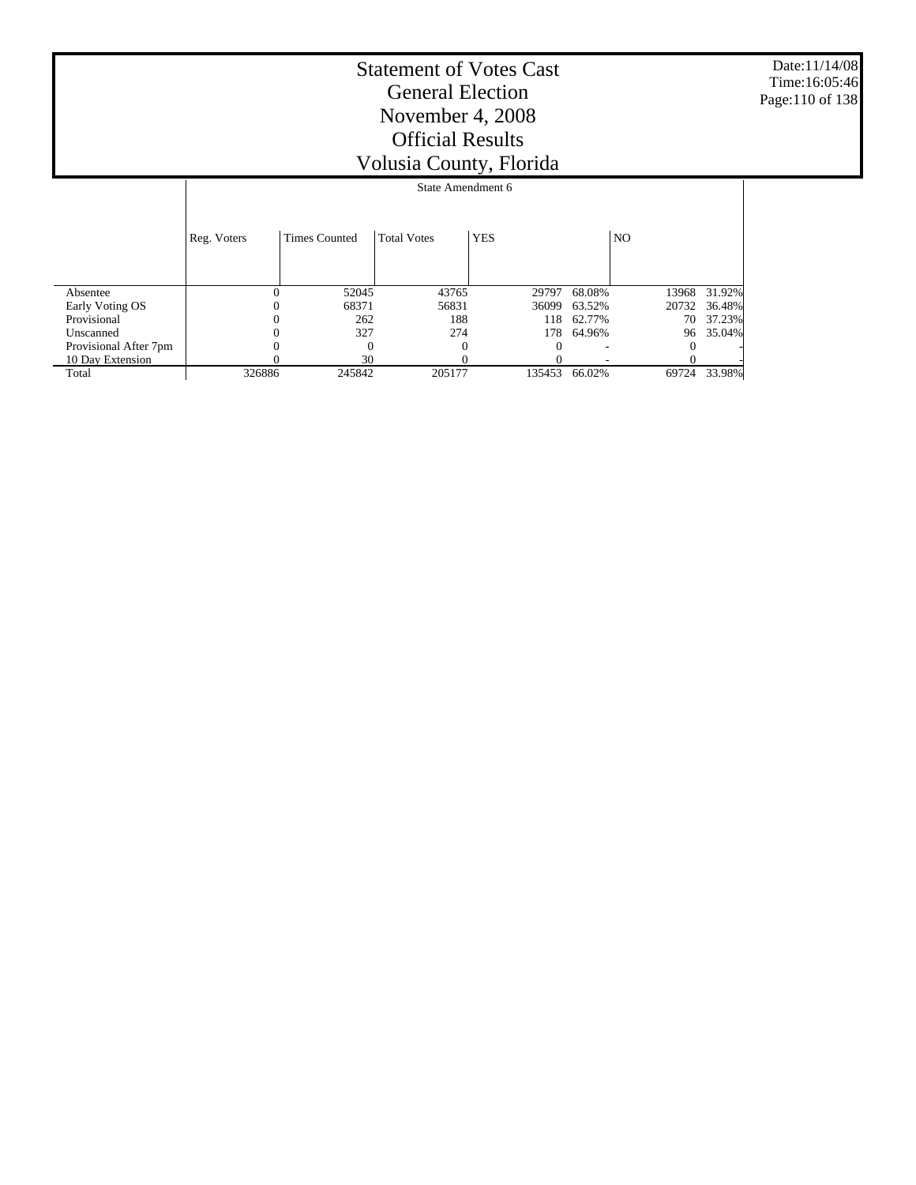Date:11/14/08 Time:16:05:46 Page:110 of 138

|                       |             |                      | State Amendment 6  |            |        |       |        |
|-----------------------|-------------|----------------------|--------------------|------------|--------|-------|--------|
|                       | Reg. Voters | <b>Times Counted</b> | <b>Total Votes</b> | <b>YES</b> |        | NO.   |        |
| Absentee              | $\theta$    | 52045                | 43765              | 29797      | 68.08% | 13968 | 31.92% |
| Early Voting OS       |             | 68371                | 56831              | 36099      | 63.52% | 20732 | 36.48% |
| Provisional           | 0           | 262                  | 188                | 118        | 62.77% | 70    | 37.23% |
| Unscanned             |             | 327                  | 274                | 178        | 64.96% | 96    | 35.04% |
| Provisional After 7pm | $_{0}$      | 0                    | $\Omega$           | 0          |        |       |        |
| 10 Day Extension      |             | 30                   |                    |            |        |       |        |
| Total                 | 326886      | 245842               | 205177             | 135453     | 66.02% | 69724 | 33.98% |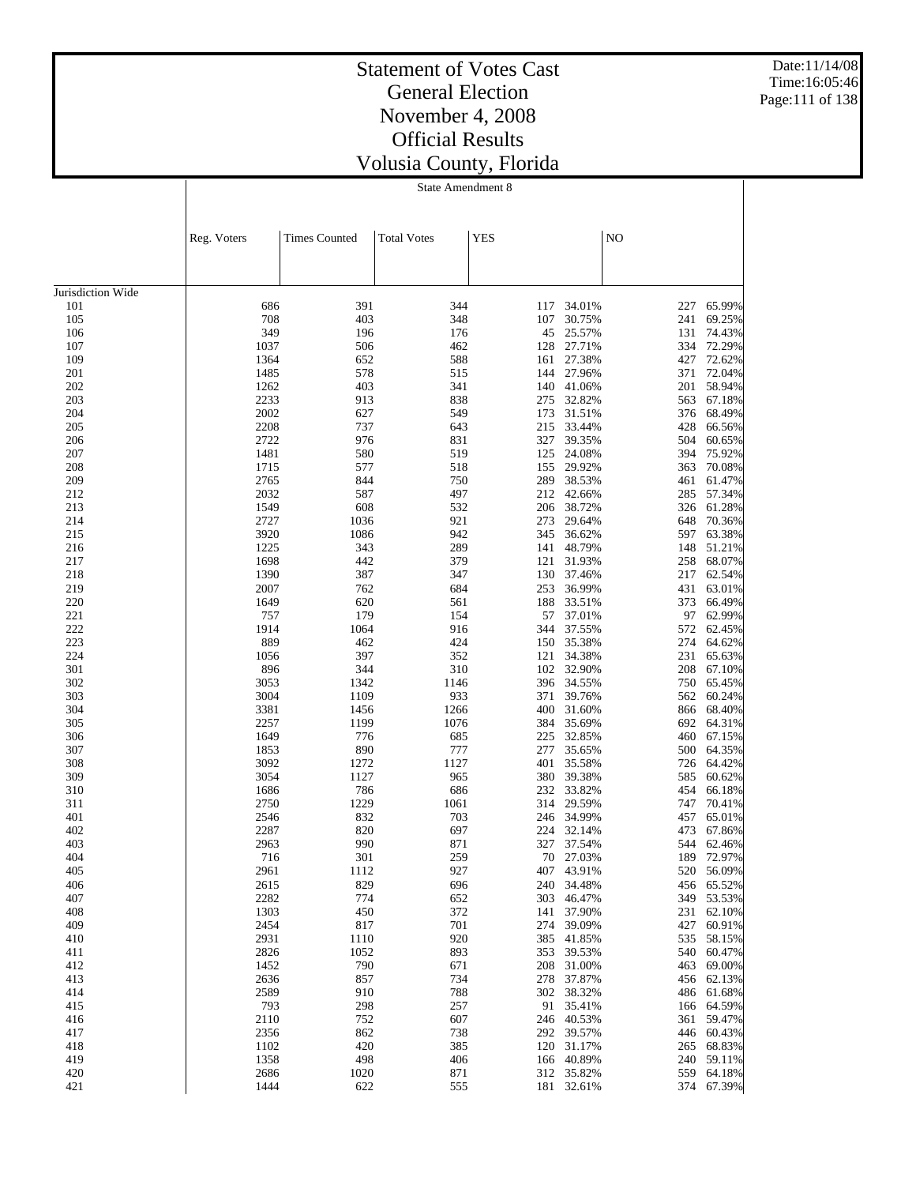Date:11/14/08 Time:16:05:46 Page:111 of 138

## Statement of Votes Cast General Election November 4, 2008 Official Results Volusia County, Florida

State Amendment 8

|                   | Reg. Voters  | <b>Times Counted</b> | <b>Total Votes</b> | <b>YES</b> |                  | N <sub>O</sub> |                  |
|-------------------|--------------|----------------------|--------------------|------------|------------------|----------------|------------------|
|                   |              |                      |                    |            |                  |                |                  |
| Jurisdiction Wide |              |                      |                    |            |                  |                |                  |
| 101               | 686          | 391                  | 344                | 117        | 34.01%           | 227            | 65.99%           |
| 105               | 708          | 403                  | 348                | 107        | 30.75%           | 241            | 69.25%           |
| 106               | 349          | 196                  | 176                | 45         | 25.57%           | 131            | 74.43%           |
| 107               | 1037         | 506                  | 462                | 128        | 27.71%           | 334            | 72.29%           |
| 109               | 1364         | 652                  | 588                | 161        | 27.38%           | 427            | 72.62%           |
| 201               | 1485         | 578                  | 515                | 144        | 27.96%           | 371            | 72.04%           |
| 202               | 1262         | 403                  | 341                | 140        | 41.06%           | 201            | 58.94%           |
| 203               | 2233         | 913                  | 838                | 275        | 32.82%           | 563            | 67.18%           |
| 204               | 2002         | 627                  | 549                | 173        | 31.51%           | 376            | 68.49%           |
| 205               | 2208         | 737                  | 643                | 215        | 33.44%           | 428            | 66.56%           |
| 206               | 2722         | 976                  | 831                | 327        | 39.35%           | 504            | 60.65%           |
| 207<br>208        | 1481<br>1715 | 580<br>577           | 519<br>518         | 125        | 24.08%<br>29.92% | 394            | 75.92%           |
| 209               | 2765         | 844                  | 750                | 155<br>289 | 38.53%           | 363<br>461     | 70.08%<br>61.47% |
| 212               | 2032         | 587                  | 497                | 212        | 42.66%           | 285            | 57.34%           |
| 213               | 1549         | 608                  | 532                | 206        | 38.72%           | 326            | 61.28%           |
| 214               | 2727         | 1036                 | 921                | 273        | 29.64%           | 648            | 70.36%           |
| 215               | 3920         | 1086                 | 942                | 345        | 36.62%           | 597            | 63.38%           |
| 216               | 1225         | 343                  | 289                | 141        | 48.79%           | 148            | 51.21%           |
| 217               | 1698         | 442                  | 379                | 121        | 31.93%           | 258            | 68.07%           |
| 218               | 1390         | 387                  | 347                | 130        | 37.46%           | 217            | 62.54%           |
| 219               | 2007         | 762                  | 684                | 253        | 36.99%           | 431            | 63.01%           |
| 220               | 1649         | 620                  | 561                | 188        | 33.51%           | 373            | 66.49%           |
| 221               | 757          | 179                  | 154                | 57         | 37.01%           | 97             | 62.99%           |
| 222               | 1914         | 1064                 | 916                | 344        | 37.55%           | 572            | 62.45%           |
| 223               | 889          | 462                  | 424                | 150        | 35.38%           | 274            | 64.62%           |
| 224               | 1056         | 397                  | 352                | 121        | 34.38%           | 231            | 65.63%           |
| 301               | 896          | 344                  | 310                | 102        | 32.90%           | 208            | 67.10%           |
| 302               | 3053         | 1342                 | 1146               | 396        | 34.55%           | 750            | 65.45%           |
| 303<br>304        | 3004<br>3381 | 1109<br>1456         | 933<br>1266        | 371<br>400 | 39.76%<br>31.60% | 562<br>866     | 60.24%<br>68.40% |
| 305               | 2257         | 1199                 | 1076               | 384        | 35.69%           | 692            | 64.31%           |
| 306               | 1649         | 776                  | 685                | 225        | 32.85%           | 460            | 67.15%           |
| 307               | 1853         | 890                  | 777                | 277        | 35.65%           | 500            | 64.35%           |
| 308               | 3092         | 1272                 | 1127               | 401        | 35.58%           | 726            | 64.42%           |
| 309               | 3054         | 1127                 | 965                | 380        | 39.38%           | 585            | 60.62%           |
| 310               | 1686         | 786                  | 686                | 232        | 33.82%           | 454            | 66.18%           |
| 311               | 2750         | 1229                 | 1061               | 314        | 29.59%           | 747            | 70.41%           |
| 401               | 2546         | 832                  | 703                | 246        | 34.99%           | 457            | 65.01%           |
| 402               | 2287         | 820                  | 697                | 224        | 32.14%           | 473            | 67.86%           |
| 403               | 2963         | 990                  | 871                | 327        | 37.54%           | 544            | 62.46%           |
| 404               | 716          | 301                  | 259                | 70         | 27.03%           | 189            | 72.97%           |
| 405               | 2961         | 1112                 | 927                | 407        | 43.91%           | 520            | 56.09%           |
| 406               | 2615         | 829                  | 696                |            | 240 34.48%       |                | 456 65.52%       |
| 407               | 2282         | 774                  | 652                |            | 303 46.47%       | 349            | 53.53%           |
| 408<br>409        | 1303<br>2454 | 450<br>817           | 372<br>701         | 141<br>274 | 37.90%<br>39.09% | 231<br>427     | 62.10%<br>60.91% |
| 410               | 2931         | 1110                 | 920                | 385        | 41.85%           | 535            | 58.15%           |
| 411               | 2826         | 1052                 | 893                | 353        | 39.53%           | 540            | 60.47%           |
| 412               | 1452         | 790                  | 671                | 208        | 31.00%           | 463            | 69.00%           |
| 413               | 2636         | 857                  | 734                | 278        | 37.87%           | 456            | 62.13%           |
| 414               | 2589         | 910                  | 788                |            | 302 38.32%       | 486            | 61.68%           |
| 415               | 793          | 298                  | 257                | 91         | 35.41%           | 166            | 64.59%           |
| 416               | 2110         | 752                  | 607                | 246        | 40.53%           | 361            | 59.47%           |
| 417               | 2356         | 862                  | 738                |            | 292 39.57%       | 446            | 60.43%           |
| 418               | 1102         | 420                  | 385                |            | 120 31.17%       | 265            | 68.83%           |
| 419               | 1358         | 498                  | 406                |            | 166 40.89%       | 240            | 59.11%           |
| 420               | 2686         | 1020                 | 871                |            | 312 35.82%       | 559            | 64.18%           |
| 421               | 1444         | 622                  | 555                |            | 181 32.61%       | 374            | 67.39%           |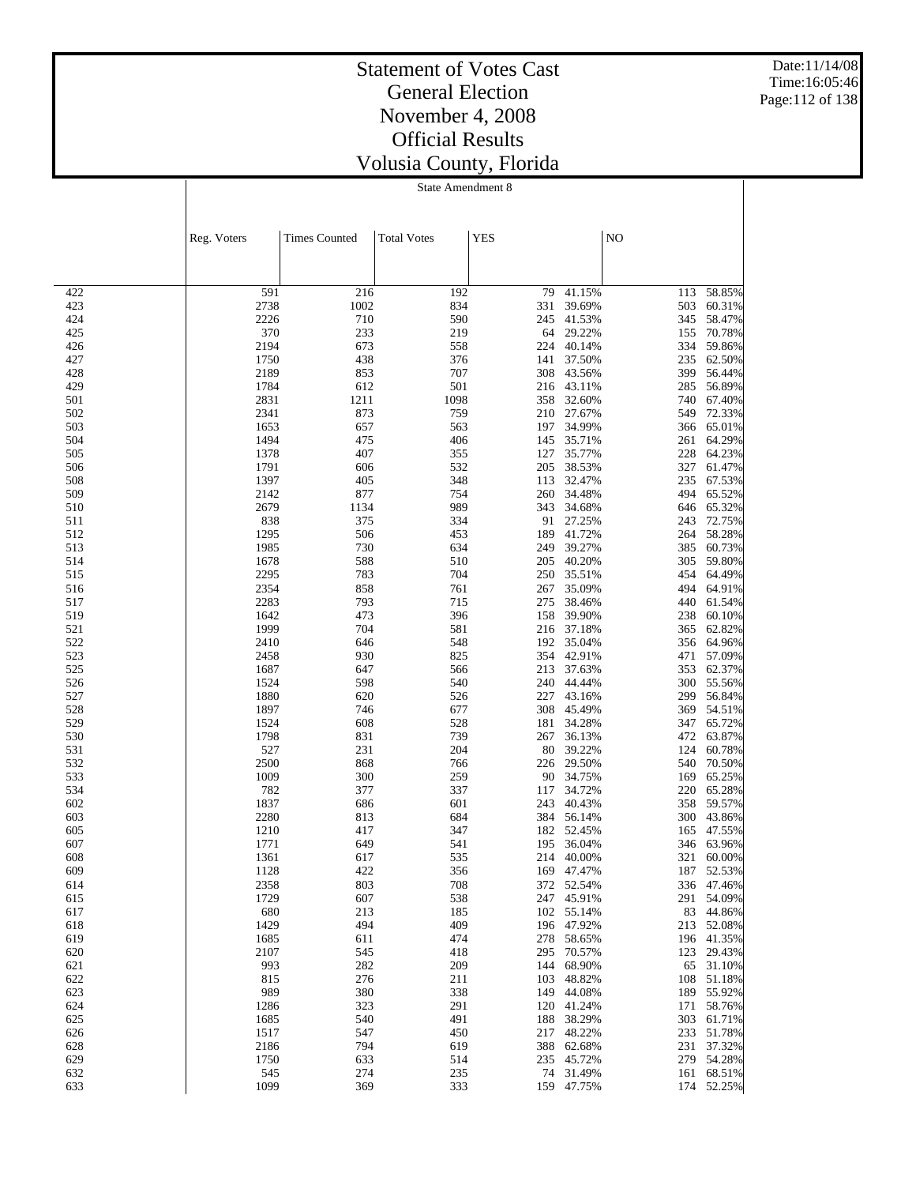Date:11/14/08 Time:16:05:46 Page:112 of 138

#### Statement of Votes Cast General Election November 4, 2008 Official Results Volusia County, Florida

State Amendment 8

> 1128 422 356 169 47.47% 187 52.53% 803 708 372 52.54% 336 47.46% 607 538 247 45.91% 291 54.09% 213 185 102 55.14% 83 44.86% 1429 494 409 196 47.92% 213 52.08% 611 474 278 58.65% 196 41.35% 545 418 295 70.57% 123 29.43% 282 209 144 68.90% 65 31.10% 276 211 103 48.82% 108 51.18% 380 338 149 44.08% 189 55.92% 1286 323 291 120 41.24% 171 58.76%<br>1685 540 491 188 38.29% 303 61.71% 1685 540 491 188 38.29% 303 61.71% 547 450 217 48.22% 233 51.78% 794 619 388 62.68% 231 37.32% 633 514 235 45.72% 279 54.28% 274 235 74 31.49% 161 68.51% 1099 369 333 159 47.75% 174 52.25%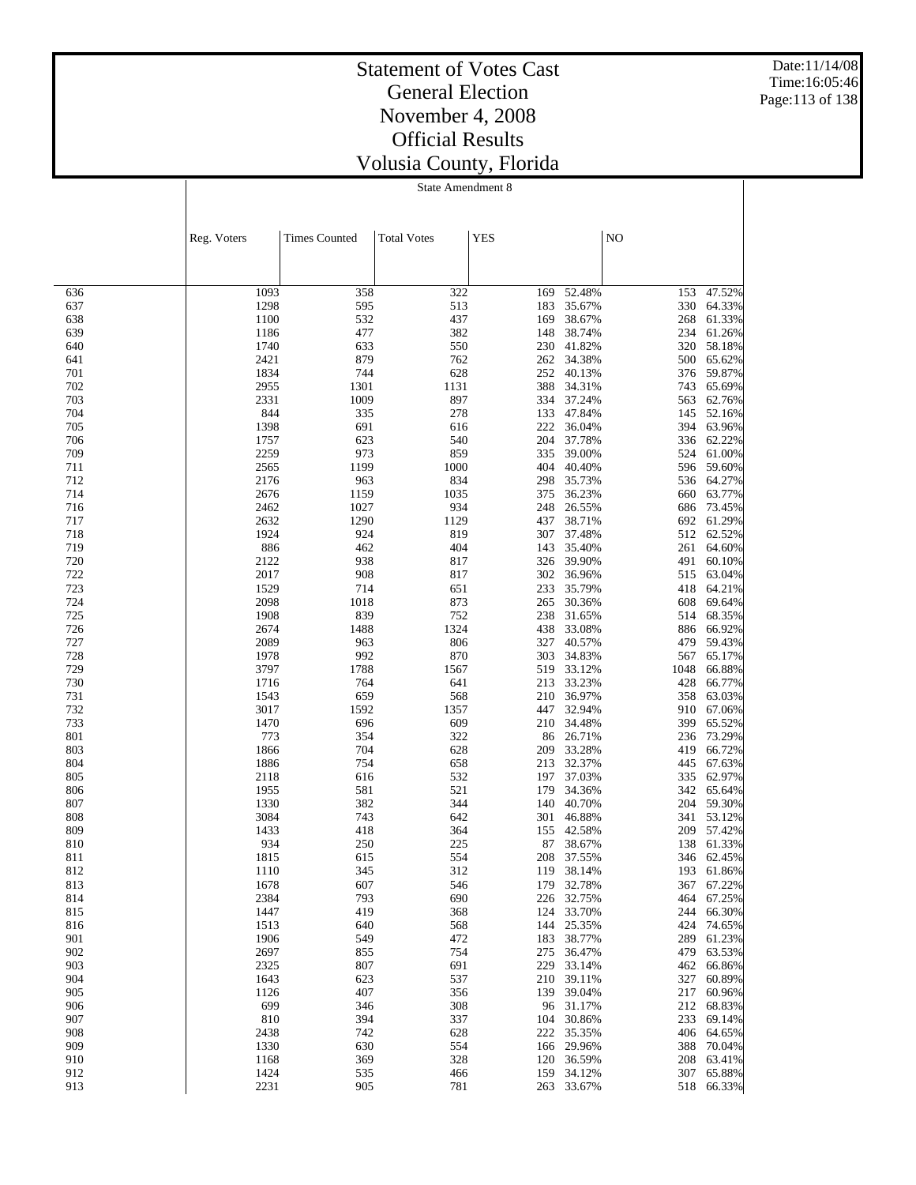Date:11/14/08 Time:16:05:46 Page:113 of 138

### Statement of Votes Cast General Election November 4, 2008 Official Results Volusia County, Florida

State Amendment 8

|            | Reg. Voters  | <b>Times Counted</b> | <b>Total Votes</b> | <b>YES</b> |                  | NO         |                  |
|------------|--------------|----------------------|--------------------|------------|------------------|------------|------------------|
|            |              |                      |                    |            |                  |            |                  |
|            |              |                      |                    |            |                  |            |                  |
| 636        | 1093         | 358                  | 322                | 169        | 52.48%           | 153        | 47.52%           |
| 637        | 1298         | 595                  | 513                | 183        | 35.67%           | 330        | 64.33%           |
| 638        | 1100         | 532                  | 437                | 169        | 38.67%           | 268        | 61.33%           |
| 639        | 1186         | 477                  | 382                | 148        | 38.74%           | 234        | 61.26%           |
| 640        | 1740         | 633                  | 550                | 230        | 41.82%           | 320        | 58.18%           |
| 641        | 2421         | 879                  | 762                | 262        | 34.38%           | 500        | 65.62%           |
| 701<br>702 | 1834         | 744<br>1301          | 628<br>1131        | 252        | 40.13%<br>34.31% | 376        | 59.87%<br>65.69% |
| 703        | 2955<br>2331 | 1009                 | 897                | 388<br>334 | 37.24%           | 743<br>563 | 62.76%           |
| 704        | 844          | 335                  | 278                | 133        | 47.84%           | 145        | 52.16%           |
| 705        | 1398         | 691                  | 616                | 222        | 36.04%           | 394        | 63.96%           |
| 706        | 1757         | 623                  | 540                | 204        | 37.78%           | 336        | 62.22%           |
| 709        | 2259         | 973                  | 859                | 335        | 39.00%           | 524        | 61.00%           |
| 711        | 2565         | 1199                 | 1000               | 404        | 40.40%           |            | 596 59.60%       |
| 712        | 2176         | 963                  | 834                | 298        | 35.73%           |            | 536 64.27%       |
| 714        | 2676         | 1159                 | 1035               | 375        | 36.23%           | 660        | 63.77%           |
| 716        | 2462         | 1027                 | 934                | 248        | 26.55%           | 686        | 73.45%           |
| 717        | 2632         | 1290                 | 1129               | 437        | 38.71%           | 692        | 61.29%           |
| 718        | 1924         | 924                  | 819                | 307        | 37.48%           | 512        | 62.52%           |
| 719<br>720 | 886          | 462<br>938           | 404                | 143<br>326 | 35.40%           | 261        | 64.60%           |
| 722        | 2122<br>2017 | 908                  | 817<br>817         | 302        | 39.90%<br>36.96% | 491<br>515 | 60.10%<br>63.04% |
| 723        | 1529         | 714                  | 651                | 233        | 35.79%           | 418        | 64.21%           |
| 724        | 2098         | 1018                 | 873                | 265        | 30.36%           | 608        | 69.64%           |
| 725        | 1908         | 839                  | 752                | 238        | 31.65%           | 514        | 68.35%           |
| 726        | 2674         | 1488                 | 1324               | 438        | 33.08%           | 886        | 66.92%           |
| 727        | 2089         | 963                  | 806                | 327        | 40.57%           | 479        | 59.43%           |
| 728        | 1978         | 992                  | 870                | 303        | 34.83%           | 567        | 65.17%           |
| 729        | 3797         | 1788                 | 1567               | 519        | 33.12%           | 1048       | 66.88%           |
| 730        | 1716         | 764                  | 641                | 213        | 33.23%           | 428        | 66.77%           |
| 731        | 1543         | 659                  | 568                | 210        | 36.97%           | 358        | 63.03%           |
| 732        | 3017         | 1592                 | 1357               | 447        | 32.94%           | 910        | 67.06%           |
| 733        | 1470         | 696                  | 609                | 210        | 34.48%           | 399        | 65.52%           |
| 801<br>803 | 773<br>1866  | 354<br>704           | 322<br>628         | 86<br>209  | 26.71%<br>33.28% | 236<br>419 | 73.29%<br>66.72% |
| 804        | 1886         | 754                  | 658                | 213        | 32.37%           | 445        | 67.63%           |
| 805        | 2118         | 616                  | 532                | 197        | 37.03%           | 335        | 62.97%           |
| 806        | 1955         | 581                  | 521                | 179        | 34.36%           | 342        | 65.64%           |
| 807        | 1330         | 382                  | 344                | 140        | 40.70%           | 204        | 59.30%           |
| 808        | 3084         | 743                  | 642                | 301        | 46.88%           | 341        | 53.12%           |
| 809        | 1433         | 418                  | 364                | 155        | 42.58%           | 209        | 57.42%           |
| 810        | 934          | 250                  | 225                | 87         | 38.67%           | 138        | 61.33%           |
| 811        | 1815         | 615                  | 554                | 208        | 37.55%           | 346        | 62.45%           |
| 812        | 1110         | 345                  | 312                | 119        | 38.14%           | 193        | 61.86%           |
| 813        | 1678         | 607                  | 546                | 179        | 32.78%           |            | 367 67.22%       |
| 814        | 2384         | 793                  | 690                |            | 226 32.75%       |            | 464 67.25%       |
| 815        | 1447         | 419                  | 368                |            | 124 33.70%       |            | 244 66.30%       |
| 816<br>901 | 1513<br>1906 | 640<br>549           | 568<br>472         | 144        | 25.35%<br>38.77% | 424<br>289 | 74.65%<br>61.23% |
| 902        | 2697         | 855                  | 754                | 183<br>275 | 36.47%           | 479        | 63.53%           |
| 903        | 2325         | 807                  | 691                | 229        | 33.14%           | 462        | 66.86%           |
| 904        | 1643         | 623                  | 537                | 210        | 39.11%           | 327        | 60.89%           |
| 905        | 1126         | 407                  | 356                |            | 139 39.04%       | 217        | 60.96%           |
| 906        | 699          | 346                  | 308                |            | 96 31.17%        | 212        | 68.83%           |
| 907        | 810          | 394                  | 337                | 104        | 30.86%           |            | 233 69.14%       |
| 908        | 2438         | 742                  | 628                | 222        | 35.35%           |            | 406 64.65%       |
| 909        | 1330         | 630                  | 554                | 166        | 29.96%           |            | 388 70.04%       |
| 910        | 1168         | 369                  | 328                | 120        | 36.59%           |            | 208 63.41%       |
| 912        | 1424         | 535                  | 466                |            | 159 34.12%       |            | 307 65.88%       |
| 913        | 2231         | 905                  | 781                |            | 263 33.67%       |            | 518 66.33%       |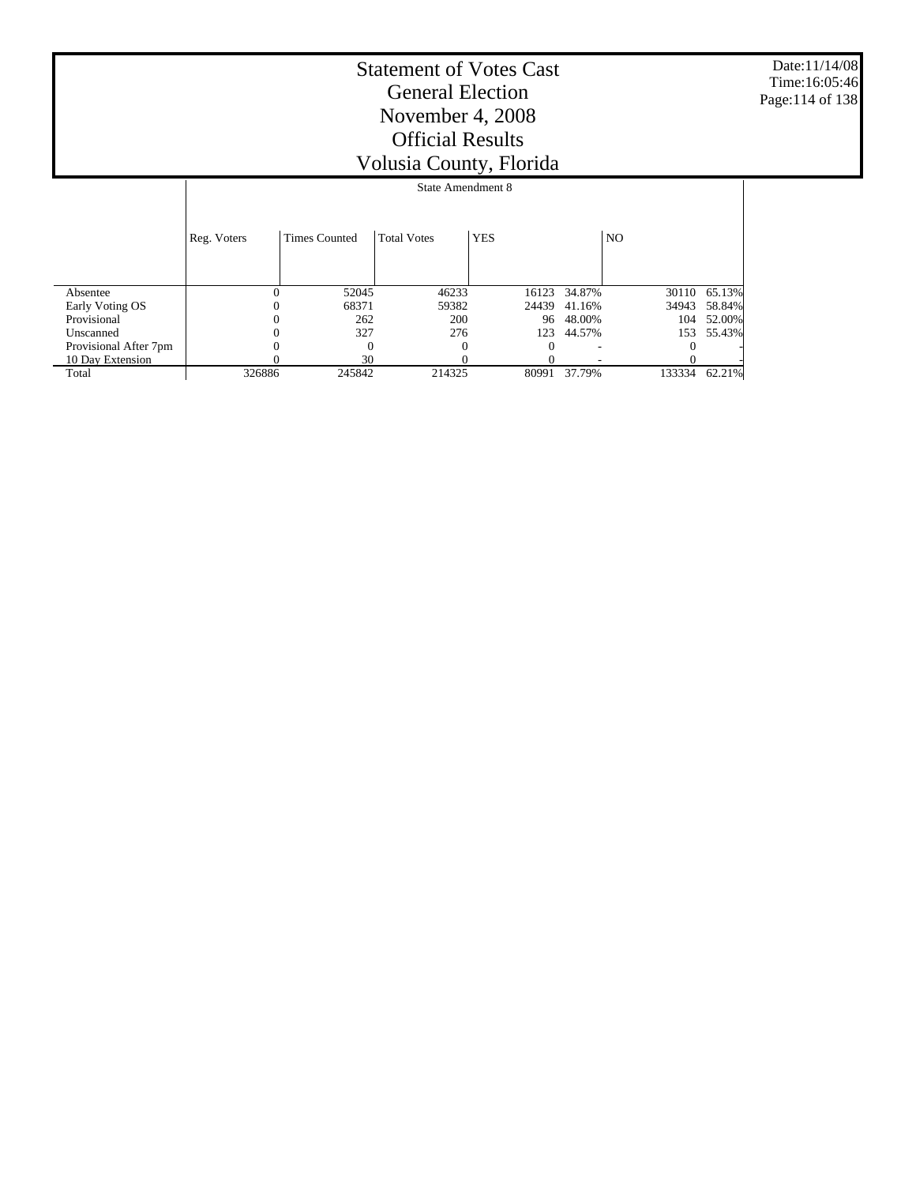Date:11/14/08 Time:16:05:46 Page:114 of 138

|                       |             |                      | State Amendment 8  |            |        |                |        |
|-----------------------|-------------|----------------------|--------------------|------------|--------|----------------|--------|
|                       | Reg. Voters | <b>Times Counted</b> | <b>Total Votes</b> | <b>YES</b> |        | N <sub>O</sub> |        |
| Absentee              | 0           | 52045                | 46233              | 16123      | 34.87% | 30110          | 65.13% |
| Early Voting OS       |             | 68371                | 59382              | 24439      | 41.16% | 34943          | 58.84% |
| Provisional           |             | 262                  | 200                | 96         | 48.00% | 104            | 52.00% |
| Unscanned             |             | 327                  | 276                | 123        | 44.57% | 153            | 55.43% |
| Provisional After 7pm |             | $\Omega$             | $\theta$           |            |        |                |        |
| 10 Day Extension      |             | 30                   |                    |            |        |                |        |
| Total                 | 326886      | 245842               | 214325             | 80991      | 37.79% | 133334         | 62.21% |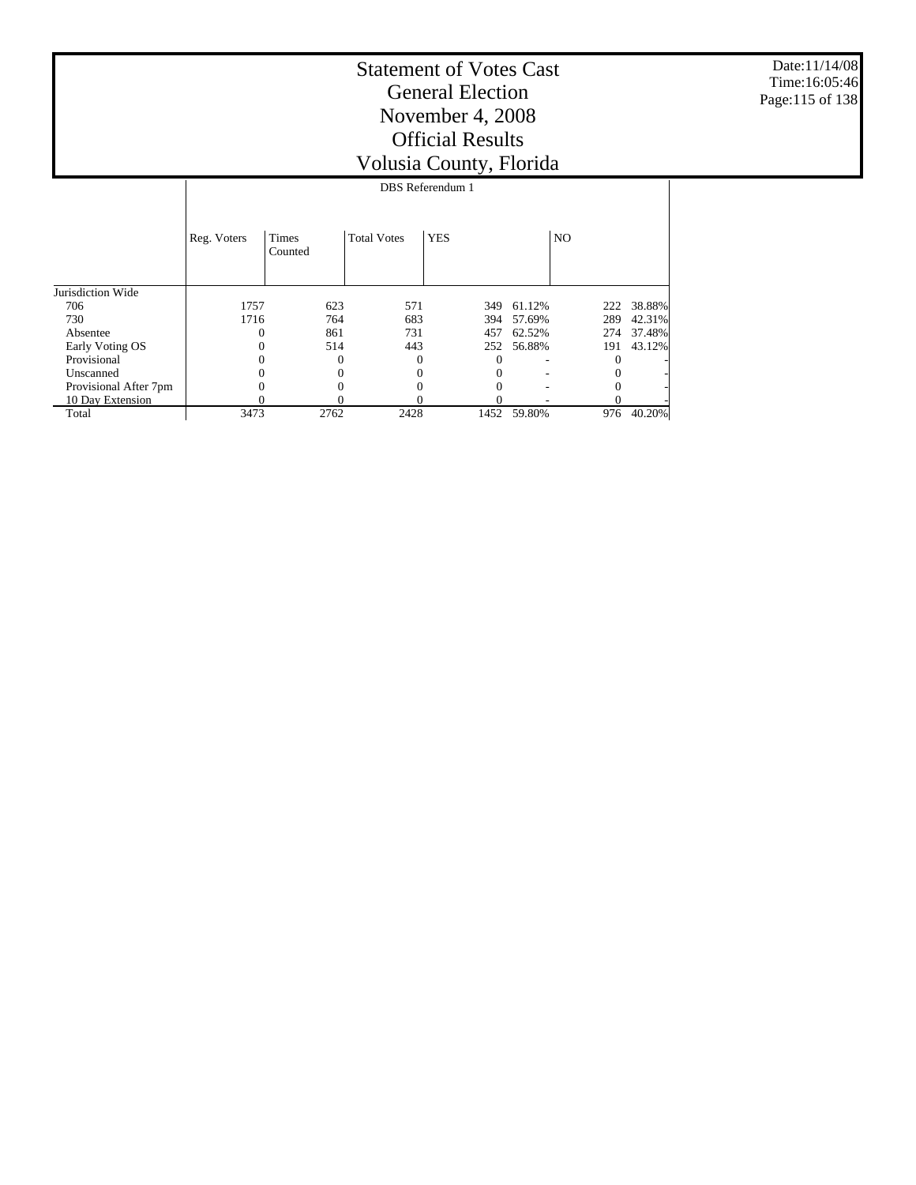Date:11/14/08 Time:16:05:46 Page:115 of 138

|                       |             |                         |                    | <b>DBS</b> Referendum 1 |        |                |        |
|-----------------------|-------------|-------------------------|--------------------|-------------------------|--------|----------------|--------|
|                       | Reg. Voters | <b>Times</b><br>Counted | <b>Total Votes</b> | <b>YES</b>              |        | N <sub>O</sub> |        |
| Jurisdiction Wide     |             |                         |                    |                         |        |                |        |
| 706                   | 1757        | 623                     | 571                | 349                     | 61.12% | 222            | 38.88% |
| 730                   | 1716        | 764                     | 683                | 394                     | 57.69% | 289            | 42.31% |
| Absentee              |             | 861                     | 731                | 457                     | 62.52% | 274            | 37.48% |
| Early Voting OS       |             | 514                     | 443                | 252                     | 56.88% | 191            | 43.12% |
| Provisional           |             | $\theta$                |                    | 0                       |        | $\Omega$       |        |
| Unscanned             |             |                         |                    | 0                       |        | $\Omega$       |        |
| Provisional After 7pm |             |                         |                    | 0                       |        | $\Omega$       |        |
| 10 Day Extension      |             | 0                       |                    | 0                       |        |                |        |
| Total                 | 3473        | 2762                    | 2428               | 1452                    | 59.80% | 976            | 40.20% |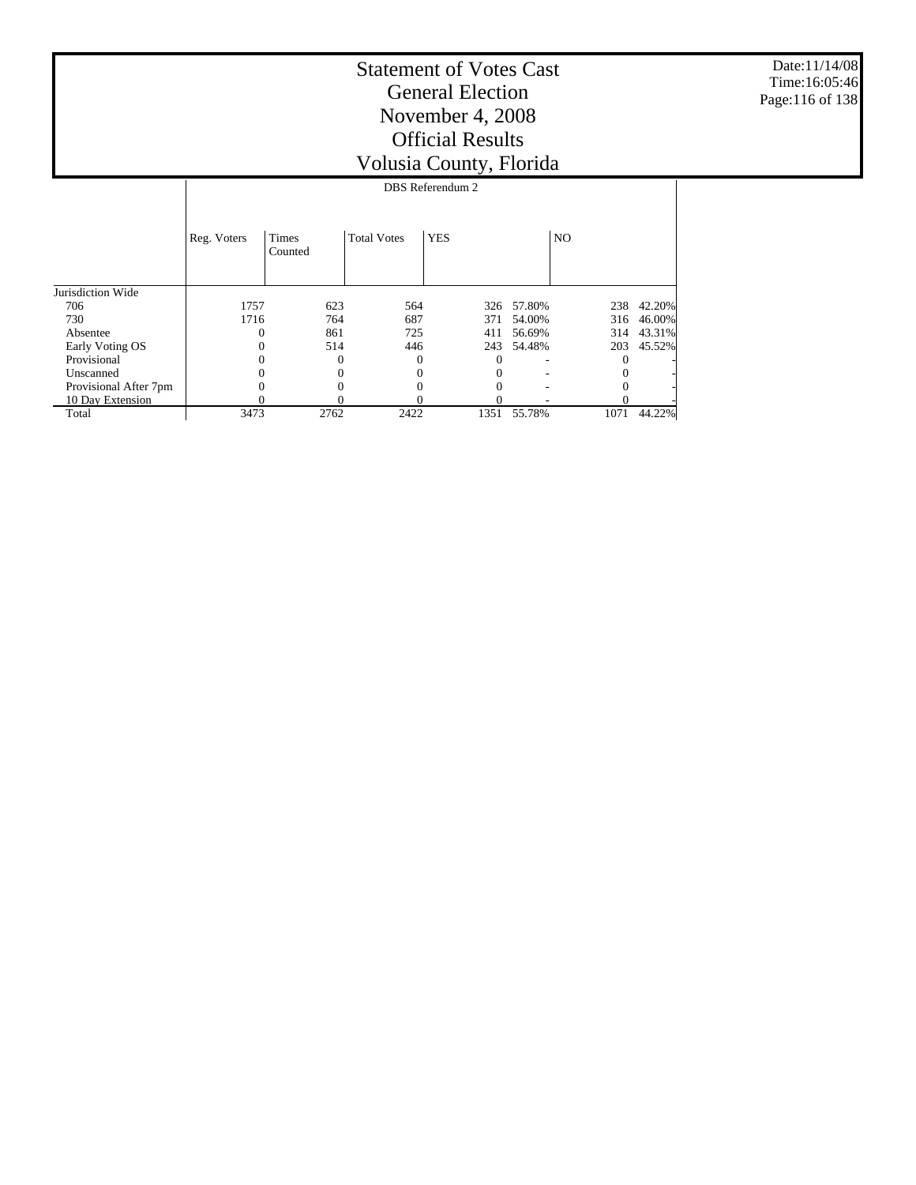Date:11/14/08 Time:16:05:46 Page:116 of 138

|                       |             |                         |                    | DBS Referendum 2 |        |                |        |
|-----------------------|-------------|-------------------------|--------------------|------------------|--------|----------------|--------|
|                       | Reg. Voters | <b>Times</b><br>Counted | <b>Total Votes</b> | <b>YES</b>       |        | N <sub>O</sub> |        |
| Jurisdiction Wide     |             |                         |                    |                  |        |                |        |
| 706                   | 1757        | 623                     | 564                | 326              | 57.80% | 238            | 42.20% |
| 730                   | 1716        | 764                     | 687                | 371              | 54.00% | 316            | 46.00% |
| Absentee              |             | 861                     | 725                | 411              | 56.69% | 314            | 43.31% |
| Early Voting OS       |             | 514                     | 446                | 243              | 54.48% | 203            | 45.52% |
| Provisional           |             |                         | 0                  | 0                |        | $^{0}$         |        |
| Unscanned             |             |                         | 0                  |                  |        | $\theta$       |        |
| Provisional After 7pm |             |                         |                    |                  |        |                |        |
| 10 Day Extension      |             |                         | 0                  |                  |        |                |        |
| Total                 | 3473        | 2762                    | 2422               | 1351             | 55.78% | 1071           | 44.22% |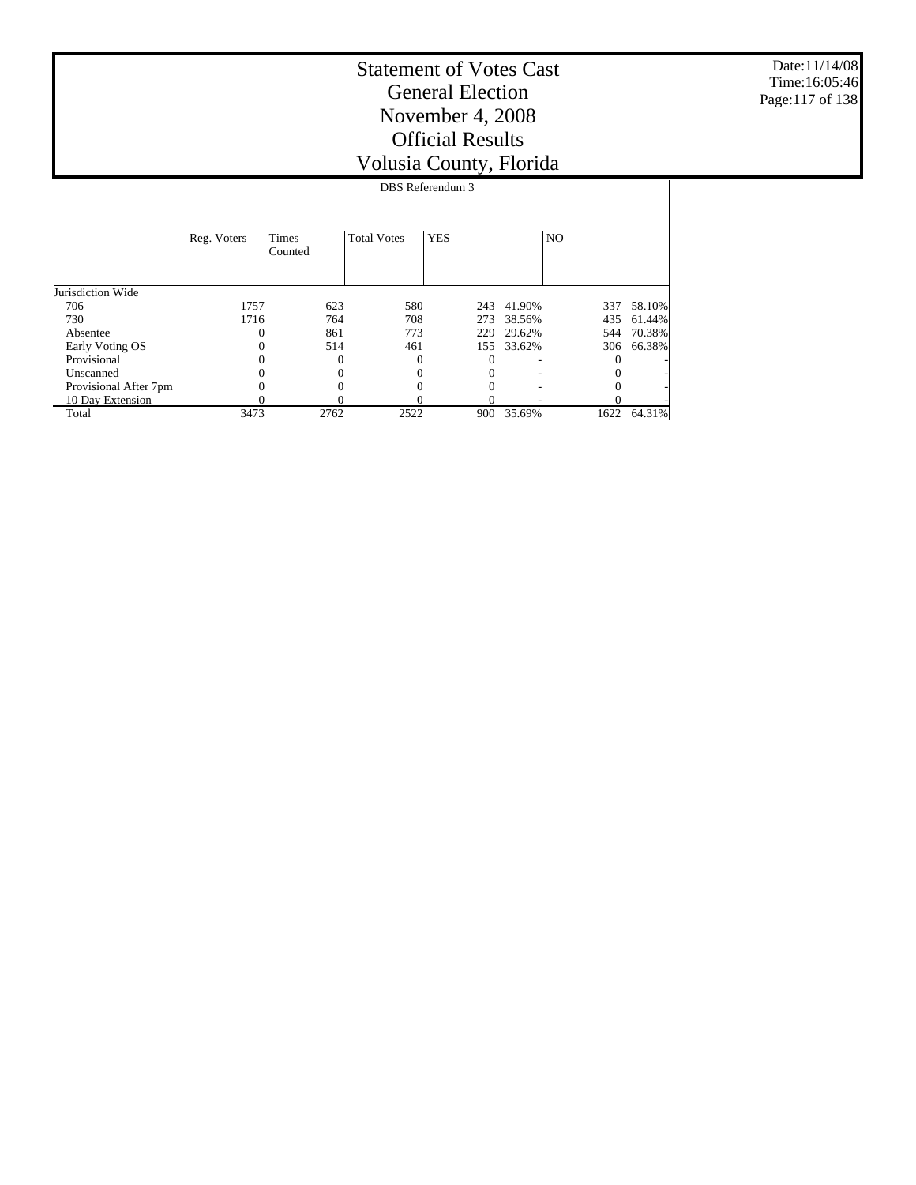Date:11/14/08 Time:16:05:46 Page:117 of 138

|                       |             |                         |                    | DBS Referendum 3 |        |                |        |  |  |  |  |  |  |
|-----------------------|-------------|-------------------------|--------------------|------------------|--------|----------------|--------|--|--|--|--|--|--|
|                       | Reg. Voters | <b>Times</b><br>Counted | <b>Total Votes</b> | <b>YES</b>       |        | N <sub>O</sub> |        |  |  |  |  |  |  |
| Jurisdiction Wide     |             |                         |                    |                  |        |                |        |  |  |  |  |  |  |
| 706                   | 1757        | 623                     | 580                | 243              | 41.90% | 337            | 58.10% |  |  |  |  |  |  |
| 730                   | 1716        | 764                     | 708                | 273              | 38.56% | 435            | 61.44% |  |  |  |  |  |  |
| Absentee              |             | 861                     | 773                | 229              | 29.62% | 544            | 70.38% |  |  |  |  |  |  |
| Early Voting OS       |             | 514                     | 461                | 155              | 33.62% | 306            | 66.38% |  |  |  |  |  |  |
| Provisional           |             | 0                       | $\theta$           | $\Omega$         |        | 0              |        |  |  |  |  |  |  |
| Unscanned             |             |                         | $\Omega$           | 0                |        | 0              |        |  |  |  |  |  |  |
| Provisional After 7pm |             |                         |                    | 0                |        |                |        |  |  |  |  |  |  |
| 10 Day Extension      | 0           |                         |                    |                  |        |                |        |  |  |  |  |  |  |
| Total                 | 3473        | 2762                    | 2522               | 900              | 35.69% | 1622           | 64.31% |  |  |  |  |  |  |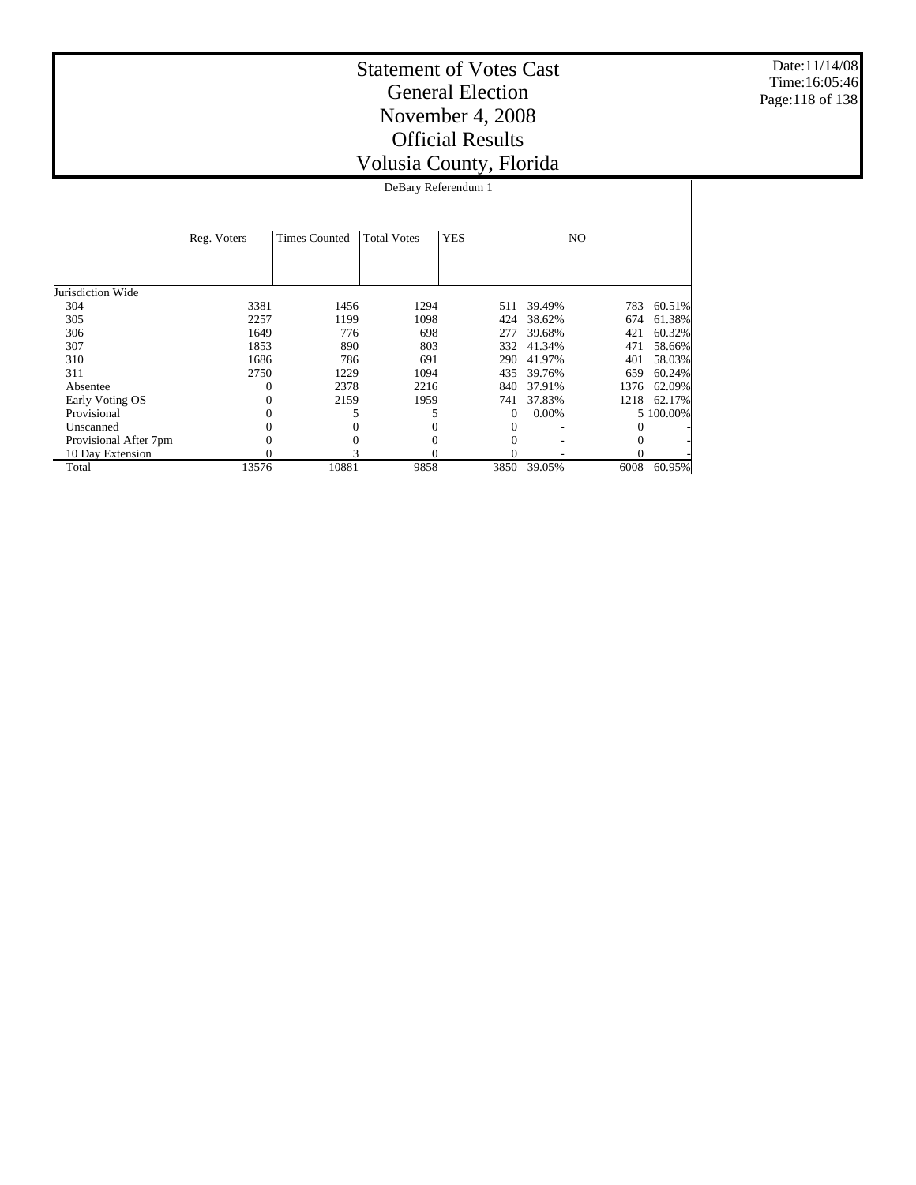Date:11/14/08 Time:16:05:46 Page:118 of 138

| DeBary Referendum 1 |  |
|---------------------|--|
|---------------------|--|

|                       | Reg. Voters | <b>Times Counted</b> | <b>Total Votes</b> | <b>YES</b> |          | N <sub>O</sub> |           |
|-----------------------|-------------|----------------------|--------------------|------------|----------|----------------|-----------|
| Jurisdiction Wide     |             |                      |                    |            |          |                |           |
| 304                   | 3381        | 1456                 | 1294               | 511        | 39.49%   | 783            | 60.51%    |
| 305                   | 2257        | 1199                 | 1098               | 424        | 38.62%   | 674            | 61.38%    |
| 306                   | 1649        | 776                  | 698                | 277        | 39.68%   | 421            | 60.32%    |
| 307                   | 1853        | 890                  | 803                | 332        | 41.34%   | 471            | 58.66%    |
| 310                   | 1686        | 786                  | 691                | 290        | 41.97%   | 401            | 58.03%    |
| 311                   | 2750        | 1229                 | 1094               | 435        | 39.76%   | 659            | 60.24%    |
| Absentee              |             | 2378                 | 2216               | 840        | 37.91%   | 1376           | 62.09%    |
| Early Voting OS       |             | 2159                 | 1959               | 741        | 37.83%   | 1218           | 62.17%    |
| Provisional           |             |                      |                    | $\Omega$   | $0.00\%$ |                | 5 100.00% |
| Unscanned             |             |                      |                    | 0          |          |                |           |
| Provisional After 7pm |             |                      |                    |            |          |                |           |
| 10 Day Extension      |             |                      |                    |            |          |                |           |
| Total                 | 13576       | 10881                | 9858               | 3850       | 39.05%   | 6008           | 60.95%    |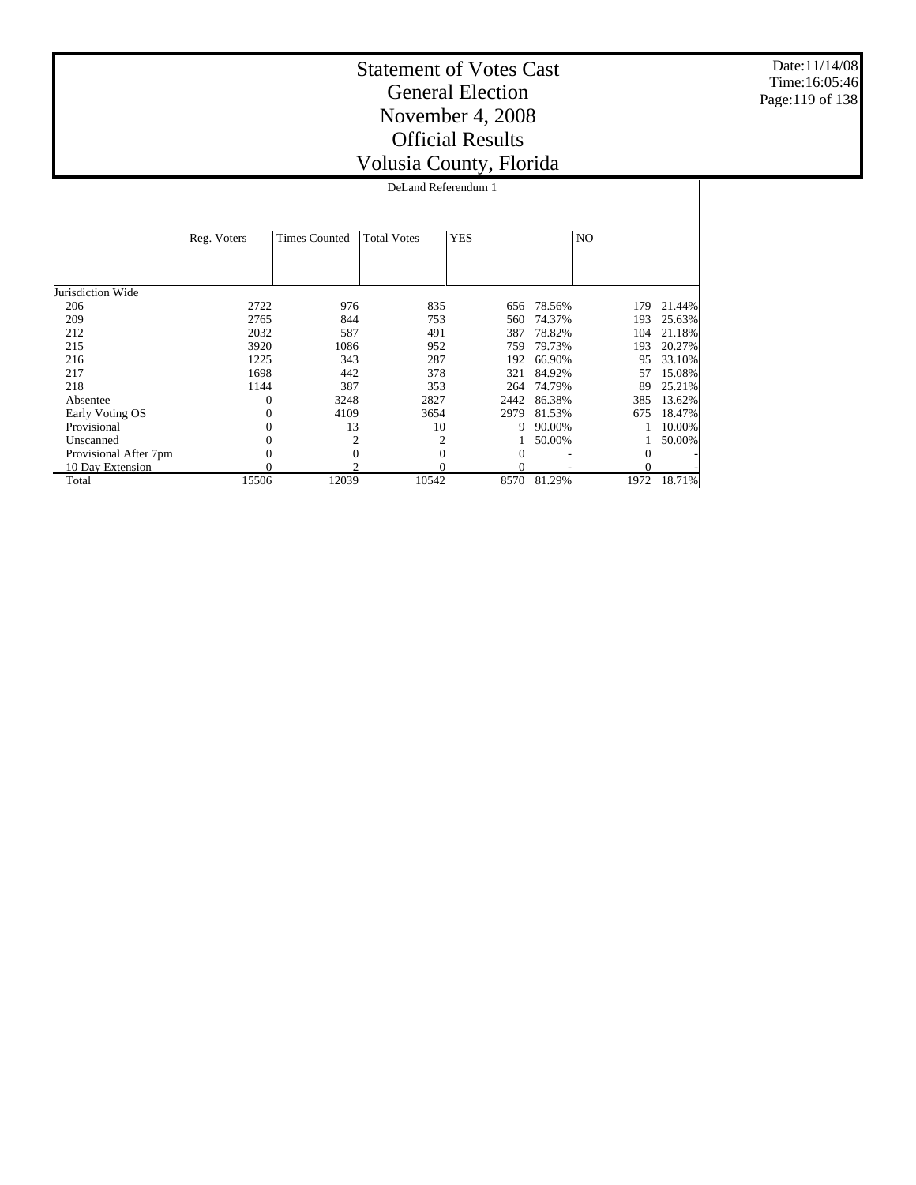Date:11/14/08 Time:16:05:46 Page:119 of 138

## Statement of Votes Cast General Election November 4, 2008 Official Results Volusia County, Florida

DeLand Referendum 1

|                       | Reg. Voters | <b>Times Counted</b> | <b>Total Votes</b> | <b>YES</b>   |        | NO <sub>1</sub> |        |
|-----------------------|-------------|----------------------|--------------------|--------------|--------|-----------------|--------|
|                       |             |                      |                    |              |        |                 |        |
|                       |             |                      |                    |              |        |                 |        |
| Jurisdiction Wide     |             |                      |                    |              |        |                 |        |
| 206                   | 2722        | 976                  | 835                | 656          | 78.56% | 179             | 21.44% |
| 209                   | 2765        | 844                  | 753                | 560          | 74.37% | 193             | 25.63% |
| 212                   | 2032        | 587                  | 491                | 387          | 78.82% | 104             | 21.18% |
| 215                   | 3920        | 1086                 | 952                | 759          | 79.73% | 193             | 20.27% |
| 216                   | 1225        | 343                  | 287                | 192          | 66.90% | 95              | 33.10% |
| 217                   | 1698        | 442                  | 378                | 321          | 84.92% | 57              | 15.08% |
| 218                   | 1144        | 387                  | 353                | 264          | 74.79% | 89              | 25.21% |
| Absentee              | $\Omega$    | 3248                 | 2827               | 2442         | 86.38% | 385             | 13.62% |
| Early Voting OS       | $\Omega$    | 4109                 | 3654               | 2979         | 81.53% | 675             | 18.47% |
| Provisional           | $\Omega$    | 13                   | 10                 | 9            | 90.00% |                 | 10.00% |
| Unscanned             | $\Omega$    | 2                    | 2                  |              | 50.00% |                 | 50.00% |
| Provisional After 7pm | $\Omega$    | 0                    | 0                  | $\mathbf{0}$ |        | $\Omega$        |        |
| 10 Day Extension      |             | ◠                    |                    | $\Omega$     |        | $\Omega$        |        |
| Total                 | 15506       | 12039                | 10542              | 8570         | 81.29% | 1972            | 18.71% |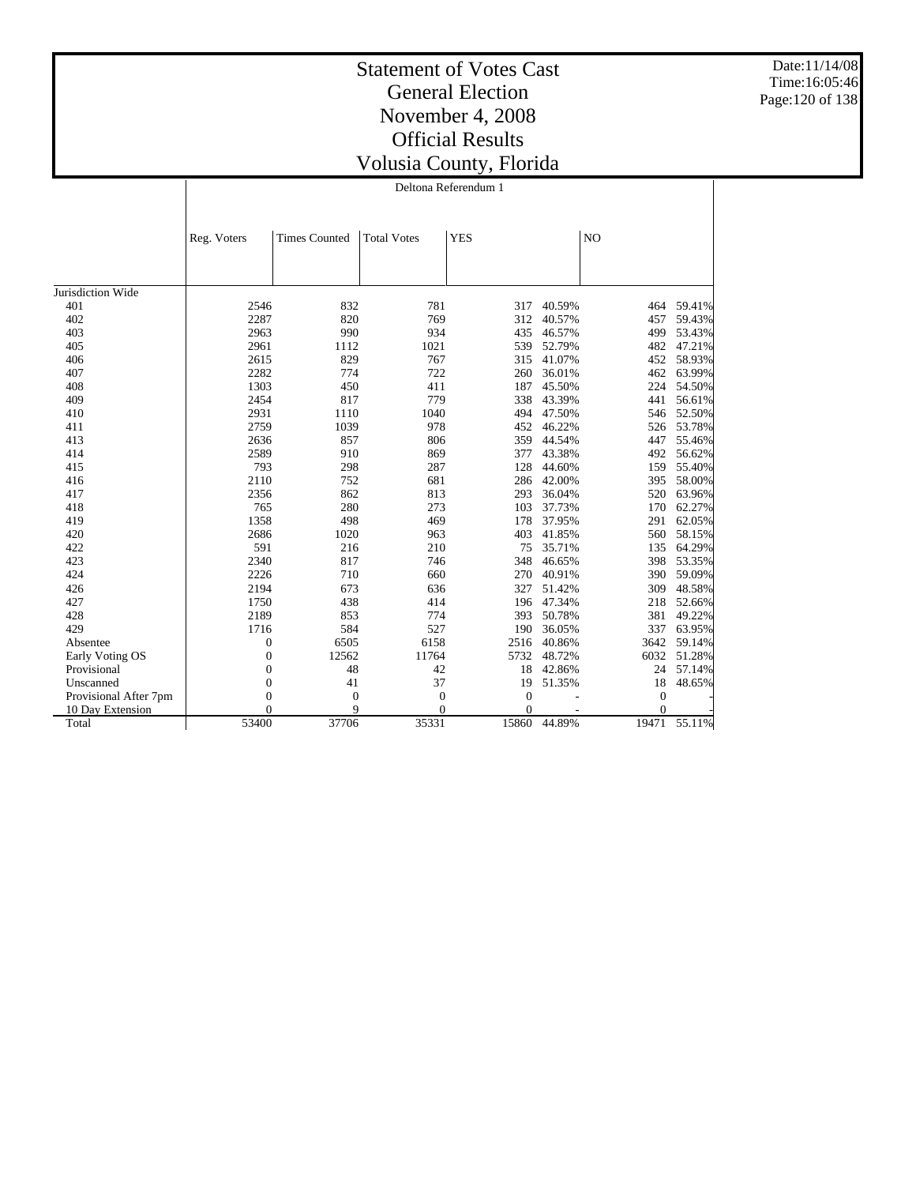Date:11/14/08 Time:16:05:46 Page:120 of 138

|                       | Reg. Voters      | <b>Times Counted</b> | <b>Total Votes</b> | <b>YES</b>     |        | N <sub>O</sub> |                  |
|-----------------------|------------------|----------------------|--------------------|----------------|--------|----------------|------------------|
|                       |                  |                      |                    |                |        |                |                  |
| Jurisdiction Wide     |                  |                      |                    |                |        |                |                  |
| 401                   | 2546             | 832                  | 781                | 317            | 40.59% | 464            | 59.41%           |
| 402                   | 2287             | 820                  | 769                | 312            | 40.57% | 457            | 59.43%           |
| 403                   | 2963             | 990                  | 934                | 435            | 46.57% | 499            | 53.43%           |
| 405                   |                  |                      |                    | 539            | 52.79% | 482            |                  |
|                       | 2961             | 1112                 | 1021               |                |        |                | 47.21%           |
| 406                   | 2615             | 829<br>774           | 767<br>722         | 315            | 41.07% | 452            | 58.93%           |
| 407                   | 2282             |                      |                    | 260            | 36.01% | 462            | 63.99%           |
| 408                   | 1303             | 450                  | 411                | 187            | 45.50% | 224            | 54.50%           |
| 409                   | 2454             | 817                  | 779                | 338            | 43.39% | 441            | 56.61%           |
| 410                   | 2931             | 1110                 | 1040               | 494            | 47.50% | 546            | 52.50%           |
| 411                   | 2759             | 1039                 | 978                | 452            | 46.22% | 526            | 53.78%           |
| 413                   | 2636             | 857                  | 806                | 359            | 44.54% | 447            | 55.46%           |
| 414                   | 2589             | 910                  | 869                | 377<br>128     | 43.38% | 492            | 56.62%           |
| 415                   | 793              | 298                  | 287                |                | 44.60% | 159            | 55.40%           |
| 416                   | 2110             | 752<br>862           | 681                | 286            | 42.00% | 395            | 58.00%<br>63.96% |
| 417                   | 2356             |                      | 813                | 293            | 36.04% | 520            |                  |
| 418                   | 765              | 280                  | 273                | 103            | 37.73% | 170            | 62.27%           |
| 419                   | 1358             | 498                  | 469                | 178            | 37.95% | 291            | 62.05%           |
| 420                   | 2686             | 1020                 | 963                | 403            | 41.85% | 560            | 58.15%           |
| 422                   | 591              | 216                  | 210                | 75             | 35.71% | 135            | 64.29%           |
| 423                   | 2340             | 817                  | 746                | 348            | 46.65% | 398            | 53.35%           |
| 424                   | 2226             | 710                  | 660                | 270            | 40.91% | 390            | 59.09%           |
| 426                   | 2194             | 673                  | 636                | 327            | 51.42% | 309            | 48.58%           |
| 427                   | 1750             | 438                  | 414                | 196            | 47.34% | 218            | 52.66%           |
| 428                   | 2189             | 853                  | 774                | 393            | 50.78% | 381            | 49.22%           |
| 429                   | 1716             | 584                  | 527                | 190            | 36.05% | 337            | 63.95%           |
| Absentee              | $\boldsymbol{0}$ | 6505                 | 6158               | 2516           | 40.86% | 3642           | 59.14%           |
| Early Voting OS       | $\overline{0}$   | 12562                | 11764              | 5732           | 48.72% | 6032           | 51.28%           |
| Provisional           | $\mathbf{0}$     | 48                   | 42                 | 18             | 42.86% | 24             | 57.14%           |
| Unscanned             | $\overline{0}$   | 41                   | 37                 | 19             | 51.35% | 18             | 48.65%           |
| Provisional After 7pm | $\boldsymbol{0}$ | $\mathbf{0}$         | $\mathbf{0}$       | $\theta$       |        | $\overline{0}$ |                  |
| 10 Day Extension      | $\overline{0}$   | 9                    | $\mathbf{0}$       | $\overline{0}$ |        | $\overline{0}$ |                  |
| Total                 | 53400            | 37706                | 35331              | 15860          | 44.89% | 19471          | 55.11%           |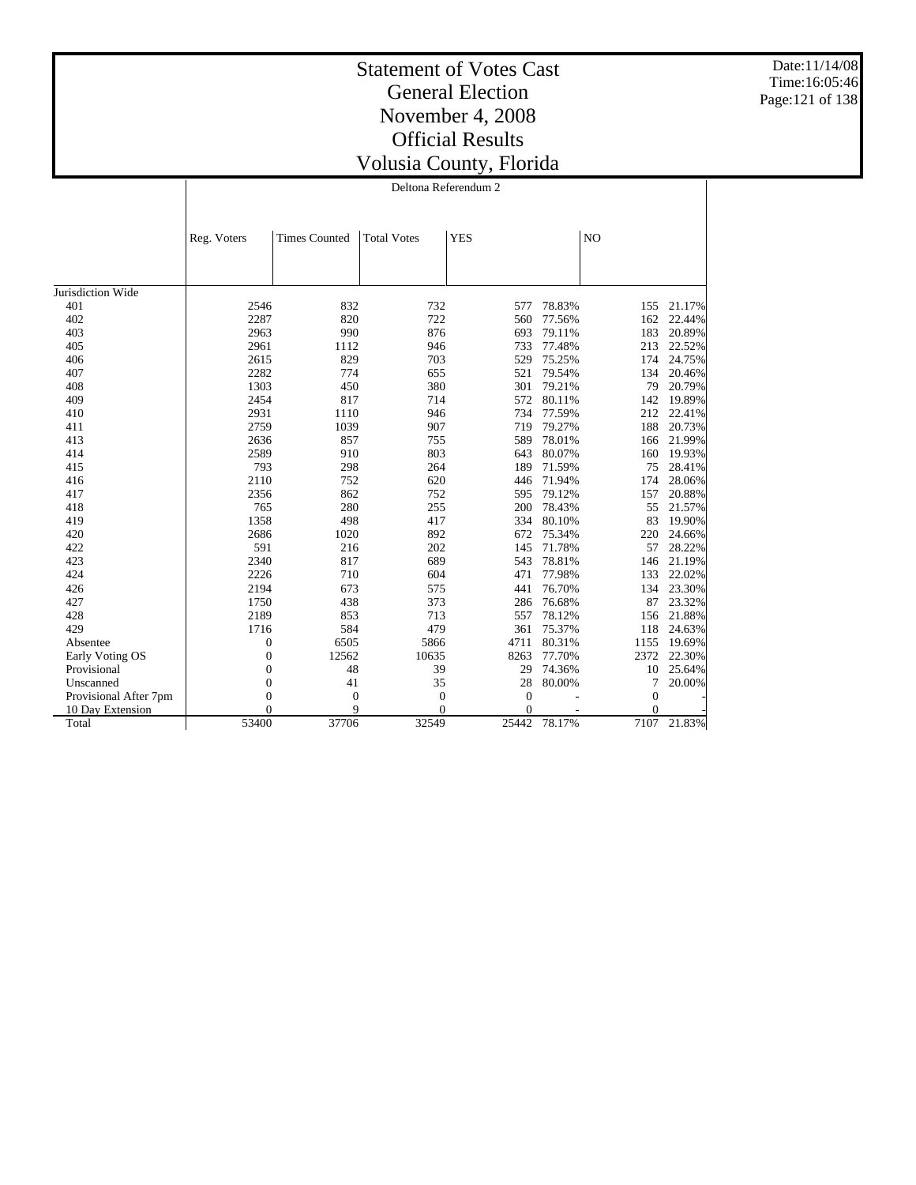Date:11/14/08 Time:16:05:46 Page:121 of 138

|                       | Reg. Voters      | <b>Times Counted</b> | <b>Total Votes</b> | <b>YES</b>     |        | NO             |        |
|-----------------------|------------------|----------------------|--------------------|----------------|--------|----------------|--------|
|                       |                  |                      |                    |                |        |                |        |
|                       |                  |                      |                    |                |        |                |        |
|                       |                  |                      |                    |                |        |                |        |
| Jurisdiction Wide     |                  |                      |                    |                |        |                |        |
| 401                   | 2546             | 832                  | 732                | 577            | 78.83% | 155            | 21.17% |
| 402                   | 2287             | 820                  | 722                | 560            | 77.56% | 162            | 22.44% |
| 403                   | 2963             | 990                  | 876                | 693            | 79.11% | 183            | 20.89% |
| 405                   | 2961             | 1112                 | 946                | 733            | 77.48% | 213            | 22.52% |
| 406                   | 2615             | 829                  | 703                | 529            | 75.25% | 174            | 24.75% |
| 407                   | 2282             | 774                  | 655                | 521            | 79.54% | 134            | 20.46% |
| 408                   | 1303             | 450                  | 380                | 301            | 79.21% | 79             | 20.79% |
| 409                   | 2454             | 817                  | 714                | 572            | 80.11% | 142            | 19.89% |
| 410                   | 2931             | 1110                 | 946                | 734            | 77.59% | 212            | 22.41% |
| 411                   | 2759             | 1039                 | 907                | 719            | 79.27% | 188            | 20.73% |
| 413                   | 2636             | 857                  | 755                | 589            | 78.01% | 166            | 21.99% |
| 414                   | 2589             | 910                  | 803                | 643            | 80.07% | 160            | 19.93% |
| 415                   | 793              | 298                  | 264                | 189            | 71.59% | 75             | 28.41% |
| 416                   | 2110             | 752                  | 620                | 446            | 71.94% | 174            | 28.06% |
| 417                   | 2356             | 862                  | 752                | 595            | 79.12% | 157            | 20.88% |
| 418                   | 765              | 280                  | 255                | 200            | 78.43% | 55             | 21.57% |
| 419                   | 1358             | 498                  | 417                | 334            | 80.10% | 83             | 19.90% |
| 420                   | 2686             | 1020                 | 892                | 672            | 75.34% | 220            | 24.66% |
| 422                   | 591              | 216                  | 202                | 145            | 71.78% | 57             | 28.22% |
| 423                   | 2340             | 817                  | 689                | 543            | 78.81% | 146            | 21.19% |
| 424                   | 2226             | 710                  | 604                | 471            | 77.98% | 133            | 22.02% |
| 426                   | 2194             | 673                  | 575                | 441            | 76.70% | 134            | 23.30% |
| 427                   | 1750             | 438                  | 373                | 286            | 76.68% | 87             | 23.32% |
| 428                   | 2189             | 853                  | 713                | 557            | 78.12% | 156            | 21.88% |
| 429                   | 1716             | 584                  | 479                | 361            | 75.37% | 118            | 24.63% |
| Absentee              | 0                | 6505                 | 5866               | 4711           | 80.31% | 1155           | 19.69% |
| Early Voting OS       | $\boldsymbol{0}$ | 12562                | 10635              | 8263           | 77.70% | 2372           | 22.30% |
| Provisional           | $\boldsymbol{0}$ | 48                   | 39                 | 29             | 74.36% | 10             | 25.64% |
| Unscanned             | $\boldsymbol{0}$ | 41                   | 35                 | 28             | 80.00% | 7              | 20.00% |
| Provisional After 7pm | $\boldsymbol{0}$ | $\mathbf{0}$         | $\mathbf{0}$       | $\mathbf{0}$   |        | $\mathbf{0}$   |        |
| 10 Day Extension      | $\Omega$         | 9                    | $\Omega$           | $\overline{0}$ |        | $\overline{0}$ |        |
| Total                 | 53400            | 37706                | 32549              | 25442          | 78.17% | 7107           | 21.83% |
|                       |                  |                      |                    |                |        |                |        |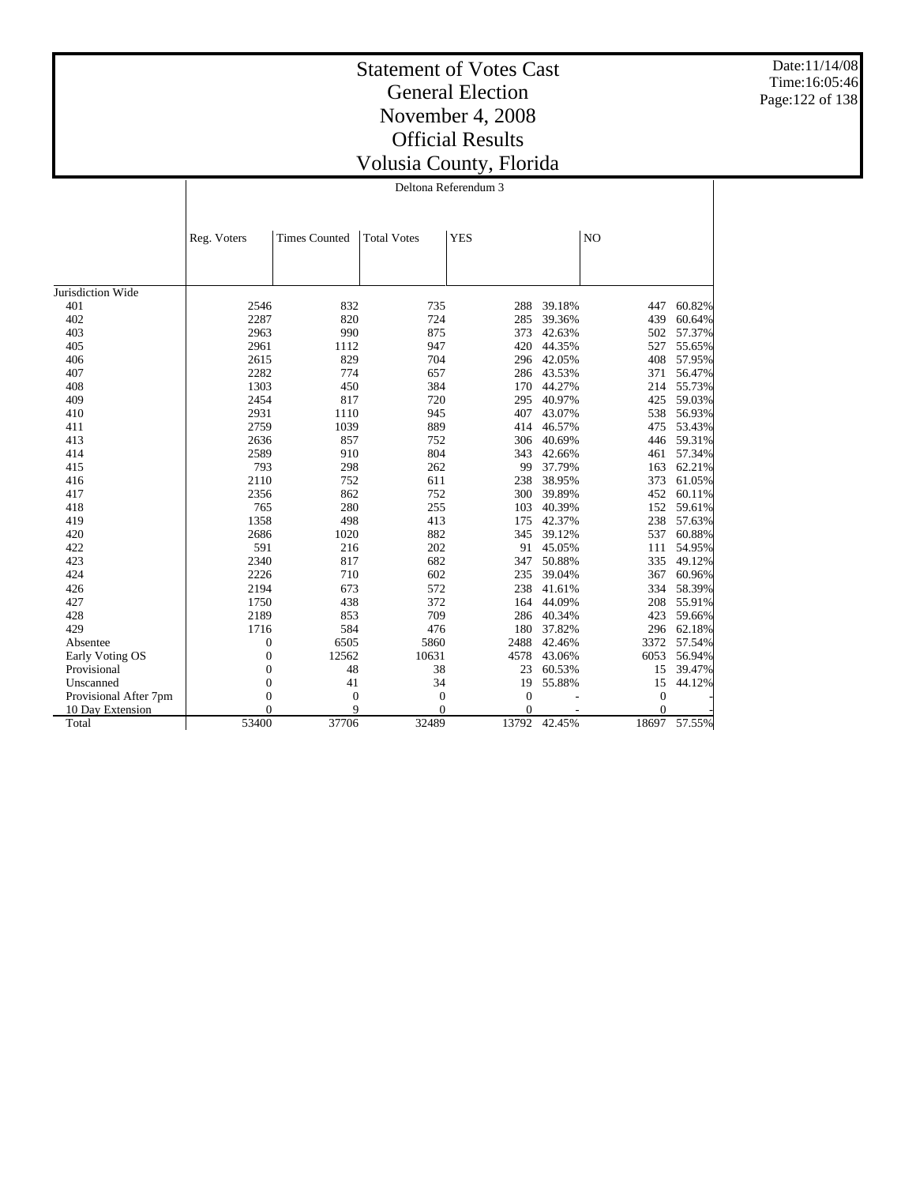Date:11/14/08 Time:16:05:46 Page:122 of 138

|                       | Reg. Voters      | <b>Times Counted</b> | <b>Total Votes</b> | <b>YES</b> |        | N <sub>O</sub> |        |
|-----------------------|------------------|----------------------|--------------------|------------|--------|----------------|--------|
|                       |                  |                      |                    |            |        |                |        |
| Jurisdiction Wide     |                  |                      |                    |            |        |                |        |
| 401                   | 2546             | 832                  | 735                | 288        | 39.18% | 447            | 60.82% |
| 402                   | 2287             | 820                  | 724                | 285        | 39.36% | 439            | 60.64% |
| 403                   | 2963             | 990                  | 875                | 373        | 42.63% | 502            | 57.37% |
| 405                   | 2961             | 1112                 | 947                | 420        | 44.35% | 527            | 55.65% |
| 406                   | 2615             | 829                  | 704                | 296        | 42.05% | 408            | 57.95% |
| 407                   | 2282             | 774                  | 657                | 286        | 43.53% | 371            | 56.47% |
| 408                   | 1303             | 450                  | 384                | 170        | 44.27% | 214            | 55.73% |
| 409                   | 2454             | 817                  | 720                | 295        | 40.97% | 425            | 59.03% |
| 410                   | 2931             | 1110                 | 945                | 407        | 43.07% | 538            | 56.93% |
| 411                   | 2759             | 1039                 | 889                | 414        | 46.57% | 475            | 53.43% |
| 413                   | 2636             | 857                  | 752                | 306        | 40.69% | 446            | 59.31% |
| 414                   | 2589             | 910                  | 804                | 343        | 42.66% | 461            | 57.34% |
| 415                   | 793              | 298                  | 262                | 99         | 37.79% | 163            | 62.21% |
| 416                   | 2110             | 752                  | 611                | 238        | 38.95% | 373            | 61.05% |
| 417                   | 2356             | 862                  | 752                | 300        | 39.89% | 452            | 60.11% |
| 418                   | 765              | 280                  | 255                | 103        | 40.39% | 152            | 59.61% |
| 419                   | 1358             | 498                  | 413                | 175        | 42.37% | 238            | 57.63% |
| 420                   | 2686             | 1020                 | 882                | 345        | 39.12% | 537            | 60.88% |
| 422                   | 591              | 216                  | 202                | 91         | 45.05% | 111            | 54.95% |
| 423                   | 2340             | 817                  | 682                | 347        | 50.88% | 335            | 49.12% |
| 424                   | 2226             | 710                  | 602                | 235        | 39.04% | 367            | 60.96% |
| 426                   | 2194             | 673                  | 572                | 238        | 41.61% | 334            | 58.39% |
| 427                   | 1750             | 438                  | 372                | 164        | 44.09% | 208            | 55.91% |
| 428                   | 2189             | 853                  | 709                | 286        | 40.34% | 423            | 59.66% |
| 429                   | 1716             | 584                  | 476                | 180        | 37.82% | 296            | 62.18% |
| Absentee              | $\overline{0}$   | 6505                 | 5860               | 2488       | 42.46% | 3372           | 57.54% |
| Early Voting OS       | $\overline{0}$   | 12562                | 10631              | 4578       | 43.06% | 6053           | 56.94% |
| Provisional           | $\mathbf{0}$     | 48                   | 38                 | 23         | 60.53% | 15             | 39.47% |
| Unscanned             | $\boldsymbol{0}$ | 41                   | 34                 | 19         | 55.88% | 15             | 44.12% |
| Provisional After 7pm | $\overline{0}$   | $\mathbf{0}$         | $\boldsymbol{0}$   | $\theta$   |        | 0              |        |
| 10 Day Extension      | $\theta$         | 9                    | $\overline{0}$     | $\Omega$   |        | $\overline{0}$ |        |
| Total                 | 53400            | 37706                | 32489              | 13792      | 42.45% | 18697          | 57.55% |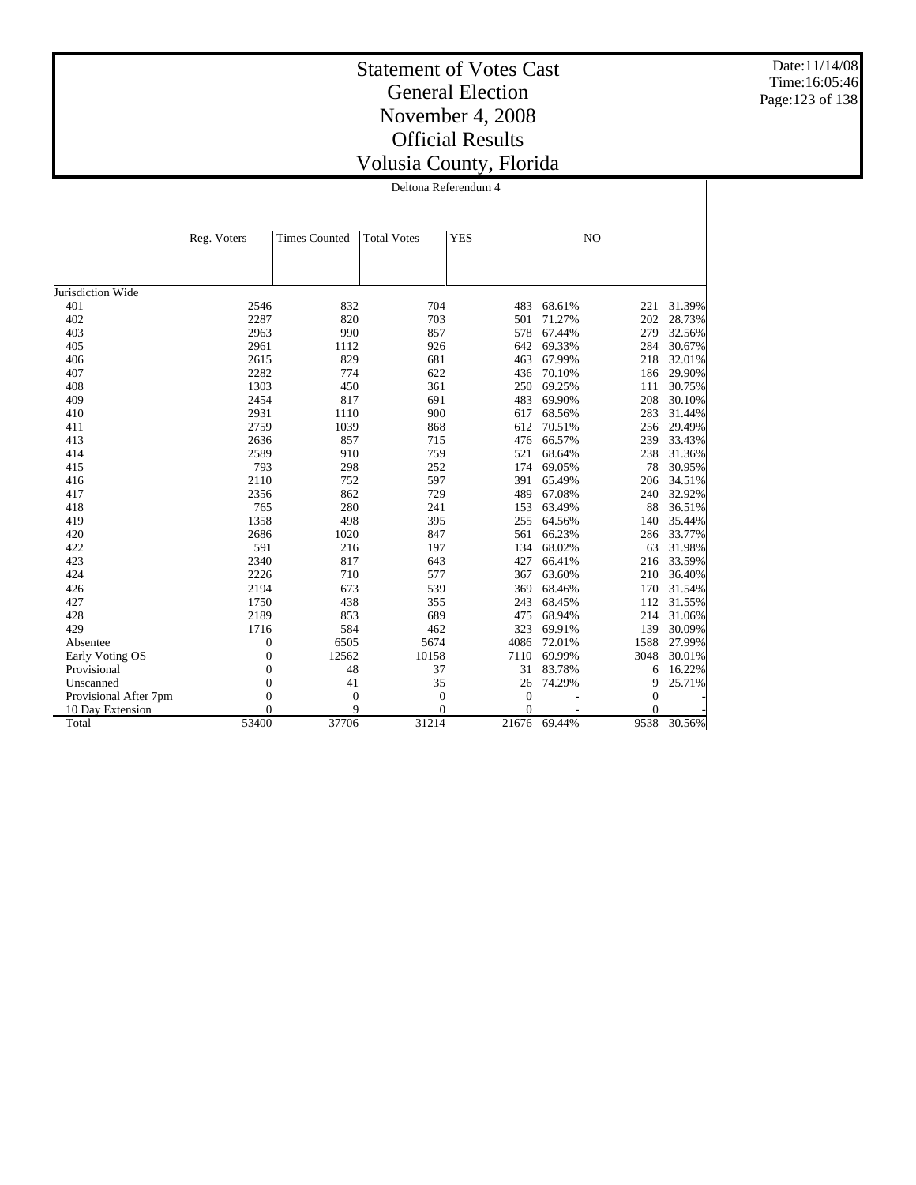Date:11/14/08 Time:16:05:46 Page:123 of 138

## Statement of Votes Cast General Election November 4, 2008 Official Results Volusia County, Florida

Deltona Referendum 4

|                       | Reg. Voters      | <b>Times Counted</b> | <b>Total Votes</b> | <b>YES</b>     |        | NO             |        |
|-----------------------|------------------|----------------------|--------------------|----------------|--------|----------------|--------|
|                       |                  |                      |                    |                |        |                |        |
|                       |                  |                      |                    |                |        |                |        |
| Jurisdiction Wide     |                  |                      |                    |                |        |                |        |
| 401                   | 2546             | 832                  | 704                | 483            | 68.61% | 221            | 31.39% |
| 402                   | 2287             | 820                  | 703                | 501            | 71.27% | 202            | 28.73% |
| 403                   | 2963             | 990                  | 857                | 578            | 67.44% | 279            | 32.56% |
| 405                   | 2961             | 1112                 | 926                | 642            | 69.33% | 284            | 30.67% |
| 406                   | 2615             | 829                  | 681                | 463            | 67.99% | 218            | 32.01% |
| 407                   | 2282             | 774                  | 622                | 436            | 70.10% | 186            | 29.90% |
| 408                   | 1303             | 450                  | 361                | 250            | 69.25% | 111            | 30.75% |
| 409                   | 2454             | 817                  | 691                | 483            | 69.90% | 208            | 30.10% |
| 410                   | 2931             | 1110                 | 900                | 617            | 68.56% | 283            | 31.44% |
| 411                   | 2759             | 1039                 | 868                | 612            | 70.51% | 256            | 29.49% |
| 413                   | 2636             | 857                  | 715                | 476            | 66.57% | 239            | 33.43% |
| 414                   | 2589             | 910                  | 759                | 521            | 68.64% | 238            | 31.36% |
| 415                   | 793              | 298                  | 252                | 174            | 69.05% | 78             | 30.95% |
| 416                   | 2110             | 752                  | 597                | 391            | 65.49% | 206            | 34.51% |
| 417                   | 2356             | 862                  | 729                | 489            | 67.08% | 240            | 32.92% |
| 418                   | 765              | 280                  | 241                | 153            | 63.49% | 88             | 36.51% |
| 419                   | 1358             | 498                  | 395                | 255            | 64.56% | 140            | 35.44% |
| 420                   | 2686             | 1020                 | 847                | 561            | 66.23% | 286            | 33.77% |
| 422                   | 591              | 216                  | 197                | 134            | 68.02% | 63             | 31.98% |
| 423                   | 2340             | 817                  | 643                | 427            | 66.41% | 216            | 33.59% |
| 424                   | 2226             | 710                  | 577                | 367            | 63.60% | 210            | 36.40% |
| 426                   | 2194             | 673                  | 539                | 369            | 68.46% | 170            | 31.54% |
| 427                   | 1750             | 438                  | 355                | 243            | 68.45% | 112            | 31.55% |
| 428                   | 2189             | 853                  | 689                | 475            | 68.94% | 214            | 31.06% |
| 429                   | 1716             | 584                  | 462                | 323            | 69.91% | 139            | 30.09% |
| Absentee              | $\boldsymbol{0}$ | 6505                 | 5674               | 4086           | 72.01% | 1588           | 27.99% |
| Early Voting OS       | $\boldsymbol{0}$ | 12562                | 10158              | 7110           | 69.99% | 3048           | 30.01% |
| Provisional           | $\mathbf{0}$     | 48                   | 37                 | 31             | 83.78% | 6              | 16.22% |
| Unscanned             | $\boldsymbol{0}$ | 41                   | 35                 | 26             | 74.29% | 9              | 25.71% |
| Provisional After 7pm | $\mathbf{0}$     | $\mathbf{0}$         | $\overline{0}$     | $\overline{0}$ |        | $\overline{0}$ |        |
| 10 Day Extension      | 0                | 9                    | $\Omega$           | $\overline{0}$ |        | $\theta$       |        |
| Total                 | 53400            | 37706                | 31214              | 21676          | 69.44% | 9538           | 30.56% |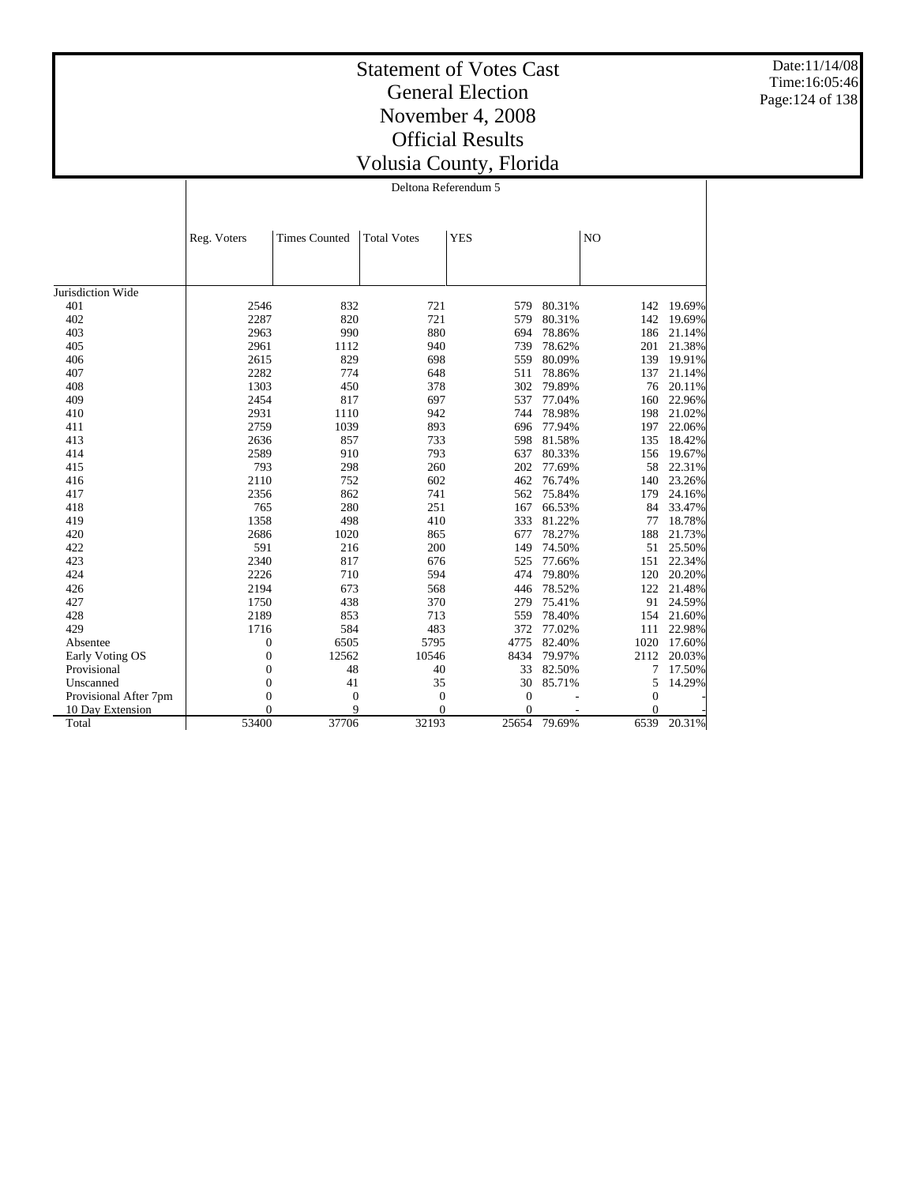Date:11/14/08 Time:16:05:46 Page:124 of 138

|  | Deltona Referendum 5 |  |  |
|--|----------------------|--|--|
|--|----------------------|--|--|

|                       | Reg. Voters      | <b>Times Counted</b> | <b>Total Votes</b> | <b>YES</b>       |        | N <sub>O</sub> |        |
|-----------------------|------------------|----------------------|--------------------|------------------|--------|----------------|--------|
|                       |                  |                      |                    |                  |        |                |        |
|                       |                  |                      |                    |                  |        |                |        |
| Jurisdiction Wide     |                  |                      |                    |                  |        |                |        |
| 401                   | 2546             | 832                  | 721                | 579              | 80.31% | 142            | 19.69% |
| 402                   | 2287             | 820                  | 721                | 579              | 80.31% | 142            | 19.69% |
| 403                   | 2963             | 990                  | 880                | 694              | 78.86% | 186            | 21.14% |
| 405                   | 2961             | 1112                 | 940                | 739              | 78.62% | 201            | 21.38% |
| 406                   | 2615             | 829                  | 698                | 559              | 80.09% | 139            | 19.91% |
| 407                   | 2282             | 774                  | 648                | 511              | 78.86% | 137            | 21.14% |
| 408                   | 1303             | 450                  | 378                | 302              | 79.89% | 76             | 20.11% |
| 409                   | 2454             | 817                  | 697                | 537              | 77.04% | 160            | 22.96% |
| 410                   | 2931             | 1110                 | 942                | 744              | 78.98% | 198            | 21.02% |
| 411                   | 2759             | 1039                 | 893                | 696              | 77.94% | 197            | 22.06% |
| 413                   | 2636             | 857                  | 733                | 598              | 81.58% | 135            | 18.42% |
| 414                   | 2589             | 910                  | 793                | 637              | 80.33% | 156            | 19.67% |
| 415                   | 793              | 298                  | 260                | 202              | 77.69% | 58             | 22.31% |
| 416                   | 2110             | 752                  | 602                | 462              | 76.74% | 140            | 23.26% |
| 417                   | 2356             | 862                  | 741                | 562              | 75.84% | 179            | 24.16% |
| 418                   | 765              | 280                  | 251                | 167              | 66.53% | 84             | 33.47% |
| 419                   | 1358             | 498                  | 410                | 333              | 81.22% | 77             | 18.78% |
| 420                   | 2686             | 1020                 | 865                | 677              | 78.27% | 188            | 21.73% |
| 422                   | 591              | 216                  | 200                | 149              | 74.50% | 51             | 25.50% |
| 423                   | 2340             | 817                  | 676                | 525              | 77.66% | 151            | 22.34% |
| 424                   | 2226             | 710                  | 594                | 474              | 79.80% | 120            | 20.20% |
| 426                   | 2194             | 673                  | 568                | 446              | 78.52% | 122            | 21.48% |
| 427                   | 1750             | 438                  | 370                | 279              | 75.41% | 91             | 24.59% |
| 428                   | 2189             | 853                  | 713                | 559              | 78.40% | 154            | 21.60% |
| 429                   | 1716             | 584                  | 483                | 372              | 77.02% | 111            | 22.98% |
| Absentee              | 0                | 6505                 | 5795               | 4775             | 82.40% | 1020           | 17.60% |
| Early Voting OS       | $\boldsymbol{0}$ | 12562                | 10546              | 8434             | 79.97% | 2112           | 20.03% |
| Provisional           | $\mathbf{0}$     | 48                   | 40                 | 33               | 82.50% | 7              | 17.50% |
| Unscanned             | $\boldsymbol{0}$ | 41                   | 35                 | 30               | 85.71% | 5              | 14.29% |
| Provisional After 7pm | $\overline{0}$   | $\overline{0}$       | $\boldsymbol{0}$   | $\boldsymbol{0}$ |        | $\theta$       |        |
| 10 Day Extension      | 0                | 9                    | $\theta$           | $\overline{0}$   |        | $\Omega$       |        |
| Total                 | 53400            | 37706                | 32193              | 25654            | 79.69% | 6539           | 20.31% |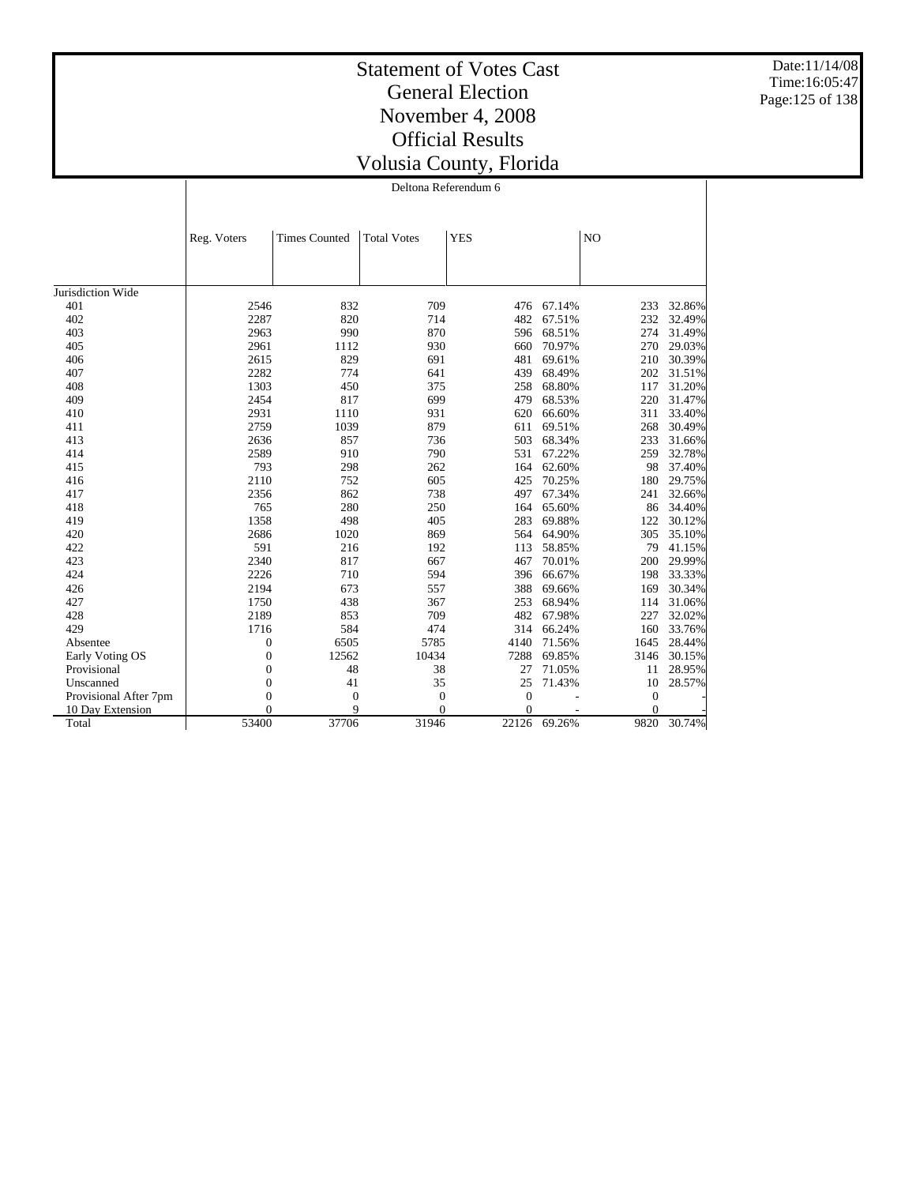Date:11/14/08 Time:16:05:47 Page:125 of 138

## Statement of Votes Cast General Election November 4, 2008 Official Results Volusia County, Florida

Deltona Referendum 6

|                       | Reg. Voters      | <b>Times Counted</b> | <b>Total Votes</b> | <b>YES</b>     |        | N <sub>O</sub> |        |
|-----------------------|------------------|----------------------|--------------------|----------------|--------|----------------|--------|
|                       |                  |                      |                    |                |        |                |        |
|                       |                  |                      |                    |                |        |                |        |
| Jurisdiction Wide     |                  |                      |                    |                |        |                |        |
| 401                   | 2546             | 832                  | 709                | 476            | 67.14% | 233            | 32.86% |
| 402                   | 2287             | 820                  | 714                | 482            | 67.51% | 232            | 32.49% |
| 403                   | 2963             | 990                  | 870                | 596            | 68.51% | 274            | 31.49% |
| 405                   | 2961             | 1112                 | 930                | 660            | 70.97% | 270            | 29.03% |
| 406                   | 2615             | 829                  | 691                | 481            | 69.61% | 210            | 30.39% |
| 407                   | 2282             | 774                  | 641                | 439            | 68.49% | 202            | 31.51% |
| 408                   | 1303             | 450                  | 375                | 258            | 68.80% | 117            | 31.20% |
| 409                   | 2454             | 817                  | 699                | 479            | 68.53% | 220            | 31.47% |
| 410                   | 2931             | 1110                 | 931                | 620            | 66.60% | 311            | 33.40% |
| 411                   | 2759             | 1039                 | 879                | 611            | 69.51% | 268            | 30.49% |
| 413                   | 2636             | 857                  | 736                | 503            | 68.34% | 233            | 31.66% |
| 414                   | 2589             | 910                  | 790                | 531            | 67.22% | 259            | 32.78% |
| 415                   | 793              | 298                  | 262                | 164            | 62.60% | 98             | 37.40% |
| 416                   | 2110             | 752                  | 605                | 425            | 70.25% | 180            | 29.75% |
| 417                   | 2356             | 862                  | 738                | 497            | 67.34% | 241            | 32.66% |
| 418                   | 765              | 280                  | 250                | 164            | 65.60% | 86             | 34.40% |
| 419                   | 1358             | 498                  | 405                | 283            | 69.88% | 122            | 30.12% |
| 420                   | 2686             | 1020                 | 869                | 564            | 64.90% | 305            | 35.10% |
| 422                   | 591              | 216                  | 192                | 113            | 58.85% | 79             | 41.15% |
| 423                   | 2340             | 817                  | 667                | 467            | 70.01% | 200            | 29.99% |
| 424                   | 2226             | 710                  | 594                | 396            | 66.67% | 198            | 33.33% |
| 426                   | 2194             | 673                  | 557                | 388            | 69.66% | 169            | 30.34% |
| 427                   | 1750             | 438                  | 367                | 253            | 68.94% | 114            | 31.06% |
| 428                   | 2189             | 853                  | 709                | 482            | 67.98% | 227            | 32.02% |
| 429                   | 1716             | 584                  | 474                | 314            | 66.24% | 160            | 33.76% |
| Absentee              | $\boldsymbol{0}$ | 6505                 | 5785               | 4140           | 71.56% | 1645           | 28.44% |
| Early Voting OS       | $\boldsymbol{0}$ | 12562                | 10434              | 7288           | 69.85% | 3146           | 30.15% |
| Provisional           | $\overline{0}$   | 48                   | 38                 | 27             | 71.05% | 11             | 28.95% |
| Unscanned             | $\overline{0}$   | 41                   | 35                 | 25             | 71.43% | 10             | 28.57% |
| Provisional After 7pm | $\overline{0}$   | $\mathbf{0}$         | $\overline{0}$     | $\overline{0}$ |        | $\mathbf{0}$   |        |
| 10 Day Extension      | 0                | 9                    | $\Omega$           | $\overline{0}$ |        | $\theta$       |        |
| Total                 | 53400            | 37706                | 31946              | 22126          | 69.26% | 9820           | 30.74% |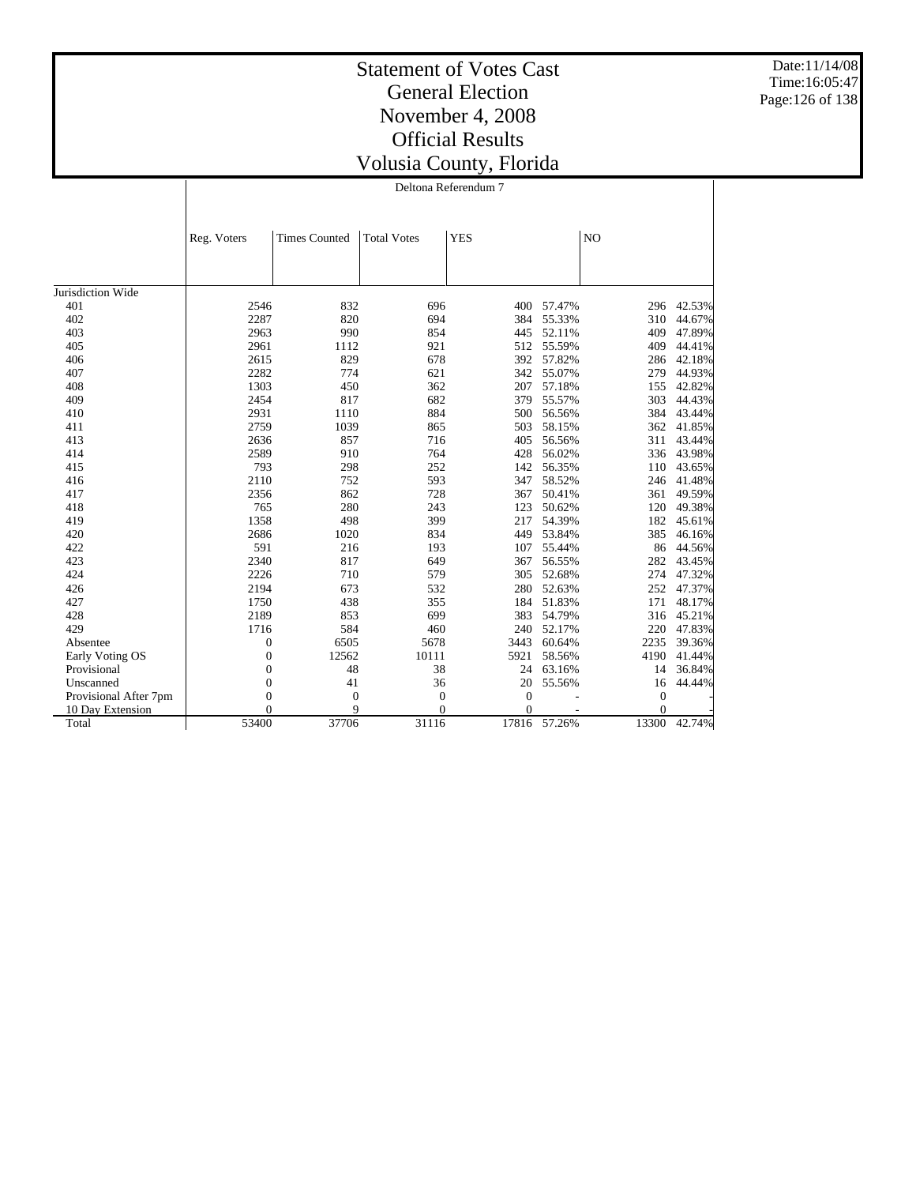Date:11/14/08 Time:16:05:47 Page:126 of 138

|                       | Reg. Voters      | <b>Times Counted</b> | <b>Total Votes</b> | <b>YES</b>     |              | N <sub>O</sub> |        |
|-----------------------|------------------|----------------------|--------------------|----------------|--------------|----------------|--------|
|                       |                  |                      |                    |                |              |                |        |
|                       |                  |                      |                    |                |              |                |        |
| Jurisdiction Wide     |                  |                      |                    |                |              |                |        |
| 401                   | 2546             | 832                  | 696                | 400            | 57.47%       | 296            | 42.53% |
| 402                   | 2287             | 820                  | 694                | 384            | 55.33%       | 310            | 44.67% |
| 403                   | 2963             | 990                  | 854                | 445            | 52.11%       | 409            | 47.89% |
| 405                   | 2961             | 1112                 | 921                | 512            | 55.59%       | 409            | 44.41% |
| 406                   | 2615             | 829                  | 678                | 392            | 57.82%       | 286            | 42.18% |
| 407                   | 2282             | 774                  | 621                | 342            | 55.07%       | 279            | 44.93% |
| 408                   | 1303             | 450                  | 362                | 207            | 57.18%       | 155            | 42.82% |
| 409                   | 2454             | 817                  | 682                | 379            | 55.57%       | 303            | 44.43% |
| 410                   | 2931             | 1110                 | 884                | 500            | 56.56%       | 384            | 43.44% |
| 411                   | 2759             | 1039                 | 865                | 503            | 58.15%       | 362            | 41.85% |
| 413                   | 2636             | 857                  | 716                | 405            | 56.56%       | 311            | 43.44% |
| 414                   | 2589             | 910                  | 764                | 428            | 56.02%       | 336            | 43.98% |
| 415                   | 793              | 298                  | 252                | 142            | 56.35%       | 110            | 43.65% |
| 416                   | 2110             | 752                  | 593                | 347            | 58.52%       | 246            | 41.48% |
| 417                   | 2356             | 862                  | 728                | 367            | 50.41%       | 361            | 49.59% |
| 418                   | 765              | 280                  | 243                | 123            | 50.62%       | 120            | 49.38% |
| 419                   | 1358             | 498                  | 399                | 217            | 54.39%       | 182            | 45.61% |
| 420                   | 2686             | 1020                 | 834                | 449            | 53.84%       | 385            | 46.16% |
| 422                   | 591              | 216                  | 193                | 107            | 55.44%       | 86             | 44.56% |
| 423                   | 2340             | 817                  | 649                | 367            | 56.55%       | 282            | 43.45% |
| 424                   | 2226             | 710                  | 579                | 305            | 52.68%       | 274            | 47.32% |
| 426                   | 2194             | 673                  | 532                | 280            | 52.63%       | 252            | 47.37% |
| 427                   | 1750             | 438                  | 355                | 184            | 51.83%       | 171            | 48.17% |
| 428                   | 2189             | 853                  | 699                | 383            | 54.79%       | 316            | 45.21% |
| 429                   | 1716             | 584                  | 460                | 240            | 52.17%       | 220            | 47.83% |
| Absentee              | 0                | 6505                 | 5678               | 3443           | 60.64%       | 2235           | 39.36% |
| Early Voting OS       | $\boldsymbol{0}$ | 12562                | 10111              | 5921           | 58.56%       | 4190           | 41.44% |
| Provisional           | 0                | 48                   | 38                 | 24             | 63.16%       | 14             | 36.84% |
| Unscanned             | $\boldsymbol{0}$ | 41                   | 36                 | 20             | 55.56%       | 16             | 44.44% |
| Provisional After 7pm | $\overline{0}$   | $\overline{0}$       | $\boldsymbol{0}$   | $\overline{0}$ |              | $\mathbf{0}$   |        |
| 10 Day Extension      | $\theta$         | 9                    | $\theta$           | $\overline{0}$ |              | $\Omega$       |        |
| Total                 | 53400            | 37706                | 31116              |                | 17816 57.26% | 13300          | 42.74% |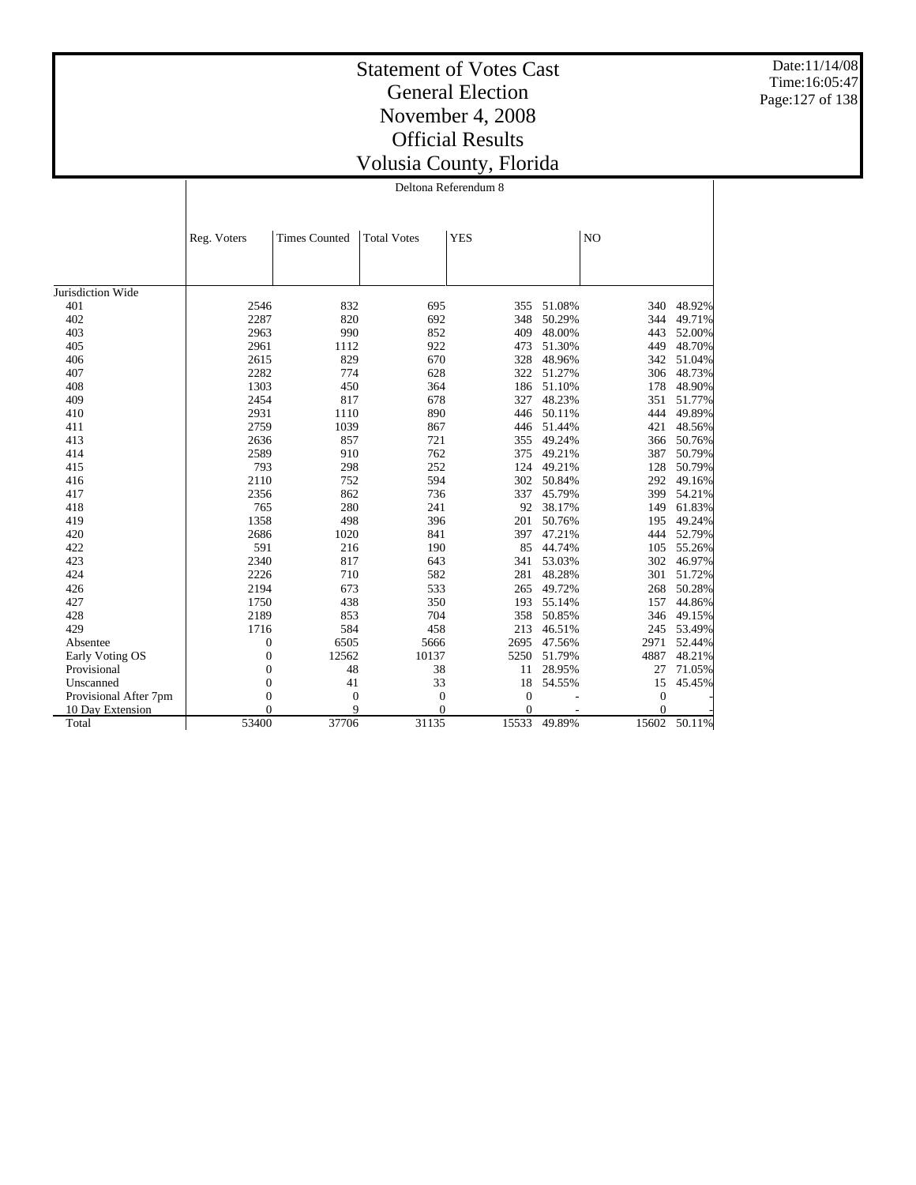Date:11/14/08 Time:16:05:47 Page:127 of 138

|                       | Reg. Voters      | <b>Times Counted</b> | <b>Total Votes</b> | <b>YES</b>     |        | N <sub>O</sub> |        |
|-----------------------|------------------|----------------------|--------------------|----------------|--------|----------------|--------|
|                       |                  |                      |                    |                |        |                |        |
| Jurisdiction Wide     |                  |                      |                    |                |        |                |        |
| 401                   | 2546             | 832                  | 695                | 355            | 51.08% | 340            | 48.92% |
| 402                   | 2287             | 820                  | 692                | 348            | 50.29% | 344            | 49.71% |
| 403                   | 2963             | 990                  | 852                | 409            | 48.00% | 443            | 52.00% |
| 405                   | 2961             | 1112                 | 922                | 473            | 51.30% | 449            | 48.70% |
| 406                   | 2615             | 829                  | 670                | 328            | 48.96% | 342            | 51.04% |
| 407                   | 2282             | 774                  | 628                | 322            | 51.27% | 306            | 48.73% |
| 408                   | 1303             | 450                  | 364                | 186            | 51.10% | 178            | 48.90% |
| 409                   | 2454             | 817                  | 678                | 327            | 48.23% | 351            | 51.77% |
| 410                   | 2931             | 1110                 | 890                | 446            | 50.11% | 444            | 49.89% |
| 411                   | 2759             | 1039                 | 867                | 446            | 51.44% | 421            | 48.56% |
| 413                   | 2636             | 857                  | 721                | 355            | 49.24% | 366            | 50.76% |
| 414                   | 2589             | 910                  | 762                | 375            | 49.21% | 387            | 50.79% |
| 415                   | 793              | 298                  | 252                | 124            | 49.21% | 128            | 50.79% |
| 416                   | 2110             | 752                  | 594                | 302            | 50.84% | 292            | 49.16% |
| 417                   | 2356             | 862                  | 736                | 337            | 45.79% | 399            | 54.21% |
| 418                   | 765              | 280                  | 241                | 92             | 38.17% | 149            | 61.83% |
| 419                   | 1358             | 498                  | 396                | 201            | 50.76% | 195            | 49.24% |
| 420                   | 2686             | 1020                 | 841                | 397            | 47.21% | 444            | 52.79% |
| 422                   | 591              | 216                  | 190                | 85             | 44.74% | 105            | 55.26% |
| 423                   | 2340             | 817                  | 643                | 341            | 53.03% | 302            | 46.97% |
| 424                   | 2226             | 710                  | 582                | 281            | 48.28% | 301            | 51.72% |
| 426                   | 2194             | 673                  | 533                | 265            | 49.72% | 268            | 50.28% |
| 427                   | 1750             | 438                  | 350                | 193            | 55.14% | 157            | 44.86% |
| 428                   | 2189             | 853                  | 704                | 358            | 50.85% | 346            | 49.15% |
| 429                   | 1716             | 584                  | 458                | 213            | 46.51% | 245            | 53.49% |
| Absentee              | $\boldsymbol{0}$ | 6505                 | 5666               | 2695           | 47.56% | 2971           | 52.44% |
| Early Voting OS       | $\boldsymbol{0}$ | 12562                | 10137              | 5250           | 51.79% | 4887           | 48.21% |
| Provisional           | $\boldsymbol{0}$ | 48                   | 38                 | 11             | 28.95% | 27             | 71.05% |
| Unscanned             | $\boldsymbol{0}$ | 41                   | 33                 | 18             | 54.55% | 15             | 45.45% |
| Provisional After 7pm | $\mathbf{0}$     | $\mathbf{0}$         | $\overline{0}$     | $\theta$       |        | $\overline{0}$ |        |
| 10 Day Extension      | $\overline{0}$   | 9                    | $\overline{0}$     | $\overline{0}$ |        | $\Omega$       |        |
| Total                 | 53400            | 37706                | 31135              | 15533          | 49.89% | 15602          | 50.11% |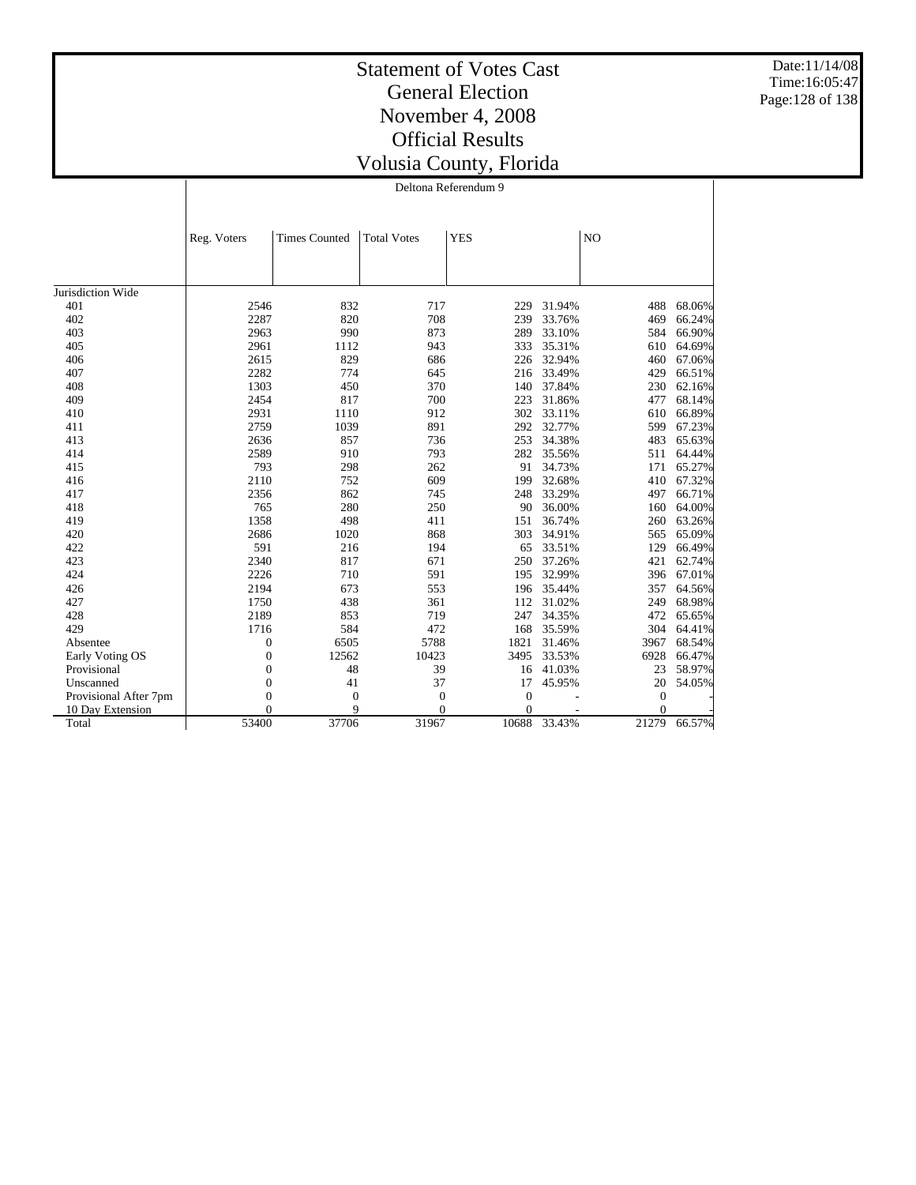Date:11/14/08 Time:16:05:47 Page:128 of 138

|                       |                | Deltona Referendum 9 |                    |              |        |                |        |  |  |
|-----------------------|----------------|----------------------|--------------------|--------------|--------|----------------|--------|--|--|
|                       | Reg. Voters    | <b>Times Counted</b> | <b>Total Votes</b> | <b>YES</b>   |        | N <sub>O</sub> |        |  |  |
|                       |                |                      |                    |              |        |                |        |  |  |
| Jurisdiction Wide     |                |                      |                    |              |        |                |        |  |  |
| 401                   | 2546           | 832                  | 717                | 229          | 31.94% | 488            | 68.06% |  |  |
| 402                   | 2287           | 820                  | 708                | 239          | 33.76% | 469            | 66.24% |  |  |
| 403                   | 2963           | 990                  | 873                | 289          | 33.10% | 584            | 66.90% |  |  |
| 405                   | 2961           | 1112                 | 943                | 333          | 35.31% | 610            | 64.69% |  |  |
| 406                   | 2615           | 829                  | 686                | 226          | 32.94% | 460.           | 67.06% |  |  |
| 407                   | 2282           | 774                  | 645                | 216          | 33.49% | 429            | 66.51% |  |  |
| 408                   | 1303           | 450                  | 370                | 140          | 37.84% | 230            | 62.16% |  |  |
| 409                   | 2454           | 817                  | 700                | 223          | 31.86% | 477            | 68.14% |  |  |
| 410                   | 2931           | 1110                 | 912                | 302          | 33.11% | 610            | 66.89% |  |  |
| 411                   | 2759           | 1039                 | 891                | 292          | 32.77% | 599            | 67.23% |  |  |
| 413                   | 2636           | 857                  | 736                | 253          | 34.38% | 483            | 65.63% |  |  |
| 414                   | 2589           | 910                  | 793                | 282          | 35.56% | 511            | 64.44% |  |  |
| 415                   | 793            | 298                  | 262                | 91           | 34.73% | 171            | 65.27% |  |  |
| 416                   | 2110           | 752                  | 609                | 199          | 32.68% | 410            | 67.32% |  |  |
| 417                   | 2356           | 862                  | 745                | 248          | 33.29% | 497            | 66.71% |  |  |
| 418                   | 765            | 280                  | 250                | 90           | 36.00% | 160            | 64.00% |  |  |
| 419                   | 1358           | 498                  | 411                | 151          | 36.74% | 260            | 63.26% |  |  |
| 420                   | 2686           | 1020                 | 868                | 303          | 34.91% | 565            | 65.09% |  |  |
| 422                   | 591            | 216                  | 194                | 65           | 33.51% | 129            | 66.49% |  |  |
| 423                   | 2340           | 817                  | 671                | 250          | 37.26% | 421            | 62.74% |  |  |
| 424                   | 2226           | 710                  | 591                | 195          | 32.99% | 396            | 67.01% |  |  |
| 426                   | 2194           | 673                  | 553                | 196          | 35.44% | 357            | 64.56% |  |  |
| 427                   | 1750           | 438                  | 361                | 112          | 31.02% | 249            | 68.98% |  |  |
| 428                   | 2189           | 853                  | 719                | 247          | 34.35% | 472            | 65.65% |  |  |
| 429                   | 1716           | 584                  | 472                | 168          | 35.59% | 304            | 64.41% |  |  |
| Absentee              | 0              | 6505                 | 5788               | 1821         | 31.46% | 3967           | 68.54% |  |  |
| Early Voting OS       | $\mathbf{0}$   | 12562                | 10423              | 3495         | 33.53% | 6928           | 66.47% |  |  |
| Provisional           | $\mathbf{0}$   | 48                   | 39                 | 16           | 41.03% | 23             | 58.97% |  |  |
| Unscanned             | $\overline{0}$ | 41                   | 37                 | 17           | 45.95% | 20             | 54.05% |  |  |
| Provisional After 7pm | $\overline{0}$ | $\overline{0}$       | $\mathbf{0}$       | $\mathbf{0}$ |        | $\mathbf{0}$   |        |  |  |
| 10 Day Extension      | $\Omega$       | 9                    | $\theta$           | $\Omega$     |        | $\Omega$       |        |  |  |
| Total                 | 53400          | 37706                | 31967              | 10688        | 33.43% | 21279          | 66.57% |  |  |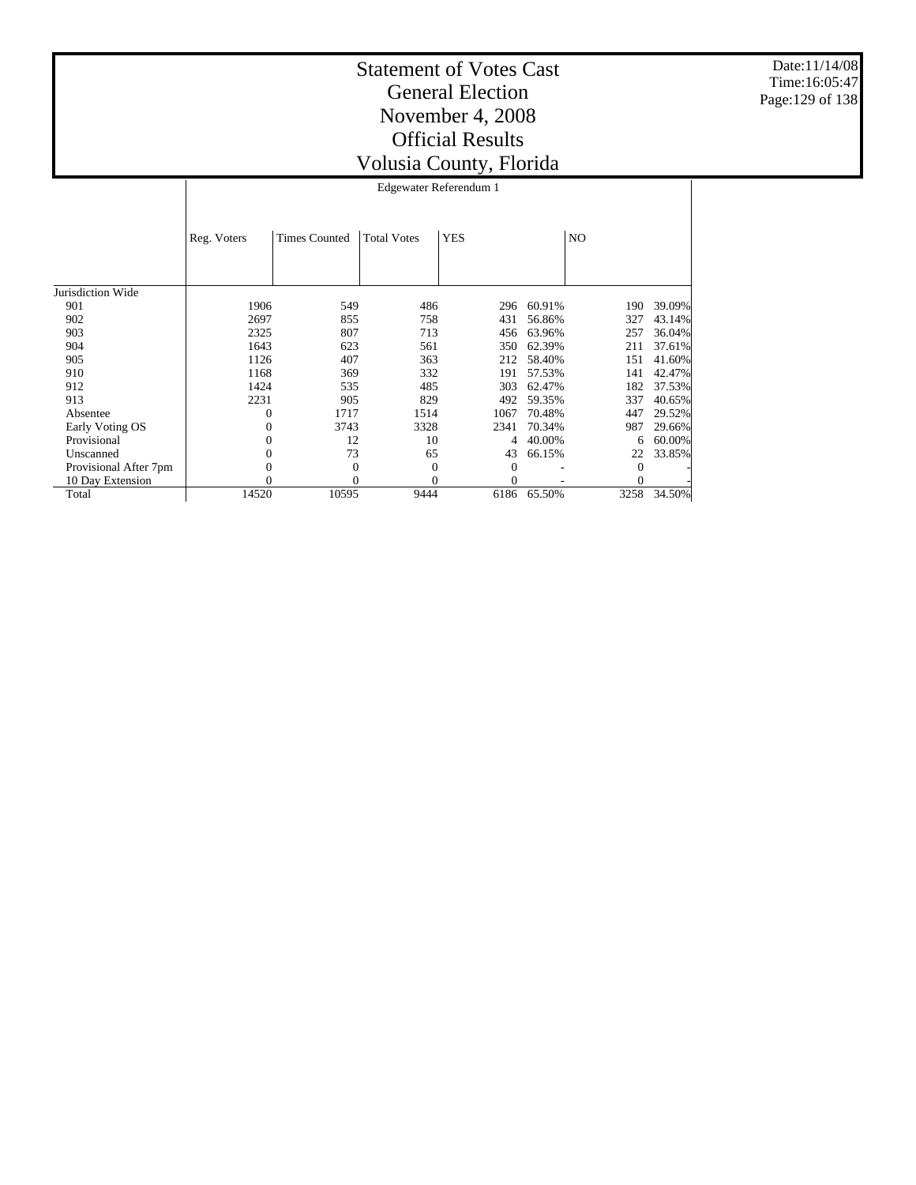Date:11/14/08 Time:16:05:47 Page:129 of 138

# Statement of Votes Cast General Election November 4, 2008 Official Results Volusia County, Florida

 $\begin{array}{ccccccc} 0 & & & 1717 & & & 1514 & & & 1067 & 70.48\% & & & & 447 & 29.52\% \\ 0 & & & & 3743 & & & 3328 & & & 2341 & 70.34\% & & & & 987 & 29.66\% \end{array}$ 0 3743 3328 2341 70.34% 987 29.66%  $\begin{array}{cccccccc} 0 & & 12 & & 10 & & 4 & 40.00\% & & & 6 & 60.00\% \\ 0 & & & 73 & & 65 & & 43 & 66.15\% & & & 22 & 33.85\% \end{array}$  $\begin{array}{ccccccc} 0 & & & & 73 & & & 65 & & & 43 & 66.15\% & & & & 22\ 0 & & & & 0 & & & 0 & & & & 0 \end{array}$  $0 \qquad \qquad 0 \qquad \qquad 0 \qquad \qquad 0 \qquad \qquad 0 \qquad \qquad$  $0 \qquad \qquad 0 \qquad \qquad 0 \qquad \qquad 0 \qquad \qquad 0$ 14520 10595 9444 6186 65.50% 3258 34.50%

|                   |             | Edgewater Referendum 1 |                    |            |            |     |        |  |  |  |
|-------------------|-------------|------------------------|--------------------|------------|------------|-----|--------|--|--|--|
|                   | Reg. Voters | <b>Times Counted</b>   | <b>Total Votes</b> | <b>YES</b> |            | NO  |        |  |  |  |
| Jurisdiction Wide |             |                        |                    |            |            |     |        |  |  |  |
| 901               | 1906        | 549                    | 486                |            | 296 60.91% | 190 | 39.09% |  |  |  |
| 902               | 2697        | 855                    | 758                | 431        | 56.86%     | 327 | 43.14% |  |  |  |
| 903               | 2325        | 807                    | 713                |            | 456 63.96% | 257 | 36.04% |  |  |  |
| 904               | 1643        | 623                    | 561                | 350        | 62.39%     | 211 | 37.61% |  |  |  |
| 905               | 1126        | 407                    | 363                | 212        | 58.40%     | 151 | 41.60% |  |  |  |
| 910               | 1168        | 369                    | 332                | 191        | 57.53%     | 141 | 42.47% |  |  |  |
| 912               | 1424        | 535                    | 485                | 303        | 62.47%     | 182 | 37.53% |  |  |  |
| 913               | 2231        | 905                    | 829                | 492        | 59.35%     | 337 | 40.65% |  |  |  |

 901 902 903 904 905 910 912 913 Absentee Early Voting OS Provisional Unscanned Provisional After 7pm 10 Day Extension

Total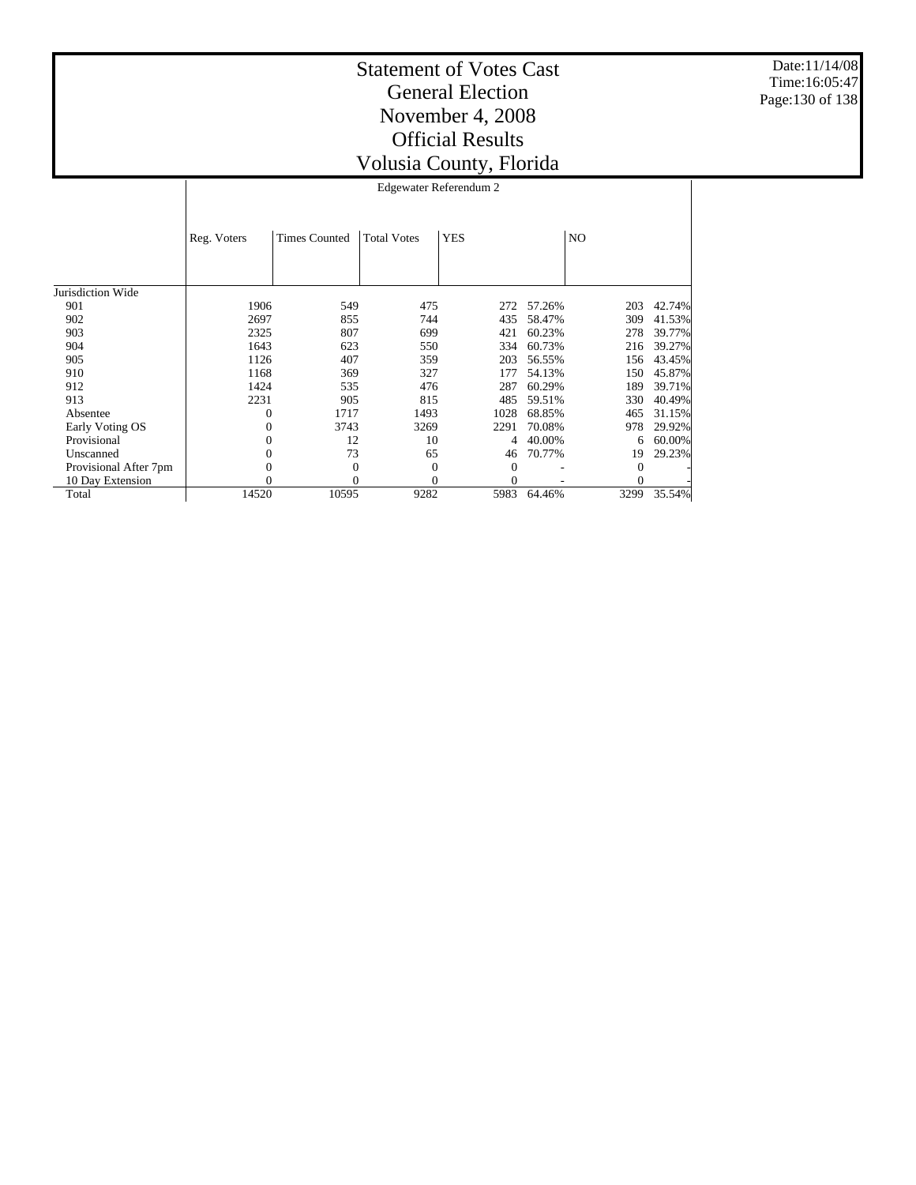Date:11/14/08 Time:16:05:47 Page:130 of 138

Τ

|                       | Reg. Voters | <b>Times Counted</b> | <b>Total Votes</b> | <b>YES</b> |        | NO.      |        |
|-----------------------|-------------|----------------------|--------------------|------------|--------|----------|--------|
| Jurisdiction Wide     |             |                      |                    |            |        |          |        |
| 901                   | 1906        | 549                  | 475                | 272        | 57.26% | 203      | 42.74% |
| 902                   | 2697        | 855                  | 744                | 435        | 58.47% | 309      | 41.53% |
| 903                   | 2325        | 807                  | 699                | 421        | 60.23% | 278      | 39.77% |
| 904                   | 1643        | 623                  | 550                | 334        | 60.73% | 216      | 39.27% |
| 905                   | 1126        | 407                  | 359                | 203        | 56.55% | 156      | 43.45% |
| 910                   | 1168        | 369                  | 327                | 177        | 54.13% | 150      | 45.87% |
| 912                   | 1424        | 535                  | 476                | 287        | 60.29% | 189      | 39.71% |
| 913                   | 2231        | 905                  | 815                | 485        | 59.51% | 330      | 40.49% |
| Absentee              | 0           | 1717                 | 1493               | 1028       | 68.85% | 465      | 31.15% |
| Early Voting OS       | 0           | 3743                 | 3269               | 2291       | 70.08% | 978      | 29.92% |
| Provisional           | 0           | 12                   | 10                 |            | 40.00% | 6        | 60.00% |
| Unscanned             | 0           | 73                   | 65                 | 46         | 70.77% | 19       | 29.23% |
| Provisional After 7pm |             | $\Omega$             | $\Omega$           | 0          |        | $\Omega$ |        |
| 10 Day Extension      | 0           | 0                    | 0                  | 0          |        | 0        |        |
| Total                 | 14520       | 10595                | 9282               | 5983       | 64.46% | 3299     | 35.54% |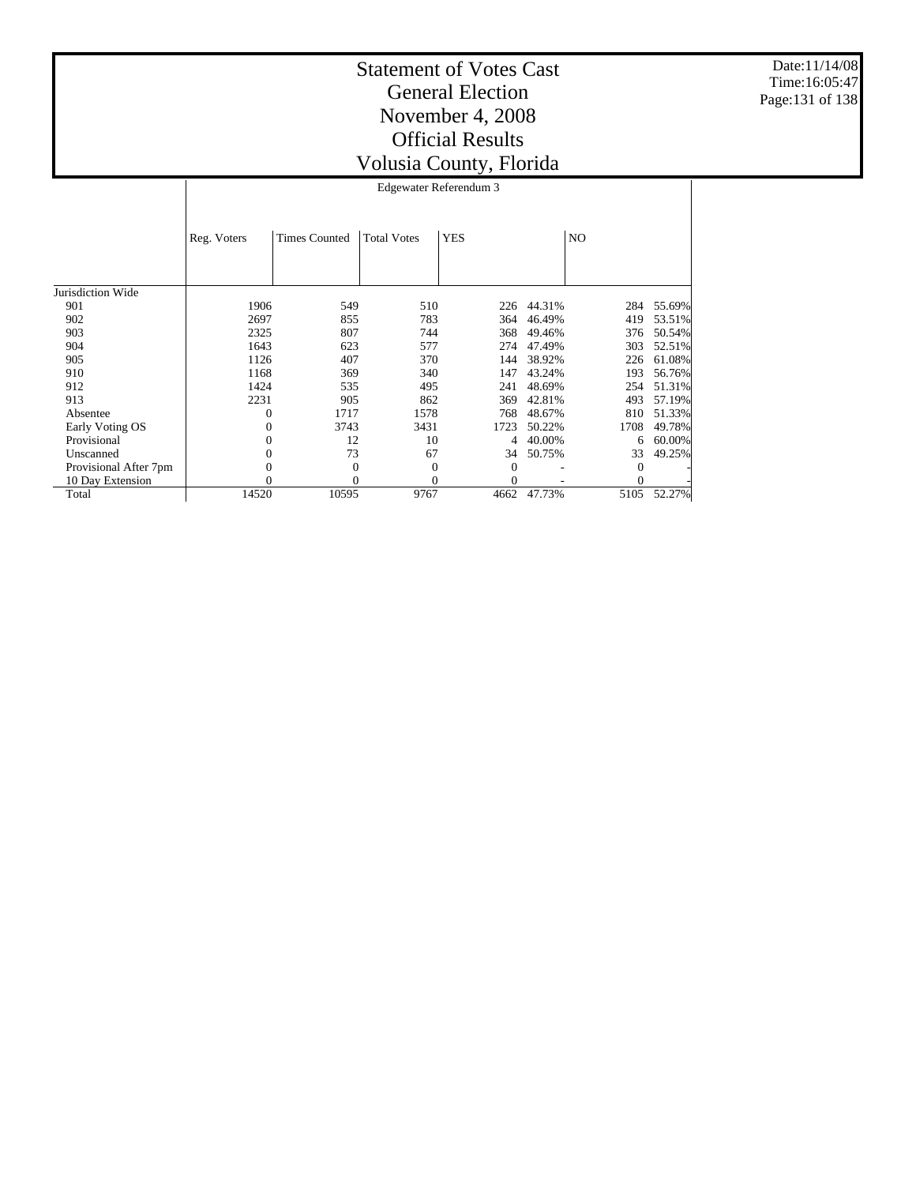Date:11/14/08 Time:16:05:47 Page:131 of 138

|                       | Reg. Voters | <b>Times Counted</b> | <b>Total Votes</b> | <b>YES</b>     |        | N <sub>O</sub> |        |
|-----------------------|-------------|----------------------|--------------------|----------------|--------|----------------|--------|
|                       |             |                      |                    |                |        |                |        |
| Jurisdiction Wide     |             |                      |                    |                |        |                |        |
| 901                   | 1906        | 549                  | 510                | 226            | 44.31% | 284            | 55.69% |
| 902                   | 2697        | 855                  | 783                | 364            | 46.49% | 419            | 53.51% |
| 903                   | 2325        | 807                  | 744                | 368            | 49.46% | 376            | 50.54% |
| 904                   | 1643        | 623                  | 577                | 274            | 47.49% | 303            | 52.51% |
| 905                   | 1126        | 407                  | 370                | 144            | 38.92% | 226            | 61.08% |
| 910                   | 1168        | 369                  | 340                | 147            | 43.24% | 193            | 56.76% |
| 912                   | 1424        | 535                  | 495                | 241            | 48.69% | 254            | 51.31% |
| 913                   | 2231        | 905                  | 862                | 369            | 42.81% | 493            | 57.19% |
| Absentee              | 0           | 1717                 | 1578               | 768            | 48.67% | 810            | 51.33% |
| Early Voting OS       | 0           | 3743                 | 3431               | 1723           | 50.22% | 1708           | 49.78% |
| Provisional           | 0           | 12                   | 10                 | 4              | 40.00% | 6              | 60.00% |
| Unscanned             | 0           | 73                   | 67                 | 34             | 50.75% | 33             | 49.25% |
| Provisional After 7pm | 0           | $\overline{0}$       | $\Omega$           | $\theta$       |        | 0              |        |
| 10 Day Extension      | 0           | $\theta$             | $\theta$           | $\overline{0}$ |        | 0              |        |
| Total                 | 14520       | 10595                | 9767               | 4662           | 47.73% | 5105           | 52.27% |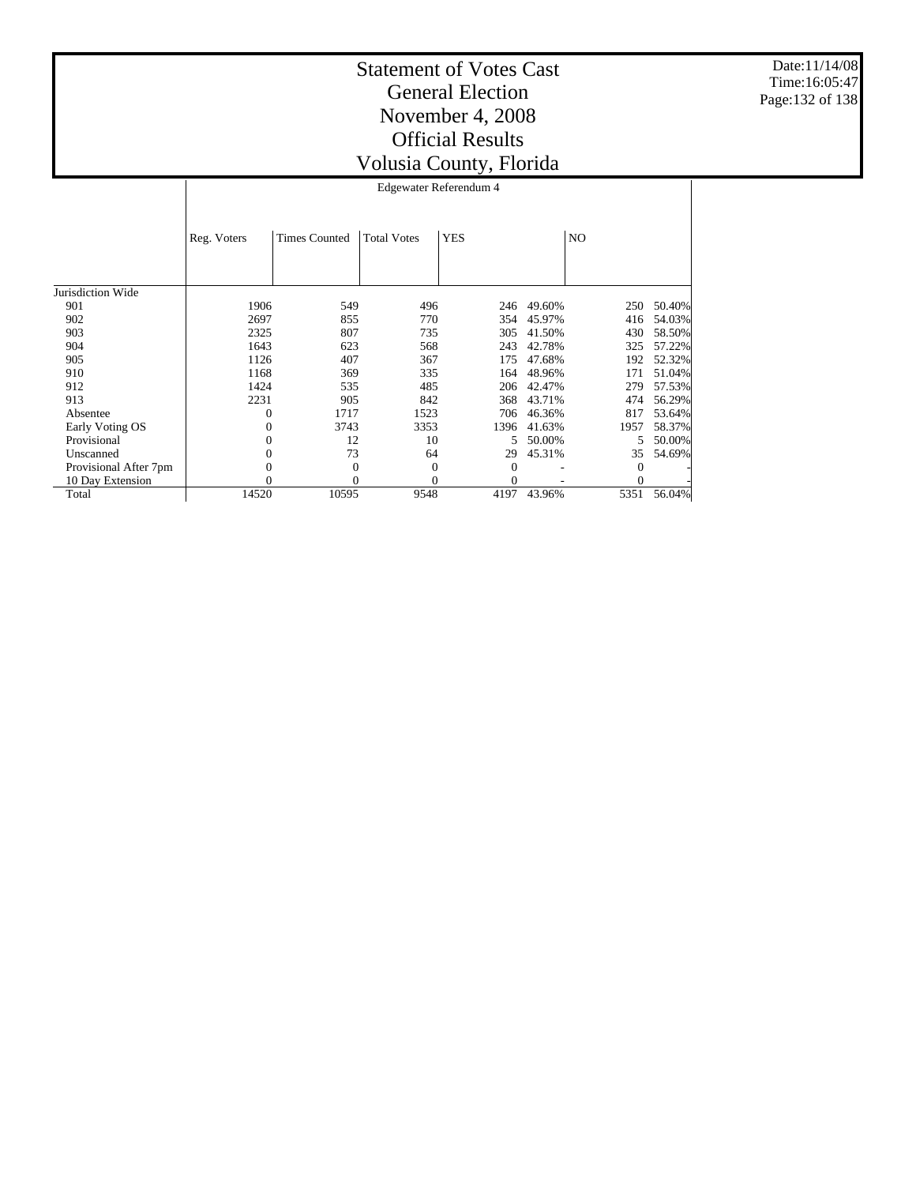Date:11/14/08 Time:16:05:47 Page:132 of 138

| Edgewater Referendum 4                          |  |  |     |  |  |  |
|-------------------------------------------------|--|--|-----|--|--|--|
| Reg. Voters   Times Counted   Total Votes   YES |  |  | NO. |  |  |  |

| Jurisdiction Wide     |       |          |      |          |        |      |        |
|-----------------------|-------|----------|------|----------|--------|------|--------|
| 901                   | 1906  | 549      | 496  | 246      | 49.60% | 250  | 50.40% |
| 902                   | 2697  | 855      | 770  | 354      | 45.97% | 416  | 54.03% |
| 903                   | 2325  | 807      | 735  | 305      | 41.50% | 430  | 58.50% |
| 904                   | 1643  | 623      | 568  | 243      | 42.78% | 325  | 57.22% |
| 905                   | 1126  | 407      | 367  | 175      | 47.68% | 192  | 52.32% |
| 910                   | 1168  | 369      | 335  | 164      | 48.96% | 171  | 51.04% |
| 912                   | 1424  | 535      | 485  | 206      | 42.47% | 279  | 57.53% |
| 913                   | 2231  | 905      | 842  | 368      | 43.71% | 474  | 56.29% |
| Absentee              | 0     | 1717     | 1523 | 706      | 46.36% | 817  | 53.64% |
| Early Voting OS       |       | 3743     | 3353 | 1396     | 41.63% | 1957 | 58.37% |
| Provisional           |       | 12       | 10   | 5.       | 50.00% | 5.   | 50.00% |
| Unscanned             |       | 73       | 64   | 29       | 45.31% | 35   | 54.69% |
| Provisional After 7pm |       | $\Omega$ |      | $\Omega$ |        |      |        |
| 10 Day Extension      |       |          |      | $\Omega$ |        |      |        |
| Total                 | 14520 | 10595    | 9548 | 4197     | 43.96% | 5351 | 56.04% |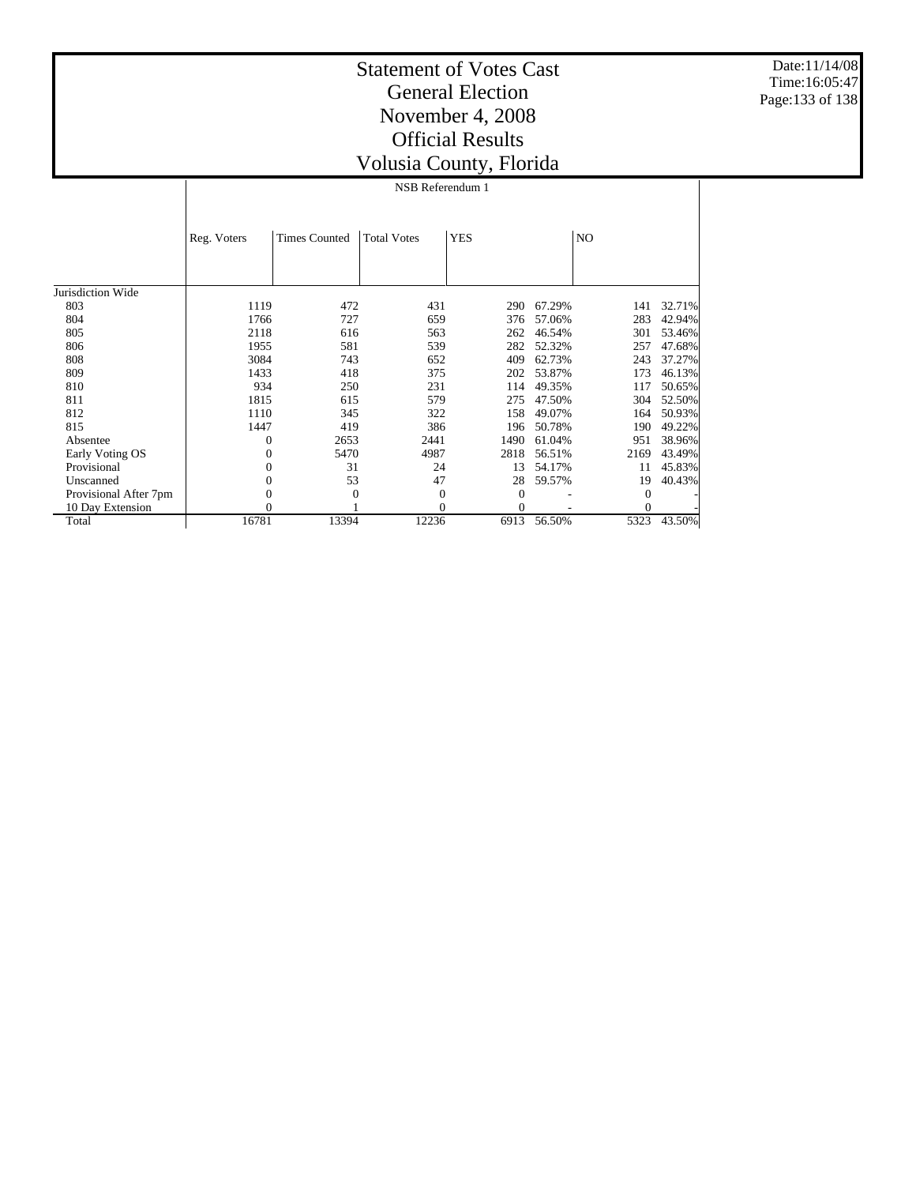Date:11/14/08 Time:16:05:47 Page:133 of 138

## Statement of Votes Cast General Election November 4, 2008 Official Results Volusia County, Florida

NSB Referendum 1

|                       | Reg. Voters | <b>Times Counted</b> | <b>Total Votes</b> | <b>YES</b> |        | NO.      |        |
|-----------------------|-------------|----------------------|--------------------|------------|--------|----------|--------|
|                       |             |                      |                    |            |        |          |        |
|                       |             |                      |                    |            |        |          |        |
| Jurisdiction Wide     |             |                      |                    |            |        |          |        |
| 803                   | 1119        | 472                  | 431                | 290        | 67.29% | 141      | 32.71% |
| 804                   | 1766        | 727                  | 659                | 376        | 57.06% | 283      | 42.94% |
| 805                   | 2118        | 616                  | 563                | 262        | 46.54% | 301      | 53.46% |
| 806                   | 1955        | 581                  | 539                | 282        | 52.32% | 257      | 47.68% |
| 808                   | 3084        | 743                  | 652                | 409        | 62.73% | 243      | 37.27% |
| 809                   | 1433        | 418                  | 375                | 202        | 53.87% | 173      | 46.13% |
| 810                   | 934         | 250                  | 231                | 114        | 49.35% | 117      | 50.65% |
| 811                   | 1815        | 615                  | 579                | 275        | 47.50% | 304      | 52.50% |
| 812                   | 1110        | 345                  | 322                | 158        | 49.07% | 164      | 50.93% |
| 815                   | 1447        | 419                  | 386                | 196        | 50.78% | 190      | 49.22% |
| Absentee              | $\theta$    | 2653                 | 2441               | 1490       | 61.04% | 951      | 38.96% |
| Early Voting OS       | $\Omega$    | 5470                 | 4987               | 2818       | 56.51% | 2169     | 43.49% |
| Provisional           | $\Omega$    | 31                   | 24                 | 13         | 54.17% | 11       | 45.83% |
| Unscanned             | $\Omega$    | 53                   | 47                 | 28         | 59.57% | 19       | 40.43% |
| Provisional After 7pm |             | $\Omega$             | 0                  | 0          |        | $\Omega$ |        |
| 10 Day Extension      |             |                      | 0                  | 0          |        | 0        |        |
| Total                 | 16781       | 13394                | 12236              | 6913       | 56.50% | 5323     | 43.50% |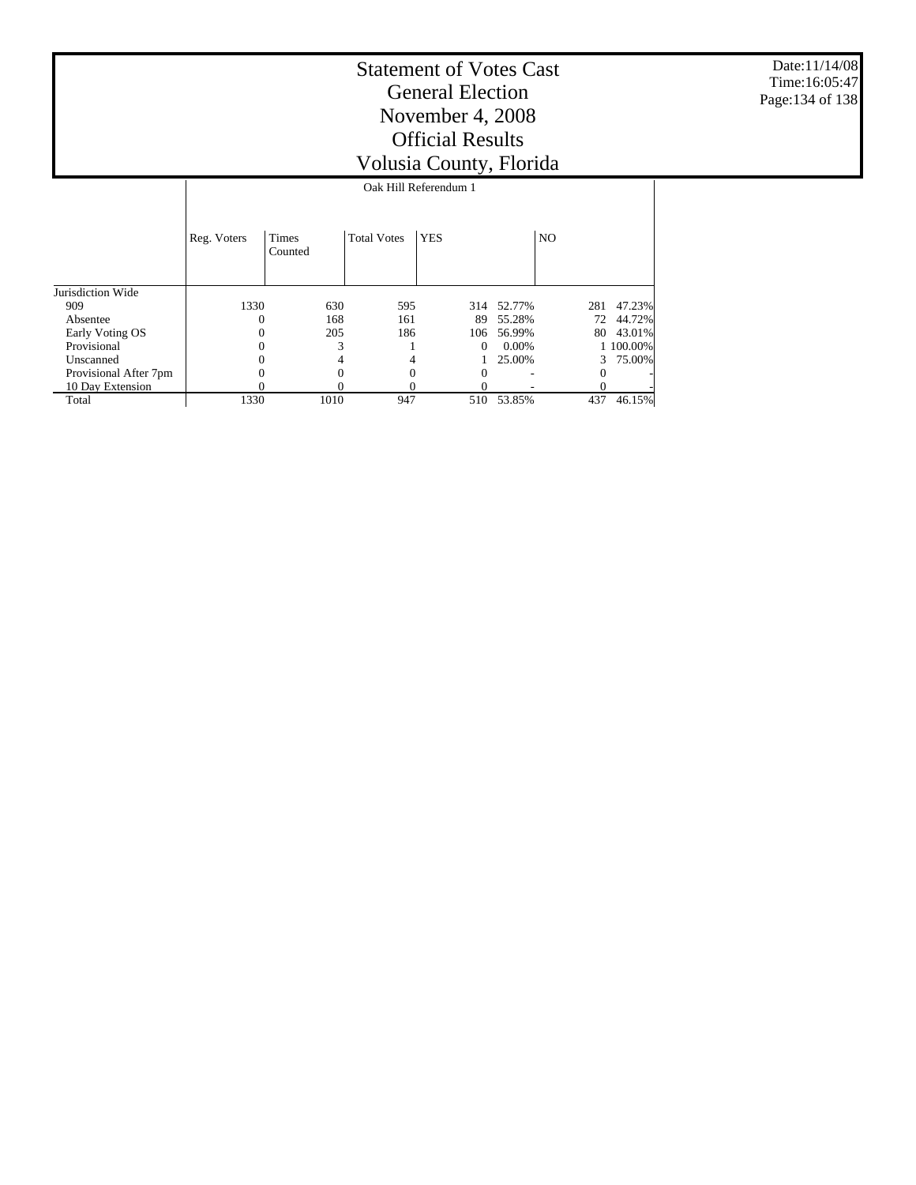Date:11/14/08 Time:16:05:47 Page:134 of 138

|                       | Oak Hill Referendum 1 |                         |                    |            |          |                |           |  |  |
|-----------------------|-----------------------|-------------------------|--------------------|------------|----------|----------------|-----------|--|--|
|                       | Reg. Voters           | <b>Times</b><br>Counted | <b>Total Votes</b> | <b>YES</b> |          | N <sub>O</sub> |           |  |  |
| Jurisdiction Wide     |                       |                         |                    |            |          |                |           |  |  |
| 909                   | 1330                  | 630                     | 595                | 314        | 52.77%   | 281            | 47.23%    |  |  |
| Absentee              | 0                     | 168                     | 161                | 89         | 55.28%   | 72             | 44.72%    |  |  |
| Early Voting OS       | 0                     | 205                     | 186                | 106        | 56.99%   | 80             | 43.01%    |  |  |
| Provisional           | $\Omega$              | 3                       |                    | $\Omega$   | $0.00\%$ |                | 1 100.00% |  |  |
| Unscanned             | 0                     | 4                       |                    |            | 25.00%   | 3              | 75.00%    |  |  |
| Provisional After 7pm |                       | 0                       | 0                  | 0          |          | 0              |           |  |  |
| 10 Day Extension      |                       |                         |                    |            |          |                |           |  |  |
| Total                 | 1330                  | 1010                    | 947                | 510        | 53.85%   | 437            | 46.15%    |  |  |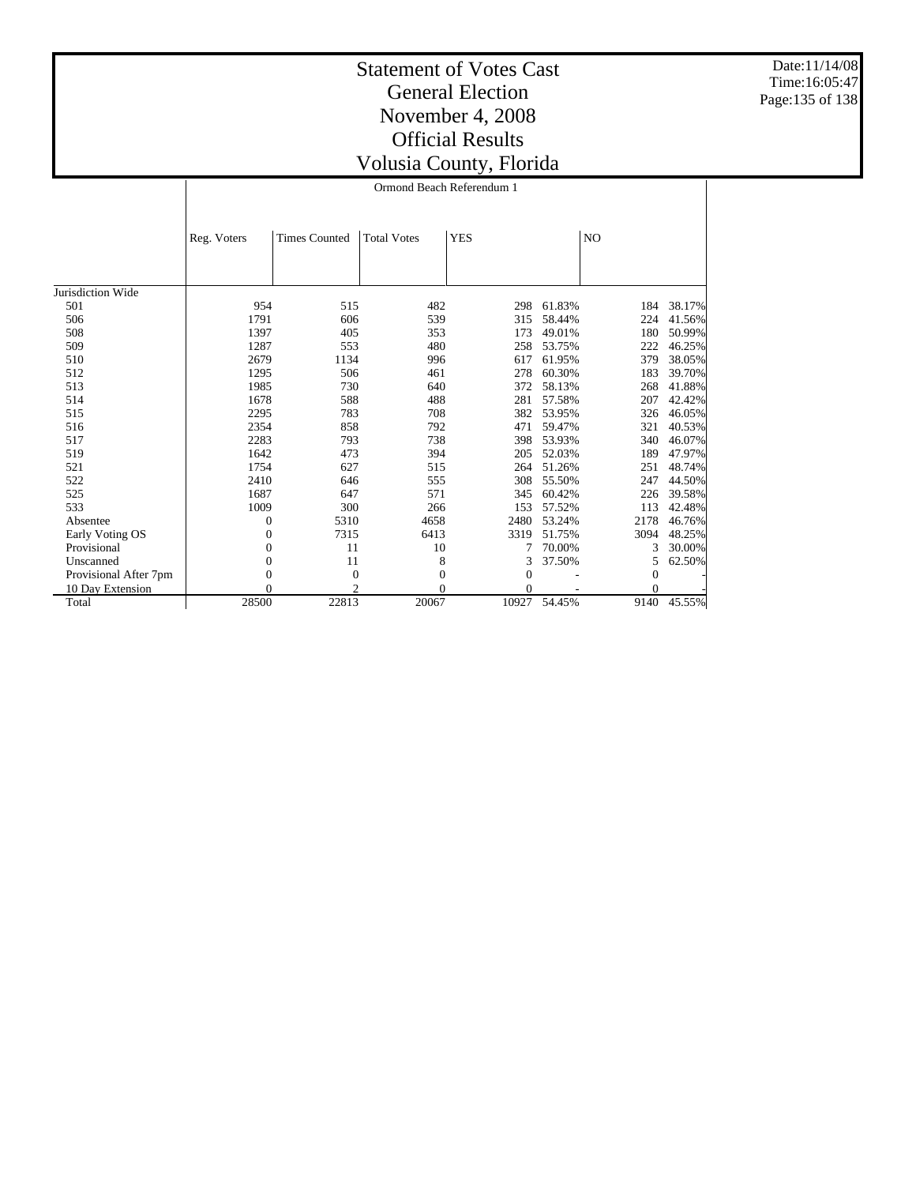Date:11/14/08 Time:16:05:47 Page:135 of 138

#### Statement of Votes Cast General Election November 4, 2008 Official Results Volusia County, Florida Ormond Beach Referendum 1

|                       | Reg. Voters    | <b>Times Counted</b> | <b>Total Votes</b> | <b>YES</b>   |        | N <sub>O</sub> |        |
|-----------------------|----------------|----------------------|--------------------|--------------|--------|----------------|--------|
|                       |                |                      |                    |              |        |                |        |
|                       |                |                      |                    |              |        |                |        |
| Jurisdiction Wide     |                |                      |                    |              |        |                |        |
| 501                   | 954            | 515                  | 482                | 298          | 61.83% | 184            | 38.17% |
| 506                   | 1791           | 606                  | 539                | 315          | 58.44% | 224            | 41.56% |
| 508                   | 1397           | 405                  | 353                | 173          | 49.01% | 180            | 50.99% |
| 509                   | 1287           | 553                  | 480                | 258          | 53.75% | 222            | 46.25% |
| 510                   | 2679           | 1134                 | 996                | 617          | 61.95% | 379            | 38.05% |
| 512                   | 1295           | 506                  | 461                | 278          | 60.30% | 183            | 39.70% |
| 513                   | 1985           | 730                  | 640                | 372          | 58.13% | 268            | 41.88% |
| 514                   | 1678           | 588                  | 488                | 281          | 57.58% | 207            | 42.42% |
| 515                   | 2295           | 783                  | 708                | 382          | 53.95% | 326            | 46.05% |
| 516                   | 2354           | 858                  | 792                | 471          | 59.47% | 321            | 40.53% |
| 517                   | 2283           | 793                  | 738                | 398          | 53.93% | 340            | 46.07% |
| 519                   | 1642           | 473                  | 394                | 205          | 52.03% | 189            | 47.97% |
| 521                   | 1754           | 627                  | 515                | 264          | 51.26% | 251            | 48.74% |
| 522                   | 2410           | 646                  | 555                | 308          | 55.50% | 247            | 44.50% |
| 525                   | 1687           | 647                  | 571                | 345          | 60.42% | 226            | 39.58% |
| 533                   | 1009           | 300                  | 266                | 153          | 57.52% | 113            | 42.48% |
| Absentee              | 0              | 5310                 | 4658               | 2480         | 53.24% | 2178           | 46.76% |
| Early Voting OS       | 0              | 7315                 | 6413               | 3319         | 51.75% | 3094           | 48.25% |
| Provisional           | 0              | 11                   | 10                 |              | 70.00% | 3              | 30.00% |
| Unscanned             | $\overline{0}$ | 11                   | 8                  | 3            | 37.50% | 5              | 62.50% |
| Provisional After 7pm | 0              | $\mathbf{0}$         | $\mathbf{0}$       | $\mathbf{0}$ |        | 0              |        |
| 10 Day Extension      | 0              | $\overline{2}$       | $\Omega$           | $\Omega$     |        | 0              |        |
| Total                 | 28500          | 22813                | 20067              | 10927        | 54.45% | 9140           | 45.55% |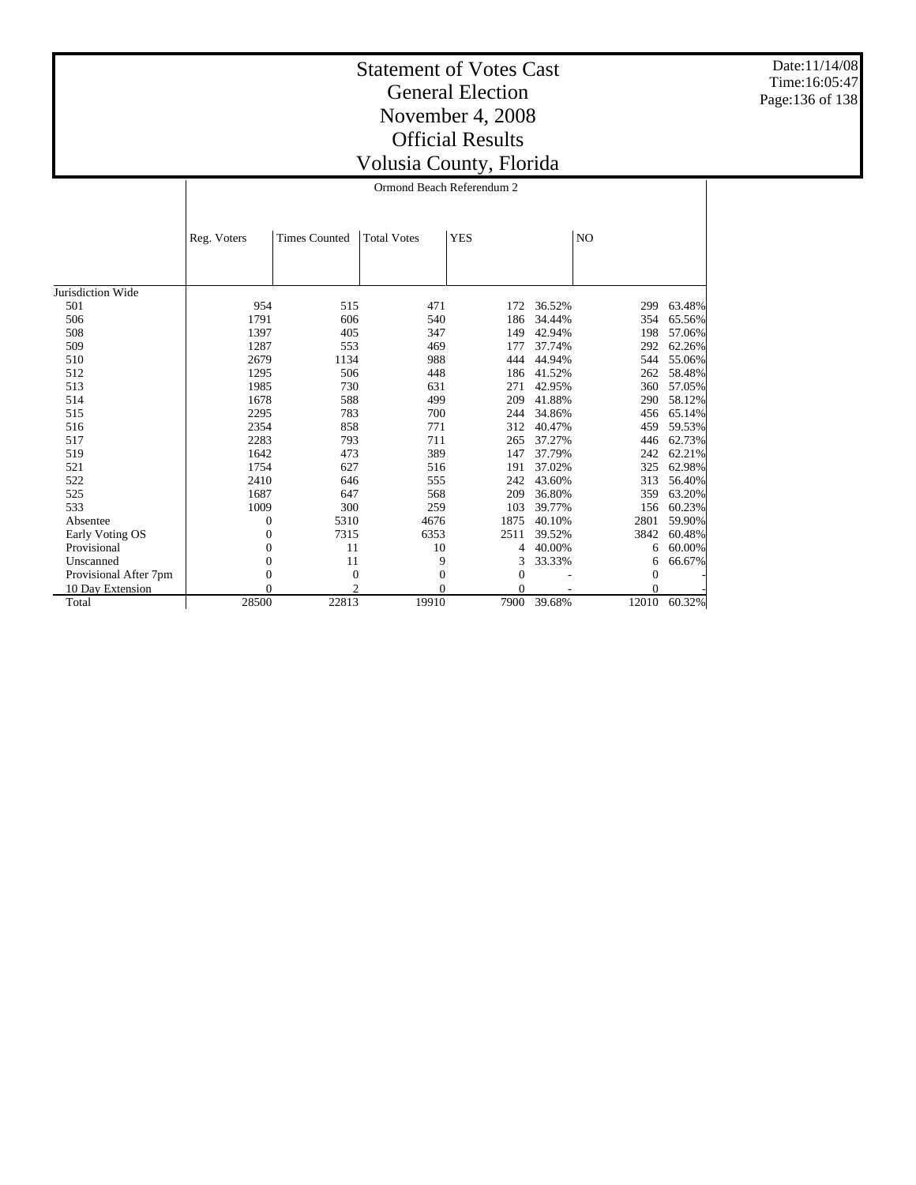Date:11/14/08 Time:16:05:47 Page:136 of 138

## Statement of Votes Cast General Election November 4, 2008 Official Results Volusia County, Florida

Ormond Beach Referendum 2

|                       | Reg. Voters  | <b>Times Counted</b> | <b>Total Votes</b> | <b>YES</b> |        | NO             |        |
|-----------------------|--------------|----------------------|--------------------|------------|--------|----------------|--------|
|                       |              |                      |                    |            |        |                |        |
|                       |              |                      |                    |            |        |                |        |
| Jurisdiction Wide     |              |                      |                    |            |        |                |        |
| 501                   | 954          | 515                  | 471                | 172        | 36.52% | 299            | 63.48% |
| 506                   | 1791         | 606                  | 540                | 186        | 34.44% | 354            | 65.56% |
| 508                   | 1397         | 405                  | 347                | 149        | 42.94% | 198            | 57.06% |
| 509                   | 1287         | 553                  | 469                | 177        | 37.74% | 292            | 62.26% |
| 510                   | 2679         | 1134                 | 988                | 444        | 44.94% | 544            | 55.06% |
| 512                   | 1295         | 506                  | 448                | 186        | 41.52% | 262            | 58.48% |
| 513                   | 1985         | 730                  | 631                | 271        | 42.95% | 360            | 57.05% |
| 514                   | 1678         | 588                  | 499                | 209        | 41.88% | 290            | 58.12% |
| 515                   | 2295         | 783                  | 700                | 244        | 34.86% | 456            | 65.14% |
| 516                   | 2354         | 858                  | 771                | 312        | 40.47% | 459            | 59.53% |
| 517                   | 2283         | 793                  | 711                | 265        | 37.27% | 446            | 62.73% |
| 519                   | 1642         | 473                  | 389                | 147        | 37.79% | 242            | 62.21% |
| 521                   | 1754         | 627                  | 516                | 191        | 37.02% | 325            | 62.98% |
| 522                   | 2410         | 646                  | 555                | 242        | 43.60% | 313            | 56.40% |
| 525                   | 1687         | 647                  | 568                | 209        | 36.80% | 359            | 63.20% |
| 533                   | 1009         | 300                  | 259                | 103        | 39.77% | 156            | 60.23% |
| Absentee              | 0            | 5310                 | 4676               | 1875       | 40.10% | 2801           | 59.90% |
| Early Voting OS       | 0            | 7315                 | 6353               | 2511       | 39.52% | 3842           | 60.48% |
| Provisional           | $\mathbf{0}$ | 11                   | 10                 | 4          | 40.00% | 6              | 60.00% |
| Unscanned             | $\mathbf{0}$ | 11                   | 9                  | 3          | 33.33% | 6              | 66.67% |
| Provisional After 7pm | $\mathbf{0}$ | $\boldsymbol{0}$     | $\overline{0}$     | 0          |        | $\overline{0}$ |        |
| 10 Day Extension      | $\Omega$     | $\mathfrak{D}$       | $\theta$           | $\Omega$   |        | $\Omega$       |        |
| Total                 | 28500        | 22813                | 19910              | 7900       | 39.68% | 12010          | 60.32% |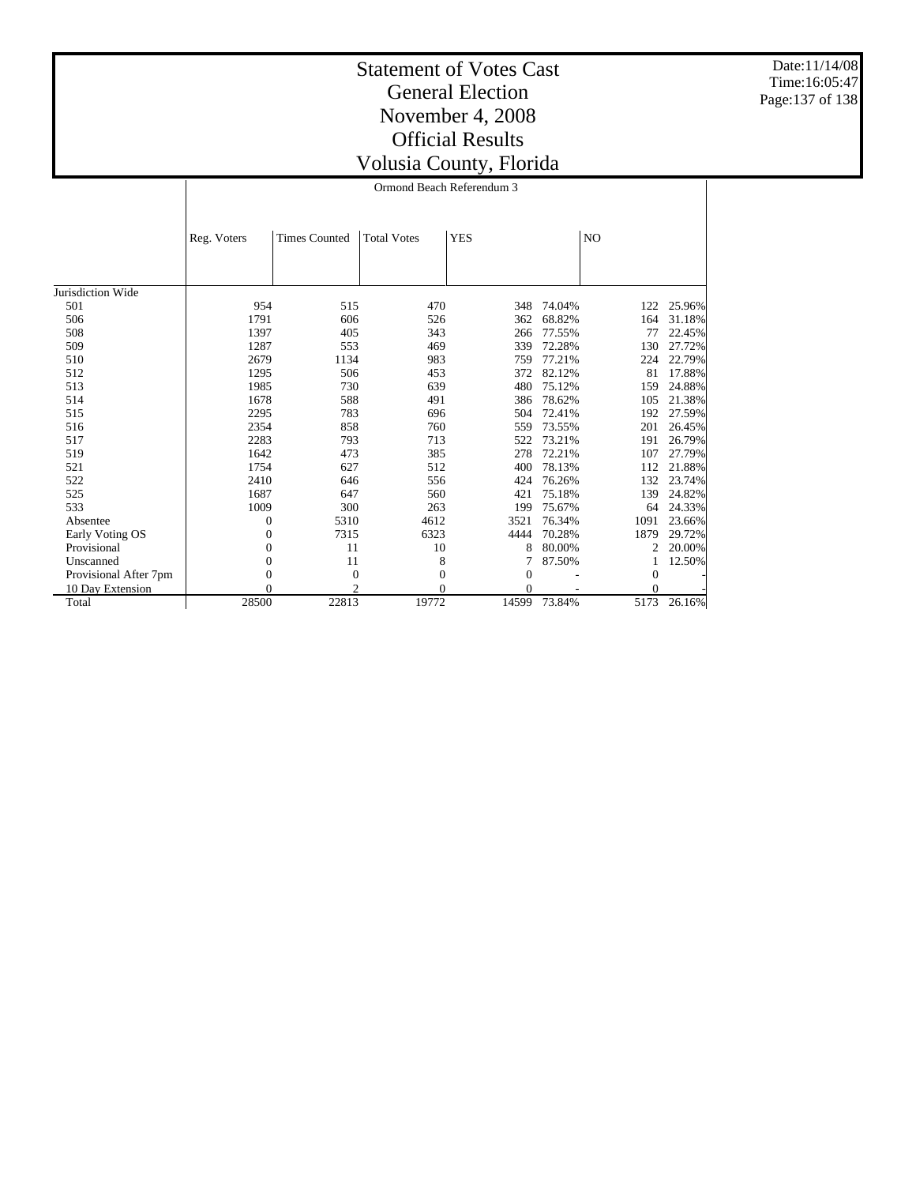Date:11/14/08 Time:16:05:47 Page:137 of 138

#### Statement of Votes Cast General Election November 4, 2008 Official Results Volusia County, Florida Ormond Beach Referendum 3

|                       | Reg. Voters  | <b>Times Counted</b> | <b>Total Votes</b> | <b>YES</b>       |        | N <sub>O</sub> |        |
|-----------------------|--------------|----------------------|--------------------|------------------|--------|----------------|--------|
|                       |              |                      |                    |                  |        |                |        |
| Jurisdiction Wide     |              |                      |                    |                  |        |                |        |
| 501                   | 954          | 515                  | 470                | 348              | 74.04% | 122            | 25.96% |
| 506                   | 1791         | 606                  | 526                | 362              | 68.82% | 164            | 31.18% |
| 508                   | 1397         | 405                  | 343                | 266              | 77.55% | 77             | 22.45% |
| 509                   | 1287         | 553                  | 469                | 339              | 72.28% | 130            | 27.72% |
| 510                   | 2679         | 1134                 | 983                | 759              | 77.21% | 224            | 22.79% |
| 512                   | 1295         | 506                  | 453                | 372              | 82.12% | 81             | 17.88% |
| 513                   | 1985         | 730                  | 639                | 480              | 75.12% | 159            | 24.88% |
| 514                   | 1678         | 588                  | 491                | 386              | 78.62% | 105            | 21.38% |
| 515                   | 2295         | 783                  | 696                | 504              | 72.41% | 192            | 27.59% |
| 516                   | 2354         | 858                  | 760                | 559              | 73.55% | 201            | 26.45% |
| 517                   | 2283         | 793                  | 713                | 522              | 73.21% | 191            | 26.79% |
| 519                   | 1642         | 473                  | 385                | 278              | 72.21% | 107            | 27.79% |
| 521                   | 1754         | 627                  | 512                | 400              | 78.13% | 112            | 21.88% |
| 522                   | 2410         | 646                  | 556                | 424              | 76.26% | 132            | 23.74% |
| 525                   | 1687         | 647                  | 560                | 421              | 75.18% | 139            | 24.82% |
| 533                   | 1009         | 300                  | 263                | 199              | 75.67% | 64             | 24.33% |
| Absentee              | $\mathbf{0}$ | 5310                 | 4612               | 3521             | 76.34% | 1091           | 23.66% |
| Early Voting OS       | 0            | 7315                 | 6323               | 4444             | 70.28% | 1879           | 29.72% |
| Provisional           | $\mathbf{0}$ | 11                   | 10                 | 8                | 80.00% | 2              | 20.00% |
| Unscanned             | $\mathbf{0}$ | 11                   | 8                  |                  | 87.50% |                | 12.50% |
| Provisional After 7pm | $\mathbf{0}$ | $\theta$             | $\boldsymbol{0}$   | $\boldsymbol{0}$ |        | $\Omega$       |        |
| 10 Day Extension      | $\Omega$     | 2                    | $\Omega$           | 0                |        | 0              |        |
| Total                 | 28500        | 22813                | 19772              | 14599            | 73.84% | 5173           | 26.16% |